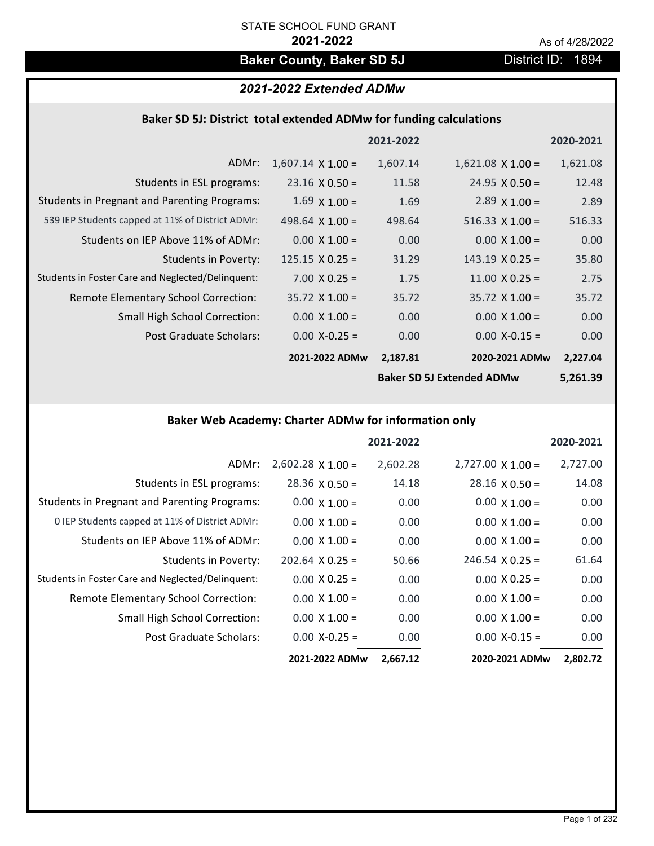## **Baker County, Baker SD 5J** District ID: 1894

## *2021-2022 Extended ADMw*

### **Baker SD 5J: District total extended ADMw for funding calculations**

|                                                     |                          | 2021-2022 |                        | 2020-2021 |
|-----------------------------------------------------|--------------------------|-----------|------------------------|-----------|
| ADMr:                                               | $1,607.14 \times 1.00 =$ | 1,607.14  | $1,621.08$ X $1.00 =$  | 1,621.08  |
| Students in ESL programs:                           | $23.16 \times 0.50 =$    | 11.58     | $24.95 \times 0.50 =$  | 12.48     |
| <b>Students in Pregnant and Parenting Programs:</b> | $1.69 \times 1.00 =$     | 1.69      | $2.89 \times 1.00 =$   | 2.89      |
| 539 IEP Students capped at 11% of District ADMr:    | 498.64 $\times$ 1.00 =   | 498.64    | $516.33 \times 1.00 =$ | 516.33    |
| Students on IEP Above 11% of ADMr:                  | $0.00 \times 1.00 =$     | 0.00      | $0.00 X 1.00 =$        | 0.00      |
| <b>Students in Poverty:</b>                         | $125.15 \times 0.25 =$   | 31.29     | $143.19 \times 0.25 =$ | 35.80     |
| Students in Foster Care and Neglected/Delinquent:   | $7.00 \times 0.25 =$     | 1.75      | $11.00 \times 0.25 =$  | 2.75      |
| Remote Elementary School Correction:                | $35.72 \times 1.00 =$    | 35.72     | $35.72 \times 1.00 =$  | 35.72     |
| <b>Small High School Correction:</b>                | $0.00 \times 1.00 =$     | 0.00      | $0.00 \times 1.00 =$   | 0.00      |
| Post Graduate Scholars:                             | $0.00$ X-0.25 =          | 0.00      | $0.00 X - 0.15 =$      | 0.00      |
|                                                     | 2021-2022 ADMw           | 2,187.81  | 2020-2021 ADMw         | 2,227.04  |
|                                                     |                          |           |                        |           |

**Baker SD 5J Extended ADMw**

**5,261.39**

## **Baker Web Academy: Charter ADMw for information only**

|                                                     |                          | 2021-2022 |                          | 2020-2021 |
|-----------------------------------------------------|--------------------------|-----------|--------------------------|-----------|
| ADMr:                                               | $2,602.28 \times 1.00 =$ | 2,602.28  | $2,727.00 \times 1.00 =$ | 2,727.00  |
| Students in ESL programs:                           | $28.36 \times 0.50 =$    | 14.18     | $28.16 \times 0.50 =$    | 14.08     |
| <b>Students in Pregnant and Parenting Programs:</b> | $0.00 \times 1.00 =$     | 0.00      | $0.00 \times 1.00 =$     | 0.00      |
| 0 IEP Students capped at 11% of District ADMr:      | $0.00 \times 1.00 =$     | 0.00      | $0.00 \times 1.00 =$     | 0.00      |
| Students on IEP Above 11% of ADMr:                  | $0.00 \times 1.00 =$     | 0.00      | $0.00 \times 1.00 =$     | 0.00      |
| Students in Poverty:                                | $202.64 \times 0.25 =$   | 50.66     | $246.54 \times 0.25 =$   | 61.64     |
| Students in Foster Care and Neglected/Delinquent:   | $0.00 \times 0.25 =$     | 0.00      | $0.00 \times 0.25 =$     | 0.00      |
| Remote Elementary School Correction:                | $0.00 \times 1.00 =$     | 0.00      | $0.00 \times 1.00 =$     | 0.00      |
| <b>Small High School Correction:</b>                | $0.00 \times 1.00 =$     | 0.00      | $0.00 \times 1.00 =$     | 0.00      |
| Post Graduate Scholars:                             | $0.00$ X-0.25 =          | 0.00      | $0.00$ X-0.15 =          | 0.00      |
|                                                     | 2021-2022 ADMw           | 2,667.12  | 2020-2021 ADMw           | 2,802.72  |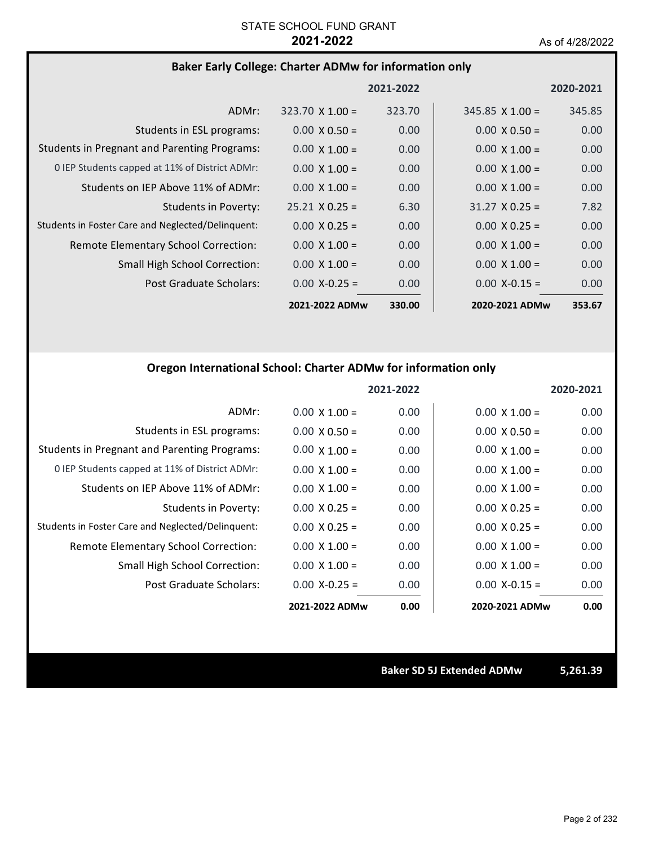## **Baker Early College: Charter ADMw for information only**

|                                                     |                        | 2021-2022 |                        | 2020-2021         |
|-----------------------------------------------------|------------------------|-----------|------------------------|-------------------|
| ADMr:                                               | $323.70 \times 1.00 =$ | 323.70    | $345.85 \times 1.00 =$ | 345.85            |
| Students in ESL programs:                           | $0.00 \times 0.50 =$   | 0.00      | $0.00 \times 0.50 =$   | 0.00              |
| <b>Students in Pregnant and Parenting Programs:</b> | $0.00 \times 1.00 =$   | 0.00      | $0.00 \times 1.00 =$   | 0.00              |
| 0 IEP Students capped at 11% of District ADMr:      | $0.00 \times 1.00 =$   | 0.00      | $0.00 \times 1.00 =$   | 0.00 <sub>1</sub> |
| Students on IEP Above 11% of ADMr:                  | $0.00 \times 1.00 =$   | 0.00      | $0.00 \times 1.00 =$   | 0.00              |
| Students in Poverty:                                | $25.21 \times 0.25 =$  | 6.30      | $31.27 \times 0.25 =$  | 7.82              |
| Students in Foster Care and Neglected/Delinquent:   | $0.00 \times 0.25 =$   | 0.00      | $0.00 \times 0.25 =$   | 0.00              |
| Remote Elementary School Correction:                | $0.00 \times 1.00 =$   | 0.00      | $0.00 \times 1.00 =$   | 0.00              |
| <b>Small High School Correction:</b>                | $0.00 \times 1.00 =$   | 0.00      | $0.00 \times 1.00 =$   | 0.00              |
| Post Graduate Scholars:                             | $0.00 X - 0.25 =$      | 0.00      | $0.00$ X-0.15 =        | 0.00              |
|                                                     | 2021-2022 ADMw         | 330.00    | 2020-2021 ADMw         | 353.67            |

## **Oregon International School: Charter ADMw for information only**

|                                                     |                      | 2021-2022 |                      | 2020-2021 |
|-----------------------------------------------------|----------------------|-----------|----------------------|-----------|
| ADMr:                                               | $0.00 \times 1.00 =$ | 0.00      | $0.00 \times 1.00 =$ | 0.00      |
| Students in ESL programs:                           | $0.00 \times 0.50 =$ | 0.00      | $0.00 \times 0.50 =$ | 0.00      |
| <b>Students in Pregnant and Parenting Programs:</b> | $0.00 \times 1.00 =$ | 0.00      | $0.00 \times 1.00 =$ | 0.00      |
| 0 IEP Students capped at 11% of District ADMr:      | $0.00 \times 1.00 =$ | 0.00      | $0.00 \times 1.00 =$ | 0.00      |
| Students on IEP Above 11% of ADMr:                  | $0.00 \times 1.00 =$ | 0.00      | $0.00 \times 1.00 =$ | 0.00      |
| Students in Poverty:                                | $0.00 \times 0.25 =$ | 0.00      | $0.00 \times 0.25 =$ | 0.00      |
| Students in Foster Care and Neglected/Delinquent:   | $0.00 \times 0.25 =$ | 0.00      | $0.00 \times 0.25 =$ | 0.00      |
| Remote Elementary School Correction:                | $0.00 \times 1.00 =$ | 0.00      | $0.00 \times 1.00 =$ | 0.00      |
| <b>Small High School Correction:</b>                | $0.00 \times 1.00 =$ | 0.00      | $0.00 \times 1.00 =$ | 0.00      |
| Post Graduate Scholars:                             | $0.00$ X-0.25 =      | 0.00      | $0.00 X - 0.15 =$    | 0.00      |
|                                                     | 2021-2022 ADMw       | 0.00      | 2020-2021 ADMw       | 0.00      |

**Baker SD 5J Extended ADMw 5,261.39**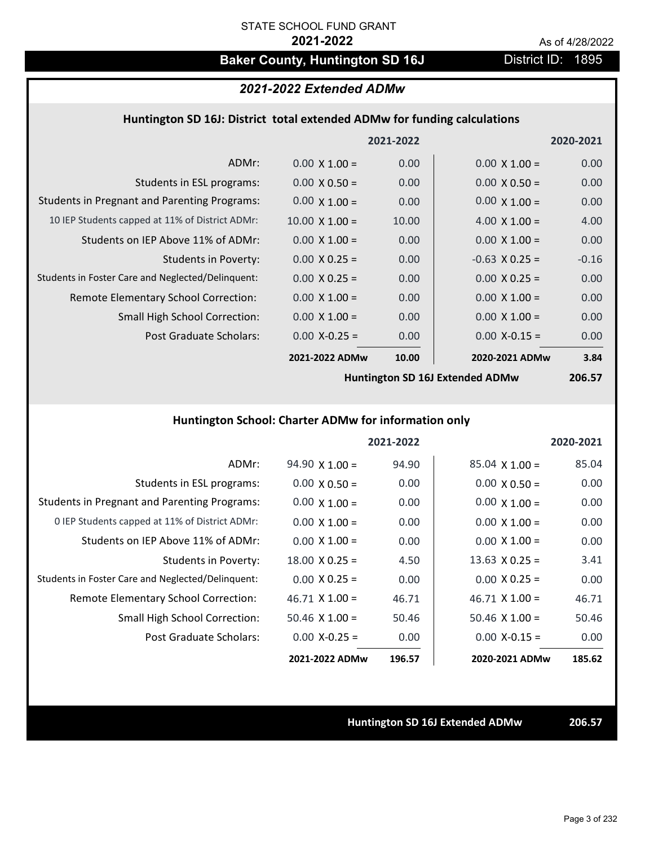## Baker County, Huntington SD 16J **District ID: 1895**

### *2021-2022 Extended ADMw*

### **Huntington SD 16J: District total extended ADMw for funding calculations**

|                                                     |                       | 2021-2022 |                      | 2020-2021 |
|-----------------------------------------------------|-----------------------|-----------|----------------------|-----------|
| ADMr:                                               | $0.00 \times 1.00 =$  | 0.00      | $0.00 \times 1.00 =$ | 0.00      |
| Students in ESL programs:                           | $0.00 \times 0.50 =$  | 0.00      | $0.00 \times 0.50 =$ | 0.00      |
| <b>Students in Pregnant and Parenting Programs:</b> | $0.00 \times 1.00 =$  | 0.00      | $0.00 \times 1.00 =$ | 0.00      |
| 10 IEP Students capped at 11% of District ADMr:     | $10.00 \times 1.00 =$ | 10.00     | 4.00 $\times$ 1.00 = | 4.00      |
| Students on IEP Above 11% of ADMr:                  | $0.00 \times 1.00 =$  | 0.00      | $0.00 \times 1.00 =$ | 0.00      |
| Students in Poverty:                                | $0.00 \times 0.25 =$  | 0.00      | $-0.63$ X 0.25 =     | $-0.16$   |
| Students in Foster Care and Neglected/Delinquent:   | $0.00 \times 0.25 =$  | 0.00      | $0.00 \times 0.25 =$ | 0.00      |
| Remote Elementary School Correction:                | $0.00 \times 1.00 =$  | 0.00      | $0.00 \times 1.00 =$ | 0.00      |
| <b>Small High School Correction:</b>                | $0.00 \times 1.00 =$  | 0.00      | $0.00 \times 1.00 =$ | 0.00      |
| Post Graduate Scholars:                             | $0.00$ X-0.25 =       | 0.00      | $0.00$ X-0.15 =      | 0.00      |
|                                                     | 2021-2022 ADMw        | 10.00     | 2020-2021 ADMw       | 3.84      |
|                                                     |                       |           |                      |           |

**Huntington SD 16J Extended ADMw**

**206.57**

### **Huntington School: Charter ADMw for information only**

|                                                     |                       | 2021-2022 |                       | 2020-2021 |
|-----------------------------------------------------|-----------------------|-----------|-----------------------|-----------|
| ADMr:                                               | $94.90 \times 1.00 =$ | 94.90     | $85.04 \times 1.00 =$ | 85.04     |
| Students in ESL programs:                           | $0.00 \times 0.50 =$  | 0.00      | $0.00 \times 0.50 =$  | 0.00      |
| <b>Students in Pregnant and Parenting Programs:</b> | $0.00 \times 1.00 =$  | 0.00      | $0.00 \times 1.00 =$  | 0.00      |
| 0 IEP Students capped at 11% of District ADMr:      | $0.00 \times 1.00 =$  | 0.00      | $0.00 \times 1.00 =$  | 0.00      |
| Students on IEP Above 11% of ADMr:                  | $0.00 \times 1.00 =$  | 0.00      | $0.00 \times 1.00 =$  | 0.00      |
| Students in Poverty:                                | $18.00 \times 0.25 =$ | 4.50      | $13.63 \times 0.25 =$ | 3.41      |
| Students in Foster Care and Neglected/Delinquent:   | $0.00 \times 0.25 =$  | 0.00      | $0.00 \times 0.25 =$  | 0.00      |
| Remote Elementary School Correction:                | $46.71 \times 1.00 =$ | 46.71     | $46.71 \times 1.00 =$ | 46.71     |
| <b>Small High School Correction:</b>                | $50.46 \times 1.00 =$ | 50.46     | $50.46 \times 1.00 =$ | 50.46     |
| Post Graduate Scholars:                             | $0.00 X - 0.25 =$     | 0.00      | $0.00 X-0.15 =$       | 0.00      |
|                                                     | 2021-2022 ADMw        | 196.57    | 2020-2021 ADMw        | 185.62    |

**Huntington SD 16J Extended ADMw 206.57**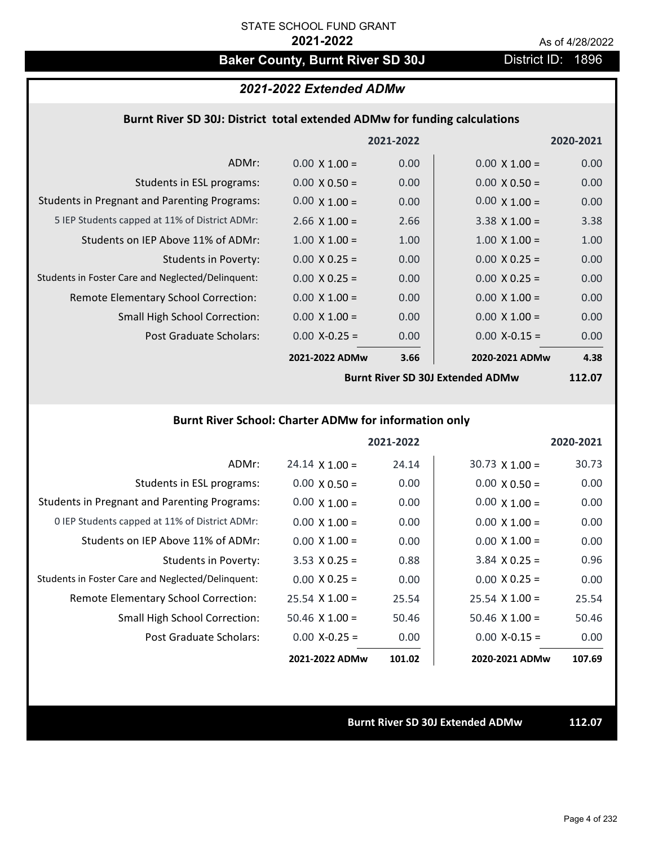# Baker County, Burnt River SD 30J District ID: 1896

## *2021-2022 Extended ADMw*

### **Burnt River SD 30J: District total extended ADMw for funding calculations**

|                                                     |                      | 2021-2022 |                      | 2020-2021 |
|-----------------------------------------------------|----------------------|-----------|----------------------|-----------|
| ADMr:                                               | $0.00 \times 1.00 =$ | 0.00      | $0.00 \times 1.00 =$ | 0.00      |
| Students in ESL programs:                           | $0.00 \times 0.50 =$ | 0.00      | $0.00 \times 0.50 =$ | 0.00      |
| <b>Students in Pregnant and Parenting Programs:</b> | $0.00 \times 1.00 =$ | 0.00      | $0.00 \times 1.00 =$ | 0.00      |
| 5 IEP Students capped at 11% of District ADMr:      | $2.66 \times 1.00 =$ | 2.66      | $3.38 \times 1.00 =$ | 3.38      |
| Students on IEP Above 11% of ADMr:                  | $1.00 \times 1.00 =$ | 1.00      | $1.00 \times 1.00 =$ | 1.00      |
| Students in Poverty:                                | $0.00 \times 0.25 =$ | 0.00      | $0.00 \times 0.25 =$ | 0.00      |
| Students in Foster Care and Neglected/Delinquent:   | $0.00 \times 0.25 =$ | 0.00      | $0.00 \times 0.25 =$ | 0.00      |
| Remote Elementary School Correction:                | $0.00 \times 1.00 =$ | 0.00      | $0.00 \times 1.00 =$ | 0.00      |
| <b>Small High School Correction:</b>                | $0.00 \times 1.00 =$ | 0.00      | $0.00 \times 1.00 =$ | 0.00      |
| Post Graduate Scholars:                             | $0.00$ X-0.25 =      | 0.00      | $0.00$ X-0.15 =      | 0.00      |
|                                                     | 2021-2022 ADMw       | 3.66      | 2020-2021 ADMw       | 4.38      |

**Burnt River SD 30J Extended ADMw**

**112.07**

### **Burnt River School: Charter ADMw for information only**

|                                                     |                       | 2021-2022 |                       | 2020-2021 |
|-----------------------------------------------------|-----------------------|-----------|-----------------------|-----------|
| ADMr:                                               | $24.14 \times 1.00 =$ | 24.14     | $30.73 \times 1.00 =$ | 30.73     |
| Students in ESL programs:                           | $0.00 \times 0.50 =$  | 0.00      | $0.00 \times 0.50 =$  | 0.00      |
| <b>Students in Pregnant and Parenting Programs:</b> | $0.00 \times 1.00 =$  | 0.00      | $0.00 \times 1.00 =$  | 0.00      |
| 0 IEP Students capped at 11% of District ADMr:      | $0.00 \times 1.00 =$  | 0.00      | $0.00 \times 1.00 =$  | 0.00      |
| Students on IEP Above 11% of ADMr:                  | $0.00 \times 1.00 =$  | 0.00      | $0.00 \times 1.00 =$  | 0.00      |
| Students in Poverty:                                | $3.53 \times 0.25 =$  | 0.88      | $3.84$ X 0.25 =       | 0.96      |
| Students in Foster Care and Neglected/Delinquent:   | $0.00 \times 0.25 =$  | 0.00      | $0.00 \times 0.25 =$  | 0.00      |
| Remote Elementary School Correction:                | $25.54 \times 1.00 =$ | 25.54     | $25.54 \times 1.00 =$ | 25.54     |
| <b>Small High School Correction:</b>                | $50.46 \times 1.00 =$ | 50.46     | $50.46 \times 1.00 =$ | 50.46     |
| Post Graduate Scholars:                             | $0.00 X - 0.25 =$     | 0.00      | $0.00 X-0.15 =$       | 0.00      |
|                                                     | 2021-2022 ADMw        | 101.02    | 2020-2021 ADMw        | 107.69    |

**Burnt River SD 30J Extended ADMw 112.07**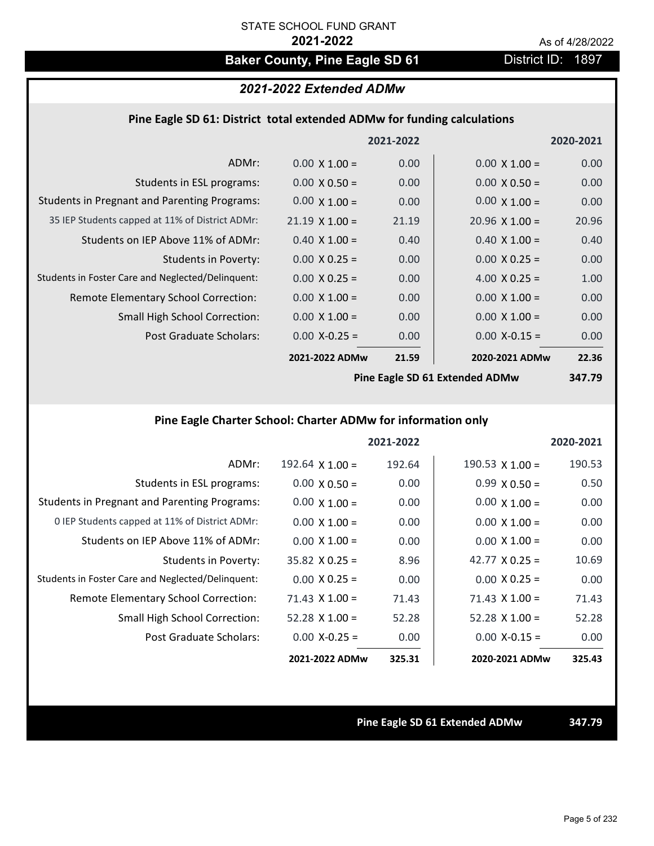# **Baker County, Pine Eagle SD 61** District ID: 1897

### *2021-2022 Extended ADMw*

### **Pine Eagle SD 61: District total extended ADMw for funding calculations**

|                                                     |                       | 2021-2022 |                                    | 2020-2021 |
|-----------------------------------------------------|-----------------------|-----------|------------------------------------|-----------|
| ADMr:                                               | $0.00 \times 1.00 =$  | 0.00      | $0.00 \times 1.00 =$               | 0.00      |
| Students in ESL programs:                           | $0.00 \times 0.50 =$  | 0.00      | $0.00 \times 0.50 =$               | 0.00      |
| <b>Students in Pregnant and Parenting Programs:</b> | $0.00 \times 1.00 =$  | 0.00      | $0.00 \times 1.00 =$               | 0.00      |
| 35 IEP Students capped at 11% of District ADMr:     | $21.19 \times 1.00 =$ | 21.19     | $20.96 \times 1.00 =$              | 20.96     |
| Students on IEP Above 11% of ADMr:                  | $0.40 \times 1.00 =$  | 0.40      | $0.40 \times 1.00 =$               | 0.40      |
| <b>Students in Poverty:</b>                         | $0.00 \times 0.25 =$  | 0.00      | $0.00 \times 0.25 =$               | 0.00      |
| Students in Foster Care and Neglected/Delinquent:   | $0.00 \times 0.25 =$  | 0.00      | 4.00 $X$ 0.25 =                    | 1.00      |
| Remote Elementary School Correction:                | $0.00 \times 1.00 =$  | 0.00      | $0.00 \times 1.00 =$               | 0.00      |
| <b>Small High School Correction:</b>                | $0.00 \times 1.00 =$  | 0.00      | $0.00 \times 1.00 =$               | 0.00      |
| Post Graduate Scholars:                             | $0.00$ X-0.25 =       | 0.00      | $0.00$ X-0.15 =                    | 0.00      |
|                                                     | 2021-2022 ADMw        | 21.59     | 2020-2021 ADMw                     | 22.36     |
|                                                     | n!                    |           | $\sim$ Feels CD C4 February 4 ADMs | 3 47 70   |

**Pine Eagle SD 61 Extended ADMw**

**347.79**

## **Pine Eagle Charter School: Charter ADMw for information only**

|                                                     |                       | 2021-2022 |                       | 2020-2021 |
|-----------------------------------------------------|-----------------------|-----------|-----------------------|-----------|
| ADMr:                                               | 192.64 $X$ 1.00 =     | 192.64    | $190.53$ X $1.00 =$   | 190.53    |
| Students in ESL programs:                           | $0.00 \times 0.50 =$  | 0.00      | $0.99 \times 0.50 =$  | 0.50      |
| <b>Students in Pregnant and Parenting Programs:</b> | $0.00 \times 1.00 =$  | 0.00      | $0.00 \times 1.00 =$  | 0.00      |
| 0 IEP Students capped at 11% of District ADMr:      | $0.00 \times 1.00 =$  | 0.00      | $0.00 \times 1.00 =$  | 0.00      |
| Students on IEP Above 11% of ADMr:                  | $0.00 \times 1.00 =$  | 0.00      | $0.00 \times 1.00 =$  | 0.00      |
| Students in Poverty:                                | $35.82 \times 0.25 =$ | 8.96      | 42.77 $\times$ 0.25 = | 10.69     |
| Students in Foster Care and Neglected/Delinquent:   | $0.00 \times 0.25 =$  | 0.00      | $0.00 \times 0.25 =$  | 0.00      |
| Remote Elementary School Correction:                | $71.43 \times 1.00 =$ | 71.43     | $71.43 \times 1.00 =$ | 71.43     |
| <b>Small High School Correction:</b>                | $52.28$ X 1.00 =      | 52.28     | $52.28 \times 1.00 =$ | 52.28     |
| Post Graduate Scholars:                             | $0.00 X - 0.25 =$     | 0.00      | $0.00 X - 0.15 =$     | 0.00      |
|                                                     | 2021-2022 ADMw        | 325.31    | 2020-2021 ADMw        | 325.43    |

**Pine Eagle SD 61 Extended ADMw 347.79**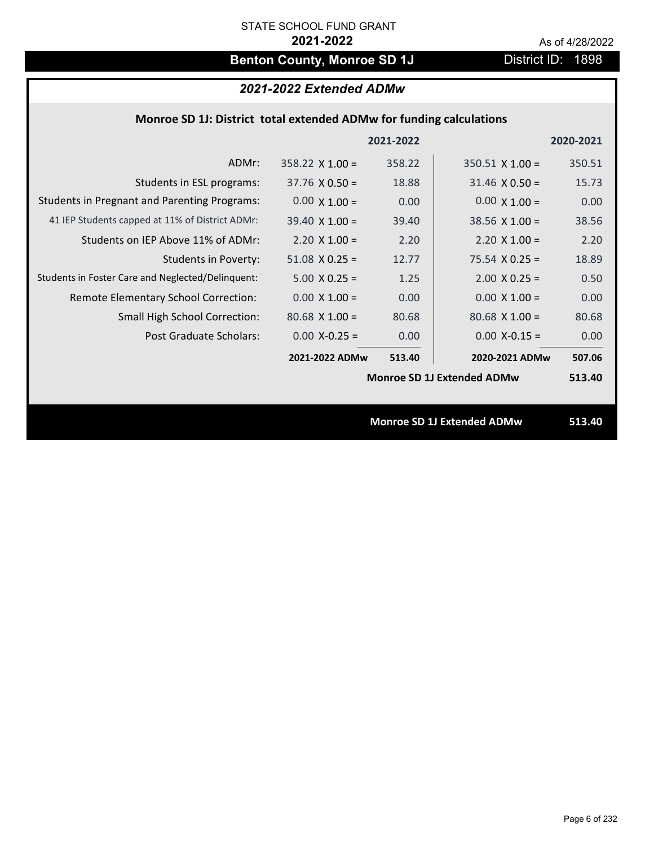# **Benton County, Monroe SD 1J** District ID: 1898

## *2021-2022 Extended ADMw*

### **Monroe SD 1J: District total extended ADMw for funding calculations**

|                                                     |                        | 2021-2022 |                                   | 2020-2021 |
|-----------------------------------------------------|------------------------|-----------|-----------------------------------|-----------|
| ADMr:                                               | $358.22 \times 1.00 =$ | 358.22    | $350.51$ X 1.00 =                 | 350.51    |
| Students in ESL programs:                           | $37.76 \times 0.50 =$  | 18.88     | $31.46 \times 0.50 =$             | 15.73     |
| <b>Students in Pregnant and Parenting Programs:</b> | $0.00 \times 1.00 =$   | 0.00      | $0.00 \times 1.00 =$              | 0.00      |
| 41 IEP Students capped at 11% of District ADMr:     | $39.40 \times 1.00 =$  | 39.40     | $38.56$ X 1.00 =                  | 38.56     |
| Students on IEP Above 11% of ADMr:                  | $2.20 \times 1.00 =$   | 2.20      | $2.20 \times 1.00 =$              | 2.20      |
| <b>Students in Poverty:</b>                         | $51.08 \times 0.25 =$  | 12.77     | $75.54 \times 0.25 =$             | 18.89     |
| Students in Foster Care and Neglected/Delinquent:   | $5.00 \times 0.25 =$   | 1.25      | $2.00$ X 0.25 =                   | 0.50      |
| Remote Elementary School Correction:                | $0.00 \times 1.00 =$   | 0.00      | $0.00 \times 1.00 =$              | 0.00      |
| <b>Small High School Correction:</b>                | $80.68 \times 1.00 =$  | 80.68     | $80.68 \times 1.00 =$             | 80.68     |
| Post Graduate Scholars:                             | $0.00$ X-0.25 =        | 0.00      | $0.00$ X-0.15 =                   | 0.00      |
|                                                     | 2021-2022 ADMw         | 513.40    | 2020-2021 ADMw                    | 507.06    |
|                                                     |                        |           | <b>Monroe SD 1J Extended ADMw</b> | 513.40    |
|                                                     |                        |           |                                   |           |
|                                                     |                        |           | <b>Monroe SD 1J Extended ADMw</b> | 513.40    |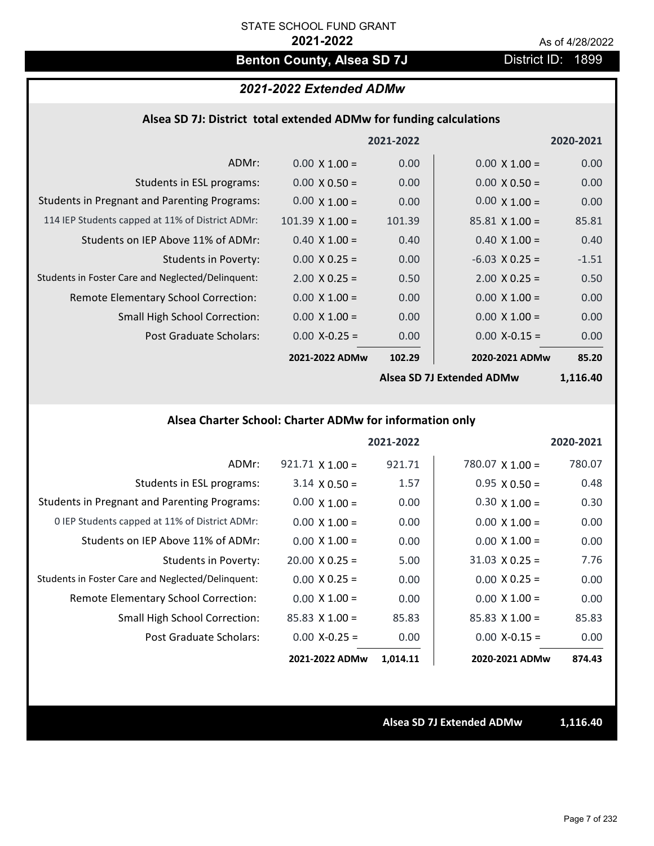## **Benton County, Alsea SD 7J** District ID: 1899

## *2021-2022 Extended ADMw*

#### **Alsea SD 7J: District total extended ADMw for funding calculations**

|                                                     |                        | 2021-2022 |                        | 2020-2021                                                                                 |
|-----------------------------------------------------|------------------------|-----------|------------------------|-------------------------------------------------------------------------------------------|
| ADMr:                                               | $0.00 \times 1.00 =$   | 0.00      | $0.00 \times 1.00 =$   | 0.00                                                                                      |
| Students in ESL programs:                           | $0.00 \times 0.50 =$   | 0.00      | $0.00 \times 0.50 =$   | 0.00                                                                                      |
| <b>Students in Pregnant and Parenting Programs:</b> | $0.00 \times 1.00 =$   | 0.00      | $0.00 \times 1.00 =$   | 0.00                                                                                      |
| 114 IEP Students capped at 11% of District ADMr:    | $101.39 \times 1.00 =$ | 101.39    | $85.81 \times 1.00 =$  | 85.81                                                                                     |
| Students on IEP Above 11% of ADMr:                  | $0.40 \times 1.00 =$   | 0.40      | $0.40 \times 1.00 =$   | 0.40                                                                                      |
| <b>Students in Poverty:</b>                         | $0.00 \times 0.25 =$   | 0.00      | $-6.03$ X 0.25 =       | $-1.51$                                                                                   |
| Students in Foster Care and Neglected/Delinquent:   | $2.00 \times 0.25 =$   | 0.50      | $2.00 \times 0.25 =$   | 0.50                                                                                      |
| Remote Elementary School Correction:                | $0.00 \times 1.00 =$   | 0.00      | $0.00 \times 1.00 =$   | 0.00                                                                                      |
| <b>Small High School Correction:</b>                | $0.00 \times 1.00 =$   | 0.00      | $0.00 \times 1.00 =$   | 0.00                                                                                      |
| Post Graduate Scholars:                             | $0.00$ X-0.25 =        | 0.00      | $0.00$ X-0.15 =        | 0.00                                                                                      |
|                                                     | 2021-2022 ADMw         | 102.29    | 2020-2021 ADMw         | 85.20                                                                                     |
|                                                     |                        |           | $\sim$ CD 71 F. t. ADM | $\overline{A}$ $\overline{A}$ $\overline{A}$ $\overline{C}$ $\overline{A}$ $\overline{C}$ |

**Alsea SD 7J Extended ADMw**

**1,116.40**

## **Alsea Charter School: Charter ADMw for information only**

|                                                     |                        | 2021-2022 |                        | 2020-2021 |
|-----------------------------------------------------|------------------------|-----------|------------------------|-----------|
| ADMr:                                               | $921.71 \times 1.00 =$ | 921.71    | $780.07 \times 1.00 =$ | 780.07    |
| Students in ESL programs:                           | $3.14 \times 0.50 =$   | 1.57      | $0.95 \times 0.50 =$   | 0.48      |
| <b>Students in Pregnant and Parenting Programs:</b> | $0.00 \times 1.00 =$   | 0.00      | $0.30 \times 1.00 =$   | 0.30      |
| 0 IEP Students capped at 11% of District ADMr:      | $0.00 \times 1.00 =$   | 0.00      | $0.00 \times 1.00 =$   | 0.00      |
| Students on IEP Above 11% of ADMr:                  | $0.00 \times 1.00 =$   | 0.00      | $0.00 \times 1.00 =$   | 0.00      |
| Students in Poverty:                                | $20.00 \times 0.25 =$  | 5.00      | $31.03 \times 0.25 =$  | 7.76      |
| Students in Foster Care and Neglected/Delinquent:   | $0.00 \times 0.25 =$   | 0.00      | $0.00 \times 0.25 =$   | 0.00      |
| Remote Elementary School Correction:                | $0.00 \times 1.00 =$   | 0.00      | $0.00 X 1.00 =$        | 0.00      |
| <b>Small High School Correction:</b>                | $85.83$ X 1.00 =       | 85.83     | $85.83 \times 1.00 =$  | 85.83     |
| Post Graduate Scholars:                             | $0.00$ X-0.25 =        | 0.00      | $0.00$ X-0.15 =        | 0.00      |
|                                                     | 2021-2022 ADMw         | 1,014.11  | 2020-2021 ADMw         | 874.43    |

**Alsea SD 7J Extended ADMw 1,116.40**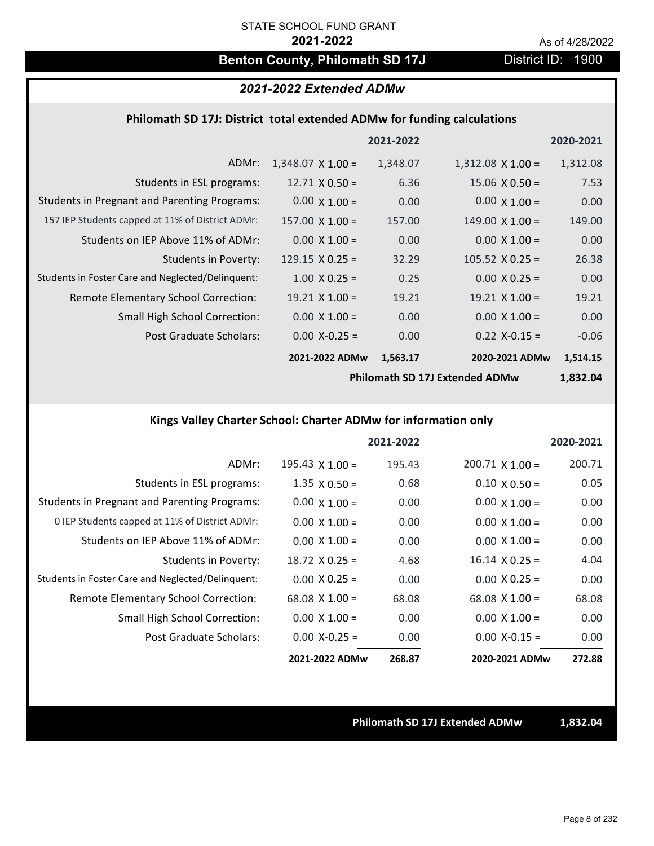## **Benton County, Philomath SD 17J** District ID: 1900

### *2021-2022 Extended ADMw*

#### **Philomath SD 17J: District total extended ADMw for funding calculations**

|                                                     |                          | 2021-2022 |                          | 2020-2021 |
|-----------------------------------------------------|--------------------------|-----------|--------------------------|-----------|
| ADMr:                                               | $1,348.07 \times 1.00 =$ | 1,348.07  | $1,312.08 \times 1.00 =$ | 1,312.08  |
| Students in ESL programs:                           | $12.71 \times 0.50 =$    | 6.36      | $15.06 \times 0.50 =$    | 7.53      |
| <b>Students in Pregnant and Parenting Programs:</b> | $0.00 \times 1.00 =$     | 0.00      | $0.00 \times 1.00 =$     | 0.00      |
| 157 IEP Students capped at 11% of District ADMr:    | $157.00 \times 1.00 =$   | 157.00    | $149.00 \times 1.00 =$   | 149.00    |
| Students on IEP Above 11% of ADMr:                  | $0.00 \times 1.00 =$     | 0.00      | $0.00 \times 1.00 =$     | 0.00      |
| <b>Students in Poverty:</b>                         | $129.15 \times 0.25 =$   | 32.29     | $105.52 \times 0.25 =$   | 26.38     |
| Students in Foster Care and Neglected/Delinquent:   | $1.00 \times 0.25 =$     | 0.25      | $0.00 \times 0.25 =$     | 0.00      |
| Remote Elementary School Correction:                | $19.21 \times 1.00 =$    | 19.21     | $19.21 \times 1.00 =$    | 19.21     |
| <b>Small High School Correction:</b>                | $0.00 \times 1.00 =$     | 0.00      | $0.00 \times 1.00 =$     | 0.00      |
| Post Graduate Scholars:                             | $0.00 X - 0.25 =$        | 0.00      | $0.22$ X-0.15 =          | $-0.06$   |
|                                                     | 2021-2022 ADMw           | 1,563.17  | 2020-2021 ADMw           | 1,514.15  |

**Philomath SD 17J Extended ADMw**

**1,832.04**

## **Kings Valley Charter School: Charter ADMw for information only**

|                                                     |                        | 2021-2022 |                        | 2020-2021 |
|-----------------------------------------------------|------------------------|-----------|------------------------|-----------|
| ADMr:                                               | $195.43 \times 1.00 =$ | 195.43    | $200.71 \times 1.00 =$ | 200.71    |
| Students in ESL programs:                           | $1.35 \times 0.50 =$   | 0.68      | $0.10 \times 0.50 =$   | 0.05      |
| <b>Students in Pregnant and Parenting Programs:</b> | $0.00 \times 1.00 =$   | 0.00      | $0.00 \times 1.00 =$   | 0.00      |
| 0 IEP Students capped at 11% of District ADMr:      | $0.00 \times 1.00 =$   | 0.00      | $0.00 \times 1.00 =$   | 0.00      |
| Students on IEP Above 11% of ADMr:                  | $0.00 \times 1.00 =$   | 0.00      | $0.00 \times 1.00 =$   | 0.00      |
| Students in Poverty:                                | $18.72 \times 0.25 =$  | 4.68      | $16.14 \times 0.25 =$  | 4.04      |
| Students in Foster Care and Neglected/Delinquent:   | $0.00 \times 0.25 =$   | 0.00      | $0.00 \times 0.25 =$   | 0.00      |
| Remote Elementary School Correction:                | $68.08 \times 1.00 =$  | 68.08     | $68.08 \times 1.00 =$  | 68.08     |
| <b>Small High School Correction:</b>                | $0.00 \times 1.00 =$   | 0.00      | $0.00 \times 1.00 =$   | 0.00      |
| Post Graduate Scholars:                             | $0.00$ X-0.25 =        | 0.00      | $0.00 X - 0.15 =$      | 0.00      |
|                                                     | 2021-2022 ADMw         | 268.87    | 2020-2021 ADMw         | 272.88    |

**Philomath SD 17J Extended ADMw 1,832.04**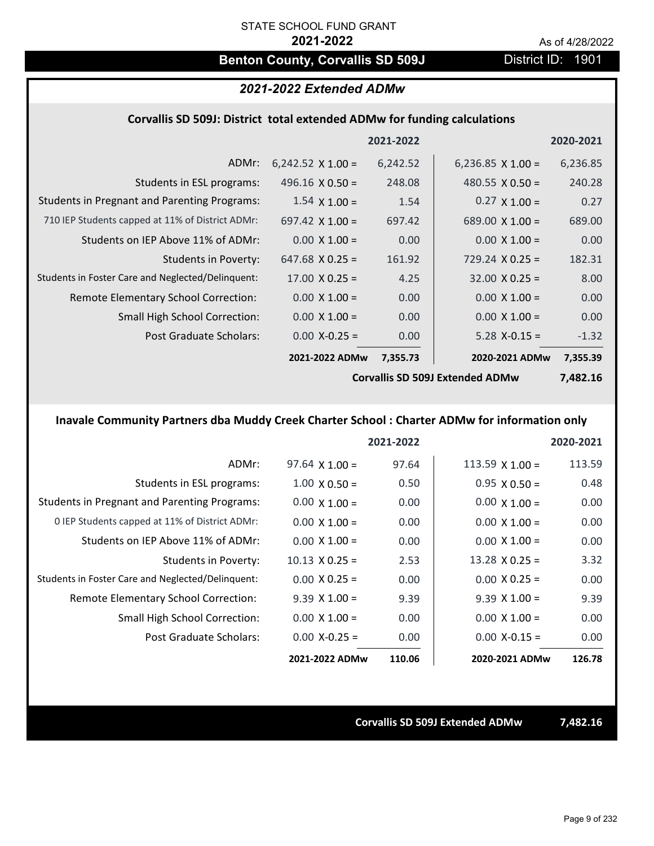## **Benton County, Corvallis SD 509J** District ID: 1901

### *2021-2022 Extended ADMw*

### **Corvallis SD 509J: District total extended ADMw for funding calculations**

|                                                     |                          | 2021-2022 |                                               | 2020-2021   |
|-----------------------------------------------------|--------------------------|-----------|-----------------------------------------------|-------------|
| ADMr:                                               | $6,242.52 \times 1.00 =$ | 6,242.52  | 6,236.85 $\times$ 1.00 =                      | 6,236.85    |
| Students in ESL programs:                           | 496.16 $\times$ 0.50 =   | 248.08    | 480.55 $\times$ 0.50 =                        | 240.28      |
| <b>Students in Pregnant and Parenting Programs:</b> | $1.54 \times 1.00 =$     | 1.54      | $0.27 \times 1.00 =$                          | 0.27        |
| 710 IEP Students capped at 11% of District ADMr:    | 697.42 $\times$ 1.00 =   | 697.42    | 689.00 $\times$ 1.00 =                        | 689.00      |
| Students on IEP Above 11% of ADMr:                  | $0.00 \times 1.00 =$     | 0.00      | $0.00 \times 1.00 =$                          | 0.00        |
| <b>Students in Poverty:</b>                         | $647.68 \times 0.25 =$   | 161.92    | $729.24 \times 0.25 =$                        | 182.31      |
| Students in Foster Care and Neglected/Delinquent:   | $17.00 \times 0.25 =$    | 4.25      | $32.00 \times 0.25 =$                         | 8.00        |
| Remote Elementary School Correction:                | $0.00 \times 1.00 =$     | 0.00      | $0.00 \times 1.00 =$                          | 0.00        |
| <b>Small High School Correction:</b>                | $0.00 \times 1.00 =$     | 0.00      | $0.00 \times 1.00 =$                          | 0.00        |
| Post Graduate Scholars:                             | $0.00$ X-0.25 =          | 0.00      | $5.28$ X-0.15 =                               | $-1.32$     |
|                                                     | 2021-2022 ADMw           | 7,355.73  | 2020-2021 ADMw                                | 7,355.39    |
|                                                     |                          |           | $C_{2}$ $\mathbb{R}^{12}$ . CD, FAQL F    ADM | , , , , , , |

**Corvallis SD 509J Extended ADMw**

**7,482.16**

## **Inavale Community Partners dba Muddy Creek Charter School : Charter ADMw for information only**

|                                                     |                       | 2021-2022 |                        | 2020-2021 |
|-----------------------------------------------------|-----------------------|-----------|------------------------|-----------|
| ADMr:                                               | $97.64 \times 1.00 =$ | 97.64     | $113.59 \times 1.00 =$ | 113.59    |
| Students in ESL programs:                           | $1.00 \times 0.50 =$  | 0.50      | $0.95 \times 0.50 =$   | 0.48      |
| <b>Students in Pregnant and Parenting Programs:</b> | $0.00 \times 1.00 =$  | 0.00      | $0.00 \times 1.00 =$   | 0.00      |
| 0 IEP Students capped at 11% of District ADMr:      | $0.00 \times 1.00 =$  | 0.00      | $0.00 \times 1.00 =$   | 0.00      |
| Students on IEP Above 11% of ADMr:                  | $0.00 \times 1.00 =$  | 0.00      | $0.00 \times 1.00 =$   | 0.00      |
| Students in Poverty:                                | $10.13 \times 0.25 =$ | 2.53      | $13.28 \times 0.25 =$  | 3.32      |
| Students in Foster Care and Neglected/Delinquent:   | $0.00 \times 0.25 =$  | 0.00      | $0.00 \times 0.25 =$   | 0.00      |
| Remote Elementary School Correction:                | $9.39 \times 1.00 =$  | 9.39      | $9.39 \times 1.00 =$   | 9.39      |
| <b>Small High School Correction:</b>                | $0.00 \times 1.00 =$  | 0.00      | $0.00 \times 1.00 =$   | 0.00      |
| Post Graduate Scholars:                             | $0.00$ X-0.25 =       | 0.00      | $0.00 X-0.15 =$        | 0.00      |
|                                                     | 2021-2022 ADMw        | 110.06    | 2020-2021 ADMw         | 126.78    |

**Corvallis SD 509J Extended ADMw 7,482.16**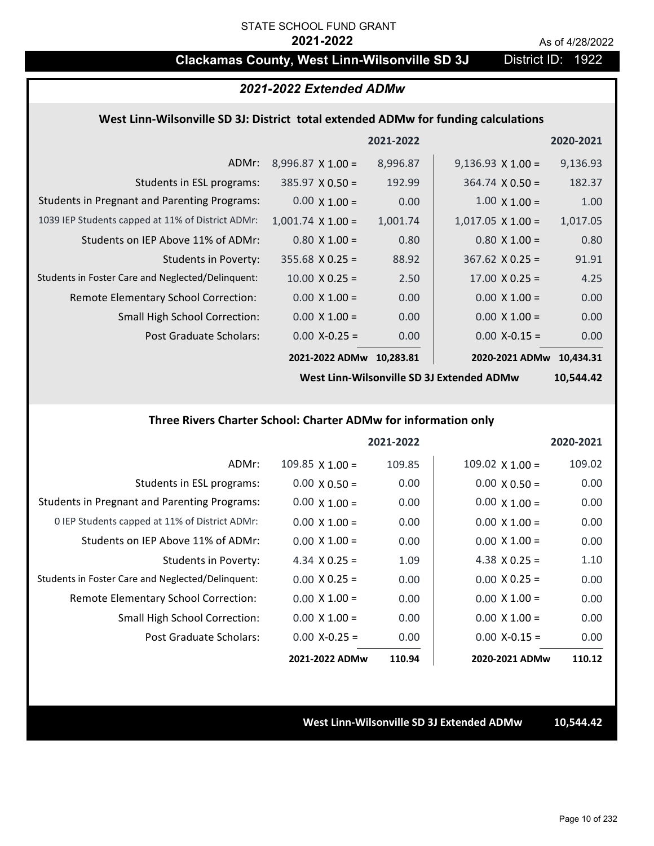## **Clackamas County, West Linn-Wilsonville SD 3J** District ID: 1922

### *2021-2022 Extended ADMw*

#### **West Linn‐Wilsonville SD 3J: District total extended ADMw for funding calculations**

|                                                     |                          | 2021-2022 |                          | 2020-2021 |
|-----------------------------------------------------|--------------------------|-----------|--------------------------|-----------|
| ADMr:                                               | $8,996.87 \times 1.00 =$ | 8,996.87  | $9,136.93 \times 1.00 =$ | 9,136.93  |
| Students in ESL programs:                           | $385.97 \times 0.50 =$   | 192.99    | $364.74 \times 0.50 =$   | 182.37    |
| <b>Students in Pregnant and Parenting Programs:</b> | $0.00 \times 1.00 =$     | 0.00      | $1.00 \times 1.00 =$     | 1.00      |
| 1039 IEP Students capped at 11% of District ADMr:   | $1,001.74 \times 1.00 =$ | 1,001.74  | $1,017.05 \times 1.00 =$ | 1,017.05  |
| Students on IEP Above 11% of ADMr:                  | $0.80 \times 1.00 =$     | 0.80      | $0.80 \times 1.00 =$     | 0.80      |
| Students in Poverty:                                | $355.68 \times 0.25 =$   | 88.92     | $367.62$ X 0.25 =        | 91.91     |
| Students in Foster Care and Neglected/Delinquent:   | $10.00 \times 0.25 =$    | 2.50      | $17.00 \times 0.25 =$    | 4.25      |
| Remote Elementary School Correction:                | $0.00 \times 1.00 =$     | 0.00      | $0.00 \times 1.00 =$     | 0.00      |
| <b>Small High School Correction:</b>                | $0.00 \times 1.00 =$     | 0.00      | $0.00 \times 1.00 =$     | 0.00      |
| Post Graduate Scholars:                             | $0.00$ X-0.25 =          | 0.00      | $0.00$ X-0.15 =          | 0.00      |
|                                                     | 2021-2022 ADMw           | 10.283.81 | 2020-2021 ADMw           | 10.434.31 |

**West Linn‐Wilsonville SD 3J Extended ADMw**

**10,544.42**

### **Three Rivers Charter School: Charter ADMw for information only**

|                                                     |                        | 2021-2022 |                      | 2020-2021 |
|-----------------------------------------------------|------------------------|-----------|----------------------|-----------|
| ADMr:                                               | $109.85 \times 1.00 =$ | 109.85    | 109.02 $X$ 1.00 =    | 109.02    |
| Students in ESL programs:                           | $0.00 \times 0.50 =$   | 0.00      | $0.00 \times 0.50 =$ | 0.00      |
| <b>Students in Pregnant and Parenting Programs:</b> | $0.00 \times 1.00 =$   | 0.00      | $0.00 \times 1.00 =$ | 0.00      |
| 0 IEP Students capped at 11% of District ADMr:      | $0.00 \times 1.00 =$   | 0.00      | $0.00 \times 1.00 =$ | 0.00      |
| Students on IEP Above 11% of ADMr:                  | $0.00 \times 1.00 =$   | 0.00      | $0.00 \times 1.00 =$ | 0.00      |
| Students in Poverty:                                | 4.34 $X$ 0.25 =        | 1.09      | 4.38 $X$ 0.25 =      | 1.10      |
| Students in Foster Care and Neglected/Delinquent:   | $0.00 \times 0.25 =$   | 0.00      | $0.00 \times 0.25 =$ | 0.00      |
| Remote Elementary School Correction:                | $0.00 \times 1.00 =$   | 0.00      | $0.00 \times 1.00 =$ | 0.00      |
| <b>Small High School Correction:</b>                | $0.00 \times 1.00 =$   | 0.00      | $0.00 \times 1.00 =$ | 0.00      |
| Post Graduate Scholars:                             | $0.00 X - 0.25 =$      | 0.00      | $0.00 X-0.15 =$      | 0.00      |
|                                                     | 2021-2022 ADMw         | 110.94    | 2020-2021 ADMw       | 110.12    |

**West Linn‐Wilsonville SD 3J Extended ADMw 10,544.42**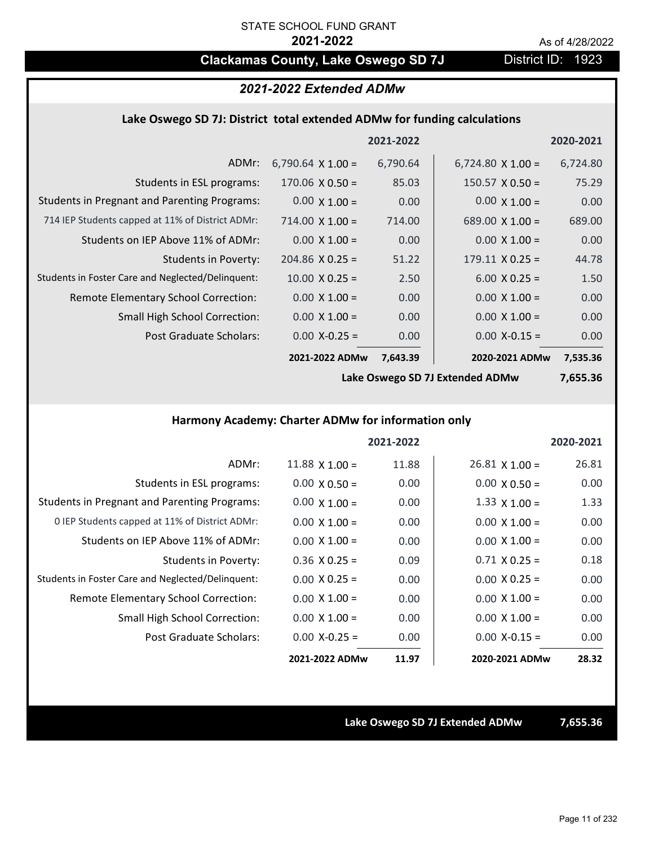## **Clackamas County, Lake Oswego SD 7J District ID: 1923**

## *2021-2022 Extended ADMw*

#### **Lake Oswego SD 7J: District total extended ADMw for funding calculations**

|                                                     |                          | 2021-2022 |                          | 2020-2021 |
|-----------------------------------------------------|--------------------------|-----------|--------------------------|-----------|
| ADMr:                                               | 6,790.64 $\times$ 1.00 = | 6,790.64  | $6,724.80 \times 1.00 =$ | 6,724.80  |
| Students in ESL programs:                           | $170.06 \times 0.50 =$   | 85.03     | $150.57 \times 0.50 =$   | 75.29     |
| <b>Students in Pregnant and Parenting Programs:</b> | $0.00 \times 1.00 =$     | 0.00      | $0.00 \times 1.00 =$     | 0.00      |
| 714 IEP Students capped at 11% of District ADMr:    | $714.00 \times 1.00 =$   | 714.00    | 689.00 $\times$ 1.00 =   | 689.00    |
| Students on IEP Above 11% of ADMr:                  | $0.00 \times 1.00 =$     | 0.00      | $0.00 \times 1.00 =$     | 0.00      |
| Students in Poverty:                                | $204.86 \times 0.25 =$   | 51.22     | $179.11 \times 0.25 =$   | 44.78     |
| Students in Foster Care and Neglected/Delinguent:   | $10.00 \times 0.25 =$    | 2.50      | $6.00 \times 0.25 =$     | 1.50      |
| Remote Elementary School Correction:                | $0.00 \times 1.00 =$     | 0.00      | $0.00 \times 1.00 =$     | 0.00      |
| <b>Small High School Correction:</b>                | $0.00 \times 1.00 =$     | 0.00      | $0.00 \times 1.00 =$     | 0.00      |
| Post Graduate Scholars:                             | $0.00$ X-0.25 =          | 0.00      | $0.00$ X-0.15 =          | 0.00      |
|                                                     | 2021-2022 ADMw           | 7,643.39  | 2020-2021 ADMw           | 7,535.36  |

**Lake Oswego SD 7J Extended ADMw**

**7,655.36**

### **Harmony Academy: Charter ADMw for information only**

|                                                     |                       | 2021-2022 |                       | 2020-2021 |
|-----------------------------------------------------|-----------------------|-----------|-----------------------|-----------|
| ADMr:                                               | $11.88 \times 1.00 =$ | 11.88     | $26.81 \times 1.00 =$ | 26.81     |
| Students in ESL programs:                           | $0.00 \times 0.50 =$  | 0.00      | $0.00 \times 0.50 =$  | 0.00      |
| <b>Students in Pregnant and Parenting Programs:</b> | $0.00 \times 1.00 =$  | 0.00      | $1.33 \times 1.00 =$  | 1.33      |
| 0 IEP Students capped at 11% of District ADMr:      | $0.00 \times 1.00 =$  | 0.00      | $0.00 \times 1.00 =$  | 0.00      |
| Students on IEP Above 11% of ADMr:                  | $0.00 \times 1.00 =$  | 0.00      | $0.00 \times 1.00 =$  | 0.00      |
| Students in Poverty:                                | $0.36$ X $0.25 =$     | 0.09      | $0.71 \times 0.25 =$  | 0.18      |
| Students in Foster Care and Neglected/Delinquent:   | $0.00 \times 0.25 =$  | 0.00      | $0.00 \times 0.25 =$  | 0.00      |
| Remote Elementary School Correction:                | $0.00 \times 1.00 =$  | 0.00      | $0.00 \times 1.00 =$  | 0.00      |
| <b>Small High School Correction:</b>                | $0.00 \times 1.00 =$  | 0.00      | $0.00 \times 1.00 =$  | 0.00      |
| Post Graduate Scholars:                             | $0.00 X - 0.25 =$     | 0.00      | $0.00 X-0.15 =$       | 0.00      |
|                                                     | 2021-2022 ADMw        | 11.97     | 2020-2021 ADMw        | 28.32     |

**Lake Oswego SD 7J Extended ADMw 7,655.36**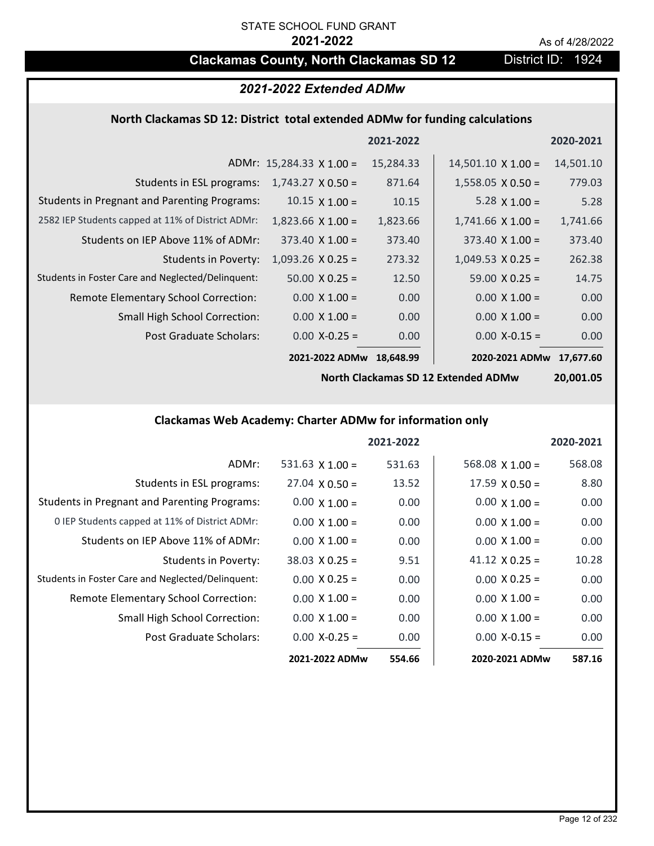## **Clackamas County, North Clackamas SD 12** District ID: 1924

## *2021-2022 Extended ADMw*

## **North Clackamas SD 12: District total extended ADMw for funding calculations**

|                                                     |                                 | 2021-2022 |                           | 2020-2021 |
|-----------------------------------------------------|---------------------------------|-----------|---------------------------|-----------|
|                                                     | ADMr: $15,284.33 \times 1.00 =$ | 15,284.33 | $14,501.10 \times 1.00 =$ | 14,501.10 |
| Students in ESL programs:                           | $1,743.27 \times 0.50 =$        | 871.64    | $1,558.05 \times 0.50 =$  | 779.03    |
| <b>Students in Pregnant and Parenting Programs:</b> | $10.15 \times 1.00 =$           | 10.15     | 5.28 $\times$ 1.00 =      | 5.28      |
| 2582 IEP Students capped at 11% of District ADMr:   | $1,823.66 \times 1.00 =$        | 1,823.66  | $1,741.66$ X $1.00 =$     | 1,741.66  |
| Students on IEP Above 11% of ADMr:                  | $373.40 \times 1.00 =$          | 373.40    | $373.40 \times 1.00 =$    | 373.40    |
| <b>Students in Poverty:</b>                         | $1,093.26$ X 0.25 =             | 273.32    | $1,049.53 \times 0.25 =$  | 262.38    |
| Students in Foster Care and Neglected/Delinquent:   | $50.00 \times 0.25 =$           | 12.50     | $59.00 \times 0.25 =$     | 14.75     |
| Remote Elementary School Correction:                | $0.00 \times 1.00 =$            | 0.00      | $0.00 \times 1.00 =$      | 0.00      |
| <b>Small High School Correction:</b>                | $0.00 \times 1.00 =$            | 0.00      | $0.00 \times 1.00 =$      | 0.00      |
| Post Graduate Scholars:                             | $0.00$ X-0.25 =                 | 0.00      | $0.00$ X-0.15 =           | 0.00      |
|                                                     | 2021-2022 ADMw                  | 18.648.99 | 2020-2021 ADMw            | 17.677.60 |

**North Clackamas SD 12 Extended ADMw**

**20,001.05**

## **Clackamas Web Academy: Charter ADMw for information only**

|                                                     |                       | 2021-2022 |                        | 2020-2021 |
|-----------------------------------------------------|-----------------------|-----------|------------------------|-----------|
| ADMr:                                               | 531.63 $X$ 1.00 =     | 531.63    | $568.08 \times 1.00 =$ | 568.08    |
| Students in ESL programs:                           | $27.04 \times 0.50 =$ | 13.52     | $17.59 \times 0.50 =$  | 8.80      |
| <b>Students in Pregnant and Parenting Programs:</b> | $0.00 \times 1.00 =$  | 0.00      | $0.00 \times 1.00 =$   | 0.00      |
| 0 IEP Students capped at 11% of District ADMr:      | $0.00 \times 1.00 =$  | 0.00      | $0.00 \times 1.00 =$   | 0.00      |
| Students on IEP Above 11% of ADMr:                  | $0.00 \times 1.00 =$  | 0.00      | $0.00 \times 1.00 =$   | 0.00      |
| Students in Poverty:                                | $38.03 \times 0.25 =$ | 9.51      | 41.12 $\times$ 0.25 =  | 10.28     |
| Students in Foster Care and Neglected/Delinquent:   | $0.00 \times 0.25 =$  | 0.00      | $0.00 \times 0.25 =$   | 0.00      |
| Remote Elementary School Correction:                | $0.00 \times 1.00 =$  | 0.00      | $0.00 \times 1.00 =$   | 0.00      |
| <b>Small High School Correction:</b>                | $0.00 \times 1.00 =$  | 0.00      | $0.00 \times 1.00 =$   | 0.00      |
| Post Graduate Scholars:                             | $0.00 X - 0.25 =$     | 0.00      | $0.00$ X-0.15 =        | 0.00      |
|                                                     | 2021-2022 ADMw        | 554.66    | 2020-2021 ADMw         | 587.16    |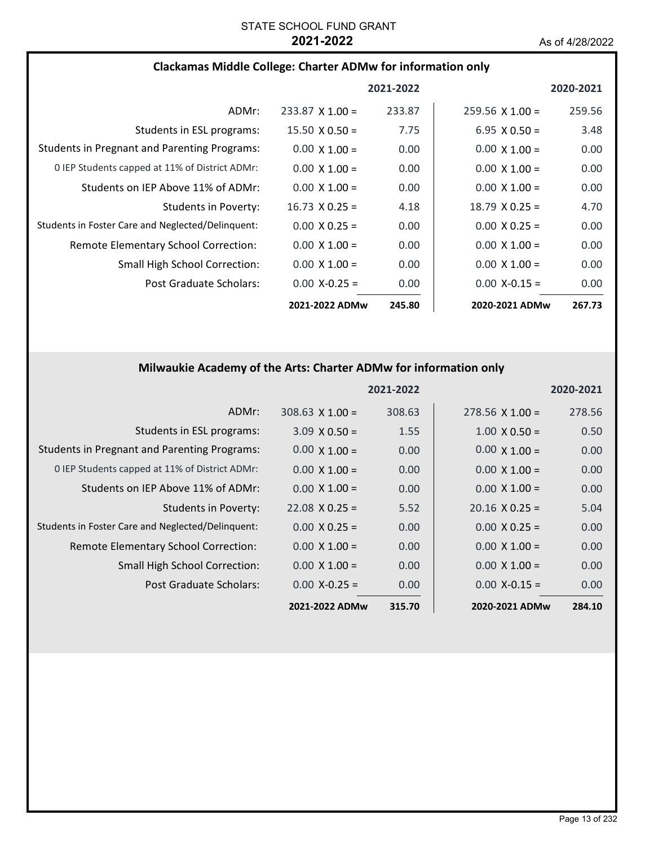### **Clackamas Middle College: Charter ADMw for information only**

|                                                     |                       | 2021-2022 |                        | 2020-2021 |
|-----------------------------------------------------|-----------------------|-----------|------------------------|-----------|
| ADMr:                                               | $233.87$ X 1.00 =     | 233.87    | $259.56 \times 1.00 =$ | 259.56    |
| Students in ESL programs:                           | $15.50 \times 0.50 =$ | 7.75      | $6.95 \times 0.50 =$   | 3.48      |
| <b>Students in Pregnant and Parenting Programs:</b> | $0.00 \times 1.00 =$  | 0.00      | $0.00 \times 1.00 =$   | 0.00      |
| 0 IEP Students capped at 11% of District ADMr:      | $0.00 \times 1.00 =$  | 0.00      | $0.00 \times 1.00 =$   | 0.00      |
| Students on IEP Above 11% of ADMr:                  | $0.00 \times 1.00 =$  | 0.00      | $0.00 \times 1.00 =$   | 0.00      |
| Students in Poverty:                                | $16.73 \times 0.25 =$ | 4.18      | $18.79 \times 0.25 =$  | 4.70      |
| Students in Foster Care and Neglected/Delinguent:   | $0.00 \times 0.25 =$  | 0.00      | $0.00 \times 0.25 =$   | 0.00      |
| <b>Remote Elementary School Correction:</b>         | $0.00 \times 1.00 =$  | 0.00      | $0.00 \times 1.00 =$   | 0.00      |
| <b>Small High School Correction:</b>                | $0.00 \times 1.00 =$  | 0.00      | $0.00 \times 1.00 =$   | 0.00      |
| Post Graduate Scholars:                             | $0.00 X - 0.25 =$     | 0.00      | $0.00$ X-0.15 =        | 0.00      |
|                                                     | 2021-2022 ADMw        | 245.80    | 2020-2021 ADMw         | 267.73    |

## **Milwaukie Academy of the Arts: Charter ADMw for information only**

|                                                     |                       | 2021-2022 |                        | 2020-2021 |
|-----------------------------------------------------|-----------------------|-----------|------------------------|-----------|
| ADMr:                                               | $308.63$ X 1.00 =     | 308.63    | $278.56 \times 1.00 =$ | 278.56    |
| Students in ESL programs:                           | $3.09 \times 0.50 =$  | 1.55      | $1.00 \times 0.50 =$   | 0.50      |
| <b>Students in Pregnant and Parenting Programs:</b> | $0.00 \times 1.00 =$  | 0.00      | $0.00 \times 1.00 =$   | 0.00      |
| 0 IEP Students capped at 11% of District ADMr:      | $0.00 \times 1.00 =$  | 0.00      | $0.00 \times 1.00 =$   | 0.00      |
| Students on IEP Above 11% of ADMr:                  | $0.00 \times 1.00 =$  | 0.00      | $0.00 \times 1.00 =$   | 0.00      |
| <b>Students in Poverty:</b>                         | $22.08 \times 0.25 =$ | 5.52      | $20.16 \times 0.25 =$  | 5.04      |
| Students in Foster Care and Neglected/Delinquent:   | $0.00 \times 0.25 =$  | 0.00      | $0.00 \times 0.25 =$   | 0.00      |
| Remote Elementary School Correction:                | $0.00 \times 1.00 =$  | 0.00      | $0.00 \times 1.00 =$   | 0.00      |
| <b>Small High School Correction:</b>                | $0.00 \times 1.00 =$  | 0.00      | $0.00 \times 1.00 =$   | 0.00      |
| Post Graduate Scholars:                             | $0.00$ X-0.25 =       | 0.00      | $0.00 X - 0.15 =$      | 0.00      |
|                                                     | 2021-2022 ADMw        | 315.70    | 2020-2021 ADMw         | 284.10    |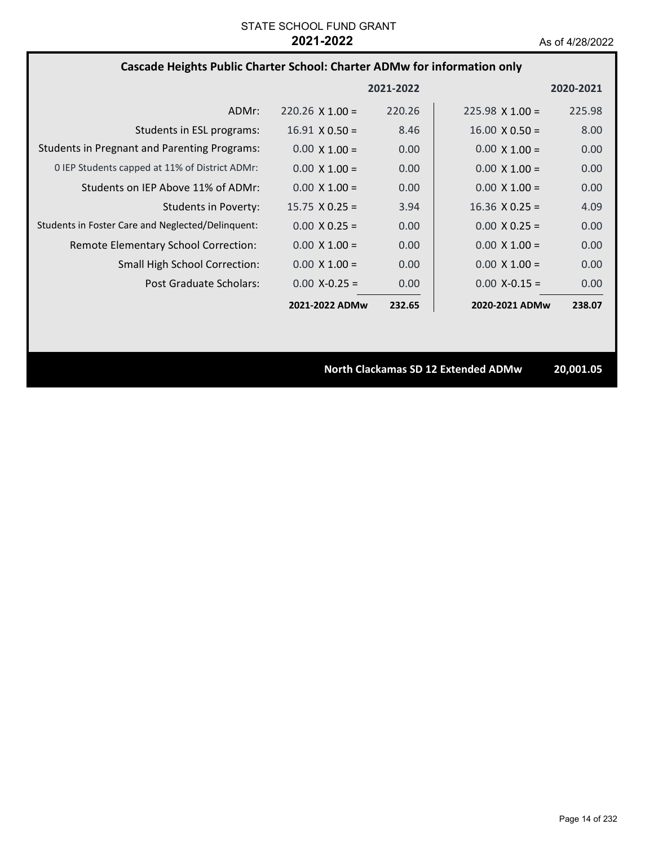### **Cascade Heights Public Charter School: Charter ADMw for information only**

|                                                     |                        | 2021-2022 |                        | 2020-2021 |
|-----------------------------------------------------|------------------------|-----------|------------------------|-----------|
| ADMr:                                               | $220.26 \times 1.00 =$ | 220.26    | $225.98 \times 1.00 =$ | 225.98    |
| Students in ESL programs:                           | $16.91 \times 0.50 =$  | 8.46      | $16.00 \times 0.50 =$  | 8.00      |
| <b>Students in Pregnant and Parenting Programs:</b> | $0.00 \times 1.00 =$   | 0.00      | $0.00 \times 1.00 =$   | 0.00      |
| 0 IEP Students capped at 11% of District ADMr:      | $0.00 \times 1.00 =$   | 0.00      | $0.00 \times 1.00 =$   | 0.00      |
| Students on IEP Above 11% of ADMr:                  | $0.00 \times 1.00 =$   | 0.00      | $0.00 \times 1.00 =$   | 0.00      |
| <b>Students in Poverty:</b>                         | $15.75 \times 0.25 =$  | 3.94      | $16.36 \times 0.25 =$  | 4.09      |
| Students in Foster Care and Neglected/Delinquent:   | $0.00 \times 0.25 =$   | 0.00      | $0.00 \times 0.25 =$   | 0.00      |
| Remote Elementary School Correction:                | $0.00 \times 1.00 =$   | 0.00      | $0.00 \times 1.00 =$   | 0.00      |
| <b>Small High School Correction:</b>                | $0.00 \times 1.00 =$   | 0.00      | $0.00 \times 1.00 =$   | 0.00      |
| Post Graduate Scholars:                             | $0.00 X - 0.25 =$      | 0.00      | $0.00$ X-0.15 =        | 0.00      |
|                                                     | 2021-2022 ADMw         | 232.65    | 2020-2021 ADMw         | 238.07    |

**North Clackamas SD 12 Extended ADMw 20,001.05**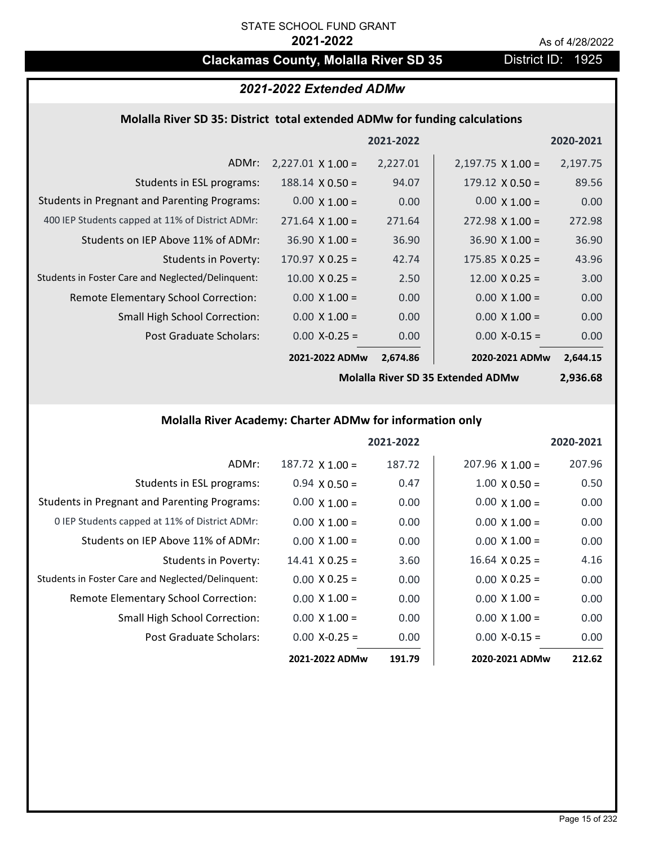## **Clackamas County, Molalla River SD 35** District ID: 1925

## *2021-2022 Extended ADMw*

#### **Molalla River SD 35: District total extended ADMw for funding calculations**

|                                                     |                          | 2021-2022 |                          | 2020-2021 |
|-----------------------------------------------------|--------------------------|-----------|--------------------------|-----------|
| ADMr:                                               | $2,227.01 \times 1.00 =$ | 2,227.01  | $2,197.75 \times 1.00 =$ | 2,197.75  |
| Students in ESL programs:                           | $188.14 \times 0.50 =$   | 94.07     | $179.12 \times 0.50 =$   | 89.56     |
| <b>Students in Pregnant and Parenting Programs:</b> | $0.00 \times 1.00 =$     | 0.00      | $0.00 \times 1.00 =$     | 0.00      |
| 400 IEP Students capped at 11% of District ADMr:    | $271.64 \times 1.00 =$   | 271.64    | $272.98 \times 1.00 =$   | 272.98    |
| Students on IEP Above 11% of ADMr:                  | $36.90 \times 1.00 =$    | 36.90     | $36.90 \times 1.00 =$    | 36.90     |
| Students in Poverty:                                | $170.97 \times 0.25 =$   | 42.74     | $175.85 \times 0.25 =$   | 43.96     |
| Students in Foster Care and Neglected/Delinquent:   | $10.00 \times 0.25 =$    | 2.50      | $12.00 \times 0.25 =$    | 3.00      |
| Remote Elementary School Correction:                | $0.00 \times 1.00 =$     | 0.00      | $0.00 \times 1.00 =$     | 0.00      |
| <b>Small High School Correction:</b>                | $0.00 \times 1.00 =$     | 0.00      | $0.00 \times 1.00 =$     | 0.00      |
| Post Graduate Scholars:                             | $0.00$ X-0.25 =          | 0.00      | $0.00$ X-0.15 =          | 0.00      |
|                                                     | 2021-2022 ADMw           | 2,674.86  | 2020-2021 ADMw           | 2,644.15  |

**Molalla River SD 35 Extended ADMw**

**2,936.68**

## **Molalla River Academy: Charter ADMw for information only**

|                                                     |                       | 2021-2022 |                        | 2020-2021 |
|-----------------------------------------------------|-----------------------|-----------|------------------------|-----------|
| ADMr:                                               | $187.72$ X $1.00 =$   | 187.72    | $207.96 \times 1.00 =$ | 207.96    |
| Students in ESL programs:                           | $0.94 \times 0.50 =$  | 0.47      | $1.00 \times 0.50 =$   | 0.50      |
| <b>Students in Pregnant and Parenting Programs:</b> | $0.00 \times 1.00 =$  | 0.00      | $0.00 \times 1.00 =$   | 0.00      |
| 0 IEP Students capped at 11% of District ADMr:      | $0.00 \times 1.00 =$  | 0.00      | $0.00 \times 1.00 =$   | 0.00      |
| Students on IEP Above 11% of ADMr:                  | $0.00 \times 1.00 =$  | 0.00      | $0.00 \times 1.00 =$   | 0.00      |
| <b>Students in Poverty:</b>                         | $14.41 \times 0.25 =$ | 3.60      | $16.64 \times 0.25 =$  | 4.16      |
| Students in Foster Care and Neglected/Delinquent:   | $0.00 \times 0.25 =$  | 0.00      | $0.00 \times 0.25 =$   | 0.00      |
| Remote Elementary School Correction:                | $0.00 \times 1.00 =$  | 0.00      | $0.00 \times 1.00 =$   | 0.00      |
| <b>Small High School Correction:</b>                | $0.00 \times 1.00 =$  | 0.00      | $0.00 \times 1.00 =$   | 0.00      |
| Post Graduate Scholars:                             | $0.00 X - 0.25 =$     | 0.00      | $0.00 X - 0.15 =$      | 0.00      |
|                                                     | 2021-2022 ADMw        | 191.79    | 2020-2021 ADMw         | 212.62    |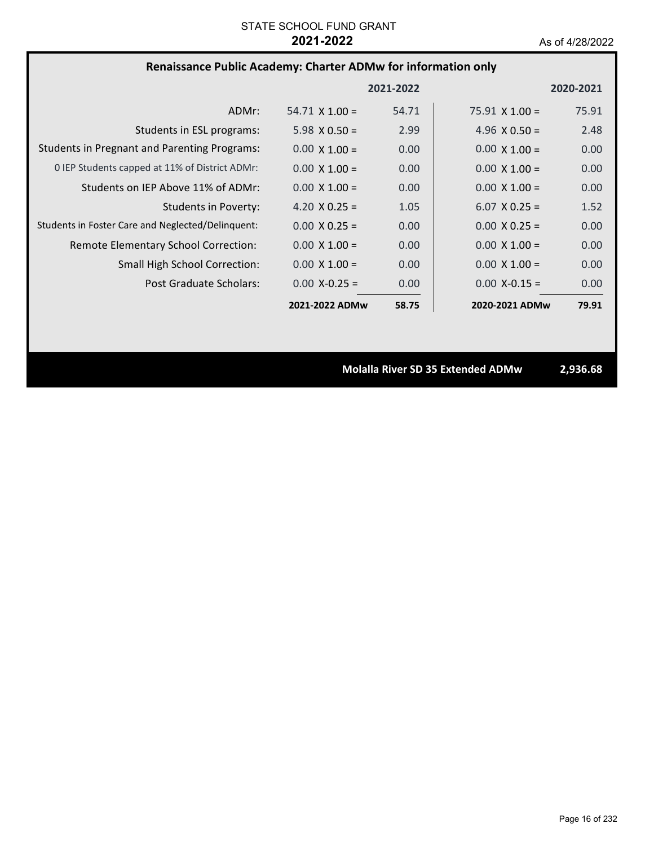## **Renaissance Public Academy: Charter ADMw for information only**

|                                                     |                       | 2021-2022 |                       | 2020-2021 |
|-----------------------------------------------------|-----------------------|-----------|-----------------------|-----------|
| ADMr:                                               | $54.71 \times 1.00 =$ | 54.71     | $75.91 \times 1.00 =$ | 75.91     |
| Students in ESL programs:                           | 5.98 $\times$ 0.50 =  | 2.99      | 4.96 $\times$ 0.50 =  | 2.48      |
| <b>Students in Pregnant and Parenting Programs:</b> | $0.00 \times 1.00 =$  | 0.00      | $0.00 \times 1.00 =$  | 0.00      |
| 0 IEP Students capped at 11% of District ADMr:      | $0.00 \times 1.00 =$  | 0.00      | $0.00 \times 1.00 =$  | 0.00      |
| Students on IEP Above 11% of ADMr:                  | $0.00 \times 1.00 =$  | 0.00      | $0.00 \times 1.00 =$  | 0.00      |
| <b>Students in Poverty:</b>                         | 4.20 $X$ 0.25 =       | 1.05      | $6.07 \times 0.25 =$  | 1.52      |
| Students in Foster Care and Neglected/Delinquent:   | $0.00 \times 0.25 =$  | 0.00      | $0.00 \times 0.25 =$  | 0.00      |
| Remote Elementary School Correction:                | $0.00 \times 1.00 =$  | 0.00      | $0.00 \times 1.00 =$  | 0.00      |
| <b>Small High School Correction:</b>                | $0.00 \times 1.00 =$  | 0.00      | $0.00 \times 1.00 =$  | 0.00      |
| Post Graduate Scholars:                             | $0.00 X - 0.25 =$     | 0.00      | $0.00$ X-0.15 =       | 0.00      |
|                                                     | 2021-2022 ADMw        | 58.75     | 2020-2021 ADMw        | 79.91     |

**Molalla River SD 35 Extended ADMw 2,936.68**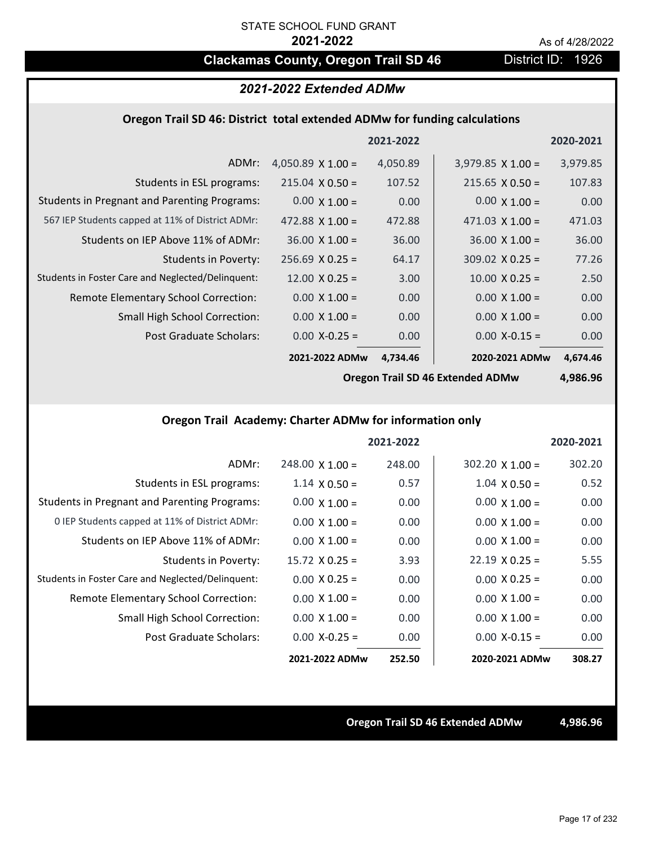## **Clackamas County, Oregon Trail SD 46** District ID: 1926

## *2021-2022 Extended ADMw*

### **Oregon Trail SD 46: District total extended ADMw for funding calculations**

|                                                     |                          | 2021-2022 |                          | 2020-2021 |
|-----------------------------------------------------|--------------------------|-----------|--------------------------|-----------|
| ADMr:                                               | 4,050.89 $\times$ 1.00 = | 4,050.89  | $3,979.85 \times 1.00 =$ | 3,979.85  |
| Students in ESL programs:                           | $215.04 \times 0.50 =$   | 107.52    | $215.65 \times 0.50 =$   | 107.83    |
| <b>Students in Pregnant and Parenting Programs:</b> | $0.00 \times 1.00 =$     | 0.00      | $0.00 \times 1.00 =$     | 0.00      |
| 567 IEP Students capped at 11% of District ADMr:    | $472.88 \times 1.00 =$   | 472.88    | 471.03 $\times$ 1.00 =   | 471.03    |
| Students on IEP Above 11% of ADMr:                  | $36.00 \times 1.00 =$    | 36.00     | $36.00 \times 1.00 =$    | 36.00     |
| Students in Poverty:                                | $256.69 \times 0.25 =$   | 64.17     | $309.02 \times 0.25 =$   | 77.26     |
| Students in Foster Care and Neglected/Delinquent:   | $12.00 \times 0.25 =$    | 3.00      | $10.00 \times 0.25 =$    | 2.50      |
| Remote Elementary School Correction:                | $0.00 \times 1.00 =$     | 0.00      | $0.00 \times 1.00 =$     | 0.00      |
| <b>Small High School Correction:</b>                | $0.00 \times 1.00 =$     | 0.00      | $0.00 \times 1.00 =$     | 0.00      |
| Post Graduate Scholars:                             | $0.00$ X-0.25 =          | 0.00      | $0.00$ X-0.15 =          | 0.00      |
|                                                     | 2021-2022 ADMw           | 4,734.46  | 2020-2021 ADMw           | 4,674.46  |

**Oregon Trail SD 46 Extended ADMw**

**4,986.96**

## **Oregon Trail Academy: Charter ADMw for information only**

|                                                     |                        | 2021-2022 |                        | 2020-2021 |
|-----------------------------------------------------|------------------------|-----------|------------------------|-----------|
| ADMr:                                               | $248.00 \times 1.00 =$ | 248.00    | $302.20 \times 1.00 =$ | 302.20    |
| Students in ESL programs:                           | $1.14 \times 0.50 =$   | 0.57      | $1.04 \times 0.50 =$   | 0.52      |
| <b>Students in Pregnant and Parenting Programs:</b> | $0.00 \times 1.00 =$   | 0.00      | $0.00 \times 1.00 =$   | 0.00      |
| 0 IEP Students capped at 11% of District ADMr:      | $0.00 \times 1.00 =$   | 0.00      | $0.00 \times 1.00 =$   | 0.00      |
| Students on IEP Above 11% of ADMr:                  | $0.00 \times 1.00 =$   | 0.00      | $0.00 \times 1.00 =$   | 0.00      |
| Students in Poverty:                                | $15.72 \times 0.25 =$  | 3.93      | $22.19 \times 0.25 =$  | 5.55      |
| Students in Foster Care and Neglected/Delinquent:   | $0.00 \times 0.25 =$   | 0.00      | $0.00 \times 0.25 =$   | 0.00      |
| Remote Elementary School Correction:                | $0.00 \times 1.00 =$   | 0.00      | $0.00 \times 1.00 =$   | 0.00      |
| <b>Small High School Correction:</b>                | $0.00 \times 1.00 =$   | 0.00      | $0.00 \times 1.00 =$   | 0.00      |
| Post Graduate Scholars:                             | $0.00$ X-0.25 =        | 0.00      | $0.00 X-0.15 =$        | 0.00      |
|                                                     | 2021-2022 ADMw         | 252.50    | 2020-2021 ADMw         | 308.27    |

### **Oregon Trail SD 46 Extended ADMw 4,986.96**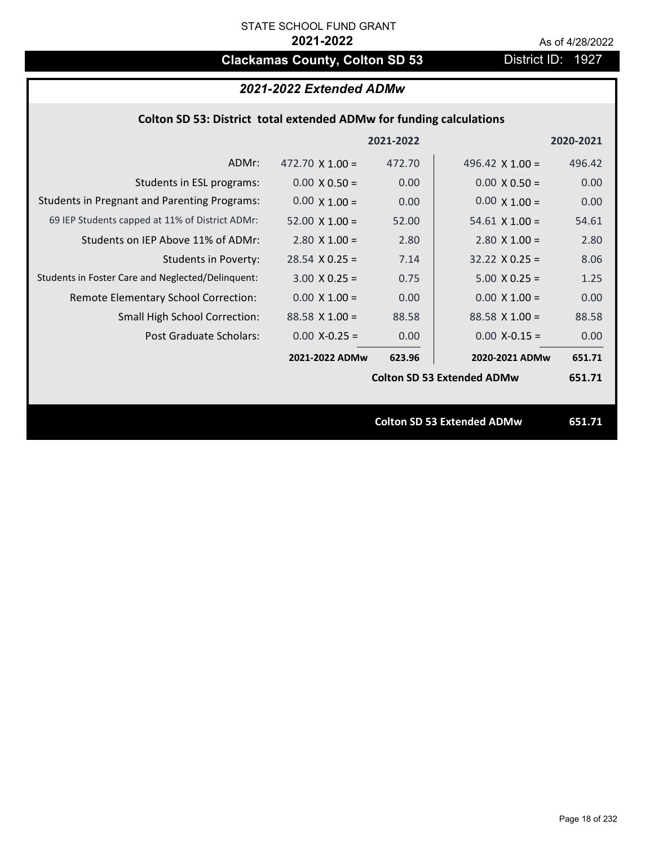## **Clackamas County, Colton SD 53** District ID: 1927

## *2021-2022 Extended ADMw*

## **Colton SD 53: District total extended ADMw for funding calculations**

|                                                     |                        | 2021-2022 |                                   | 2020-2021 |
|-----------------------------------------------------|------------------------|-----------|-----------------------------------|-----------|
| ADMr:                                               | 472.70 $\times$ 1.00 = | 472.70    | 496.42 $\times$ 1.00 =            | 496.42    |
| Students in ESL programs:                           | $0.00 \times 0.50 =$   | 0.00      | $0.00 \times 0.50 =$              | 0.00      |
| <b>Students in Pregnant and Parenting Programs:</b> | $0.00 \times 1.00 =$   | 0.00      | $0.00 \times 1.00 =$              | 0.00      |
| 69 IEP Students capped at 11% of District ADMr:     | $52.00 \times 1.00 =$  | 52.00     | $54.61 \times 1.00 =$             | 54.61     |
| Students on IEP Above 11% of ADMr:                  | $2.80 \times 1.00 =$   | 2.80      | $2.80$ X $1.00 =$                 | 2.80      |
| <b>Students in Poverty:</b>                         | $28.54$ X 0.25 =       | 7.14      | $32.22 \times 0.25 =$             | 8.06      |
| Students in Foster Care and Neglected/Delinquent:   | $3.00 \times 0.25 =$   | 0.75      | $5.00 X 0.25 =$                   | 1.25      |
| Remote Elementary School Correction:                | $0.00 \times 1.00 =$   | 0.00      | $0.00 \times 1.00 =$              | 0.00      |
| <b>Small High School Correction:</b>                | $88.58$ X 1.00 =       | 88.58     | $88.58$ X 1.00 =                  | 88.58     |
| Post Graduate Scholars:                             | $0.00$ X-0.25 =        | 0.00      | $0.00 X - 0.15 =$                 | 0.00      |
|                                                     | 2021-2022 ADMw         | 623.96    | 2020-2021 ADMw                    | 651.71    |
|                                                     |                        |           | <b>Colton SD 53 Extended ADMw</b> | 651.71    |
|                                                     |                        |           |                                   |           |
|                                                     |                        |           | <b>Colton SD 53 Extended ADMw</b> | 651.71    |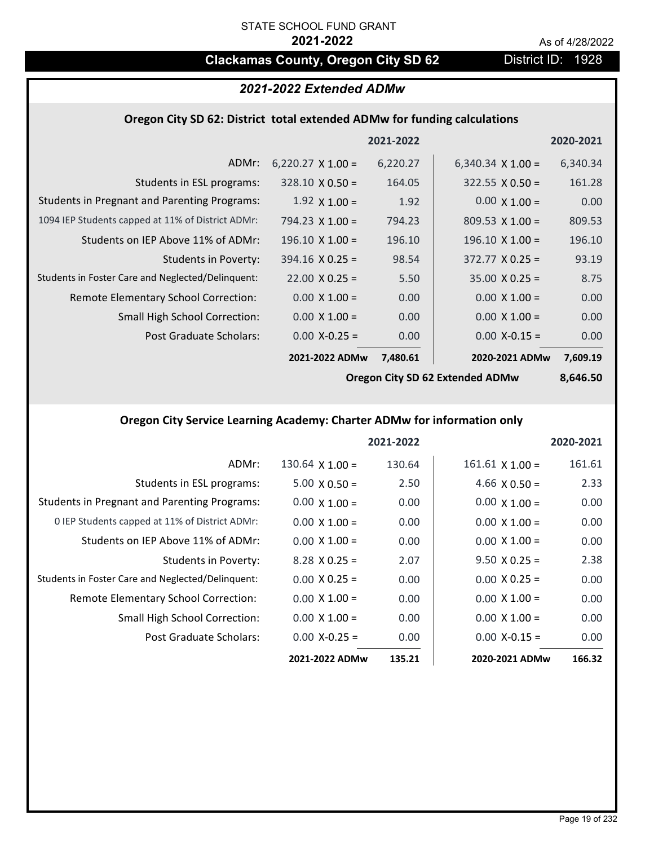## **Clackamas County, Oregon City SD 62** District ID: 1928

## *2021-2022 Extended ADMw*

#### **Oregon City SD 62: District total extended ADMw for funding calculations**

|                                                     |                          | 2021-2022 |                          | 2020-2021 |
|-----------------------------------------------------|--------------------------|-----------|--------------------------|-----------|
| ADMr:                                               | $6,220.27 \times 1.00 =$ | 6,220.27  | 6,340.34 $\times$ 1.00 = | 6,340.34  |
| Students in ESL programs:                           | $328.10 \times 0.50 =$   | 164.05    | $322.55 \times 0.50 =$   | 161.28    |
| <b>Students in Pregnant and Parenting Programs:</b> | $1.92 \times 1.00 =$     | 1.92      | $0.00 \times 1.00 =$     | 0.00      |
| 1094 IEP Students capped at 11% of District ADMr:   | 794.23 $\times$ 1.00 =   | 794.23    | $809.53 \times 1.00 =$   | 809.53    |
| Students on IEP Above 11% of ADMr:                  | $196.10 \times 1.00 =$   | 196.10    | $196.10 \times 1.00 =$   | 196.10    |
| <b>Students in Poverty:</b>                         | $394.16 \times 0.25 =$   | 98.54     | $372.77 \times 0.25 =$   | 93.19     |
| Students in Foster Care and Neglected/Delinquent:   | $22.00 \times 0.25 =$    | 5.50      | $35.00 \times 0.25 =$    | 8.75      |
| Remote Elementary School Correction:                | $0.00 \times 1.00 =$     | 0.00      | $0.00 \times 1.00 =$     | 0.00      |
| <b>Small High School Correction:</b>                | $0.00 \times 1.00 =$     | 0.00      | $0.00 \times 1.00 =$     | 0.00      |
| Post Graduate Scholars:                             | $0.00$ X-0.25 =          | 0.00      | $0.00$ X-0.15 =          | 0.00      |
|                                                     | 2021-2022 ADMw           | 7,480.61  | 2020-2021 ADMw           | 7,609.19  |

**Oregon City SD 62 Extended ADMw**

**8,646.50**

## **Oregon City Service Learning Academy: Charter ADMw for information only**

|                                                     |                      | 2021-2022 |                        | 2020-2021 |
|-----------------------------------------------------|----------------------|-----------|------------------------|-----------|
| ADMr:                                               | $130.64$ X $1.00 =$  | 130.64    | $161.61 \times 1.00 =$ | 161.61    |
| Students in ESL programs:                           | $5.00 \times 0.50 =$ | 2.50      | 4.66 $X$ 0.50 =        | 2.33      |
| <b>Students in Pregnant and Parenting Programs:</b> | $0.00 \times 1.00 =$ | 0.00      | $0.00 \times 1.00 =$   | 0.00      |
| 0 IEP Students capped at 11% of District ADMr:      | $0.00 \times 1.00 =$ | 0.00      | $0.00 \times 1.00 =$   | 0.00      |
| Students on IEP Above 11% of ADMr:                  | $0.00 \times 1.00 =$ | 0.00      | $0.00 \times 1.00 =$   | 0.00      |
| Students in Poverty:                                | $8.28$ X 0.25 =      | 2.07      | $9.50 \times 0.25 =$   | 2.38      |
| Students in Foster Care and Neglected/Delinquent:   | $0.00 \times 0.25 =$ | 0.00      | $0.00 \times 0.25 =$   | 0.00      |
| Remote Elementary School Correction:                | $0.00 \times 1.00 =$ | 0.00      | $0.00 \times 1.00 =$   | 0.00      |
| <b>Small High School Correction:</b>                | $0.00 \times 1.00 =$ | 0.00      | $0.00 \times 1.00 =$   | 0.00      |
| Post Graduate Scholars:                             | $0.00$ X-0.25 =      | 0.00      | $0.00$ X-0.15 =        | 0.00      |
|                                                     | 2021-2022 ADMw       | 135.21    | 2020-2021 ADMw         | 166.32    |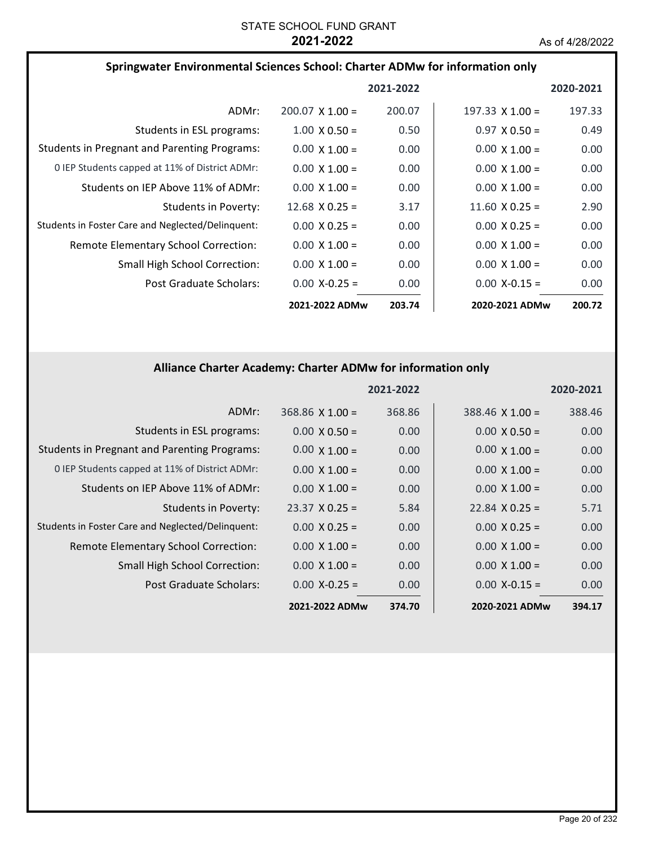| Springwater Environmental Sciences School: Charter ADMw for information only |                        |           |                        |           |
|------------------------------------------------------------------------------|------------------------|-----------|------------------------|-----------|
|                                                                              |                        | 2021-2022 |                        | 2020-2021 |
| ADMr:                                                                        | $200.07 \times 1.00 =$ | 200.07    | $197.33 \times 1.00 =$ | 197.33    |
| Students in ESL programs:                                                    | $1.00 \times 0.50 =$   | 0.50      | $0.97 \times 0.50 =$   | 0.49      |
| <b>Students in Pregnant and Parenting Programs:</b>                          | $0.00 \times 1.00 =$   | 0.00      | $0.00 \times 1.00 =$   | 0.00      |
| 0 IEP Students capped at 11% of District ADMr:                               | $0.00 \times 1.00 =$   | 0.00      | $0.00 \times 1.00 =$   | 0.00      |
| Students on IEP Above 11% of ADMr:                                           | $0.00 \times 1.00 =$   | 0.00      | $0.00 \times 1.00 =$   | 0.00      |
| Students in Poverty:                                                         | $12.68 \times 0.25 =$  | 3.17      | $11.60 \times 0.25 =$  | 2.90      |
| Students in Foster Care and Neglected/Delinguent:                            | $0.00 \times 0.25 =$   | 0.00      | $0.00 \times 0.25 =$   | 0.00      |
| Remote Elementary School Correction:                                         | $0.00 \times 1.00 =$   | 0.00      | $0.00 \times 1.00 =$   | 0.00      |
| <b>Small High School Correction:</b>                                         | $0.00 \times 1.00 =$   | 0.00      | $0.00 \times 1.00 =$   | 0.00      |
| Post Graduate Scholars:                                                      | $0.00$ X-0.25 =        | 0.00      | $0.00 X - 0.15 =$      | 0.00      |
|                                                                              | 2021-2022 ADMw         | 203.74    | 2020-2021 ADMw         | 200.72    |

## **Alliance Charter Academy: Charter ADMw for information only**

|                                                     |                        | 2021-2022 |                        | 2020-2021 |
|-----------------------------------------------------|------------------------|-----------|------------------------|-----------|
| ADMr:                                               | $368.86 \times 1.00 =$ | 368.86    | $388.46 \times 1.00 =$ | 388.46    |
| Students in ESL programs:                           | $0.00 \times 0.50 =$   | 0.00      | $0.00 \times 0.50 =$   | 0.00      |
| <b>Students in Pregnant and Parenting Programs:</b> | $0.00 \times 1.00 =$   | 0.00      | $0.00 \times 1.00 =$   | 0.00      |
| 0 IEP Students capped at 11% of District ADMr:      | $0.00 \times 1.00 =$   | 0.00      | $0.00 \times 1.00 =$   | 0.00      |
| Students on IEP Above 11% of ADMr:                  | $0.00 \times 1.00 =$   | 0.00      | $0.00 \times 1.00 =$   | 0.00      |
| <b>Students in Poverty:</b>                         | $23.37 \times 0.25 =$  | 5.84      | $22.84 \times 0.25 =$  | 5.71      |
| Students in Foster Care and Neglected/Delinquent:   | $0.00 \times 0.25 =$   | 0.00      | $0.00 \times 0.25 =$   | 0.00      |
| Remote Elementary School Correction:                | $0.00 \times 1.00 =$   | 0.00      | $0.00 \times 1.00 =$   | 0.00      |
| <b>Small High School Correction:</b>                | $0.00 \times 1.00 =$   | 0.00      | $0.00 \times 1.00 =$   | 0.00      |
| Post Graduate Scholars:                             | $0.00 X - 0.25 =$      | 0.00      | $0.00 X - 0.15 =$      | 0.00      |
|                                                     | 2021-2022 ADMw         | 374.70    | 2020-2021 ADMw         | 394.17    |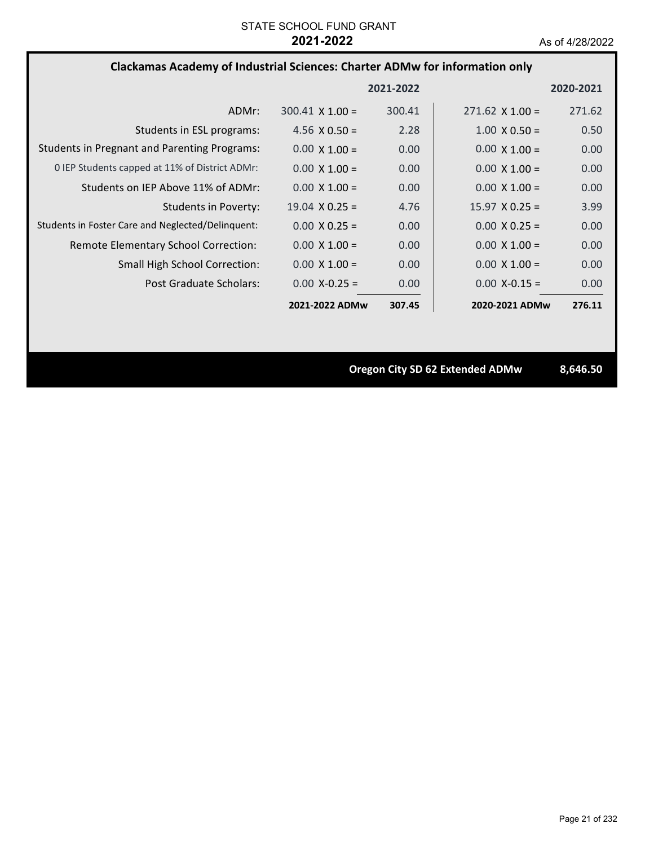## **Clackamas Academy of Industrial Sciences: Charter ADMw for information only**

|                                                     |                        | 2021-2022 |                        | 2020-2021 |
|-----------------------------------------------------|------------------------|-----------|------------------------|-----------|
| ADMr:                                               | $300.41 \times 1.00 =$ | 300.41    | $271.62 \times 1.00 =$ | 271.62    |
| Students in ESL programs:                           | 4.56 $\times$ 0.50 =   | 2.28      | $1.00 \times 0.50 =$   | 0.50      |
| <b>Students in Pregnant and Parenting Programs:</b> | $0.00 \times 1.00 =$   | 0.00      | $0.00 \times 1.00 =$   | 0.00      |
| 0 IEP Students capped at 11% of District ADMr:      | $0.00 \times 1.00 =$   | 0.00      | $0.00 \times 1.00 =$   | 0.00      |
| Students on IEP Above 11% of ADMr:                  | $0.00 \times 1.00 =$   | 0.00      | $0.00 \times 1.00 =$   | 0.00      |
| Students in Poverty:                                | $19.04 \times 0.25 =$  | 4.76      | $15.97 \times 0.25 =$  | 3.99      |
| Students in Foster Care and Neglected/Delinquent:   | $0.00 \times 0.25 =$   | 0.00      | $0.00 \times 0.25 =$   | 0.00      |
| Remote Elementary School Correction:                | $0.00 \times 1.00 =$   | 0.00      | $0.00 \times 1.00 =$   | 0.00      |
| <b>Small High School Correction:</b>                | $0.00 \times 1.00 =$   | 0.00      | $0.00 \times 1.00 =$   | 0.00      |
| Post Graduate Scholars:                             | $0.00 X - 0.25 =$      | 0.00      | $0.00 X - 0.15 =$      | 0.00      |
|                                                     | 2021-2022 ADMw         | 307.45    | 2020-2021 ADMw         | 276.11    |

**Oregon City SD 62 Extended ADMw 8,646.50**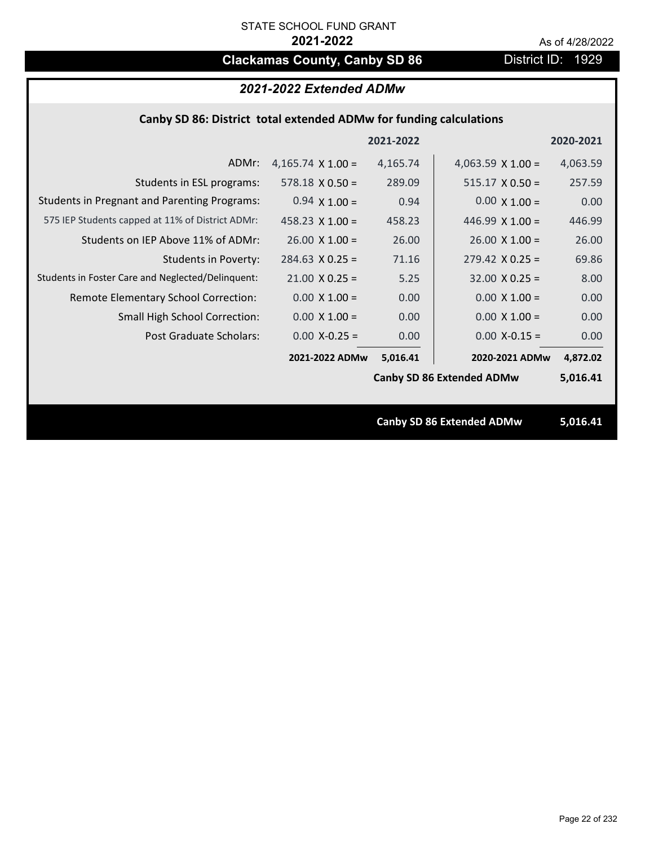# **Clackamas County, Canby SD 86** District ID: 1929

## *2021-2022 Extended ADMw*

### **Canby SD 86: District total extended ADMw for funding calculations**

|                                                     |                          | 2021-2022 |                                  | 2020-2021 |
|-----------------------------------------------------|--------------------------|-----------|----------------------------------|-----------|
| ADMr:                                               | 4,165.74 $\times$ 1.00 = | 4,165.74  | 4,063.59 $\times$ 1.00 =         | 4,063.59  |
| Students in ESL programs:                           | $578.18 \times 0.50 =$   | 289.09    | $515.17 \times 0.50 =$           | 257.59    |
| <b>Students in Pregnant and Parenting Programs:</b> | $0.94 \times 1.00 =$     | 0.94      | $0.00 \times 1.00 =$             | 0.00      |
| 575 IEP Students capped at 11% of District ADMr:    | $458.23 \times 1.00 =$   | 458.23    | 446.99 $\times$ 1.00 =           | 446.99    |
| Students on IEP Above 11% of ADMr:                  | $26.00 \times 1.00 =$    | 26.00     | $26.00 \times 1.00 =$            | 26.00     |
| <b>Students in Poverty:</b>                         | $284.63 \times 0.25 =$   | 71.16     | $279.42$ X 0.25 =                | 69.86     |
| Students in Foster Care and Neglected/Delinquent:   | $21.00 \times 0.25 =$    | 5.25      | $32.00 \times 0.25 =$            | 8.00      |
| Remote Elementary School Correction:                | $0.00 \times 1.00 =$     | 0.00      | $0.00 \times 1.00 =$             | 0.00      |
| <b>Small High School Correction:</b>                | $0.00 \times 1.00 =$     | 0.00      | $0.00 \times 1.00 =$             | 0.00      |
| Post Graduate Scholars:                             | $0.00$ X-0.25 =          | 0.00      | $0.00$ X-0.15 =                  | 0.00      |
|                                                     | 2021-2022 ADMw           | 5,016.41  | 2020-2021 ADMw                   | 4,872.02  |
|                                                     |                          |           | <b>Canby SD 86 Extended ADMw</b> | 5,016.41  |
|                                                     |                          |           |                                  |           |
|                                                     |                          |           | <b>Canby SD 86 Extended ADMw</b> | 5,016.41  |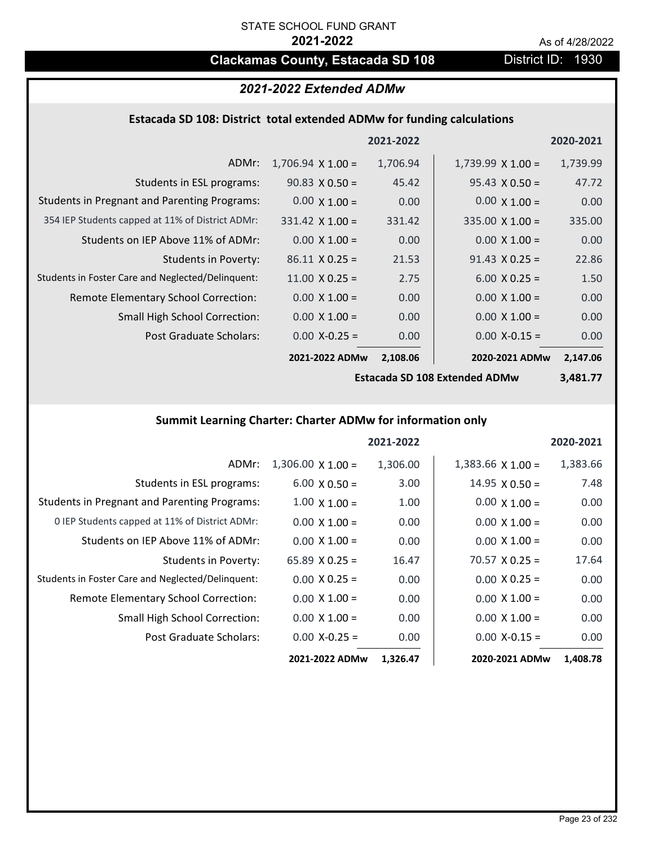## **Clackamas County, Estacada SD 108** District ID: 1930

## *2021-2022 Extended ADMw*

### **Estacada SD 108: District total extended ADMw for funding calculations**

|                                                     |                          | 2021-2022 |                          | 2020-2021 |
|-----------------------------------------------------|--------------------------|-----------|--------------------------|-----------|
| ADMr:                                               | $1,706.94 \times 1.00 =$ | 1,706.94  | $1,739.99 \times 1.00 =$ | 1,739.99  |
| Students in ESL programs:                           | $90.83 \times 0.50 =$    | 45.42     | $95.43 \times 0.50 =$    | 47.72     |
| <b>Students in Pregnant and Parenting Programs:</b> | $0.00 \times 1.00 =$     | 0.00      | $0.00 \times 1.00 =$     | 0.00      |
| 354 IEP Students capped at 11% of District ADMr:    | $331.42 \times 1.00 =$   | 331.42    | $335.00 \times 1.00 =$   | 335.00    |
| Students on IEP Above 11% of ADMr:                  | $0.00 \times 1.00 =$     | 0.00      | $0.00 \times 1.00 =$     | 0.00      |
| Students in Poverty:                                | $86.11 \times 0.25 =$    | 21.53     | $91.43 \times 0.25 =$    | 22.86     |
| Students in Foster Care and Neglected/Delinquent:   | $11.00 \times 0.25 =$    | 2.75      | $6.00 \times 0.25 =$     | 1.50      |
| Remote Elementary School Correction:                | $0.00 \times 1.00 =$     | 0.00      | $0.00 \times 1.00 =$     | 0.00      |
| <b>Small High School Correction:</b>                | $0.00 \times 1.00 =$     | 0.00      | $0.00 \times 1.00 =$     | 0.00      |
| Post Graduate Scholars:                             | $0.00$ X-0.25 =          | 0.00      | $0.00$ X-0.15 =          | 0.00      |
|                                                     | 2021-2022 ADMw           | 2,108.06  | 2020-2021 ADMw           | 2,147.06  |

**Estacada SD 108 Extended ADMw**

**3,481.77**

## **Summit Learning Charter: Charter ADMw for information only**

|                                                     |                          | 2021-2022 |                       | 2020-2021 |
|-----------------------------------------------------|--------------------------|-----------|-----------------------|-----------|
| ADMr:                                               | $1,306.00 \times 1.00 =$ | 1,306.00  | $1,383.66$ X $1.00 =$ | 1,383.66  |
| Students in ESL programs:                           | $6.00 \times 0.50 =$     | 3.00      | $14.95 \times 0.50 =$ | 7.48      |
| <b>Students in Pregnant and Parenting Programs:</b> | $1.00 \times 1.00 =$     | 1.00      | $0.00 \times 1.00 =$  | 0.00      |
| 0 IEP Students capped at 11% of District ADMr:      | $0.00 \times 1.00 =$     | 0.00      | $0.00 \times 1.00 =$  | 0.00      |
| Students on IEP Above 11% of ADMr:                  | $0.00 \times 1.00 =$     | 0.00      | $0.00 \times 1.00 =$  | 0.00      |
| Students in Poverty:                                | 65.89 $X$ 0.25 =         | 16.47     | $70.57 \times 0.25 =$ | 17.64     |
| Students in Foster Care and Neglected/Delinquent:   | $0.00 \times 0.25 =$     | 0.00      | $0.00 X 0.25 =$       | 0.00      |
| Remote Elementary School Correction:                | $0.00 \times 1.00 =$     | 0.00      | $0.00 \times 1.00 =$  | 0.00      |
| <b>Small High School Correction:</b>                | $0.00 \times 1.00 =$     | 0.00      | $0.00 \times 1.00 =$  | 0.00      |
| Post Graduate Scholars:                             | $0.00$ X-0.25 =          | 0.00      | $0.00$ X-0.15 =       | 0.00      |
|                                                     | 2021-2022 ADMw           | 1,326.47  | 2020-2021 ADMw        | 1,408.78  |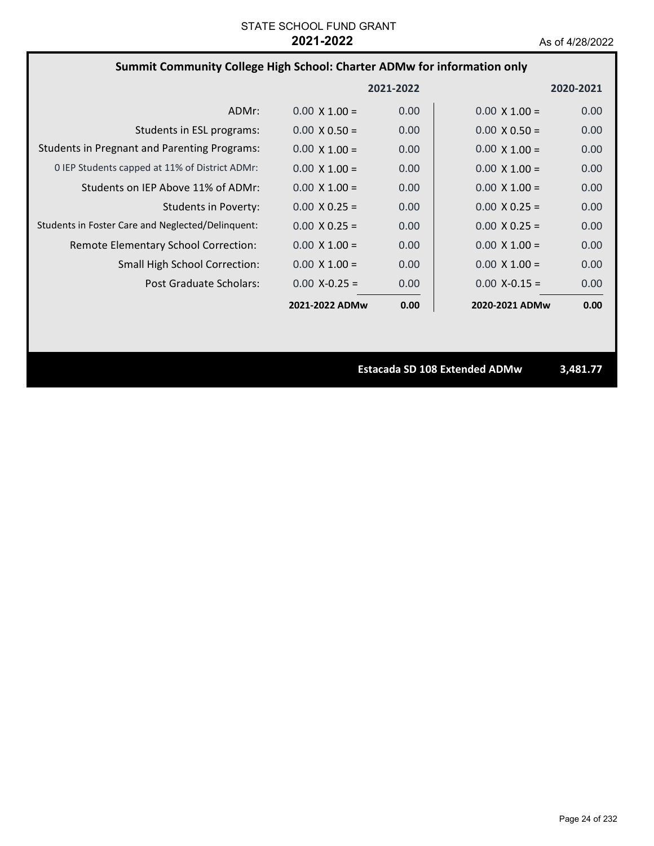## **Summit Community College High School: Charter ADMw for information only**

|                                                     |                      | 2021-2022 |                      | 2020-2021 |
|-----------------------------------------------------|----------------------|-----------|----------------------|-----------|
| ADMr:                                               | $0.00 \times 1.00 =$ | 0.00      | $0.00 \times 1.00 =$ | 0.00      |
| Students in ESL programs:                           | $0.00 \times 0.50 =$ | 0.00      | $0.00 \times 0.50 =$ | 0.00      |
| <b>Students in Pregnant and Parenting Programs:</b> | $0.00 \times 1.00 =$ | 0.00      | $0.00 \times 1.00 =$ | 0.00      |
| 0 IEP Students capped at 11% of District ADMr:      | $0.00 \times 1.00 =$ | 0.00      | $0.00 \times 1.00 =$ | 0.00      |
| Students on IEP Above 11% of ADMr:                  | $0.00 \times 1.00 =$ | 0.00      | $0.00 \times 1.00 =$ | 0.00      |
| <b>Students in Poverty:</b>                         | $0.00 \times 0.25 =$ | 0.00      | $0.00 \times 0.25 =$ | 0.00      |
| Students in Foster Care and Neglected/Delinquent:   | $0.00 \times 0.25 =$ | 0.00      | $0.00 \times 0.25 =$ | 0.00      |
| Remote Elementary School Correction:                | $0.00 \times 1.00 =$ | 0.00      | $0.00 \times 1.00 =$ | 0.00      |
| <b>Small High School Correction:</b>                | $0.00 \times 1.00 =$ | 0.00      | $0.00 \times 1.00 =$ | 0.00      |
| Post Graduate Scholars:                             | $0.00 X - 0.25 =$    | 0.00      | $0.00$ X-0.15 =      | 0.00      |
|                                                     | 2021-2022 ADMw       | 0.00      | 2020-2021 ADMw       | 0.00      |

**Estacada SD 108 Extended ADMw 3,481.77**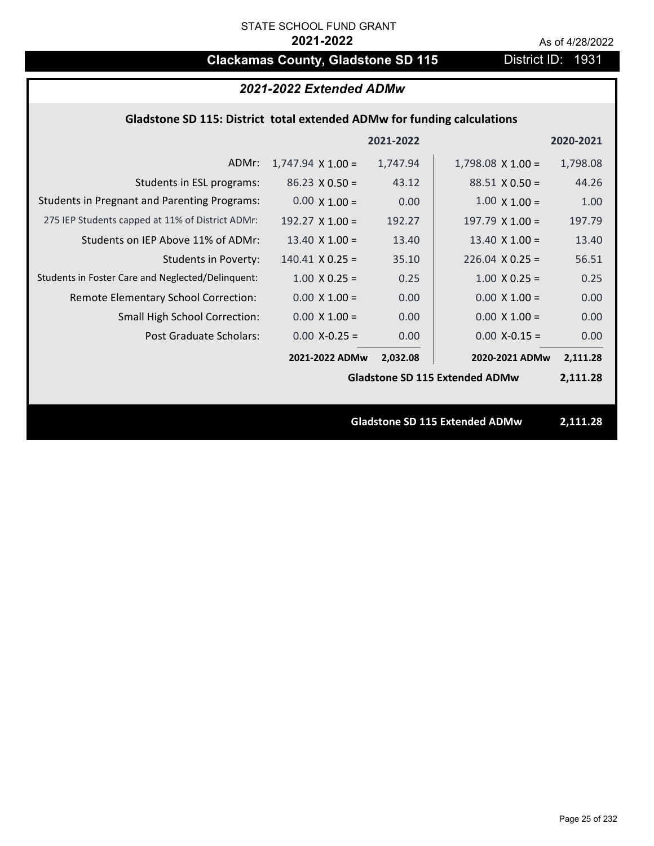# **Clackamas County, Gladstone SD 115** District ID: 1931

| 2021-2022 Extended ADMw                                                 |                          |           |                                       |           |
|-------------------------------------------------------------------------|--------------------------|-----------|---------------------------------------|-----------|
| Gladstone SD 115: District total extended ADMw for funding calculations |                          |           |                                       |           |
|                                                                         |                          | 2021-2022 |                                       | 2020-2021 |
| ADMr:                                                                   | $1,747.94 \times 1.00 =$ | 1,747.94  | $1,798.08 \times 1.00 =$              | 1,798.08  |
| Students in ESL programs:                                               | $86.23 \times 0.50 =$    | 43.12     | $88.51 \times 0.50 =$                 | 44.26     |
| <b>Students in Pregnant and Parenting Programs:</b>                     | $0.00 \times 1.00 =$     | 0.00      | $1.00 \times 1.00 =$                  | 1.00      |
| 275 IEP Students capped at 11% of District ADMr:                        | 192.27 $\times$ 1.00 =   | 192.27    | $197.79 \times 1.00 =$                | 197.79    |
| Students on IEP Above 11% of ADMr:                                      | $13.40 \times 1.00 =$    | 13.40     | 13.40 $\times$ 1.00 =                 | 13.40     |
| <b>Students in Poverty:</b>                                             | $140.41$ X 0.25 =        | 35.10     | $226.04$ X 0.25 =                     | 56.51     |
| Students in Foster Care and Neglected/Delinquent:                       | $1.00 \times 0.25 =$     | 0.25      | $1.00 \times 0.25 =$                  | 0.25      |
| Remote Elementary School Correction:                                    | $0.00 \times 1.00 =$     | 0.00      | $0.00 \times 1.00 =$                  | 0.00      |
| <b>Small High School Correction:</b>                                    | $0.00 \times 1.00 =$     | 0.00      | $0.00 \times 1.00 =$                  | 0.00      |
| <b>Post Graduate Scholars:</b>                                          | $0.00$ X-0.25 =          | 0.00      | $0.00$ X-0.15 =                       | 0.00      |
|                                                                         | 2021-2022 ADMw           | 2,032.08  | 2020-2021 ADMw                        | 2,111.28  |
|                                                                         |                          |           | <b>Gladstone SD 115 Extended ADMw</b> | 2,111.28  |
|                                                                         |                          |           |                                       |           |
|                                                                         |                          |           | <b>Gladstone SD 115 Extended ADMw</b> | 2,111.28  |
|                                                                         |                          |           |                                       |           |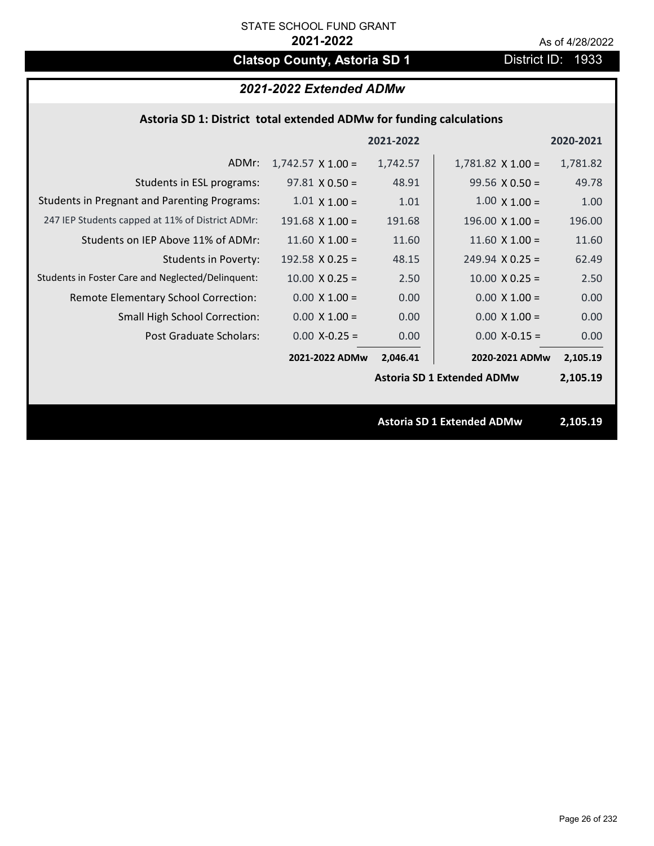# **Clatsop County, Astoria SD 1** District ID: 1933

## *2021-2022 Extended ADMw*

### **Astoria SD 1: District total extended ADMw for funding calculations**

|                                                     |                          | 2021-2022 |                                   | 2020-2021 |
|-----------------------------------------------------|--------------------------|-----------|-----------------------------------|-----------|
| ADMr:                                               | $1,742.57 \times 1.00 =$ | 1,742.57  | $1,781.82 \times 1.00 =$          | 1,781.82  |
| Students in ESL programs:                           | $97.81 \times 0.50 =$    | 48.91     | $99.56 \times 0.50 =$             | 49.78     |
| <b>Students in Pregnant and Parenting Programs:</b> | $1.01 \times 1.00 =$     | 1.01      | $1.00 \times 1.00 =$              | 1.00      |
| 247 IEP Students capped at 11% of District ADMr:    | $191.68$ X $1.00 =$      | 191.68    | $196.00 \times 1.00 =$            | 196.00    |
| Students on IEP Above 11% of ADMr:                  | $11.60$ X $1.00 =$       | 11.60     | $11.60$ X $1.00 =$                | 11.60     |
| Students in Poverty:                                | 192.58 $\times$ 0.25 =   | 48.15     | $249.94 \times 0.25 =$            | 62.49     |
| Students in Foster Care and Neglected/Delinquent:   | $10.00 \times 0.25 =$    | 2.50      | $10.00$ X 0.25 =                  | 2.50      |
| Remote Elementary School Correction:                | $0.00 \times 1.00 =$     | 0.00      | $0.00 \times 1.00 =$              | 0.00      |
| <b>Small High School Correction:</b>                | $0.00 \times 1.00 =$     | 0.00      | $0.00 \times 1.00 =$              | 0.00      |
| Post Graduate Scholars:                             | $0.00$ X-0.25 =          | 0.00      | $0.00$ X-0.15 =                   | 0.00      |
|                                                     | 2021-2022 ADMw           | 2,046.41  | 2020-2021 ADMw                    | 2,105.19  |
|                                                     |                          |           | <b>Astoria SD 1 Extended ADMw</b> | 2,105.19  |
|                                                     |                          |           |                                   |           |
|                                                     |                          |           | <b>Astoria SD 1 Extended ADMw</b> | 2,105.19  |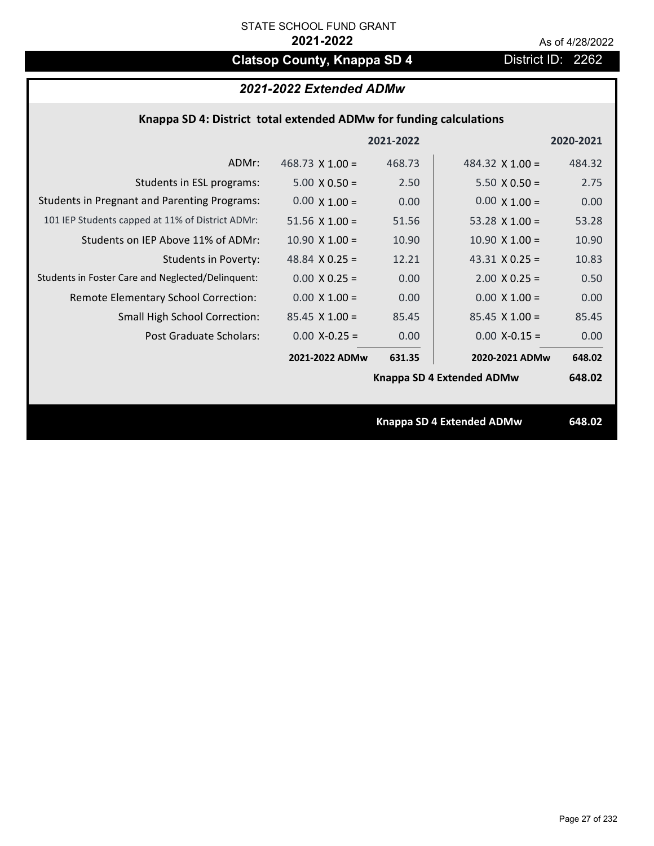# **Clatsop County, Knappa SD 4** District ID: 2262

## *2021-2022 Extended ADMw*

|  |  |  | Knappa SD 4: District total extended ADMw for funding calculations |
|--|--|--|--------------------------------------------------------------------|
|--|--|--|--------------------------------------------------------------------|

|                                                     |                        | 2021-2022 |                           | 2020-2021 |
|-----------------------------------------------------|------------------------|-----------|---------------------------|-----------|
| ADMr:                                               | 468.73 $\times$ 1.00 = | 468.73    | 484.32 $X$ 1.00 =         | 484.32    |
| Students in ESL programs:                           | $5.00 \times 0.50 =$   | 2.50      | $5.50 \times 0.50 =$      | 2.75      |
| <b>Students in Pregnant and Parenting Programs:</b> | $0.00 \times 1.00 =$   | 0.00      | $0.00 \times 1.00 =$      | 0.00      |
| 101 IEP Students capped at 11% of District ADMr:    | $51.56 \times 1.00 =$  | 51.56     | 53.28 $X$ 1.00 =          | 53.28     |
| Students on IEP Above 11% of ADMr:                  | $10.90 \times 1.00 =$  | 10.90     | $10.90 \times 1.00 =$     | 10.90     |
| <b>Students in Poverty:</b>                         | 48.84 $X$ 0.25 =       | 12.21     | 43.31 $X$ 0.25 =          | 10.83     |
| Students in Foster Care and Neglected/Delinquent:   | $0.00 X 0.25 =$        | 0.00      | $2.00 \times 0.25 =$      | 0.50      |
| Remote Elementary School Correction:                | $0.00 \times 1.00 =$   | 0.00      | $0.00 \times 1.00 =$      | 0.00      |
| <b>Small High School Correction:</b>                | $85.45 \times 1.00 =$  | 85.45     | $85.45 \times 1.00 =$     | 85.45     |
| Post Graduate Scholars:                             | $0.00$ X-0.25 =        | 0.00      | $0.00$ X-0.15 =           | 0.00      |
|                                                     | 2021-2022 ADMw         | 631.35    | 2020-2021 ADMw            | 648.02    |
|                                                     |                        |           | Knappa SD 4 Extended ADMw | 648.02    |
|                                                     |                        |           |                           |           |
|                                                     |                        |           | Knappa SD 4 Extended ADMw | 648.02    |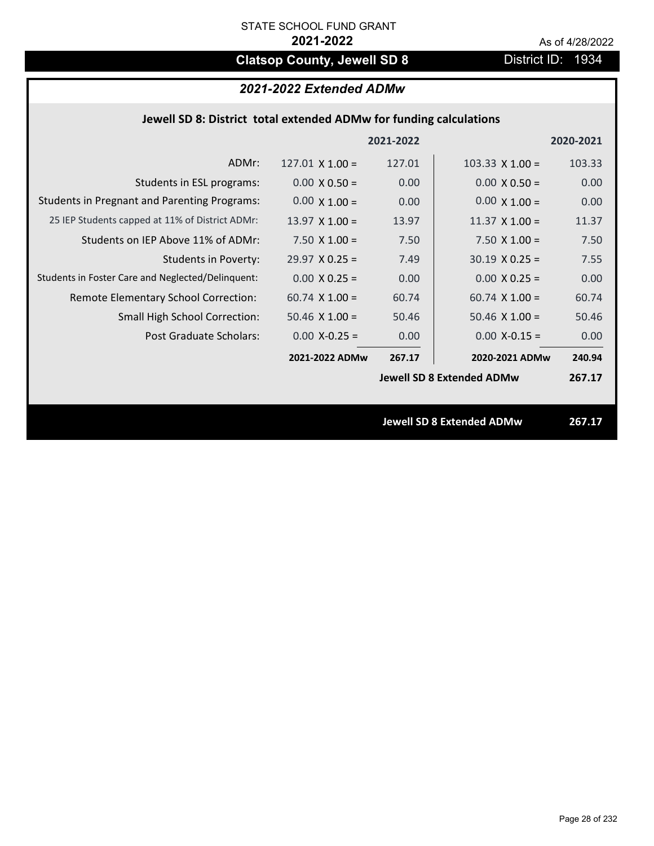# **Clatsop County, Jewell SD 8** District ID: 1934

## *2021-2022 Extended ADMw*

| Jewell SD 8: District total extended ADMw for funding calculations |                        |           |                                  |           |
|--------------------------------------------------------------------|------------------------|-----------|----------------------------------|-----------|
|                                                                    |                        | 2021-2022 |                                  | 2020-2021 |
| ADMr:                                                              | $127.01 \times 1.00 =$ | 127.01    | $103.33 \times 1.00 =$           | 103.33    |
| Students in ESL programs:                                          | $0.00 \times 0.50 =$   | 0.00      | $0.00 \times 0.50 =$             | 0.00      |
| <b>Students in Pregnant and Parenting Programs:</b>                | $0.00 \times 1.00 =$   | 0.00      | $0.00 \times 1.00 =$             | 0.00      |
| 25 IEP Students capped at 11% of District ADMr:                    | $13.97 \times 1.00 =$  | 13.97     | $11.37 \times 1.00 =$            | 11.37     |
| Students on IEP Above 11% of ADMr:                                 | $7.50 \times 1.00 =$   | 7.50      | $7.50 \times 1.00 =$             | 7.50      |
| <b>Students in Poverty:</b>                                        | $29.97$ X 0.25 =       | 7.49      | $30.19 \times 0.25 =$            | 7.55      |
| Students in Foster Care and Neglected/Delinquent:                  | $0.00$ X 0.25 =        | 0.00      | $0.00 X 0.25 =$                  | 0.00      |
| Remote Elementary School Correction:                               | $60.74$ X $1.00 =$     | 60.74     | $60.74$ X 1.00 =                 | 60.74     |
| Small High School Correction:                                      | 50.46 $X$ 1.00 =       | 50.46     | $50.46$ X 1.00 =                 | 50.46     |
| Post Graduate Scholars:                                            | $0.00$ X-0.25 =        | 0.00      | $0.00$ X-0.15 =                  | 0.00      |
|                                                                    | 2021-2022 ADMw         | 267.17    | 2020-2021 ADMw                   | 240.94    |
|                                                                    |                        |           | <b>Jewell SD 8 Extended ADMw</b> | 267.17    |
|                                                                    |                        |           | <b>Jewell SD 8 Extended ADMw</b> | 267.17    |
|                                                                    |                        |           |                                  |           |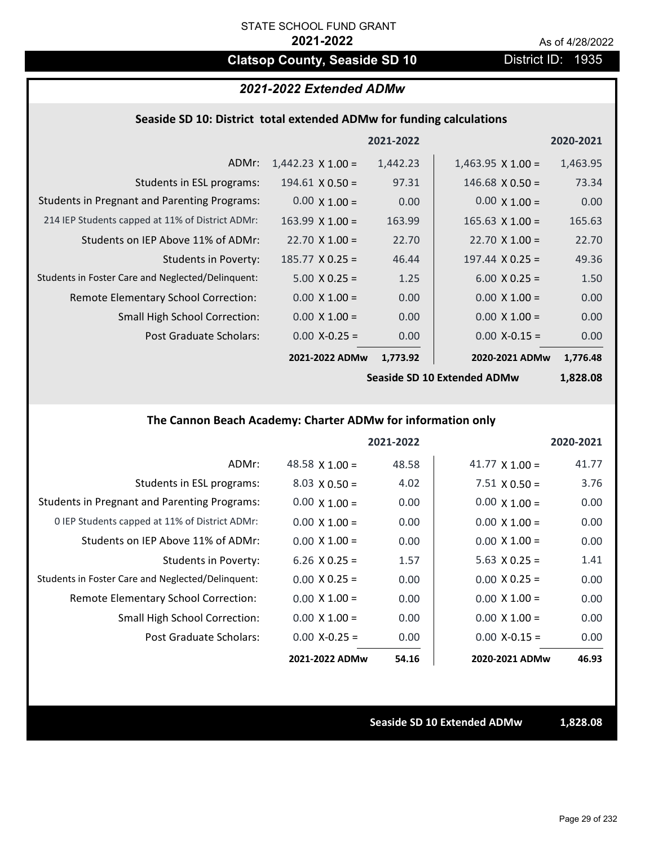# **Clatsop County, Seaside SD 10** District ID: 1935

### *2021-2022 Extended ADMw*

#### **Seaside SD 10: District total extended ADMw for funding calculations**

|                                                     |                          | 2021-2022 |                          | 2020-2021 |
|-----------------------------------------------------|--------------------------|-----------|--------------------------|-----------|
| ADMr:                                               | $1,442.23 \times 1.00 =$ | 1,442.23  | $1,463.95 \times 1.00 =$ | 1,463.95  |
| Students in ESL programs:                           | $194.61 \times 0.50 =$   | 97.31     | $146.68 \times 0.50 =$   | 73.34     |
| <b>Students in Pregnant and Parenting Programs:</b> | $0.00 \times 1.00 =$     | 0.00      | $0.00 \times 1.00 =$     | 0.00      |
| 214 IEP Students capped at 11% of District ADMr:    | $163.99 \times 1.00 =$   | 163.99    | $165.63 \times 1.00 =$   | 165.63    |
| Students on IEP Above 11% of ADMr:                  | $22.70 \times 1.00 =$    | 22.70     | $22.70 \times 1.00 =$    | 22.70     |
| <b>Students in Poverty:</b>                         | $185.77 \times 0.25 =$   | 46.44     | $197.44 \times 0.25 =$   | 49.36     |
| Students in Foster Care and Neglected/Delinquent:   | $5.00 \times 0.25 =$     | 1.25      | $6.00 \times 0.25 =$     | 1.50      |
| Remote Elementary School Correction:                | $0.00 \times 1.00 =$     | 0.00      | $0.00 \times 1.00 =$     | 0.00      |
| <b>Small High School Correction:</b>                | $0.00 \times 1.00 =$     | 0.00      | $0.00 \times 1.00 =$     | 0.00      |
| Post Graduate Scholars:                             | $0.00$ X-0.25 =          | 0.00      | $0.00$ X-0.15 =          | 0.00      |
|                                                     | 2021-2022 ADMw           | 1,773.92  | 2020-2021 ADMw           | 1,776.48  |
|                                                     |                          |           |                          |           |

**Seaside SD 10 Extended ADMw**

**1,828.08**

### **The Cannon Beach Academy: Charter ADMw for information only**

|                                                     |                       | 2021-2022 |                       | 2020-2021 |
|-----------------------------------------------------|-----------------------|-----------|-----------------------|-----------|
| ADMr:                                               | 48.58 $\times$ 1.00 = | 48.58     | 41.77 $\times$ 1.00 = | 41.77     |
| Students in ESL programs:                           | $8.03 \times 0.50 =$  | 4.02      | $7.51 \times 0.50 =$  | 3.76      |
| <b>Students in Pregnant and Parenting Programs:</b> | $0.00 \times 1.00 =$  | 0.00      | $0.00 \times 1.00 =$  | 0.00      |
| 0 IEP Students capped at 11% of District ADMr:      | $0.00 \times 1.00 =$  | 0.00      | $0.00 \times 1.00 =$  | 0.00      |
| Students on IEP Above 11% of ADMr:                  | $0.00 \times 1.00 =$  | 0.00      | $0.00 \times 1.00 =$  | 0.00      |
| Students in Poverty:                                | 6.26 $X$ 0.25 =       | 1.57      | 5.63 $X$ 0.25 =       | 1.41      |
| Students in Foster Care and Neglected/Delinquent:   | $0.00 \times 0.25 =$  | 0.00      | $0.00 \times 0.25 =$  | 0.00      |
| Remote Elementary School Correction:                | $0.00 \times 1.00 =$  | 0.00      | $0.00 \times 1.00 =$  | 0.00      |
| <b>Small High School Correction:</b>                | $0.00 \times 1.00 =$  | 0.00      | $0.00 \times 1.00 =$  | 0.00      |
| Post Graduate Scholars:                             | $0.00$ X-0.25 =       | 0.00      | $0.00$ X-0.15 =       | 0.00      |
|                                                     | 2021-2022 ADMw        | 54.16     | 2020-2021 ADMw        | 46.93     |

**Seaside SD 10 Extended ADMw 1,828.08**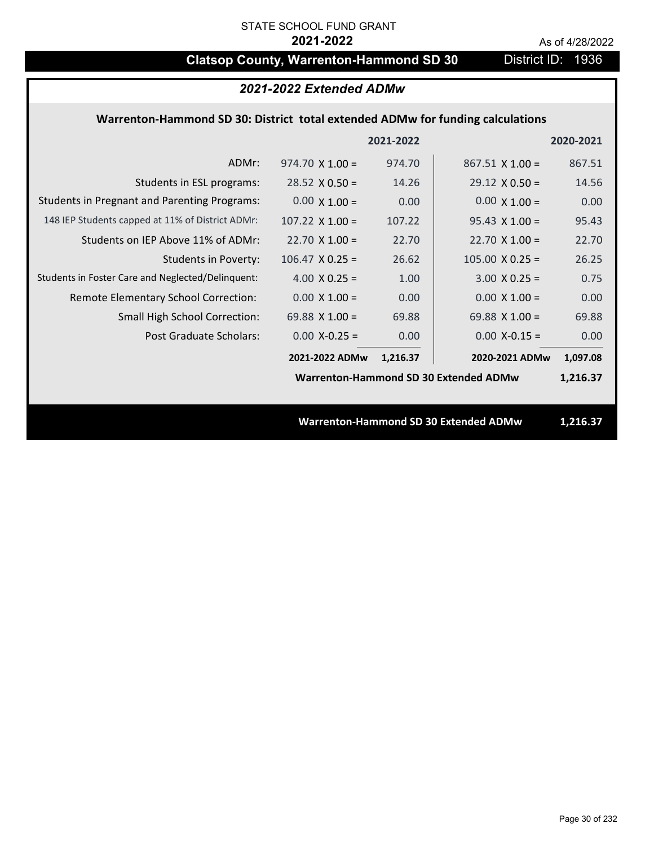## **Clatsop County, Warrenton-Hammond SD 30** District ID: 1936

### *2021-2022 Extended ADMw*

## **Warrenton‐Hammond SD 30: District total extended ADMw for funding calculations**

|                                                     |                        | 2021-2022 |                                              | 2020-2021 |
|-----------------------------------------------------|------------------------|-----------|----------------------------------------------|-----------|
| ADMr:                                               | $974.70 \times 1.00 =$ | 974.70    | $867.51 \times 1.00 =$                       | 867.51    |
| Students in ESL programs:                           | $28.52 \times 0.50 =$  | 14.26     | $29.12 \times 0.50 =$                        | 14.56     |
| <b>Students in Pregnant and Parenting Programs:</b> | $0.00 \times 1.00 =$   | 0.00      | $0.00 \times 1.00 =$                         | 0.00      |
| 148 IEP Students capped at 11% of District ADMr:    | $107.22 \times 1.00 =$ | 107.22    | $95.43 \times 1.00 =$                        | 95.43     |
| Students on IEP Above 11% of ADMr:                  | $22.70 \times 1.00 =$  | 22.70     | $22.70$ X 1.00 =                             | 22.70     |
| <b>Students in Poverty:</b>                         | $106.47 \times 0.25 =$ | 26.62     | $105.00 \times 0.25 =$                       | 26.25     |
| Students in Foster Care and Neglected/Delinquent:   | 4.00 $X$ 0.25 =        | 1.00      | $3.00 \times 0.25 =$                         | 0.75      |
| Remote Elementary School Correction:                | $0.00 \times 1.00 =$   | 0.00      | $0.00 \times 1.00 =$                         | 0.00      |
| <b>Small High School Correction:</b>                | 69.88 $X$ 1.00 =       | 69.88     | 69.88 $X$ 1.00 =                             | 69.88     |
| Post Graduate Scholars:                             | $0.00$ X-0.25 =        | 0.00      | $0.00$ X-0.15 =                              | 0.00      |
|                                                     | 2021-2022 ADMw         | 1,216.37  | 2020-2021 ADMw                               | 1,097.08  |
|                                                     |                        |           | Warrenton-Hammond SD 30 Extended ADMw        | 1,216.37  |
|                                                     |                        |           |                                              |           |
|                                                     |                        |           | <b>Warrenton-Hammond SD 30 Extended ADMw</b> | 1,216.37  |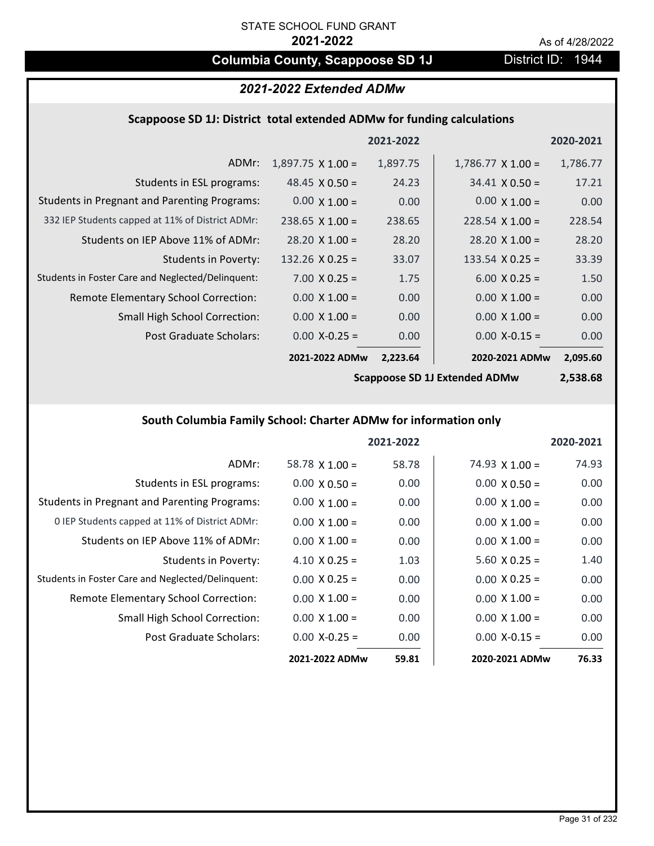# **Columbia County, Scappoose SD 1J** District ID: 1944

| 2021-2022 Extended ADMw |
|-------------------------|
|                         |

## **Scappoose SD 1J: District total extended ADMw for funding calculations**

|                                                     |                          | 2021-2022 |                          | 2020-2021 |
|-----------------------------------------------------|--------------------------|-----------|--------------------------|-----------|
| ADMr:                                               | $1,897.75 \times 1.00 =$ | 1,897.75  | $1,786.77 \times 1.00 =$ | 1,786.77  |
| Students in ESL programs:                           | 48.45 $\times$ 0.50 =    | 24.23     | $34.41 \times 0.50 =$    | 17.21     |
| <b>Students in Pregnant and Parenting Programs:</b> | $0.00 \times 1.00 =$     | 0.00      | $0.00 \times 1.00 =$     | 0.00      |
| 332 IEP Students capped at 11% of District ADMr:    | $238.65 \times 1.00 =$   | 238.65    | $228.54 \times 1.00 =$   | 228.54    |
| Students on IEP Above 11% of ADMr:                  | $28.20 \times 1.00 =$    | 28.20     | $28.20 \times 1.00 =$    | 28.20     |
| Students in Poverty:                                | $132.26 \times 0.25 =$   | 33.07     | 133.54 $X$ 0.25 =        | 33.39     |
| Students in Foster Care and Neglected/Delinquent:   | $7.00 \times 0.25 =$     | 1.75      | $6.00 \times 0.25 =$     | 1.50      |
| Remote Elementary School Correction:                | $0.00 \times 1.00 =$     | 0.00      | $0.00 \times 1.00 =$     | 0.00      |
| <b>Small High School Correction:</b>                | $0.00 \times 1.00 =$     | 0.00      | $0.00 \times 1.00 =$     | 0.00      |
| Post Graduate Scholars:                             | $0.00$ X-0.25 =          | 0.00      | $0.00$ X-0.15 =          | 0.00      |
|                                                     | 2021-2022 ADMw           | 2,223.64  | 2020-2021 ADMw           | 2,095.60  |

**Scappoose SD 1J Extended ADMw**

**2,538.68**

## **South Columbia Family School: Charter ADMw for information only**

|                                                     |                       | 2021-2022 |                       | 2020-2021 |
|-----------------------------------------------------|-----------------------|-----------|-----------------------|-----------|
| ADMr:                                               | 58.78 $\times$ 1.00 = | 58.78     | 74.93 $\times$ 1.00 = | 74.93     |
| Students in ESL programs:                           | $0.00 \times 0.50 =$  | 0.00      | $0.00 \times 0.50 =$  | 0.00      |
| <b>Students in Pregnant and Parenting Programs:</b> | $0.00 \times 1.00 =$  | 0.00      | $0.00 \times 1.00 =$  | 0.00      |
| 0 IEP Students capped at 11% of District ADMr:      | $0.00 \times 1.00 =$  | 0.00      | $0.00 \times 1.00 =$  | 0.00      |
| Students on IEP Above 11% of ADMr:                  | $0.00 \times 1.00 =$  | 0.00      | $0.00 \times 1.00 =$  | 0.00      |
| Students in Poverty:                                | $4.10 \times 0.25 =$  | 1.03      | $5.60 \times 0.25 =$  | 1.40      |
| Students in Foster Care and Neglected/Delinquent:   | $0.00 \times 0.25 =$  | 0.00      | $0.00 \times 0.25 =$  | 0.00      |
| Remote Elementary School Correction:                | $0.00 \times 1.00 =$  | 0.00      | $0.00 \times 1.00 =$  | 0.00      |
| <b>Small High School Correction:</b>                | $0.00 \times 1.00 =$  | 0.00      | $0.00 \times 1.00 =$  | 0.00      |
| Post Graduate Scholars:                             | $0.00$ X-0.25 =       | 0.00      | $0.00 X - 0.15 =$     | 0.00      |
|                                                     | 2021-2022 ADMw        | 59.81     | 2020-2021 ADMw        | 76.33     |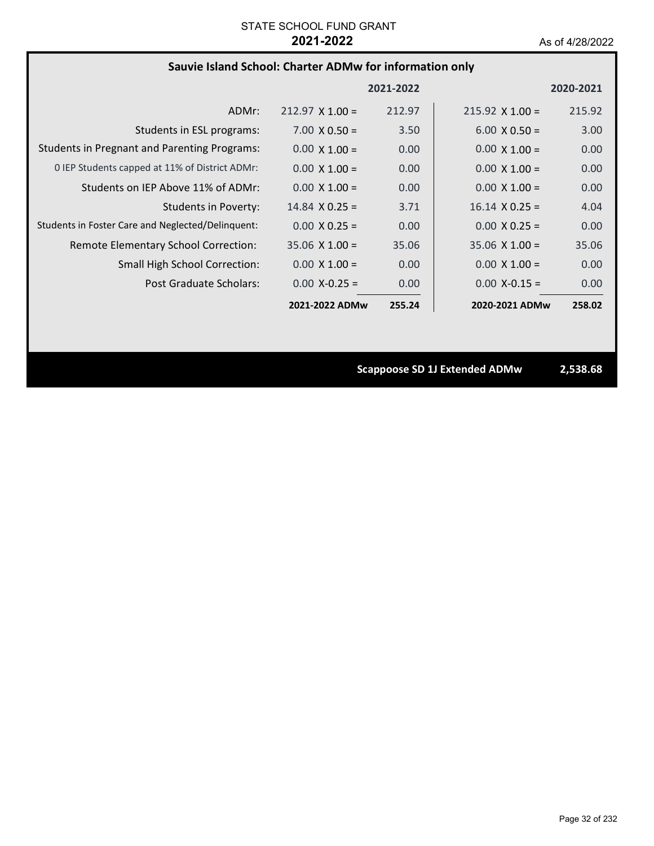## **Sauvie Island School: Charter ADMw for information only**

|                                                     |                        | 2021-2022 |                        | 2020-2021 |
|-----------------------------------------------------|------------------------|-----------|------------------------|-----------|
| ADMr:                                               | $212.97 \times 1.00 =$ | 212.97    | $215.92 \times 1.00 =$ | 215.92    |
| Students in ESL programs:                           | $7.00 \times 0.50 =$   | 3.50      | $6.00 \times 0.50 =$   | 3.00      |
| <b>Students in Pregnant and Parenting Programs:</b> | $0.00 \times 1.00 =$   | 0.00      | $0.00 \times 1.00 =$   | 0.00      |
| 0 IEP Students capped at 11% of District ADMr:      | $0.00 \times 1.00 =$   | 0.00      | $0.00 \times 1.00 =$   | 0.00      |
| Students on IEP Above 11% of ADMr:                  | $0.00 \times 1.00 =$   | 0.00      | $0.00 \times 1.00 =$   | 0.00      |
| <b>Students in Poverty:</b>                         | $14.84 \times 0.25 =$  | 3.71      | $16.14 \times 0.25 =$  | 4.04      |
| Students in Foster Care and Neglected/Delinquent:   | $0.00 \times 0.25 =$   | 0.00      | $0.00 \times 0.25 =$   | 0.00      |
| Remote Elementary School Correction:                | $35.06 \times 1.00 =$  | 35.06     | $35.06 \times 1.00 =$  | 35.06     |
| <b>Small High School Correction:</b>                | $0.00 \times 1.00 =$   | 0.00      | $0.00 \times 1.00 =$   | 0.00      |
| Post Graduate Scholars:                             | $0.00 X - 0.25 =$      | 0.00      | $0.00 X - 0.15 =$      | 0.00      |
|                                                     | 2021-2022 ADMw         | 255.24    | 2020-2021 ADMw         | 258.02    |

**Scappoose SD 1J Extended ADMw 2,538.68**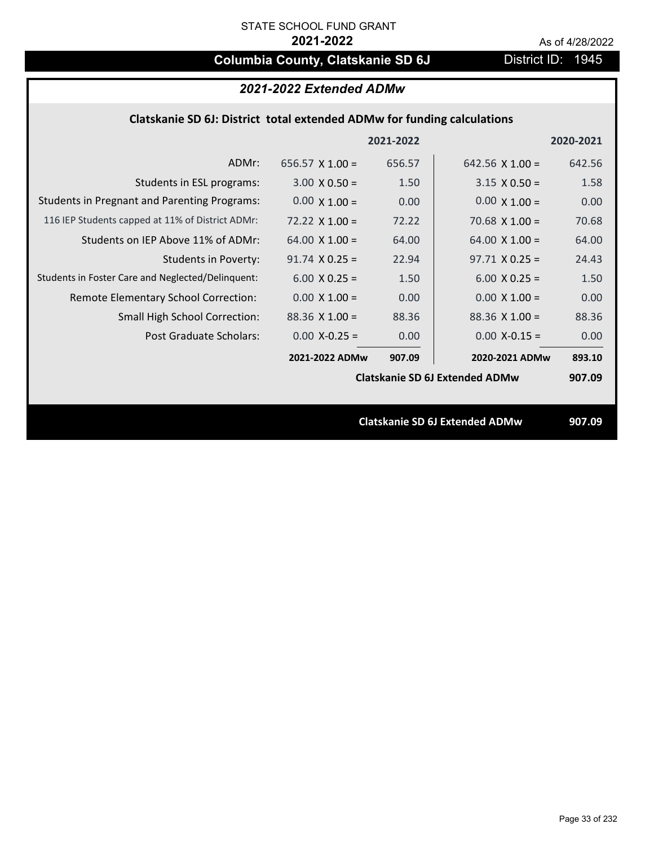# **Columbia County, Clatskanie SD 6J** District ID: 1945

| 2021-2022 Extended ADMw                                                 |                        |           |                                       |           |  |
|-------------------------------------------------------------------------|------------------------|-----------|---------------------------------------|-----------|--|
| Clatskanie SD 6J: District total extended ADMw for funding calculations |                        |           |                                       |           |  |
|                                                                         |                        | 2021-2022 |                                       | 2020-2021 |  |
| ADMr:                                                                   | $656.57 \times 1.00 =$ | 656.57    | 642.56 $\times$ 1.00 =                | 642.56    |  |
| Students in ESL programs:                                               | $3.00 \times 0.50 =$   | 1.50      | $3.15 \times 0.50 =$                  | 1.58      |  |
| <b>Students in Pregnant and Parenting Programs:</b>                     | $0.00 \times 1.00 =$   | 0.00      | $0.00 \times 1.00 =$                  | 0.00      |  |
| 116 IEP Students capped at 11% of District ADMr:                        | $72.22 \times 1.00 =$  | 72.22     | 70.68 $\times$ 1.00 =                 | 70.68     |  |
| Students on IEP Above 11% of ADMr:                                      | 64.00 $X$ 1.00 =       | 64.00     | 64.00 $X$ 1.00 =                      | 64.00     |  |
| <b>Students in Poverty:</b>                                             | $91.74 \times 0.25 =$  | 22.94     | $97.71 \times 0.25 =$                 | 24.43     |  |
| Students in Foster Care and Neglected/Delinquent:                       | $6.00 \times 0.25 =$   | 1.50      | $6.00 X 0.25 =$                       | 1.50      |  |
| Remote Elementary School Correction:                                    | $0.00 \times 1.00 =$   | 0.00      | $0.00 \times 1.00 =$                  | 0.00      |  |
| <b>Small High School Correction:</b>                                    | $88.36$ X 1.00 =       | 88.36     | $88.36$ X 1.00 =                      | 88.36     |  |
| Post Graduate Scholars:                                                 | $0.00$ X-0.25 =        | 0.00      | $0.00$ X-0.15 =                       | 0.00      |  |
|                                                                         | 2021-2022 ADMw         | 907.09    | 2020-2021 ADMw                        | 893.10    |  |
|                                                                         |                        |           | <b>Clatskanie SD 6J Extended ADMw</b> | 907.09    |  |
|                                                                         |                        |           |                                       |           |  |
|                                                                         |                        |           | <b>Clatskanie SD 6J Extended ADMw</b> | 907.09    |  |
|                                                                         |                        |           |                                       |           |  |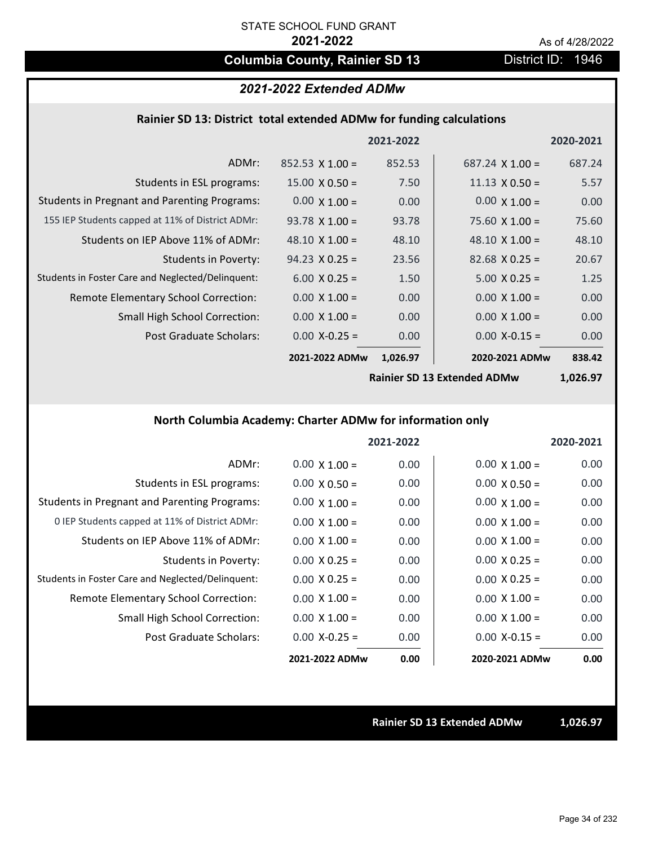## **Columbia County, Rainier SD 13** District ID: 1946

## *2021-2022 Extended ADMw*

#### **Rainier SD 13: District total extended ADMw for funding calculations**

|                                                     |                        | 2021-2022 |                        | 2020-2021 |
|-----------------------------------------------------|------------------------|-----------|------------------------|-----------|
| ADMr:                                               | $852.53 \times 1.00 =$ | 852.53    | $687.24 \times 1.00 =$ | 687.24    |
| Students in ESL programs:                           | $15.00 \times 0.50 =$  | 7.50      | $11.13 \times 0.50 =$  | 5.57      |
| <b>Students in Pregnant and Parenting Programs:</b> | $0.00 \times 1.00 =$   | 0.00      | $0.00 \times 1.00 =$   | 0.00      |
| 155 IEP Students capped at 11% of District ADMr:    | $93.78 \times 1.00 =$  | 93.78     | $75.60 \times 1.00 =$  | 75.60     |
| Students on IEP Above 11% of ADMr:                  | 48.10 $\times$ 1.00 =  | 48.10     | 48.10 $\times$ 1.00 =  | 48.10     |
| <b>Students in Poverty:</b>                         | $94.23 \times 0.25 =$  | 23.56     | $82.68 \times 0.25 =$  | 20.67     |
| Students in Foster Care and Neglected/Delinquent:   | $6.00 \times 0.25 =$   | 1.50      | $5.00 \times 0.25 =$   | 1.25      |
| Remote Elementary School Correction:                | $0.00 \times 1.00 =$   | 0.00      | $0.00 \times 1.00 =$   | 0.00      |
| <b>Small High School Correction:</b>                | $0.00 \times 1.00 =$   | 0.00      | $0.00 \times 1.00 =$   | 0.00      |
| Post Graduate Scholars:                             | $0.00$ X-0.25 =        | 0.00      | $0.00 X - 0.15 =$      | 0.00      |
|                                                     | 2021-2022 ADMw         | 1,026.97  | 2020-2021 ADMw         | 838.42    |

**Rainier SD 13 Extended ADMw**

**1,026.97**

## **North Columbia Academy: Charter ADMw for information only**

|                                                     |                      | 2021-2022 |                      | 2020-2021 |
|-----------------------------------------------------|----------------------|-----------|----------------------|-----------|
| ADMr:                                               | $0.00 \times 1.00 =$ | 0.00      | $0.00 \times 1.00 =$ | 0.00      |
| Students in ESL programs:                           | $0.00 \times 0.50 =$ | 0.00      | $0.00 \times 0.50 =$ | 0.00      |
| <b>Students in Pregnant and Parenting Programs:</b> | $0.00 \times 1.00 =$ | 0.00      | $0.00 \times 1.00 =$ | 0.00      |
| 0 IEP Students capped at 11% of District ADMr:      | $0.00 \times 1.00 =$ | 0.00      | $0.00 \times 1.00 =$ | 0.00      |
| Students on IEP Above 11% of ADMr:                  | $0.00 \times 1.00 =$ | 0.00      | $0.00 \times 1.00 =$ | 0.00      |
| Students in Poverty:                                | $0.00 X 0.25 =$      | 0.00      | $0.00 \times 0.25 =$ | 0.00      |
| Students in Foster Care and Neglected/Delinquent:   | $0.00 \times 0.25 =$ | 0.00      | $0.00 \times 0.25 =$ | 0.00      |
| Remote Elementary School Correction:                | $0.00 \times 1.00 =$ | 0.00      | $0.00 \times 1.00 =$ | 0.00      |
| <b>Small High School Correction:</b>                | $0.00 \times 1.00 =$ | 0.00      | $0.00 \times 1.00 =$ | 0.00      |
| Post Graduate Scholars:                             | $0.00$ X-0.25 =      | 0.00      | $0.00$ X-0.15 =      | 0.00      |
|                                                     | 2021-2022 ADMw       | 0.00      | 2020-2021 ADMw       | 0.00      |

**Rainier SD 13 Extended ADMw 1,026.97**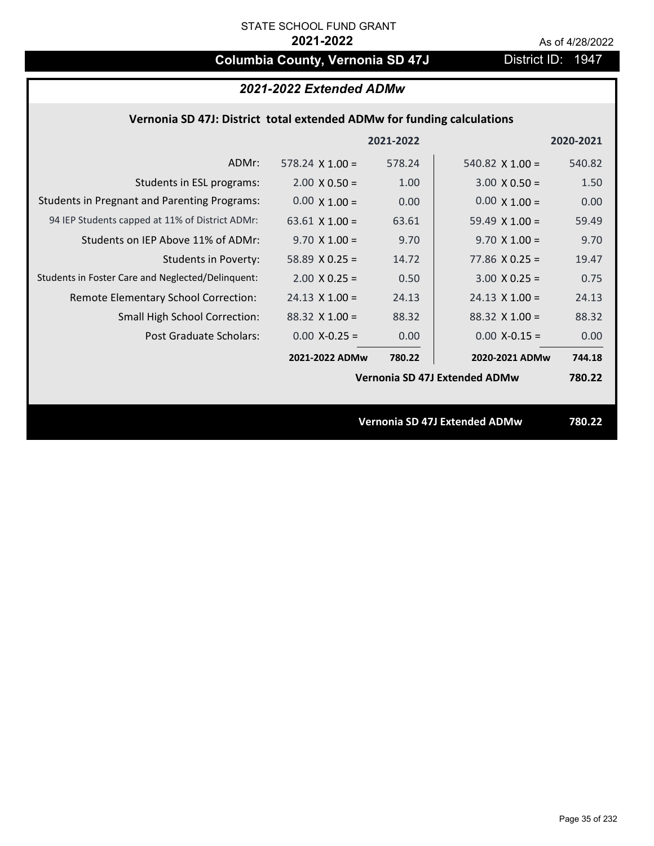# **Columbia County, Vernonia SD 47J** District ID: 1947

## **Vernonia SD 47J: District total extended ADMw for funding calculations**

|                        |        |                        | 2020-2021                                                             |
|------------------------|--------|------------------------|-----------------------------------------------------------------------|
| $578.24 \times 1.00 =$ | 578.24 | 540.82 $\times$ 1.00 = | 540.82                                                                |
| $2.00 \times 0.50 =$   | 1.00   | $3.00 \times 0.50 =$   | 1.50                                                                  |
| $0.00 \times 1.00 =$   | 0.00   | $0.00 \times 1.00 =$   | 0.00                                                                  |
| 63.61 $\times$ 1.00 =  | 63.61  | 59.49 $\times$ 1.00 =  | 59.49                                                                 |
| $9.70 \times 1.00 =$   | 9.70   | $9.70 \times 1.00 =$   | 9.70                                                                  |
| 58.89 $X$ 0.25 =       | 14.72  | 77.86 $X$ 0.25 =       | 19.47                                                                 |
| $2.00 \times 0.25 =$   | 0.50   | $3.00 X 0.25 =$        | 0.75                                                                  |
| $24.13 \times 1.00 =$  | 24.13  | $24.13 \times 1.00 =$  | 24.13                                                                 |
| $88.32$ X 1.00 =       | 88.32  | $88.32$ X 1.00 =       | 88.32                                                                 |
| $0.00$ X-0.25 =        | 0.00   | $0.00$ X-0.15 =        | 0.00                                                                  |
| 2021-2022 ADMw         | 780.22 | 2020-2021 ADMw         | 744.18                                                                |
|                        |        |                        | 780.22                                                                |
|                        |        |                        |                                                                       |
|                        |        |                        | 780.22                                                                |
|                        |        | 2021-2022              | Vernonia SD 47J Extended ADMw<br><b>Vernonia SD 47J Extended ADMw</b> |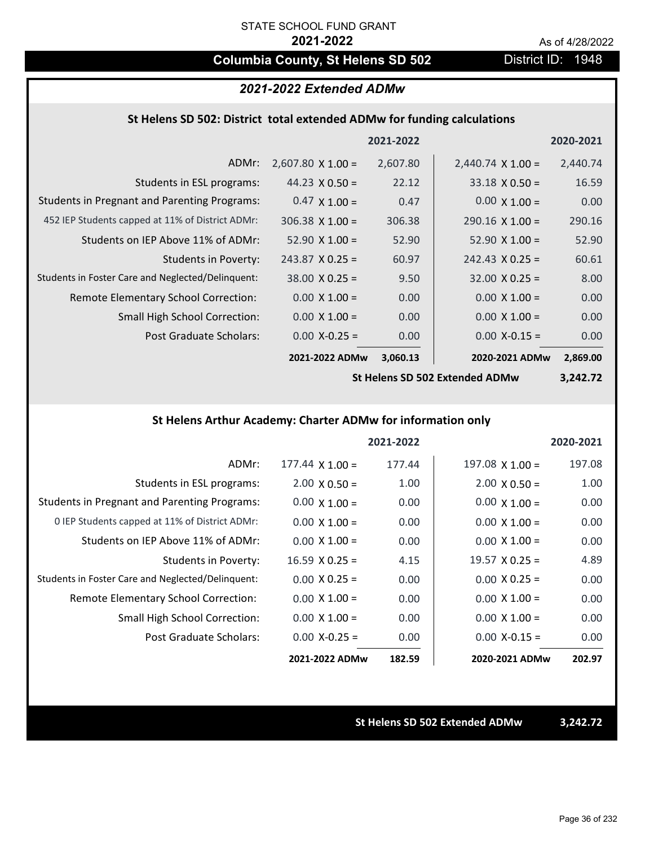## **Columbia County, St Helens SD 502** District ID: 1948

### *2021-2022 Extended ADMw*

#### **St Helens SD 502: District total extended ADMw for funding calculations**

|                                                     |                          | 2021-2022 |                          | 2020-2021 |
|-----------------------------------------------------|--------------------------|-----------|--------------------------|-----------|
| ADMr:                                               | $2,607.80 \times 1.00 =$ | 2,607.80  | $2,440.74 \times 1.00 =$ | 2,440.74  |
| Students in ESL programs:                           | 44.23 $\times$ 0.50 =    | 22.12     | $33.18 \times 0.50 =$    | 16.59     |
| <b>Students in Pregnant and Parenting Programs:</b> | $0.47 \times 1.00 =$     | 0.47      | $0.00 \times 1.00 =$     | 0.00      |
| 452 IEP Students capped at 11% of District ADMr:    | $306.38 \times 1.00 =$   | 306.38    | $290.16 \times 1.00 =$   | 290.16    |
| Students on IEP Above 11% of ADMr:                  | $52.90 \times 1.00 =$    | 52.90     | $52.90 \times 1.00 =$    | 52.90     |
| Students in Poverty:                                | $243.87$ X 0.25 =        | 60.97     | $242.43 \times 0.25 =$   | 60.61     |
| Students in Foster Care and Neglected/Delinguent:   | $38.00 \times 0.25 =$    | 9.50      | $32.00 \times 0.25 =$    | 8.00      |
| Remote Elementary School Correction:                | $0.00 \times 1.00 =$     | 0.00      | $0.00 \times 1.00 =$     | 0.00      |
| <b>Small High School Correction:</b>                | $0.00 \times 1.00 =$     | 0.00      | $0.00 \times 1.00 =$     | 0.00      |
| Post Graduate Scholars:                             | $0.00$ X-0.25 =          | 0.00      | $0.00$ X-0.15 =          | 0.00      |
|                                                     | 2021-2022 ADMw           | 3,060.13  | 2020-2021 ADMw           | 2,869.00  |

**St Helens SD 502 Extended ADMw**

**3,242.72**

### **St Helens Arthur Academy: Charter ADMw for information only**

|                                                     |                        | 2021-2022 |                       | 2020-2021 |
|-----------------------------------------------------|------------------------|-----------|-----------------------|-----------|
| ADMr:                                               | $177.44 \times 1.00 =$ | 177.44    | $197.08$ X 1.00 =     | 197.08    |
| Students in ESL programs:                           | $2.00 \times 0.50 =$   | 1.00      | $2.00 \times 0.50 =$  | 1.00      |
| <b>Students in Pregnant and Parenting Programs:</b> | $0.00 \times 1.00 =$   | 0.00      | $0.00 \times 1.00 =$  | 0.00      |
| 0 IEP Students capped at 11% of District ADMr:      | $0.00 \times 1.00 =$   | 0.00      | $0.00 \times 1.00 =$  | 0.00      |
| Students on IEP Above 11% of ADMr:                  | $0.00 \times 1.00 =$   | 0.00      | $0.00 \times 1.00 =$  | 0.00      |
| Students in Poverty:                                | $16.59 \times 0.25 =$  | 4.15      | $19.57 \times 0.25 =$ | 4.89      |
| Students in Foster Care and Neglected/Delinquent:   | $0.00 \times 0.25 =$   | 0.00      | $0.00 \times 0.25 =$  | 0.00      |
| Remote Elementary School Correction:                | $0.00 \times 1.00 =$   | 0.00      | $0.00 \times 1.00 =$  | 0.00      |
| <b>Small High School Correction:</b>                | $0.00 \times 1.00 =$   | 0.00      | $0.00 \times 1.00 =$  | 0.00      |
| Post Graduate Scholars:                             | $0.00$ X-0.25 =        | 0.00      | $0.00$ X-0.15 =       | 0.00      |
|                                                     | 2021-2022 ADMw         | 182.59    | 2020-2021 ADMw        | 202.97    |

**St Helens SD 502 Extended ADMw 3,242.72**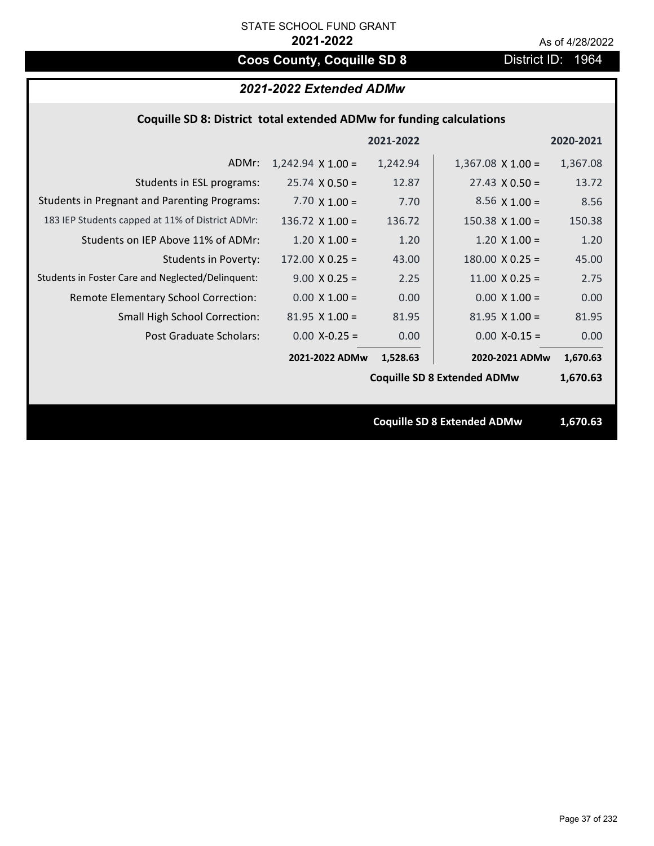# **Coos County, Coquille SD 8** District ID: 1964

|                                                                      | 2021-2022 Extended ADMw  |           |                                    |           |  |
|----------------------------------------------------------------------|--------------------------|-----------|------------------------------------|-----------|--|
| Coquille SD 8: District total extended ADMw for funding calculations |                          |           |                                    |           |  |
|                                                                      |                          | 2021-2022 |                                    | 2020-2021 |  |
| ADMr:                                                                | $1,242.94 \times 1.00 =$ | 1,242.94  | $1,367.08 \times 1.00 =$           | 1,367.08  |  |
| Students in ESL programs:                                            | $25.74 \times 0.50 =$    | 12.87     | $27.43 \times 0.50 =$              | 13.72     |  |
| <b>Students in Pregnant and Parenting Programs:</b>                  | 7.70 $\times$ 1.00 =     | 7.70      | $8.56 \times 1.00 =$               | 8.56      |  |
| 183 IEP Students capped at 11% of District ADMr:                     | 136.72 $X$ 1.00 =        | 136.72    | $150.38 \times 1.00 =$             | 150.38    |  |
| Students on IEP Above 11% of ADMr:                                   | $1.20 \times 1.00 =$     | 1.20      | $1.20 \times 1.00 =$               | 1.20      |  |
| <b>Students in Poverty:</b>                                          | $172.00 \times 0.25 =$   | 43.00     | $180.00 \times 0.25 =$             | 45.00     |  |
| Students in Foster Care and Neglected/Delinquent:                    | $9.00 \times 0.25 =$     | 2.25      | $11.00 \times 0.25 =$              | 2.75      |  |
| Remote Elementary School Correction:                                 | $0.00 \times 1.00 =$     | 0.00      | $0.00 \times 1.00 =$               | 0.00      |  |
| Small High School Correction:                                        | $81.95$ X $1.00 =$       | 81.95     | $81.95$ X $1.00 =$                 | 81.95     |  |
| <b>Post Graduate Scholars:</b>                                       | $0.00$ X-0.25 =          | 0.00      | $0.00$ X-0.15 =                    | 0.00      |  |
|                                                                      | 2021-2022 ADMw           | 1,528.63  | 2020-2021 ADMw                     | 1,670.63  |  |
|                                                                      |                          |           | <b>Coquille SD 8 Extended ADMw</b> | 1,670.63  |  |
|                                                                      |                          |           |                                    |           |  |
|                                                                      |                          |           | <b>Coquille SD 8 Extended ADMw</b> | 1,670.63  |  |
|                                                                      |                          |           |                                    |           |  |
|                                                                      |                          |           |                                    |           |  |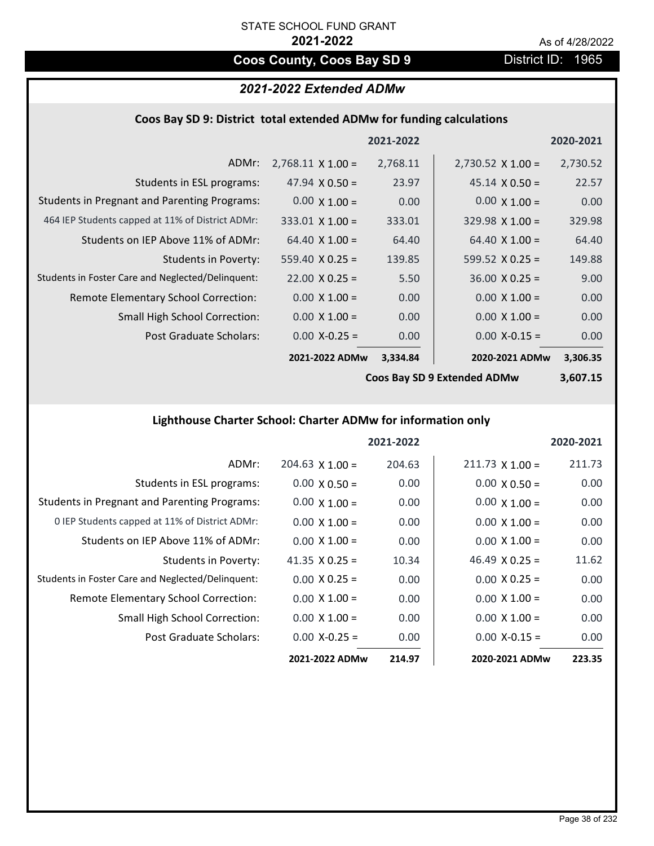# **Coos County, Coos Bay SD 9** District ID: 1965

## *2021-2022 Extended ADMw*

### **Coos Bay SD 9: District total extended ADMw for funding calculations**

|                                                     |                          | 2021-2022 |                          | 2020-2021 |
|-----------------------------------------------------|--------------------------|-----------|--------------------------|-----------|
| ADMr:                                               | $2,768.11 \times 1.00 =$ | 2,768.11  | $2,730.52 \times 1.00 =$ | 2,730.52  |
| Students in ESL programs:                           | 47.94 $\times$ 0.50 =    | 23.97     | $45.14 \times 0.50 =$    | 22.57     |
| <b>Students in Pregnant and Parenting Programs:</b> | $0.00 \times 1.00 =$     | 0.00      | $0.00 \times 1.00 =$     | 0.00      |
| 464 IEP Students capped at 11% of District ADMr:    | $333.01$ X 1.00 =        | 333.01    | $329.98 \times 1.00 =$   | 329.98    |
| Students on IEP Above 11% of ADMr:                  | $64.40 \times 1.00 =$    | 64.40     | $64.40 \times 1.00 =$    | 64.40     |
| <b>Students in Poverty:</b>                         | $559.40 \times 0.25 =$   | 139.85    | 599.52 $X$ 0.25 =        | 149.88    |
| Students in Foster Care and Neglected/Delinquent:   | $22.00 \times 0.25 =$    | 5.50      | $36.00 \times 0.25 =$    | 9.00      |
| Remote Elementary School Correction:                | $0.00 \times 1.00 =$     | 0.00      | $0.00 \times 1.00 =$     | 0.00      |
| <b>Small High School Correction:</b>                | $0.00 \times 1.00 =$     | 0.00      | $0.00 \times 1.00 =$     | 0.00      |
| Post Graduate Scholars:                             | $0.00$ X-0.25 =          | 0.00      | $0.00$ X-0.15 =          | 0.00      |
|                                                     | 2021-2022 ADMw           | 3,334.84  | 2020-2021 ADMw           | 3,306.35  |

**Coos Bay SD 9 Extended ADMw**

**3,607.15**

# **Lighthouse Charter School: Charter ADMw for information only**

|                                                     |                       | 2021-2022 |                        | 2020-2021 |
|-----------------------------------------------------|-----------------------|-----------|------------------------|-----------|
| ADMr:                                               | $204.63$ X 1.00 =     | 204.63    | $211.73 \times 1.00 =$ | 211.73    |
| Students in ESL programs:                           | $0.00 \times 0.50 =$  | 0.00      | $0.00 \times 0.50 =$   | 0.00      |
| <b>Students in Pregnant and Parenting Programs:</b> | $0.00 \times 1.00 =$  | 0.00      | $0.00 \times 1.00 =$   | 0.00      |
| 0 IEP Students capped at 11% of District ADMr:      | $0.00 \times 1.00 =$  | 0.00      | $0.00 \times 1.00 =$   | 0.00      |
| Students on IEP Above 11% of ADMr:                  | $0.00 \times 1.00 =$  | 0.00      | $0.00 \times 1.00 =$   | 0.00      |
| Students in Poverty:                                | 41.35 $\times$ 0.25 = | 10.34     | 46.49 $\times$ 0.25 =  | 11.62     |
| Students in Foster Care and Neglected/Delinquent:   | $0.00 \times 0.25 =$  | 0.00      | $0.00 \times 0.25 =$   | 0.00      |
| Remote Elementary School Correction:                | $0.00 \times 1.00 =$  | 0.00      | $0.00 \times 1.00 =$   | 0.00      |
| <b>Small High School Correction:</b>                | $0.00 \times 1.00 =$  | 0.00      | $0.00 \times 1.00 =$   | 0.00      |
| Post Graduate Scholars:                             | $0.00 X - 0.25 =$     | 0.00      | $0.00 X-0.15 =$        | 0.00      |
|                                                     | 2021-2022 ADMw        | 214.97    | 2020-2021 ADMw         | 223.35    |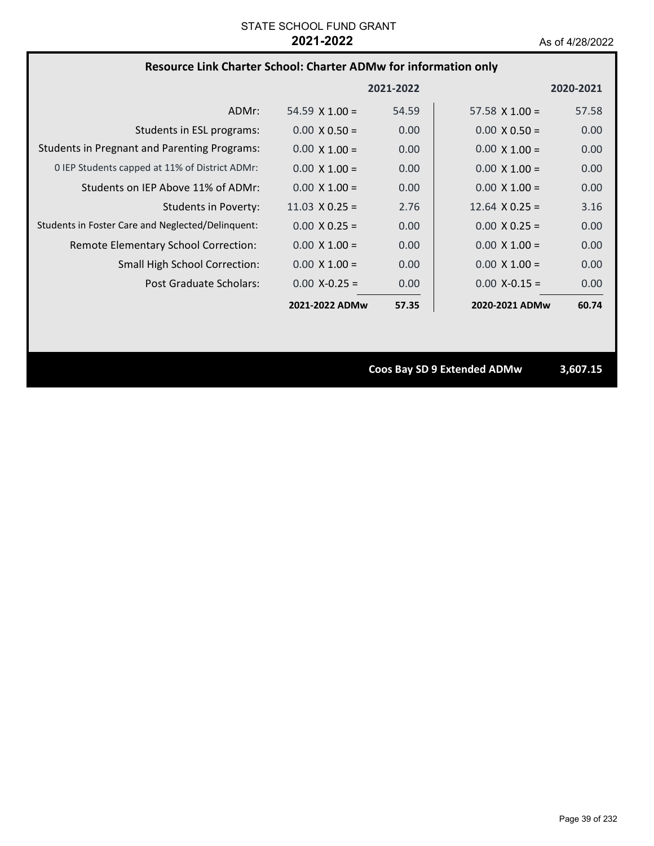### **Resource Link Charter School: Charter ADMw for information only**

|                                                     |                       | 2021-2022 |                       | 2020-2021 |
|-----------------------------------------------------|-----------------------|-----------|-----------------------|-----------|
| ADMr:                                               | 54.59 $\times$ 1.00 = | 54.59     | 57.58 $X$ 1.00 =      | 57.58     |
| Students in ESL programs:                           | $0.00 \times 0.50 =$  | 0.00      | $0.00 \times 0.50 =$  | 0.00      |
| <b>Students in Pregnant and Parenting Programs:</b> | $0.00 \times 1.00 =$  | 0.00      | $0.00 \times 1.00 =$  | 0.00      |
| 0 IEP Students capped at 11% of District ADMr:      | $0.00 \times 1.00 =$  | 0.00      | $0.00 \times 1.00 =$  | 0.00      |
| Students on IEP Above 11% of ADMr:                  | $0.00 \times 1.00 =$  | 0.00      | $0.00 \times 1.00 =$  | 0.00      |
| <b>Students in Poverty:</b>                         | $11.03 \times 0.25 =$ | 2.76      | $12.64 \times 0.25 =$ | 3.16      |
| Students in Foster Care and Neglected/Delinquent:   | $0.00 \times 0.25 =$  | 0.00      | $0.00 \times 0.25 =$  | 0.00      |
| Remote Elementary School Correction:                | $0.00 \times 1.00 =$  | 0.00      | $0.00 \times 1.00 =$  | 0.00      |
| <b>Small High School Correction:</b>                | $0.00 \times 1.00 =$  | 0.00      | $0.00 \times 1.00 =$  | 0.00      |
| Post Graduate Scholars:                             | $0.00 X - 0.25 =$     | 0.00      | $0.00$ X-0.15 =       | 0.00      |
|                                                     | 2021-2022 ADMw        | 57.35     | 2020-2021 ADMw        | 60.74     |

**Coos Bay SD 9 Extended ADMw 3,607.15**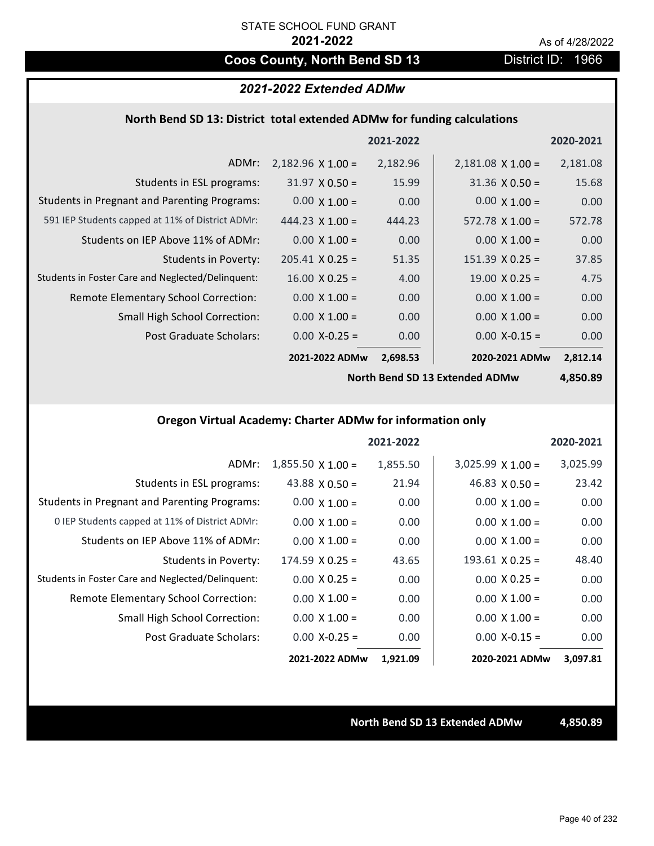# **Coos County, North Bend SD 13** District ID: 1966

### *2021-2022 Extended ADMw*

### **North Bend SD 13: District total extended ADMw for funding calculations**

|                                                     |                          | 2021-2022 |                          | 2020-2021 |
|-----------------------------------------------------|--------------------------|-----------|--------------------------|-----------|
| ADMr:                                               | $2,182.96 \times 1.00 =$ | 2,182.96  | $2,181.08 \times 1.00 =$ | 2,181.08  |
| Students in ESL programs:                           | $31.97 \times 0.50 =$    | 15.99     | $31.36 \times 0.50 =$    | 15.68     |
| <b>Students in Pregnant and Parenting Programs:</b> | $0.00 \times 1.00 =$     | 0.00      | $0.00 \times 1.00 =$     | 0.00      |
| 591 IEP Students capped at 11% of District ADMr:    | 444.23 $\times$ 1.00 =   | 444.23    | $572.78 \times 1.00 =$   | 572.78    |
| Students on IEP Above 11% of ADMr:                  | $0.00 \times 1.00 =$     | 0.00      | $0.00 \times 1.00 =$     | 0.00      |
| <b>Students in Poverty:</b>                         | $205.41 \times 0.25 =$   | 51.35     | $151.39 \times 0.25 =$   | 37.85     |
| Students in Foster Care and Neglected/Delinquent:   | $16.00 \times 0.25 =$    | 4.00      | $19.00 \times 0.25 =$    | 4.75      |
| Remote Elementary School Correction:                | $0.00 \times 1.00 =$     | 0.00      | $0.00 \times 1.00 =$     | 0.00      |
| <b>Small High School Correction:</b>                | $0.00 \times 1.00 =$     | 0.00      | $0.00 \times 1.00 =$     | 0.00      |
| Post Graduate Scholars:                             | $0.00$ X-0.25 =          | 0.00      | $0.00$ X-0.15 =          | 0.00      |
|                                                     | 2021-2022 ADMw           | 2,698.53  | 2020-2021 ADMw           | 2,812.14  |

**North Bend SD 13 Extended ADMw**

**4,850.89**

# **Oregon Virtual Academy: Charter ADMw for information only**

|                                                     |                          | 2021-2022 |                        | 2020-2021 |
|-----------------------------------------------------|--------------------------|-----------|------------------------|-----------|
| ADMr:                                               | $1,855.50 \times 1.00 =$ | 1,855.50  | $3,025.99$ X 1.00 =    | 3,025.99  |
| Students in ESL programs:                           | 43.88 $\times$ 0.50 =    | 21.94     | $46.83 \times 0.50 =$  | 23.42     |
| <b>Students in Pregnant and Parenting Programs:</b> | $0.00 \times 1.00 =$     | 0.00      | $0.00 \times 1.00 =$   | 0.00      |
| 0 IEP Students capped at 11% of District ADMr:      | $0.00 \times 1.00 =$     | 0.00      | $0.00 \times 1.00 =$   | 0.00      |
| Students on IEP Above 11% of ADMr:                  | $0.00 \times 1.00 =$     | 0.00      | $0.00 \times 1.00 =$   | 0.00      |
| <b>Students in Poverty:</b>                         | $174.59 \times 0.25 =$   | 43.65     | $193.61 \times 0.25 =$ | 48.40     |
| Students in Foster Care and Neglected/Delinquent:   | $0.00 \times 0.25 =$     | 0.00      | $0.00 \times 0.25 =$   | 0.00      |
| Remote Elementary School Correction:                | $0.00 \times 1.00 =$     | 0.00      | $0.00 \times 1.00 =$   | 0.00      |
| <b>Small High School Correction:</b>                | $0.00 \times 1.00 =$     | 0.00      | $0.00 \times 1.00 =$   | 0.00      |
| Post Graduate Scholars:                             | $0.00$ X-0.25 =          | 0.00      | $0.00$ X-0.15 =        | 0.00      |
|                                                     | 2021-2022 ADMw           | 1,921.09  | 2020-2021 ADMw         | 3,097.81  |

### **North Bend SD 13 Extended ADMw 4,850.89**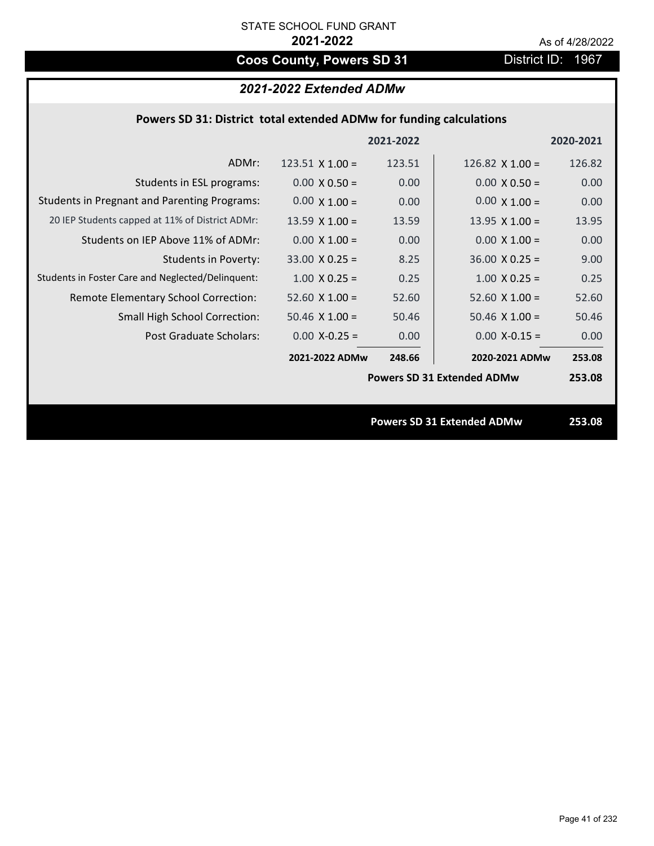# **Coos County, Powers SD 31** District ID: 1967

# *2021-2022 Extended ADMw*

|                                                     |                        | 2021-2022 |                                   | 2020-2021 |
|-----------------------------------------------------|------------------------|-----------|-----------------------------------|-----------|
| ADMr:                                               | $123.51 \times 1.00 =$ | 123.51    | 126.82 $\times$ 1.00 =            | 126.82    |
| Students in ESL programs:                           | $0.00 \times 0.50 =$   | 0.00      | $0.00 \times 0.50 =$              | 0.00      |
| <b>Students in Pregnant and Parenting Programs:</b> | $0.00 \times 1.00 =$   | 0.00      | $0.00 \times 1.00 =$              | 0.00      |
| 20 IEP Students capped at 11% of District ADMr:     | 13.59 $X$ 1.00 =       | 13.59     | 13.95 $X$ 1.00 =                  | 13.95     |
| Students on IEP Above 11% of ADMr:                  | $0.00 \times 1.00 =$   | 0.00      | $0.00 \times 1.00 =$              | 0.00      |
| Students in Poverty:                                | $33.00 \times 0.25 =$  | 8.25      | $36.00 \times 0.25 =$             | 9.00      |
| Students in Foster Care and Neglected/Delinquent:   | $1.00 \times 0.25 =$   | 0.25      | $1.00 \times 0.25 =$              | 0.25      |
| Remote Elementary School Correction:                | 52.60 $\times$ 1.00 =  | 52.60     | $52.60$ X $1.00 =$                | 52.60     |
| <b>Small High School Correction:</b>                | $50.46 \times 1.00 =$  | 50.46     | $50.46 \times 1.00 =$             | 50.46     |
| Post Graduate Scholars:                             | $0.00$ X-0.25 =        | 0.00      | $0.00$ X-0.15 =                   | 0.00      |
|                                                     | 2021-2022 ADMw         | 248.66    | 2020-2021 ADMw                    | 253.08    |
|                                                     |                        |           | <b>Powers SD 31 Extended ADMw</b> | 253.08    |
|                                                     |                        |           |                                   |           |
|                                                     |                        |           | <b>Powers SD 31 Extended ADMw</b> | 253.08    |
|                                                     |                        |           |                                   |           |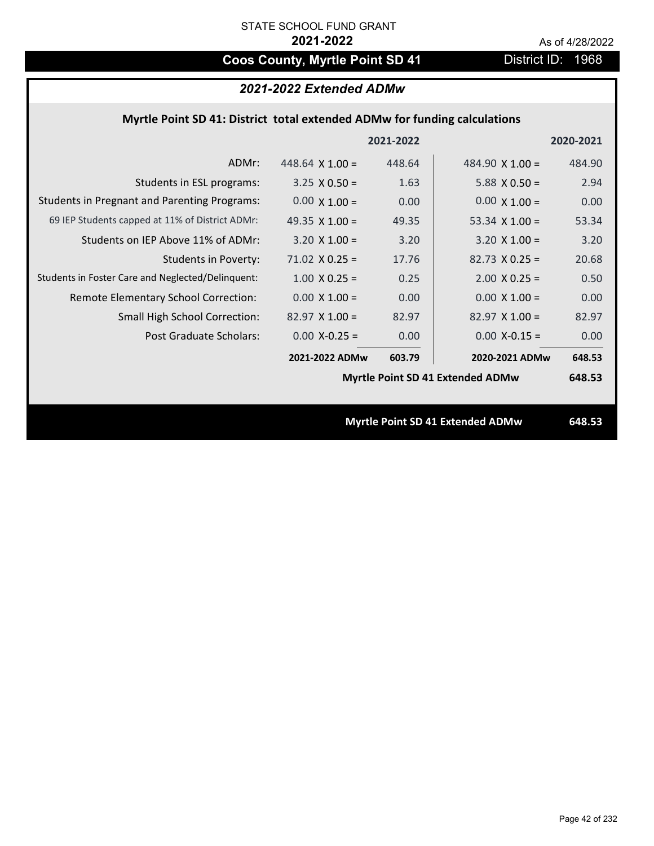# Coos County, Myrtle Point SD 41 District ID: 1968

## *2021-2022 Extended ADMw*

## **Myrtle Point SD 41: District total extended ADMw for funding calculations**

|                                                     |                        | 2021-2022 |                                         | 2020-2021 |
|-----------------------------------------------------|------------------------|-----------|-----------------------------------------|-----------|
| ADMr:                                               | 448.64 $\times$ 1.00 = | 448.64    | 484.90 $\times$ 1.00 =                  | 484.90    |
| Students in ESL programs:                           | $3.25 \times 0.50 =$   | 1.63      | $5.88 \times 0.50 =$                    | 2.94      |
| <b>Students in Pregnant and Parenting Programs:</b> | $0.00 \times 1.00 =$   | 0.00      | $0.00 \times 1.00 =$                    | 0.00      |
| 69 IEP Students capped at 11% of District ADMr:     | 49.35 $\times$ 1.00 =  | 49.35     | 53.34 $X$ 1.00 =                        | 53.34     |
| Students on IEP Above 11% of ADMr:                  | $3.20 \times 1.00 =$   | 3.20      | $3.20 \times 1.00 =$                    | 3.20      |
| <b>Students in Poverty:</b>                         | $71.02 \times 0.25 =$  | 17.76     | $82.73 \times 0.25 =$                   | 20.68     |
| Students in Foster Care and Neglected/Delinquent:   | $1.00 \times 0.25 =$   | 0.25      | $2.00 X 0.25 =$                         | 0.50      |
| Remote Elementary School Correction:                | $0.00 \times 1.00 =$   | 0.00      | $0.00 \times 1.00 =$                    | 0.00      |
| <b>Small High School Correction:</b>                | $82.97 \times 1.00 =$  | 82.97     | $82.97$ X 1.00 =                        | 82.97     |
| Post Graduate Scholars:                             | $0.00$ X-0.25 =        | 0.00      | $0.00$ X-0.15 =                         | 0.00      |
|                                                     | 2021-2022 ADMw         | 603.79    | 2020-2021 ADMw                          | 648.53    |
|                                                     |                        |           | <b>Myrtle Point SD 41 Extended ADMw</b> | 648.53    |
|                                                     |                        |           |                                         |           |
|                                                     |                        |           | <b>Myrtle Point SD 41 Extended ADMw</b> | 648.53    |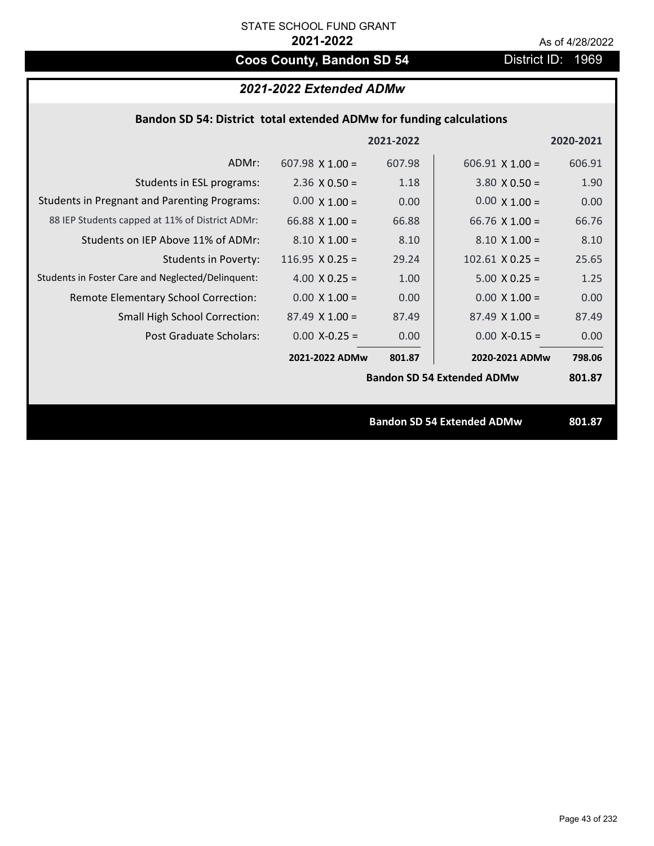# **Coos County, Bandon SD 54** District ID: 1969

# *2021-2022 Extended ADMw*

|                                                     |                        | 2021-2022 |                                   | 2020-2021 |
|-----------------------------------------------------|------------------------|-----------|-----------------------------------|-----------|
| ADMr:                                               | $607.98 \times 1.00 =$ | 607.98    | $606.91$ X 1.00 =                 | 606.91    |
| Students in ESL programs:                           | $2.36 \times 0.50 =$   | 1.18      | $3.80 \times 0.50 =$              | 1.90      |
| <b>Students in Pregnant and Parenting Programs:</b> | $0.00 \times 1.00 =$   | 0.00      | $0.00 \times 1.00 =$              | 0.00      |
| 88 IEP Students capped at 11% of District ADMr:     | 66.88 $\times$ 1.00 =  | 66.88     | 66.76 $\times$ 1.00 =             | 66.76     |
| Students on IEP Above 11% of ADMr:                  | $8.10 \times 1.00 =$   | 8.10      | $8.10 \times 1.00 =$              | 8.10      |
| <b>Students in Poverty:</b>                         | $116.95 \times 0.25 =$ | 29.24     | $102.61$ X 0.25 =                 | 25.65     |
| Students in Foster Care and Neglected/Delinquent:   | 4.00 $X$ 0.25 =        | 1.00      | $5.00 \times 0.25 =$              | 1.25      |
| Remote Elementary School Correction:                | $0.00 \times 1.00 =$   | 0.00      | $0.00 \times 1.00 =$              | 0.00      |
| <b>Small High School Correction:</b>                | $87.49 \times 1.00 =$  | 87.49     | $87.49 \times 1.00 =$             | 87.49     |
| Post Graduate Scholars:                             | $0.00$ X-0.25 =        | 0.00      | $0.00$ X-0.15 =                   | 0.00      |
|                                                     | 2021-2022 ADMw         | 801.87    | 2020-2021 ADMw                    | 798.06    |
|                                                     |                        |           | <b>Bandon SD 54 Extended ADMw</b> | 801.87    |
|                                                     |                        |           |                                   |           |
|                                                     |                        |           | <b>Bandon SD 54 Extended ADMw</b> | 801.87    |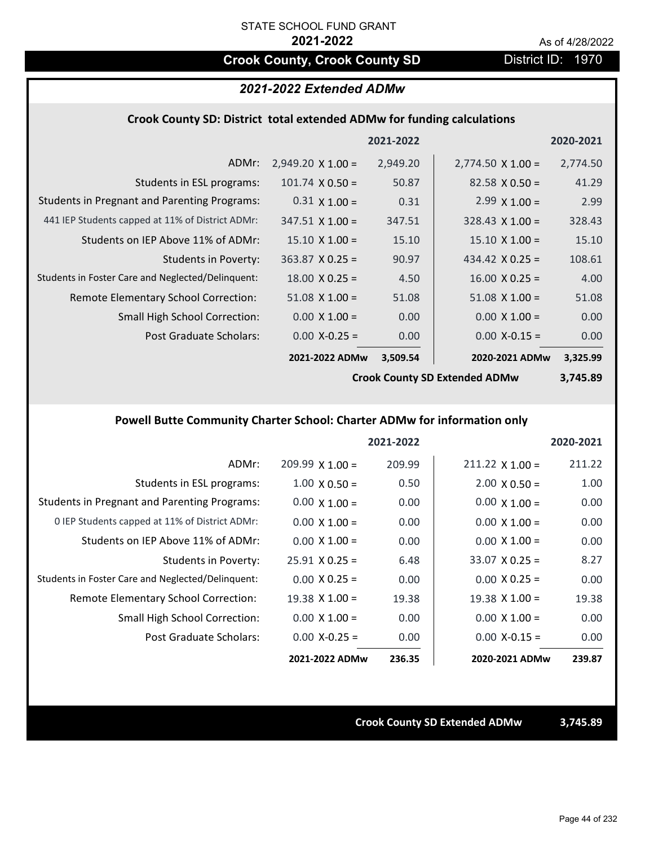# **Crook County, Crook County SD District ID: 1970**

### *2021-2022 Extended ADMw*

### **Crook County SD: District total extended ADMw for funding calculations**

|                                                     |                          | 2021-2022 |                          | 2020-2021 |
|-----------------------------------------------------|--------------------------|-----------|--------------------------|-----------|
| ADMr:                                               | $2,949.20 \times 1.00 =$ | 2,949.20  | $2,774.50 \times 1.00 =$ | 2,774.50  |
| Students in ESL programs:                           | $101.74 \times 0.50 =$   | 50.87     | $82.58 \times 0.50 =$    | 41.29     |
| <b>Students in Pregnant and Parenting Programs:</b> | $0.31 \times 1.00 =$     | 0.31      | $2.99 \times 1.00 =$     | 2.99      |
| 441 IEP Students capped at 11% of District ADMr:    | $347.51 \times 1.00 =$   | 347.51    | $328.43 \times 1.00 =$   | 328.43    |
| Students on IEP Above 11% of ADMr:                  | $15.10 \times 1.00 =$    | 15.10     | $15.10 \times 1.00 =$    | 15.10     |
| <b>Students in Poverty:</b>                         | $363.87$ X 0.25 =        | 90.97     | 434.42 $X$ 0.25 =        | 108.61    |
| Students in Foster Care and Neglected/Delinquent:   | $18.00 \times 0.25 =$    | 4.50      | $16.00 \times 0.25 =$    | 4.00      |
| Remote Elementary School Correction:                | $51.08 \times 1.00 =$    | 51.08     | $51.08 \times 1.00 =$    | 51.08     |
| <b>Small High School Correction:</b>                | $0.00 \times 1.00 =$     | 0.00      | $0.00 \times 1.00 =$     | 0.00      |
| Post Graduate Scholars:                             | $0.00$ X-0.25 =          | 0.00      | $0.00$ X-0.15 =          | 0.00      |
|                                                     | 2021-2022 ADMw           | 3,509.54  | 2020-2021 ADMw           | 3,325.99  |

**Crook County SD Extended ADMw**

**3,745.89**

## **Powell Butte Community Charter School: Charter ADMw for information only**

|                                                     |                        | 2021-2022 |                        | 2020-2021 |
|-----------------------------------------------------|------------------------|-----------|------------------------|-----------|
| ADMr:                                               | $209.99 \times 1.00 =$ | 209.99    | $211.22 \times 1.00 =$ | 211.22    |
| Students in ESL programs:                           | $1.00 \times 0.50 =$   | 0.50      | $2.00 \times 0.50 =$   | 1.00      |
| <b>Students in Pregnant and Parenting Programs:</b> | $0.00 \times 1.00 =$   | 0.00      | $0.00 \times 1.00 =$   | 0.00      |
| 0 IEP Students capped at 11% of District ADMr:      | $0.00 \times 1.00 =$   | 0.00      | $0.00 \times 1.00 =$   | 0.00      |
| Students on IEP Above 11% of ADMr:                  | $0.00 \times 1.00 =$   | 0.00      | $0.00 \times 1.00 =$   | 0.00      |
| Students in Poverty:                                | $25.91 \times 0.25 =$  | 6.48      | $33.07 \times 0.25 =$  | 8.27      |
| Students in Foster Care and Neglected/Delinquent:   | $0.00 \times 0.25 =$   | 0.00      | $0.00 \times 0.25 =$   | 0.00      |
| Remote Elementary School Correction:                | $19.38 \times 1.00 =$  | 19.38     | $19.38 \times 1.00 =$  | 19.38     |
| <b>Small High School Correction:</b>                | $0.00 \times 1.00 =$   | 0.00      | $0.00 \times 1.00 =$   | 0.00      |
| Post Graduate Scholars:                             | $0.00$ X-0.25 =        | 0.00      | $0.00 X - 0.15 =$      | 0.00      |
|                                                     | 2021-2022 ADMw         | 236.35    | 2020-2021 ADMw         | 239.87    |

**Crook County SD Extended ADMw 3,745.89**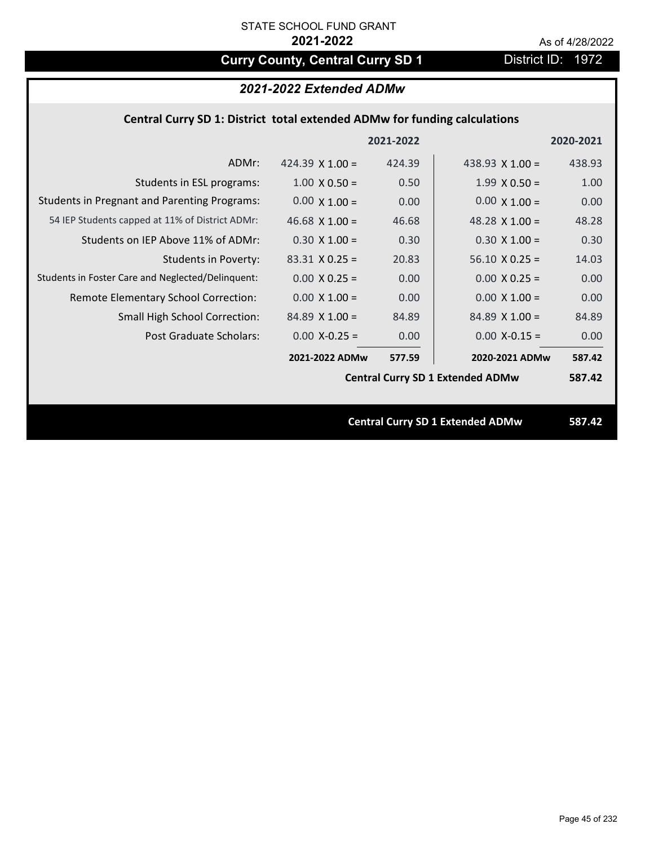# **Curry County, Central Curry SD 1** District ID: 1972

## *2021-2022 Extended ADMw*

## **Central Curry SD 1: District total extended ADMw for funding calculations**

|                                                     |                       | 2021-2022 |                                         | 2020-2021 |
|-----------------------------------------------------|-----------------------|-----------|-----------------------------------------|-----------|
| ADMr:                                               | 424.39 $X$ 1.00 =     | 424.39    | 438.93 $X$ 1.00 =                       | 438.93    |
| Students in ESL programs:                           | $1.00 \times 0.50 =$  | 0.50      | $1.99 \times 0.50 =$                    | 1.00      |
| <b>Students in Pregnant and Parenting Programs:</b> | $0.00 \times 1.00 =$  | 0.00      | $0.00 \times 1.00 =$                    | 0.00      |
| 54 IEP Students capped at 11% of District ADMr:     | 46.68 $\times$ 1.00 = | 46.68     | 48.28 $\times$ 1.00 =                   | 48.28     |
| Students on IEP Above 11% of ADMr:                  | $0.30 \times 1.00 =$  | 0.30      | $0.30 \times 1.00 =$                    | 0.30      |
| <b>Students in Poverty:</b>                         | $83.31$ X 0.25 =      | 20.83     | $56.10 \times 0.25 =$                   | 14.03     |
| Students in Foster Care and Neglected/Delinquent:   | $0.00 \times 0.25 =$  | 0.00      | $0.00 X 0.25 =$                         | 0.00      |
| Remote Elementary School Correction:                | $0.00 \times 1.00 =$  | 0.00      | $0.00 \times 1.00 =$                    | 0.00      |
| <b>Small High School Correction:</b>                | $84.89 \times 1.00 =$ | 84.89     | $84.89$ X 1.00 =                        | 84.89     |
| Post Graduate Scholars:                             | $0.00$ X-0.25 =       | 0.00      | $0.00$ X-0.15 =                         | 0.00      |
|                                                     | 2021-2022 ADMw        | 577.59    | 2020-2021 ADMw                          | 587.42    |
|                                                     |                       |           | <b>Central Curry SD 1 Extended ADMw</b> | 587.42    |
|                                                     |                       |           |                                         |           |
|                                                     |                       |           | <b>Central Curry SD 1 Extended ADMw</b> | 587.42    |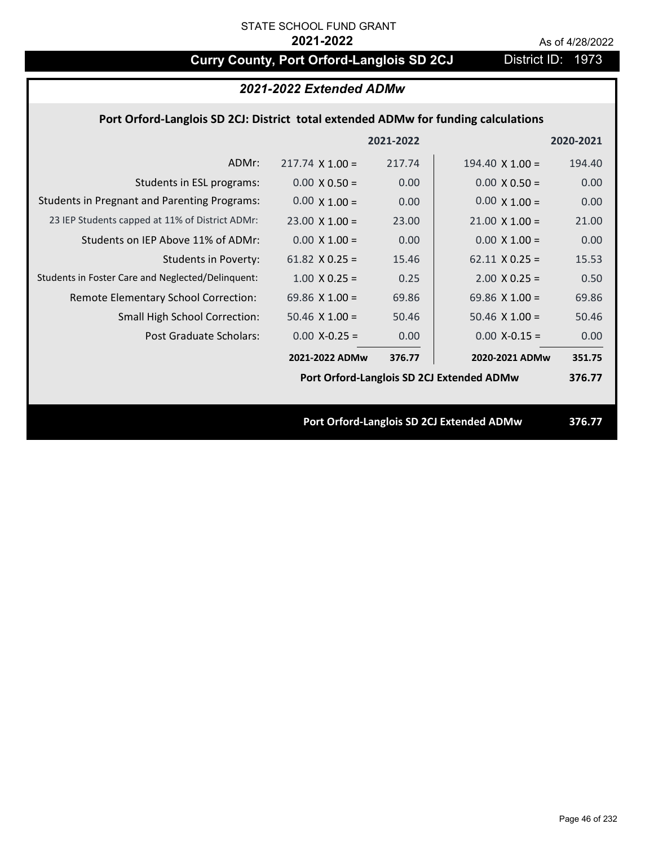# **Curry County, Port Orford-Langlois SD 2CJ** District ID: 1973

# *2021-2022 Extended ADMw*

## **Port Orford‐Langlois SD 2CJ: District total extended ADMw for funding calculations**

|                                                     |                        | 2021-2022 |                                           | 2020-2021 |
|-----------------------------------------------------|------------------------|-----------|-------------------------------------------|-----------|
| ADMr:                                               | $217.74 \times 1.00 =$ | 217.74    | 194.40 $\times$ 1.00 =                    | 194.40    |
| Students in ESL programs:                           | $0.00 \times 0.50 =$   | 0.00      | $0.00 \times 0.50 =$                      | 0.00      |
| <b>Students in Pregnant and Parenting Programs:</b> | $0.00 \times 1.00 =$   | 0.00      | $0.00 \times 1.00 =$                      | 0.00      |
| 23 IEP Students capped at 11% of District ADMr:     | $23.00 \times 1.00 =$  | 23.00     | $21.00 \times 1.00 =$                     | 21.00     |
| Students on IEP Above 11% of ADMr:                  | $0.00 \times 1.00 =$   | 0.00      | $0.00 \times 1.00 =$                      | 0.00      |
| <b>Students in Poverty:</b>                         | 61.82 $X$ 0.25 =       | 15.46     | $62.11 \times 0.25 =$                     | 15.53     |
| Students in Foster Care and Neglected/Delinquent:   | $1.00 \times 0.25 =$   | 0.25      | $2.00 \times 0.25 =$                      | 0.50      |
| Remote Elementary School Correction:                | 69.86 $\times$ 1.00 =  | 69.86     | 69.86 $X$ 1.00 =                          | 69.86     |
| <b>Small High School Correction:</b>                | $50.46 \times 1.00 =$  | 50.46     | $50.46 \times 1.00 =$                     | 50.46     |
| Post Graduate Scholars:                             | $0.00$ X-0.25 =        | 0.00      | $0.00$ X-0.15 =                           | 0.00      |
|                                                     | 2021-2022 ADMw         | 376.77    | 2020-2021 ADMw                            | 351.75    |
|                                                     |                        |           | Port Orford-Langlois SD 2CJ Extended ADMw | 376.77    |
|                                                     |                        |           |                                           |           |
|                                                     |                        |           | Port Orford-Langlois SD 2CJ Extended ADMw | 376.77    |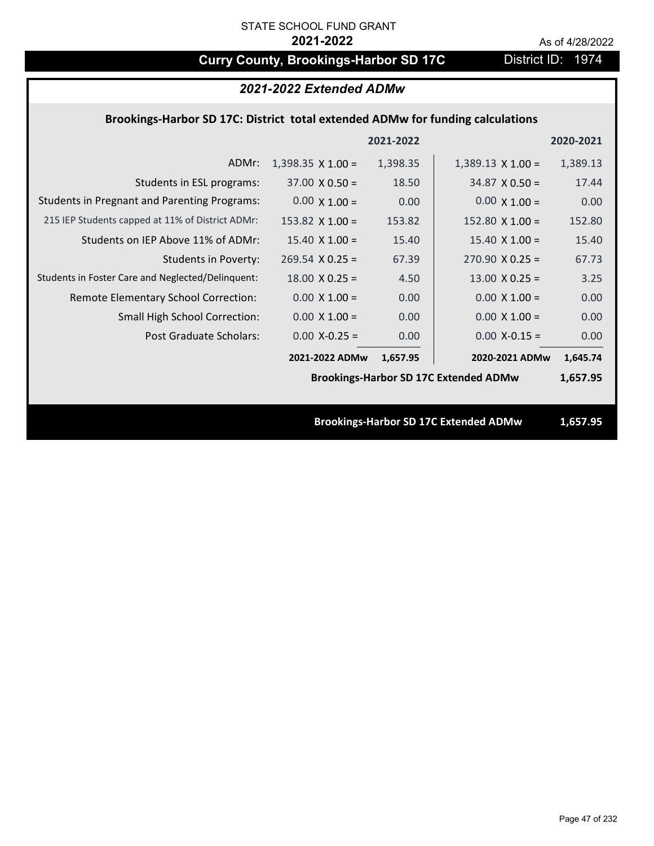# **Curry County, Brookings-Harbor SD 17C** District ID: 1974

| 2021-2022 Extended ADMw                                                        |                          |           |                                              |           |
|--------------------------------------------------------------------------------|--------------------------|-----------|----------------------------------------------|-----------|
| Brookings-Harbor SD 17C: District total extended ADMw for funding calculations |                          |           |                                              |           |
|                                                                                |                          | 2021-2022 |                                              | 2020-2021 |
| ADMr:                                                                          | $1,398.35 \times 1.00 =$ | 1,398.35  | $1,389.13 \times 1.00 =$                     | 1,389.13  |
| Students in ESL programs:                                                      | $37.00 \times 0.50 =$    | 18.50     | $34.87 \times 0.50 =$                        | 17.44     |
| <b>Students in Pregnant and Parenting Programs:</b>                            | $0.00 \times 1.00 =$     | 0.00      | $0.00 \times 1.00 =$                         | 0.00      |
| 215 IEP Students capped at 11% of District ADMr:                               | $153.82 \times 1.00 =$   | 153.82    | 152.80 $\times$ 1.00 =                       | 152.80    |
| Students on IEP Above 11% of ADMr:                                             | $15.40 \times 1.00 =$    | 15.40     | $15.40 \times 1.00 =$                        | 15.40     |
| <b>Students in Poverty:</b>                                                    | $269.54$ X 0.25 =        | 67.39     | $270.90 \times 0.25 =$                       | 67.73     |
| Students in Foster Care and Neglected/Delinquent:                              | $18.00 \times 0.25 =$    | 4.50      | $13.00 \times 0.25 =$                        | 3.25      |
| Remote Elementary School Correction:                                           | $0.00 \times 1.00 =$     | 0.00      | $0.00 \times 1.00 =$                         | 0.00      |
| Small High School Correction:                                                  | $0.00 \times 1.00 =$     | 0.00      | $0.00 \times 1.00 =$                         | 0.00      |
| Post Graduate Scholars:                                                        | $0.00$ X-0.25 =          | 0.00      | $0.00$ X-0.15 =                              | 0.00      |
|                                                                                | 2021-2022 ADMw           | 1,657.95  | 2020-2021 ADMw                               | 1,645.74  |
|                                                                                |                          |           | <b>Brookings-Harbor SD 17C Extended ADMw</b> | 1,657.95  |
|                                                                                |                          |           |                                              |           |
|                                                                                |                          |           | <b>Brookings-Harbor SD 17C Extended ADMw</b> | 1.657.95  |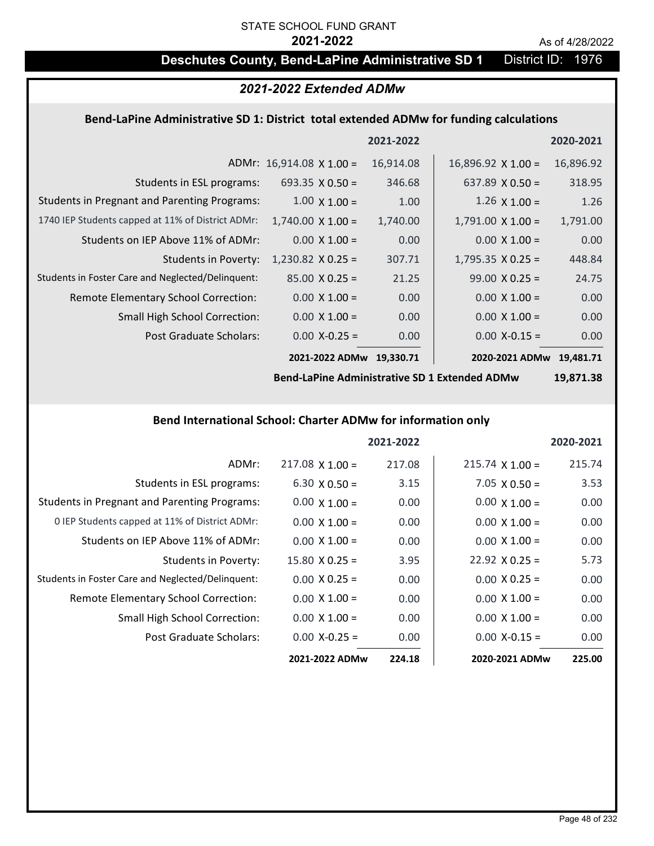# STATE SCHOOL FUND GRANT

### **2021-2022** As of 4/28/2022

# **Deschutes County, Bend-LaPine Administrative SD 1** District ID: 1976

## *2021-2022 Extended ADMw*

### **Bend‐LaPine Administrative SD 1: District total extended ADMw for funding calculations**

|                                                     |                                 | 2021-2022 |                           | 2020-2021 |
|-----------------------------------------------------|---------------------------------|-----------|---------------------------|-----------|
|                                                     | ADMr: $16,914.08 \times 1.00 =$ | 16,914.08 | $16,896.92 \times 1.00 =$ | 16,896.92 |
| Students in ESL programs:                           | 693.35 $\times$ 0.50 =          | 346.68    | 637.89 $\times$ 0.50 =    | 318.95    |
| <b>Students in Pregnant and Parenting Programs:</b> | $1.00 \times 1.00 =$            | 1.00      | 1.26 $\times$ 1.00 =      | 1.26      |
| 1740 IEP Students capped at 11% of District ADMr:   | $1,740.00 \times 1.00 =$        | 1,740.00  | $1,791.00 \times 1.00 =$  | 1,791.00  |
| Students on IEP Above 11% of ADMr:                  | $0.00 \times 1.00 =$            | 0.00      | $0.00 \times 1.00 =$      | 0.00      |
| <b>Students in Poverty:</b>                         | $1,230.82$ X 0.25 =             | 307.71    | $1,795.35 \times 0.25 =$  | 448.84    |
| Students in Foster Care and Neglected/Delinquent:   | $85.00 \times 0.25 =$           | 21.25     | $99.00 \times 0.25 =$     | 24.75     |
| Remote Elementary School Correction:                | $0.00 \times 1.00 =$            | 0.00      | $0.00 \times 1.00 =$      | 0.00      |
| <b>Small High School Correction:</b>                | $0.00 \times 1.00 =$            | 0.00      | $0.00 \times 1.00 =$      | 0.00      |
| Post Graduate Scholars:                             | $0.00$ X-0.25 =                 | 0.00      | $0.00$ X-0.15 =           | 0.00      |
|                                                     | 2021-2022 ADMw                  | 19.330.71 | 2020-2021 ADMw 19,481.71  |           |

**Bend‐LaPine Administrative SD 1 Extended ADMw**

**19,871.38**

### **Bend International School: Charter ADMw for information only**

|                                                     |                       | 2021-2022 |                        | 2020-2021 |
|-----------------------------------------------------|-----------------------|-----------|------------------------|-----------|
| ADMr:                                               | $217.08$ X 1.00 =     | 217.08    | $215.74 \times 1.00 =$ | 215.74    |
| Students in ESL programs:                           | $6.30 \times 0.50 =$  | 3.15      | $7.05 \times 0.50 =$   | 3.53      |
| <b>Students in Pregnant and Parenting Programs:</b> | $0.00 \times 1.00 =$  | 0.00      | $0.00 \times 1.00 =$   | 0.00      |
| 0 IEP Students capped at 11% of District ADMr:      | $0.00 \times 1.00 =$  | 0.00      | $0.00 \times 1.00 =$   | 0.00      |
| Students on IEP Above 11% of ADMr:                  | $0.00 \times 1.00 =$  | 0.00      | $0.00 \times 1.00 =$   | 0.00      |
| Students in Poverty:                                | $15.80 \times 0.25 =$ | 3.95      | $22.92 \times 0.25 =$  | 5.73      |
| Students in Foster Care and Neglected/Delinquent:   | $0.00 \times 0.25 =$  | 0.00      | $0.00 \times 0.25 =$   | 0.00      |
| Remote Elementary School Correction:                | $0.00 \times 1.00 =$  | 0.00      | $0.00 \times 1.00 =$   | 0.00      |
| <b>Small High School Correction:</b>                | $0.00 \times 1.00 =$  | 0.00      | $0.00 \times 1.00 =$   | 0.00      |
| Post Graduate Scholars:                             | $0.00 X - 0.25 =$     | 0.00      | $0.00 X-0.15 =$        | 0.00      |
|                                                     | 2021-2022 ADMw        | 224.18    | 2020-2021 ADMw         | 225.00    |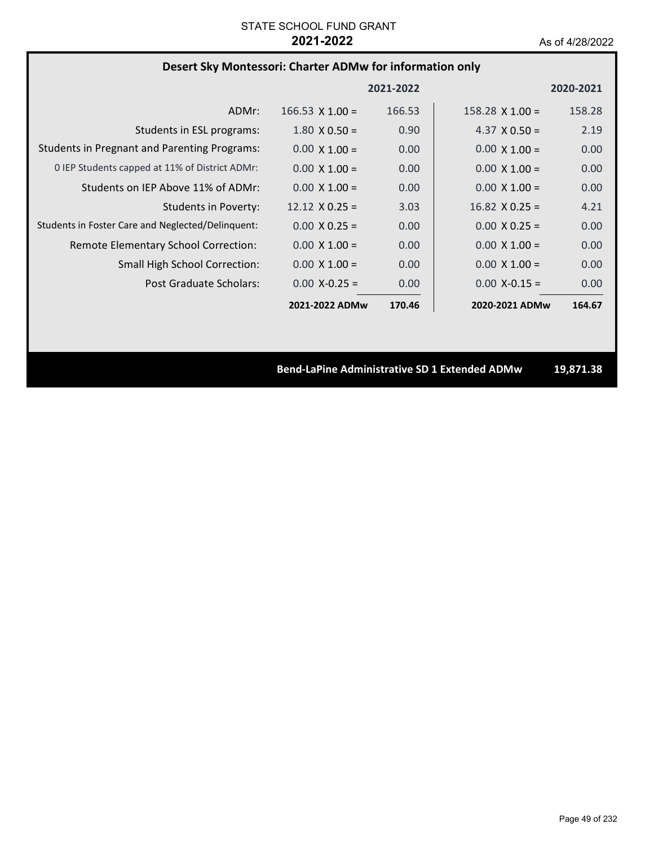# **Desert Sky Montessori: Charter ADMw for information only**

|                                                     |                        | 2021-2022 |                        | 2020-2021 |
|-----------------------------------------------------|------------------------|-----------|------------------------|-----------|
| ADMr:                                               | $166.53 \times 1.00 =$ | 166.53    | $158.28 \times 1.00 =$ | 158.28    |
| Students in ESL programs:                           | $1.80 \times 0.50 =$   | 0.90      | 4.37 $\times$ 0.50 =   | 2.19      |
| <b>Students in Pregnant and Parenting Programs:</b> | $0.00 \times 1.00 =$   | 0.00      | $0.00 \times 1.00 =$   | 0.00      |
| 0 IEP Students capped at 11% of District ADMr:      | $0.00 \times 1.00 =$   | 0.00      | $0.00 \times 1.00 =$   | 0.00      |
| Students on IEP Above 11% of ADMr:                  | $0.00 \times 1.00 =$   | 0.00      | $0.00 \times 1.00 =$   | 0.00      |
| <b>Students in Poverty:</b>                         | $12.12 \times 0.25 =$  | 3.03      | $16.82 \times 0.25 =$  | 4.21      |
| Students in Foster Care and Neglected/Delinquent:   | $0.00 \times 0.25 =$   | 0.00      | $0.00 \times 0.25 =$   | 0.00      |
| Remote Elementary School Correction:                | $0.00 \times 1.00 =$   | 0.00      | $0.00 \times 1.00 =$   | 0.00      |
| <b>Small High School Correction:</b>                | $0.00 \times 1.00 =$   | 0.00      | $0.00 \times 1.00 =$   | 0.00      |
| Post Graduate Scholars:                             | $0.00 X - 0.25 =$      | 0.00      | $0.00 X - 0.15 =$      | 0.00      |
|                                                     | 2021-2022 ADMw         | 170.46    | 2020-2021 ADMw         | 164.67    |

**Bend‐LaPine Administrative SD 1 Extended ADMw 19,871.38**

Page 49 of 232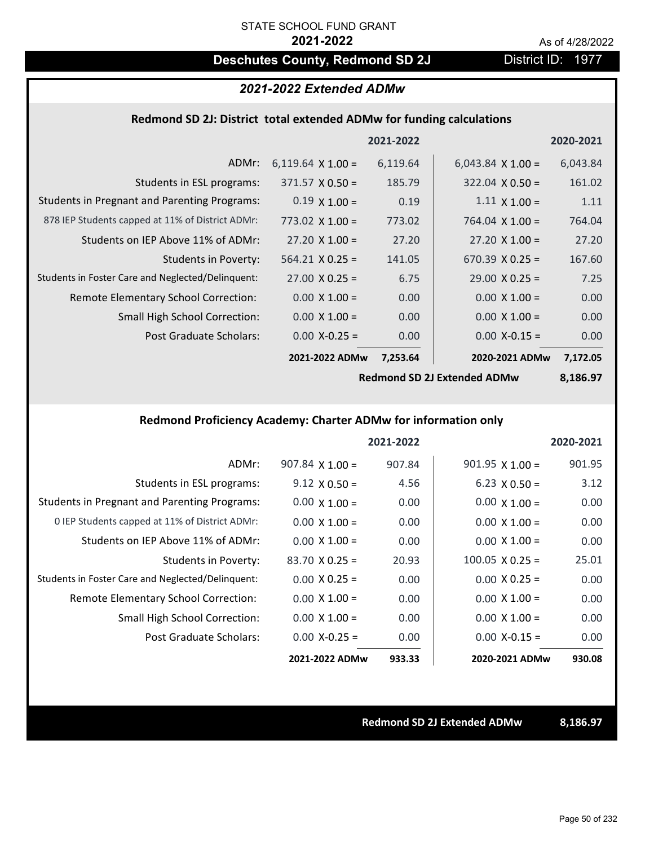# **Deschutes County, Redmond SD 2J** District ID: 1977

## *2021-2022 Extended ADMw*

### **Redmond SD 2J: District total extended ADMw for funding calculations**

|                                                     |                          | 2021-2022 |                          | 2020-2021 |
|-----------------------------------------------------|--------------------------|-----------|--------------------------|-----------|
| ADMr:                                               | 6,119.64 $\times$ 1.00 = | 6,119.64  | 6,043.84 $\times$ 1.00 = | 6,043.84  |
| Students in ESL programs:                           | $371.57 \times 0.50 =$   | 185.79    | $322.04 \times 0.50 =$   | 161.02    |
| <b>Students in Pregnant and Parenting Programs:</b> | $0.19 \times 1.00 =$     | 0.19      | $1.11 \times 1.00 =$     | 1.11      |
| 878 IEP Students capped at 11% of District ADMr:    | 773.02 $\times$ 1.00 =   | 773.02    | 764.04 $\times$ 1.00 =   | 764.04    |
| Students on IEP Above 11% of ADMr:                  | $27.20 \times 1.00 =$    | 27.20     | $27.20 \times 1.00 =$    | 27.20     |
| Students in Poverty:                                | $564.21$ X 0.25 =        | 141.05    | $670.39 \times 0.25 =$   | 167.60    |
| Students in Foster Care and Neglected/Delinquent:   | $27.00 \times 0.25 =$    | 6.75      | $29.00 \times 0.25 =$    | 7.25      |
| Remote Elementary School Correction:                | $0.00 \times 1.00 =$     | 0.00      | $0.00 \times 1.00 =$     | 0.00      |
| <b>Small High School Correction:</b>                | $0.00 \times 1.00 =$     | 0.00      | $0.00 \times 1.00 =$     | 0.00      |
| Post Graduate Scholars:                             | $0.00$ X-0.25 =          | 0.00      | $0.00$ X-0.15 =          | 0.00      |
|                                                     | 2021-2022 ADMw           | 7,253.64  | 2020-2021 ADMw           | 7,172.05  |

**Redmond SD 2J Extended ADMw**

**8,186.97**

## **Redmond Proficiency Academy: Charter ADMw for information only**

|                                                     |                        | 2021-2022 |                        | 2020-2021 |
|-----------------------------------------------------|------------------------|-----------|------------------------|-----------|
| ADMr:                                               | $907.84 \times 1.00 =$ | 907.84    | $901.95 \times 1.00 =$ | 901.95    |
| Students in ESL programs:                           | $9.12 \times 0.50 =$   | 4.56      | $6.23 \times 0.50 =$   | 3.12      |
| <b>Students in Pregnant and Parenting Programs:</b> | $0.00 \times 1.00 =$   | 0.00      | $0.00 \times 1.00 =$   | 0.00      |
| 0 IEP Students capped at 11% of District ADMr:      | $0.00 \times 1.00 =$   | 0.00      | $0.00 \times 1.00 =$   | 0.00      |
| Students on IEP Above 11% of ADMr:                  | $0.00 \times 1.00 =$   | 0.00      | $0.00 \times 1.00 =$   | 0.00      |
| Students in Poverty:                                | $83.70 \times 0.25 =$  | 20.93     | $100.05 \times 0.25 =$ | 25.01     |
| Students in Foster Care and Neglected/Delinquent:   | $0.00 \times 0.25 =$   | 0.00      | $0.00 \times 0.25 =$   | 0.00      |
| Remote Elementary School Correction:                | $0.00 \times 1.00 =$   | 0.00      | $0.00 \times 1.00 =$   | 0.00      |
| <b>Small High School Correction:</b>                | $0.00 \times 1.00 =$   | 0.00      | $0.00 \times 1.00 =$   | 0.00      |
| Post Graduate Scholars:                             | $0.00$ X-0.25 =        | 0.00      | $0.00 X-0.15 =$        | 0.00      |
|                                                     | 2021-2022 ADMw         | 933.33    | 2020-2021 ADMw         | 930.08    |

**Redmond SD 2J Extended ADMw 8,186.97**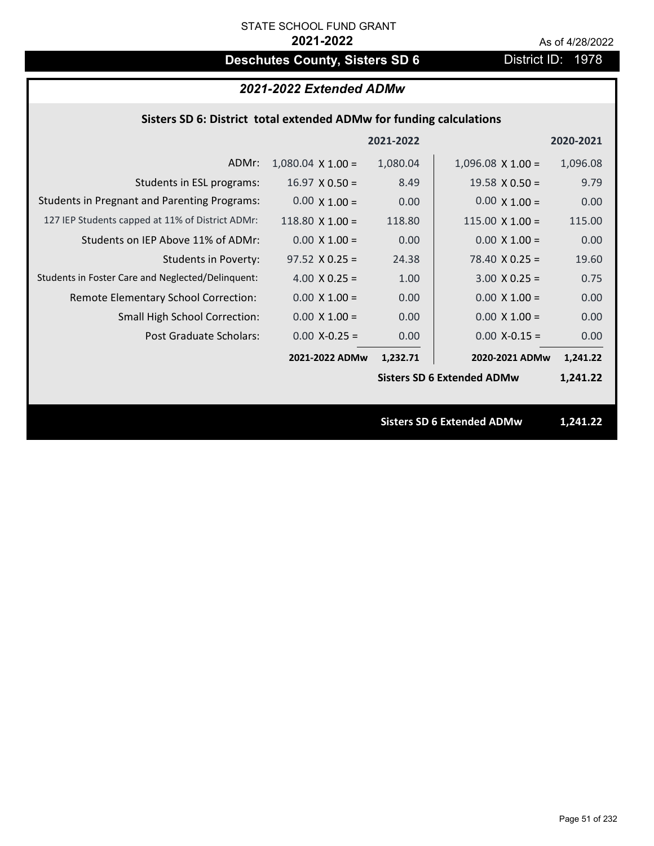# **Deschutes County, Sisters SD 6** District ID: 1978

| 2021-2022 Extended ADMw                                             |                          |           |                                   |           |
|---------------------------------------------------------------------|--------------------------|-----------|-----------------------------------|-----------|
| Sisters SD 6: District total extended ADMw for funding calculations |                          |           |                                   |           |
|                                                                     |                          | 2021-2022 |                                   | 2020-2021 |
| ADMr:                                                               | $1,080.04 \times 1.00 =$ | 1,080.04  | $1,096.08$ X $1.00 =$             | 1,096.08  |
| Students in ESL programs:                                           | $16.97 \times 0.50 =$    | 8.49      | $19.58 \times 0.50 =$             | 9.79      |
| <b>Students in Pregnant and Parenting Programs:</b>                 | $0.00 \times 1.00 =$     | 0.00      | $0.00 \times 1.00 =$              | 0.00      |
| 127 IEP Students capped at 11% of District ADMr:                    | $118.80 \times 1.00 =$   | 118.80    | $115.00 \times 1.00 =$            | 115.00    |
| Students on IEP Above 11% of ADMr:                                  | $0.00 \times 1.00 =$     | 0.00      | $0.00 X 1.00 =$                   | 0.00      |
| <b>Students in Poverty:</b>                                         | $97.52 \times 0.25 =$    | 24.38     | $78.40 \times 0.25 =$             | 19.60     |
| Students in Foster Care and Neglected/Delinquent:                   | 4.00 $X$ 0.25 =          | 1.00      | $3.00 X 0.25 =$                   | 0.75      |
| Remote Elementary School Correction:                                | $0.00 \times 1.00 =$     | 0.00      | $0.00 \times 1.00 =$              | 0.00      |
| <b>Small High School Correction:</b>                                | $0.00 \times 1.00 =$     | 0.00      | $0.00 \times 1.00 =$              | 0.00      |
| Post Graduate Scholars:                                             | $0.00$ X-0.25 =          | 0.00      | $0.00$ X-0.15 =                   | 0.00      |
|                                                                     | 2021-2022 ADMw           | 1,232.71  | 2020-2021 ADMw                    | 1,241.22  |
|                                                                     |                          |           | <b>Sisters SD 6 Extended ADMw</b> | 1,241.22  |
|                                                                     |                          |           |                                   |           |
|                                                                     |                          |           | <b>Sisters SD 6 Extended ADMw</b> | 1,241.22  |
|                                                                     |                          |           |                                   |           |
|                                                                     |                          |           |                                   |           |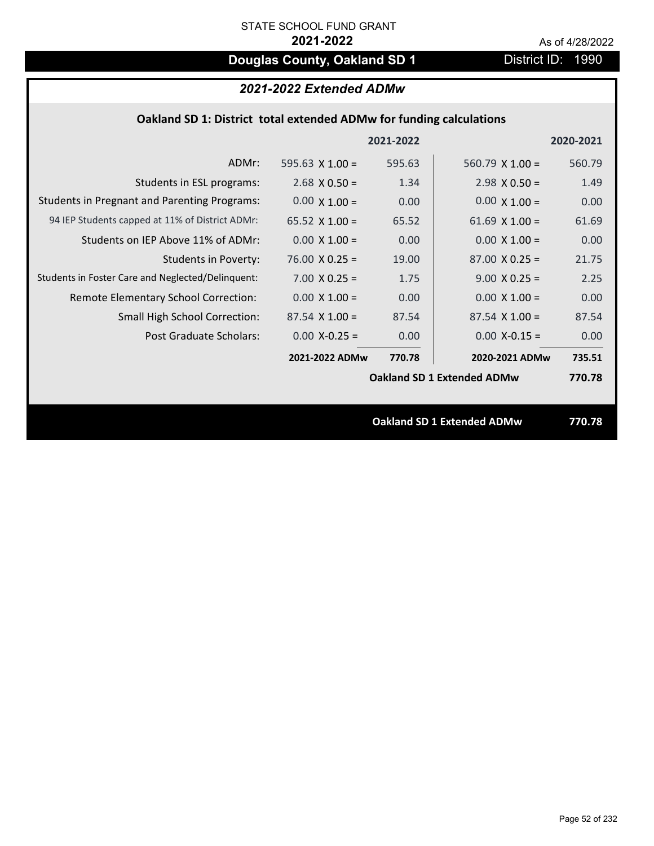# **Douglas County, Oakland SD 1** District ID: 1990

# *2021-2022 Extended ADMw*

## **Oakland SD 1: District total extended ADMw for funding calculations**

|                                                     |                        | 2021-2022 |                                   | 2020-2021 |
|-----------------------------------------------------|------------------------|-----------|-----------------------------------|-----------|
| ADMr:                                               | 595.63 $\times$ 1.00 = | 595.63    | 560.79 $\times$ 1.00 =            | 560.79    |
| Students in ESL programs:                           | $2.68 \times 0.50 =$   | 1.34      | $2.98 \times 0.50 =$              | 1.49      |
| <b>Students in Pregnant and Parenting Programs:</b> | $0.00 \times 1.00 =$   | 0.00      | $0.00 \times 1.00 =$              | 0.00      |
| 94 IEP Students capped at 11% of District ADMr:     | 65.52 $\times$ 1.00 =  | 65.52     | 61.69 $\times$ 1.00 =             | 61.69     |
| Students on IEP Above 11% of ADMr:                  | $0.00 \times 1.00 =$   | 0.00      | $0.00 \times 1.00 =$              | 0.00      |
| <b>Students in Poverty:</b>                         | $76.00 \times 0.25 =$  | 19.00     | $87.00 \times 0.25 =$             | 21.75     |
| Students in Foster Care and Neglected/Delinquent:   | $7.00 \times 0.25 =$   | 1.75      | $9.00 \times 0.25 =$              | 2.25      |
| Remote Elementary School Correction:                | $0.00 \times 1.00 =$   | 0.00      | $0.00 \times 1.00 =$              | 0.00      |
| <b>Small High School Correction:</b>                | $87.54 \times 1.00 =$  | 87.54     | $87.54 \times 1.00 =$             | 87.54     |
| Post Graduate Scholars:                             | $0.00$ X-0.25 =        | 0.00      | $0.00$ X-0.15 =                   | 0.00      |
|                                                     | 2021-2022 ADMw         | 770.78    | 2020-2021 ADMw                    | 735.51    |
|                                                     |                        |           | <b>Oakland SD 1 Extended ADMw</b> | 770.78    |
|                                                     |                        |           |                                   |           |
|                                                     |                        |           | <b>Oakland SD 1 Extended ADMw</b> | 770.78    |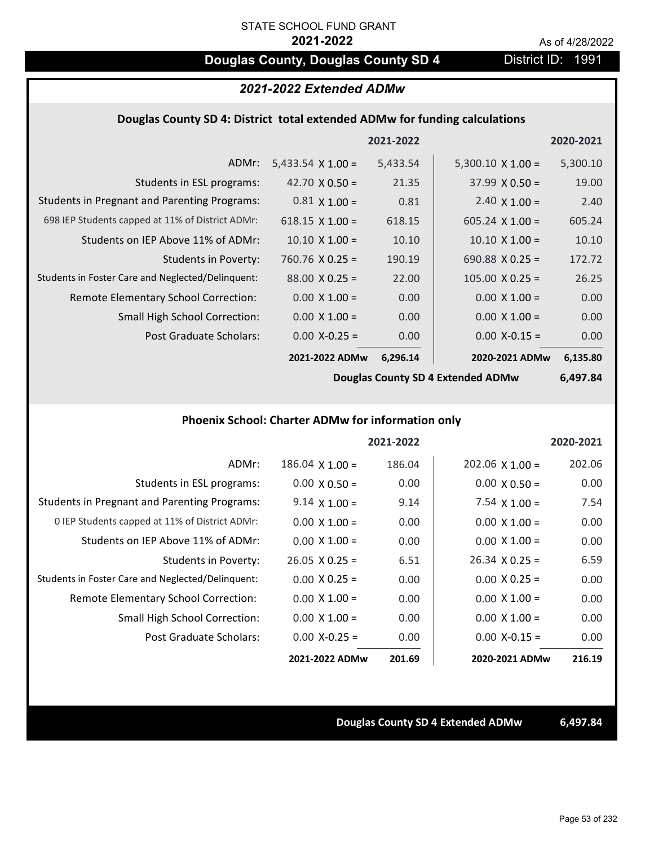# **Douglas County, Douglas County SD 4** District ID: 1991

## *2021-2022 Extended ADMw*

### **Douglas County SD 4: District total extended ADMw for funding calculations**

|                                                     |                          | 2021-2022 |                          | 2020-2021 |
|-----------------------------------------------------|--------------------------|-----------|--------------------------|-----------|
| ADMr:                                               | 5,433.54 $\times$ 1.00 = | 5,433.54  | $5,300.10 \times 1.00 =$ | 5,300.10  |
| Students in ESL programs:                           | 42.70 $\times$ 0.50 =    | 21.35     | $37.99 \times 0.50 =$    | 19.00     |
| <b>Students in Pregnant and Parenting Programs:</b> | $0.81 \times 1.00 =$     | 0.81      | 2.40 $\times$ 1.00 =     | 2.40      |
| 698 IEP Students capped at 11% of District ADMr:    | $618.15 \times 1.00 =$   | 618.15    | $605.24 \times 1.00 =$   | 605.24    |
| Students on IEP Above 11% of ADMr:                  | $10.10 \times 1.00 =$    | 10.10     | $10.10 \times 1.00 =$    | 10.10     |
| Students in Poverty:                                | $760.76 \times 0.25 =$   | 190.19    | 690.88 $X$ 0.25 =        | 172.72    |
| Students in Foster Care and Neglected/Delinquent:   | $88.00 \times 0.25 =$    | 22.00     | $105.00 \times 0.25 =$   | 26.25     |
| Remote Elementary School Correction:                | $0.00 \times 1.00 =$     | 0.00      | $0.00 \times 1.00 =$     | 0.00      |
| <b>Small High School Correction:</b>                | $0.00 \times 1.00 =$     | 0.00      | $0.00 \times 1.00 =$     | 0.00      |
| Post Graduate Scholars:                             | $0.00$ X-0.25 =          | 0.00      | $0.00$ X-0.15 =          | 0.00      |
|                                                     | 2021-2022 ADMw           | 6,296.14  | 2020-2021 ADMw           | 6,135.80  |

**Douglas County SD 4 Extended ADMw**

**6,497.84**

### **Phoenix School: Charter ADMw for information only**

|                                                     |                        | 2021-2022 |                       | 2020-2021 |
|-----------------------------------------------------|------------------------|-----------|-----------------------|-----------|
| ADMr:                                               | $186.04 \times 1.00 =$ | 186.04    | $202.06$ X 1.00 =     | 202.06    |
| Students in ESL programs:                           | $0.00 \times 0.50 =$   | 0.00      | $0.00 \times 0.50 =$  | 0.00      |
| <b>Students in Pregnant and Parenting Programs:</b> | $9.14 \times 1.00 =$   | 9.14      | 7.54 $\times$ 1.00 =  | 7.54      |
| 0 IEP Students capped at 11% of District ADMr:      | $0.00 \times 1.00 =$   | 0.00      | $0.00 \times 1.00 =$  | 0.00      |
| Students on IEP Above 11% of ADMr:                  | $0.00 \times 1.00 =$   | 0.00      | $0.00 \times 1.00 =$  | 0.00      |
| Students in Poverty:                                | $26.05 \times 0.25 =$  | 6.51      | $26.34 \times 0.25 =$ | 6.59      |
| Students in Foster Care and Neglected/Delinquent:   | $0.00 \times 0.25 =$   | 0.00      | $0.00 \times 0.25 =$  | 0.00      |
| Remote Elementary School Correction:                | $0.00 \times 1.00 =$   | 0.00      | $0.00 \times 1.00 =$  | 0.00      |
| <b>Small High School Correction:</b>                | $0.00 \times 1.00 =$   | 0.00      | $0.00 \times 1.00 =$  | 0.00      |
| Post Graduate Scholars:                             | $0.00 X - 0.25 =$      | 0.00      | $0.00 X - 0.15 =$     | 0.00      |
|                                                     | 2021-2022 ADMw         | 201.69    | 2020-2021 ADMw        | 216.19    |

**Douglas County SD 4 Extended ADMw 6,497.84**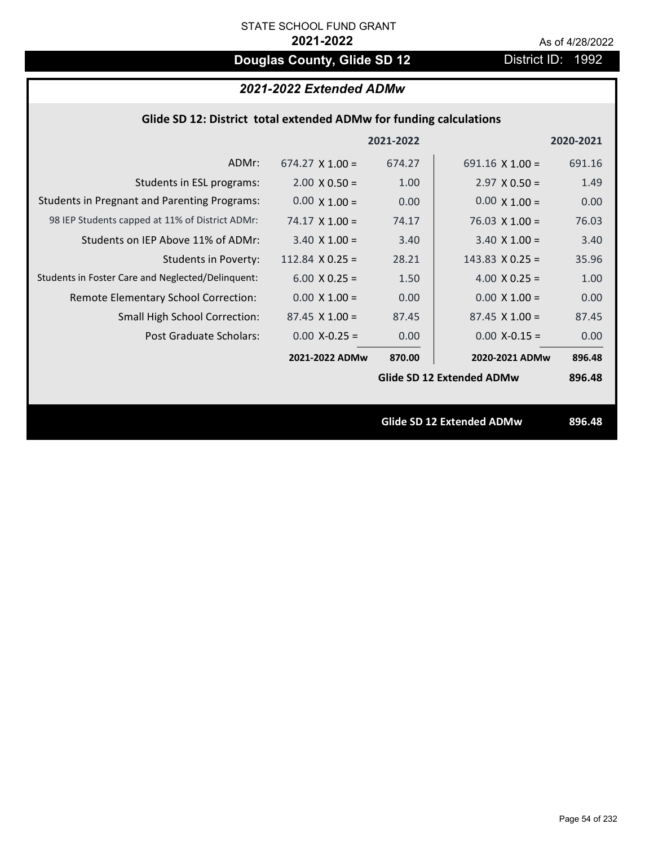# **Douglas County, Glide SD 12** District ID: 1992

## *2021-2022 Extended ADMw*

|  | Glide SD 12: District total extended ADMw for funding calculations |  |
|--|--------------------------------------------------------------------|--|
|  |                                                                    |  |

|                                                     |                        | 2021-2022 |                                  | 2020-2021 |
|-----------------------------------------------------|------------------------|-----------|----------------------------------|-----------|
| ADMr:                                               | $674.27 \times 1.00 =$ | 674.27    | 691.16 $\times$ 1.00 =           | 691.16    |
| Students in ESL programs:                           | $2.00 \times 0.50 =$   | 1.00      | $2.97 \times 0.50 =$             | 1.49      |
| <b>Students in Pregnant and Parenting Programs:</b> | $0.00 \times 1.00 =$   | 0.00      | $0.00 \times 1.00 =$             | 0.00      |
| 98 IEP Students capped at 11% of District ADMr:     | $74.17 \times 1.00 =$  | 74.17     | $76.03 \times 1.00 =$            | 76.03     |
| Students on IEP Above 11% of ADMr:                  | $3.40 \times 1.00 =$   | 3.40      | $3.40$ X $1.00 =$                | 3.40      |
| <b>Students in Poverty:</b>                         | 112.84 $X$ 0.25 =      | 28.21     | 143.83 $X$ 0.25 =                | 35.96     |
| Students in Foster Care and Neglected/Delinquent:   | $6.00 \times 0.25 =$   | 1.50      | 4.00 $X$ 0.25 =                  | 1.00      |
| Remote Elementary School Correction:                | $0.00 \times 1.00 =$   | 0.00      | $0.00 \times 1.00 =$             | 0.00      |
| <b>Small High School Correction:</b>                | $87.45 \times 1.00 =$  | 87.45     | $87.45 \times 1.00 =$            | 87.45     |
| Post Graduate Scholars:                             | $0.00$ X-0.25 =        | 0.00      | $0.00$ X-0.15 =                  | 0.00      |
|                                                     | 2021-2022 ADMw         | 870.00    | 2020-2021 ADMw                   | 896.48    |
|                                                     |                        |           | Glide SD 12 Extended ADMw        | 896.48    |
|                                                     |                        |           |                                  |           |
|                                                     |                        |           | <b>Glide SD 12 Extended ADMw</b> | 896.48    |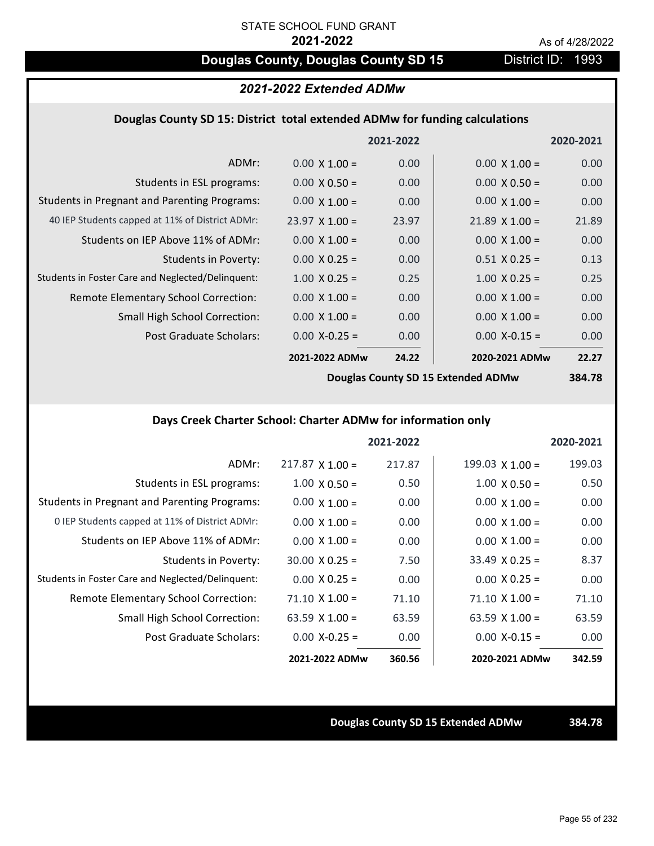# **Douglas County, Douglas County SD 15** District ID: 1993

# *2021-2022 Extended ADMw*

### **Douglas County SD 15: District total extended ADMw for funding calculations**

|                                                     |                       | 2021-2022 |                       | 2020-2021 |
|-----------------------------------------------------|-----------------------|-----------|-----------------------|-----------|
| ADMr:                                               | $0.00 \times 1.00 =$  | 0.00      | $0.00 \times 1.00 =$  | 0.00      |
| Students in ESL programs:                           | $0.00 \times 0.50 =$  | 0.00      | $0.00 \times 0.50 =$  | 0.00      |
| <b>Students in Pregnant and Parenting Programs:</b> | $0.00 \times 1.00 =$  | 0.00      | $0.00 \times 1.00 =$  | 0.00      |
| 40 IEP Students capped at 11% of District ADMr:     | $23.97 \times 1.00 =$ | 23.97     | $21.89 \times 1.00 =$ | 21.89     |
| Students on IEP Above 11% of ADMr:                  | $0.00 \times 1.00 =$  | 0.00      | $0.00 \times 1.00 =$  | 0.00      |
| <b>Students in Poverty:</b>                         | $0.00 \times 0.25 =$  | 0.00      | $0.51 X 0.25 =$       | 0.13      |
| Students in Foster Care and Neglected/Delinquent:   | $1.00 \times 0.25 =$  | 0.25      | $1.00 \times 0.25 =$  | 0.25      |
| Remote Elementary School Correction:                | $0.00 \times 1.00 =$  | 0.00      | $0.00 \times 1.00 =$  | 0.00      |
| <b>Small High School Correction:</b>                | $0.00 \times 1.00 =$  | 0.00      | $0.00 \times 1.00 =$  | 0.00      |
| Post Graduate Scholars:                             | $0.00$ X-0.25 =       | 0.00      | $0.00$ X-0.15 =       | 0.00      |
|                                                     | 2021-2022 ADMw        | 24.22     | 2020-2021 ADMw        | 22.27     |
|                                                     |                       |           |                       | -----     |

**Douglas County SD 15 Extended ADMw**

**384.78**

# **Days Creek Charter School: Charter ADMw for information only**

|                                                     |                        | 2021-2022 |                        | 2020-2021 |
|-----------------------------------------------------|------------------------|-----------|------------------------|-----------|
| ADMr:                                               | $217.87 \times 1.00 =$ | 217.87    | $199.03 \times 1.00 =$ | 199.03    |
| Students in ESL programs:                           | $1.00 \times 0.50 =$   | 0.50      | $1.00 \times 0.50 =$   | 0.50      |
| <b>Students in Pregnant and Parenting Programs:</b> | $0.00 \times 1.00 =$   | 0.00      | $0.00 \times 1.00 =$   | 0.00      |
| 0 IEP Students capped at 11% of District ADMr:      | $0.00 \times 1.00 =$   | 0.00      | $0.00 \times 1.00 =$   | 0.00      |
| Students on IEP Above 11% of ADMr:                  | $0.00 \times 1.00 =$   | 0.00      | $0.00 \times 1.00 =$   | 0.00      |
| Students in Poverty:                                | $30.00 \times 0.25 =$  | 7.50      | $33.49 \times 0.25 =$  | 8.37      |
| Students in Foster Care and Neglected/Delinquent:   | $0.00 \times 0.25 =$   | 0.00      | $0.00 \times 0.25 =$   | 0.00      |
| Remote Elementary School Correction:                | $71.10 \times 1.00 =$  | 71.10     | $71.10 \times 1.00 =$  | 71.10     |
| <b>Small High School Correction:</b>                | 63.59 $\times$ 1.00 =  | 63.59     | 63.59 $X$ 1.00 =       | 63.59     |
| Post Graduate Scholars:                             | $0.00 X - 0.25 =$      | 0.00      | $0.00 X - 0.15 =$      | 0.00      |
|                                                     | 2021-2022 ADMw         | 360.56    | 2020-2021 ADMw         | 342.59    |

**Douglas County SD 15 Extended ADMw 384.78**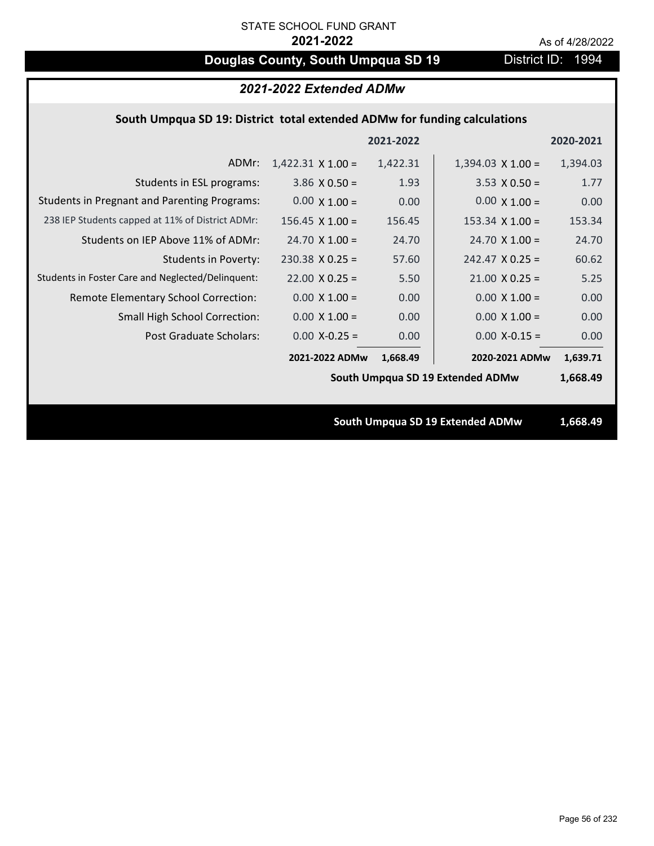# **Douglas County, South Umpqua SD 19** District ID: 1994

| 2021-2022 Extended ADMw                                                   |                          |           |                                  |           |
|---------------------------------------------------------------------------|--------------------------|-----------|----------------------------------|-----------|
| South Umpqua SD 19: District total extended ADMw for funding calculations |                          |           |                                  |           |
|                                                                           |                          | 2021-2022 |                                  | 2020-2021 |
| ADMr:                                                                     | $1,422.31 \times 1.00 =$ | 1,422.31  | $1,394.03 \times 1.00 =$         | 1,394.03  |
| Students in ESL programs:                                                 | $3.86 \times 0.50 =$     | 1.93      | $3.53 \times 0.50 =$             | 1.77      |
| <b>Students in Pregnant and Parenting Programs:</b>                       | $0.00 \times 1.00 =$     | 0.00      | $0.00 \times 1.00 =$             | 0.00      |
| 238 IEP Students capped at 11% of District ADMr:                          | $156.45 \times 1.00 =$   | 156.45    | $153.34 \times 1.00 =$           | 153.34    |
| Students on IEP Above 11% of ADMr:                                        | $24.70 \times 1.00 =$    | 24.70     | $24.70 \times 1.00 =$            | 24.70     |
| <b>Students in Poverty:</b>                                               | $230.38$ X 0.25 =        | 57.60     | $242.47$ X 0.25 =                | 60.62     |
| Students in Foster Care and Neglected/Delinquent:                         | $22.00 \times 0.25 =$    | 5.50      | $21.00 \times 0.25 =$            | 5.25      |
| Remote Elementary School Correction:                                      | $0.00 \times 1.00 =$     | 0.00      | $0.00 \times 1.00 =$             | 0.00      |
| <b>Small High School Correction:</b>                                      | $0.00 \times 1.00 =$     | 0.00      | $0.00 X 1.00 =$                  | 0.00      |
| Post Graduate Scholars:                                                   | $0.00$ X-0.25 =          | 0.00      | $0.00$ X-0.15 =                  | 0.00      |
|                                                                           | 2021-2022 ADMw           | 1,668.49  | 2020-2021 ADMw                   | 1,639.71  |
|                                                                           |                          |           | South Umpqua SD 19 Extended ADMw | 1,668.49  |
|                                                                           |                          |           |                                  |           |
|                                                                           |                          |           | South Umpqua SD 19 Extended ADMw | 1,668.49  |
|                                                                           |                          |           |                                  |           |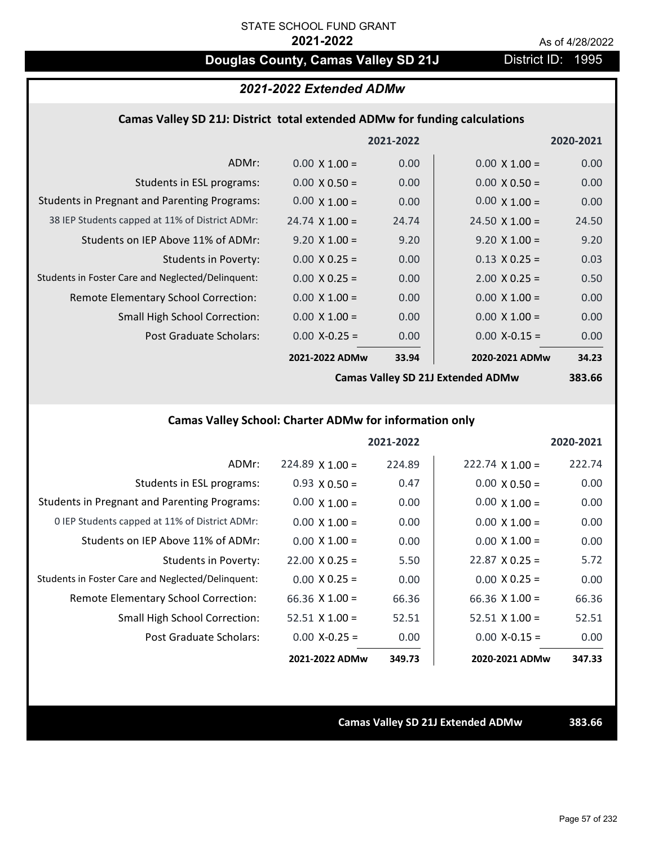# **Douglas County, Camas Valley SD 21J** District ID: 1995

### *2021-2022 Extended ADMw*

### **Camas Valley SD 21J: District total extended ADMw for funding calculations**

|                                                     |                       | 2021-2022 |                       | 2020-2021 |
|-----------------------------------------------------|-----------------------|-----------|-----------------------|-----------|
| ADMr:                                               | $0.00 \times 1.00 =$  | 0.00      | $0.00 \times 1.00 =$  | 0.00      |
| Students in ESL programs:                           | $0.00 \times 0.50 =$  | 0.00      | $0.00 \times 0.50 =$  | 0.00      |
| <b>Students in Pregnant and Parenting Programs:</b> | $0.00 \times 1.00 =$  | 0.00      | $0.00 \times 1.00 =$  | 0.00      |
| 38 IEP Students capped at 11% of District ADMr:     | $24.74 \times 1.00 =$ | 24.74     | $24.50 \times 1.00 =$ | 24.50     |
| Students on IEP Above 11% of ADMr:                  | $9.20 \times 1.00 =$  | 9.20      | $9.20 \times 1.00 =$  | 9.20      |
| <b>Students in Poverty:</b>                         | $0.00 \times 0.25 =$  | 0.00      | $0.13 \times 0.25 =$  | 0.03      |
| Students in Foster Care and Neglected/Delinquent:   | $0.00 \times 0.25 =$  | 0.00      | $2.00 \times 0.25 =$  | 0.50      |
| Remote Elementary School Correction:                | $0.00 \times 1.00 =$  | 0.00      | $0.00 \times 1.00 =$  | 0.00      |
| <b>Small High School Correction:</b>                | $0.00 \times 1.00 =$  | 0.00      | $0.00 \times 1.00 =$  | 0.00      |
| Post Graduate Scholars:                             | $0.00$ X-0.25 =       | 0.00      | $0.00$ X-0.15 =       | 0.00      |
|                                                     | 2021-2022 ADMw        | 33.94     | 2020-2021 ADMw        | 34.23     |
|                                                     |                       |           |                       |           |

**Camas Valley SD 21J Extended ADMw**

**383.66**

# **Camas Valley School: Charter ADMw for information only**

|                                                     |                        | 2021-2022 |                        | 2020-2021 |
|-----------------------------------------------------|------------------------|-----------|------------------------|-----------|
| ADMr:                                               | $224.89 \times 1.00 =$ | 224.89    | $222.74 \times 1.00 =$ | 222.74    |
| Students in ESL programs:                           | $0.93 \times 0.50 =$   | 0.47      | $0.00 \times 0.50 =$   | 0.00      |
| <b>Students in Pregnant and Parenting Programs:</b> | $0.00 \times 1.00 =$   | 0.00      | $0.00 \times 1.00 =$   | 0.00      |
| 0 IEP Students capped at 11% of District ADMr:      | $0.00 \times 1.00 =$   | 0.00      | $0.00 \times 1.00 =$   | 0.00      |
| Students on IEP Above 11% of ADMr:                  | $0.00 \times 1.00 =$   | 0.00      | $0.00 \times 1.00 =$   | 0.00      |
| Students in Poverty:                                | $22.00 \times 0.25 =$  | 5.50      | $22.87 \times 0.25 =$  | 5.72      |
| Students in Foster Care and Neglected/Delinquent:   | $0.00 \times 0.25 =$   | 0.00      | $0.00 \times 0.25 =$   | 0.00      |
| <b>Remote Elementary School Correction:</b>         | 66.36 $X$ 1.00 =       | 66.36     | $66.36 \times 1.00 =$  | 66.36     |
| <b>Small High School Correction:</b>                | $52.51$ X 1.00 =       | 52.51     | $52.51 \times 1.00 =$  | 52.51     |
| Post Graduate Scholars:                             | $0.00$ X-0.25 =        | 0.00      | $0.00 X-0.15 =$        | 0.00      |
|                                                     | 2021-2022 ADMw         | 349.73    | 2020-2021 ADMw         | 347.33    |

**Camas Valley SD 21J Extended ADMw 383.66**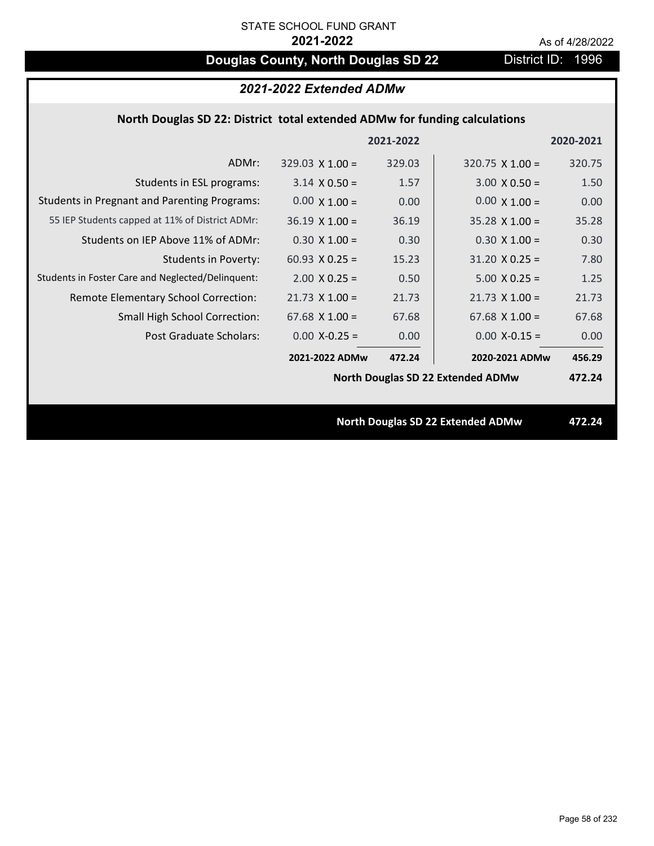# **Douglas County, North Douglas SD 22** District ID: 1996

| 2021-2022 Extended ADMw                                                    |                        |           |                                          |           |
|----------------------------------------------------------------------------|------------------------|-----------|------------------------------------------|-----------|
| North Douglas SD 22: District total extended ADMw for funding calculations |                        |           |                                          |           |
|                                                                            |                        | 2021-2022 |                                          | 2020-2021 |
| ADMr:                                                                      | $329.03 \times 1.00 =$ | 329.03    | $320.75$ X 1.00 =                        | 320.75    |
| Students in ESL programs:                                                  | $3.14 \times 0.50 =$   | 1.57      | $3.00 \times 0.50 =$                     | 1.50      |
| <b>Students in Pregnant and Parenting Programs:</b>                        | $0.00 \times 1.00 =$   | 0.00      | $0.00 \times 1.00 =$                     | 0.00      |
| 55 IEP Students capped at 11% of District ADMr:                            | $36.19 \times 1.00 =$  | 36.19     | $35.28$ X 1.00 =                         | 35.28     |
| Students on IEP Above 11% of ADMr:                                         | $0.30 \times 1.00 =$   | 0.30      | $0.30 X 1.00 =$                          | 0.30      |
| <b>Students in Poverty:</b>                                                | 60.93 $X$ 0.25 =       | 15.23     | $31.20 \times 0.25 =$                    | 7.80      |
| Students in Foster Care and Neglected/Delinquent:                          | $2.00 \times 0.25 =$   | 0.50      | $5.00 \times 0.25 =$                     | 1.25      |
| Remote Elementary School Correction:                                       | $21.73$ X $1.00 =$     | 21.73     | $21.73 \times 1.00 =$                    | 21.73     |
| Small High School Correction:                                              | $67.68$ X 1.00 =       | 67.68     | $67.68$ X 1.00 =                         | 67.68     |
| <b>Post Graduate Scholars:</b>                                             | $0.00$ X-0.25 =        | 0.00      | $0.00$ X-0.15 =                          | 0.00      |
|                                                                            | 2021-2022 ADMw         | 472.24    | 2020-2021 ADMw                           | 456.29    |
|                                                                            |                        |           | <b>North Douglas SD 22 Extended ADMw</b> | 472.24    |
|                                                                            |                        |           |                                          |           |
|                                                                            |                        |           | <b>North Douglas SD 22 Extended ADMw</b> | 472.24    |
|                                                                            |                        |           |                                          |           |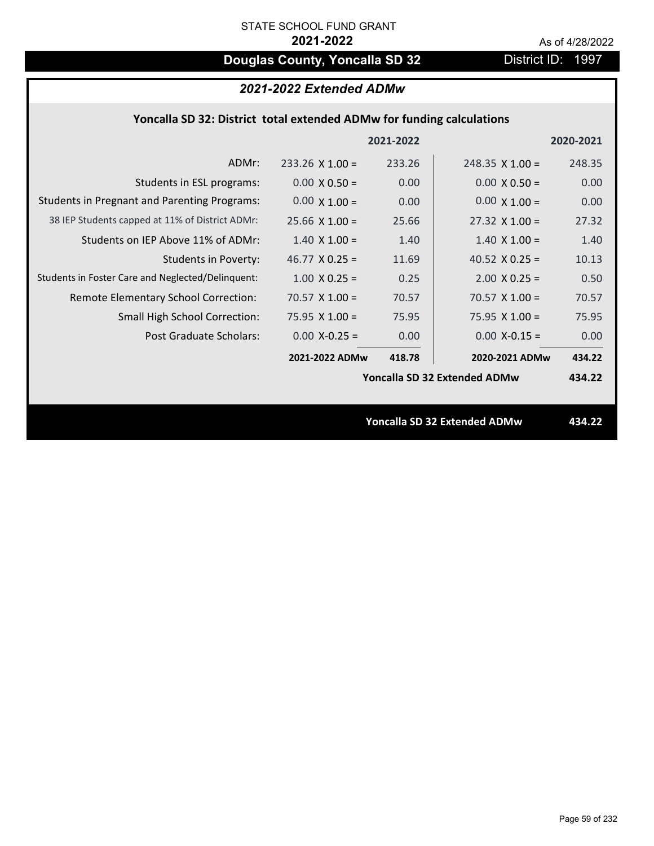# **Douglas County, Yoncalla SD 32** District ID: 1997

# *2021-2022 Extended ADMw*

## **Yoncalla SD 32: District total extended ADMw for funding calculations**

|                                                     |                       | 2021-2022 |                                     | 2020-2021 |
|-----------------------------------------------------|-----------------------|-----------|-------------------------------------|-----------|
| ADMr:                                               | $233.26$ X 1.00 =     | 233.26    | $248.35 \times 1.00 =$              | 248.35    |
| Students in ESL programs:                           | $0.00 \times 0.50 =$  | 0.00      | $0.00 \times 0.50 =$                | 0.00      |
| <b>Students in Pregnant and Parenting Programs:</b> | $0.00 \times 1.00 =$  | 0.00      | $0.00 \times 1.00 =$                | 0.00      |
| 38 IEP Students capped at 11% of District ADMr:     | $25.66 \times 1.00 =$ | 25.66     | $27.32 \times 1.00 =$               | 27.32     |
| Students on IEP Above 11% of ADMr:                  | $1.40 \times 1.00 =$  | 1.40      | $1.40 \times 1.00 =$                | 1.40      |
| <b>Students in Poverty:</b>                         | 46.77 $X$ 0.25 =      | 11.69     | 40.52 $X$ 0.25 =                    | 10.13     |
| Students in Foster Care and Neglected/Delinquent:   | $1.00 \times 0.25 =$  | 0.25      | $2.00 \times 0.25 =$                | 0.50      |
| Remote Elementary School Correction:                | 70.57 $X$ 1.00 =      | 70.57     | $70.57 \times 1.00 =$               | 70.57     |
| <b>Small High School Correction:</b>                | 75.95 $X$ 1.00 =      | 75.95     | 75.95 $X$ 1.00 =                    | 75.95     |
| Post Graduate Scholars:                             | $0.00$ X-0.25 =       | 0.00      | $0.00$ X-0.15 =                     | 0.00      |
|                                                     | 2021-2022 ADMw        | 418.78    | 2020-2021 ADMw                      | 434.22    |
|                                                     |                       |           | Yoncalla SD 32 Extended ADMw        | 434.22    |
|                                                     |                       |           |                                     |           |
|                                                     |                       |           | <b>Yoncalla SD 32 Extended ADMw</b> | 434.22    |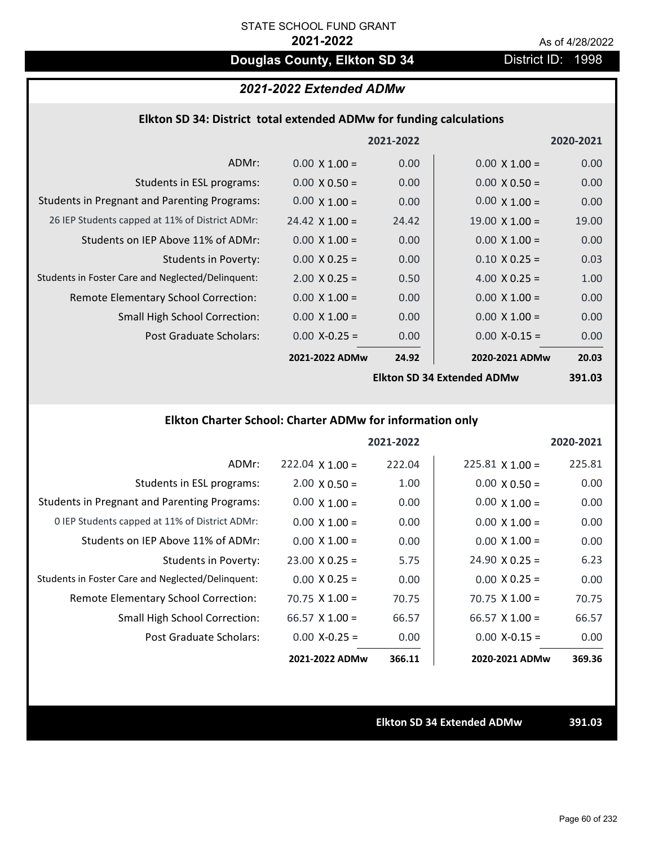# **Douglas County, Elkton SD 34** District ID: 1998

# *2021-2022 Extended ADMw*

### **Elkton SD 34: District total extended ADMw for funding calculations**

|                                                     |                       | 2021-2022 |                                    | 2020-2021     |
|-----------------------------------------------------|-----------------------|-----------|------------------------------------|---------------|
| ADMr:                                               | $0.00 \times 1.00 =$  | 0.00      | $0.00 \times 1.00 =$               | 0.00          |
| Students in ESL programs:                           | $0.00 \times 0.50 =$  | 0.00      | $0.00 \times 0.50 =$               | 0.00          |
| <b>Students in Pregnant and Parenting Programs:</b> | $0.00 \times 1.00 =$  | 0.00      | $0.00 \times 1.00 =$               | 0.00          |
| 26 IEP Students capped at 11% of District ADMr:     | $24.42 \times 1.00 =$ | 24.42     | $19.00 \times 1.00 =$              | 19.00         |
| Students on IEP Above 11% of ADMr:                  | $0.00 \times 1.00 =$  | 0.00      | $0.00 \times 1.00 =$               | 0.00          |
| <b>Students in Poverty:</b>                         | $0.00 \times 0.25 =$  | 0.00      | $0.10 \times 0.25 =$               | 0.03          |
| Students in Foster Care and Neglected/Delinquent:   | $2.00 \times 0.25 =$  | 0.50      | 4.00 $X$ 0.25 =                    | 1.00          |
| Remote Elementary School Correction:                | $0.00 \times 1.00 =$  | 0.00      | $0.00 \times 1.00 =$               | 0.00          |
| <b>Small High School Correction:</b>                | $0.00 \times 1.00 =$  | 0.00      | $0.00 \times 1.00 =$               | 0.00          |
| Post Graduate Scholars:                             | $0.00$ X-0.25 =       | 0.00      | $0.00$ X-0.15 =                    | 0.00          |
|                                                     | 2021-2022 ADMw        | 24.92     | 2020-2021 ADMw                     | 20.03         |
|                                                     |                       |           | <b>Elkton SD 34 Extended ADMuu</b> | <b>201 US</b> |

**Elkton SD 34 Extended ADMw**

**391.03**

# **Elkton Charter School: Charter ADMw for information only**

|                                                     |                       | 2021-2022 |                        | 2020-2021 |
|-----------------------------------------------------|-----------------------|-----------|------------------------|-----------|
| ADMr:                                               | $222.04$ X 1.00 =     | 222.04    | $225.81 \times 1.00 =$ | 225.81    |
| Students in ESL programs:                           | $2.00 \times 0.50 =$  | 1.00      | $0.00 \times 0.50 =$   | 0.00      |
| <b>Students in Pregnant and Parenting Programs:</b> | $0.00 \times 1.00 =$  | 0.00      | $0.00 \times 1.00 =$   | 0.00      |
| 0 IEP Students capped at 11% of District ADMr:      | $0.00 \times 1.00 =$  | 0.00      | $0.00 \times 1.00 =$   | 0.00      |
| Students on IEP Above 11% of ADMr:                  | $0.00 \times 1.00 =$  | 0.00      | $0.00 \times 1.00 =$   | 0.00      |
| Students in Poverty:                                | $23.00 \times 0.25 =$ | 5.75      | $24.90 \times 0.25 =$  | 6.23      |
| Students in Foster Care and Neglected/Delinquent:   | $0.00 \times 0.25 =$  | 0.00      | $0.00 \times 0.25 =$   | 0.00      |
| Remote Elementary School Correction:                | $70.75 \times 1.00 =$ | 70.75     | $70.75 \times 1.00 =$  | 70.75     |
| <b>Small High School Correction:</b>                | $66.57 \times 1.00 =$ | 66.57     | $66.57 \times 1.00 =$  | 66.57     |
| Post Graduate Scholars:                             | $0.00 X - 0.25 =$     | 0.00      | $0.00 X-0.15 =$        | 0.00      |
|                                                     | 2021-2022 ADMw        | 366.11    | 2020-2021 ADMw         | 369.36    |

**Elkton SD 34 Extended ADMw 391.03**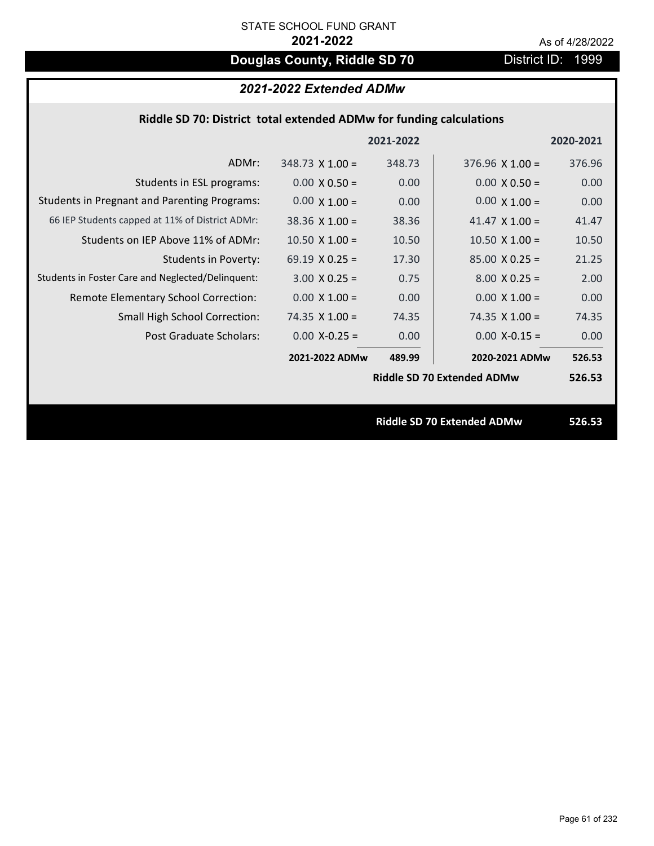# **Douglas County, Riddle SD 70** District ID: 1999

# *2021-2022 Extended ADMw*

| Riddle SD 70: District total extended ADMw for funding calculations |  |  |
|---------------------------------------------------------------------|--|--|
|---------------------------------------------------------------------|--|--|

|                                                     |                        | 2021-2022 |                                   | 2020-2021 |
|-----------------------------------------------------|------------------------|-----------|-----------------------------------|-----------|
| ADMr:                                               | $348.73 \times 1.00 =$ | 348.73    | $376.96 \times 1.00 =$            | 376.96    |
| Students in ESL programs:                           | $0.00 \times 0.50 =$   | 0.00      | $0.00 \times 0.50 =$              | 0.00      |
| <b>Students in Pregnant and Parenting Programs:</b> | $0.00 \times 1.00 =$   | 0.00      | $0.00 \times 1.00 =$              | 0.00      |
| 66 IEP Students capped at 11% of District ADMr:     | $38.36 \times 1.00 =$  | 38.36     | 41.47 $\times$ 1.00 =             | 41.47     |
| Students on IEP Above 11% of ADMr:                  | $10.50 \times 1.00 =$  | 10.50     | $10.50$ X $1.00 =$                | 10.50     |
| Students in Poverty:                                | 69.19 $X$ 0.25 =       | 17.30     | $85.00 \times 0.25 =$             | 21.25     |
| Students in Foster Care and Neglected/Delinquent:   | $3.00 \times 0.25 =$   | 0.75      | $8.00 \times 0.25 =$              | 2.00      |
| Remote Elementary School Correction:                | $0.00 \times 1.00 =$   | 0.00      | $0.00 \times 1.00 =$              | 0.00      |
| <b>Small High School Correction:</b>                | 74.35 $X$ 1.00 =       | 74.35     | 74.35 $X$ 1.00 =                  | 74.35     |
| Post Graduate Scholars:                             | $0.00$ X-0.25 =        | 0.00      | $0.00$ X-0.15 =                   | 0.00      |
|                                                     | 2021-2022 ADMw         | 489.99    | 2020-2021 ADMw                    | 526.53    |
|                                                     |                        |           | <b>Riddle SD 70 Extended ADMw</b> | 526.53    |
|                                                     |                        |           |                                   |           |
|                                                     |                        |           | <b>Riddle SD 70 Extended ADMw</b> | 526.53    |
|                                                     |                        |           |                                   |           |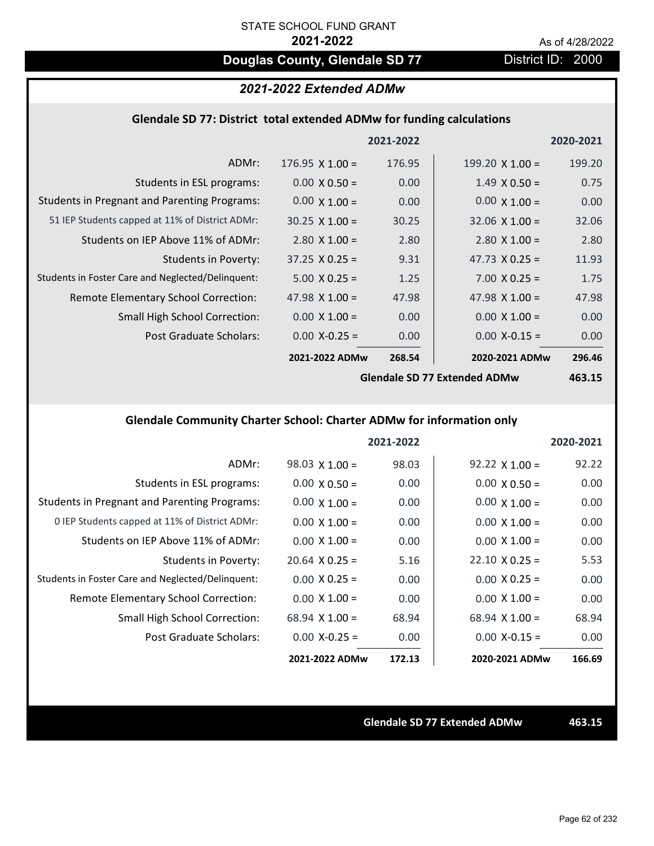# **Douglas County, Glendale SD 77** District ID: 2000

## *2021-2022 Extended ADMw*

### **Glendale SD 77: District total extended ADMw for funding calculations**

|                                                     |                        | 2021-2022 |                        | 2020-2021 |
|-----------------------------------------------------|------------------------|-----------|------------------------|-----------|
| ADMr:                                               | $176.95 \times 1.00 =$ | 176.95    | 199.20 $\times$ 1.00 = | 199.20    |
| Students in ESL programs:                           | $0.00 \times 0.50 =$   | 0.00      | $1.49 \times 0.50 =$   | 0.75      |
| <b>Students in Pregnant and Parenting Programs:</b> | $0.00 \times 1.00 =$   | 0.00      | $0.00 \times 1.00 =$   | 0.00      |
| 51 IEP Students capped at 11% of District ADMr:     | $30.25 \times 1.00 =$  | 30.25     | $32.06 \times 1.00 =$  | 32.06     |
| Students on IEP Above 11% of ADMr:                  | $2.80 \times 1.00 =$   | 2.80      | $2.80$ X $1.00 =$      | 2.80      |
| <b>Students in Poverty:</b>                         | $37.25 \times 0.25 =$  | 9.31      | 47.73 $X$ 0.25 =       | 11.93     |
| Students in Foster Care and Neglected/Delinquent:   | $5.00 \times 0.25 =$   | 1.25      | $7.00 \times 0.25 =$   | 1.75      |
| Remote Elementary School Correction:                | 47.98 $\times$ 1.00 =  | 47.98     | 47.98 $X$ 1.00 =       | 47.98     |
| <b>Small High School Correction:</b>                | $0.00 \times 1.00 =$   | 0.00      | $0.00 \times 1.00 =$   | 0.00      |
| Post Graduate Scholars:                             | $0.00$ X-0.25 =        | 0.00      | $0.00$ X-0.15 =        | 0.00      |
|                                                     | 2021-2022 ADMw         | 268.54    | 2020-2021 ADMw         | 296.46    |
|                                                     |                        |           |                        |           |

**Glendale SD 77 Extended ADMw**

**463.15**

## **Glendale Community Charter School: Charter ADMw for information only**

|                                                     |                       | 2021-2022 |                       | 2020-2021 |
|-----------------------------------------------------|-----------------------|-----------|-----------------------|-----------|
| ADMr:                                               | $98.03 \times 1.00 =$ | 98.03     | $92.22 \times 1.00 =$ | 92.22     |
| Students in ESL programs:                           | $0.00 \times 0.50 =$  | 0.00      | $0.00 \times 0.50 =$  | 0.00      |
| <b>Students in Pregnant and Parenting Programs:</b> | $0.00 \times 1.00 =$  | 0.00      | $0.00 \times 1.00 =$  | 0.00      |
| 0 IEP Students capped at 11% of District ADMr:      | $0.00 \times 1.00 =$  | 0.00      | $0.00 \times 1.00 =$  | 0.00      |
| Students on IEP Above 11% of ADMr:                  | $0.00 \times 1.00 =$  | 0.00      | $0.00 \times 1.00 =$  | 0.00      |
| Students in Poverty:                                | $20.64 \times 0.25 =$ | 5.16      | $22.10 \times 0.25 =$ | 5.53      |
| Students in Foster Care and Neglected/Delinquent:   | $0.00 \times 0.25 =$  | 0.00      | $0.00 \times 0.25 =$  | 0.00      |
| Remote Elementary School Correction:                | $0.00 \times 1.00 =$  | 0.00      | $0.00 \times 1.00 =$  | 0.00      |
| <b>Small High School Correction:</b>                | $68.94 \times 1.00 =$ | 68.94     | $68.94 \times 1.00 =$ | 68.94     |
| Post Graduate Scholars:                             | $0.00 X - 0.25 =$     | 0.00      | $0.00 X - 0.15 =$     | 0.00      |
|                                                     | 2021-2022 ADMw        | 172.13    | 2020-2021 ADMw        | 166.69    |

**Glendale SD 77 Extended ADMw 463.15**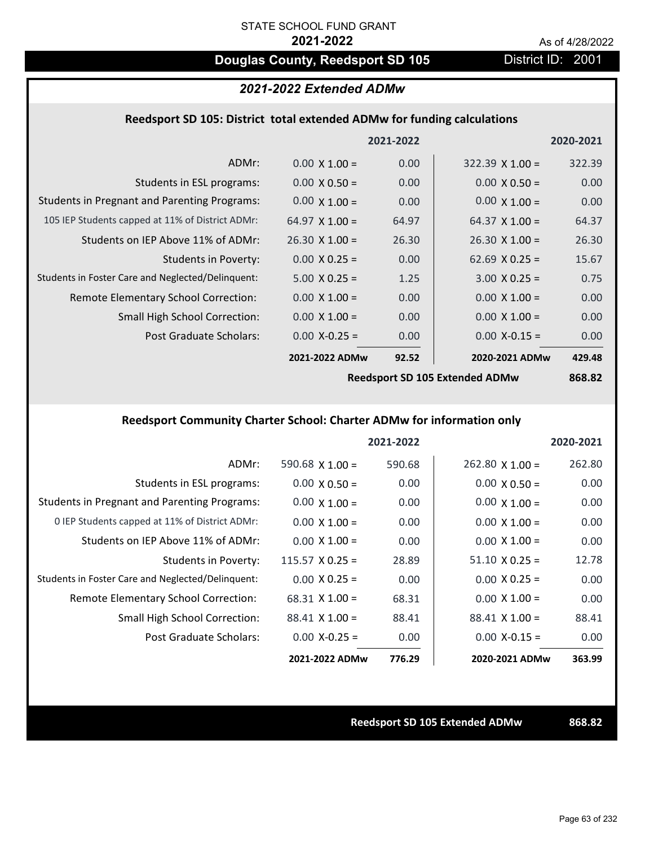# **Douglas County, Reedsport SD 105** District ID: 2001

### *2021-2022 Extended ADMw*

### **Reedsport SD 105: District total extended ADMw for funding calculations**

|                                                     |                       | 2021-2022 |                        | 2020-2021 |
|-----------------------------------------------------|-----------------------|-----------|------------------------|-----------|
| ADMr:                                               | $0.00 \times 1.00 =$  | 0.00      | $322.39 \times 1.00 =$ | 322.39    |
| Students in ESL programs:                           | $0.00 \times 0.50 =$  | 0.00      | $0.00 \times 0.50 =$   | 0.00      |
| <b>Students in Pregnant and Parenting Programs:</b> | $0.00 \times 1.00 =$  | 0.00      | $0.00 \times 1.00 =$   | 0.00      |
| 105 IEP Students capped at 11% of District ADMr:    | 64.97 $\times$ 1.00 = | 64.97     | $64.37 \times 1.00 =$  | 64.37     |
| Students on IEP Above 11% of ADMr:                  | $26.30 \times 1.00 =$ | 26.30     | $26.30 \times 1.00 =$  | 26.30     |
| <b>Students in Poverty:</b>                         | $0.00 \times 0.25 =$  | 0.00      | 62.69 $X$ 0.25 =       | 15.67     |
| Students in Foster Care and Neglected/Delinquent:   | $5.00 \times 0.25 =$  | 1.25      | $3.00 \times 0.25 =$   | 0.75      |
| Remote Elementary School Correction:                | $0.00 \times 1.00 =$  | 0.00      | $0.00 \times 1.00 =$   | 0.00      |
| <b>Small High School Correction:</b>                | $0.00 \times 1.00 =$  | 0.00      | $0.00 \times 1.00 =$   | 0.00      |
| Post Graduate Scholars:                             | $0.00$ X-0.25 =       | 0.00      | $0.00$ X-0.15 =        | 0.00      |
|                                                     | 2021-2022 ADMw        | 92.52     | 2020-2021 ADMw         | 429.48    |
|                                                     |                       |           |                        |           |

**Reedsport SD 105 Extended ADMw**

# **868.82**

# **Reedsport Community Charter School: Charter ADMw for information only**

|                                                     |                        | 2021-2022 |                       | 2020-2021 |
|-----------------------------------------------------|------------------------|-----------|-----------------------|-----------|
| ADMr:                                               | 590.68 $\times$ 1.00 = | 590.68    | $262.80$ X 1.00 =     | 262.80    |
| Students in ESL programs:                           | $0.00 \times 0.50 =$   | 0.00      | $0.00 \times 0.50 =$  | 0.00      |
| <b>Students in Pregnant and Parenting Programs:</b> | $0.00 \times 1.00 =$   | 0.00      | $0.00 \times 1.00 =$  | 0.00      |
| 0 IEP Students capped at 11% of District ADMr:      | $0.00 \times 1.00 =$   | 0.00      | $0.00 \times 1.00 =$  | 0.00      |
| Students on IEP Above 11% of ADMr:                  | $0.00 \times 1.00 =$   | 0.00      | $0.00 \times 1.00 =$  | 0.00      |
| Students in Poverty:                                | $115.57 \times 0.25 =$ | 28.89     | $51.10 \times 0.25 =$ | 12.78     |
| Students in Foster Care and Neglected/Delinquent:   | $0.00 \times 0.25 =$   | 0.00      | $0.00 \times 0.25 =$  | 0.00      |
| Remote Elementary School Correction:                | $68.31 \times 1.00 =$  | 68.31     | $0.00 \times 1.00 =$  | 0.00      |
| <b>Small High School Correction:</b>                | $88.41 \times 1.00 =$  | 88.41     | $88.41 \times 1.00 =$ | 88.41     |
| Post Graduate Scholars:                             | $0.00$ X-0.25 =        | 0.00      | $0.00 X - 0.15 =$     | 0.00      |
|                                                     | 2021-2022 ADMw         | 776.29    | 2020-2021 ADMw        | 363.99    |

**Reedsport SD 105 Extended ADMw 868.82**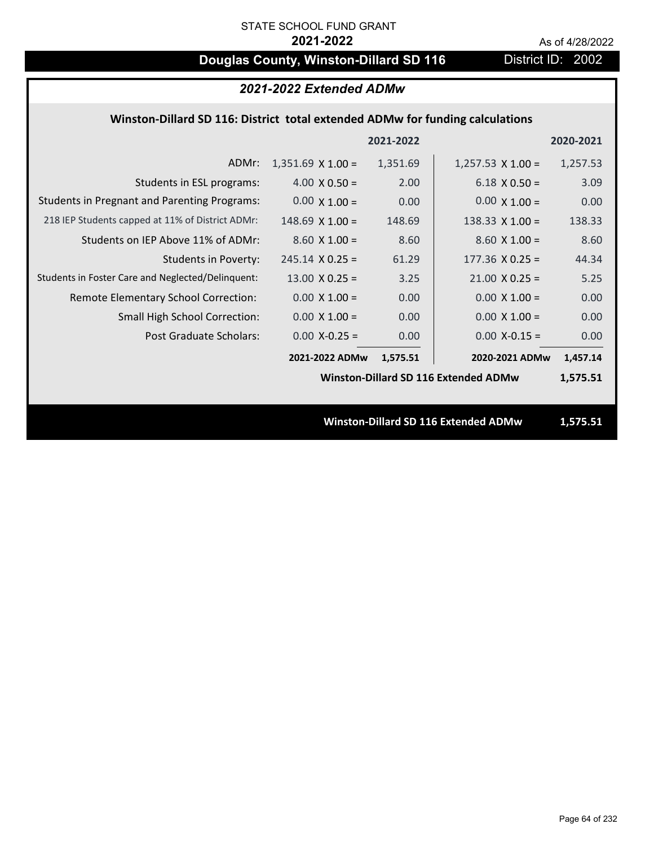# **Douglas County, Winston-Dillard SD 116** District ID: 2002

| 2021-2022 Extended ADMw                                                       |                          |           |                                             |           |  |
|-------------------------------------------------------------------------------|--------------------------|-----------|---------------------------------------------|-----------|--|
| Winston-Dillard SD 116: District total extended ADMw for funding calculations |                          |           |                                             |           |  |
|                                                                               |                          | 2021-2022 |                                             | 2020-2021 |  |
| ADMr:                                                                         | $1,351.69 \times 1.00 =$ | 1,351.69  | $1,257.53 \times 1.00 =$                    | 1,257.53  |  |
| Students in ESL programs:                                                     | $4.00 \times 0.50 =$     | 2.00      | $6.18 \times 0.50 =$                        | 3.09      |  |
| <b>Students in Pregnant and Parenting Programs:</b>                           | $0.00 \times 1.00 =$     | 0.00      | $0.00 \times 1.00 =$                        | 0.00      |  |
| 218 IEP Students capped at 11% of District ADMr:                              | $148.69$ X $1.00 =$      | 148.69    | 138.33 $X$ 1.00 =                           | 138.33    |  |
| Students on IEP Above 11% of ADMr:                                            | $8.60 \times 1.00 =$     | 8.60      | $8.60 X 1.00 =$                             | 8.60      |  |
| Students in Poverty:                                                          | $245.14 \times 0.25 =$   | 61.29     | $177.36$ X 0.25 =                           | 44.34     |  |
| Students in Foster Care and Neglected/Delinquent:                             | $13.00 \times 0.25 =$    | 3.25      | $21.00 \times 0.25 =$                       | 5.25      |  |
| Remote Elementary School Correction:                                          | $0.00 \times 1.00 =$     | 0.00      | $0.00 \times 1.00 =$                        | 0.00      |  |
| Small High School Correction:                                                 | $0.00 \times 1.00 =$     | 0.00      | $0.00 X 1.00 =$                             | 0.00      |  |
| Post Graduate Scholars:                                                       | $0.00$ X-0.25 =          | 0.00      | $0.00$ X-0.15 =                             | 0.00      |  |
|                                                                               | 2021-2022 ADMw           | 1,575.51  | 2020-2021 ADMw                              | 1,457.14  |  |
|                                                                               |                          |           | <b>Winston-Dillard SD 116 Extended ADMw</b> | 1,575.51  |  |
|                                                                               |                          |           |                                             |           |  |
|                                                                               |                          |           | Winston-Dillard SD 116 Extended ADMw        | 1,575.51  |  |
|                                                                               |                          |           |                                             |           |  |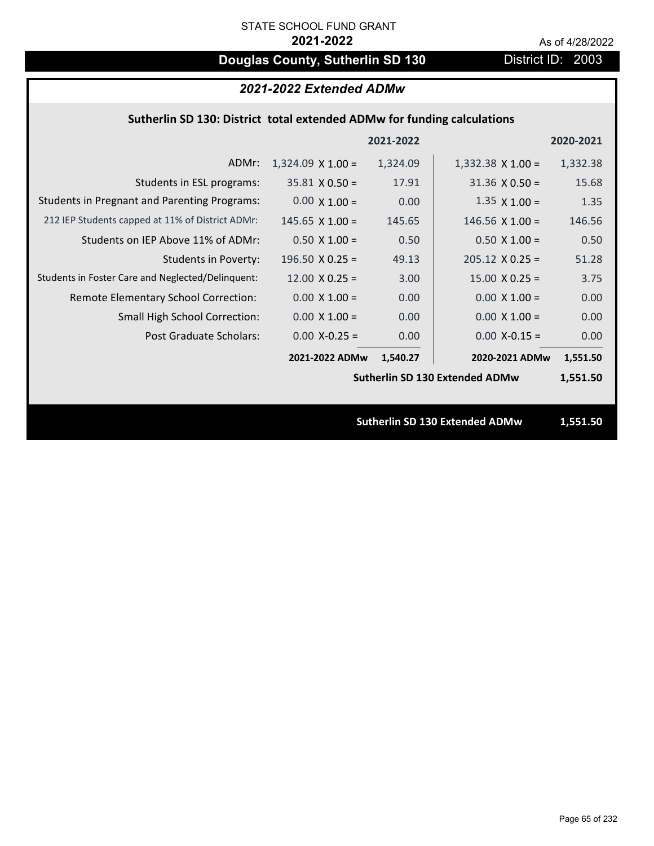# **Douglas County, Sutherlin SD 130** District ID: 2003

| 2021-2022 Extended ADMw                                                 |                          |           |                                       |           |
|-------------------------------------------------------------------------|--------------------------|-----------|---------------------------------------|-----------|
| Sutherlin SD 130: District total extended ADMw for funding calculations |                          |           |                                       |           |
|                                                                         |                          | 2021-2022 |                                       | 2020-2021 |
| ADMr:                                                                   | $1,324.09 \times 1.00 =$ | 1,324.09  | $1,332.38 \times 1.00 =$              | 1,332.38  |
| Students in ESL programs:                                               | $35.81 \times 0.50 =$    | 17.91     | $31.36 \times 0.50 =$                 | 15.68     |
| <b>Students in Pregnant and Parenting Programs:</b>                     | $0.00 \times 1.00 =$     | 0.00      | $1.35 \times 1.00 =$                  | 1.35      |
| 212 IEP Students capped at 11% of District ADMr:                        | 145.65 $X$ 1.00 =        | 145.65    | $146.56 \times 1.00 =$                | 146.56    |
| Students on IEP Above 11% of ADMr:                                      | $0.50 X 1.00 =$          | 0.50      | $0.50 X 1.00 =$                       | 0.50      |
| <b>Students in Poverty:</b>                                             | 196.50 $X$ 0.25 =        | 49.13     | $205.12 \times 0.25 =$                | 51.28     |
| Students in Foster Care and Neglected/Delinquent:                       | $12.00 \times 0.25 =$    | 3.00      | $15.00 \times 0.25 =$                 | 3.75      |
| Remote Elementary School Correction:                                    | $0.00 \times 1.00 =$     | 0.00      | $0.00 \times 1.00 =$                  | 0.00      |
| Small High School Correction:                                           | $0.00 \times 1.00 =$     | 0.00      | $0.00 X 1.00 =$                       | 0.00      |
| <b>Post Graduate Scholars:</b>                                          | $0.00$ X-0.25 =          | 0.00      | $0.00$ X-0.15 =                       | 0.00      |
|                                                                         | 2021-2022 ADMw           | 1,540.27  | 2020-2021 ADMw                        | 1,551.50  |
|                                                                         |                          |           | <b>Sutherlin SD 130 Extended ADMw</b> | 1,551.50  |
|                                                                         |                          |           |                                       |           |
|                                                                         |                          |           | <b>Sutherlin SD 130 Extended ADMw</b> | 1,551.50  |
|                                                                         |                          |           |                                       |           |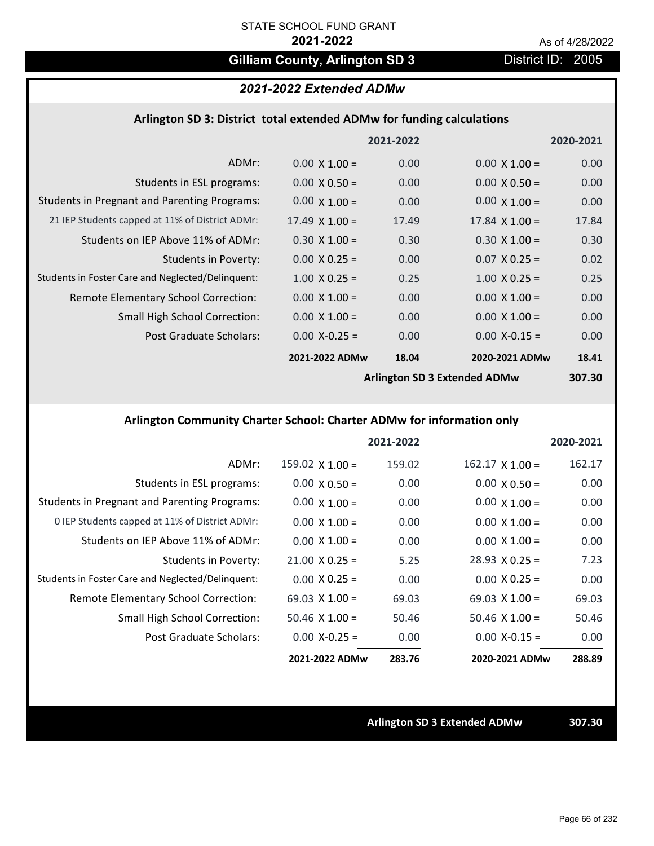# Gilliam County, Arlington SD 3 District ID: 2005

# *2021-2022 Extended ADMw*

### **Arlington SD 3: District total extended ADMw for funding calculations**

|                                                     |                       | 2021-2022 |                                     | 2020-2021 |
|-----------------------------------------------------|-----------------------|-----------|-------------------------------------|-----------|
| ADMr:                                               | $0.00 \times 1.00 =$  | 0.00      | $0.00 \times 1.00 =$                | 0.00      |
| Students in ESL programs:                           | $0.00 \times 0.50 =$  | 0.00      | $0.00 \times 0.50 =$                | 0.00      |
| <b>Students in Pregnant and Parenting Programs:</b> | $0.00 \times 1.00 =$  | 0.00      | $0.00 \times 1.00 =$                | 0.00      |
| 21 IEP Students capped at 11% of District ADMr:     | $17.49 \times 1.00 =$ | 17.49     | $17.84 \times 1.00 =$               | 17.84     |
| Students on IEP Above 11% of ADMr:                  | $0.30 \times 1.00 =$  | 0.30      | $0.30 \times 1.00 =$                | 0.30      |
| Students in Poverty:                                | $0.00 \times 0.25 =$  | 0.00      | $0.07$ X 0.25 =                     | 0.02      |
| Students in Foster Care and Neglected/Delinquent:   | $1.00 \times 0.25 =$  | 0.25      | $1.00 \times 0.25 =$                | 0.25      |
| Remote Elementary School Correction:                | $0.00 \times 1.00 =$  | 0.00      | $0.00 \times 1.00 =$                | 0.00      |
| <b>Small High School Correction:</b>                | $0.00 \times 1.00 =$  | 0.00      | $0.00 \times 1.00 =$                | 0.00      |
| Post Graduate Scholars:                             | $0.00$ X-0.25 =       | 0.00      | $0.00$ X-0.15 =                     | 0.00      |
|                                                     | 2021-2022 ADMw        | 18.04     | 2020-2021 ADMw                      | 18.41     |
|                                                     |                       |           | <b>Arlington SD 3 Extended ADMw</b> | 307.30    |

### **Arlington Community Charter School: Charter ADMw for information only**

|                                                     |                        | 2021-2022 |                        | 2020-2021 |
|-----------------------------------------------------|------------------------|-----------|------------------------|-----------|
| ADMr:                                               | $159.02 \times 1.00 =$ | 159.02    | $162.17 \times 1.00 =$ | 162.17    |
| Students in ESL programs:                           | $0.00 \times 0.50 =$   | 0.00      | $0.00 \times 0.50 =$   | 0.00      |
| <b>Students in Pregnant and Parenting Programs:</b> | $0.00 \times 1.00 =$   | 0.00      | $0.00 \times 1.00 =$   | 0.00      |
| 0 IEP Students capped at 11% of District ADMr:      | $0.00 \times 1.00 =$   | 0.00      | $0.00 \times 1.00 =$   | 0.00      |
| Students on IEP Above 11% of ADMr:                  | $0.00 \times 1.00 =$   | 0.00      | $0.00 \times 1.00 =$   | 0.00      |
| Students in Poverty:                                | $21.00 \times 0.25 =$  | 5.25      | $28.93 \times 0.25 =$  | 7.23      |
| Students in Foster Care and Neglected/Delinquent:   | $0.00 \times 0.25 =$   | 0.00      | $0.00 \times 0.25 =$   | 0.00      |
| Remote Elementary School Correction:                | $69.03 \times 1.00 =$  | 69.03     | $69.03 \times 1.00 =$  | 69.03     |
| <b>Small High School Correction:</b>                | $50.46 \times 1.00 =$  | 50.46     | $50.46 \times 1.00 =$  | 50.46     |
| Post Graduate Scholars:                             | $0.00 X - 0.25 =$      | 0.00      | $0.00 X - 0.15 =$      | 0.00      |
|                                                     | 2021-2022 ADMw         | 283.76    | 2020-2021 ADMw         | 288.89    |

**Arlington SD 3 Extended ADMw 307.30**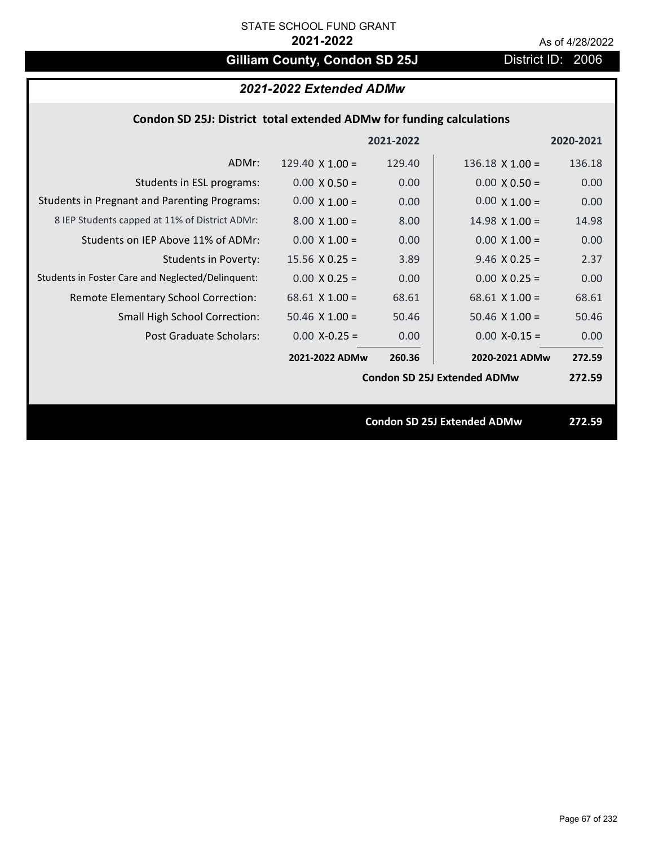# Gilliam County, Condon SD 25J District ID: 2006

# *2021-2022 Extended ADMw*

### **Condon SD 25J: District total extended ADMw for funding calculations**

|                                                     |                        | 2021-2022 |                                    | 2020-2021 |
|-----------------------------------------------------|------------------------|-----------|------------------------------------|-----------|
| ADMr:                                               | 129.40 $\times$ 1.00 = | 129.40    | $136.18$ X $1.00 =$                | 136.18    |
| Students in ESL programs:                           | $0.00 \times 0.50 =$   | 0.00      | $0.00 \times 0.50 =$               | 0.00      |
| <b>Students in Pregnant and Parenting Programs:</b> | $0.00 \times 1.00 =$   | 0.00      | $0.00 \times 1.00 =$               | 0.00      |
| 8 IEP Students capped at 11% of District ADMr:      | $8.00 \times 1.00 =$   | 8.00      | $14.98 \times 1.00 =$              | 14.98     |
| Students on IEP Above 11% of ADMr:                  | $0.00 \times 1.00 =$   | 0.00      | $0.00 \times 1.00 =$               | 0.00      |
| Students in Poverty:                                | $15.56 \times 0.25 =$  | 3.89      | $9.46$ X 0.25 =                    | 2.37      |
| Students in Foster Care and Neglected/Delinquent:   | $0.00 \times 0.25 =$   | 0.00      | $0.00 X 0.25 =$                    | 0.00      |
| Remote Elementary School Correction:                | $68.61$ X 1.00 =       | 68.61     | $68.61$ X 1.00 =                   | 68.61     |
| <b>Small High School Correction:</b>                | $50.46 \times 1.00 =$  | 50.46     | $50.46 \times 1.00 =$              | 50.46     |
| Post Graduate Scholars:                             | $0.00 X-0.25 =$        | 0.00      | $0.00$ X-0.15 =                    | 0.00      |
|                                                     | 2021-2022 ADMw         | 260.36    | 2020-2021 ADMw                     | 272.59    |
|                                                     |                        |           | <b>Condon SD 25J Extended ADMw</b> | 272.59    |
|                                                     |                        |           |                                    |           |
|                                                     |                        |           | <b>Condon SD 25J Extended ADMw</b> | 272.59    |
|                                                     |                        |           |                                    |           |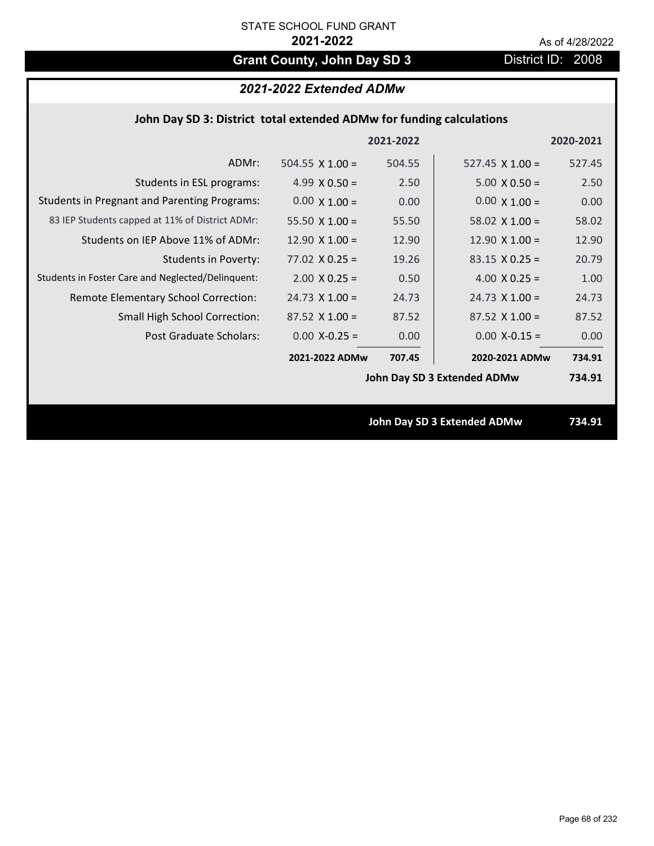# Grant County, John Day SD 3 **District ID: 2008**

# *2021-2022 Extended ADMw*

### **John Day SD 3: District total extended ADMw for funding calculations**

|                                                     |                        | 2021-2022 |                                    | 2020-2021 |
|-----------------------------------------------------|------------------------|-----------|------------------------------------|-----------|
| ADMr:                                               | 504.55 $\times$ 1.00 = | 504.55    | $527.45 \times 1.00 =$             | 527.45    |
| Students in ESL programs:                           | 4.99 $X$ 0.50 =        | 2.50      | $5.00 \times 0.50 =$               | 2.50      |
| <b>Students in Pregnant and Parenting Programs:</b> | $0.00 \times 1.00 =$   | 0.00      | $0.00 \times 1.00 =$               | 0.00      |
| 83 IEP Students capped at 11% of District ADMr:     | 55.50 $\times$ 1.00 =  | 55.50     | 58.02 $\times$ 1.00 =              | 58.02     |
| Students on IEP Above 11% of ADMr:                  | $12.90 \times 1.00 =$  | 12.90     | 12.90 $X$ 1.00 =                   | 12.90     |
| <b>Students in Poverty:</b>                         | $77.02$ X 0.25 =       | 19.26     | $83.15 \times 0.25 =$              | 20.79     |
| Students in Foster Care and Neglected/Delinquent:   | $2.00 \times 0.25 =$   | 0.50      | $4.00 \times 0.25 =$               | 1.00      |
| Remote Elementary School Correction:                | $24.73 \times 1.00 =$  | 24.73     | $24.73 \times 1.00 =$              | 24.73     |
| <b>Small High School Correction:</b>                | $87.52$ X 1.00 =       | 87.52     | $87.52$ X 1.00 =                   | 87.52     |
| Post Graduate Scholars:                             | $0.00$ X-0.25 =        | 0.00      | $0.00$ X-0.15 =                    | 0.00      |
|                                                     | 2021-2022 ADMw         | 707.45    | 2020-2021 ADMw                     | 734.91    |
|                                                     |                        |           | John Day SD 3 Extended ADMw        | 734.91    |
|                                                     |                        |           |                                    |           |
|                                                     |                        |           | <b>John Day SD 3 Extended ADMw</b> | 734.91    |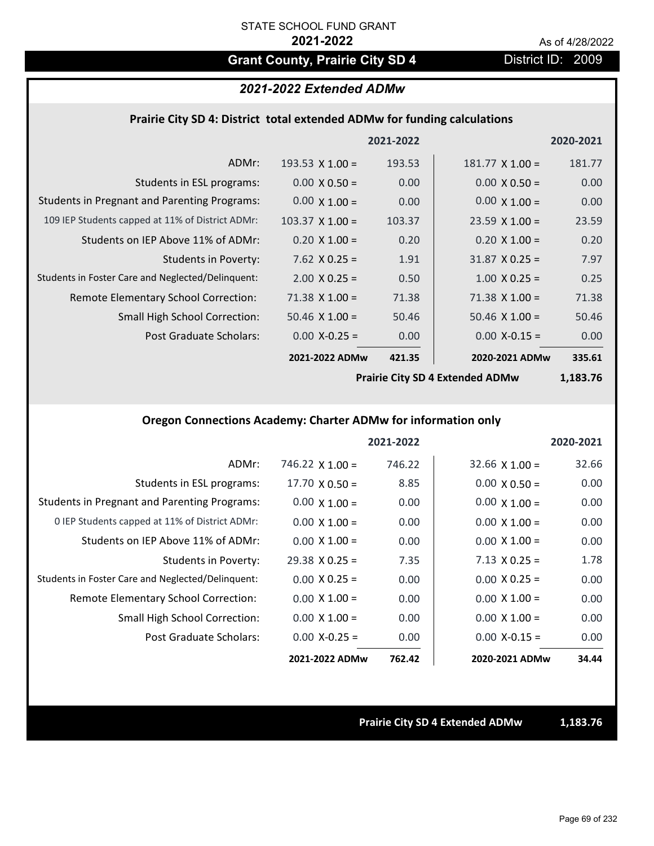# Grant County, Prairie City SD 4 District ID: 2009

### *2021-2022 Extended ADMw*

### **Prairie City SD 4: District total extended ADMw for funding calculations**

|                                                     |                        | 2021-2022 |                        | 2020-2021 |
|-----------------------------------------------------|------------------------|-----------|------------------------|-----------|
| ADMr:                                               | 193.53 $\times$ 1.00 = | 193.53    | $181.77 \times 1.00 =$ | 181.77    |
| Students in ESL programs:                           | $0.00 \times 0.50 =$   | 0.00      | $0.00 \times 0.50 =$   | 0.00      |
| <b>Students in Pregnant and Parenting Programs:</b> | $0.00 \times 1.00 =$   | 0.00      | $0.00 \times 1.00 =$   | 0.00      |
| 109 IEP Students capped at 11% of District ADMr:    | $103.37 \times 1.00 =$ | 103.37    | $23.59 \times 1.00 =$  | 23.59     |
| Students on IEP Above 11% of ADMr:                  | $0.20 \times 1.00 =$   | 0.20      | $0.20 \times 1.00 =$   | 0.20      |
| <b>Students in Poverty:</b>                         | $7.62$ $X$ 0.25 =      | 1.91      | $31.87 \times 0.25 =$  | 7.97      |
| Students in Foster Care and Neglected/Delinquent:   | $2.00 \times 0.25 =$   | 0.50      | $1.00 \times 0.25 =$   | 0.25      |
| Remote Elementary School Correction:                | $71.38 \times 1.00 =$  | 71.38     | $71.38 \times 1.00 =$  | 71.38     |
| <b>Small High School Correction:</b>                | $50.46 \times 1.00 =$  | 50.46     | $50.46 \times 1.00 =$  | 50.46     |
| Post Graduate Scholars:                             | $0.00$ X-0.25 =        | 0.00      | $0.00$ X-0.15 =        | 0.00      |
|                                                     | 2021-2022 ADMw         | 421.35    | 2020-2021 ADMw         | 335.61    |

**Prairie City SD 4 Extended ADMw**

**1,183.76**

### **Oregon Connections Academy: Charter ADMw for information only**

|                                                     |                        | 2021-2022 |                       | 2020-2021 |
|-----------------------------------------------------|------------------------|-----------|-----------------------|-----------|
| ADMr:                                               | $746.22 \times 1.00 =$ | 746.22    | $32.66 \times 1.00 =$ | 32.66     |
| Students in ESL programs:                           | $17.70 \times 0.50 =$  | 8.85      | $0.00 \times 0.50 =$  | 0.00      |
| <b>Students in Pregnant and Parenting Programs:</b> | $0.00 \times 1.00 =$   | 0.00      | $0.00 \times 1.00 =$  | 0.00      |
| 0 IEP Students capped at 11% of District ADMr:      | $0.00 \times 1.00 =$   | 0.00      | $0.00 \times 1.00 =$  | 0.00      |
| Students on IEP Above 11% of ADMr:                  | $0.00 \times 1.00 =$   | 0.00      | $0.00 \times 1.00 =$  | 0.00      |
| Students in Poverty:                                | $29.38 \times 0.25 =$  | 7.35      | $7.13 \times 0.25 =$  | 1.78      |
| Students in Foster Care and Neglected/Delinquent:   | $0.00 \times 0.25 =$   | 0.00      | $0.00 \times 0.25 =$  | 0.00      |
| Remote Elementary School Correction:                | $0.00 \times 1.00 =$   | 0.00      | $0.00 \times 1.00 =$  | 0.00      |
| <b>Small High School Correction:</b>                | $0.00 \times 1.00 =$   | 0.00      | $0.00 \times 1.00 =$  | 0.00      |
| Post Graduate Scholars:                             | $0.00$ X-0.25 =        | 0.00      | $0.00 X-0.15 =$       | 0.00      |
|                                                     | 2021-2022 ADMw         | 762.42    | 2020-2021 ADMw        | 34.44     |

**Prairie City SD 4 Extended ADMw 1,183.76**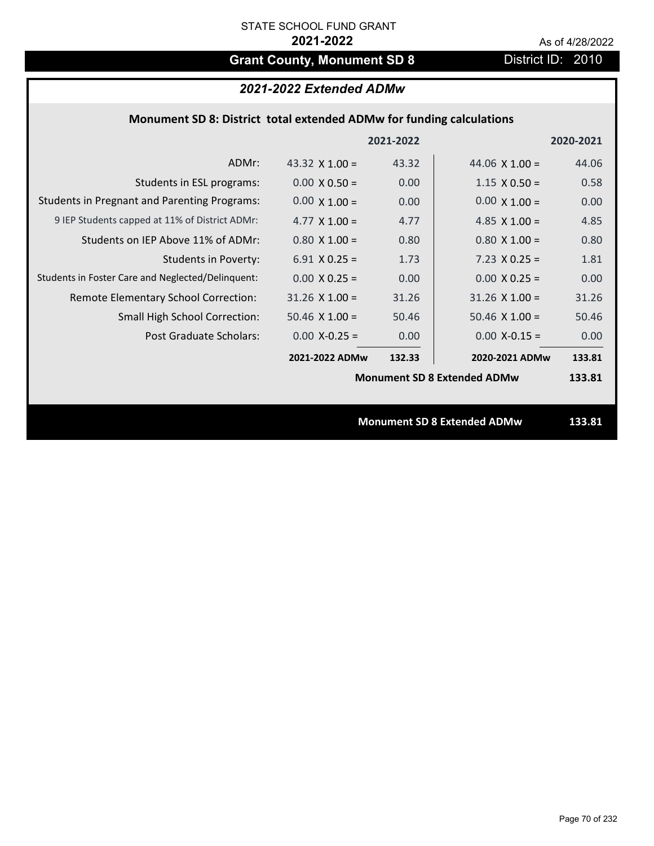# Grant County, Monument SD 8 District ID: 2010

# *2021-2022 Extended ADMw*

### **Monument SD 8: District total extended ADMw for funding calculations**

|                                                     |                                    | 2021-2022 |                                    | 2020-2021 |
|-----------------------------------------------------|------------------------------------|-----------|------------------------------------|-----------|
| ADMr:                                               | 43.32 $\times$ 1.00 =              | 43.32     | 44.06 $\times$ 1.00 =              | 44.06     |
| Students in ESL programs:                           | $0.00 \times 0.50 =$               | 0.00      | $1.15 \times 0.50 =$               | 0.58      |
| <b>Students in Pregnant and Parenting Programs:</b> | $0.00 \times 1.00 =$               | 0.00      | $0.00 \times 1.00 =$               | 0.00      |
| 9 IEP Students capped at 11% of District ADMr:      | 4.77 $\times$ 1.00 =               | 4.77      | 4.85 $\times$ 1.00 =               | 4.85      |
| Students on IEP Above 11% of ADMr:                  | $0.80 X 1.00 =$                    | 0.80      | $0.80$ X $1.00 =$                  | 0.80      |
| <b>Students in Poverty:</b>                         | $6.91 X 0.25 =$                    | 1.73      | $7.23 \times 0.25 =$               | 1.81      |
| Students in Foster Care and Neglected/Delinquent:   | $0.00 \times 0.25 =$               | 0.00      | $0.00 \times 0.25 =$               | 0.00      |
| Remote Elementary School Correction:                | $31.26$ X $1.00 =$                 | 31.26     | $31.26 \times 1.00 =$              | 31.26     |
| <b>Small High School Correction:</b>                | $50.46 \times 1.00 =$              | 50.46     | $50.46$ X 1.00 =                   | 50.46     |
| Post Graduate Scholars:                             | $0.00$ X-0.25 =                    | 0.00      | $0.00$ X-0.15 =                    | 0.00      |
|                                                     | 2021-2022 ADMw                     | 132.33    | 2020-2021 ADMw                     | 133.81    |
|                                                     | <b>Monument SD 8 Extended ADMw</b> |           |                                    | 133.81    |
|                                                     |                                    |           |                                    |           |
|                                                     |                                    |           | <b>Monument SD 8 Extended ADMw</b> | 133.81    |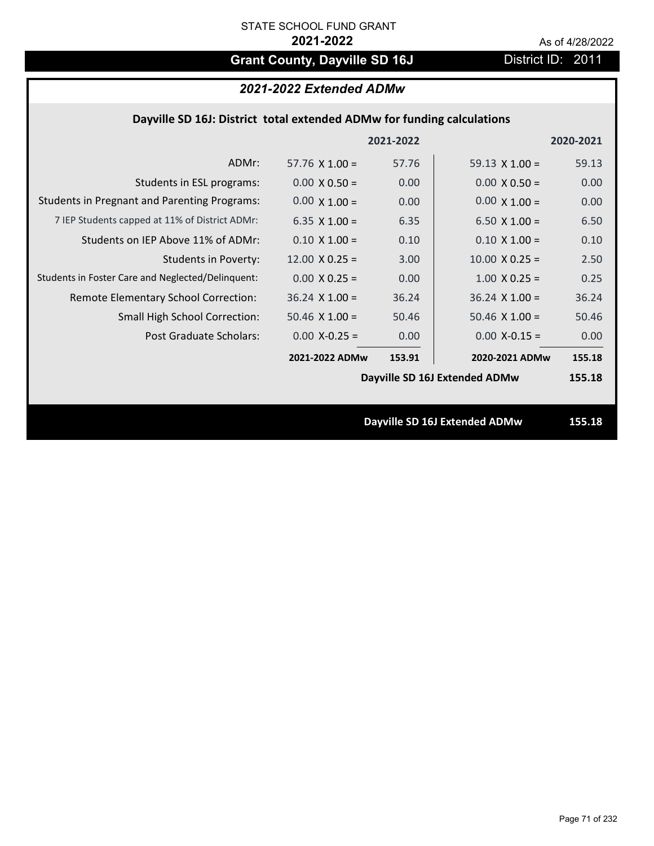# Grant County, Dayville SD 16J **District ID: 2011**

# *2021-2022 Extended ADMw*

## **Dayville SD 16J: District total extended ADMw for funding calculations**

|                                                     |                       | 2021-2022 |                               | 2020-2021 |
|-----------------------------------------------------|-----------------------|-----------|-------------------------------|-----------|
| ADMr:                                               | $57.76 \times 1.00 =$ | 57.76     | 59.13 $\times$ 1.00 =         | 59.13     |
| Students in ESL programs:                           | $0.00 \times 0.50 =$  | 0.00      | $0.00 \times 0.50 =$          | 0.00      |
| <b>Students in Pregnant and Parenting Programs:</b> | $0.00 \times 1.00 =$  | 0.00      | $0.00 \times 1.00 =$          | 0.00      |
| 7 IEP Students capped at 11% of District ADMr:      | 6.35 $X$ 1.00 =       | 6.35      | $6.50 \times 1.00 =$          | 6.50      |
| Students on IEP Above 11% of ADMr:                  | $0.10 \times 1.00 =$  | 0.10      | $0.10 X 1.00 =$               | 0.10      |
| <b>Students in Poverty:</b>                         | $12.00 \times 0.25 =$ | 3.00      | $10.00 \times 0.25 =$         | 2.50      |
| Students in Foster Care and Neglected/Delinquent:   | $0.00 \times 0.25 =$  | 0.00      | $1.00 \times 0.25 =$          | 0.25      |
| Remote Elementary School Correction:                | $36.24$ X $1.00 =$    | 36.24     | $36.24$ X 1.00 =              | 36.24     |
| <b>Small High School Correction:</b>                | $50.46$ X $1.00 =$    | 50.46     | $50.46 \times 1.00 =$         | 50.46     |
| Post Graduate Scholars:                             | $0.00$ X-0.25 =       | 0.00      | $0.00$ X-0.15 =               | 0.00      |
|                                                     | 2021-2022 ADMw        | 153.91    | 2020-2021 ADMw                | 155.18    |
|                                                     |                       |           | Dayville SD 16J Extended ADMw | 155.18    |
|                                                     |                       |           |                               |           |
|                                                     |                       |           | Dayville SD 16J Extended ADMw | 155.18    |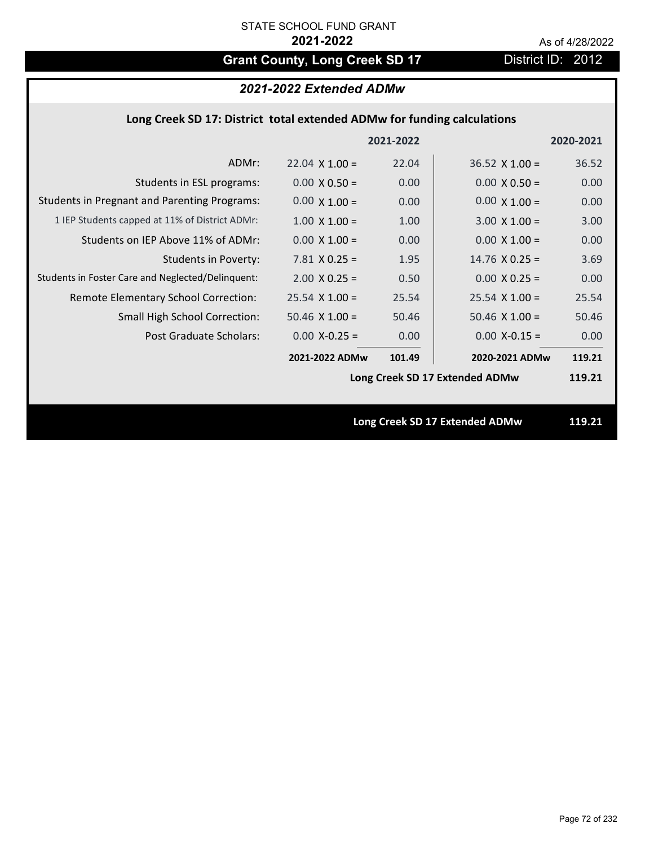# Grant County, Long Creek SD 17 District ID: 2012

# *2021-2022 Extended ADMw*

## **Long Creek SD 17: District total extended ADMw for funding calculations**

|                                                     |                                | 2021-2022 |                                | 2020-2021 |
|-----------------------------------------------------|--------------------------------|-----------|--------------------------------|-----------|
| ADMr:                                               | $22.04 \times 1.00 =$          | 22.04     | $36.52 \times 1.00 =$          | 36.52     |
| Students in ESL programs:                           | $0.00 \times 0.50 =$           | 0.00      | $0.00 \times 0.50 =$           | 0.00      |
| <b>Students in Pregnant and Parenting Programs:</b> | $0.00 \times 1.00 =$           | 0.00      | $0.00 \times 1.00 =$           | 0.00      |
| 1 IEP Students capped at 11% of District ADMr:      | $1.00 \times 1.00 =$           | 1.00      | $3.00 \times 1.00 =$           | 3.00      |
| Students on IEP Above 11% of ADMr:                  | $0.00 \times 1.00 =$           | 0.00      | $0.00 \times 1.00 =$           | 0.00      |
| <b>Students in Poverty:</b>                         | $7.81$ X 0.25 =                | 1.95      | $14.76$ X 0.25 =               | 3.69      |
| Students in Foster Care and Neglected/Delinquent:   | $2.00 \times 0.25 =$           | 0.50      | $0.00 X 0.25 =$                | 0.00      |
| Remote Elementary School Correction:                | $25.54$ X 1.00 =               | 25.54     | $25.54$ X 1.00 =               | 25.54     |
| <b>Small High School Correction:</b>                | $50.46$ X $1.00 =$             | 50.46     | $50.46$ X 1.00 =               | 50.46     |
| Post Graduate Scholars:                             | $0.00$ X-0.25 =                | 0.00      | $0.00$ X-0.15 =                | 0.00      |
|                                                     | 2021-2022 ADMw                 | 101.49    | 2020-2021 ADMw                 | 119.21    |
|                                                     | Long Creek SD 17 Extended ADMw |           |                                | 119.21    |
|                                                     |                                |           |                                |           |
|                                                     |                                |           | Long Creek SD 17 Extended ADMw | 119.21    |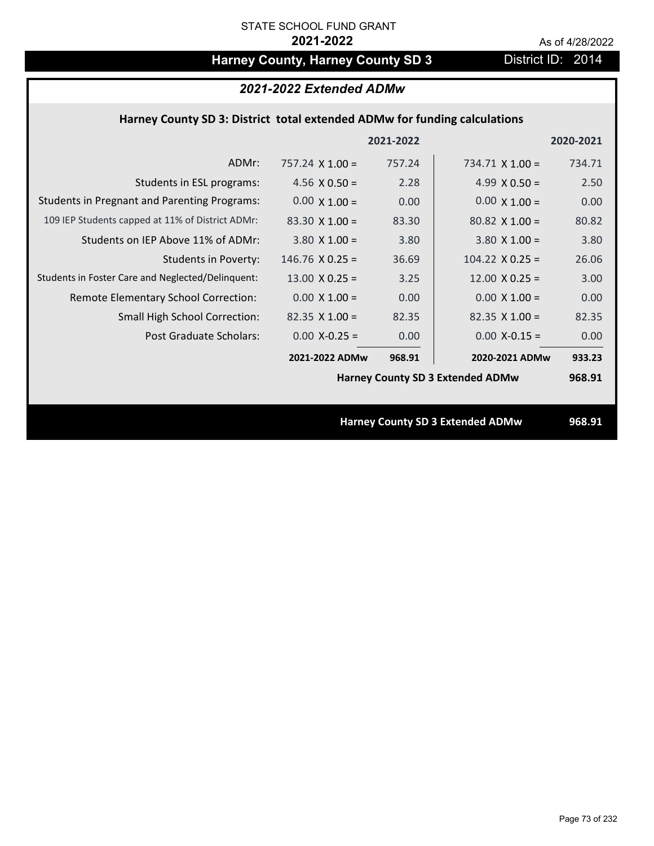## Harney County, Harney County SD 3 District ID: 2014

| 2021-2022 Extended ADMw                                                   |                        |           |                                         |           |  |
|---------------------------------------------------------------------------|------------------------|-----------|-----------------------------------------|-----------|--|
| Harney County SD 3: District total extended ADMw for funding calculations |                        |           |                                         |           |  |
|                                                                           |                        | 2021-2022 |                                         | 2020-2021 |  |
| ADMr:                                                                     | $757.24 \times 1.00 =$ | 757.24    | $734.71 \times 1.00 =$                  | 734.71    |  |
| Students in ESL programs:                                                 | 4.56 $\times$ 0.50 =   | 2.28      | 4.99 $\times$ 0.50 =                    | 2.50      |  |
| <b>Students in Pregnant and Parenting Programs:</b>                       | $0.00 \times 1.00 =$   | 0.00      | $0.00 \times 1.00 =$                    | 0.00      |  |
| 109 IEP Students capped at 11% of District ADMr:                          | $83.30 \times 1.00 =$  | 83.30     | $80.82 \times 1.00 =$                   | 80.82     |  |
| Students on IEP Above 11% of ADMr:                                        | $3.80$ X $1.00 =$      | 3.80      | $3.80$ X $1.00 =$                       | 3.80      |  |
| <b>Students in Poverty:</b>                                               | $146.76$ X 0.25 =      | 36.69     | $104.22 \times 0.25 =$                  | 26.06     |  |
| Students in Foster Care and Neglected/Delinquent:                         | $13.00 \times 0.25 =$  | 3.25      | $12.00 \times 0.25 =$                   | 3.00      |  |
| Remote Elementary School Correction:                                      | $0.00 \times 1.00 =$   | 0.00      | $0.00 \times 1.00 =$                    | 0.00      |  |
| <b>Small High School Correction:</b>                                      | $82.35$ X 1.00 =       | 82.35     | $82.35$ X 1.00 =                        | 82.35     |  |
| <b>Post Graduate Scholars:</b>                                            | $0.00$ X-0.25 =        | 0.00      | $0.00$ X-0.15 =                         | 0.00      |  |
|                                                                           | 2021-2022 ADMw         | 968.91    | 2020-2021 ADMw                          | 933.23    |  |
|                                                                           |                        |           | <b>Harney County SD 3 Extended ADMw</b> | 968.91    |  |
|                                                                           |                        |           |                                         |           |  |
|                                                                           |                        |           | <b>Harney County SD 3 Extended ADMw</b> | 968.91    |  |
|                                                                           |                        |           |                                         |           |  |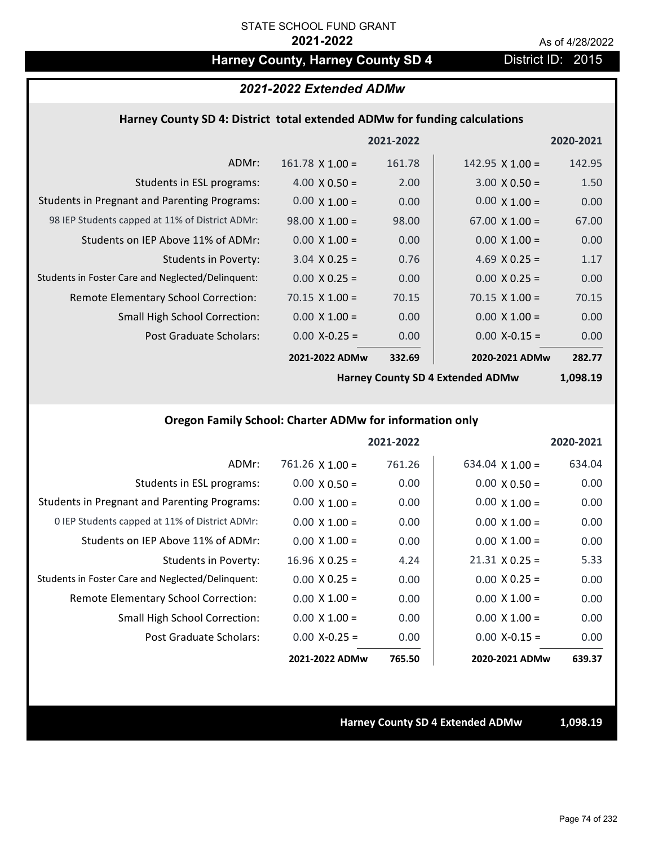## Harney County, Harney County SD 4 District ID: 2015

#### *2021-2022 Extended ADMw*

#### **Harney County SD 4: District total extended ADMw for funding calculations**

|                                                     |                        | 2021-2022 |                        | 2020-2021 |
|-----------------------------------------------------|------------------------|-----------|------------------------|-----------|
| ADMr:                                               | $161.78 \times 1.00 =$ | 161.78    | $142.95 \times 1.00 =$ | 142.95    |
| Students in ESL programs:                           | $4.00 \times 0.50 =$   | 2.00      | $3.00 \times 0.50 =$   | 1.50      |
| <b>Students in Pregnant and Parenting Programs:</b> | $0.00 \times 1.00 =$   | 0.00      | $0.00 \times 1.00 =$   | 0.00      |
| 98 IEP Students capped at 11% of District ADMr:     | $98.00 \times 1.00 =$  | 98.00     | $67.00 \times 1.00 =$  | 67.00     |
| Students on IEP Above 11% of ADMr:                  | $0.00 \times 1.00 =$   | 0.00      | $0.00 \times 1.00 =$   | 0.00      |
| <b>Students in Poverty:</b>                         | $3.04 \times 0.25 =$   | 0.76      | 4.69 $X$ 0.25 =        | 1.17      |
| Students in Foster Care and Neglected/Delinquent:   | $0.00 \times 0.25 =$   | 0.00      | $0.00 \times 0.25 =$   | 0.00      |
| Remote Elementary School Correction:                | $70.15 \times 1.00 =$  | 70.15     | $70.15 \times 1.00 =$  | 70.15     |
| <b>Small High School Correction:</b>                | $0.00 \times 1.00 =$   | 0.00      | $0.00 \times 1.00 =$   | 0.00      |
| Post Graduate Scholars:                             | $0.00$ X-0.25 =        | 0.00      | $0.00$ X-0.15 =        | 0.00      |
|                                                     | 2021-2022 ADMw         | 332.69    | 2020-2021 ADMw         | 282.77    |

**Harney County SD 4 Extended ADMw**

**1,098.19**

### **Oregon Family School: Charter ADMw for information only**

|                                                     |                      | 2021-2022 |                       | 2020-2021 |
|-----------------------------------------------------|----------------------|-----------|-----------------------|-----------|
| ADMr:                                               | $761.26$ X $1.00 =$  | 761.26    | 634.04 $X$ 1.00 =     | 634.04    |
| Students in ESL programs:                           | $0.00 \times 0.50 =$ | 0.00      | $0.00 \times 0.50 =$  | 0.00      |
| <b>Students in Pregnant and Parenting Programs:</b> | $0.00 \times 1.00 =$ | 0.00      | $0.00 \times 1.00 =$  | 0.00      |
| 0 IEP Students capped at 11% of District ADMr:      | $0.00 \times 1.00 =$ | 0.00      | $0.00 \times 1.00 =$  | 0.00      |
| Students on IEP Above 11% of ADMr:                  | $0.00 \times 1.00 =$ | 0.00      | $0.00 \times 1.00 =$  | 0.00      |
| <b>Students in Poverty:</b>                         | $16.96$ X 0.25 =     | 4.24      | $21.31 \times 0.25 =$ | 5.33      |
| Students in Foster Care and Neglected/Delinquent:   | $0.00 \times 0.25 =$ | 0.00      | $0.00 \times 0.25 =$  | 0.00      |
| Remote Elementary School Correction:                | $0.00 \times 1.00 =$ | 0.00      | $0.00 \times 1.00 =$  | 0.00      |
| <b>Small High School Correction:</b>                | $0.00 \times 1.00 =$ | 0.00      | $0.00 \times 1.00 =$  | 0.00      |
| Post Graduate Scholars:                             | $0.00 X - 0.25 =$    | 0.00      | $0.00 X - 0.15 =$     | 0.00      |
|                                                     | 2021-2022 ADMw       | 765.50    | 2020-2021 ADMw        | 639.37    |

#### **Harney County SD 4 Extended ADMw 1,098.19**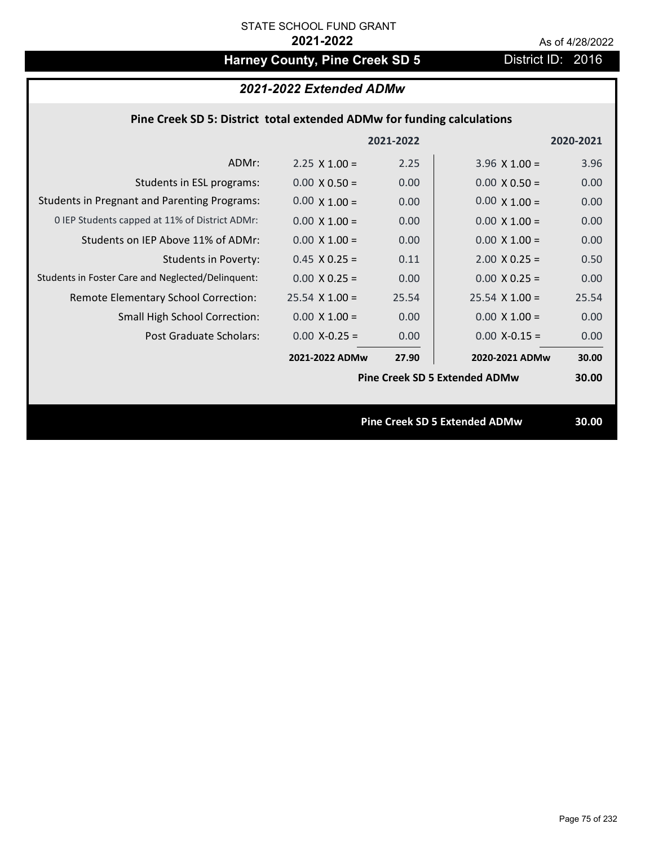## Harney County, Pine Creek SD 5 District ID: 2016

### *2021-2022 Extended ADMw*

### **Pine Creek SD 5: District total extended ADMw for funding calculations**

|                                                     |                       | 2021-2022 |                                      | 2020-2021 |
|-----------------------------------------------------|-----------------------|-----------|--------------------------------------|-----------|
| ADMr:                                               | $2.25 \times 1.00 =$  | 2.25      | $3.96 \times 1.00 =$                 | 3.96      |
| Students in ESL programs:                           | $0.00 \times 0.50 =$  | 0.00      | $0.00 \times 0.50 =$                 | 0.00      |
| <b>Students in Pregnant and Parenting Programs:</b> | $0.00 \times 1.00 =$  | 0.00      | $0.00 \times 1.00 =$                 | 0.00      |
| 0 IEP Students capped at 11% of District ADMr:      | $0.00 \times 1.00 =$  | 0.00      | $0.00 \times 1.00 =$                 | 0.00      |
| Students on IEP Above 11% of ADMr:                  | $0.00 \times 1.00 =$  | 0.00      | $0.00 \times 1.00 =$                 | 0.00      |
| <b>Students in Poverty:</b>                         | $0.45$ X 0.25 =       | 0.11      | $2.00 \times 0.25 =$                 | 0.50      |
| Students in Foster Care and Neglected/Delinquent:   | $0.00 \times 0.25 =$  | 0.00      | $0.00 X 0.25 =$                      | 0.00      |
| Remote Elementary School Correction:                | $25.54 \times 1.00 =$ | 25.54     | $25.54 \times 1.00 =$                | 25.54     |
| <b>Small High School Correction:</b>                | $0.00 \times 1.00 =$  | 0.00      | $0.00 \times 1.00 =$                 | 0.00      |
| Post Graduate Scholars:                             | $0.00$ X-0.25 =       | 0.00      | $0.00$ X-0.15 =                      | 0.00      |
|                                                     | 2021-2022 ADMw        | 27.90     | 2020-2021 ADMw                       | 30.00     |
|                                                     |                       |           | <b>Pine Creek SD 5 Extended ADMw</b> | 30.00     |
|                                                     |                       |           |                                      |           |
|                                                     |                       |           | <b>Pine Creek SD 5 Extended ADMw</b> | 30.00     |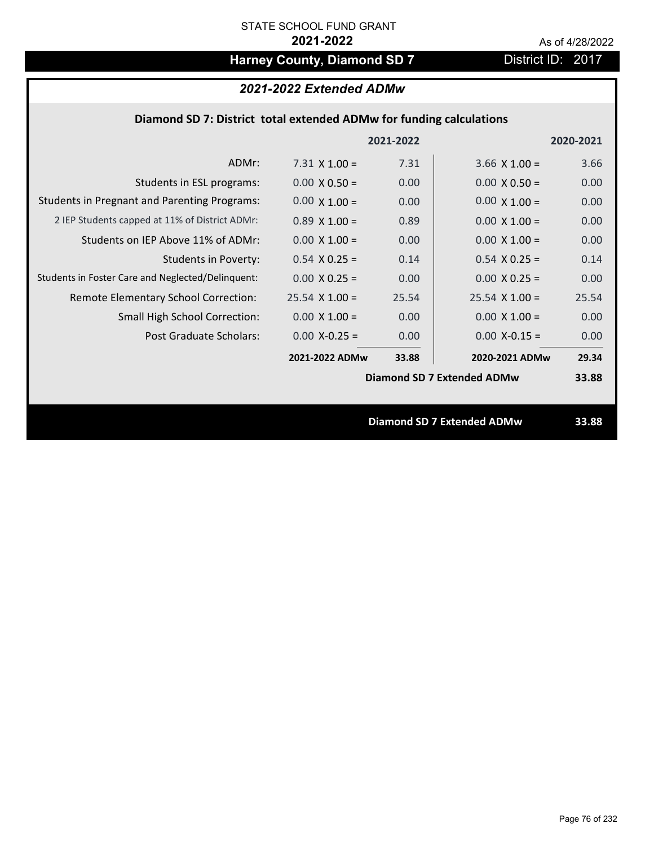## Harney County, Diamond SD 7 District ID: 2017

### *2021-2022 Extended ADMw*

### **Diamond SD 7: District total extended ADMw for funding calculations**

|                                                     |                       | 2021-2022 |                                   | 2020-2021 |
|-----------------------------------------------------|-----------------------|-----------|-----------------------------------|-----------|
| ADMr:                                               | 7.31 $\times$ 1.00 =  | 7.31      | $3.66 \times 1.00 =$              | 3.66      |
| Students in ESL programs:                           | $0.00 \times 0.50 =$  | 0.00      | $0.00 \times 0.50 =$              | 0.00      |
| <b>Students in Pregnant and Parenting Programs:</b> | $0.00 \times 1.00 =$  | 0.00      | $0.00 \times 1.00 =$              | 0.00      |
| 2 IEP Students capped at 11% of District ADMr:      | $0.89 \times 1.00 =$  | 0.89      | $0.00 \times 1.00 =$              | 0.00      |
| Students on IEP Above 11% of ADMr:                  | $0.00 \times 1.00 =$  | 0.00      | $0.00 \times 1.00 =$              | 0.00      |
| <b>Students in Poverty:</b>                         | $0.54$ X 0.25 =       | 0.14      | $0.54$ X 0.25 =                   | 0.14      |
| Students in Foster Care and Neglected/Delinquent:   | $0.00 \times 0.25 =$  | 0.00      | $0.00 X 0.25 =$                   | 0.00      |
| Remote Elementary School Correction:                | $25.54 \times 1.00 =$ | 25.54     | $25.54 \times 1.00 =$             | 25.54     |
| <b>Small High School Correction:</b>                | $0.00 \times 1.00 =$  | 0.00      | $0.00 \times 1.00 =$              | 0.00      |
| Post Graduate Scholars:                             | $0.00$ X-0.25 =       | 0.00      | $0.00$ X-0.15 =                   | 0.00      |
|                                                     | 2021-2022 ADMw        | 33.88     | 2020-2021 ADMw                    | 29.34     |
|                                                     |                       |           | Diamond SD 7 Extended ADMw        | 33.88     |
|                                                     |                       |           |                                   |           |
|                                                     |                       |           | <b>Diamond SD 7 Extended ADMw</b> | 33.88     |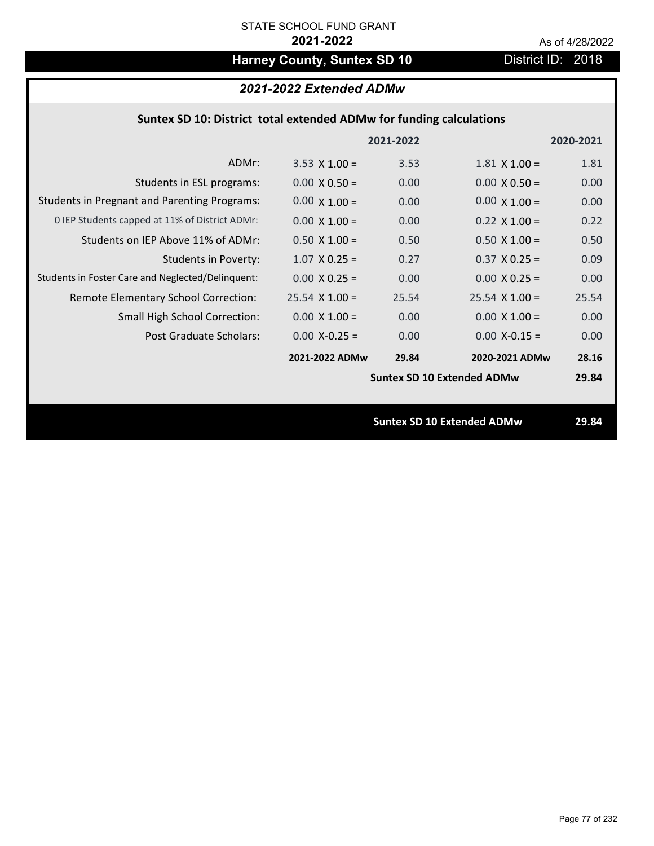## Harney County, Suntex SD 10 District ID: 2018

### *2021-2022 Extended ADMw*

### **Suntex SD 10: District total extended ADMw for funding calculations**

|                                                     |                       | 2021-2022 |                                   | 2020-2021 |
|-----------------------------------------------------|-----------------------|-----------|-----------------------------------|-----------|
| ADMr:                                               | $3.53 \times 1.00 =$  | 3.53      | $1.81 \times 1.00 =$              | 1.81      |
| Students in ESL programs:                           | $0.00 \times 0.50 =$  | 0.00      | $0.00 \times 0.50 =$              | 0.00      |
| <b>Students in Pregnant and Parenting Programs:</b> | $0.00 \times 1.00 =$  | 0.00      | $0.00 \times 1.00 =$              | 0.00      |
| 0 IEP Students capped at 11% of District ADMr:      | $0.00 \times 1.00 =$  | 0.00      | $0.22 \times 1.00 =$              | 0.22      |
| Students on IEP Above 11% of ADMr:                  | $0.50 \times 1.00 =$  | 0.50      | $0.50 X 1.00 =$                   | 0.50      |
| <b>Students in Poverty:</b>                         | $1.07$ X 0.25 =       | 0.27      | $0.37 \times 0.25 =$              | 0.09      |
| Students in Foster Care and Neglected/Delinquent:   | $0.00 \times 0.25 =$  | 0.00      | $0.00 X 0.25 =$                   | 0.00      |
| Remote Elementary School Correction:                | $25.54 \times 1.00 =$ | 25.54     | $25.54 \times 1.00 =$             | 25.54     |
| <b>Small High School Correction:</b>                | $0.00 \times 1.00 =$  | 0.00      | $0.00 \times 1.00 =$              | 0.00      |
| Post Graduate Scholars:                             | $0.00$ X-0.25 =       | 0.00      | $0.00$ X-0.15 =                   | 0.00      |
|                                                     | 2021-2022 ADMw        | 29.84     | 2020-2021 ADMw                    | 28.16     |
|                                                     |                       |           | <b>Suntex SD 10 Extended ADMw</b> | 29.84     |
|                                                     |                       |           |                                   |           |
|                                                     |                       |           | <b>Suntex SD 10 Extended ADMw</b> | 29.84     |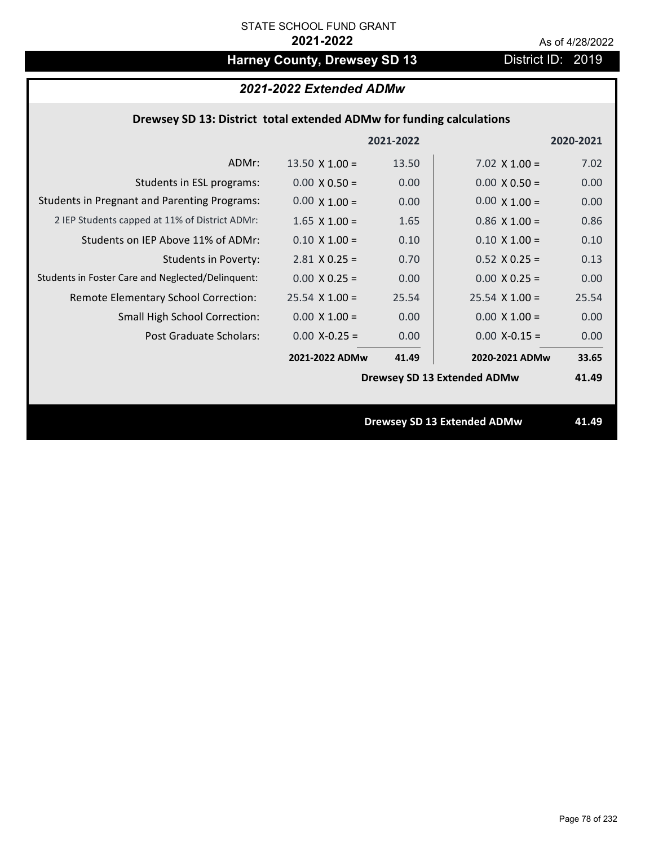## Harney County, Drewsey SD 13 District ID: 2019

### *2021-2022 Extended ADMw*

### **Drewsey SD 13: District total extended ADMw for funding calculations**

|                                                     |                       | 2021-2022 |                                    | 2020-2021 |
|-----------------------------------------------------|-----------------------|-----------|------------------------------------|-----------|
| ADMr:                                               | $13.50 \times 1.00 =$ | 13.50     | 7.02 $\times$ 1.00 =               | 7.02      |
| Students in ESL programs:                           | $0.00 \times 0.50 =$  | 0.00      | $0.00 \times 0.50 =$               | 0.00      |
| <b>Students in Pregnant and Parenting Programs:</b> | $0.00 \times 1.00 =$  | 0.00      | $0.00 \times 1.00 =$               | 0.00      |
| 2 IEP Students capped at 11% of District ADMr:      | $1.65 \times 1.00 =$  | 1.65      | $0.86 \times 1.00 =$               | 0.86      |
| Students on IEP Above 11% of ADMr:                  | $0.10 \times 1.00 =$  | 0.10      | $0.10 \times 1.00 =$               | 0.10      |
| <b>Students in Poverty:</b>                         | $2.81$ X 0.25 =       | 0.70      | $0.52$ X $0.25 =$                  | 0.13      |
| Students in Foster Care and Neglected/Delinquent:   | $0.00 \times 0.25 =$  | 0.00      | $0.00 X 0.25 =$                    | 0.00      |
| Remote Elementary School Correction:                | $25.54$ X 1.00 =      | 25.54     | $25.54$ X 1.00 =                   | 25.54     |
| <b>Small High School Correction:</b>                | $0.00 \times 1.00 =$  | 0.00      | $0.00 \times 1.00 =$               | 0.00      |
| Post Graduate Scholars:                             | $0.00$ X-0.25 =       | 0.00      | $0.00$ X-0.15 =                    | 0.00      |
|                                                     | 2021-2022 ADMw        | 41.49     | 2020-2021 ADMw                     | 33.65     |
|                                                     |                       |           | <b>Drewsey SD 13 Extended ADMw</b> | 41.49     |
|                                                     |                       |           |                                    |           |
|                                                     |                       |           | <b>Drewsey SD 13 Extended ADMw</b> | 41.49     |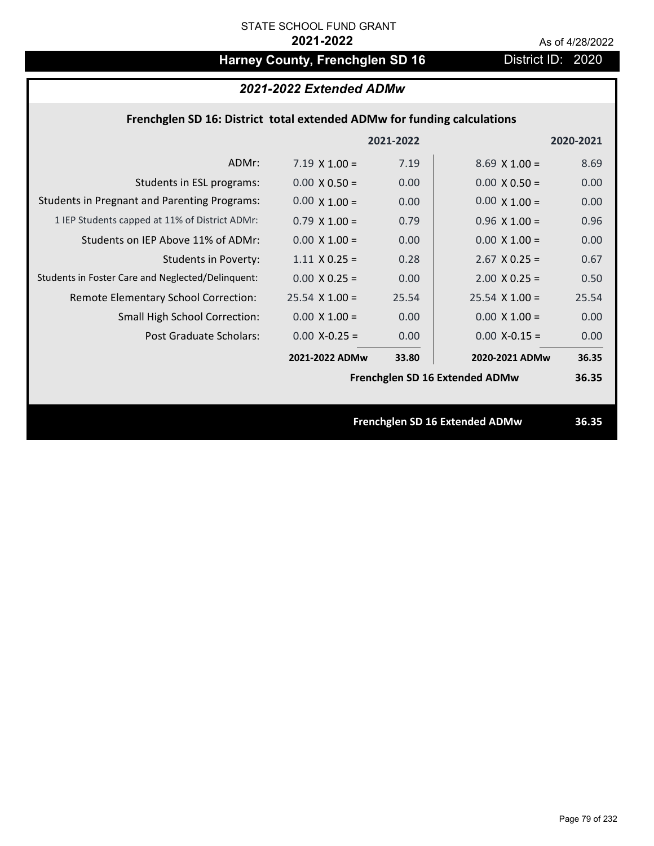## Harney County, Frenchglen SD 16 **District ID: 2020**

### *2021-2022 Extended ADMw*

### **Frenchglen SD 16: District total extended ADMw for funding calculations**

|                                                     |                       | 2021-2022 |                                | 2020-2021 |
|-----------------------------------------------------|-----------------------|-----------|--------------------------------|-----------|
| ADMr:                                               | $7.19 \times 1.00 =$  | 7.19      | $8.69 \times 1.00 =$           | 8.69      |
| Students in ESL programs:                           | $0.00 \times 0.50 =$  | 0.00      | $0.00 \times 0.50 =$           | 0.00      |
| <b>Students in Pregnant and Parenting Programs:</b> | $0.00 \times 1.00 =$  | 0.00      | $0.00 \times 1.00 =$           | 0.00      |
| 1 IEP Students capped at 11% of District ADMr:      | $0.79 \times 1.00 =$  | 0.79      | $0.96 \times 1.00 =$           | 0.96      |
| Students on IEP Above 11% of ADMr:                  | $0.00 \times 1.00 =$  | 0.00      | $0.00 \times 1.00 =$           | 0.00      |
| <b>Students in Poverty:</b>                         | $1.11 \times 0.25 =$  | 0.28      | $2.67$ X 0.25 =                | 0.67      |
| Students in Foster Care and Neglected/Delinquent:   | $0.00 \times 0.25 =$  | 0.00      | $2.00 \times 0.25 =$           | 0.50      |
| Remote Elementary School Correction:                | $25.54 \times 1.00 =$ | 25.54     | $25.54 \times 1.00 =$          | 25.54     |
| <b>Small High School Correction:</b>                | $0.00 \times 1.00 =$  | 0.00      | $0.00 \times 1.00 =$           | 0.00      |
| Post Graduate Scholars:                             | $0.00$ X-0.25 =       | 0.00      | $0.00$ X-0.15 =                | 0.00      |
|                                                     | 2021-2022 ADMw        | 33.80     | 2020-2021 ADMw                 | 36.35     |
|                                                     |                       |           | Frenchglen SD 16 Extended ADMw | 36.35     |
|                                                     |                       |           |                                |           |
|                                                     |                       |           | Frenchglen SD 16 Extended ADMw | 36.35     |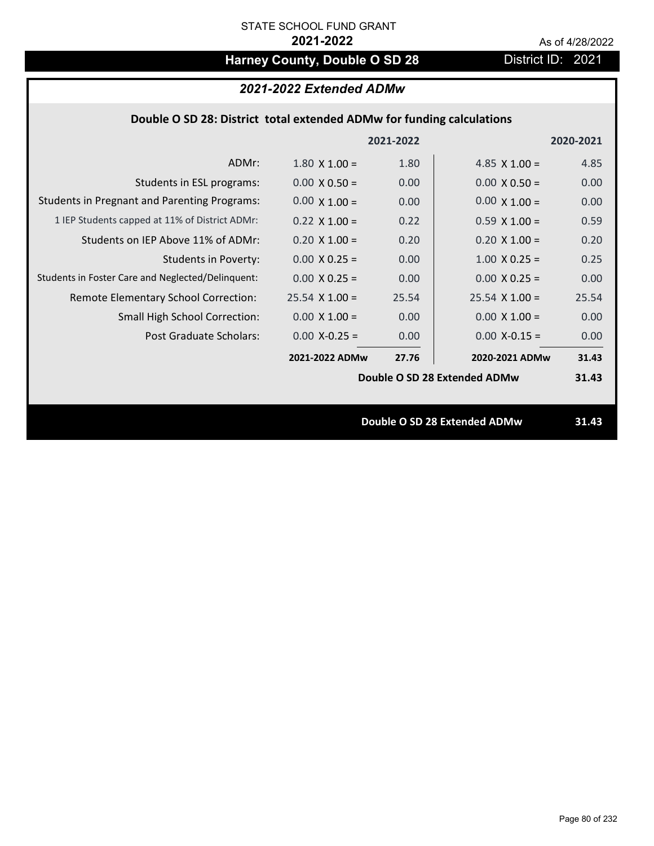## Harney County, Double O SD 28 District ID: 2021

## *2021-2022 Extended ADMw*

### **Double O SD 28: District total extended ADMw for funding calculations**

|                                                     |                      | 2021-2022 |                              | 2020-2021 |
|-----------------------------------------------------|----------------------|-----------|------------------------------|-----------|
| ADMr:                                               | $1.80 \times 1.00 =$ | 1.80      | 4.85 $\times$ 1.00 =         | 4.85      |
| Students in ESL programs:                           | $0.00 \times 0.50 =$ | 0.00      | $0.00 \times 0.50 =$         | 0.00      |
| <b>Students in Pregnant and Parenting Programs:</b> | $0.00 \times 1.00 =$ | 0.00      | $0.00 \times 1.00 =$         | 0.00      |
| 1 IEP Students capped at 11% of District ADMr:      | $0.22 \times 1.00 =$ | 0.22      | $0.59 \times 1.00 =$         | 0.59      |
| Students on IEP Above 11% of ADMr:                  | $0.20 X 1.00 =$      | 0.20      | $0.20$ X $1.00 =$            | 0.20      |
| <b>Students in Poverty:</b>                         | $0.00 \times 0.25 =$ | 0.00      | $1.00 \times 0.25 =$         | 0.25      |
| Students in Foster Care and Neglected/Delinquent:   | $0.00 \times 0.25 =$ | 0.00      | $0.00 \times 0.25 =$         | 0.00      |
| Remote Elementary School Correction:                | $25.54$ X 1.00 =     | 25.54     | $25.54 \times 1.00 =$        | 25.54     |
| <b>Small High School Correction:</b>                | $0.00 \times 1.00 =$ | 0.00      | $0.00 \times 1.00 =$         | 0.00      |
| Post Graduate Scholars:                             | $0.00$ X-0.25 =      | 0.00      | $0.00$ X-0.15 =              | 0.00      |
|                                                     | 2021-2022 ADMw       | 27.76     | 2020-2021 ADMw               | 31.43     |
|                                                     |                      |           | Double O SD 28 Extended ADMw | 31.43     |
|                                                     |                      |           |                              |           |
|                                                     |                      |           | Double O SD 28 Extended ADMw | 31.43     |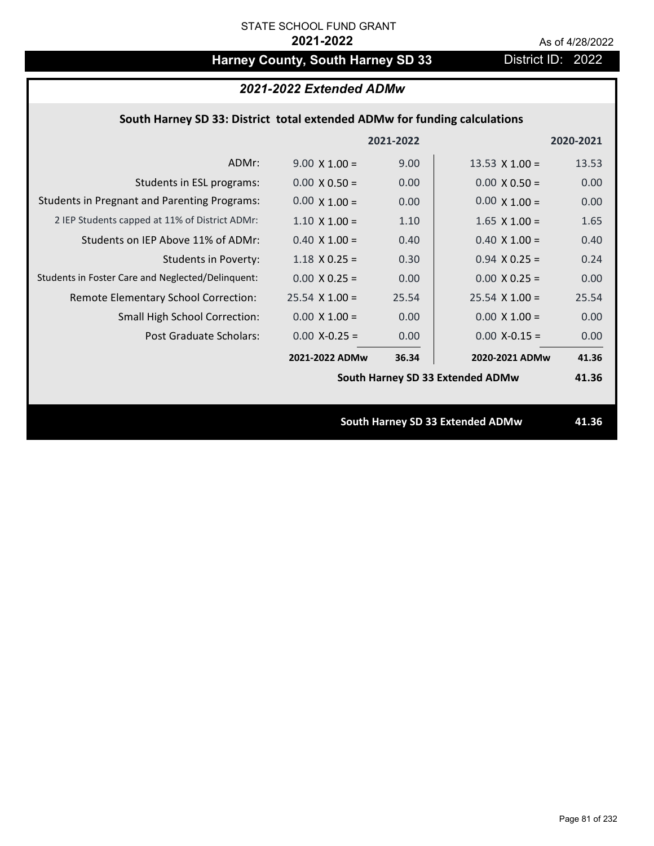## Harney County, South Harney SD 33 District ID: 2022

### *2021-2022 Extended ADMw*

### **South Harney SD 33: District total extended ADMw for funding calculations**

|                                                     |                      | 2021-2022 |                                         | 2020-2021 |
|-----------------------------------------------------|----------------------|-----------|-----------------------------------------|-----------|
| ADMr:                                               | $9.00 \times 1.00 =$ | 9.00      | 13.53 $\times$ 1.00 =                   | 13.53     |
| Students in ESL programs:                           | $0.00 \times 0.50 =$ | 0.00      | $0.00 \times 0.50 =$                    | 0.00      |
| <b>Students in Pregnant and Parenting Programs:</b> | $0.00 \times 1.00 =$ | 0.00      | $0.00 \times 1.00 =$                    | 0.00      |
| 2 IEP Students capped at 11% of District ADMr:      | $1.10 \times 1.00 =$ | 1.10      | $1.65$ X $1.00 =$                       | 1.65      |
| Students on IEP Above 11% of ADMr:                  | $0.40$ X $1.00 =$    | 0.40      | $0.40$ X $1.00 =$                       | 0.40      |
| <b>Students in Poverty:</b>                         | $1.18$ X 0.25 =      | 0.30      | $0.94$ X 0.25 =                         | 0.24      |
| Students in Foster Care and Neglected/Delinquent:   | $0.00 \times 0.25 =$ | 0.00      | $0.00 X 0.25 =$                         | 0.00      |
| Remote Elementary School Correction:                | $25.54$ X 1.00 =     | 25.54     | $25.54$ X 1.00 =                        | 25.54     |
| <b>Small High School Correction:</b>                | $0.00 \times 1.00 =$ | 0.00      | $0.00 \times 1.00 =$                    | 0.00      |
| Post Graduate Scholars:                             | $0.00$ X-0.25 =      | 0.00      | $0.00$ X-0.15 =                         | 0.00      |
|                                                     | 2021-2022 ADMw       | 36.34     | 2020-2021 ADMw                          | 41.36     |
|                                                     |                      |           | South Harney SD 33 Extended ADMw        | 41.36     |
|                                                     |                      |           |                                         |           |
|                                                     |                      |           | <b>South Harney SD 33 Extended ADMw</b> | 41.36     |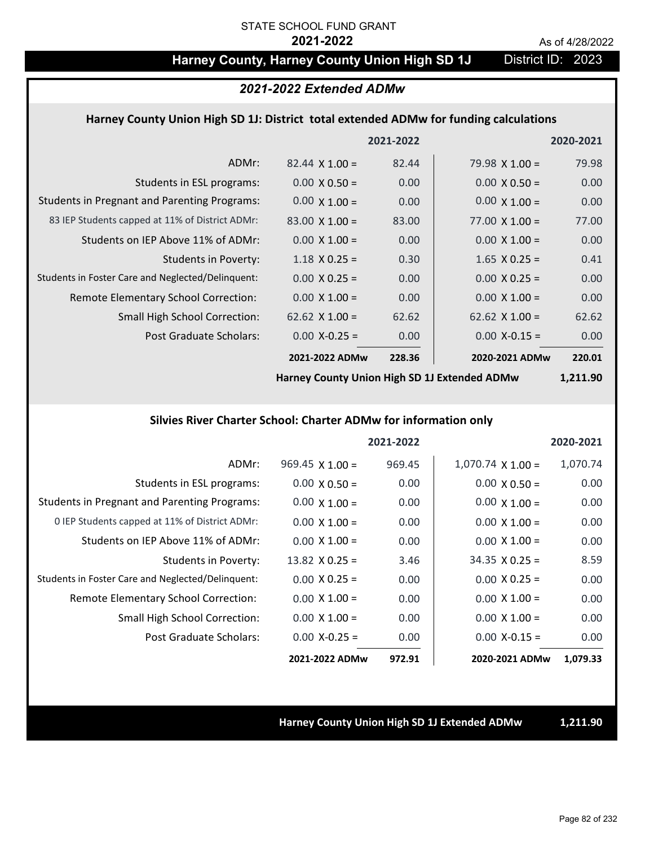### Harney County, Harney County Union High SD 1J District ID: 2023

#### *2021-2022 Extended ADMw*

#### **Harney County Union High SD 1J: District total extended ADMw for funding calculations**

|                                                     |                       | 2021-2022 |                       | 2020-2021 |
|-----------------------------------------------------|-----------------------|-----------|-----------------------|-----------|
| ADMr:                                               | $82.44 \times 1.00 =$ | 82.44     | $79.98 \times 1.00 =$ | 79.98     |
| Students in ESL programs:                           | $0.00 \times 0.50 =$  | 0.00      | $0.00 \times 0.50 =$  | 0.00      |
| <b>Students in Pregnant and Parenting Programs:</b> | $0.00 \times 1.00 =$  | 0.00      | $0.00 \times 1.00 =$  | 0.00      |
| 83 IEP Students capped at 11% of District ADMr:     | $83.00 \times 1.00 =$ | 83.00     | $77.00 \times 1.00 =$ | 77.00     |
| Students on IEP Above 11% of ADMr:                  | $0.00 \times 1.00 =$  | 0.00      | $0.00 \times 1.00 =$  | 0.00      |
| <b>Students in Poverty:</b>                         | $1.18 \times 0.25 =$  | 0.30      | $1.65$ X 0.25 =       | 0.41      |
| Students in Foster Care and Neglected/Delinquent:   | $0.00 \times 0.25 =$  | 0.00      | $0.00 \times 0.25 =$  | 0.00      |
| Remote Elementary School Correction:                | $0.00 \times 1.00 =$  | 0.00      | $0.00 \times 1.00 =$  | 0.00      |
| <b>Small High School Correction:</b>                | 62.62 $\times$ 1.00 = | 62.62     | $62.62 \times 1.00 =$ | 62.62     |
| Post Graduate Scholars:                             | $0.00$ X-0.25 =       | 0.00      | $0.00$ X-0.15 =       | 0.00      |
|                                                     | 2021-2022 ADMw        | 228.36    | 2020-2021 ADMw        | 220.01    |
|                                                     |                       |           |                       |           |

**Harney County Union High SD 1J Extended ADMw**

### **1,211.90**

#### **Silvies River Charter School: Charter ADMw for information only**

|                                                     |                        | 2021-2022 |                          | 2020-2021 |
|-----------------------------------------------------|------------------------|-----------|--------------------------|-----------|
| ADMr:                                               | $969.45 \times 1.00 =$ | 969.45    | $1,070.74 \times 1.00 =$ | 1,070.74  |
| Students in ESL programs:                           | $0.00 \times 0.50 =$   | 0.00      | $0.00 \times 0.50 =$     | 0.00      |
| <b>Students in Pregnant and Parenting Programs:</b> | $0.00 \times 1.00 =$   | 0.00      | $0.00 \times 1.00 =$     | 0.00      |
| 0 IEP Students capped at 11% of District ADMr:      | $0.00 \times 1.00 =$   | 0.00      | $0.00 \times 1.00 =$     | 0.00      |
| Students on IEP Above 11% of ADMr:                  | $0.00 \times 1.00 =$   | 0.00      | $0.00 \times 1.00 =$     | 0.00      |
| Students in Poverty:                                | $13.82 \times 0.25 =$  | 3.46      | $34.35 \times 0.25 =$    | 8.59      |
| Students in Foster Care and Neglected/Delinquent:   | $0.00 \times 0.25 =$   | 0.00      | $0.00 \times 0.25 =$     | 0.00      |
| Remote Elementary School Correction:                | $0.00 \times 1.00 =$   | 0.00      | $0.00 \times 1.00 =$     | 0.00      |
| <b>Small High School Correction:</b>                | $0.00 \times 1.00 =$   | 0.00      | $0.00 \times 1.00 =$     | 0.00      |
| Post Graduate Scholars:                             | $0.00$ X-0.25 =        | 0.00      | $0.00 X - 0.15 =$        | 0.00      |
|                                                     | 2021-2022 ADMw         | 972.91    | 2020-2021 ADMw           | 1,079.33  |

**Harney County Union High SD 1J Extended ADMw 1,211.90**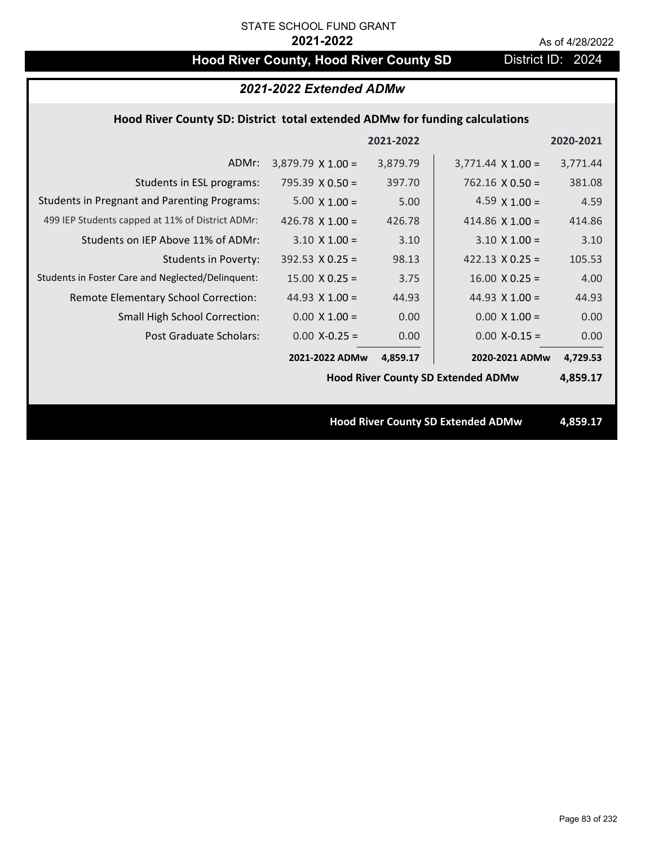## **Hood River County, Hood River County SD District ID: 2024**

### *2021-2022 Extended ADMw*

### **Hood River County SD: District total extended ADMw for funding calculations**

|                                                     |                                           | 2021-2022 |                                           | 2020-2021 |
|-----------------------------------------------------|-------------------------------------------|-----------|-------------------------------------------|-----------|
| ADMr:                                               | $3,879.79 \times 1.00 =$                  | 3,879.79  | $3,771.44 \times 1.00 =$                  | 3,771.44  |
| Students in ESL programs:                           | $795.39 \times 0.50 =$                    | 397.70    | $762.16 \times 0.50 =$                    | 381.08    |
| <b>Students in Pregnant and Parenting Programs:</b> | $5.00 \times 1.00 =$                      | 5.00      | 4.59 $\times$ 1.00 =                      | 4.59      |
| 499 IEP Students capped at 11% of District ADMr:    | 426.78 $\times$ 1.00 =                    | 426.78    | 414.86 $\times$ 1.00 =                    | 414.86    |
| Students on IEP Above 11% of ADMr:                  | $3.10 \times 1.00 =$                      | 3.10      | $3.10 \times 1.00 =$                      | 3.10      |
| <b>Students in Poverty:</b>                         | $392.53 \times 0.25 =$                    | 98.13     | 422.13 $X$ 0.25 =                         | 105.53    |
| Students in Foster Care and Neglected/Delinquent:   | $15.00 \times 0.25 =$                     | 3.75      | $16.00 \times 0.25 =$                     | 4.00      |
| Remote Elementary School Correction:                | 44.93 $X$ 1.00 =                          | 44.93     | 44.93 $\times$ 1.00 =                     | 44.93     |
| <b>Small High School Correction:</b>                | $0.00 \times 1.00 =$                      | 0.00      | $0.00 \times 1.00 =$                      | 0.00      |
| Post Graduate Scholars:                             | $0.00$ X-0.25 =                           | 0.00      | $0.00$ X-0.15 =                           | 0.00      |
|                                                     | 2021-2022 ADMw                            | 4,859.17  | 2020-2021 ADMw                            | 4,729.53  |
|                                                     | <b>Hood River County SD Extended ADMw</b> |           |                                           | 4,859.17  |
|                                                     |                                           |           |                                           |           |
|                                                     |                                           |           | <b>Hood River County SD Extended ADMw</b> | 4,859.17  |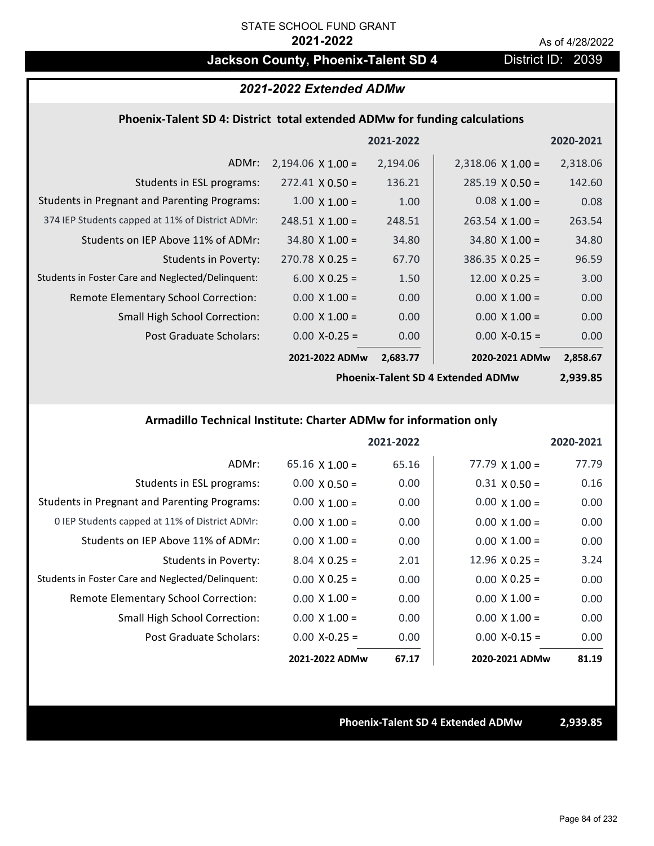## **Jackson County, Phoenix-Talent SD 4** District ID: 2039

## *2021-2022 Extended ADMw*

#### **Phoenix‐Talent SD 4: District total extended ADMw for funding calculations**

|                                                     |                          | 2021-2022 |                          | 2020-2021 |
|-----------------------------------------------------|--------------------------|-----------|--------------------------|-----------|
| ADMr:                                               | $2,194.06 \times 1.00 =$ | 2,194.06  | $2,318.06 \times 1.00 =$ | 2,318.06  |
| Students in ESL programs:                           | $272.41 \times 0.50 =$   | 136.21    | $285.19 \times 0.50 =$   | 142.60    |
| <b>Students in Pregnant and Parenting Programs:</b> | $1.00 \times 1.00 =$     | 1.00      | $0.08 \times 1.00 =$     | 0.08      |
| 374 IEP Students capped at 11% of District ADMr:    | $248.51 \times 1.00 =$   | 248.51    | $263.54 \times 1.00 =$   | 263.54    |
| Students on IEP Above 11% of ADMr:                  | $34.80 \times 1.00 =$    | 34.80     | $34.80 \times 1.00 =$    | 34.80     |
| Students in Poverty:                                | $270.78 \times 0.25 =$   | 67.70     | $386.35 \times 0.25 =$   | 96.59     |
| Students in Foster Care and Neglected/Delinquent:   | $6.00 \times 0.25 =$     | 1.50      | $12.00 \times 0.25 =$    | 3.00      |
| Remote Elementary School Correction:                | $0.00 \times 1.00 =$     | 0.00      | $0.00 \times 1.00 =$     | 0.00      |
| <b>Small High School Correction:</b>                | $0.00 \times 1.00 =$     | 0.00      | $0.00 \times 1.00 =$     | 0.00      |
| Post Graduate Scholars:                             | $0.00$ X-0.25 =          | 0.00      | $0.00$ X-0.15 =          | 0.00      |
|                                                     | 2021-2022 ADMw           | 2,683.77  | 2020-2021 ADMw           | 2,858.67  |

**Phoenix‐Talent SD 4 Extended ADMw**

**2,939.85**

#### **Armadillo Technical Institute: Charter ADMw for information only**

|                                                     |                       | 2021-2022 |                       | 2020-2021 |
|-----------------------------------------------------|-----------------------|-----------|-----------------------|-----------|
| ADMr:                                               | $65.16 \times 1.00 =$ | 65.16     | $77.79 \times 1.00 =$ | 77.79     |
| Students in ESL programs:                           | $0.00 \times 0.50 =$  | 0.00      | $0.31 \times 0.50 =$  | 0.16      |
| <b>Students in Pregnant and Parenting Programs:</b> | $0.00 \times 1.00 =$  | 0.00      | $0.00 \times 1.00 =$  | 0.00      |
| 0 IEP Students capped at 11% of District ADMr:      | $0.00 \times 1.00 =$  | 0.00      | $0.00 \times 1.00 =$  | 0.00      |
| Students on IEP Above 11% of ADMr:                  | $0.00 \times 1.00 =$  | 0.00      | $0.00 \times 1.00 =$  | 0.00      |
| Students in Poverty:                                | $8.04 \times 0.25 =$  | 2.01      | $12.96 \times 0.25 =$ | 3.24      |
| Students in Foster Care and Neglected/Delinquent:   | $0.00 \times 0.25 =$  | 0.00      | $0.00 \times 0.25 =$  | 0.00      |
| Remote Elementary School Correction:                | $0.00 \times 1.00 =$  | 0.00      | $0.00 \times 1.00 =$  | 0.00      |
| <b>Small High School Correction:</b>                | $0.00 \times 1.00 =$  | 0.00      | $0.00 \times 1.00 =$  | 0.00      |
| Post Graduate Scholars:                             | $0.00 X - 0.25 =$     | 0.00      | $0.00 X - 0.15 =$     | 0.00      |
|                                                     | 2021-2022 ADMw        | 67.17     | 2020-2021 ADMw        | 81.19     |

**Phoenix‐Talent SD 4 Extended ADMw 2,939.85**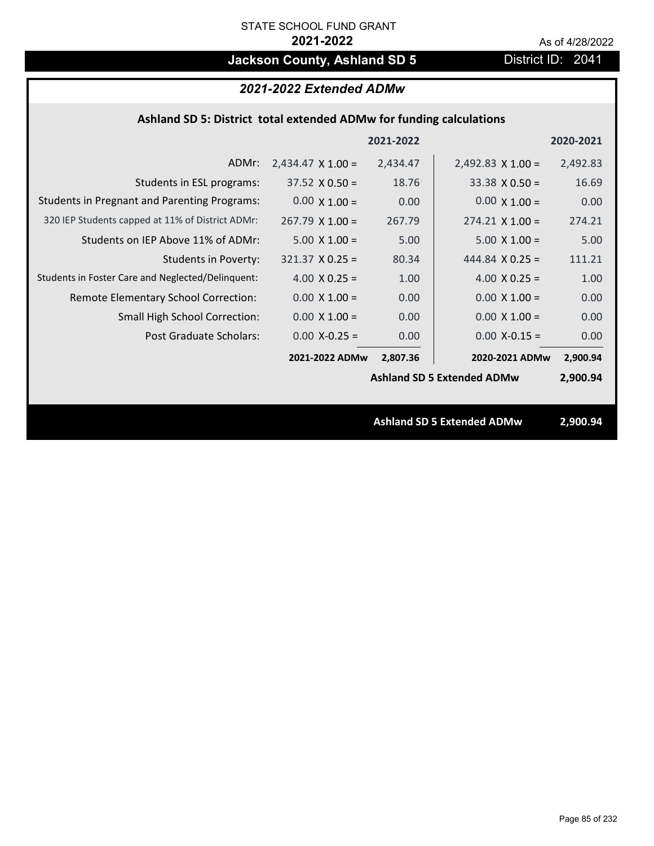## **Jackson County, Ashland SD 5** District ID: 2041

### *2021-2022 Extended ADMw*

### **Ashland SD 5: District total extended ADMw for funding calculations**

|                                                     |                          | 2021-2022 |                                   | 2020-2021 |
|-----------------------------------------------------|--------------------------|-----------|-----------------------------------|-----------|
| ADMr:                                               | $2,434.47 \times 1.00 =$ | 2,434.47  | $2,492.83 \times 1.00 =$          | 2,492.83  |
| Students in ESL programs:                           | $37.52 \times 0.50 =$    | 18.76     | $33.38 \times 0.50 =$             | 16.69     |
| <b>Students in Pregnant and Parenting Programs:</b> | $0.00 \times 1.00 =$     | 0.00      | $0.00 \times 1.00 =$              | 0.00      |
| 320 IEP Students capped at 11% of District ADMr:    | $267.79 \times 1.00 =$   | 267.79    | $274.21 \times 1.00 =$            | 274.21    |
| Students on IEP Above 11% of ADMr:                  | $5.00 \times 1.00 =$     | 5.00      | $5.00 \times 1.00 =$              | 5.00      |
| <b>Students in Poverty:</b>                         | $321.37 \times 0.25 =$   | 80.34     | 444.84 $\times$ 0.25 =            | 111.21    |
| Students in Foster Care and Neglected/Delinquent:   | 4.00 $X$ 0.25 =          | 1.00      | 4.00 $X$ 0.25 =                   | 1.00      |
| Remote Elementary School Correction:                | $0.00 \times 1.00 =$     | 0.00      | $0.00 \times 1.00 =$              | 0.00      |
| <b>Small High School Correction:</b>                | $0.00 \times 1.00 =$     | 0.00      | $0.00 \times 1.00 =$              | 0.00      |
| Post Graduate Scholars:                             | $0.00$ X-0.25 =          | 0.00      | $0.00$ X-0.15 =                   | 0.00      |
|                                                     | 2021-2022 ADMw           | 2,807.36  | 2020-2021 ADMw                    | 2,900.94  |
|                                                     |                          |           | <b>Ashland SD 5 Extended ADMw</b> | 2,900.94  |
|                                                     |                          |           |                                   |           |
|                                                     |                          |           | <b>Ashland SD 5 Extended ADMw</b> | 2,900.94  |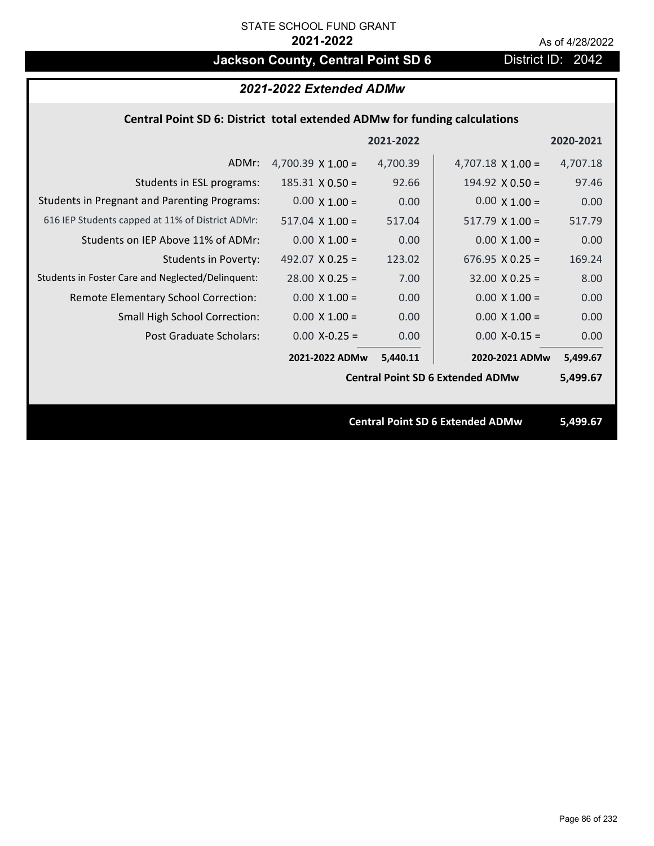## **Jackson County, Central Point SD 6** District ID: 2042

### *2021-2022 Extended ADMw*

### **Central Point SD 6: District total extended ADMw for funding calculations**

|                                                     |                          | 2021-2022 |                                         | 2020-2021 |
|-----------------------------------------------------|--------------------------|-----------|-----------------------------------------|-----------|
| ADMr:                                               | 4,700.39 $\times$ 1.00 = | 4,700.39  | $4,707.18 \times 1.00 =$                | 4,707.18  |
| Students in ESL programs:                           | $185.31 \times 0.50 =$   | 92.66     | $194.92 \times 0.50 =$                  | 97.46     |
| <b>Students in Pregnant and Parenting Programs:</b> | $0.00 \times 1.00 =$     | 0.00      | $0.00 \times 1.00 =$                    | 0.00      |
| 616 IEP Students capped at 11% of District ADMr:    | $517.04 \times 1.00 =$   | 517.04    | $517.79 \times 1.00 =$                  | 517.79    |
| Students on IEP Above 11% of ADMr:                  | $0.00 \times 1.00 =$     | 0.00      | $0.00 \times 1.00 =$                    | 0.00      |
| <b>Students in Poverty:</b>                         | 492.07 $X$ 0.25 =        | 123.02    | $676.95 \times 0.25 =$                  | 169.24    |
| Students in Foster Care and Neglected/Delinquent:   | $28.00 \times 0.25 =$    | 7.00      | $32.00 \times 0.25 =$                   | 8.00      |
| Remote Elementary School Correction:                | $0.00 \times 1.00 =$     | 0.00      | $0.00 \times 1.00 =$                    | 0.00      |
| <b>Small High School Correction:</b>                | $0.00 \times 1.00 =$     | 0.00      | $0.00 \times 1.00 =$                    | 0.00      |
| Post Graduate Scholars:                             | $0.00$ X-0.25 =          | 0.00      | $0.00$ X-0.15 =                         | 0.00      |
|                                                     | 2021-2022 ADMw           | 5,440.11  | 2020-2021 ADMw                          | 5,499.67  |
|                                                     |                          |           | <b>Central Point SD 6 Extended ADMw</b> | 5,499.67  |
|                                                     |                          |           |                                         |           |
|                                                     |                          |           | <b>Central Point SD 6 Extended ADMw</b> | 5,499.67  |

Page 86 of 232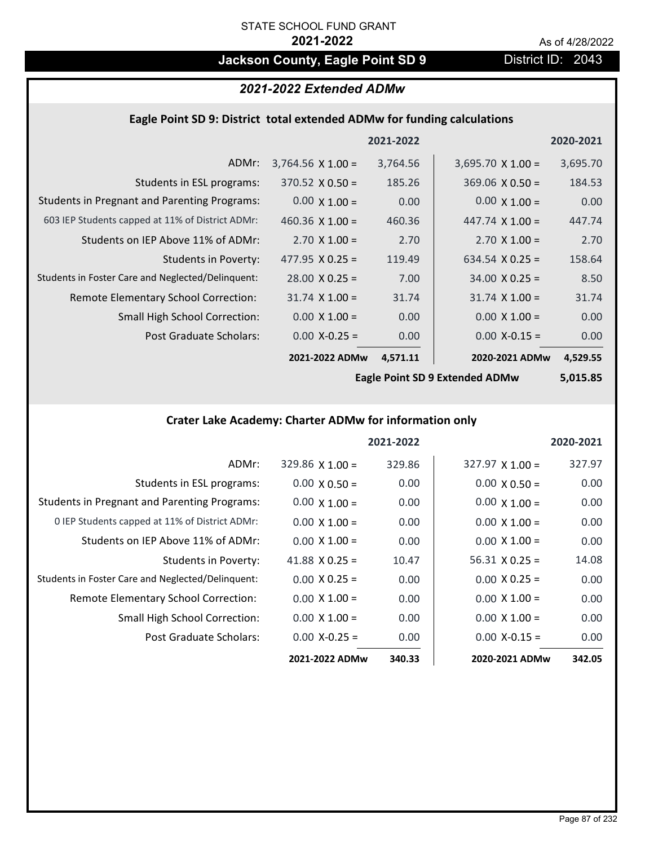## **Jackson County, Eagle Point SD 9 District ID: 2043**

### *2021-2022 Extended ADMw*

#### **Eagle Point SD 9: District total extended ADMw for funding calculations**

|                                                     |                          | 2021-2022 |                          | 2020-2021 |
|-----------------------------------------------------|--------------------------|-----------|--------------------------|-----------|
| ADMr:                                               | $3,764.56 \times 1.00 =$ | 3,764.56  | $3,695.70 \times 1.00 =$ | 3,695.70  |
| Students in ESL programs:                           | $370.52 \times 0.50 =$   | 185.26    | $369.06 \times 0.50 =$   | 184.53    |
| <b>Students in Pregnant and Parenting Programs:</b> | $0.00 \times 1.00 =$     | 0.00      | $0.00 \times 1.00 =$     | 0.00      |
| 603 IEP Students capped at 11% of District ADMr:    | 460.36 $\times$ 1.00 =   | 460.36    | 447.74 $\times$ 1.00 =   | 447.74    |
| Students on IEP Above 11% of ADMr:                  | $2.70 \times 1.00 =$     | 2.70      | $2.70 \times 1.00 =$     | 2.70      |
| <b>Students in Poverty:</b>                         | $477.95 \times 0.25 =$   | 119.49    | $634.54 \times 0.25 =$   | 158.64    |
| Students in Foster Care and Neglected/Delinquent:   | $28.00 \times 0.25 =$    | 7.00      | $34.00 \times 0.25 =$    | 8.50      |
| Remote Elementary School Correction:                | $31.74 \times 1.00 =$    | 31.74     | $31.74 \times 1.00 =$    | 31.74     |
| <b>Small High School Correction:</b>                | $0.00 \times 1.00 =$     | 0.00      | $0.00 \times 1.00 =$     | 0.00      |
| Post Graduate Scholars:                             | $0.00$ X-0.25 =          | 0.00      | $0.00$ X-0.15 =          | 0.00      |
|                                                     | 2021-2022 ADMw           | 4,571.11  | 2020-2021 ADMw           | 4,529.55  |

**Eagle Point SD 9 Extended ADMw**

**5,015.85**

### **Crater Lake Academy: Charter ADMw for information only**

|                                                     |                        | 2021-2022 |                        | 2020-2021 |
|-----------------------------------------------------|------------------------|-----------|------------------------|-----------|
| ADMr:                                               | $329.86 \times 1.00 =$ | 329.86    | $327.97 \times 1.00 =$ | 327.97    |
| Students in ESL programs:                           | $0.00 \times 0.50 =$   | 0.00      | $0.00 \times 0.50 =$   | 0.00      |
| <b>Students in Pregnant and Parenting Programs:</b> | $0.00 \times 1.00 =$   | 0.00      | $0.00 \times 1.00 =$   | 0.00      |
| 0 IEP Students capped at 11% of District ADMr:      | $0.00 \times 1.00 =$   | 0.00      | $0.00 \times 1.00 =$   | 0.00      |
| Students on IEP Above 11% of ADMr:                  | $0.00 \times 1.00 =$   | 0.00      | $0.00 \times 1.00 =$   | 0.00      |
| <b>Students in Poverty:</b>                         | 41.88 $X$ 0.25 =       | 10.47     | $56.31 \times 0.25 =$  | 14.08     |
| Students in Foster Care and Neglected/Delinquent:   | $0.00 \times 0.25 =$   | 0.00      | $0.00 \times 0.25 =$   | 0.00      |
| Remote Elementary School Correction:                | $0.00 \times 1.00 =$   | 0.00      | $0.00 \times 1.00 =$   | 0.00      |
| <b>Small High School Correction:</b>                | $0.00 \times 1.00 =$   | 0.00      | $0.00 \times 1.00 =$   | 0.00      |
| Post Graduate Scholars:                             | $0.00$ X-0.25 =        | 0.00      | $0.00$ X-0.15 =        | 0.00      |
|                                                     | 2021-2022 ADMw         | 340.33    | 2020-2021 ADMw         | 342.05    |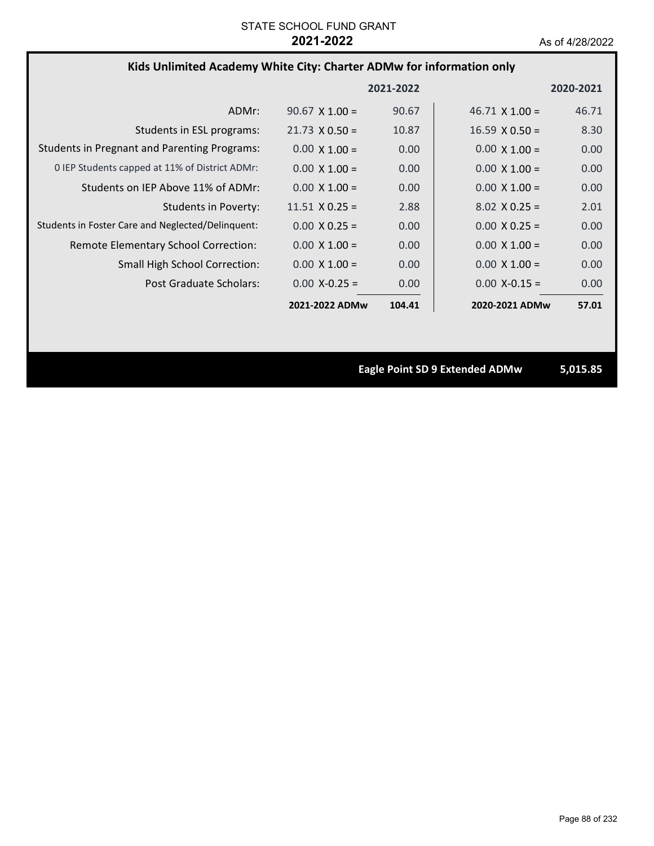### **Kids Unlimited Academy White City: Charter ADMw for information only**

|                                                     |                       | 2021-2022 |                       | 2020-2021 |
|-----------------------------------------------------|-----------------------|-----------|-----------------------|-----------|
| ADMr:                                               | $90.67 \times 1.00 =$ | 90.67     | $46.71 \times 1.00 =$ | 46.71     |
| Students in ESL programs:                           | $21.73 \times 0.50 =$ | 10.87     | $16.59 \times 0.50 =$ | 8.30      |
| <b>Students in Pregnant and Parenting Programs:</b> | $0.00 \times 1.00 =$  | 0.00      | $0.00 \times 1.00 =$  | 0.00      |
| 0 IEP Students capped at 11% of District ADMr:      | $0.00 \times 1.00 =$  | 0.00      | $0.00 \times 1.00 =$  | 0.00      |
| Students on IEP Above 11% of ADMr:                  | $0.00 \times 1.00 =$  | 0.00      | $0.00 \times 1.00 =$  | 0.00      |
| <b>Students in Poverty:</b>                         | $11.51 \times 0.25 =$ | 2.88      | $8.02 \times 0.25 =$  | 2.01      |
| Students in Foster Care and Neglected/Delinquent:   | $0.00 \times 0.25 =$  | 0.00      | $0.00 \times 0.25 =$  | 0.00      |
| Remote Elementary School Correction:                | $0.00 \times 1.00 =$  | 0.00      | $0.00 \times 1.00 =$  | 0.00      |
| <b>Small High School Correction:</b>                | $0.00 \times 1.00 =$  | 0.00      | $0.00 \times 1.00 =$  | 0.00      |
| Post Graduate Scholars:                             | $0.00 X - 0.25 =$     | 0.00      | $0.00$ X-0.15 =       | 0.00      |
|                                                     | 2021-2022 ADMw        | 104.41    | 2020-2021 ADMw        | 57.01     |

**Eagle Point SD 9 Extended ADMw 5,015.85**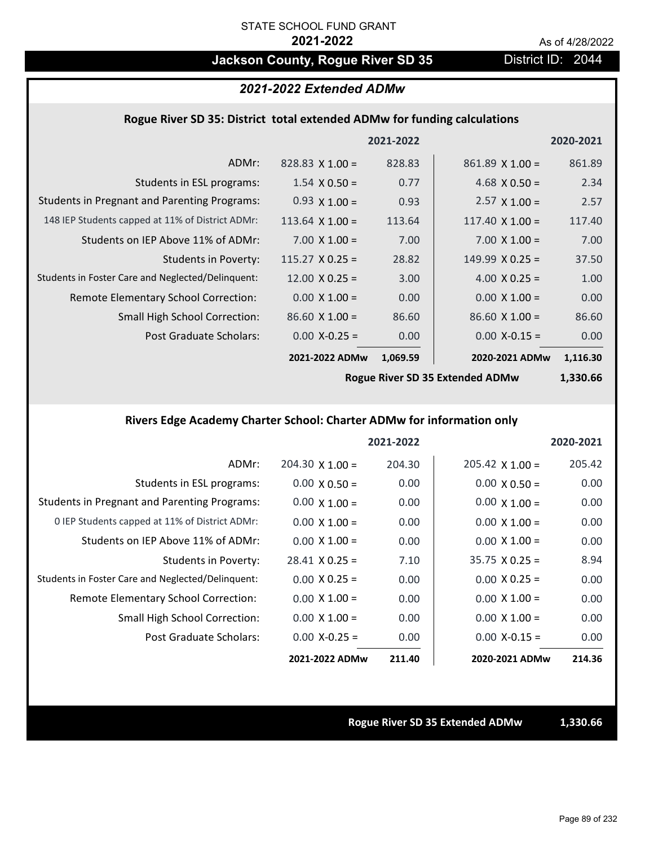## Jackson County, Rogue River SD 35 District ID: 2044

## *2021-2022 Extended ADMw*

#### **Rogue River SD 35: District total extended ADMw for funding calculations**

|                                                     |                        | 2021-2022 |                        | 2020-2021 |
|-----------------------------------------------------|------------------------|-----------|------------------------|-----------|
| ADMr:                                               | $828.83 \times 1.00 =$ | 828.83    | $861.89$ X 1.00 =      | 861.89    |
| Students in ESL programs:                           | $1.54 \times 0.50 =$   | 0.77      | 4.68 $\times$ 0.50 =   | 2.34      |
| <b>Students in Pregnant and Parenting Programs:</b> | $0.93 \times 1.00 =$   | 0.93      | $2.57 \times 1.00 =$   | 2.57      |
| 148 IEP Students capped at 11% of District ADMr:    | 113.64 $\times$ 1.00 = | 113.64    | 117.40 $\times$ 1.00 = | 117.40    |
| Students on IEP Above 11% of ADMr:                  | $7.00 \times 1.00 =$   | 7.00      | $7.00 \times 1.00 =$   | 7.00      |
| <b>Students in Poverty:</b>                         | $115.27 \times 0.25 =$ | 28.82     | $149.99 \times 0.25 =$ | 37.50     |
| Students in Foster Care and Neglected/Delinquent:   | $12.00 \times 0.25 =$  | 3.00      | 4.00 $X$ 0.25 =        | 1.00      |
| Remote Elementary School Correction:                | $0.00 \times 1.00 =$   | 0.00      | $0.00 \times 1.00 =$   | 0.00      |
| <b>Small High School Correction:</b>                | $86.60 \times 1.00 =$  | 86.60     | $86.60 \times 1.00 =$  | 86.60     |
| Post Graduate Scholars:                             | $0.00$ X-0.25 =        | 0.00      | $0.00$ X-0.15 =        | 0.00      |
|                                                     | 2021-2022 ADMw         | 1,069.59  | 2020-2021 ADMw         | 1,116.30  |
|                                                     |                        |           |                        |           |

**Rogue River SD 35 Extended ADMw**

## **1,330.66**

### **Rivers Edge Academy Charter School: Charter ADMw for information only**

|                                                     |                        | 2021-2022 |                        | 2020-2021 |
|-----------------------------------------------------|------------------------|-----------|------------------------|-----------|
| ADMr:                                               | $204.30 \times 1.00 =$ | 204.30    | $205.42 \times 1.00 =$ | 205.42    |
| Students in ESL programs:                           | $0.00 \times 0.50 =$   | 0.00      | $0.00 \times 0.50 =$   | 0.00      |
| <b>Students in Pregnant and Parenting Programs:</b> | $0.00 \times 1.00 =$   | 0.00      | $0.00 \times 1.00 =$   | 0.00      |
| 0 IEP Students capped at 11% of District ADMr:      | $0.00 \times 1.00 =$   | 0.00      | $0.00 \times 1.00 =$   | 0.00      |
| Students on IEP Above 11% of ADMr:                  | $0.00 \times 1.00 =$   | 0.00      | $0.00 \times 1.00 =$   | 0.00      |
| Students in Poverty:                                | $28.41 \times 0.25 =$  | 7.10      | $35.75 \times 0.25 =$  | 8.94      |
| Students in Foster Care and Neglected/Delinquent:   | $0.00 \times 0.25 =$   | 0.00      | $0.00 \times 0.25 =$   | 0.00      |
| Remote Elementary School Correction:                | $0.00 \times 1.00 =$   | 0.00      | $0.00 \times 1.00 =$   | 0.00      |
| <b>Small High School Correction:</b>                | $0.00 \times 1.00 =$   | 0.00      | $0.00 \times 1.00 =$   | 0.00      |
| Post Graduate Scholars:                             | $0.00$ X-0.25 =        | 0.00      | $0.00 X - 0.15 =$      | 0.00      |
|                                                     | 2021-2022 ADMw         | 211.40    | 2020-2021 ADMw         | 214.36    |

#### **Rogue River SD 35 Extended ADMw 1,330.66**

Page 89 of 232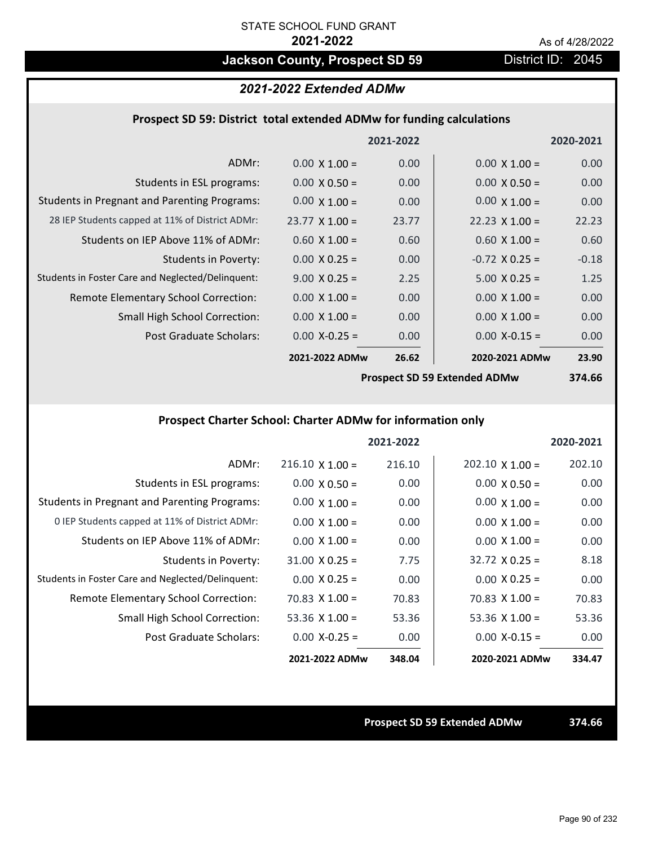## **Jackson County, Prospect SD 59 District ID: 2045**

#### *2021-2022 Extended ADMw*

#### **Prospect SD 59: District total extended ADMw for funding calculations**

|                                                     |                       | 2021-2022 |                                     | 2020-2021 |
|-----------------------------------------------------|-----------------------|-----------|-------------------------------------|-----------|
| ADMr:                                               | $0.00 \times 1.00 =$  | 0.00      | $0.00 \times 1.00 =$                | 0.00      |
| Students in ESL programs:                           | $0.00 \times 0.50 =$  | 0.00      | $0.00 \times 0.50 =$                | 0.00      |
| <b>Students in Pregnant and Parenting Programs:</b> | $0.00 \times 1.00 =$  | 0.00      | $0.00 \times 1.00 =$                | 0.00      |
| 28 IEP Students capped at 11% of District ADMr:     | $23.77 \times 1.00 =$ | 23.77     | $22.23 \times 1.00 =$               | 22.23     |
| Students on IEP Above 11% of ADMr:                  | $0.60 \times 1.00 =$  | 0.60      | $0.60 \times 1.00 =$                | 0.60      |
| Students in Poverty:                                | $0.00 \times 0.25 =$  | 0.00      | $-0.72$ X 0.25 =                    | $-0.18$   |
| Students in Foster Care and Neglected/Delinquent:   | $9.00 \times 0.25 =$  | 2.25      | $5.00 \times 0.25 =$                | 1.25      |
| Remote Elementary School Correction:                | $0.00 \times 1.00 =$  | 0.00      | $0.00 \times 1.00 =$                | 0.00      |
| <b>Small High School Correction:</b>                | $0.00 \times 1.00 =$  | 0.00      | $0.00 \times 1.00 =$                | 0.00      |
| Post Graduate Scholars:                             | $0.00$ X-0.25 =       | 0.00      | $0.00$ X-0.15 =                     | 0.00      |
|                                                     | 2021-2022 ADMw        | 26.62     | 2020-2021 ADMw                      | 23.90     |
|                                                     |                       |           | $\mathbf{A}$ CD FO Fairman and ADA. | 27000     |

**Prospect SD 59 Extended ADMw**

**374.66**

### **Prospect Charter School: Charter ADMw for information only**

|                                                     |                        | 2021-2022 |                        | 2020-2021 |
|-----------------------------------------------------|------------------------|-----------|------------------------|-----------|
| ADMr:                                               | $216.10 \times 1.00 =$ | 216.10    | $202.10 \times 1.00 =$ | 202.10    |
| Students in ESL programs:                           | $0.00 \times 0.50 =$   | 0.00      | $0.00 \times 0.50 =$   | 0.00      |
| <b>Students in Pregnant and Parenting Programs:</b> | $0.00 \times 1.00 =$   | 0.00      | $0.00 \times 1.00 =$   | 0.00      |
| 0 IEP Students capped at 11% of District ADMr:      | $0.00 \times 1.00 =$   | 0.00      | $0.00 \times 1.00 =$   | 0.00      |
| Students on IEP Above 11% of ADMr:                  | $0.00 \times 1.00 =$   | 0.00      | $0.00 \times 1.00 =$   | 0.00      |
| Students in Poverty:                                | $31.00 \times 0.25 =$  | 7.75      | $32.72 \times 0.25 =$  | 8.18      |
| Students in Foster Care and Neglected/Delinquent:   | $0.00 \times 0.25 =$   | 0.00      | $0.00 \times 0.25 =$   | 0.00      |
| Remote Elementary School Correction:                | $70.83 \times 1.00 =$  | 70.83     | $70.83 \times 1.00 =$  | 70.83     |
| <b>Small High School Correction:</b>                | 53.36 $X$ 1.00 =       | 53.36     | 53.36 $X$ 1.00 =       | 53.36     |
| Post Graduate Scholars:                             | $0.00 X - 0.25 =$      | 0.00      | $0.00$ X-0.15 =        | 0.00      |
|                                                     | 2021-2022 ADMw         | 348.04    | 2020-2021 ADMw         | 334.47    |

**Prospect SD 59 Extended ADMw 374.66**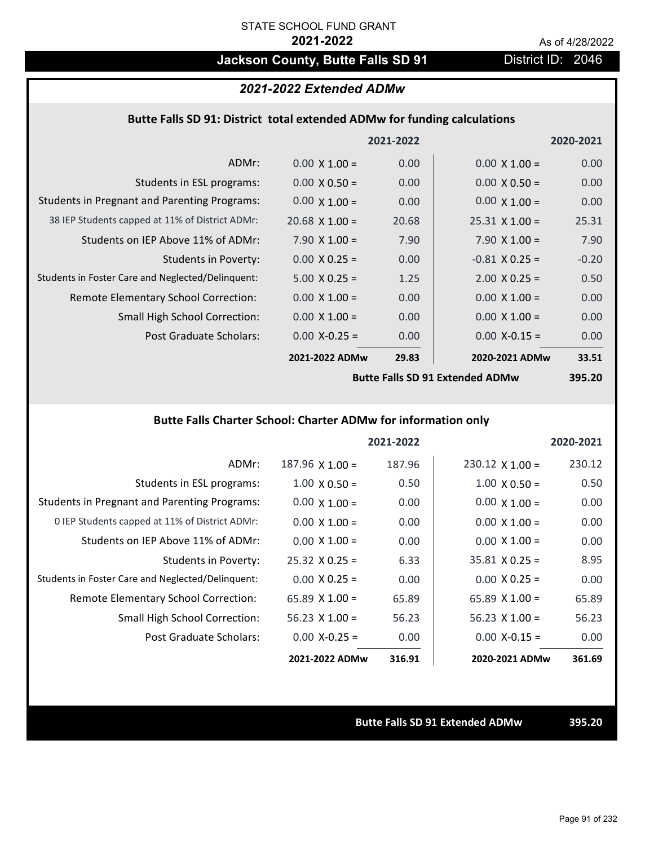## **Jackson County, Butte Falls SD 91** District ID: 2046

#### *2021-2022 Extended ADMw*

#### **Butte Falls SD 91: District total extended ADMw for funding calculations**

|                                                     |                       | 2021-2022 |                       | 2020-2021 |
|-----------------------------------------------------|-----------------------|-----------|-----------------------|-----------|
| ADMr:                                               | $0.00 \times 1.00 =$  | 0.00      | $0.00 \times 1.00 =$  | 0.00      |
| Students in ESL programs:                           | $0.00 \times 0.50 =$  | 0.00      | $0.00 \times 0.50 =$  | 0.00      |
| <b>Students in Pregnant and Parenting Programs:</b> | $0.00 \times 1.00 =$  | 0.00      | $0.00 \times 1.00 =$  | 0.00      |
| 38 IEP Students capped at 11% of District ADMr:     | $20.68 \times 1.00 =$ | 20.68     | $25.31 \times 1.00 =$ | 25.31     |
| Students on IEP Above 11% of ADMr:                  | $7.90 \times 1.00 =$  | 7.90      | $7.90 \times 1.00 =$  | 7.90      |
| <b>Students in Poverty:</b>                         | $0.00 \times 0.25 =$  | 0.00      | $-0.81$ X 0.25 =      | $-0.20$   |
| Students in Foster Care and Neglected/Delinquent:   | $5.00 \times 0.25 =$  | 1.25      | $2.00 \times 0.25 =$  | 0.50      |
| Remote Elementary School Correction:                | $0.00 \times 1.00 =$  | 0.00      | $0.00 \times 1.00 =$  | 0.00      |
| <b>Small High School Correction:</b>                | $0.00 \times 1.00 =$  | 0.00      | $0.00 \times 1.00 =$  | 0.00      |
| Post Graduate Scholars:                             | $0.00 X-0.25 =$       | 0.00      | $0.00 X - 0.15 =$     | 0.00      |
|                                                     | 2021-2022 ADMw        | 29.83     | 2020-2021 ADMw        | 33.51     |
|                                                     |                       |           |                       |           |

**Butte Falls SD 91 Extended ADMw**

**395.20**

### **Butte Falls Charter School: Charter ADMw for information only**

|                                                     |                        | 2021-2022 |                        | 2020-2021 |
|-----------------------------------------------------|------------------------|-----------|------------------------|-----------|
| ADMr:                                               | $187.96 \times 1.00 =$ | 187.96    | $230.12 \times 1.00 =$ | 230.12    |
| Students in ESL programs:                           | $1.00 \times 0.50 =$   | 0.50      | $1.00 \times 0.50 =$   | 0.50      |
| <b>Students in Pregnant and Parenting Programs:</b> | $0.00 \times 1.00 =$   | 0.00      | $0.00 \times 1.00 =$   | 0.00      |
| 0 IEP Students capped at 11% of District ADMr:      | $0.00 \times 1.00 =$   | 0.00      | $0.00 \times 1.00 =$   | 0.00      |
| Students on IEP Above 11% of ADMr:                  | $0.00 \times 1.00 =$   | 0.00      | $0.00 \times 1.00 =$   | 0.00      |
| Students in Poverty:                                | $25.32 \times 0.25 =$  | 6.33      | $35.81 \times 0.25 =$  | 8.95      |
| Students in Foster Care and Neglected/Delinquent:   | $0.00 \times 0.25 =$   | 0.00      | $0.00 \times 0.25 =$   | 0.00      |
| Remote Elementary School Correction:                | $65.89 \times 1.00 =$  | 65.89     | $65.89 \times 1.00 =$  | 65.89     |
| <b>Small High School Correction:</b>                | $56.23 \times 1.00 =$  | 56.23     | $56.23 \times 1.00 =$  | 56.23     |
| Post Graduate Scholars:                             | $0.00$ X-0.25 =        | 0.00      | $0.00$ X-0.15 =        | 0.00      |
|                                                     | 2021-2022 ADMw         | 316.91    | 2020-2021 ADMw         | 361.69    |

**Butte Falls SD 91 Extended ADMw 395.20**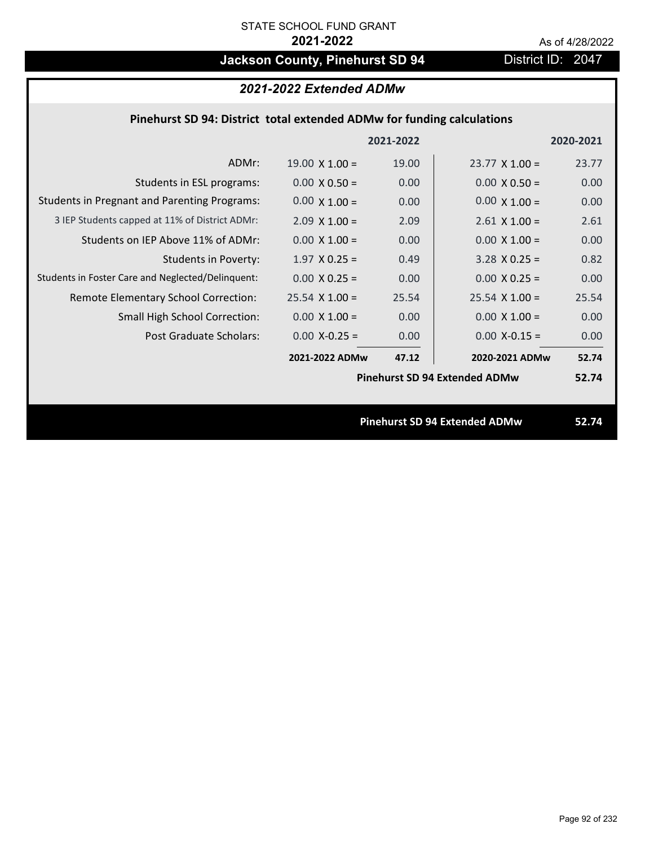## **Jackson County, Pinehurst SD 94** District ID: 2047

## *2021-2022 Extended ADMw*

### **Pinehurst SD 94: District total extended ADMw for funding calculations**

|                                                     |                       | 2021-2022 |                                      | 2020-2021 |
|-----------------------------------------------------|-----------------------|-----------|--------------------------------------|-----------|
| ADMr:                                               | $19.00 \times 1.00 =$ | 19.00     | $23.77 \times 1.00 =$                | 23.77     |
| Students in ESL programs:                           | $0.00 \times 0.50 =$  | 0.00      | $0.00 \times 0.50 =$                 | 0.00      |
| <b>Students in Pregnant and Parenting Programs:</b> | $0.00 \times 1.00 =$  | 0.00      | $0.00 \times 1.00 =$                 | 0.00      |
| 3 IEP Students capped at 11% of District ADMr:      | $2.09 \times 1.00 =$  | 2.09      | $2.61 \times 1.00 =$                 | 2.61      |
| Students on IEP Above 11% of ADMr:                  | $0.00 \times 1.00 =$  | 0.00      | $0.00 \times 1.00 =$                 | 0.00      |
| <b>Students in Poverty:</b>                         | $1.97$ X 0.25 =       | 0.49      | $3.28$ X 0.25 =                      | 0.82      |
| Students in Foster Care and Neglected/Delinquent:   | $0.00 \times 0.25 =$  | 0.00      | $0.00 X 0.25 =$                      | 0.00      |
| Remote Elementary School Correction:                | $25.54$ X 1.00 =      | 25.54     | $25.54 \times 1.00 =$                | 25.54     |
| <b>Small High School Correction:</b>                | $0.00 \times 1.00 =$  | 0.00      | $0.00 \times 1.00 =$                 | 0.00      |
| Post Graduate Scholars:                             | $0.00$ X-0.25 =       | 0.00      | $0.00$ X-0.15 =                      | 0.00      |
|                                                     | 2021-2022 ADMw        | 47.12     | 2020-2021 ADMw                       | 52.74     |
|                                                     |                       |           | <b>Pinehurst SD 94 Extended ADMw</b> | 52.74     |
|                                                     |                       |           |                                      |           |
|                                                     |                       |           | <b>Pinehurst SD 94 Extended ADMw</b> | 52.74     |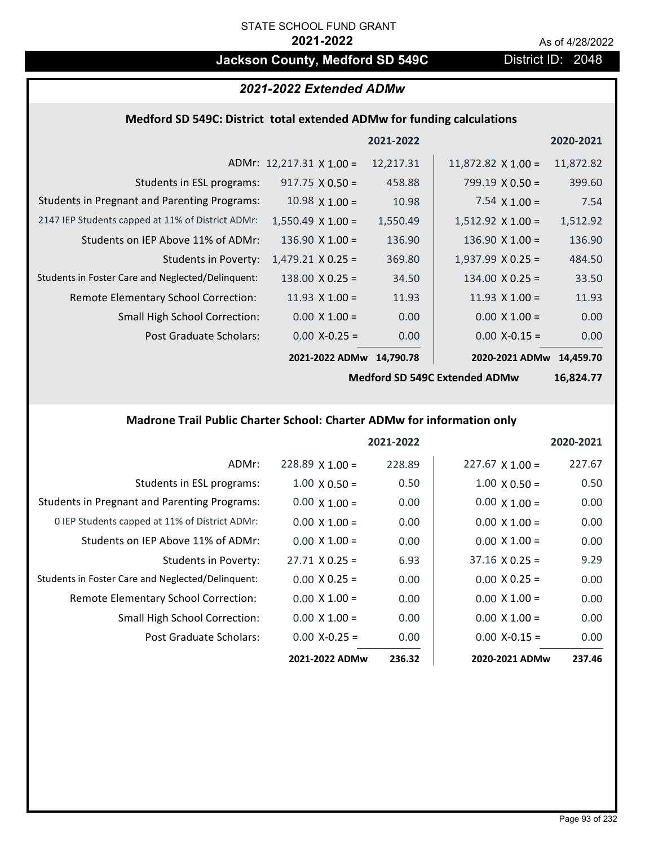## **Jackson County, Medford SD 549C** District ID: 2048

### *2021-2022 Extended ADMw*

### **Medford SD 549C: District total extended ADMw for funding calculations**

|                                                     |                                 | 2021-2022 |                           | 2020-2021 |
|-----------------------------------------------------|---------------------------------|-----------|---------------------------|-----------|
|                                                     | ADMr: $12,217.31 \times 1.00 =$ | 12,217.31 | $11,872.82 \times 1.00 =$ | 11,872.82 |
| Students in ESL programs:                           | $917.75 \times 0.50 =$          | 458.88    | $799.19 \times 0.50 =$    | 399.60    |
| <b>Students in Pregnant and Parenting Programs:</b> | 10.98 $\times$ 1.00 =           | 10.98     | 7.54 $\times$ 1.00 =      | 7.54      |
| 2147 IEP Students capped at 11% of District ADMr:   | $1,550.49 \times 1.00 =$        | 1,550.49  | $1,512.92 \times 1.00 =$  | 1,512.92  |
| Students on IEP Above 11% of ADMr:                  | $136.90 \times 1.00 =$          | 136.90    | $136.90 \times 1.00 =$    | 136.90    |
| <b>Students in Poverty:</b>                         | $1,479.21 \times 0.25 =$        | 369.80    | $1,937.99 \times 0.25 =$  | 484.50    |
| Students in Foster Care and Neglected/Delinquent:   | $138.00 \times 0.25 =$          | 34.50     | $134.00 \times 0.25 =$    | 33.50     |
| Remote Elementary School Correction:                | 11.93 $\times$ 1.00 =           | 11.93     | $11.93 \times 1.00 =$     | 11.93     |
| <b>Small High School Correction:</b>                | $0.00 \times 1.00 =$            | 0.00      | $0.00 \times 1.00 =$      | 0.00      |
| Post Graduate Scholars:                             | $0.00$ X-0.25 =                 | 0.00      | $0.00$ X-0.15 =           | 0.00      |
|                                                     | 2021-2022 ADMw                  | 14.790.78 | 2020-2021 ADMw            | 14.459.70 |

**Medford SD 549C Extended ADMw**

**16,824.77**

### **Madrone Trail Public Charter School: Charter ADMw for information only**

|                                                     |                       | 2021-2022 |                        | 2020-2021 |
|-----------------------------------------------------|-----------------------|-----------|------------------------|-----------|
| ADMr:                                               | $228.89$ X 1.00 =     | 228.89    | $227.67 \times 1.00 =$ | 227.67    |
| Students in ESL programs:                           | $1.00 \times 0.50 =$  | 0.50      | $1.00 \times 0.50 =$   | 0.50      |
| <b>Students in Pregnant and Parenting Programs:</b> | $0.00 \times 1.00 =$  | 0.00      | $0.00 \times 1.00 =$   | 0.00      |
| 0 IEP Students capped at 11% of District ADMr:      | $0.00 \times 1.00 =$  | 0.00      | $0.00 \times 1.00 =$   | 0.00      |
| Students on IEP Above 11% of ADMr:                  | $0.00 \times 1.00 =$  | 0.00      | $0.00 \times 1.00 =$   | 0.00      |
| Students in Poverty:                                | $27.71 \times 0.25 =$ | 6.93      | $37.16 \times 0.25 =$  | 9.29      |
| Students in Foster Care and Neglected/Delinquent:   | $0.00 \times 0.25 =$  | 0.00      | $0.00 \times 0.25 =$   | 0.00      |
| <b>Remote Elementary School Correction:</b>         | $0.00 \times 1.00 =$  | 0.00      | $0.00 \times 1.00 =$   | 0.00      |
| <b>Small High School Correction:</b>                | $0.00 \times 1.00 =$  | 0.00      | $0.00 \times 1.00 =$   | 0.00      |
| Post Graduate Scholars:                             | $0.00 X - 0.25 =$     | 0.00      | $0.00 X - 0.15 =$      | 0.00      |
|                                                     | 2021-2022 ADMw        | 236.32    | 2020-2021 ADMw         | 237.46    |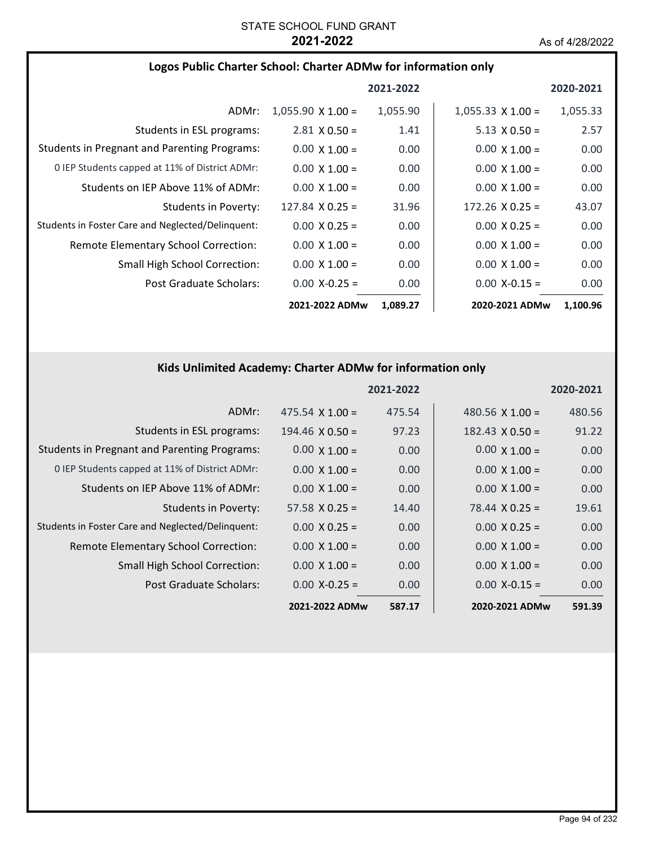|  |  | Logos Public Charter School: Charter ADMw for information only |  |
|--|--|----------------------------------------------------------------|--|
|--|--|----------------------------------------------------------------|--|

|                                                     |                          | 2021-2022 |                          | 2020-2021 |
|-----------------------------------------------------|--------------------------|-----------|--------------------------|-----------|
| ADMr:                                               | $1,055.90 \times 1.00 =$ | 1,055.90  | $1,055.33 \times 1.00 =$ | 1,055.33  |
| Students in ESL programs:                           | $2.81 \times 0.50 =$     | 1.41      | $5.13 \times 0.50 =$     | 2.57      |
| <b>Students in Pregnant and Parenting Programs:</b> | $0.00 \times 1.00 =$     | 0.00      | $0.00 \times 1.00 =$     | 0.00      |
| 0 IEP Students capped at 11% of District ADMr:      | $0.00 \times 1.00 =$     | 0.00      | $0.00 \times 1.00 =$     | 0.00      |
| Students on IEP Above 11% of ADMr:                  | $0.00 \times 1.00 =$     | 0.00      | $0.00 \times 1.00 =$     | 0.00      |
| Students in Poverty:                                | $127.84 \times 0.25 =$   | 31.96     | $172.26 \times 0.25 =$   | 43.07     |
| Students in Foster Care and Neglected/Delinquent:   | $0.00 \times 0.25 =$     | 0.00      | $0.00 \times 0.25 =$     | 0.00      |
| Remote Elementary School Correction:                | $0.00 \times 1.00 =$     | 0.00      | $0.00 \times 1.00 =$     | 0.00      |
| <b>Small High School Correction:</b>                | $0.00 \times 1.00 =$     | 0.00      | $0.00 \times 1.00 =$     | 0.00      |
| Post Graduate Scholars:                             | $0.00 X - 0.25 =$        | 0.00      | $0.00$ X-0.15 =          | 0.00      |
|                                                     | 2021-2022 ADMw           | 1,089.27  | 2020-2021 ADMw           | 1,100.96  |

### **Kids Unlimited Academy: Charter ADMw for information only**

|                                                     |                        | 2021-2022 |                        | 2020-2021 |
|-----------------------------------------------------|------------------------|-----------|------------------------|-----------|
| ADMr:                                               | $475.54 \times 1.00 =$ | 475.54    | 480.56 $X$ 1.00 =      | 480.56    |
| Students in ESL programs:                           | $194.46 \times 0.50 =$ | 97.23     | $182.43 \times 0.50 =$ | 91.22     |
| <b>Students in Pregnant and Parenting Programs:</b> | $0.00 \times 1.00 =$   | 0.00      | $0.00 \times 1.00 =$   | 0.00      |
| 0 IEP Students capped at 11% of District ADMr:      | $0.00 \times 1.00 =$   | 0.00      | $0.00 \times 1.00 =$   | 0.00      |
| Students on IEP Above 11% of ADMr:                  | $0.00 \times 1.00 =$   | 0.00      | $0.00 \times 1.00 =$   | 0.00      |
| <b>Students in Poverty:</b>                         | $57.58 \times 0.25 =$  | 14.40     | $78.44 \times 0.25 =$  | 19.61     |
| Students in Foster Care and Neglected/Delinquent:   | $0.00 \times 0.25 =$   | 0.00      | $0.00 \times 0.25 =$   | 0.00      |
| Remote Elementary School Correction:                | $0.00 \times 1.00 =$   | 0.00      | $0.00 \times 1.00 =$   | 0.00      |
| <b>Small High School Correction:</b>                | $0.00 \times 1.00 =$   | 0.00      | $0.00 \times 1.00 =$   | 0.00      |
| Post Graduate Scholars:                             | $0.00 X - 0.25 =$      | 0.00      | $0.00 X - 0.15 =$      | 0.00      |
|                                                     | 2021-2022 ADMw         | 587.17    | 2020-2021 ADMw         | 591.39    |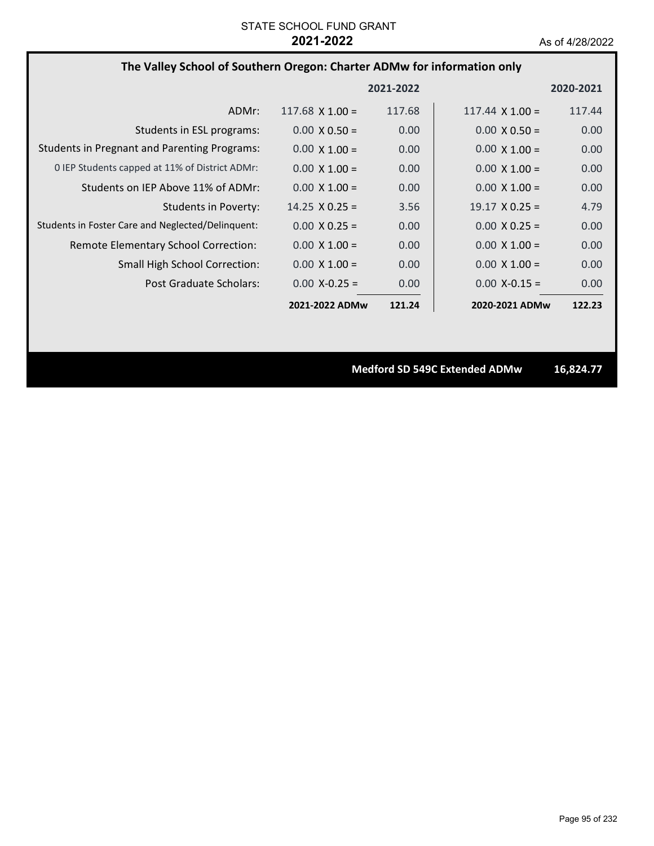#### **The Valley School of Southern Oregon: Charter ADMw for information only**

|                                                     |                        | 2021-2022 |                        | 2020-2021 |
|-----------------------------------------------------|------------------------|-----------|------------------------|-----------|
| ADMr:                                               | $117.68 \times 1.00 =$ | 117.68    | $117.44 \times 1.00 =$ | 117.44    |
| Students in ESL programs:                           | $0.00 \times 0.50 =$   | 0.00      | $0.00 \times 0.50 =$   | 0.00      |
| <b>Students in Pregnant and Parenting Programs:</b> | $0.00 \times 1.00 =$   | 0.00      | $0.00 \times 1.00 =$   | 0.00      |
| 0 IEP Students capped at 11% of District ADMr:      | $0.00 \times 1.00 =$   | 0.00      | $0.00 \times 1.00 =$   | 0.00      |
| Students on IEP Above 11% of ADMr:                  | $0.00 \times 1.00 =$   | 0.00      | $0.00 \times 1.00 =$   | 0.00      |
| Students in Poverty:                                | $14.25 \times 0.25 =$  | 3.56      | $19.17 \times 0.25 =$  | 4.79      |
| Students in Foster Care and Neglected/Delinquent:   | $0.00 \times 0.25 =$   | 0.00      | $0.00 \times 0.25 =$   | 0.00      |
| Remote Elementary School Correction:                | $0.00 \times 1.00 =$   | 0.00      | $0.00 \times 1.00 =$   | 0.00      |
| <b>Small High School Correction:</b>                | $0.00 \times 1.00 =$   | 0.00      | $0.00 \times 1.00 =$   | 0.00      |
| Post Graduate Scholars:                             | $0.00 X - 0.25 =$      | 0.00      | $0.00 X - 0.15 =$      | 0.00      |
|                                                     | 2021-2022 ADMw         | 121.24    | 2020-2021 ADMw         | 122.23    |

**Medford SD 549C Extended ADMw 16,824.77**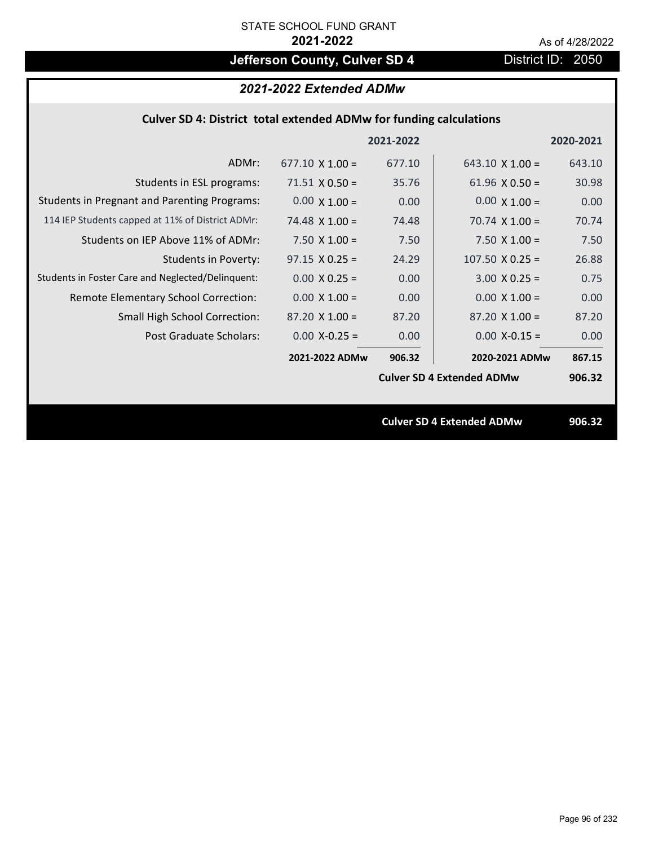## **Jefferson County, Culver SD 4** District ID: 2050

| 2021-2022 Extended ADMw |  |  |
|-------------------------|--|--|
|-------------------------|--|--|

|                                                     |                        | 2021-2022 |                                  | 2020-2021 |
|-----------------------------------------------------|------------------------|-----------|----------------------------------|-----------|
| ADMr:                                               | $677.10 \times 1.00 =$ | 677.10    | 643.10 $\times$ 1.00 =           | 643.10    |
| Students in ESL programs:                           | $71.51 \times 0.50 =$  | 35.76     | $61.96 \times 0.50 =$            | 30.98     |
| <b>Students in Pregnant and Parenting Programs:</b> | $0.00 \times 1.00 =$   | 0.00      | $0.00 \times 1.00 =$             | 0.00      |
| 114 IEP Students capped at 11% of District ADMr:    | 74.48 $\times$ 1.00 =  | 74.48     | 70.74 $\times$ 1.00 =            | 70.74     |
| Students on IEP Above 11% of ADMr:                  | 7.50 $X$ 1.00 =        | 7.50      | 7.50 $X$ 1.00 =                  | 7.50      |
| <b>Students in Poverty:</b>                         | $97.15 \times 0.25 =$  | 24.29     | $107.50 \times 0.25 =$           | 26.88     |
| Students in Foster Care and Neglected/Delinquent:   | $0.00 \times 0.25 =$   | 0.00      | $3.00 \times 0.25 =$             | 0.75      |
| Remote Elementary School Correction:                | $0.00 \times 1.00 =$   | 0.00      | $0.00 \times 1.00 =$             | 0.00      |
| <b>Small High School Correction:</b>                | $87.20 \times 1.00 =$  | 87.20     | $87.20 \times 1.00 =$            | 87.20     |
| Post Graduate Scholars:                             | $0.00$ X-0.25 =        | 0.00      | $0.00$ X-0.15 =                  | 0.00      |
|                                                     | 2021-2022 ADMw         | 906.32    | 2020-2021 ADMw                   | 867.15    |
|                                                     |                        |           | <b>Culver SD 4 Extended ADMw</b> | 906.32    |
|                                                     |                        |           |                                  |           |
|                                                     |                        |           | <b>Culver SD 4 Extended ADMw</b> | 906.32    |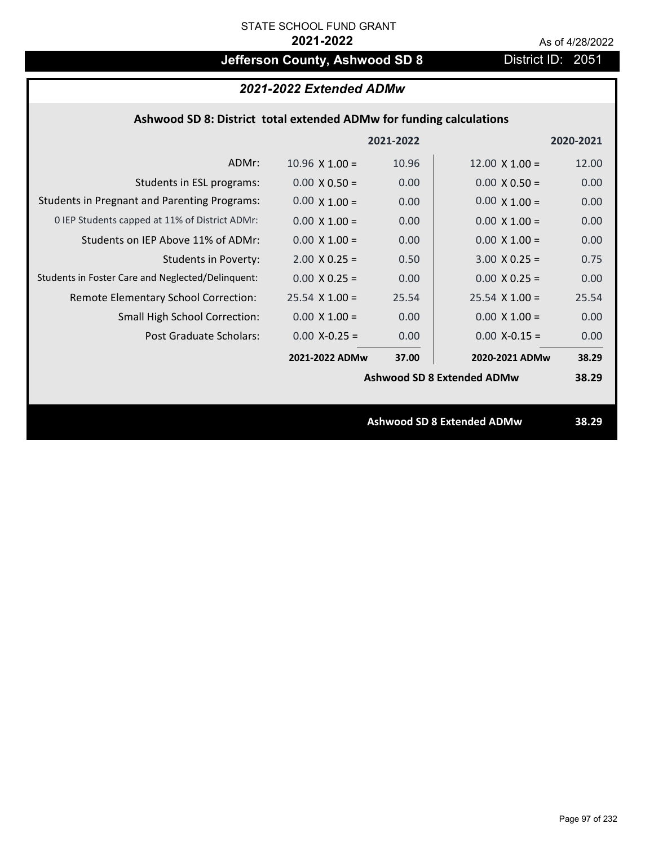## **Jefferson County, Ashwood SD 8** District ID: 2051

### *2021-2022 Extended ADMw*

### **Ashwood SD 8: District total extended ADMw for funding calculations**

|                                                     |                       | 2021-2022 |                                   | 2020-2021 |
|-----------------------------------------------------|-----------------------|-----------|-----------------------------------|-----------|
| ADMr:                                               | $10.96 \times 1.00 =$ | 10.96     | $12.00 \times 1.00 =$             | 12.00     |
| Students in ESL programs:                           | $0.00 \times 0.50 =$  | 0.00      | $0.00 \times 0.50 =$              | 0.00      |
| <b>Students in Pregnant and Parenting Programs:</b> | $0.00 \times 1.00 =$  | 0.00      | $0.00 \times 1.00 =$              | 0.00      |
| 0 IEP Students capped at 11% of District ADMr:      | $0.00 \times 1.00 =$  | 0.00      | $0.00 \times 1.00 =$              | 0.00      |
| Students on IEP Above 11% of ADMr:                  | $0.00 \times 1.00 =$  | 0.00      | $0.00 \times 1.00 =$              | 0.00      |
| <b>Students in Poverty:</b>                         | $2.00 \times 0.25 =$  | 0.50      | $3.00 \times 0.25 =$              | 0.75      |
| Students in Foster Care and Neglected/Delinquent:   | $0.00 \times 0.25 =$  | 0.00      | $0.00 \times 0.25 =$              | 0.00      |
| Remote Elementary School Correction:                | $25.54$ X 1.00 =      | 25.54     | $25.54 \times 1.00 =$             | 25.54     |
| <b>Small High School Correction:</b>                | $0.00 \times 1.00 =$  | 0.00      | $0.00 \times 1.00 =$              | 0.00      |
| Post Graduate Scholars:                             | $0.00$ X-0.25 =       | 0.00      | $0.00$ X-0.15 =                   | 0.00      |
|                                                     | 2021-2022 ADMw        | 37.00     | 2020-2021 ADMw                    | 38.29     |
|                                                     |                       |           | <b>Ashwood SD 8 Extended ADMw</b> | 38.29     |
|                                                     |                       |           |                                   |           |
|                                                     |                       |           | <b>Ashwood SD 8 Extended ADMw</b> | 38.29     |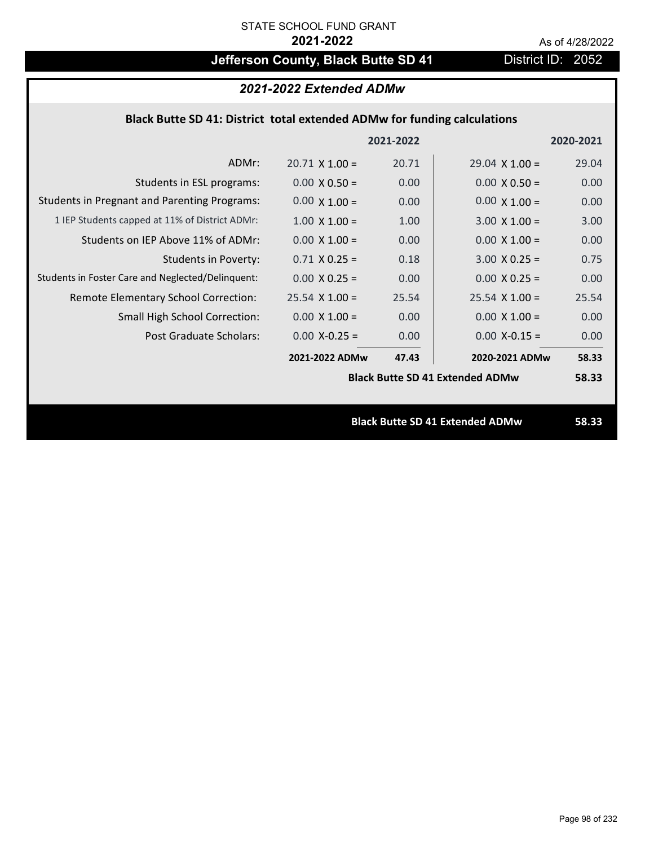## **Jefferson County, Black Butte SD 41** District ID: 2052

# *2021-2022 Extended ADMw*

## **Black Butte SD 41: District total extended ADMw for funding calculations**

|                                                     |                       | 2021-2022 |                                        | 2020-2021 |
|-----------------------------------------------------|-----------------------|-----------|----------------------------------------|-----------|
| ADMr:                                               | $20.71 \times 1.00 =$ | 20.71     | $29.04 \times 1.00 =$                  | 29.04     |
| Students in ESL programs:                           | $0.00 \times 0.50 =$  | 0.00      | $0.00 \times 0.50 =$                   | 0.00      |
| <b>Students in Pregnant and Parenting Programs:</b> | $0.00 \times 1.00 =$  | 0.00      | $0.00 \times 1.00 =$                   | 0.00      |
| 1 IEP Students capped at 11% of District ADMr:      | $1.00 \times 1.00 =$  | 1.00      | $3.00 \times 1.00 =$                   | 3.00      |
| Students on IEP Above 11% of ADMr:                  | $0.00 \times 1.00 =$  | 0.00      | $0.00 \times 1.00 =$                   | 0.00      |
| <b>Students in Poverty:</b>                         | $0.71 X 0.25 =$       | 0.18      | $3.00 X 0.25 =$                        | 0.75      |
| Students in Foster Care and Neglected/Delinquent:   | $0.00 \times 0.25 =$  | 0.00      | $0.00 \times 0.25 =$                   | 0.00      |
| Remote Elementary School Correction:                | $25.54 \times 1.00 =$ | 25.54     | $25.54 \times 1.00 =$                  | 25.54     |
| <b>Small High School Correction:</b>                | $0.00 \times 1.00 =$  | 0.00      | $0.00 \times 1.00 =$                   | 0.00      |
| Post Graduate Scholars:                             | $0.00$ X-0.25 =       | 0.00      | $0.00$ X-0.15 =                        | 0.00      |
|                                                     | 2021-2022 ADMw        | 47.43     | 2020-2021 ADMw                         | 58.33     |
|                                                     |                       |           | <b>Black Butte SD 41 Extended ADMw</b> | 58.33     |
|                                                     |                       |           |                                        |           |
|                                                     |                       |           | <b>Black Butte SD 41 Extended ADMw</b> | 58.33     |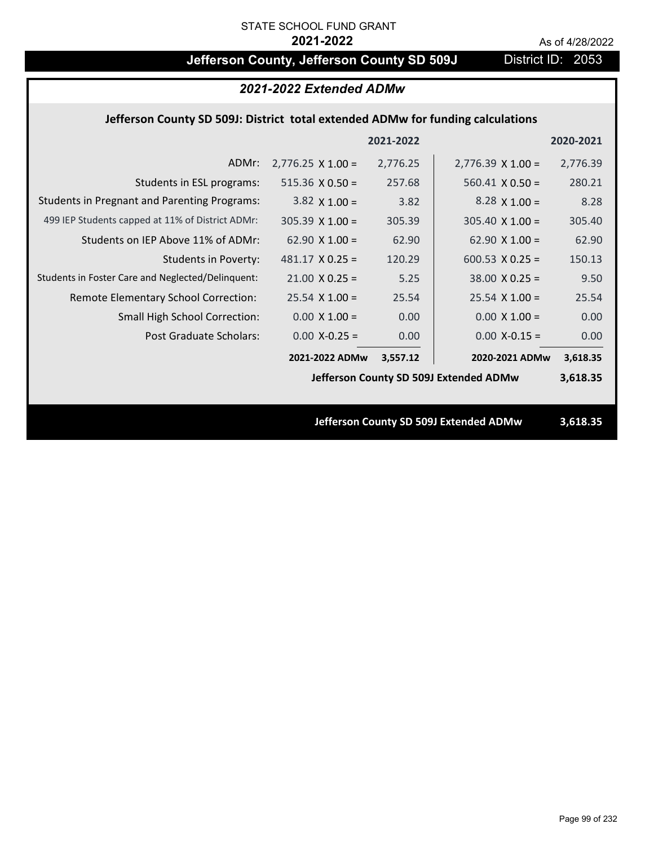## Jefferson County, Jefferson County SD 509J District ID: 2053

### *2021-2022 Extended ADMw*

### **Jefferson County SD 509J: District total extended ADMw for funding calculations**

|                                                     |                          | 2021-2022 |                                        | 2020-2021 |
|-----------------------------------------------------|--------------------------|-----------|----------------------------------------|-----------|
| ADMr:                                               | $2,776.25 \times 1.00 =$ | 2,776.25  | $2,776.39 \times 1.00 =$               | 2,776.39  |
| Students in ESL programs:                           | $515.36 \times 0.50 =$   | 257.68    | $560.41 \times 0.50 =$                 | 280.21    |
| <b>Students in Pregnant and Parenting Programs:</b> | 3.82 $\times$ 1.00 =     | 3.82      | 8.28 $\times$ 1.00 =                   | 8.28      |
| 499 IEP Students capped at 11% of District ADMr:    | $305.39 \times 1.00 =$   | 305.39    | $305.40 \times 1.00 =$                 | 305.40    |
| Students on IEP Above 11% of ADMr:                  | 62.90 $X$ 1.00 =         | 62.90     | 62.90 $X$ 1.00 =                       | 62.90     |
| <b>Students in Poverty:</b>                         | $481.17 \times 0.25 =$   | 120.29    | 600.53 $X$ 0.25 =                      | 150.13    |
| Students in Foster Care and Neglected/Delinquent:   | $21.00 \times 0.25 =$    | 5.25      | $38.00 \times 0.25 =$                  | 9.50      |
| Remote Elementary School Correction:                | $25.54$ X 1.00 =         | 25.54     | $25.54$ X 1.00 =                       | 25.54     |
| <b>Small High School Correction:</b>                | $0.00 \times 1.00 =$     | 0.00      | $0.00 \times 1.00 =$                   | 0.00      |
| Post Graduate Scholars:                             | $0.00$ X-0.25 =          | 0.00      | $0.00$ X-0.15 =                        | 0.00      |
|                                                     | 2021-2022 ADMw           | 3,557.12  | 2020-2021 ADMw                         | 3,618.35  |
|                                                     |                          |           | Jefferson County SD 509J Extended ADMw | 3,618.35  |
|                                                     |                          |           |                                        |           |
|                                                     |                          |           | Jefferson County SD 509J Extended ADMw | 3,618.35  |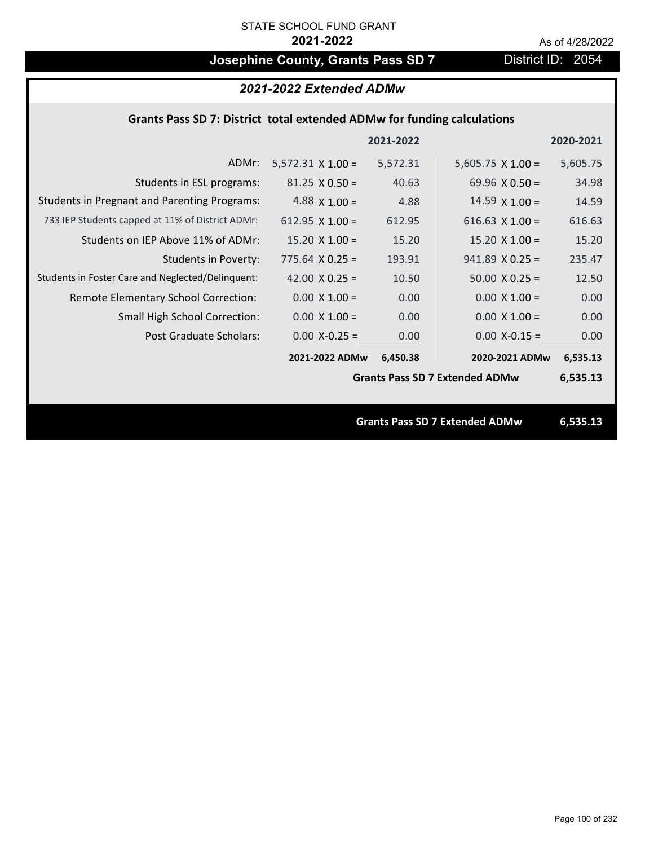## **Josephine County, Grants Pass SD 7** District ID: 2054

| 2021-2022 Extended ADMw                                                 |                          |           |                                       |           |  |
|-------------------------------------------------------------------------|--------------------------|-----------|---------------------------------------|-----------|--|
| Grants Pass SD 7: District total extended ADMw for funding calculations |                          |           |                                       |           |  |
|                                                                         |                          | 2021-2022 |                                       | 2020-2021 |  |
| ADMr:                                                                   | $5,572.31 \times 1.00 =$ | 5,572.31  | $5,605.75 \times 1.00 =$              | 5,605.75  |  |
| Students in ESL programs:                                               | $81.25 \times 0.50 =$    | 40.63     | 69.96 $\times$ 0.50 =                 | 34.98     |  |
| <b>Students in Pregnant and Parenting Programs:</b>                     | 4.88 $\times$ 1.00 =     | 4.88      | $14.59 \times 1.00 =$                 | 14.59     |  |
| 733 IEP Students capped at 11% of District ADMr:                        | 612.95 $X$ 1.00 =        | 612.95    | 616.63 $X$ 1.00 =                     | 616.63    |  |
| Students on IEP Above 11% of ADMr:                                      | $15.20 \times 1.00 =$    | 15.20     | $15.20 \times 1.00 =$                 | 15.20     |  |
| <b>Students in Poverty:</b>                                             | $775.64$ X 0.25 =        | 193.91    | $941.89$ X 0.25 =                     | 235.47    |  |
| Students in Foster Care and Neglected/Delinquent:                       | 42.00 $X$ 0.25 =         | 10.50     | $50.00 \times 0.25 =$                 | 12.50     |  |
| Remote Elementary School Correction:                                    | $0.00 \times 1.00 =$     | 0.00      | $0.00 \times 1.00 =$                  | 0.00      |  |
| Small High School Correction:                                           | $0.00 \times 1.00 =$     | 0.00      | $0.00 \times 1.00 =$                  | 0.00      |  |
| Post Graduate Scholars:                                                 | $0.00$ X-0.25 =          | 0.00      | $0.00$ X-0.15 =                       | 0.00      |  |
|                                                                         | 2021-2022 ADMw           | 6,450.38  | 2020-2021 ADMw                        | 6,535.13  |  |
|                                                                         |                          |           | <b>Grants Pass SD 7 Extended ADMw</b> | 6,535.13  |  |
|                                                                         |                          |           |                                       |           |  |
|                                                                         |                          |           | <b>Grants Pass SD 7 Extended ADMw</b> | 6,535.13  |  |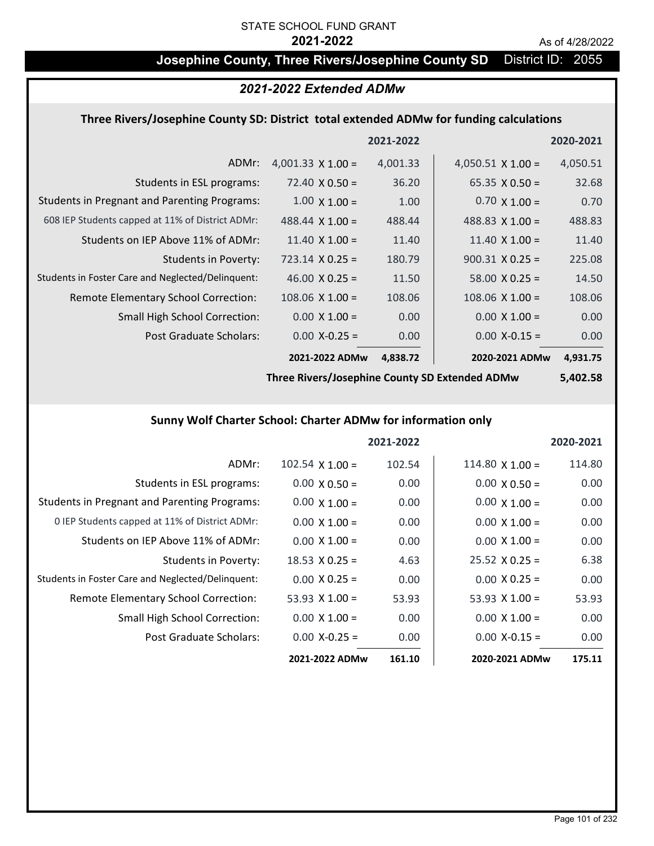### **Josephine County, Three Rivers/Josephine County SD** District ID: 2055

### *2021-2022 Extended ADMw*

#### **Three Rivers/Josephine County SD: District total extended ADMw for funding calculations**

|                                                     |                          | 2021-2022 |                          | 2020-2021 |
|-----------------------------------------------------|--------------------------|-----------|--------------------------|-----------|
| ADMr:                                               | 4,001.33 $\times$ 1.00 = | 4,001.33  | 4,050.51 $\times$ 1.00 = | 4,050.51  |
| Students in ESL programs:                           | $72.40 \times 0.50 =$    | 36.20     | $65.35 \times 0.50 =$    | 32.68     |
| <b>Students in Pregnant and Parenting Programs:</b> | $1.00 \times 1.00 =$     | 1.00      | $0.70 \times 1.00 =$     | 0.70      |
| 608 IEP Students capped at 11% of District ADMr:    | 488.44 $\times$ 1.00 =   | 488.44    | 488.83 $\times$ 1.00 =   | 488.83    |
| Students on IEP Above 11% of ADMr:                  | $11.40 \times 1.00 =$    | 11.40     | 11.40 $\times$ 1.00 =    | 11.40     |
| Students in Poverty:                                | $723.14 \times 0.25 =$   | 180.79    | $900.31 \times 0.25 =$   | 225.08    |
| Students in Foster Care and Neglected/Delinquent:   | $46.00 \times 0.25 =$    | 11.50     | $58.00 \times 0.25 =$    | 14.50     |
| Remote Elementary School Correction:                | $108.06$ X $1.00 =$      | 108.06    | $108.06 \times 1.00 =$   | 108.06    |
| <b>Small High School Correction:</b>                | $0.00 \times 1.00 =$     | 0.00      | $0.00 \times 1.00 =$     | 0.00      |
| Post Graduate Scholars:                             | $0.00$ X-0.25 =          | 0.00      | $0.00$ X-0.15 =          | 0.00      |
|                                                     | 2021-2022 ADMw           | 4,838.72  | 2020-2021 ADMw           | 4,931.75  |

**Three Rivers/Josephine County SD Extended ADMw**

### **5,402.58**

### **Sunny Wolf Charter School: Charter ADMw for information only**

|                                                     |                       | 2021-2022 |                        | 2020-2021 |
|-----------------------------------------------------|-----------------------|-----------|------------------------|-----------|
| ADMr:                                               | $102.54$ X $1.00 =$   | 102.54    | $114.80 \times 1.00 =$ | 114.80    |
| Students in ESL programs:                           | $0.00 \times 0.50 =$  | 0.00      | $0.00 \times 0.50 =$   | 0.00      |
| <b>Students in Pregnant and Parenting Programs:</b> | $0.00 \times 1.00 =$  | 0.00      | $0.00 \times 1.00 =$   | 0.00      |
| 0 IEP Students capped at 11% of District ADMr:      | $0.00 \times 1.00 =$  | 0.00      | $0.00 \times 1.00 =$   | 0.00      |
| Students on IEP Above 11% of ADMr:                  | $0.00 \times 1.00 =$  | 0.00      | $0.00 \times 1.00 =$   | 0.00      |
| <b>Students in Poverty:</b>                         | $18.53 \times 0.25 =$ | 4.63      | $25.52 \times 0.25 =$  | 6.38      |
| Students in Foster Care and Neglected/Delinquent:   | $0.00 \times 0.25 =$  | 0.00      | $0.00 \times 0.25 =$   | 0.00      |
| Remote Elementary School Correction:                | 53.93 $X$ 1.00 =      | 53.93     | 53.93 $\times$ 1.00 =  | 53.93     |
| <b>Small High School Correction:</b>                | $0.00 \times 1.00 =$  | 0.00      | $0.00 \times 1.00 =$   | 0.00      |
| Post Graduate Scholars:                             | $0.00$ X-0.25 =       | 0.00      | $0.00 X - 0.15 =$      | 0.00      |
|                                                     | 2021-2022 ADMw        | 161.10    | 2020-2021 ADMw         | 175.11    |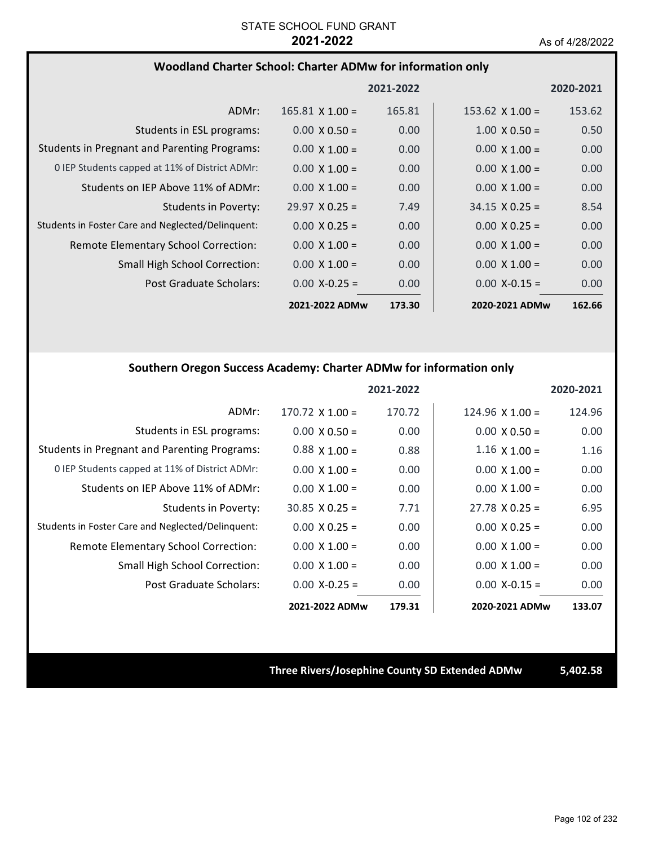#### **Woodland Charter School: Charter ADMw for information only**

|                                                     |                        | 2021-2022 |                       | 2020-2021         |
|-----------------------------------------------------|------------------------|-----------|-----------------------|-------------------|
| ADMr:                                               | $165.81 \times 1.00 =$ | 165.81    | $153.62$ X $1.00 =$   | 153.62            |
| Students in ESL programs:                           | $0.00 \times 0.50 =$   | 0.00      | $1.00 \times 0.50 =$  | 0.50              |
| <b>Students in Pregnant and Parenting Programs:</b> | $0.00 \times 1.00 =$   | 0.00      | $0.00 \times 1.00 =$  | 0.00              |
| 0 IEP Students capped at 11% of District ADMr:      | $0.00 \times 1.00 =$   | 0.00      | $0.00 \times 1.00 =$  | 0.00 <sub>1</sub> |
| Students on IEP Above 11% of ADMr:                  | $0.00 \times 1.00 =$   | 0.00      | $0.00 \times 1.00 =$  | 0.00              |
| Students in Poverty:                                | $29.97 \times 0.25 =$  | 7.49      | $34.15 \times 0.25 =$ | 8.54              |
| Students in Foster Care and Neglected/Delinguent:   | $0.00 \times 0.25 =$   | 0.00      | $0.00 \times 0.25 =$  | 0.00              |
| Remote Elementary School Correction:                | $0.00 \times 1.00 =$   | 0.00      | $0.00 \times 1.00 =$  | 0.00              |
| <b>Small High School Correction:</b>                | $0.00 \times 1.00 =$   | 0.00      | $0.00 \times 1.00 =$  | 0.00              |
| Post Graduate Scholars:                             | $0.00 X - 0.25 =$      | 0.00      | $0.00$ X-0.15 =       | 0.00              |
|                                                     | 2021-2022 ADMw         | 173.30    | 2020-2021 ADMw        | 162.66            |

#### **Southern Oregon Success Academy: Charter ADMw for information only**

|                                                     |                       | 2021-2022 |                        | 2020-2021 |
|-----------------------------------------------------|-----------------------|-----------|------------------------|-----------|
| ADMr:                                               | $170.72$ X $1.00 =$   | 170.72    | $124.96 \times 1.00 =$ | 124.96    |
| Students in ESL programs:                           | $0.00 \times 0.50 =$  | 0.00      | $0.00 \times 0.50 =$   | 0.00      |
| <b>Students in Pregnant and Parenting Programs:</b> | $0.88 \times 1.00 =$  | 0.88      | $1.16 \times 1.00 =$   | 1.16      |
| 0 IEP Students capped at 11% of District ADMr:      | $0.00 \times 1.00 =$  | 0.00      | $0.00 \times 1.00 =$   | 0.00      |
| Students on IEP Above 11% of ADMr:                  | $0.00 \times 1.00 =$  | 0.00      | $0.00 \times 1.00 =$   | 0.00      |
| Students in Poverty:                                | $30.85 \times 0.25 =$ | 7.71      | $27.78 \times 0.25 =$  | 6.95      |
| Students in Foster Care and Neglected/Delinquent:   | $0.00 \times 0.25 =$  | 0.00      | $0.00 \times 0.25 =$   | 0.00      |
| Remote Elementary School Correction:                | $0.00 \times 1.00 =$  | 0.00      | $0.00 \times 1.00 =$   | 0.00      |
| Small High School Correction:                       | $0.00 \times 1.00 =$  | 0.00      | $0.00 \times 1.00 =$   | 0.00      |
| Post Graduate Scholars:                             | $0.00 X - 0.25 =$     | 0.00      | $0.00 X - 0.15 =$      | 0.00      |
|                                                     | 2021-2022 ADMw        | 179.31    | 2020-2021 ADMw         | 133.07    |

#### **Three Rivers/Josephine County SD Extended ADMw 5,402.58**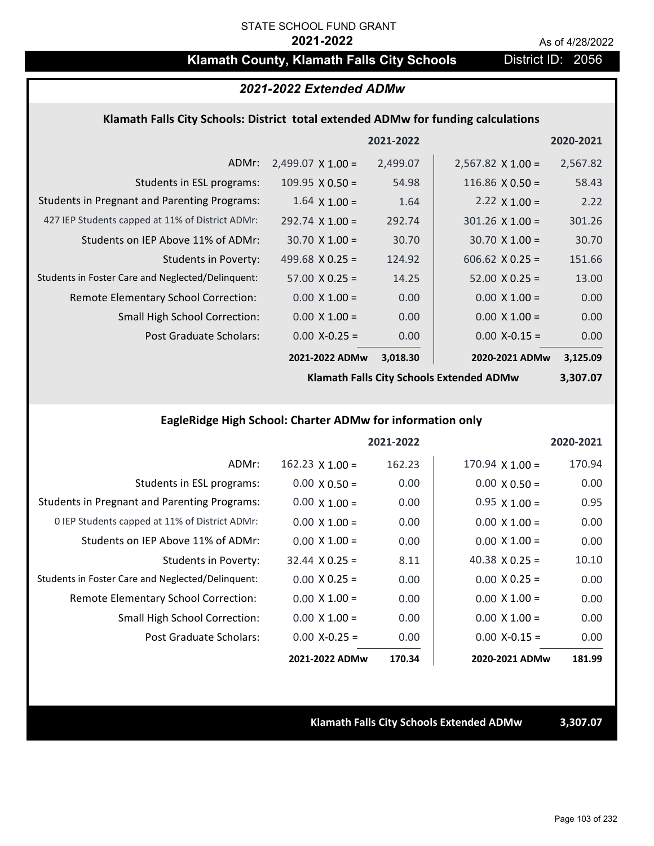## **Klamath County, Klamath Falls City Schools District ID: 2056**

### *2021-2022 Extended ADMw*

#### **Klamath Falls City Schools: District total extended ADMw for funding calculations**

|                                                     |                          | 2021-2022 |                          | 2020-2021 |
|-----------------------------------------------------|--------------------------|-----------|--------------------------|-----------|
| ADMr:                                               | $2,499.07 \times 1.00 =$ | 2,499.07  | $2,567.82 \times 1.00 =$ | 2,567.82  |
| Students in ESL programs:                           | $109.95 \times 0.50 =$   | 54.98     | 116.86 $\times$ 0.50 =   | 58.43     |
| <b>Students in Pregnant and Parenting Programs:</b> | $1.64 \times 1.00 =$     | 1.64      | 2.22 $\times$ 1.00 =     | 2.22      |
| 427 IEP Students capped at 11% of District ADMr:    | $292.74 \times 1.00 =$   | 292.74    | $301.26$ X $1.00 =$      | 301.26    |
| Students on IEP Above 11% of ADMr:                  | $30.70 \times 1.00 =$    | 30.70     | $30.70 \times 1.00 =$    | 30.70     |
| <b>Students in Poverty:</b>                         | 499.68 $X$ 0.25 =        | 124.92    | $606.62$ $X$ 0.25 =      | 151.66    |
| Students in Foster Care and Neglected/Delinquent:   | $57.00 \times 0.25 =$    | 14.25     | $52.00 \times 0.25 =$    | 13.00     |
| Remote Elementary School Correction:                | $0.00 \times 1.00 =$     | 0.00      | $0.00 \times 1.00 =$     | 0.00      |
| <b>Small High School Correction:</b>                | $0.00 \times 1.00 =$     | 0.00      | $0.00 \times 1.00 =$     | 0.00      |
| Post Graduate Scholars:                             | $0.00$ X-0.25 =          | 0.00      | $0.00$ X-0.15 =          | 0.00      |
|                                                     | 2021-2022 ADMw           | 3,018.30  | 2020-2021 ADMw           | 3,125.09  |

**Klamath Falls City Schools Extended ADMw**

**3,307.07**

### **EagleRidge High School: Charter ADMw for information only**

|                                                     |                        | 2021-2022 |                        | 2020-2021 |
|-----------------------------------------------------|------------------------|-----------|------------------------|-----------|
| ADMr:                                               | $162.23 \times 1.00 =$ | 162.23    | $170.94 \times 1.00 =$ | 170.94    |
| Students in ESL programs:                           | $0.00 \times 0.50 =$   | 0.00      | $0.00 \times 0.50 =$   | 0.00      |
| <b>Students in Pregnant and Parenting Programs:</b> | $0.00 \times 1.00 =$   | 0.00      | $0.95 \times 1.00 =$   | 0.95      |
| 0 IEP Students capped at 11% of District ADMr:      | $0.00 \times 1.00 =$   | 0.00      | $0.00 \times 1.00 =$   | 0.00      |
| Students on IEP Above 11% of ADMr:                  | $0.00 \times 1.00 =$   | 0.00      | $0.00 \times 1.00 =$   | 0.00      |
| Students in Poverty:                                | $32.44 \times 0.25 =$  | 8.11      | 40.38 $\times$ 0.25 =  | 10.10     |
| Students in Foster Care and Neglected/Delinquent:   | $0.00 \times 0.25 =$   | 0.00      | $0.00 \times 0.25 =$   | 0.00      |
| Remote Elementary School Correction:                | $0.00 \times 1.00 =$   | 0.00      | $0.00 \times 1.00 =$   | 0.00      |
| <b>Small High School Correction:</b>                | $0.00 \times 1.00 =$   | 0.00      | $0.00 \times 1.00 =$   | 0.00      |
| Post Graduate Scholars:                             | $0.00$ X-0.25 =        | 0.00      | $0.00$ X-0.15 =        | 0.00      |
|                                                     | 2021-2022 ADMw         | 170.34    | 2020-2021 ADMw         | 181.99    |

**Klamath Falls City Schools Extended ADMw 3,307.07**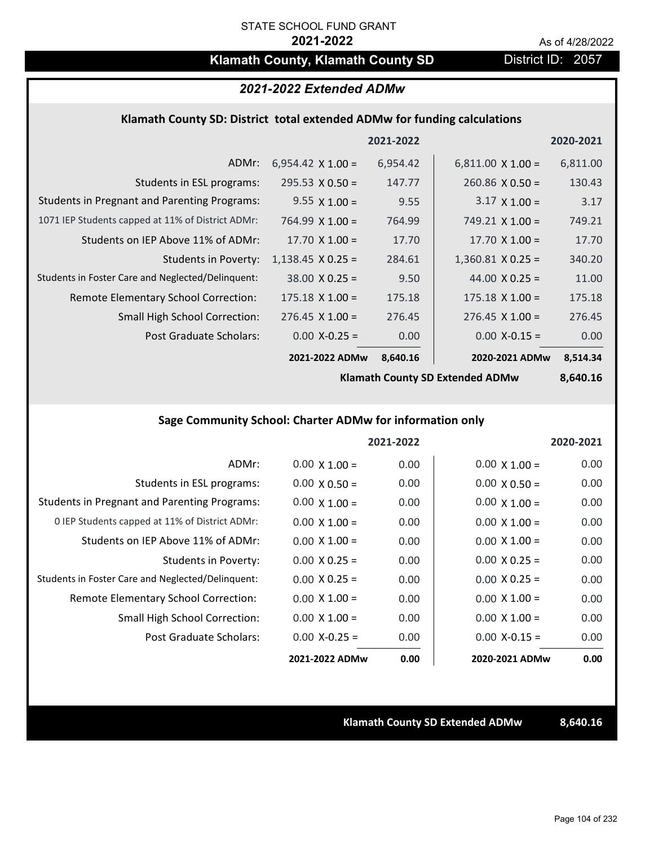## **Klamath County, Klamath County SD** District ID: 2057

### *2021-2022 Extended ADMw*

#### **Klamath County SD: District total extended ADMw for funding calculations**

|                                                     |                          | 2021-2022 |                          | 2020-2021 |
|-----------------------------------------------------|--------------------------|-----------|--------------------------|-----------|
| ADMr:                                               | $6,954.42 \times 1.00 =$ | 6,954.42  | $6,811.00 \times 1.00 =$ | 6,811.00  |
| Students in ESL programs:                           | $295.53 \times 0.50 =$   | 147.77    | $260.86 \times 0.50 =$   | 130.43    |
| <b>Students in Pregnant and Parenting Programs:</b> | $9.55 \times 1.00 =$     | 9.55      | $3.17 \times 1.00 =$     | 3.17      |
| 1071 IEP Students capped at 11% of District ADMr:   | $764.99 \times 1.00 =$   | 764.99    | 749.21 $\times$ 1.00 =   | 749.21    |
| Students on IEP Above 11% of ADMr:                  | 17.70 $X$ 1.00 =         | 17.70     | $17.70 \times 1.00 =$    | 17.70     |
| <b>Students in Poverty:</b>                         | $1,138.45$ X 0.25 =      | 284.61    | $1,360.81$ X 0.25 =      | 340.20    |
| Students in Foster Care and Neglected/Delinquent:   | $38.00 \times 0.25 =$    | 9.50      | 44.00 $X$ 0.25 =         | 11.00     |
| Remote Elementary School Correction:                | $175.18 \times 1.00 =$   | 175.18    | $175.18 \times 1.00 =$   | 175.18    |
| <b>Small High School Correction:</b>                | $276.45 \times 1.00 =$   | 276.45    | $276.45 \times 1.00 =$   | 276.45    |
| Post Graduate Scholars:                             | $0.00$ X-0.25 =          | 0.00      | $0.00$ X-0.15 =          | 0.00      |
|                                                     | 2021-2022 ADMw           | 8,640.16  | 2020-2021 ADMw           | 8,514.34  |

**Klamath County SD Extended ADMw**

**8,640.16**

### **Sage Community School: Charter ADMw for information only**

|                                                     |                      | 2021-2022 |                      | 2020-2021 |
|-----------------------------------------------------|----------------------|-----------|----------------------|-----------|
| ADMr:                                               | $0.00 \times 1.00 =$ | 0.00      | $0.00 \times 1.00 =$ | 0.00      |
| Students in ESL programs:                           | $0.00 \times 0.50 =$ | 0.00      | $0.00 \times 0.50 =$ | 0.00      |
| <b>Students in Pregnant and Parenting Programs:</b> | $0.00 \times 1.00 =$ | 0.00      | $0.00 \times 1.00 =$ | 0.00      |
| 0 IEP Students capped at 11% of District ADMr:      | $0.00 \times 1.00 =$ | 0.00      | $0.00 \times 1.00 =$ | 0.00      |
| Students on IEP Above 11% of ADMr:                  | $0.00 \times 1.00 =$ | 0.00      | $0.00 \times 1.00 =$ | 0.00      |
| Students in Poverty:                                | $0.00 \times 0.25 =$ | 0.00      | $0.00 \times 0.25 =$ | 0.00      |
| Students in Foster Care and Neglected/Delinquent:   | $0.00 \times 0.25 =$ | 0.00      | $0.00 \times 0.25 =$ | 0.00      |
| Remote Elementary School Correction:                | $0.00 \times 1.00 =$ | 0.00      | $0.00 \times 1.00 =$ | 0.00      |
| <b>Small High School Correction:</b>                | $0.00 \times 1.00 =$ | 0.00      | $0.00 \times 1.00 =$ | 0.00      |
| Post Graduate Scholars:                             | $0.00 X - 0.25 =$    | 0.00      | $0.00 X-0.15 =$      | 0.00      |
|                                                     | 2021-2022 ADMw       | 0.00      | 2020-2021 ADMw       | 0.00      |

**Klamath County SD Extended ADMw 8,640.16**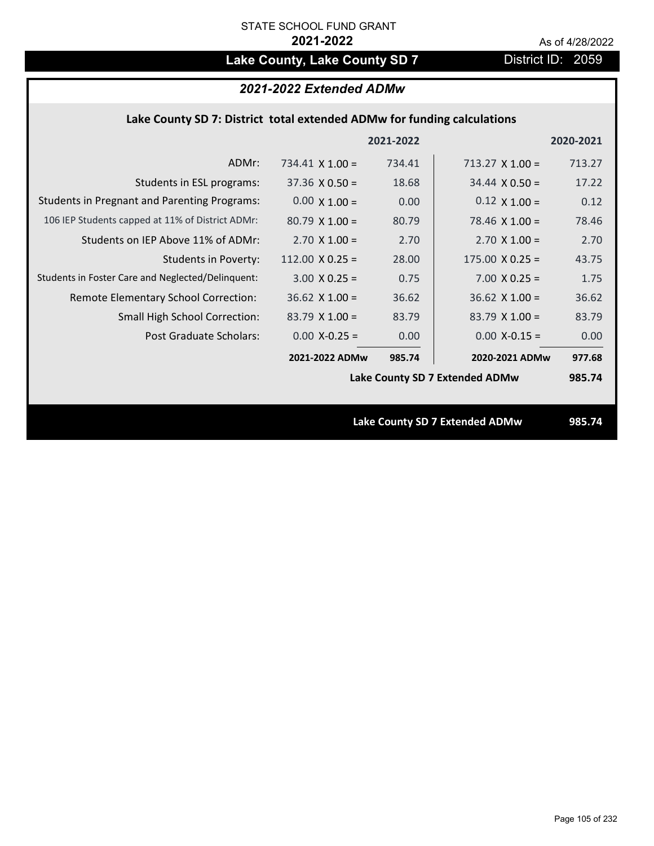## Lake County, Lake County SD 7 **District ID: 2059**

### *2021-2022 Extended ADMw*

#### **Lake County SD 7: District total extended ADMw for funding calculations**

|                                                     |                                | 2021-2022 |                                       | 2020-2021 |
|-----------------------------------------------------|--------------------------------|-----------|---------------------------------------|-----------|
| ADMr:                                               | 734.41 $\times$ 1.00 =         | 734.41    | $713.27 \times 1.00 =$                | 713.27    |
| Students in ESL programs:                           | $37.36 \times 0.50 =$          | 18.68     | $34.44 \times 0.50 =$                 | 17.22     |
| <b>Students in Pregnant and Parenting Programs:</b> | $0.00 \times 1.00 =$           | 0.00      | $0.12 \times 1.00 =$                  | 0.12      |
| 106 IEP Students capped at 11% of District ADMr:    | $80.79 \times 1.00 =$          | 80.79     | 78.46 $\times$ 1.00 =                 | 78.46     |
| Students on IEP Above 11% of ADMr:                  | $2.70 \times 1.00 =$           | 2.70      | $2.70$ X $1.00 =$                     | 2.70      |
| <b>Students in Poverty:</b>                         | 112.00 $X$ 0.25 =              | 28.00     | $175.00 \times 0.25 =$                | 43.75     |
| Students in Foster Care and Neglected/Delinquent:   | $3.00 \times 0.25 =$           | 0.75      | $7.00 \times 0.25 =$                  | 1.75      |
| Remote Elementary School Correction:                | $36.62$ X 1.00 =               | 36.62     | $36.62$ X $1.00 =$                    | 36.62     |
| <b>Small High School Correction:</b>                | $83.79 \times 1.00 =$          | 83.79     | $83.79$ X 1.00 =                      | 83.79     |
| Post Graduate Scholars:                             | $0.00$ X-0.25 =                | 0.00      | $0.00$ X-0.15 =                       | 0.00      |
|                                                     | 2021-2022 ADMw                 | 985.74    | 2020-2021 ADMw                        | 977.68    |
|                                                     | Lake County SD 7 Extended ADMw |           |                                       |           |
|                                                     |                                |           |                                       |           |
|                                                     |                                |           | <b>Lake County SD 7 Extended ADMw</b> | 985.74    |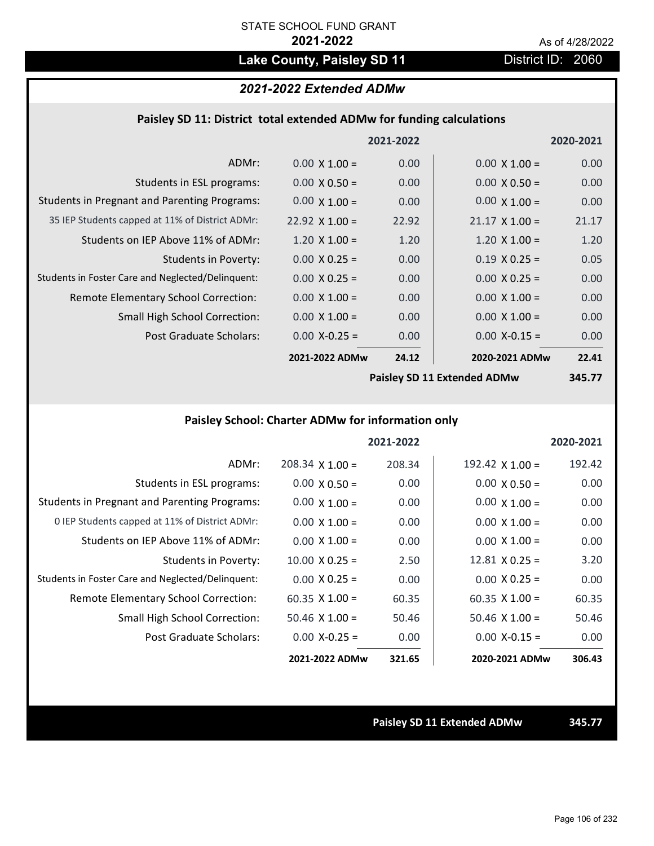## Lake County, Paisley SD 11 District ID: 2060

### *2021-2022 Extended ADMw*

#### **Paisley SD 11: District total extended ADMw for funding calculations**

|                                                     |                             | 2021-2022 |                       | 2020-2021         |
|-----------------------------------------------------|-----------------------------|-----------|-----------------------|-------------------|
| ADMr:                                               | $0.00 \times 1.00 =$        | 0.00      | $0.00 \times 1.00 =$  | 0.00              |
| Students in ESL programs:                           | $0.00 \times 0.50 =$        | 0.00      | $0.00 \times 0.50 =$  | 0.00              |
| <b>Students in Pregnant and Parenting Programs:</b> | $0.00 \times 1.00 =$        | 0.00      | $0.00 \times 1.00 =$  | 0.00              |
| 35 IEP Students capped at 11% of District ADMr:     | 22.92 $\times$ 1.00 =       | 22.92     | $21.17 \times 1.00 =$ | 21.17             |
| Students on IEP Above 11% of ADMr:                  | $1.20 \times 1.00 =$        | 1.20      | $1.20 \times 1.00 =$  | 1.20              |
| <b>Students in Poverty:</b>                         | $0.00 \times 0.25 =$        | 0.00      | $0.19 \times 0.25 =$  | 0.05              |
| Students in Foster Care and Neglected/Delinquent:   | $0.00 \times 0.25 =$        | 0.00      | $0.00 \times 0.25 =$  | 0.00              |
| Remote Elementary School Correction:                | $0.00 \times 1.00 =$        | 0.00      | $0.00 \times 1.00 =$  | 0.00              |
| <b>Small High School Correction:</b>                | $0.00 \times 1.00 =$        | 0.00      | $0.00 \times 1.00 =$  | 0.00              |
| Post Graduate Scholars:                             | $0.00$ X-0.25 =             | 0.00      | $0.00 X - 0.15 =$     | 0.00              |
|                                                     | 2021-2022 ADMw              | 24.12     | 2020-2021 ADMw        | 22.41             |
|                                                     | Daicloy CD 11 Extended ADMW |           |                       | 2AE <sub>77</sub> |

**Paisley SD 11 Extended ADMw**

**345.77**

### **Paisley School: Charter ADMw for information only**

|                                                     |                       | 2021-2022 |                       | 2020-2021 |
|-----------------------------------------------------|-----------------------|-----------|-----------------------|-----------|
| ADMr:                                               | $208.34$ X 1.00 =     | 208.34    | 192.42 $X$ 1.00 =     | 192.42    |
| Students in ESL programs:                           | $0.00 \times 0.50 =$  | 0.00      | $0.00 \times 0.50 =$  | 0.00      |
| <b>Students in Pregnant and Parenting Programs:</b> | $0.00 \times 1.00 =$  | 0.00      | $0.00 \times 1.00 =$  | 0.00      |
| 0 IEP Students capped at 11% of District ADMr:      | $0.00 \times 1.00 =$  | 0.00      | $0.00 \times 1.00 =$  | 0.00      |
| Students on IEP Above 11% of ADMr:                  | $0.00 \times 1.00 =$  | 0.00      | $0.00 \times 1.00 =$  | 0.00      |
| Students in Poverty:                                | $10.00 \times 0.25 =$ | 2.50      | $12.81 \times 0.25 =$ | 3.20      |
| Students in Foster Care and Neglected/Delinquent:   | $0.00 \times 0.25 =$  | 0.00      | $0.00 \times 0.25 =$  | 0.00      |
| Remote Elementary School Correction:                | $60.35 \times 1.00 =$ | 60.35     | $60.35 \times 1.00 =$ | 60.35     |
| <b>Small High School Correction:</b>                | $50.46 \times 1.00 =$ | 50.46     | $50.46 \times 1.00 =$ | 50.46     |
| Post Graduate Scholars:                             | $0.00 X - 0.25 =$     | 0.00      | $0.00 X-0.15 =$       | 0.00      |
|                                                     | 2021-2022 ADMw        | 321.65    | 2020-2021 ADMw        | 306.43    |

**Paisley SD 11 Extended ADMw 345.77**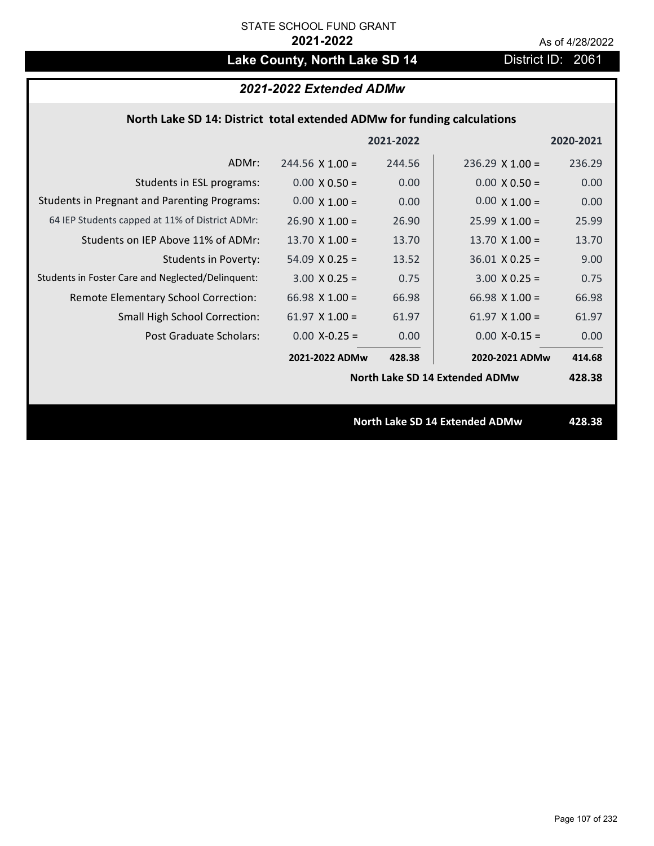## Lake County, North Lake SD 14 District ID: 2061

### *2021-2022 Extended ADMw*

### **North Lake SD 14: District total extended ADMw for funding calculations**

|                                                     |                                | 2021-2022 |                        | 2020-2021 |
|-----------------------------------------------------|--------------------------------|-----------|------------------------|-----------|
| ADMr:                                               | $244.56 \times 1.00 =$         | 244.56    | $236.29 \times 1.00 =$ | 236.29    |
| Students in ESL programs:                           | $0.00 \times 0.50 =$           | 0.00      | $0.00 \times 0.50 =$   | 0.00      |
| <b>Students in Pregnant and Parenting Programs:</b> | $0.00 \times 1.00 =$           | 0.00      | $0.00 \times 1.00 =$   | 0.00      |
| 64 IEP Students capped at 11% of District ADMr:     | $26.90 \times 1.00 =$          | 26.90     | $25.99 \times 1.00 =$  | 25.99     |
| Students on IEP Above 11% of ADMr:                  | $13.70$ X $1.00 =$             | 13.70     | $13.70$ X $1.00 =$     | 13.70     |
| <b>Students in Poverty:</b>                         | $54.09$ X 0.25 =               | 13.52     | $36.01$ X 0.25 =       | 9.00      |
| Students in Foster Care and Neglected/Delinquent:   | $3.00 \times 0.25 =$           | 0.75      | $3.00 X 0.25 =$        | 0.75      |
| Remote Elementary School Correction:                | 66.98 $\times$ 1.00 =          | 66.98     | $66.98 \times 1.00 =$  | 66.98     |
| <b>Small High School Correction:</b>                | 61.97 $X$ 1.00 =               | 61.97     | $61.97 \times 1.00 =$  | 61.97     |
| Post Graduate Scholars:                             | $0.00$ X-0.25 =                | 0.00      | $0.00$ X-0.15 =        | 0.00      |
|                                                     | 2021-2022 ADMw                 | 428.38    | 2020-2021 ADMw         | 414.68    |
|                                                     | North Lake SD 14 Extended ADMw |           |                        | 428.38    |
|                                                     |                                |           |                        |           |
|                                                     | North Lake SD 14 Extended ADMw |           |                        |           |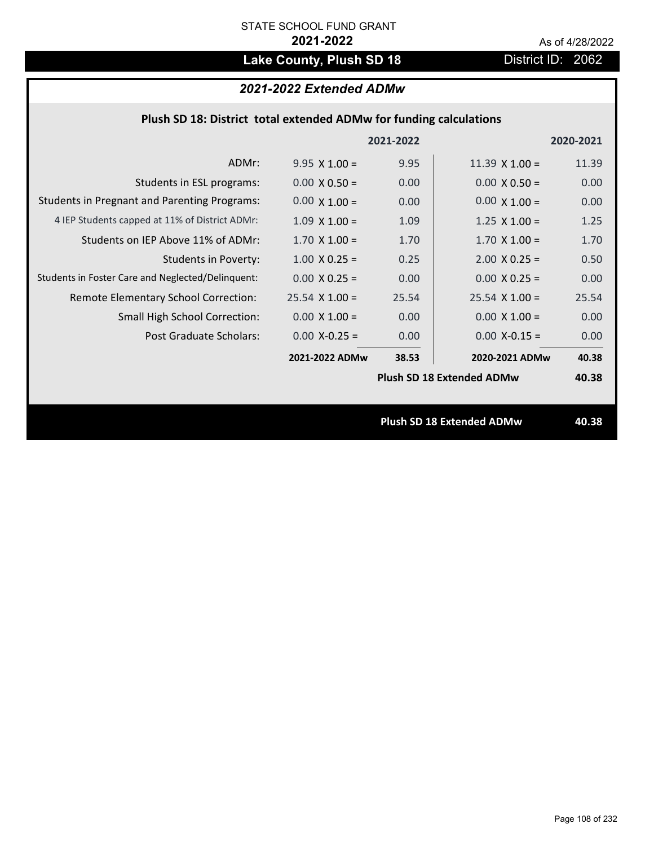## Lake County, Plush SD 18 **District ID: 2062**

### *2021-2022 Extended ADMw*

| Plush SD 18: District total extended ADMw for funding calculations |  |  |  |  |
|--------------------------------------------------------------------|--|--|--|--|
|--------------------------------------------------------------------|--|--|--|--|

|                                                     |                                  | 2021-2022 |                                  | 2020-2021 |
|-----------------------------------------------------|----------------------------------|-----------|----------------------------------|-----------|
| ADMr:                                               | $9.95 \times 1.00 =$             | 9.95      | $11.39 \times 1.00 =$            | 11.39     |
| Students in ESL programs:                           | $0.00 \times 0.50 =$             | 0.00      | $0.00 \times 0.50 =$             | 0.00      |
| <b>Students in Pregnant and Parenting Programs:</b> | $0.00 \times 1.00 =$             | 0.00      | $0.00 \times 1.00 =$             | 0.00      |
| 4 IEP Students capped at 11% of District ADMr:      | $1.09 \times 1.00 =$             | 1.09      | $1.25 \times 1.00 =$             | 1.25      |
| Students on IEP Above 11% of ADMr:                  | $1.70 \times 1.00 =$             | 1.70      | $1.70$ X $1.00 =$                | 1.70      |
| <b>Students in Poverty:</b>                         | $1.00 \times 0.25 =$             | 0.25      | $2.00 \times 0.25 =$             | 0.50      |
| Students in Foster Care and Neglected/Delinquent:   | $0.00 \times 0.25 =$             | 0.00      | $0.00 \times 0.25 =$             | 0.00      |
| Remote Elementary School Correction:                | $25.54$ X 1.00 =                 | 25.54     | $25.54 \times 1.00 =$            | 25.54     |
| <b>Small High School Correction:</b>                | $0.00 \times 1.00 =$             | 0.00      | $0.00 \times 1.00 =$             | 0.00      |
| Post Graduate Scholars:                             | $0.00$ X-0.25 =                  | 0.00      | $0.00$ X-0.15 =                  | 0.00      |
|                                                     | 2021-2022 ADMw                   | 38.53     | 2020-2021 ADMw                   | 40.38     |
|                                                     |                                  |           | <b>Plush SD 18 Extended ADMw</b> | 40.38     |
|                                                     |                                  |           |                                  |           |
|                                                     | <b>Plush SD 18 Extended ADMw</b> |           |                                  | 40.38     |
|                                                     |                                  |           |                                  |           |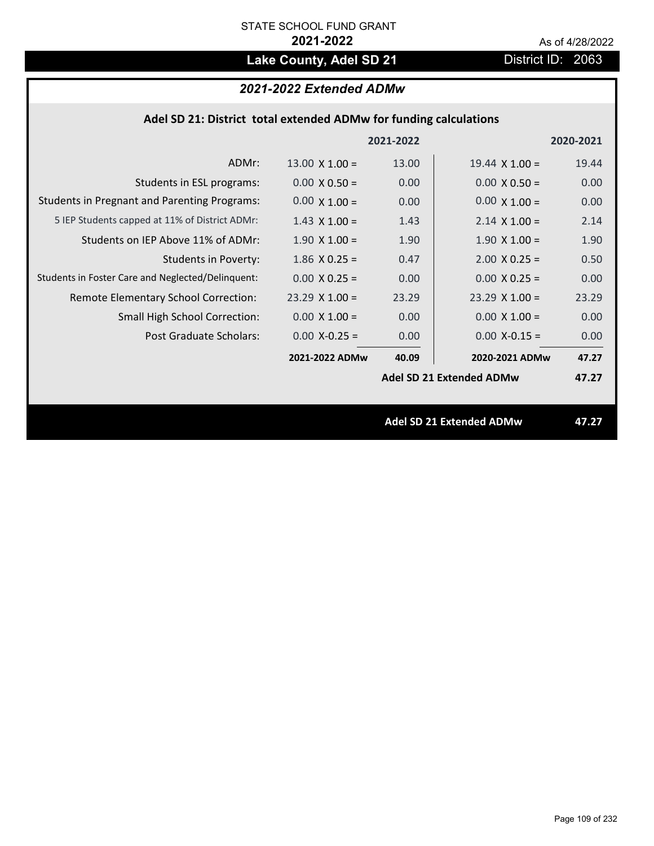# Lake County, Adel SD 21 District ID: 2063

# *2021-2022 Extended ADMw*

| Adel SD 21: District total extended ADMw for funding calculations |  |  |  |
|-------------------------------------------------------------------|--|--|--|
|-------------------------------------------------------------------|--|--|--|

|                                                     |                       | 2021-2022 |                                 | 2020-2021 |
|-----------------------------------------------------|-----------------------|-----------|---------------------------------|-----------|
| ADMr:                                               | $13.00 \times 1.00 =$ | 13.00     | $19.44 \times 1.00 =$           | 19.44     |
| Students in ESL programs:                           | $0.00 \times 0.50 =$  | 0.00      | $0.00 \times 0.50 =$            | 0.00      |
| <b>Students in Pregnant and Parenting Programs:</b> | $0.00 \times 1.00 =$  | 0.00      | $0.00 \times 1.00 =$            | 0.00      |
| 5 IEP Students capped at 11% of District ADMr:      | $1.43 \times 1.00 =$  | 1.43      | $2.14 \times 1.00 =$            | 2.14      |
| Students on IEP Above 11% of ADMr:                  | $1.90 \times 1.00 =$  | 1.90      | $1.90 \times 1.00 =$            | 1.90      |
| <b>Students in Poverty:</b>                         | $1.86$ X 0.25 =       | 0.47      | $2.00$ X 0.25 =                 | 0.50      |
| Students in Foster Care and Neglected/Delinquent:   | $0.00 \times 0.25 =$  | 0.00      | $0.00 \times 0.25 =$            | 0.00      |
| Remote Elementary School Correction:                | $23.29$ X $1.00 =$    | 23.29     | $23.29$ X $1.00 =$              | 23.29     |
| <b>Small High School Correction:</b>                | $0.00 \times 1.00 =$  | 0.00      | $0.00 \times 1.00 =$            | 0.00      |
| Post Graduate Scholars:                             | $0.00$ X-0.25 =       | 0.00      | $0.00$ X-0.15 =                 | 0.00      |
|                                                     | 2021-2022 ADMw        | 40.09     | 2020-2021 ADMw                  | 47.27     |
|                                                     |                       |           | <b>Adel SD 21 Extended ADMw</b> | 47.27     |
|                                                     |                       |           |                                 |           |
|                                                     |                       |           | <b>Adel SD 21 Extended ADMw</b> | 47.27     |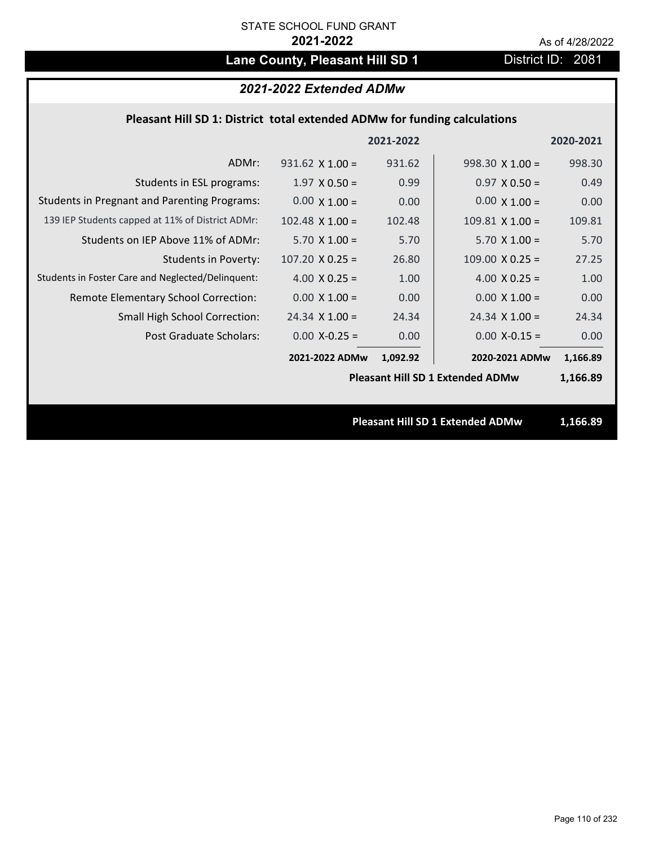# Lane County, Pleasant Hill SD 1 District ID: 2081

# *2021-2022 Extended ADMw*

## **Pleasant Hill SD 1: District total extended ADMw for funding calculations**

|                                                     |                                         | 2021-2022 |                                         | 2020-2021 |
|-----------------------------------------------------|-----------------------------------------|-----------|-----------------------------------------|-----------|
| ADMr:                                               | $931.62 \times 1.00 =$                  | 931.62    | $998.30 \times 1.00 =$                  | 998.30    |
| Students in ESL programs:                           | $1.97 \times 0.50 =$                    | 0.99      | $0.97 \times 0.50 =$                    | 0.49      |
| <b>Students in Pregnant and Parenting Programs:</b> | $0.00 \times 1.00 =$                    | 0.00      | $0.00 \times 1.00 =$                    | 0.00      |
| 139 IEP Students capped at 11% of District ADMr:    | $102.48$ X $1.00 =$                     | 102.48    | $109.81$ X $1.00 =$                     | 109.81    |
| Students on IEP Above 11% of ADMr:                  | $5.70 \times 1.00 =$                    | 5.70      | $5.70 \times 1.00 =$                    | 5.70      |
| <b>Students in Poverty:</b>                         | $107.20 \times 0.25 =$                  | 26.80     | $109.00 \times 0.25 =$                  | 27.25     |
| Students in Foster Care and Neglected/Delinquent:   | 4.00 $X$ 0.25 =                         | 1.00      | 4.00 $X$ 0.25 =                         | 1.00      |
| Remote Elementary School Correction:                | $0.00 \times 1.00 =$                    | 0.00      | $0.00 \times 1.00 =$                    | 0.00      |
| <b>Small High School Correction:</b>                | $24.34 \times 1.00 =$                   | 24.34     | $24.34$ X 1.00 =                        | 24.34     |
| Post Graduate Scholars:                             | $0.00$ X-0.25 =                         | 0.00      | $0.00$ X-0.15 =                         | 0.00      |
|                                                     | 2021-2022 ADMw                          | 1,092.92  | 2020-2021 ADMw                          | 1,166.89  |
|                                                     | <b>Pleasant Hill SD 1 Extended ADMw</b> |           |                                         | 1,166.89  |
|                                                     |                                         |           |                                         |           |
|                                                     |                                         |           | <b>Pleasant Hill SD 1 Extended ADMw</b> | 1,166.89  |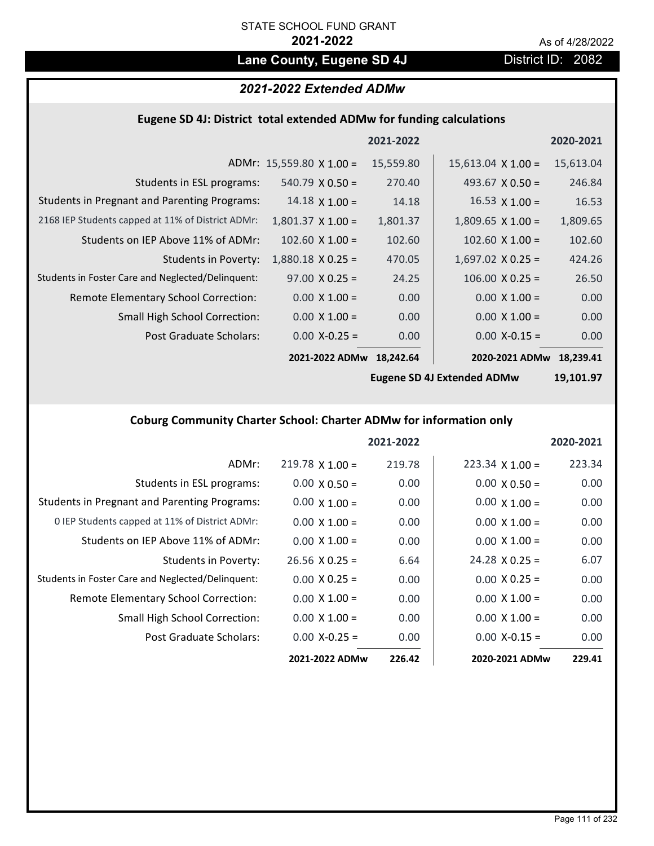# Lane County, Eugene SD 4J **District ID: 2082**

# *2021-2022 Extended ADMw*

### **Eugene SD 4J: District total extended ADMw for funding calculations**

|                                                     |                                 | 2021-2022 |                           | 2020-2021 |
|-----------------------------------------------------|---------------------------------|-----------|---------------------------|-----------|
|                                                     | ADMr: $15,559.80 \times 1.00 =$ | 15,559.80 | $15,613.04 \times 1.00 =$ | 15,613.04 |
| Students in ESL programs:                           | $540.79 \times 0.50 =$          | 270.40    | 493.67 $\times$ 0.50 =    | 246.84    |
| <b>Students in Pregnant and Parenting Programs:</b> | $14.18 \times 1.00 =$           | 14.18     | $16.53 \times 1.00 =$     | 16.53     |
| 2168 IEP Students capped at 11% of District ADMr:   | $1,801.37 \times 1.00 =$        | 1,801.37  | $1,809.65 \times 1.00 =$  | 1,809.65  |
| Students on IEP Above 11% of ADMr:                  | $102.60 \times 1.00 =$          | 102.60    | $102.60 \times 1.00 =$    | 102.60    |
| <b>Students in Poverty:</b>                         | $1,880.18 \times 0.25 =$        | 470.05    | $1,697.02$ X 0.25 =       | 424.26    |
| Students in Foster Care and Neglected/Delinquent:   | $97.00 \times 0.25 =$           | 24.25     | $106.00 \times 0.25 =$    | 26.50     |
| Remote Elementary School Correction:                | $0.00 \times 1.00 =$            | 0.00      | $0.00 \times 1.00 =$      | 0.00      |
| <b>Small High School Correction:</b>                | $0.00 \times 1.00 =$            | 0.00      | $0.00 \times 1.00 =$      | 0.00      |
| Post Graduate Scholars:                             | $0.00$ X-0.25 =                 | 0.00      | $0.00$ X-0.15 =           | 0.00      |
|                                                     | 2021-2022 ADMw                  | 18.242.64 | 2020-2021 ADMw            | 18.239.41 |

**Eugene SD 4J Extended ADMw**

**19,101.97**

# **Coburg Community Charter School: Charter ADMw for information only**

|                                                     |                        | 2021-2022 |                        | 2020-2021 |
|-----------------------------------------------------|------------------------|-----------|------------------------|-----------|
| ADMr:                                               | $219.78 \times 1.00 =$ | 219.78    | $223.34 \times 1.00 =$ | 223.34    |
| Students in ESL programs:                           | $0.00 \times 0.50 =$   | 0.00      | $0.00 \times 0.50 =$   | 0.00      |
| <b>Students in Pregnant and Parenting Programs:</b> | $0.00 \times 1.00 =$   | 0.00      | $0.00 \times 1.00 =$   | 0.00      |
| 0 IEP Students capped at 11% of District ADMr:      | $0.00 \times 1.00 =$   | 0.00      | $0.00 \times 1.00 =$   | 0.00      |
| Students on IEP Above 11% of ADMr:                  | $0.00 \times 1.00 =$   | 0.00      | $0.00 \times 1.00 =$   | 0.00      |
| Students in Poverty:                                | $26.56 \times 0.25 =$  | 6.64      | $24.28 \times 0.25 =$  | 6.07      |
| Students in Foster Care and Neglected/Delinquent:   | $0.00 \times 0.25 =$   | 0.00      | $0.00 \times 0.25 =$   | 0.00      |
| <b>Remote Elementary School Correction:</b>         | $0.00 \times 1.00 =$   | 0.00      | $0.00 \times 1.00 =$   | 0.00      |
| <b>Small High School Correction:</b>                | $0.00 \times 1.00 =$   | 0.00      | $0.00 \times 1.00 =$   | 0.00      |
| Post Graduate Scholars:                             | $0.00 X - 0.25 =$      | 0.00      | $0.00 X - 0.15 =$      | 0.00      |
|                                                     | 2021-2022 ADMw         | 226.42    | 2020-2021 ADMw         | 229.41    |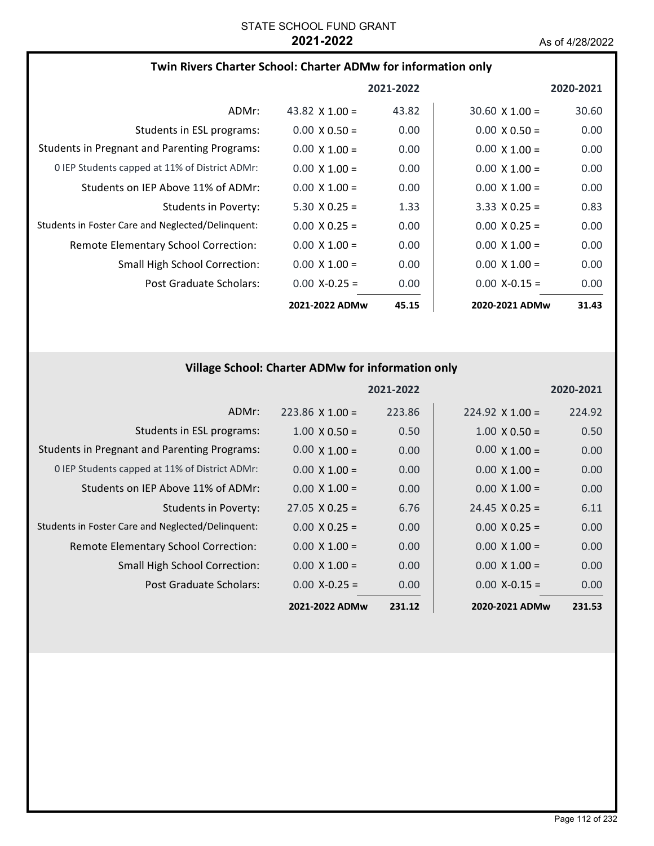## **Twin Rivers Charter School: Charter ADMw for information only**

|                                                     |                       | 2021-2022 |                       | 2020-2021 |
|-----------------------------------------------------|-----------------------|-----------|-----------------------|-----------|
| ADMr:                                               | 43.82 $\times$ 1.00 = | 43.82     | $30.60 \times 1.00 =$ | 30.60     |
| Students in ESL programs:                           | $0.00 \times 0.50 =$  | 0.00      | $0.00 \times 0.50 =$  | 0.00      |
| <b>Students in Pregnant and Parenting Programs:</b> | $0.00 \times 1.00 =$  | 0.00      | $0.00 \times 1.00 =$  | 0.00      |
| 0 IEP Students capped at 11% of District ADMr:      | $0.00 \times 1.00 =$  | 0.00      | $0.00 \times 1.00 =$  | 0.00      |
| Students on IEP Above 11% of ADMr:                  | $0.00 \times 1.00 =$  | 0.00      | $0.00 \times 1.00 =$  | 0.00      |
| Students in Poverty:                                | $5.30 \times 0.25 =$  | 1.33      | $3.33 \times 0.25 =$  | 0.83      |
| Students in Foster Care and Neglected/Delinguent:   | $0.00 \times 0.25 =$  | 0.00      | $0.00 \times 0.25 =$  | 0.00      |
| <b>Remote Elementary School Correction:</b>         | $0.00 \times 1.00 =$  | 0.00      | $0.00 \times 1.00 =$  | 0.00      |
| <b>Small High School Correction:</b>                | $0.00 \times 1.00 =$  | 0.00      | $0.00 \times 1.00 =$  | 0.00      |
| Post Graduate Scholars:                             | $0.00 X - 0.25 =$     | 0.00      | $0.00 X - 0.15 =$     | 0.00      |
|                                                     | 2021-2022 ADMw        | 45.15     | 2020-2021 ADMw        | 31.43     |

# **Village School: Charter ADMw for information only**

|                                                     |                       | 2021-2022 |                       | 2020-2021 |
|-----------------------------------------------------|-----------------------|-----------|-----------------------|-----------|
| ADMr:                                               | $223.86$ X 1.00 =     | 223.86    | $224.92$ X 1.00 =     | 224.92    |
| Students in ESL programs:                           | $1.00 \times 0.50 =$  | 0.50      | $1.00 \times 0.50 =$  | 0.50      |
| <b>Students in Pregnant and Parenting Programs:</b> | $0.00 \times 1.00 =$  | 0.00      | $0.00 \times 1.00 =$  | 0.00      |
| 0 IEP Students capped at 11% of District ADMr:      | $0.00 \times 1.00 =$  | 0.00      | $0.00 \times 1.00 =$  | 0.00      |
| Students on IEP Above 11% of ADMr:                  | $0.00 \times 1.00 =$  | 0.00      | $0.00 \times 1.00 =$  | 0.00      |
| <b>Students in Poverty:</b>                         | $27.05 \times 0.25 =$ | 6.76      | $24.45 \times 0.25 =$ | 6.11      |
| Students in Foster Care and Neglected/Delinquent:   | $0.00 \times 0.25 =$  | 0.00      | $0.00 \times 0.25 =$  | 0.00      |
| Remote Elementary School Correction:                | $0.00 \times 1.00 =$  | 0.00      | $0.00 \times 1.00 =$  | 0.00      |
| <b>Small High School Correction:</b>                | $0.00 \times 1.00 =$  | 0.00      | $0.00 \times 1.00 =$  | 0.00      |
| Post Graduate Scholars:                             | $0.00 X - 0.25 =$     | 0.00      | $0.00 X - 0.15 =$     | 0.00      |
|                                                     | 2021-2022 ADMw        | 231.12    | 2020-2021 ADMw        | 231.53    |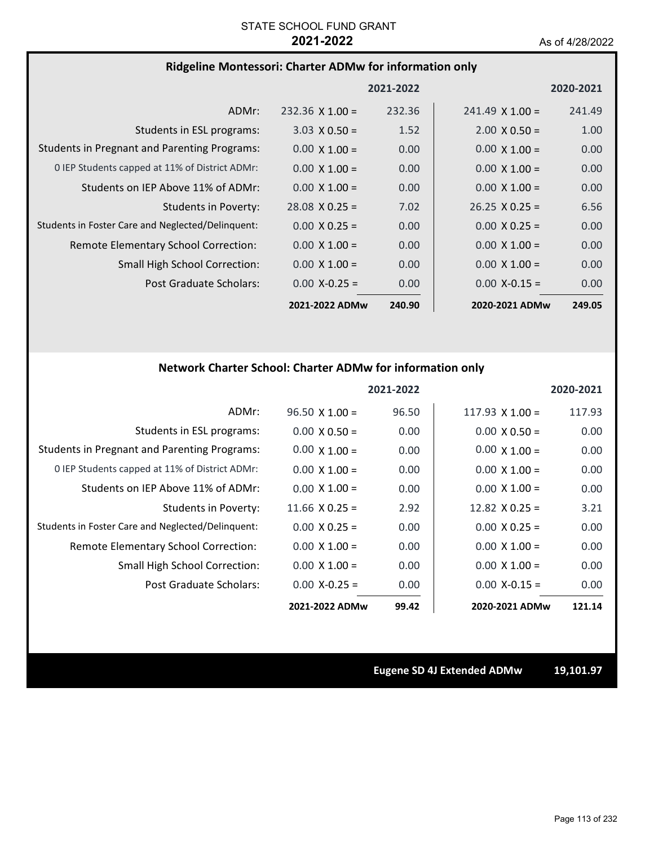### **Ridgeline Montessori: Charter ADMw for information only**

|                                                     |                        | 2021-2022 |                        | 2020-2021         |
|-----------------------------------------------------|------------------------|-----------|------------------------|-------------------|
| ADMr:                                               | $232.36 \times 1.00 =$ | 232.36    | $241.49 \times 1.00 =$ | 241.49            |
| Students in ESL programs:                           | $3.03 \times 0.50 =$   | 1.52      | $2.00 \times 0.50 =$   | 1.00              |
| <b>Students in Pregnant and Parenting Programs:</b> | $0.00 \times 1.00 =$   | 0.00      | $0.00 \times 1.00 =$   | 0.00              |
| 0 IEP Students capped at 11% of District ADMr:      | $0.00 \times 1.00 =$   | 0.00      | $0.00 \times 1.00 =$   | 0.00              |
| Students on IEP Above 11% of ADMr:                  | $0.00 \times 1.00 =$   | 0.00      | $0.00 \times 1.00 =$   | 0.00 <sub>1</sub> |
| Students in Poverty:                                | $28.08 \times 0.25 =$  | 7.02      | $26.25 \times 0.25 =$  | 6.56              |
| Students in Foster Care and Neglected/Delinquent:   | $0.00 \times 0.25 =$   | 0.00      | $0.00 \times 0.25 =$   | 0.00              |
| Remote Elementary School Correction:                | $0.00 \times 1.00 =$   | 0.00      | $0.00 \times 1.00 =$   | 0.00              |
| <b>Small High School Correction:</b>                | $0.00 \times 1.00 =$   | 0.00      | $0.00 \times 1.00 =$   | 0.00              |
| Post Graduate Scholars:                             | $0.00$ X-0.25 =        | 0.00      | $0.00$ X-0.15 =        | 0.00              |
|                                                     | 2021-2022 ADMw         | 240.90    | 2020-2021 ADMw         | 249.05            |

# **Network Charter School: Charter ADMw for information only**

|                                                     |                       | 2021-2022 |                        | 2020-2021 |
|-----------------------------------------------------|-----------------------|-----------|------------------------|-----------|
| ADMr:                                               | $96.50 \times 1.00 =$ | 96.50     | $117.93 \times 1.00 =$ | 117.93    |
| Students in ESL programs:                           | $0.00 \times 0.50 =$  | 0.00      | $0.00 \times 0.50 =$   | 0.00      |
| <b>Students in Pregnant and Parenting Programs:</b> | $0.00 \times 1.00 =$  | 0.00      | $0.00 \times 1.00 =$   | 0.00      |
| 0 IEP Students capped at 11% of District ADMr:      | $0.00 \times 1.00 =$  | 0.00      | $0.00 \times 1.00 =$   | 0.00      |
| Students on IEP Above 11% of ADMr:                  | $0.00 \times 1.00 =$  | 0.00      | $0.00 \times 1.00 =$   | 0.00      |
| <b>Students in Poverty:</b>                         | $11.66 \times 0.25 =$ | 2.92      | 12.82 $\times$ 0.25 =  | 3.21      |
| Students in Foster Care and Neglected/Delinquent:   | $0.00 \times 0.25 =$  | 0.00      | $0.00 \times 0.25 =$   | 0.00      |
| Remote Elementary School Correction:                | $0.00 \times 1.00 =$  | 0.00      | $0.00 \times 1.00 =$   | 0.00      |
| Small High School Correction:                       | $0.00 \times 1.00 =$  | 0.00      | $0.00 \times 1.00 =$   | 0.00      |
| Post Graduate Scholars:                             | $0.00 X - 0.25 =$     | 0.00      | $0.00 X - 0.15 =$      | 0.00      |
|                                                     | 2021-2022 ADMw        | 99.42     | 2020-2021 ADMw         | 121.14    |

**Eugene SD 4J Extended ADMw 19,101.97**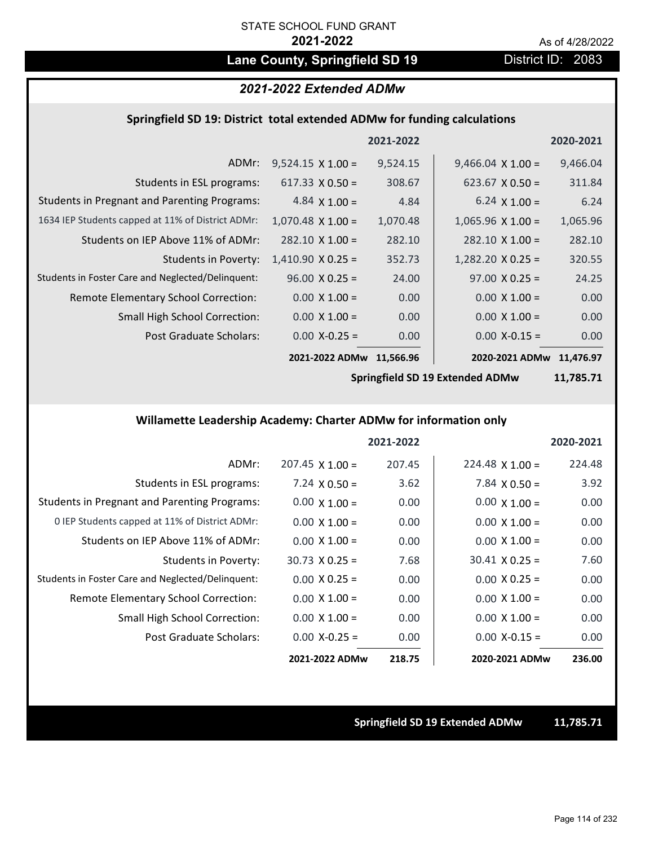# Lane County, Springfield SD 19 **District ID: 2083**

## *2021-2022 Extended ADMw*

### **Springfield SD 19: District total extended ADMw for funding calculations**

|                                                     |                          | 2021-2022 |                          | 2020-2021 |
|-----------------------------------------------------|--------------------------|-----------|--------------------------|-----------|
| ADMr:                                               | $9,524.15 \times 1.00 =$ | 9,524.15  | $9,466.04 \times 1.00 =$ | 9,466.04  |
| Students in ESL programs:                           | $617.33 \times 0.50 =$   | 308.67    | $623.67 \times 0.50 =$   | 311.84    |
| <b>Students in Pregnant and Parenting Programs:</b> | 4.84 $\times$ 1.00 =     | 4.84      | $6.24 \times 1.00 =$     | 6.24      |
| 1634 IEP Students capped at 11% of District ADMr:   | $1,070.48 \times 1.00 =$ | 1,070.48  | $1,065.96 \times 1.00 =$ | 1,065.96  |
| Students on IEP Above 11% of ADMr:                  | $282.10 \times 1.00 =$   | 282.10    | $282.10 \times 1.00 =$   | 282.10    |
| <b>Students in Poverty:</b>                         | $1,410.90 \times 0.25 =$ | 352.73    | $1,282.20$ X 0.25 =      | 320.55    |
| Students in Foster Care and Neglected/Delinquent:   | $96.00 \times 0.25 =$    | 24.00     | $97.00 \times 0.25 =$    | 24.25     |
| Remote Elementary School Correction:                | $0.00 \times 1.00 =$     | 0.00      | $0.00 \times 1.00 =$     | 0.00      |
| Small High School Correction:                       | $0.00 \times 1.00 =$     | 0.00      | $0.00 \times 1.00 =$     | 0.00      |
| Post Graduate Scholars:                             | $0.00 X - 0.25 =$        | 0.00      | $0.00$ X-0.15 =          | 0.00      |
|                                                     | 2021-2022 ADMw           | 11,566.96 | 2020-2021 ADMw 11,476.97 |           |

**Springfield SD 19 Extended ADMw**

**11,785.71**

## **Willamette Leadership Academy: Charter ADMw for information only**

|                                                     |                        | 2021-2022 |                        | 2020-2021 |
|-----------------------------------------------------|------------------------|-----------|------------------------|-----------|
| ADMr:                                               | $207.45 \times 1.00 =$ | 207.45    | $224.48 \times 1.00 =$ | 224.48    |
| Students in ESL programs:                           | $7.24 \times 0.50 =$   | 3.62      | $7.84 \times 0.50 =$   | 3.92      |
| <b>Students in Pregnant and Parenting Programs:</b> | $0.00 \times 1.00 =$   | 0.00      | $0.00 \times 1.00 =$   | 0.00      |
| 0 IEP Students capped at 11% of District ADMr:      | $0.00 \times 1.00 =$   | 0.00      | $0.00 \times 1.00 =$   | 0.00      |
| Students on IEP Above 11% of ADMr:                  | $0.00 \times 1.00 =$   | 0.00      | $0.00 \times 1.00 =$   | 0.00      |
| Students in Poverty:                                | $30.73 \times 0.25 =$  | 7.68      | $30.41 \times 0.25 =$  | 7.60      |
| Students in Foster Care and Neglected/Delinquent:   | $0.00 \times 0.25 =$   | 0.00      | $0.00 \times 0.25 =$   | 0.00      |
| Remote Elementary School Correction:                | $0.00 \times 1.00 =$   | 0.00      | $0.00 \times 1.00 =$   | 0.00      |
| <b>Small High School Correction:</b>                | $0.00 \times 1.00 =$   | 0.00      | $0.00 \times 1.00 =$   | 0.00      |
| Post Graduate Scholars:                             | $0.00$ X-0.25 =        | 0.00      | $0.00 X-0.15 =$        | 0.00      |
|                                                     | 2021-2022 ADMw         | 218.75    | 2020-2021 ADMw         | 236.00    |

**Springfield SD 19 Extended ADMw 11,785.71**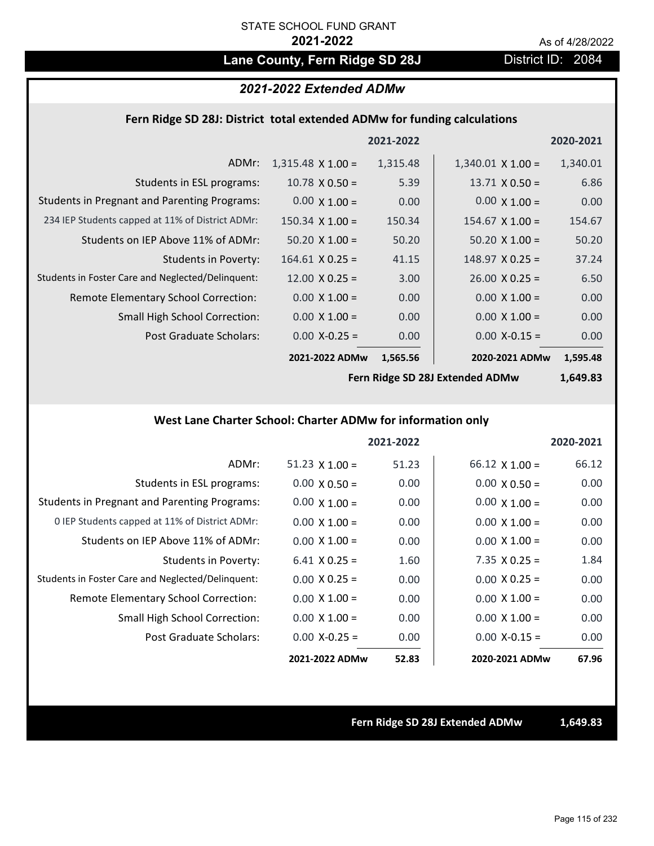# Lane County, Fern Ridge SD 28J **District ID: 2084**

### *2021-2022 Extended ADMw*

### **Fern Ridge SD 28J: District total extended ADMw for funding calculations**

|                                                     |                          | 2021-2022 |                          | 2020-2021 |
|-----------------------------------------------------|--------------------------|-----------|--------------------------|-----------|
| ADMr:                                               | $1,315.48 \times 1.00 =$ | 1,315.48  | $1,340.01 \times 1.00 =$ | 1,340.01  |
| Students in ESL programs:                           | $10.78 \times 0.50 =$    | 5.39      | $13.71 \times 0.50 =$    | 6.86      |
| <b>Students in Pregnant and Parenting Programs:</b> | $0.00 \times 1.00 =$     | 0.00      | $0.00 \times 1.00 =$     | 0.00      |
| 234 IEP Students capped at 11% of District ADMr:    | $150.34 \times 1.00 =$   | 150.34    | $154.67 \times 1.00 =$   | 154.67    |
| Students on IEP Above 11% of ADMr:                  | $50.20 \times 1.00 =$    | 50.20     | $50.20 \times 1.00 =$    | 50.20     |
| Students in Poverty:                                | $164.61$ X 0.25 =        | 41.15     | $148.97 \times 0.25 =$   | 37.24     |
| Students in Foster Care and Neglected/Delinquent:   | $12.00 \times 0.25 =$    | 3.00      | $26.00 \times 0.25 =$    | 6.50      |
| Remote Elementary School Correction:                | $0.00 \times 1.00 =$     | 0.00      | $0.00 \times 1.00 =$     | 0.00      |
| <b>Small High School Correction:</b>                | $0.00 \times 1.00 =$     | 0.00      | $0.00 \times 1.00 =$     | 0.00      |
| Post Graduate Scholars:                             | $0.00$ X-0.25 =          | 0.00      | $0.00$ X-0.15 =          | 0.00      |
|                                                     | 2021-2022 ADMw           | 1,565.56  | 2020-2021 ADMw           | 1,595.48  |

**Fern Ridge SD 28J Extended ADMw**

**1,649.83**

## **West Lane Charter School: Charter ADMw for information only**

|                                                     |                       | 2021-2022 |                       | 2020-2021 |
|-----------------------------------------------------|-----------------------|-----------|-----------------------|-----------|
| ADMr:                                               | $51.23 \times 1.00 =$ | 51.23     | $66.12 \times 1.00 =$ | 66.12     |
| Students in ESL programs:                           | $0.00 \times 0.50 =$  | 0.00      | $0.00 \times 0.50 =$  | 0.00      |
| <b>Students in Pregnant and Parenting Programs:</b> | $0.00 \times 1.00 =$  | 0.00      | $0.00 \times 1.00 =$  | 0.00      |
| 0 IEP Students capped at 11% of District ADMr:      | $0.00 \times 1.00 =$  | 0.00      | $0.00 \times 1.00 =$  | 0.00      |
| Students on IEP Above 11% of ADMr:                  | $0.00 \times 1.00 =$  | 0.00      | $0.00 \times 1.00 =$  | 0.00      |
| Students in Poverty:                                | $6.41$ X 0.25 =       | 1.60      | $7.35 \times 0.25 =$  | 1.84      |
| Students in Foster Care and Neglected/Delinquent:   | $0.00 \times 0.25 =$  | 0.00      | $0.00 \times 0.25 =$  | 0.00      |
| <b>Remote Elementary School Correction:</b>         | $0.00 \times 1.00 =$  | 0.00      | $0.00 \times 1.00 =$  | 0.00      |
| <b>Small High School Correction:</b>                | $0.00 \times 1.00 =$  | 0.00      | $0.00 \times 1.00 =$  | 0.00      |
| Post Graduate Scholars:                             | $0.00 X - 0.25 =$     | 0.00      | $0.00$ X-0.15 =       | 0.00      |
|                                                     | 2021-2022 ADMw        | 52.83     | 2020-2021 ADMw        | 67.96     |

**Fern Ridge SD 28J Extended ADMw 1,649.83**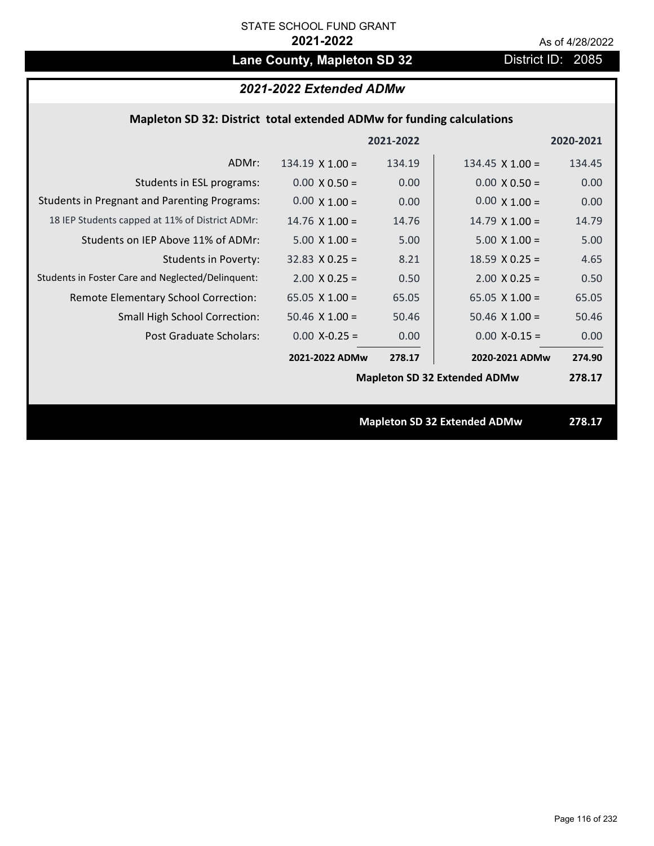# Lane County, Mapleton SD 32 District ID: 2085

# *2021-2022 Extended ADMw*

## **Mapleton SD 32: District total extended ADMw for funding calculations**

|                                                     |                        | 2021-2022 |                                     | 2020-2021 |
|-----------------------------------------------------|------------------------|-----------|-------------------------------------|-----------|
| ADMr:                                               | $134.19 \times 1.00 =$ | 134.19    | $134.45 \times 1.00 =$              | 134.45    |
| Students in ESL programs:                           | $0.00 \times 0.50 =$   | 0.00      | $0.00 \times 0.50 =$                | 0.00      |
| <b>Students in Pregnant and Parenting Programs:</b> | $0.00 \times 1.00 =$   | 0.00      | $0.00 \times 1.00 =$                | 0.00      |
| 18 IEP Students capped at 11% of District ADMr:     | $14.76 \times 1.00 =$  | 14.76     | $14.79 \times 1.00 =$               | 14.79     |
| Students on IEP Above 11% of ADMr:                  | $5.00 \times 1.00 =$   | 5.00      | $5.00 X 1.00 =$                     | 5.00      |
| <b>Students in Poverty:</b>                         | $32.83 \times 0.25 =$  | 8.21      | $18.59$ X 0.25 =                    | 4.65      |
| Students in Foster Care and Neglected/Delinquent:   | $2.00 \times 0.25 =$   | 0.50      | $2.00 \times 0.25 =$                | 0.50      |
| Remote Elementary School Correction:                | 65.05 $X$ 1.00 =       | 65.05     | 65.05 $X$ 1.00 =                    | 65.05     |
| <b>Small High School Correction:</b>                | $50.46$ X $1.00 =$     | 50.46     | $50.46$ X $1.00 =$                  | 50.46     |
| Post Graduate Scholars:                             | $0.00$ X-0.25 =        | 0.00      | $0.00 X - 0.15 =$                   | 0.00      |
|                                                     | 2021-2022 ADMw         | 278.17    | 2020-2021 ADMw                      | 274.90    |
|                                                     |                        |           | <b>Mapleton SD 32 Extended ADMw</b> | 278.17    |
|                                                     |                        |           |                                     |           |
|                                                     |                        |           | <b>Mapleton SD 32 Extended ADMw</b> | 278.17    |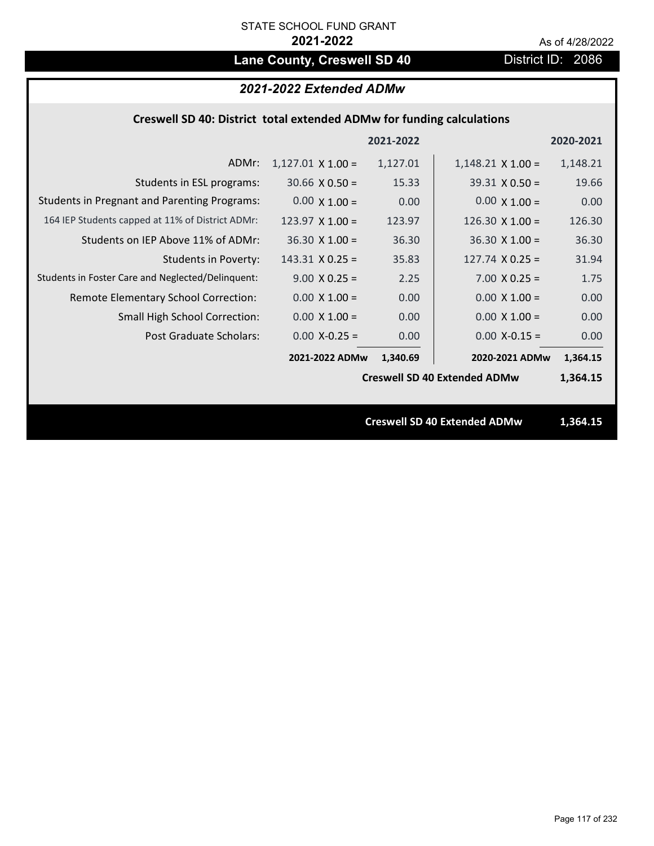# Lane County, Creswell SD 40 District ID: 2086

# *2021-2022 Extended ADMw*

## **Creswell SD 40: District total extended ADMw for funding calculations**

|                                                     |                          | 2021-2022 |                                     | 2020-2021 |
|-----------------------------------------------------|--------------------------|-----------|-------------------------------------|-----------|
| ADMr:                                               | $1,127.01 \times 1.00 =$ | 1,127.01  | $1,148.21 \times 1.00 =$            | 1,148.21  |
| Students in ESL programs:                           | $30.66 \times 0.50 =$    | 15.33     | $39.31 \times 0.50 =$               | 19.66     |
| <b>Students in Pregnant and Parenting Programs:</b> | $0.00 \times 1.00 =$     | 0.00      | $0.00 \times 1.00 =$                | 0.00      |
| 164 IEP Students capped at 11% of District ADMr:    | $123.97 \times 1.00 =$   | 123.97    | 126.30 $\times$ 1.00 =              | 126.30    |
| Students on IEP Above 11% of ADMr:                  | $36.30 \times 1.00 =$    | 36.30     | $36.30 \times 1.00 =$               | 36.30     |
| <b>Students in Poverty:</b>                         | $143.31 \times 0.25 =$   | 35.83     | $127.74 \times 0.25 =$              | 31.94     |
| Students in Foster Care and Neglected/Delinquent:   | $9.00 \times 0.25 =$     | 2.25      | $7.00 \times 0.25 =$                | 1.75      |
| Remote Elementary School Correction:                | $0.00 \times 1.00 =$     | 0.00      | $0.00 \times 1.00 =$                | 0.00      |
| <b>Small High School Correction:</b>                | $0.00 \times 1.00 =$     | 0.00      | $0.00 \times 1.00 =$                | 0.00      |
| Post Graduate Scholars:                             | $0.00$ X-0.25 =          | 0.00      | $0.00$ X-0.15 =                     | 0.00      |
|                                                     | 2021-2022 ADMw           | 1,340.69  | 2020-2021 ADMw                      | 1,364.15  |
|                                                     |                          |           | <b>Creswell SD 40 Extended ADMw</b> | 1,364.15  |
|                                                     |                          |           |                                     |           |
|                                                     |                          |           | <b>Creswell SD 40 Extended ADMw</b> | 1,364.15  |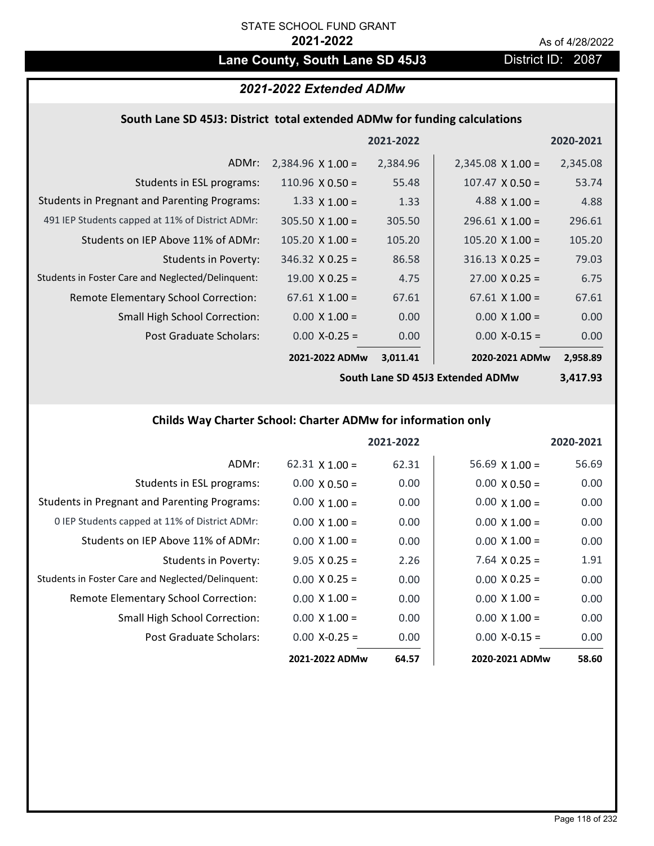# Lane County, South Lane SD 45J3 District ID: 2087

# *2021-2022 Extended ADMw*

# **South Lane SD 45J3: District total extended ADMw for funding calculations**

|                                                     |                          | 2021-2022 |                          | 2020-2021 |
|-----------------------------------------------------|--------------------------|-----------|--------------------------|-----------|
| ADMr:                                               | $2,384.96 \times 1.00 =$ | 2,384.96  | $2,345.08 \times 1.00 =$ | 2,345.08  |
| Students in ESL programs:                           | 110.96 $\times$ 0.50 =   | 55.48     | $107.47 \times 0.50 =$   | 53.74     |
| <b>Students in Pregnant and Parenting Programs:</b> | 1.33 $\times$ 1.00 =     | 1.33      | 4.88 $\times$ 1.00 =     | 4.88      |
| 491 IEP Students capped at 11% of District ADMr:    | $305.50 \times 1.00 =$   | 305.50    | $296.61 \times 1.00 =$   | 296.61    |
| Students on IEP Above 11% of ADMr:                  | $105.20 \times 1.00 =$   | 105.20    | $105.20 \times 1.00 =$   | 105.20    |
| Students in Poverty:                                | $346.32 \times 0.25 =$   | 86.58     | $316.13 \times 0.25 =$   | 79.03     |
| Students in Foster Care and Neglected/Delinquent:   | $19.00 \times 0.25 =$    | 4.75      | $27.00 \times 0.25 =$    | 6.75      |
| Remote Elementary School Correction:                | $67.61 \times 1.00 =$    | 67.61     | $67.61 \times 1.00 =$    | 67.61     |
| <b>Small High School Correction:</b>                | $0.00 \times 1.00 =$     | 0.00      | $0.00 \times 1.00 =$     | 0.00      |
| Post Graduate Scholars:                             | $0.00 X-0.25 =$          | 0.00      | $0.00$ X-0.15 =          | 0.00      |
|                                                     | 2021-2022 ADMw           | 3,011.41  | 2020-2021 ADMw           | 2,958.89  |

**South Lane SD 45J3 Extended ADMw**

**3,417.93**

# **Childs Way Charter School: Charter ADMw for information only**

|                                                     |                       | 2021-2022 |                       | 2020-2021 |
|-----------------------------------------------------|-----------------------|-----------|-----------------------|-----------|
| ADMr:                                               | $62.31 \times 1.00 =$ | 62.31     | $56.69 \times 1.00 =$ | 56.69     |
| Students in ESL programs:                           | $0.00 \times 0.50 =$  | 0.00      | $0.00 \times 0.50 =$  | 0.00      |
| <b>Students in Pregnant and Parenting Programs:</b> | $0.00 \times 1.00 =$  | 0.00      | $0.00 \times 1.00 =$  | 0.00      |
| 0 IEP Students capped at 11% of District ADMr:      | $0.00 \times 1.00 =$  | 0.00      | $0.00 \times 1.00 =$  | 0.00      |
| Students on IEP Above 11% of ADMr:                  | $0.00 \times 1.00 =$  | 0.00      | $0.00 \times 1.00 =$  | 0.00      |
| Students in Poverty:                                | $9.05 \times 0.25 =$  | 2.26      | $7.64$ X 0.25 =       | 1.91      |
| Students in Foster Care and Neglected/Delinquent:   | $0.00 \times 0.25 =$  | 0.00      | $0.00 \times 0.25 =$  | 0.00      |
| Remote Elementary School Correction:                | $0.00 \times 1.00 =$  | 0.00      | $0.00 \times 1.00 =$  | 0.00      |
| <b>Small High School Correction:</b>                | $0.00 \times 1.00 =$  | 0.00      | $0.00 \times 1.00 =$  | 0.00      |
| Post Graduate Scholars:                             | $0.00$ X-0.25 =       | 0.00      | $0.00 X-0.15 =$       | 0.00      |
|                                                     | 2021-2022 ADMw        | 64.57     | 2020-2021 ADMw        | 58.60     |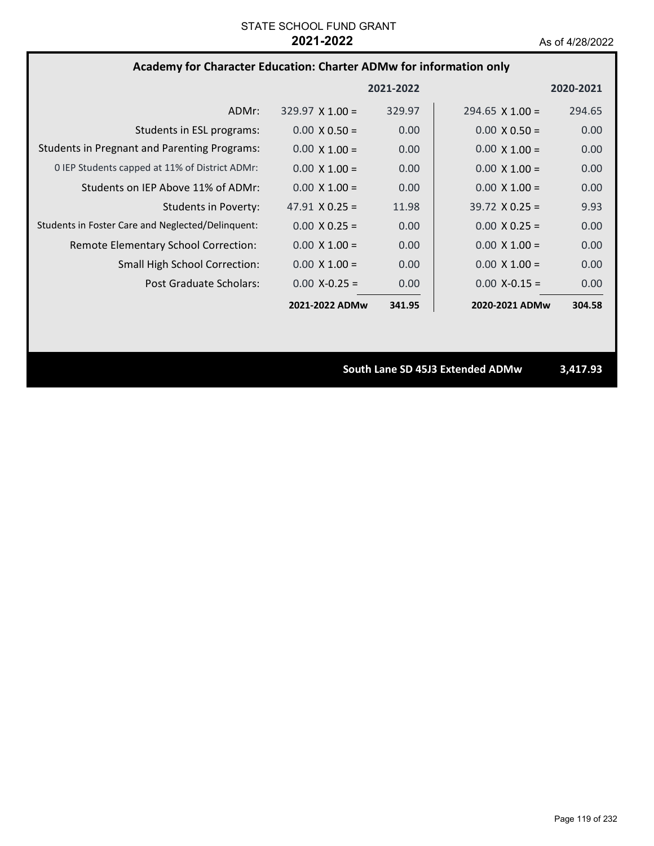# **Academy for Character Education: Charter ADMw for information only**

|                                                     |                        | 2021-2022 |                        | 2020-2021 |
|-----------------------------------------------------|------------------------|-----------|------------------------|-----------|
| ADMr:                                               | $329.97 \times 1.00 =$ | 329.97    | $294.65 \times 1.00 =$ | 294.65    |
| Students in ESL programs:                           | $0.00 \times 0.50 =$   | 0.00      | $0.00 \times 0.50 =$   | 0.00      |
| <b>Students in Pregnant and Parenting Programs:</b> | $0.00 \times 1.00 =$   | 0.00      | $0.00 \times 1.00 =$   | 0.00      |
| 0 IEP Students capped at 11% of District ADMr:      | $0.00 \times 1.00 =$   | 0.00      | $0.00 \times 1.00 =$   | 0.00      |
| Students on IEP Above 11% of ADMr:                  | $0.00 \times 1.00 =$   | 0.00      | $0.00 \times 1.00 =$   | 0.00      |
| Students in Poverty:                                | 47.91 $\times$ 0.25 =  | 11.98     | $39.72 \times 0.25 =$  | 9.93      |
| Students in Foster Care and Neglected/Delinquent:   | $0.00 \times 0.25 =$   | 0.00      | $0.00 \times 0.25 =$   | 0.00      |
| Remote Elementary School Correction:                | $0.00 \times 1.00 =$   | 0.00      | $0.00 \times 1.00 =$   | 0.00      |
| <b>Small High School Correction:</b>                | $0.00 \times 1.00 =$   | 0.00      | $0.00 \times 1.00 =$   | 0.00      |
| Post Graduate Scholars:                             | $0.00 X - 0.25 =$      | 0.00      | $0.00$ X-0.15 =        | 0.00      |
|                                                     | 2021-2022 ADMw         | 341.95    | 2020-2021 ADMw         | 304.58    |

**South Lane SD 45J3 Extended ADMw 3,417.93**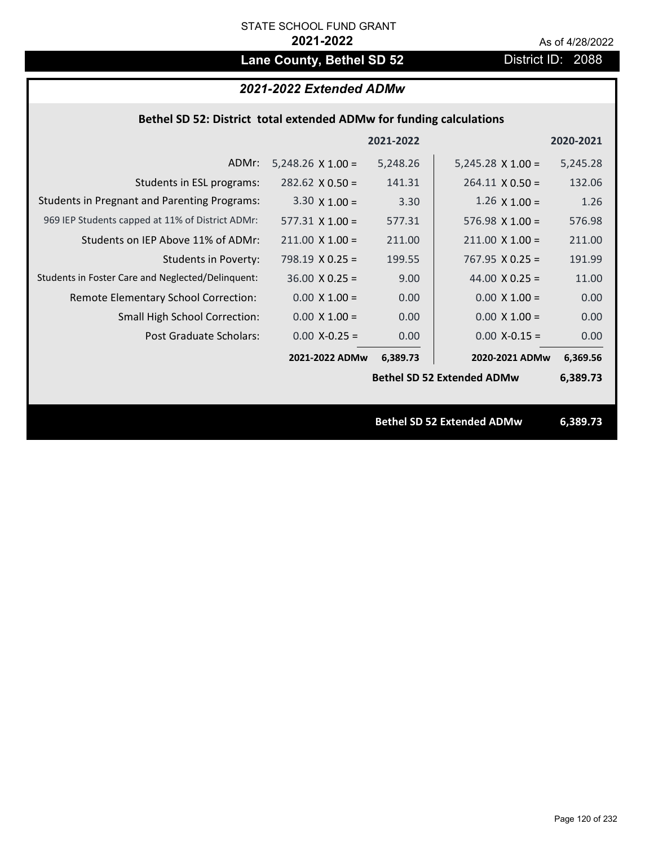# Lane County, Bethel SD 52 District ID: 2088

# *2021-2022 Extended ADMw*

### **Bethel SD 52: District total extended ADMw for funding calculations**

|                                                     |                          | 2021-2022 |                                   | 2020-2021 |
|-----------------------------------------------------|--------------------------|-----------|-----------------------------------|-----------|
| ADMr:                                               | $5,248.26 \times 1.00 =$ | 5,248.26  | $5,245.28 \times 1.00 =$          | 5,245.28  |
| Students in ESL programs:                           | $282.62 \times 0.50 =$   | 141.31    | $264.11 \times 0.50 =$            | 132.06    |
| <b>Students in Pregnant and Parenting Programs:</b> | $3.30 \times 1.00 =$     | 3.30      | $1.26 \times 1.00 =$              | 1.26      |
| 969 IEP Students capped at 11% of District ADMr:    | $577.31 \times 1.00 =$   | 577.31    | $576.98 \times 1.00 =$            | 576.98    |
| Students on IEP Above 11% of ADMr:                  | $211.00 \times 1.00 =$   | 211.00    | $211.00$ X $1.00 =$               | 211.00    |
| <b>Students in Poverty:</b>                         | $798.19 \times 0.25 =$   | 199.55    | $767.95 \times 0.25 =$            | 191.99    |
| Students in Foster Care and Neglected/Delinquent:   | $36.00 \times 0.25 =$    | 9.00      | 44.00 $X$ 0.25 =                  | 11.00     |
| Remote Elementary School Correction:                | $0.00 \times 1.00 =$     | 0.00      | $0.00 \times 1.00 =$              | 0.00      |
| <b>Small High School Correction:</b>                | $0.00 \times 1.00 =$     | 0.00      | $0.00 \times 1.00 =$              | 0.00      |
| Post Graduate Scholars:                             | $0.00$ X-0.25 =          | 0.00      | $0.00$ X-0.15 =                   | 0.00      |
|                                                     | 2021-2022 ADMw           | 6,389.73  | 2020-2021 ADMw                    | 6,369.56  |
|                                                     |                          |           | <b>Bethel SD 52 Extended ADMw</b> | 6,389.73  |
|                                                     |                          |           |                                   |           |
|                                                     |                          |           | <b>Bethel SD 52 Extended ADMw</b> | 6,389.73  |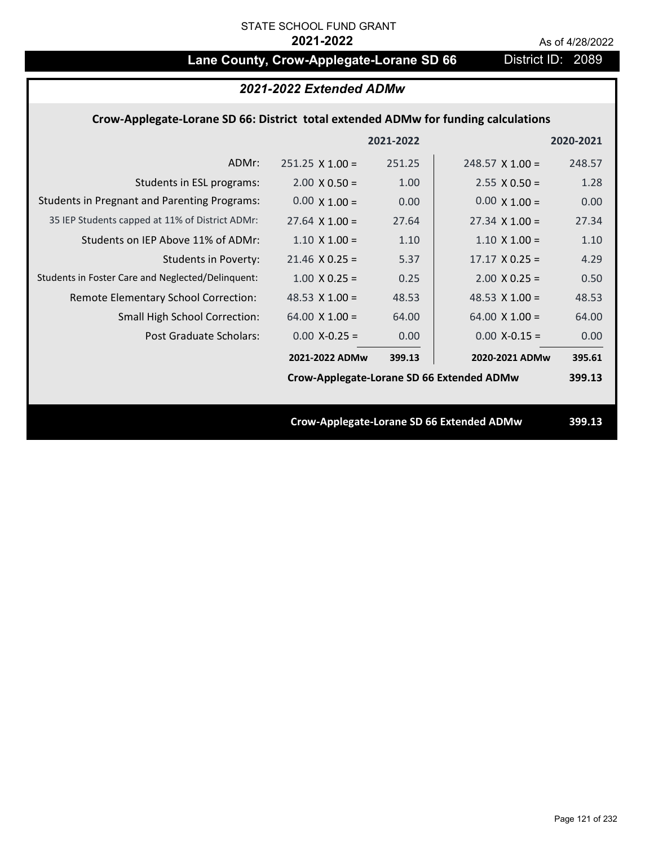# Lane County, Crow-Applegate-Lorane SD 66 District ID: 2089

# *2021-2022 Extended ADMw*

## **Crow‐Applegate‐Lorane SD 66: District total extended ADMw for funding calculations**

|                                                     |                                           | 2021-2022 |                                           | 2020-2021 |
|-----------------------------------------------------|-------------------------------------------|-----------|-------------------------------------------|-----------|
| ADMr:                                               | $251.25 \times 1.00 =$                    | 251.25    | $248.57$ X 1.00 =                         | 248.57    |
| Students in ESL programs:                           | $2.00 \times 0.50 =$                      | 1.00      | $2.55 \times 0.50 =$                      | 1.28      |
| <b>Students in Pregnant and Parenting Programs:</b> | $0.00 \times 1.00 =$                      | 0.00      | $0.00 \times 1.00 =$                      | 0.00      |
| 35 IEP Students capped at 11% of District ADMr:     | $27.64 \times 1.00 =$                     | 27.64     | $27.34 \times 1.00 =$                     | 27.34     |
| Students on IEP Above 11% of ADMr:                  | $1.10 \times 1.00 =$                      | 1.10      | $1.10 \times 1.00 =$                      | 1.10      |
| <b>Students in Poverty:</b>                         | $21.46$ X 0.25 =                          | 5.37      | $17.17 \times 0.25 =$                     | 4.29      |
| Students in Foster Care and Neglected/Delinquent:   | $1.00 \times 0.25 =$                      | 0.25      | $2.00 \times 0.25 =$                      | 0.50      |
| Remote Elementary School Correction:                | 48.53 $\times$ 1.00 =                     | 48.53     | 48.53 $\times$ 1.00 =                     | 48.53     |
| <b>Small High School Correction:</b>                | $64.00 \times 1.00 =$                     | 64.00     | $64.00 \times 1.00 =$                     | 64.00     |
| Post Graduate Scholars:                             | $0.00$ X-0.25 =                           | 0.00      | $0.00$ X-0.15 =                           | 0.00      |
|                                                     | 2021-2022 ADMw                            | 399.13    | 2020-2021 ADMw                            | 395.61    |
|                                                     | Crow-Applegate-Lorane SD 66 Extended ADMw |           |                                           | 399.13    |
|                                                     |                                           |           |                                           |           |
|                                                     |                                           |           | Crow-Applegate-Lorane SD 66 Extended ADMw | 399.13    |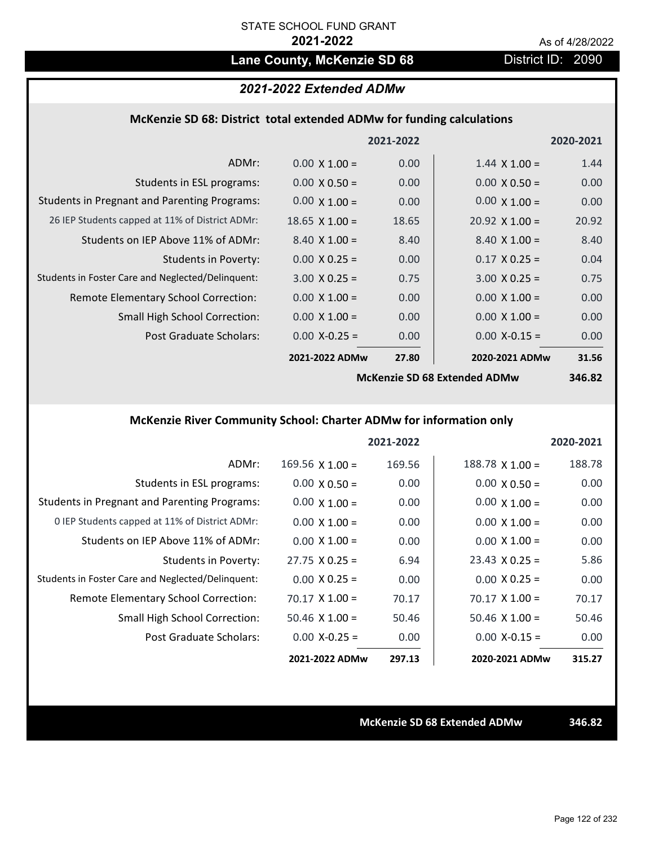# Lane County, McKenzie SD 68 District ID: 2090

## *2021-2022 Extended ADMw*

### **McKenzie SD 68: District total extended ADMw for funding calculations**

|                                                     |                      | 2021-2022 |                              | 2020-2021 |
|-----------------------------------------------------|----------------------|-----------|------------------------------|-----------|
| ADMr:                                               | $0.00 \times 1.00 =$ | 0.00      | $1.44 \times 1.00 =$         | 1.44      |
| Students in ESL programs:                           | $0.00 \times 0.50 =$ | 0.00      | $0.00 \times 0.50 =$         | 0.00      |
| <b>Students in Pregnant and Parenting Programs:</b> | $0.00 \times 1.00 =$ | 0.00      | $0.00 \times 1.00 =$         | 0.00      |
| 26 IEP Students capped at 11% of District ADMr:     | $18.65$ X 1.00 =     | 18.65     | $20.92 \times 1.00 =$        | 20.92     |
| Students on IEP Above 11% of ADMr:                  | $8.40 \times 1.00 =$ | 8.40      | $8.40 \times 1.00 =$         | 8.40      |
| <b>Students in Poverty:</b>                         | $0.00 \times 0.25 =$ | 0.00      | $0.17 \times 0.25 =$         | 0.04      |
| Students in Foster Care and Neglected/Delinquent:   | $3.00 \times 0.25 =$ | 0.75      | $3.00 \times 0.25 =$         | 0.75      |
| Remote Elementary School Correction:                | $0.00 \times 1.00 =$ | 0.00      | $0.00 \times 1.00 =$         | 0.00      |
| <b>Small High School Correction:</b>                | $0.00 \times 1.00 =$ | 0.00      | $0.00 \times 1.00 =$         | 0.00      |
| Post Graduate Scholars:                             | $0.00$ X-0.25 =      | 0.00      | $0.00$ X-0.15 =              | 0.00      |
|                                                     | 2021-2022 ADMw       | 27.80     | 2020-2021 ADMw               | 31.56     |
|                                                     |                      |           | McKanzie SD 68 Extended ADMu | $2ACQ$    |

**McKenzie SD 68 Extended ADMw**

**346.82**

## **McKenzie River Community School: Charter ADMw for information only**

|                                                     |                        | 2021-2022 |                        | 2020-2021 |
|-----------------------------------------------------|------------------------|-----------|------------------------|-----------|
| ADMr:                                               | $169.56 \times 1.00 =$ | 169.56    | $188.78 \times 1.00 =$ | 188.78    |
| Students in ESL programs:                           | $0.00 \times 0.50 =$   | 0.00      | $0.00 \times 0.50 =$   | 0.00      |
| <b>Students in Pregnant and Parenting Programs:</b> | $0.00 \times 1.00 =$   | 0.00      | $0.00 \times 1.00 =$   | 0.00      |
| 0 IEP Students capped at 11% of District ADMr:      | $0.00 \times 1.00 =$   | 0.00      | $0.00 \times 1.00 =$   | 0.00      |
| Students on IEP Above 11% of ADMr:                  | $0.00 \times 1.00 =$   | 0.00      | $0.00 \times 1.00 =$   | 0.00      |
| Students in Poverty:                                | $27.75 \times 0.25 =$  | 6.94      | $23.43 \times 0.25 =$  | 5.86      |
| Students in Foster Care and Neglected/Delinquent:   | $0.00 \times 0.25 =$   | 0.00      | $0.00 \times 0.25 =$   | 0.00      |
| Remote Elementary School Correction:                | $70.17 \times 1.00 =$  | 70.17     | $70.17 \times 1.00 =$  | 70.17     |
| <b>Small High School Correction:</b>                | 50.46 $X$ 1.00 =       | 50.46     | $50.46 \times 1.00 =$  | 50.46     |
| Post Graduate Scholars:                             | $0.00 X - 0.25 =$      | 0.00      | $0.00$ X-0.15 =        | 0.00      |
|                                                     | 2021-2022 ADMw         | 297.13    | 2020-2021 ADMw         | 315.27    |

**McKenzie SD 68 Extended ADMw 346.82**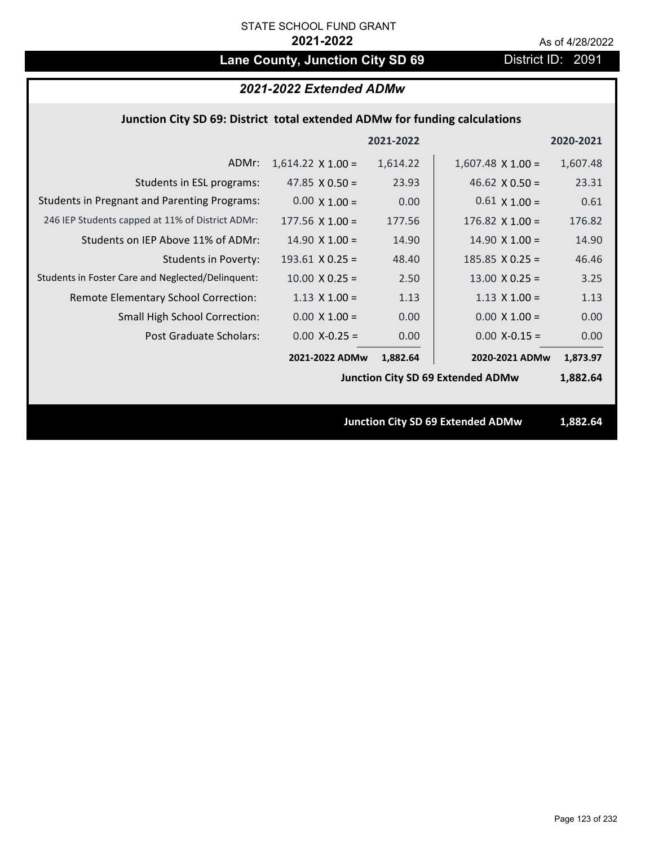# Lane County, Junction City SD 69 District ID: 2091

### **Junction City SD 69: District total extended ADMw for funding calculations**

|                                                     |                          | 2021-2022 |                                          | 2020-2021 |
|-----------------------------------------------------|--------------------------|-----------|------------------------------------------|-----------|
| ADMr:                                               | $1,614.22 \times 1.00 =$ | 1,614.22  | $1,607.48 \times 1.00 =$                 | 1,607.48  |
| Students in ESL programs:                           | 47.85 $\times$ 0.50 =    | 23.93     | 46.62 $\times$ 0.50 =                    | 23.31     |
| <b>Students in Pregnant and Parenting Programs:</b> | $0.00 \times 1.00 =$     | 0.00      | $0.61 \times 1.00 =$                     | 0.61      |
| 246 IEP Students capped at 11% of District ADMr:    | $177.56 \times 1.00 =$   | 177.56    | 176.82 $\times$ 1.00 =                   | 176.82    |
| Students on IEP Above 11% of ADMr:                  | $14.90 \times 1.00 =$    | 14.90     | $14.90 \times 1.00 =$                    | 14.90     |
| <b>Students in Poverty:</b>                         | $193.61$ X 0.25 =        | 48.40     | 185.85 $X$ 0.25 =                        | 46.46     |
| Students in Foster Care and Neglected/Delinquent:   | $10.00$ X 0.25 =         | 2.50      | $13.00 \times 0.25 =$                    | 3.25      |
| Remote Elementary School Correction:                | $1.13 \times 1.00 =$     | 1.13      | $1.13 \times 1.00 =$                     | 1.13      |
| <b>Small High School Correction:</b>                | $0.00 \times 1.00 =$     | 0.00      | $0.00 \times 1.00 =$                     | 0.00      |
| Post Graduate Scholars:                             | $0.00$ X-0.25 =          | 0.00      | $0.00$ X-0.15 =                          | 0.00      |
|                                                     | 2021-2022 ADMw           | 1,882.64  | 2020-2021 ADMw                           | 1,873.97  |
|                                                     |                          |           | <b>Junction City SD 69 Extended ADMw</b> | 1,882.64  |
|                                                     |                          |           |                                          |           |
|                                                     |                          |           | <b>Junction City SD 69 Extended ADMw</b> | 1,882.64  |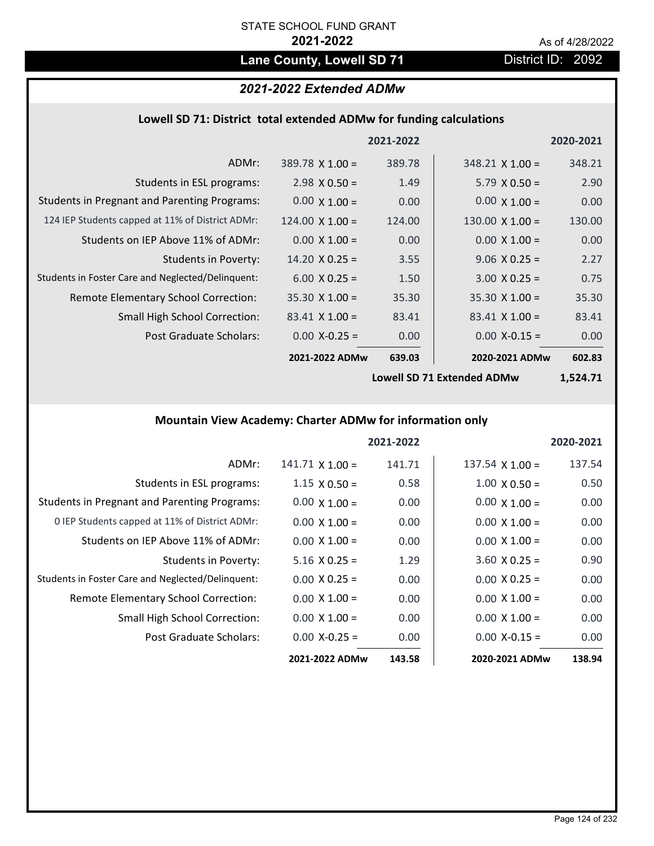# Lane County, Lowell SD 71 District ID: 2092

# *2021-2022 Extended ADMw*

## **Lowell SD 71: District total extended ADMw for funding calculations**

|                                                     |                        | 2021-2022 |                        | 2020-2021 |
|-----------------------------------------------------|------------------------|-----------|------------------------|-----------|
| ADMr:                                               | $389.78 \times 1.00 =$ | 389.78    | $348.21 \times 1.00 =$ | 348.21    |
| Students in ESL programs:                           | $2.98 \times 0.50 =$   | 1.49      | $5.79 \times 0.50 =$   | 2.90      |
| <b>Students in Pregnant and Parenting Programs:</b> | $0.00 \times 1.00 =$   | 0.00      | $0.00 \times 1.00 =$   | 0.00      |
| 124 IEP Students capped at 11% of District ADMr:    | $124.00 \times 1.00 =$ | 124.00    | $130.00 \times 1.00 =$ | 130.00    |
| Students on IEP Above 11% of ADMr:                  | $0.00 \times 1.00 =$   | 0.00      | $0.00 \times 1.00 =$   | 0.00      |
| <b>Students in Poverty:</b>                         | $14.20 \times 0.25 =$  | 3.55      | $9.06 \times 0.25 =$   | 2.27      |
| Students in Foster Care and Neglected/Delinquent:   | $6.00 \times 0.25 =$   | 1.50      | $3.00 \times 0.25 =$   | 0.75      |
| Remote Elementary School Correction:                | $35.30 \times 1.00 =$  | 35.30     | $35.30 \times 1.00 =$  | 35.30     |
| <b>Small High School Correction:</b>                | $83.41 \times 1.00 =$  | 83.41     | $83.41 \times 1.00 =$  | 83.41     |
| Post Graduate Scholars:                             | $0.00$ X-0.25 =        | 0.00      | $0.00$ X-0.15 =        | 0.00      |
|                                                     | 2021-2022 ADMw         | 639.03    | 2020-2021 ADMw         | 602.83    |

**Lowell SD 71 Extended ADMw**

**1,524.71**

# **Mountain View Academy: Charter ADMw for information only**

|                                                     |                        | 2021-2022 |                        | 2020-2021 |
|-----------------------------------------------------|------------------------|-----------|------------------------|-----------|
| ADMr:                                               | $141.71 \times 1.00 =$ | 141.71    | $137.54 \times 1.00 =$ | 137.54    |
| Students in ESL programs:                           | $1.15 \times 0.50 =$   | 0.58      | $1.00 \times 0.50 =$   | 0.50      |
| <b>Students in Pregnant and Parenting Programs:</b> | $0.00 \times 1.00 =$   | 0.00      | $0.00 \times 1.00 =$   | 0.00      |
| 0 IEP Students capped at 11% of District ADMr:      | $0.00 \times 1.00 =$   | 0.00      | $0.00 \times 1.00 =$   | 0.00      |
| Students on IEP Above 11% of ADMr:                  | $0.00 \times 1.00 =$   | 0.00      | $0.00 \times 1.00 =$   | 0.00      |
| Students in Poverty:                                | $5.16 \times 0.25 =$   | 1.29      | $3.60$ X 0.25 =        | 0.90      |
| Students in Foster Care and Neglected/Delinquent:   | $0.00 \times 0.25 =$   | 0.00      | $0.00 \times 0.25 =$   | 0.00      |
| Remote Elementary School Correction:                | $0.00 \times 1.00 =$   | 0.00      | $0.00 \times 1.00 =$   | 0.00      |
| <b>Small High School Correction:</b>                | $0.00 \times 1.00 =$   | 0.00      | $0.00 \times 1.00 =$   | 0.00      |
| Post Graduate Scholars:                             | $0.00 X - 0.25 =$      | 0.00      | $0.00 X-0.15 =$        | 0.00      |
|                                                     | 2021-2022 ADMw         | 143.58    | 2020-2021 ADMw         | 138.94    |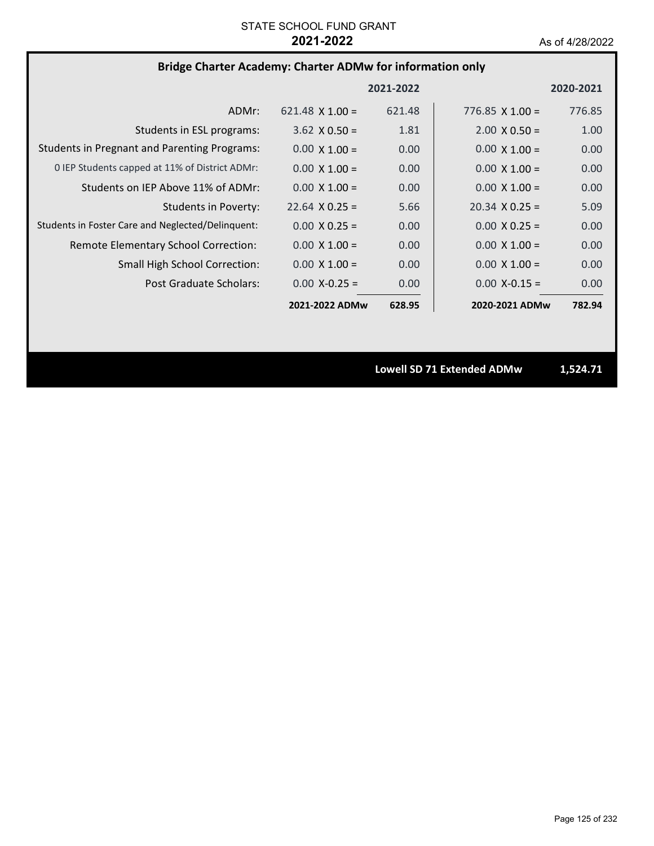# **Bridge Charter Academy: Charter ADMw for information only**

|                                                     |                        | 2021-2022 |                        | 2020-2021 |
|-----------------------------------------------------|------------------------|-----------|------------------------|-----------|
| ADMr:                                               | $621.48 \times 1.00 =$ | 621.48    | $776.85 \times 1.00 =$ | 776.85    |
| Students in ESL programs:                           | $3.62 \times 0.50 =$   | 1.81      | $2.00 \times 0.50 =$   | 1.00      |
| <b>Students in Pregnant and Parenting Programs:</b> | $0.00 \times 1.00 =$   | 0.00      | $0.00 \times 1.00 =$   | 0.00      |
| 0 IEP Students capped at 11% of District ADMr:      | $0.00 \times 1.00 =$   | 0.00      | $0.00 \times 1.00 =$   | 0.00      |
| Students on IEP Above 11% of ADMr:                  | $0.00 \times 1.00 =$   | 0.00      | $0.00 \times 1.00 =$   | 0.00      |
| Students in Poverty:                                | $22.64 \times 0.25 =$  | 5.66      | $20.34 \times 0.25 =$  | 5.09      |
| Students in Foster Care and Neglected/Delinquent:   | $0.00 \times 0.25 =$   | 0.00      | $0.00 \times 0.25 =$   | 0.00      |
| Remote Elementary School Correction:                | $0.00 \times 1.00 =$   | 0.00      | $0.00 \times 1.00 =$   | 0.00      |
| <b>Small High School Correction:</b>                | $0.00 \times 1.00 =$   | 0.00      | $0.00 \times 1.00 =$   | 0.00      |
| Post Graduate Scholars:                             | $0.00 X - 0.25 =$      | 0.00      | $0.00 X - 0.15 =$      | 0.00      |
|                                                     | 2021-2022 ADMw         | 628.95    | 2020-2021 ADMw         | 782.94    |

**Lowell SD 71 Extended ADMw 1,524.71**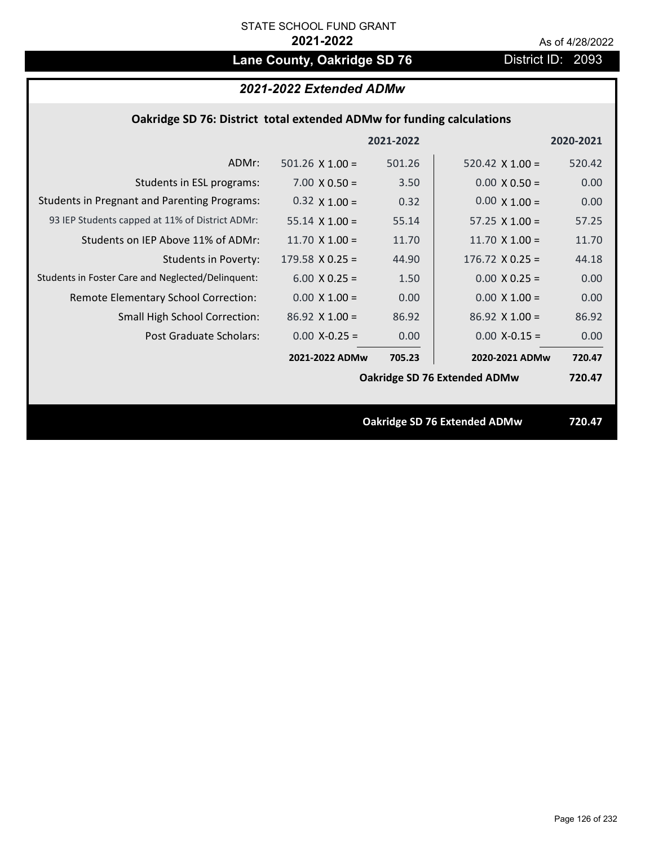# Lane County, Oakridge SD 76 **District ID: 2093**

# *2021-2022 Extended ADMw*

## **Oakridge SD 76: District total extended ADMw for funding calculations**

|                                                     |                        | 2021-2022 |                                     | 2020-2021 |
|-----------------------------------------------------|------------------------|-----------|-------------------------------------|-----------|
| ADMr:                                               | 501.26 $\times$ 1.00 = | 501.26    | 520.42 $\times$ 1.00 =              | 520.42    |
| Students in ESL programs:                           | $7.00 \times 0.50 =$   | 3.50      | $0.00 \times 0.50 =$                | 0.00      |
| <b>Students in Pregnant and Parenting Programs:</b> | $0.32 \times 1.00 =$   | 0.32      | $0.00 \times 1.00 =$                | 0.00      |
| 93 IEP Students capped at 11% of District ADMr:     | $55.14 \times 1.00 =$  | 55.14     | $57.25 \times 1.00 =$               | 57.25     |
| Students on IEP Above 11% of ADMr:                  | 11.70 $X$ 1.00 =       | 11.70     | 11.70 $X$ 1.00 =                    | 11.70     |
| Students in Poverty:                                | $179.58 \times 0.25 =$ | 44.90     | $176.72 \times 0.25 =$              | 44.18     |
| Students in Foster Care and Neglected/Delinquent:   | $6.00 \times 0.25 =$   | 1.50      | $0.00 \times 0.25 =$                | 0.00      |
| Remote Elementary School Correction:                | $0.00 \times 1.00 =$   | 0.00      | $0.00 \times 1.00 =$                | 0.00      |
| <b>Small High School Correction:</b>                | $86.92$ X 1.00 =       | 86.92     | $86.92 \times 1.00 =$               | 86.92     |
| Post Graduate Scholars:                             | $0.00$ X-0.25 =        | 0.00      | $0.00 X - 0.15 =$                   | 0.00      |
|                                                     | 2021-2022 ADMw         | 705.23    | 2020-2021 ADMw                      | 720.47    |
|                                                     |                        |           | Oakridge SD 76 Extended ADMw        | 720.47    |
|                                                     |                        |           |                                     |           |
|                                                     |                        |           | <b>Oakridge SD 76 Extended ADMw</b> | 720.47    |
|                                                     |                        |           |                                     |           |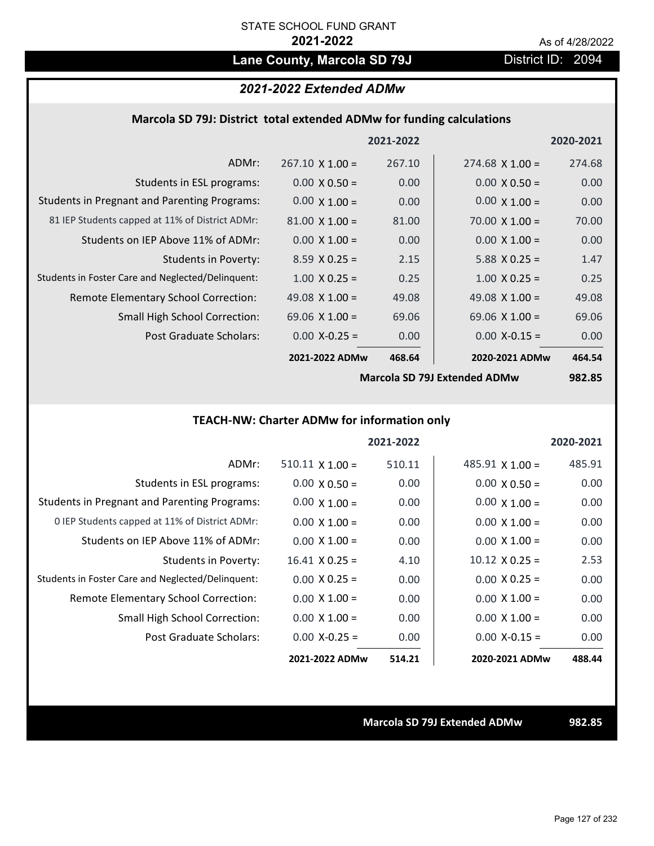# Lane County, Marcola SD 79J District ID: 2094

## *2021-2022 Extended ADMw*

### **Marcola SD 79J: District total extended ADMw for funding calculations**

|                                                     |                        | 2021-2022      |                        | 2020-2021                   |
|-----------------------------------------------------|------------------------|----------------|------------------------|-----------------------------|
| ADMr:                                               | $267.10 \times 1.00 =$ | 267.10         | $274.68 \times 1.00 =$ | 274.68                      |
| Students in ESL programs:                           | $0.00 \times 0.50 =$   | 0.00           | $0.00 \times 0.50 =$   | 0.00                        |
| <b>Students in Pregnant and Parenting Programs:</b> | $0.00 \times 1.00 =$   | 0.00           | $0.00 \times 1.00 =$   | 0.00                        |
| 81 IEP Students capped at 11% of District ADMr:     | $81.00 \times 1.00 =$  | 81.00          | $70.00 \times 1.00 =$  | 70.00                       |
| Students on IEP Above 11% of ADMr:                  | $0.00 \times 1.00 =$   | 0.00           | $0.00 \times 1.00 =$   | 0.00                        |
| <b>Students in Poverty:</b>                         | $8.59 \times 0.25 =$   | 2.15           | $5.88$ X 0.25 =        | 1.47                        |
| Students in Foster Care and Neglected/Delinquent:   | $1.00 \times 0.25 =$   | 0.25           | $1.00 \times 0.25 =$   | 0.25                        |
| Remote Elementary School Correction:                | 49.08 $\times$ 1.00 =  | 49.08          | 49.08 $\times$ 1.00 =  | 49.08                       |
| <b>Small High School Correction:</b>                | $69.06 \times 1.00 =$  | 69.06          | 69.06 $X$ 1.00 =       | 69.06                       |
| Post Graduate Scholars:                             | $0.00$ X-0.25 =        | 0.00           | $0.00$ X-0.15 =        | 0.00                        |
|                                                     | 2021-2022 ADMw         | 468.64         | 2020-2021 ADMw         | 464.54                      |
|                                                     |                        | $\blacksquare$ |                        | $\sim$ $\sim$ $\sim$ $\sim$ |

**Marcola SD 79J Extended ADMw**

**982.85**

# **TEACH‐NW: Charter ADMw for information only**

|                                                     |                        | 2021-2022 |                        | 2020-2021 |
|-----------------------------------------------------|------------------------|-----------|------------------------|-----------|
| ADMr:                                               | $510.11 \times 1.00 =$ | 510.11    | $485.91 \times 1.00 =$ | 485.91    |
| Students in ESL programs:                           | $0.00 \times 0.50 =$   | 0.00      | $0.00 \times 0.50 =$   | 0.00      |
| <b>Students in Pregnant and Parenting Programs:</b> | $0.00 \times 1.00 =$   | 0.00      | $0.00 \times 1.00 =$   | 0.00      |
| 0 IEP Students capped at 11% of District ADMr:      | $0.00 \times 1.00 =$   | 0.00      | $0.00 \times 1.00 =$   | 0.00      |
| Students on IEP Above 11% of ADMr:                  | $0.00 \times 1.00 =$   | 0.00      | $0.00 \times 1.00 =$   | 0.00      |
| Students in Poverty:                                | $16.41 \times 0.25 =$  | 4.10      | $10.12 \times 0.25 =$  | 2.53      |
| Students in Foster Care and Neglected/Delinquent:   | $0.00 \times 0.25 =$   | 0.00      | $0.00 \times 0.25 =$   | 0.00      |
| <b>Remote Elementary School Correction:</b>         | $0.00 \times 1.00 =$   | 0.00      | $0.00 \times 1.00 =$   | 0.00      |
| <b>Small High School Correction:</b>                | $0.00 \times 1.00 =$   | 0.00      | $0.00 \times 1.00 =$   | 0.00      |
| Post Graduate Scholars:                             | $0.00$ X-0.25 =        | 0.00      | $0.00 X-0.15 =$        | 0.00      |
|                                                     | 2021-2022 ADMw         | 514.21    | 2020-2021 ADMw         | 488.44    |

**Marcola SD 79J Extended ADMw 982.85**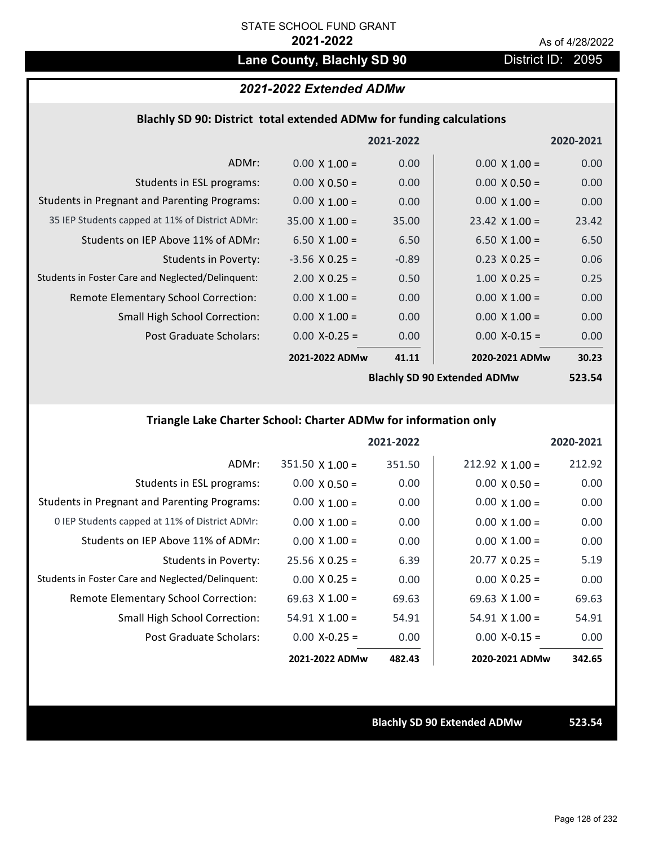# Lane County, Blachly SD 90 District ID: 2095

# *2021-2022 Extended ADMw*

### **Blachly SD 90: District total extended ADMw for funding calculations**

|                                                     |                       | 2021-2022 |                                    | 2020-2021 |
|-----------------------------------------------------|-----------------------|-----------|------------------------------------|-----------|
| ADMr:                                               | $0.00 \times 1.00 =$  | 0.00      | $0.00 \times 1.00 =$               | 0.00      |
| Students in ESL programs:                           | $0.00 \times 0.50 =$  | 0.00      | $0.00 \times 0.50 =$               | 0.00      |
| <b>Students in Pregnant and Parenting Programs:</b> | $0.00 \times 1.00 =$  | 0.00      | $0.00 \times 1.00 =$               | 0.00      |
| 35 IEP Students capped at 11% of District ADMr:     | $35.00 \times 1.00 =$ | 35.00     | $23.42 \times 1.00 =$              | 23.42     |
| Students on IEP Above 11% of ADMr:                  | 6.50 $X$ 1.00 =       | 6.50      | 6.50 $X$ 1.00 =                    | 6.50      |
| <b>Students in Poverty:</b>                         | $-3.56$ X 0.25 =      | $-0.89$   | $0.23$ X 0.25 =                    | 0.06      |
| Students in Foster Care and Neglected/Delinquent:   | $2.00 \times 0.25 =$  | 0.50      | $1.00 \times 0.25 =$               | 0.25      |
| Remote Elementary School Correction:                | $0.00 \times 1.00 =$  | 0.00      | $0.00 \times 1.00 =$               | 0.00      |
| <b>Small High School Correction:</b>                | $0.00 \times 1.00 =$  | 0.00      | $0.00 \times 1.00 =$               | 0.00      |
| Post Graduate Scholars:                             | $0.00$ X-0.25 =       | 0.00      | $0.00$ X-0.15 =                    | 0.00      |
|                                                     | 2021-2022 ADMw        | 41.11     | 2020-2021 ADMw                     | 30.23     |
|                                                     |                       |           | <b>Rlachly SD QD Extended ADMW</b> | 523 51    |

**Blachly SD 90 Extended ADMw**

**523.54**

# **Triangle Lake Charter School: Charter ADMw for information only**

|                                                     |                        | 2021-2022 |                       | 2020-2021 |
|-----------------------------------------------------|------------------------|-----------|-----------------------|-----------|
| ADMr:                                               | $351.50 \times 1.00 =$ | 351.50    | $212.92$ X 1.00 =     | 212.92    |
| Students in ESL programs:                           | $0.00 \times 0.50 =$   | 0.00      | $0.00 \times 0.50 =$  | 0.00      |
| <b>Students in Pregnant and Parenting Programs:</b> | $0.00 \times 1.00 =$   | 0.00      | $0.00 \times 1.00 =$  | 0.00      |
| 0 IEP Students capped at 11% of District ADMr:      | $0.00 \times 1.00 =$   | 0.00      | $0.00 \times 1.00 =$  | 0.00      |
| Students on IEP Above 11% of ADMr:                  | $0.00 \times 1.00 =$   | 0.00      | $0.00 \times 1.00 =$  | 0.00      |
| Students in Poverty:                                | $25.56 \times 0.25 =$  | 6.39      | $20.77 \times 0.25 =$ | 5.19      |
| Students in Foster Care and Neglected/Delinquent:   | $0.00 \times 0.25 =$   | 0.00      | $0.00 \times 0.25 =$  | 0.00      |
| Remote Elementary School Correction:                | 69.63 $\times$ 1.00 =  | 69.63     | $69.63 \times 1.00 =$ | 69.63     |
| <b>Small High School Correction:</b>                | $54.91$ X 1.00 =       | 54.91     | $54.91 \times 1.00 =$ | 54.91     |
| Post Graduate Scholars:                             | $0.00 X - 0.25 =$      | 0.00      | $0.00 X-0.15 =$       | 0.00      |
|                                                     | 2021-2022 ADMw         | 482.43    | 2020-2021 ADMw        | 342.65    |

**Blachly SD 90 Extended ADMw 523.54**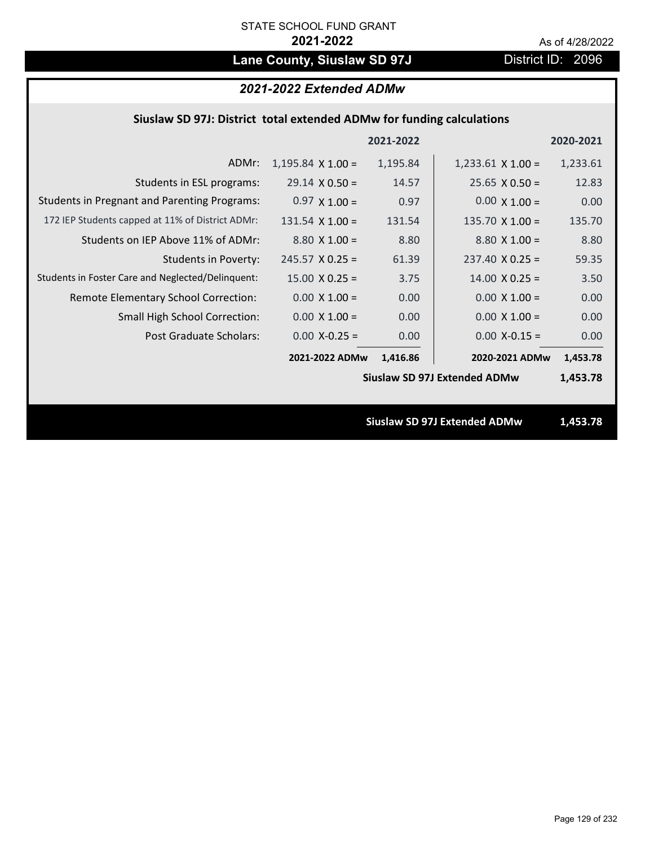# Lane County, Siuslaw SD 97J District ID: 2096

# *2021-2022 Extended ADMw*

## **Siuslaw SD 97J: District total extended ADMw for funding calculations**

|                                                     |                        | 2021-2022 |                                     | 2020-2021 |
|-----------------------------------------------------|------------------------|-----------|-------------------------------------|-----------|
| ADMr:                                               | $1,195.84$ X $1.00 =$  | 1,195.84  | $1,233.61$ X $1.00 =$               | 1,233.61  |
| Students in ESL programs:                           | $29.14 \times 0.50 =$  | 14.57     | $25.65 \times 0.50 =$               | 12.83     |
| <b>Students in Pregnant and Parenting Programs:</b> | $0.97 \times 1.00 =$   | 0.97      | $0.00 \times 1.00 =$                | 0.00      |
| 172 IEP Students capped at 11% of District ADMr:    | $131.54 \times 1.00 =$ | 131.54    | 135.70 $X$ 1.00 =                   | 135.70    |
| Students on IEP Above 11% of ADMr:                  | $8.80 \times 1.00 =$   | 8.80      | $8.80 X 1.00 =$                     | 8.80      |
| <b>Students in Poverty:</b>                         | $245.57 \times 0.25 =$ | 61.39     | $237.40 \times 0.25 =$              | 59.35     |
| Students in Foster Care and Neglected/Delinquent:   | $15.00 \times 0.25 =$  | 3.75      | $14.00 \times 0.25 =$               | 3.50      |
| Remote Elementary School Correction:                | $0.00 \times 1.00 =$   | 0.00      | $0.00 \times 1.00 =$                | 0.00      |
| <b>Small High School Correction:</b>                | $0.00 \times 1.00 =$   | 0.00      | $0.00 \times 1.00 =$                | 0.00      |
| Post Graduate Scholars:                             | $0.00$ X-0.25 =        | 0.00      | $0.00$ X-0.15 =                     | 0.00      |
|                                                     | 2021-2022 ADMw         | 1,416.86  | 2020-2021 ADMw                      | 1,453.78  |
|                                                     |                        |           | <b>Siuslaw SD 97J Extended ADMw</b> | 1,453.78  |
|                                                     |                        |           |                                     |           |
|                                                     |                        |           | <b>Siuslaw SD 97J Extended ADMw</b> | 1,453.78  |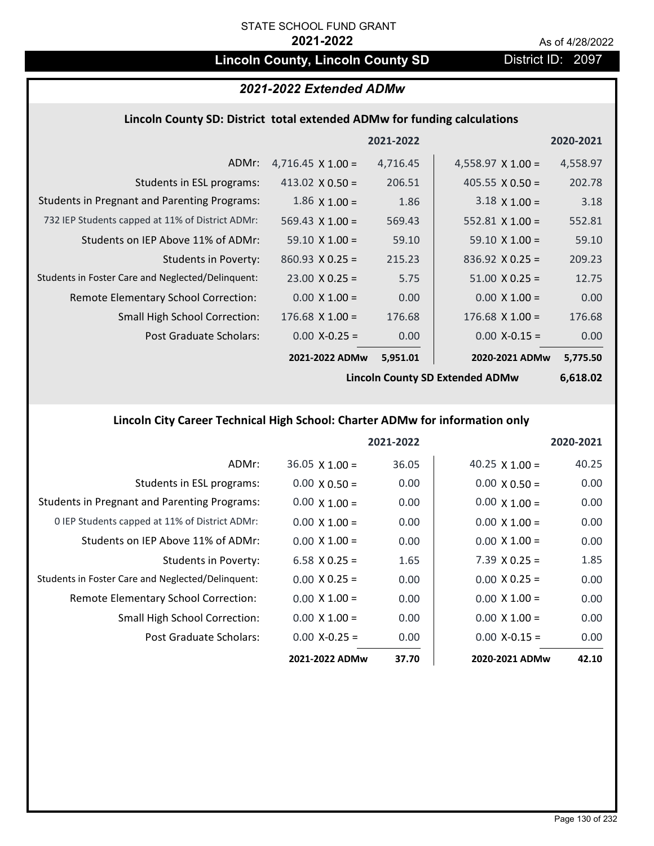# **Lincoln County, Lincoln County SD** District ID: 2097

## *2021-2022 Extended ADMw*

#### **Lincoln County SD: District total extended ADMw for funding calculations**

|                                                     |                          | 2021-2022 |                          | 2020-2021 |
|-----------------------------------------------------|--------------------------|-----------|--------------------------|-----------|
| ADMr:                                               | 4,716.45 $\times$ 1.00 = | 4,716.45  | 4,558.97 $\times$ 1.00 = | 4,558.97  |
| Students in ESL programs:                           | 413.02 $X$ 0.50 =        | 206.51    | 405.55 $\times$ 0.50 =   | 202.78    |
| <b>Students in Pregnant and Parenting Programs:</b> | $1.86 \times 1.00 =$     | 1.86      | $3.18 \times 1.00 =$     | 3.18      |
| 732 IEP Students capped at 11% of District ADMr:    | 569.43 $\times$ 1.00 =   | 569.43    | 552.81 $\times$ 1.00 =   | 552.81    |
| Students on IEP Above 11% of ADMr:                  | $59.10 \times 1.00 =$    | 59.10     | $59.10 \times 1.00 =$    | 59.10     |
| <b>Students in Poverty:</b>                         | $860.93 \times 0.25 =$   | 215.23    | $836.92 \times 0.25 =$   | 209.23    |
| Students in Foster Care and Neglected/Delinquent:   | $23.00 \times 0.25 =$    | 5.75      | $51.00 \times 0.25 =$    | 12.75     |
| Remote Elementary School Correction:                | $0.00 \times 1.00 =$     | 0.00      | $0.00 \times 1.00 =$     | 0.00      |
| <b>Small High School Correction:</b>                | $176.68$ X 1.00 =        | 176.68    | $176.68$ X $1.00 =$      | 176.68    |
| Post Graduate Scholars:                             | $0.00$ X-0.25 =          | 0.00      | $0.00$ X-0.15 =          | 0.00      |
|                                                     | 2021-2022 ADMw           | 5,951.01  | 2020-2021 ADMw           | 5,775.50  |

**Lincoln County SD Extended ADMw**

**6,618.02**

# **Lincoln City Career Technical High School: Charter ADMw for information only**

|                                                     |                       | 2021-2022 |                       | 2020-2021 |
|-----------------------------------------------------|-----------------------|-----------|-----------------------|-----------|
| ADMr:                                               | $36.05 \times 1.00 =$ | 36.05     | 40.25 $\times$ 1.00 = | 40.25     |
| Students in ESL programs:                           | $0.00 \times 0.50 =$  | 0.00      | $0.00 \times 0.50 =$  | 0.00      |
| <b>Students in Pregnant and Parenting Programs:</b> | $0.00 \times 1.00 =$  | 0.00      | $0.00 \times 1.00 =$  | 0.00      |
| 0 IEP Students capped at 11% of District ADMr:      | $0.00 \times 1.00 =$  | 0.00      | $0.00 \times 1.00 =$  | 0.00      |
| Students on IEP Above 11% of ADMr:                  | $0.00 \times 1.00 =$  | 0.00      | $0.00 \times 1.00 =$  | 0.00      |
| Students in Poverty:                                | 6.58 $X$ 0.25 =       | 1.65      | $7.39 \times 0.25 =$  | 1.85      |
| Students in Foster Care and Neglected/Delinquent:   | $0.00 \times 0.25 =$  | 0.00      | $0.00 \times 0.25 =$  | 0.00      |
| Remote Elementary School Correction:                | $0.00 \times 1.00 =$  | 0.00      | $0.00 \times 1.00 =$  | 0.00      |
| <b>Small High School Correction:</b>                | $0.00 \times 1.00 =$  | 0.00      | $0.00 \times 1.00 =$  | 0.00      |
| Post Graduate Scholars:                             | $0.00$ X-0.25 =       | 0.00      | $0.00 X - 0.15 =$     | 0.00      |
|                                                     | 2021-2022 ADMw        | 37.70     | 2020-2021 ADMw        | 42.10     |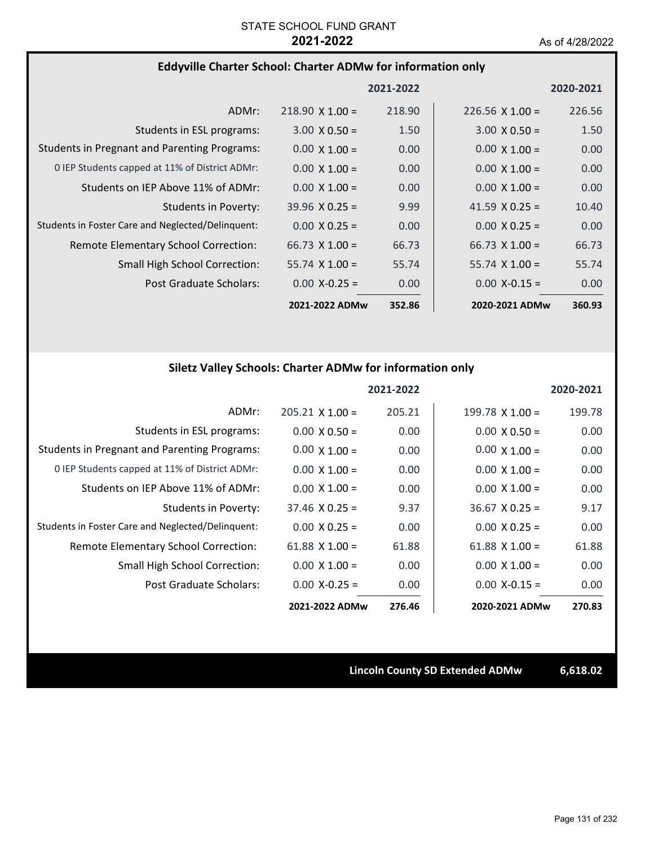### **Eddyville Charter School: Charter ADMw for information only**

|                                                     |                        | 2021-2022 |                        | 2020-2021 |
|-----------------------------------------------------|------------------------|-----------|------------------------|-----------|
| ADMr:                                               | $218.90 \times 1.00 =$ | 218.90    | $226.56 \times 1.00 =$ | 226.56    |
| Students in ESL programs:                           | $3.00 \times 0.50 =$   | 1.50      | $3.00 \times 0.50 =$   | 1.50      |
| <b>Students in Pregnant and Parenting Programs:</b> | $0.00 \times 1.00 =$   | 0.00      | $0.00 \times 1.00 =$   | 0.00      |
| 0 IEP Students capped at 11% of District ADMr:      | $0.00 \times 1.00 =$   | 0.00      | $0.00 \times 1.00 =$   | 0.00      |
| Students on IEP Above 11% of ADMr:                  | $0.00 \times 1.00 =$   | 0.00      | $0.00 \times 1.00 =$   | 0.00      |
| Students in Poverty:                                | $39.96 \times 0.25 =$  | 9.99      | 41.59 $\times$ 0.25 =  | 10.40     |
| Students in Foster Care and Neglected/Delinquent:   | $0.00 \times 0.25 =$   | 0.00      | $0.00 \times 0.25 =$   | 0.00      |
| Remote Elementary School Correction:                | $66.73 \times 1.00 =$  | 66.73     | $66.73 \times 1.00 =$  | 66.73     |
| <b>Small High School Correction:</b>                | $55.74 \times 1.00 =$  | 55.74     | $55.74 \times 1.00 =$  | 55.74     |
| Post Graduate Scholars:                             | $0.00$ X-0.25 =        | 0.00      | $0.00$ X-0.15 =        | 0.00      |
|                                                     | 2021-2022 ADMw         | 352.86    | 2020-2021 ADMw         | 360.93    |

# **Siletz Valley Schools: Charter ADMw for information only**

|                                                     |                        | 2021-2022 |                        | 2020-2021 |
|-----------------------------------------------------|------------------------|-----------|------------------------|-----------|
| ADMr:                                               | $205.21 \times 1.00 =$ | 205.21    | $199.78 \times 1.00 =$ | 199.78    |
| Students in ESL programs:                           | $0.00 \times 0.50 =$   | 0.00      | $0.00 \times 0.50 =$   | 0.00      |
| <b>Students in Pregnant and Parenting Programs:</b> | $0.00 \times 1.00 =$   | 0.00      | $0.00 \times 1.00 =$   | 0.00      |
| 0 IEP Students capped at 11% of District ADMr:      | $0.00 \times 1.00 =$   | 0.00      | $0.00 \times 1.00 =$   | 0.00      |
| Students on IEP Above 11% of ADMr:                  | $0.00 \times 1.00 =$   | 0.00      | $0.00 \times 1.00 =$   | 0.00      |
| Students in Poverty:                                | $37.46 \times 0.25 =$  | 9.37      | $36.67 \times 0.25 =$  | 9.17      |
| Students in Foster Care and Neglected/Delinquent:   | $0.00 \times 0.25 =$   | 0.00      | $0.00 \times 0.25 =$   | 0.00      |
| Remote Elementary School Correction:                | 61.88 $X$ 1.00 =       | 61.88     | 61.88 $X$ 1.00 =       | 61.88     |
| <b>Small High School Correction:</b>                | $0.00 \times 1.00 =$   | 0.00      | $0.00 \times 1.00 =$   | 0.00      |
| Post Graduate Scholars:                             | $0.00$ X-0.25 =        | 0.00      | $0.00 X - 0.15 =$      | 0.00      |
|                                                     | 2021-2022 ADMw         | 276.46    | 2020-2021 ADMw         | 270.83    |

**Lincoln County SD Extended ADMw 6,618.02**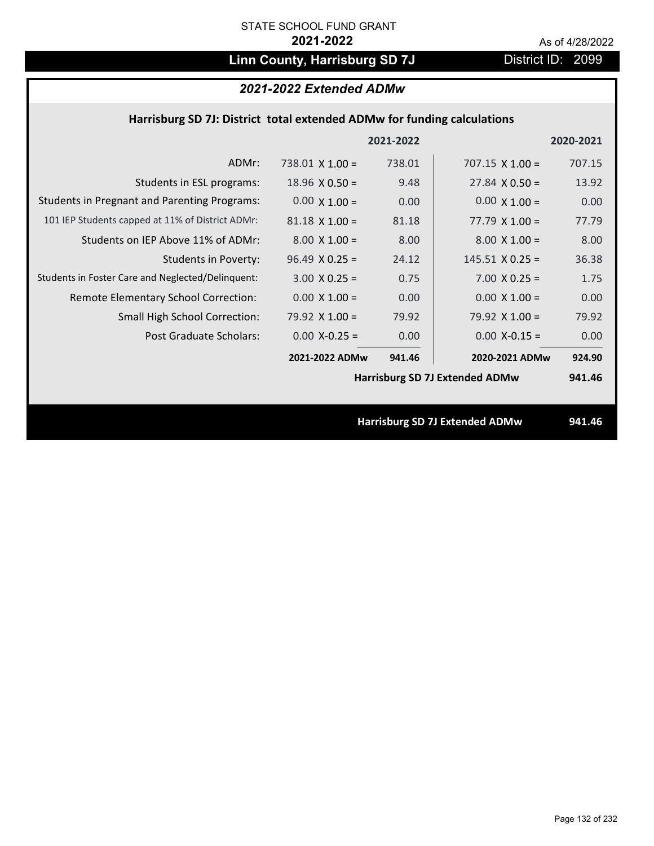# Linn County, Harrisburg SD 7J District ID: 2099

# *2021-2022 Extended ADMw*

## **Harrisburg SD 7J: District total extended ADMw for funding calculations**

|                                                     |                        | 2021-2022 |                                       | 2020-2021 |
|-----------------------------------------------------|------------------------|-----------|---------------------------------------|-----------|
| ADMr:                                               | $738.01 \times 1.00 =$ | 738.01    | $707.15 \times 1.00 =$                | 707.15    |
| Students in ESL programs:                           | $18.96 \times 0.50 =$  | 9.48      | $27.84 \times 0.50 =$                 | 13.92     |
| <b>Students in Pregnant and Parenting Programs:</b> | $0.00 \times 1.00 =$   | 0.00      | $0.00 \times 1.00 =$                  | 0.00      |
| 101 IEP Students capped at 11% of District ADMr:    | $81.18 \times 1.00 =$  | 81.18     | $77.79 \times 1.00 =$                 | 77.79     |
| Students on IEP Above 11% of ADMr:                  | $8.00 \times 1.00 =$   | 8.00      | $8.00 \times 1.00 =$                  | 8.00      |
| <b>Students in Poverty:</b>                         | $96.49 \times 0.25 =$  | 24.12     | $145.51 \times 0.25 =$                | 36.38     |
| Students in Foster Care and Neglected/Delinquent:   | $3.00 \times 0.25 =$   | 0.75      | $7.00 \times 0.25 =$                  | 1.75      |
| Remote Elementary School Correction:                | $0.00 \times 1.00 =$   | 0.00      | $0.00 \times 1.00 =$                  | 0.00      |
| <b>Small High School Correction:</b>                | 79.92 $X$ 1.00 =       | 79.92     | 79.92 $X$ 1.00 =                      | 79.92     |
| Post Graduate Scholars:                             | $0.00$ X-0.25 =        | 0.00      | $0.00$ X-0.15 =                       | 0.00      |
|                                                     | 2021-2022 ADMw         | 941.46    | 2020-2021 ADMw                        | 924.90    |
|                                                     |                        |           | <b>Harrisburg SD 7J Extended ADMw</b> | 941.46    |
|                                                     |                        |           |                                       |           |
|                                                     |                        |           | <b>Harrisburg SD 7J Extended ADMw</b> | 941.46    |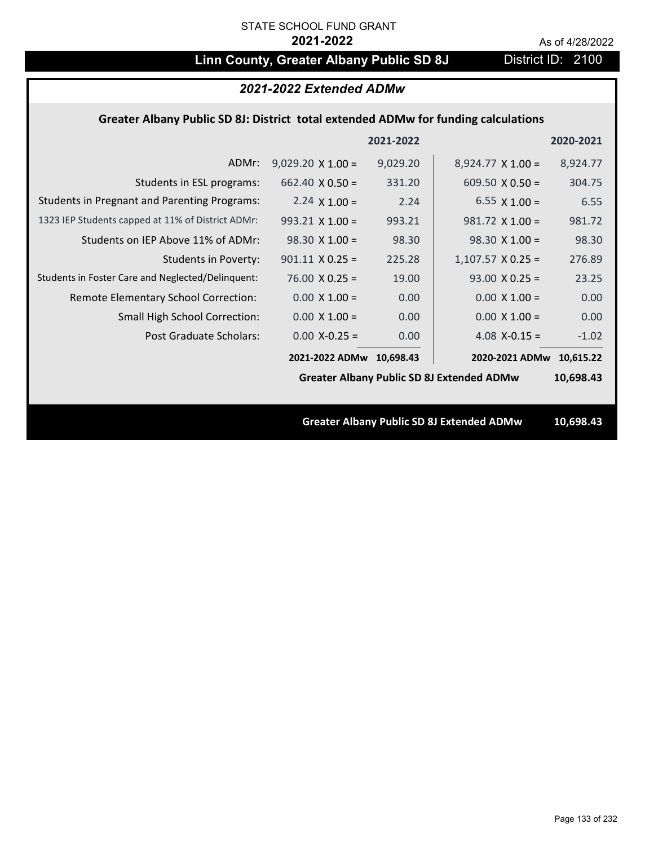# **Linn County, Greater Albany Public SD 8J** District ID: 2100

## *2021-2022 Extended ADMw*

## **Greater Albany Public SD 8J: District total extended ADMw for funding calculations**

|                                                     |                          | 2021-2022 |                                                  | 2020-2021 |
|-----------------------------------------------------|--------------------------|-----------|--------------------------------------------------|-----------|
| ADMr:                                               | $9,029.20 \times 1.00 =$ | 9,029.20  | $8,924.77 \times 1.00 =$                         | 8,924.77  |
| Students in ESL programs:                           | 662.40 $\times$ 0.50 =   | 331.20    | 609.50 $\times$ 0.50 =                           | 304.75    |
| <b>Students in Pregnant and Parenting Programs:</b> | 2.24 $\times$ 1.00 =     | 2.24      | 6.55 $\times$ 1.00 =                             | 6.55      |
| 1323 IEP Students capped at 11% of District ADMr:   | $993.21 \times 1.00 =$   | 993.21    | $981.72 \times 1.00 =$                           | 981.72    |
| Students on IEP Above 11% of ADMr:                  | $98.30 \times 1.00 =$    | 98.30     | $98.30 \times 1.00 =$                            | 98.30     |
| <b>Students in Poverty:</b>                         | $901.11 \times 0.25 =$   | 225.28    | $1,107.57$ X 0.25 =                              | 276.89    |
| Students in Foster Care and Neglected/Delinquent:   | $76.00 \times 0.25 =$    | 19.00     | $93.00 \times 0.25 =$                            | 23.25     |
| Remote Elementary School Correction:                | $0.00 \times 1.00 =$     | 0.00      | $0.00 \times 1.00 =$                             | 0.00      |
| <b>Small High School Correction:</b>                | $0.00 \times 1.00 =$     | 0.00      | $0.00 \times 1.00 =$                             | 0.00      |
| Post Graduate Scholars:                             | $0.00$ X-0.25 =          | 0.00      | 4.08 $X-0.15 =$                                  | $-1.02$   |
|                                                     | 2021-2022 ADMw 10,698.43 |           | 2020-2021 ADMw                                   | 10,615.22 |
|                                                     |                          |           | <b>Greater Albany Public SD 8J Extended ADMw</b> | 10,698.43 |
|                                                     |                          |           |                                                  |           |
|                                                     |                          |           | <b>Greater Albany Public SD 8J Extended ADMw</b> | 10,698.43 |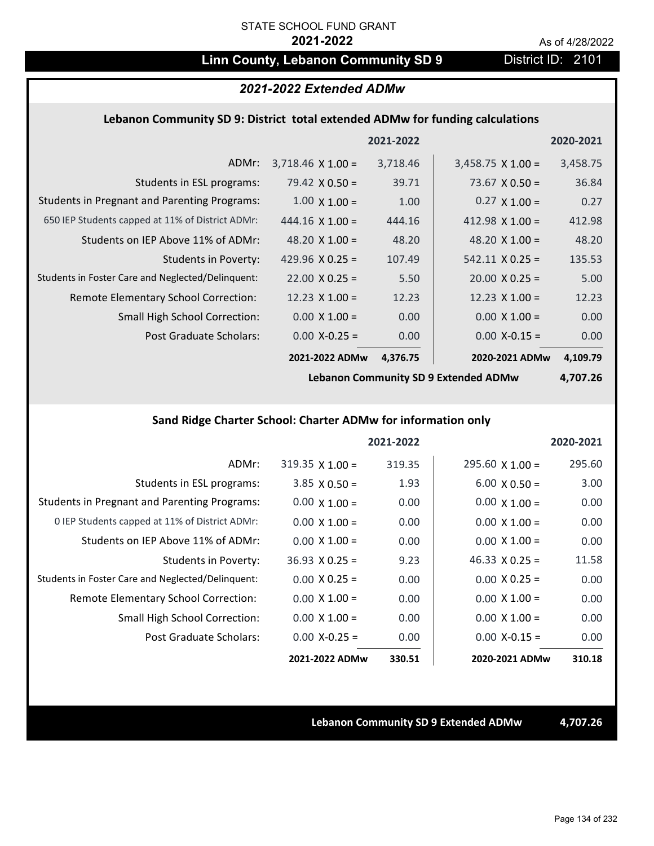# **Linn County, Lebanon Community SD 9** District ID: 2101

|           |                          |           | 2021-2022 Extended ADMw  |                                                                               |
|-----------|--------------------------|-----------|--------------------------|-------------------------------------------------------------------------------|
|           |                          |           |                          | Lebanon Community SD 9: District total extended ADMw for funding calculations |
| 2020-2021 |                          | 2021-2022 |                          |                                                                               |
| 3,458.75  | $3,458.75 \times 1.00 =$ | 3,718.46  | $3,718.46 \times 1.00 =$ | ADMr:                                                                         |
| 36.84     | $73.67 \times 0.50 =$    | 39.71     | 79.42 $\times$ 0.50 =    | Students in ESL programs:                                                     |
| 0.27      | $0.27 \times 1.00 =$     | 1.00      | $1.00 \times 1.00 =$     | <b>Students in Pregnant and Parenting Programs:</b>                           |
| 412.98    | 412.98 $\times$ 1.00 =   | 444.16    | $444.16 \times 1.00 =$   | 650 IEP Students capped at 11% of District ADMr:                              |
| 48.20     | 48.20 $X$ 1.00 =         | 48.20     | 48.20 $\times$ 1.00 =    | Students on IEP Above 11% of ADMr:                                            |
| 135.53    | $542.11 \times 0.25 =$   | 107.49    | 429.96 $X$ 0.25 =        | <b>Students in Poverty:</b>                                                   |
| 5.00      | $20.00 \times 0.25 =$    | 5.50      | $22.00 \times 0.25 =$    | Students in Foster Care and Neglected/Delinquent:                             |
| 12.23     | 12.23 $\times$ 1.00 =    | 12.23     | $12.23 \times 1.00 =$    | Remote Elementary School Correction:                                          |
| 0.00      | $0.00 \times 1.00 =$     | 0.00      | $0.00 \times 1.00 =$     | <b>Small High School Correction:</b>                                          |
| 0.00      | $0.00$ X-0.15 =          | 0.00      | $0.00$ X-0.25 =          | Post Graduate Scholars:                                                       |
| 4,109.79  | 2020-2021 ADMw           | 4,376.75  | 2021-2022 ADMw           |                                                                               |

**Lebanon Community SD 9 Extended ADMw**

**4,707.26**

# **Sand Ridge Charter School: Charter ADMw for information only**

|                                                     |                        | 2021-2022 |                        | 2020-2021 |
|-----------------------------------------------------|------------------------|-----------|------------------------|-----------|
| ADMr:                                               | $319.35 \times 1.00 =$ | 319.35    | $295.60 \times 1.00 =$ | 295.60    |
| Students in ESL programs:                           | $3.85 \times 0.50 =$   | 1.93      | $6.00 \times 0.50 =$   | 3.00      |
| <b>Students in Pregnant and Parenting Programs:</b> | $0.00 \times 1.00 =$   | 0.00      | $0.00 \times 1.00 =$   | 0.00      |
| 0 IEP Students capped at 11% of District ADMr:      | $0.00 \times 1.00 =$   | 0.00      | $0.00 \times 1.00 =$   | 0.00      |
| Students on IEP Above 11% of ADMr:                  | $0.00 \times 1.00 =$   | 0.00      | $0.00 \times 1.00 =$   | 0.00      |
| Students in Poverty:                                | $36.93 \times 0.25 =$  | 9.23      | $46.33 \times 0.25 =$  | 11.58     |
| Students in Foster Care and Neglected/Delinquent:   | $0.00 \times 0.25 =$   | 0.00      | $0.00 \times 0.25 =$   | 0.00      |
| Remote Elementary School Correction:                | $0.00 \times 1.00 =$   | 0.00      | $0.00 \times 1.00 =$   | 0.00      |
| <b>Small High School Correction:</b>                | $0.00 \times 1.00 =$   | 0.00      | $0.00 \times 1.00 =$   | 0.00      |
| Post Graduate Scholars:                             | $0.00$ X-0.25 =        | 0.00      | $0.00 X - 0.15 =$      | 0.00      |
|                                                     | 2021-2022 ADMw         | 330.51    | 2020-2021 ADMw         | 310.18    |

**Lebanon Community SD 9 Extended ADMw 4,707.26**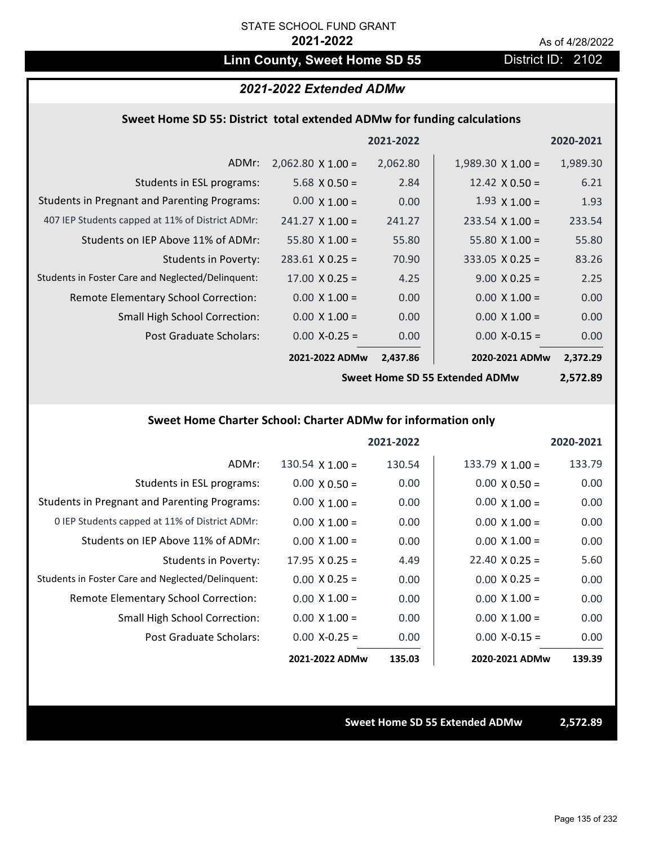# Linn County, Sweet Home SD 55 District ID: 2102

### *2021-2022 Extended ADMw*

### **Sweet Home SD 55: District total extended ADMw for funding calculations**

|                                                     |                          | 2021-2022 |                          | 2020-2021 |
|-----------------------------------------------------|--------------------------|-----------|--------------------------|-----------|
| ADMr:                                               | $2,062.80 \times 1.00 =$ | 2,062.80  | $1,989.30 \times 1.00 =$ | 1,989.30  |
| Students in ESL programs:                           | $5.68 \times 0.50 =$     | 2.84      | $12.42 \times 0.50 =$    | 6.21      |
| <b>Students in Pregnant and Parenting Programs:</b> | $0.00 \times 1.00 =$     | 0.00      | $1.93 \times 1.00 =$     | 1.93      |
| 407 IEP Students capped at 11% of District ADMr:    | $241.27 \times 1.00 =$   | 241.27    | $233.54 \times 1.00 =$   | 233.54    |
| Students on IEP Above 11% of ADMr:                  | $55.80 \times 1.00 =$    | 55.80     | 55.80 $X$ 1.00 =         | 55.80     |
| <b>Students in Poverty:</b>                         | $283.61$ X 0.25 =        | 70.90     | $333.05 \times 0.25 =$   | 83.26     |
| Students in Foster Care and Neglected/Delinquent:   | $17.00 \times 0.25 =$    | 4.25      | $9.00 \times 0.25 =$     | 2.25      |
| Remote Elementary School Correction:                | $0.00 \times 1.00 =$     | 0.00      | $0.00 \times 1.00 =$     | 0.00      |
| <b>Small High School Correction:</b>                | $0.00 \times 1.00 =$     | 0.00      | $0.00 \times 1.00 =$     | 0.00      |
| Post Graduate Scholars:                             | $0.00$ X-0.25 =          | 0.00      | $0.00$ X-0.15 =          | 0.00      |
|                                                     | 2021-2022 ADMw           | 2,437.86  | 2020-2021 ADMw           | 2,372.29  |

**Sweet Home SD 55 Extended ADMw**

**2,572.89**

#### **Sweet Home Charter School: Charter ADMw for information only**

|                                                     |                        | 2021-2022 |                        | 2020-2021 |
|-----------------------------------------------------|------------------------|-----------|------------------------|-----------|
| ADMr:                                               | $130.54 \times 1.00 =$ | 130.54    | $133.79 \times 1.00 =$ | 133.79    |
| Students in ESL programs:                           | $0.00 \times 0.50 =$   | 0.00      | $0.00 \times 0.50 =$   | 0.00      |
| <b>Students in Pregnant and Parenting Programs:</b> | $0.00 \times 1.00 =$   | 0.00      | $0.00 \times 1.00 =$   | 0.00      |
| 0 IEP Students capped at 11% of District ADMr:      | $0.00 \times 1.00 =$   | 0.00      | $0.00 \times 1.00 =$   | 0.00      |
| Students on IEP Above 11% of ADMr:                  | $0.00 \times 1.00 =$   | 0.00      | $0.00 \times 1.00 =$   | 0.00      |
| Students in Poverty:                                | $17.95 \times 0.25 =$  | 4.49      | $22.40 \times 0.25 =$  | 5.60      |
| Students in Foster Care and Neglected/Delinquent:   | $0.00 \times 0.25 =$   | 0.00      | $0.00 \times 0.25 =$   | 0.00      |
| Remote Elementary School Correction:                | $0.00 \times 1.00 =$   | 0.00      | $0.00 \times 1.00 =$   | 0.00      |
| <b>Small High School Correction:</b>                | $0.00 \times 1.00 =$   | 0.00      | $0.00 \times 1.00 =$   | 0.00      |
| Post Graduate Scholars:                             | $0.00$ X-0.25 =        | 0.00      | $0.00 X-0.15 =$        | 0.00      |
|                                                     | 2021-2022 ADMw         | 135.03    | 2020-2021 ADMw         | 139.39    |

**Sweet Home SD 55 Extended ADMw 2,572.89**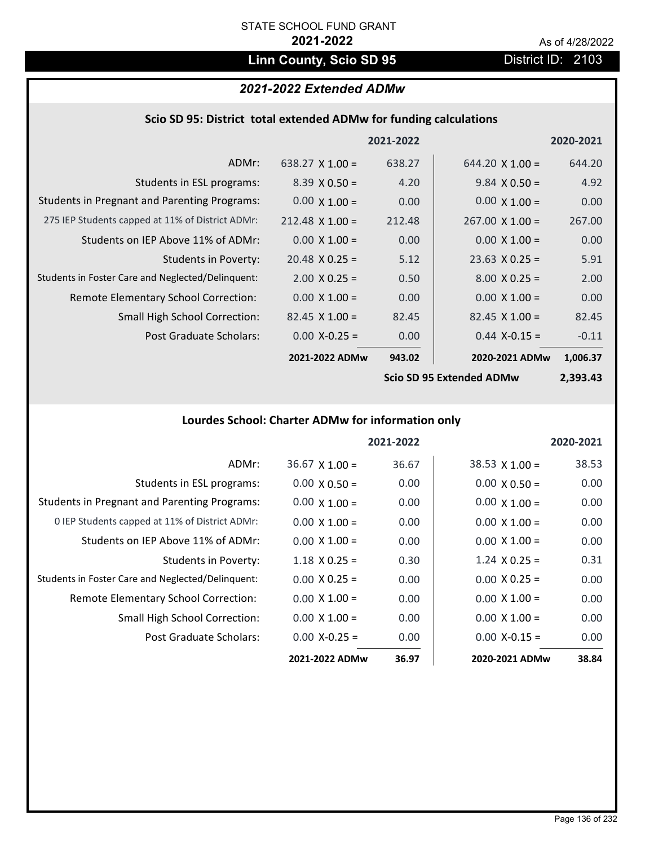# Linn County, Scio SD 95 **District ID: 2103**

# *2021-2022 Extended ADMw*

|  |  | Scio SD 95: District total extended ADMw for funding calculations |
|--|--|-------------------------------------------------------------------|
|--|--|-------------------------------------------------------------------|

|                                                     |                        | 2021-2022 |                         | 2020-2021 |
|-----------------------------------------------------|------------------------|-----------|-------------------------|-----------|
| ADMr:                                               | $638.27 \times 1.00 =$ | 638.27    | $644.20 \times 1.00 =$  | 644.20    |
| Students in ESL programs:                           | $8.39 \times 0.50 =$   | 4.20      | $9.84 \times 0.50 =$    | 4.92      |
| <b>Students in Pregnant and Parenting Programs:</b> | $0.00 \times 1.00 =$   | 0.00      | $0.00 \times 1.00 =$    | 0.00      |
| 275 IEP Students capped at 11% of District ADMr:    | $212.48 \times 1.00 =$ | 212.48    | $267.00 \times 1.00 =$  | 267.00    |
| Students on IEP Above 11% of ADMr:                  | $0.00 \times 1.00 =$   | 0.00      | $0.00 \times 1.00 =$    | 0.00      |
| <b>Students in Poverty:</b>                         | $20.48 \times 0.25 =$  | 5.12      | $23.63$ X 0.25 =        | 5.91      |
| Students in Foster Care and Neglected/Delinquent:   | $2.00 \times 0.25 =$   | 0.50      | $8.00 \times 0.25 =$    | 2.00      |
| Remote Elementary School Correction:                | $0.00 \times 1.00 =$   | 0.00      | $0.00 \times 1.00 =$    | 0.00      |
| <b>Small High School Correction:</b>                | $82.45 \times 1.00 =$  | 82.45     | $82.45$ X 1.00 =        | 82.45     |
| Post Graduate Scholars:                             | $0.00$ X-0.25 =        | 0.00      | $0.44$ X-0.15 =         | $-0.11$   |
|                                                     | 2021-2022 ADMw         | 943.02    | 2020-2021 ADMw          | 1,006.37  |
|                                                     |                        |           | Cain CD OF Futnaded ADM | רו רחר ר  |

**Scio SD 95 Extended ADMw**

**2,393.43**

# **Lourdes School: Charter ADMw for information only**

|                                                     |                      | 2021-2022 |                      | 2020-2021 |
|-----------------------------------------------------|----------------------|-----------|----------------------|-----------|
| ADMr:                                               | $36.67$ X 1.00 =     | 36.67     | $38.53$ X 1.00 =     | 38.53     |
| Students in ESL programs:                           | $0.00 \times 0.50 =$ | 0.00      | $0.00 \times 0.50 =$ | 0.00      |
| <b>Students in Pregnant and Parenting Programs:</b> | $0.00 \times 1.00 =$ | 0.00      | $0.00 \times 1.00 =$ | 0.00      |
| 0 IEP Students capped at 11% of District ADMr:      | $0.00 \times 1.00 =$ | 0.00      | $0.00 \times 1.00 =$ | 0.00      |
| Students on IEP Above 11% of ADMr:                  | $0.00 \times 1.00 =$ | 0.00      | $0.00 \times 1.00 =$ | 0.00      |
| Students in Poverty:                                | $1.18 \times 0.25 =$ | 0.30      | $1.24 \times 0.25 =$ | 0.31      |
| Students in Foster Care and Neglected/Delinquent:   | $0.00 \times 0.25 =$ | 0.00      | $0.00 \times 0.25 =$ | 0.00      |
| Remote Elementary School Correction:                | $0.00 \times 1.00 =$ | 0.00      | $0.00 \times 1.00 =$ | 0.00      |
| <b>Small High School Correction:</b>                | $0.00 \times 1.00 =$ | 0.00      | $0.00 \times 1.00 =$ | 0.00      |
| Post Graduate Scholars:                             | $0.00 X - 0.25 =$    | 0.00      | $0.00 X-0.15 =$      | 0.00      |
|                                                     | 2021-2022 ADMw       | 36.97     | 2020-2021 ADMw       | 38.84     |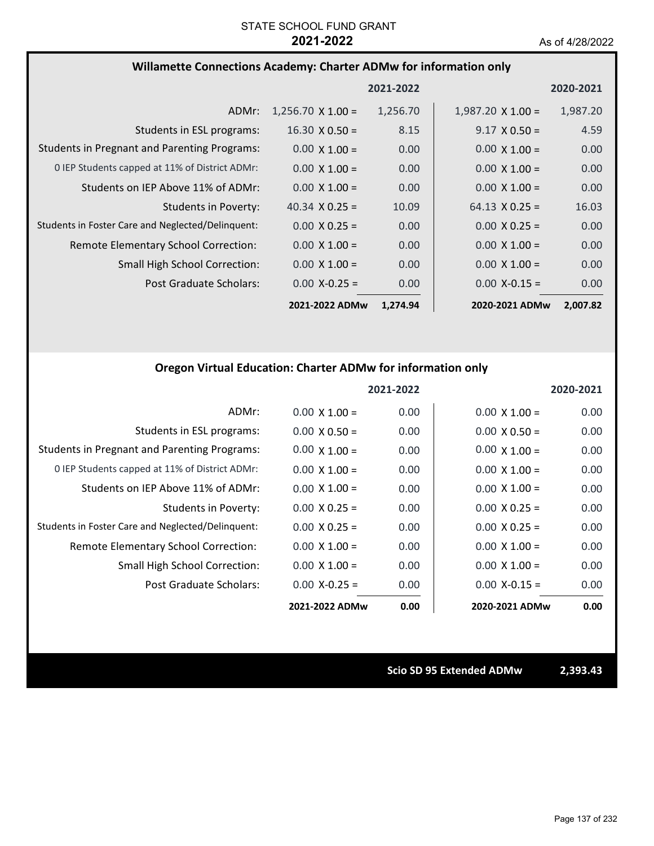### **Willamette Connections Academy: Charter ADMw for information only**

|                                                     |                          | 2021-2022 |                          | 2020-2021 |
|-----------------------------------------------------|--------------------------|-----------|--------------------------|-----------|
| ADMr:                                               | $1,256.70 \times 1.00 =$ | 1,256.70  | $1,987.20 \times 1.00 =$ | 1,987.20  |
| Students in ESL programs:                           | $16.30 \times 0.50 =$    | 8.15      | $9.17 \times 0.50 =$     | 4.59      |
| <b>Students in Pregnant and Parenting Programs:</b> | $0.00 \times 1.00 =$     | 0.00      | $0.00 \times 1.00 =$     | 0.00      |
| 0 IEP Students capped at 11% of District ADMr:      | $0.00 \times 1.00 =$     | 0.00      | $0.00 \times 1.00 =$     | 0.00      |
| Students on IEP Above 11% of ADMr:                  | $0.00 \times 1.00 =$     | 0.00      | $0.00 \times 1.00 =$     | 0.00      |
| <b>Students in Poverty:</b>                         | 40.34 $\times$ 0.25 =    | 10.09     | $64.13 \times 0.25 =$    | 16.03     |
| Students in Foster Care and Neglected/Delinquent:   | $0.00 \times 0.25 =$     | 0.00      | $0.00 \times 0.25 =$     | 0.00      |
| Remote Elementary School Correction:                | $0.00 \times 1.00 =$     | 0.00      | $0.00 \times 1.00 =$     | 0.00      |
| <b>Small High School Correction:</b>                | $0.00 \times 1.00 =$     | 0.00      | $0.00 \times 1.00 =$     | 0.00      |
| Post Graduate Scholars:                             | $0.00$ X-0.25 =          | 0.00      | $0.00$ X-0.15 =          | 0.00      |
|                                                     | 2021-2022 ADMw           | 1,274.94  | 2020-2021 ADMw           | 2,007.82  |

### **Oregon Virtual Education: Charter ADMw for information only**

|                                                     |                      | 2021-2022 |                      | 2020-2021 |
|-----------------------------------------------------|----------------------|-----------|----------------------|-----------|
| ADMr:                                               | $0.00 \times 1.00 =$ | 0.00      | $0.00 \times 1.00 =$ | 0.00      |
| Students in ESL programs:                           | $0.00 \times 0.50 =$ | 0.00      | $0.00 \times 0.50 =$ | 0.00      |
| <b>Students in Pregnant and Parenting Programs:</b> | $0.00 \times 1.00 =$ | 0.00      | $0.00 \times 1.00 =$ | 0.00      |
| 0 IEP Students capped at 11% of District ADMr:      | $0.00 \times 1.00 =$ | 0.00      | $0.00 \times 1.00 =$ | 0.00      |
| Students on IEP Above 11% of ADMr:                  | $0.00 \times 1.00 =$ | 0.00      | $0.00 \times 1.00 =$ | 0.00      |
| Students in Poverty:                                | $0.00 \times 0.25 =$ | 0.00      | $0.00 \times 0.25 =$ | 0.00      |
| Students in Foster Care and Neglected/Delinquent:   | $0.00 \times 0.25 =$ | 0.00      | $0.00 \times 0.25 =$ | 0.00      |
| Remote Elementary School Correction:                | $0.00 \times 1.00 =$ | 0.00      | $0.00 \times 1.00 =$ | 0.00      |
| <b>Small High School Correction:</b>                | $0.00 \times 1.00 =$ | 0.00      | $0.00 \times 1.00 =$ | 0.00      |
| Post Graduate Scholars:                             | $0.00$ X-0.25 =      | 0.00      | $0.00 X - 0.15 =$    | 0.00      |
|                                                     | 2021-2022 ADMw       | 0.00      | 2020-2021 ADMw       | 0.00      |

**Scio SD 95 Extended ADMw 2,393.43**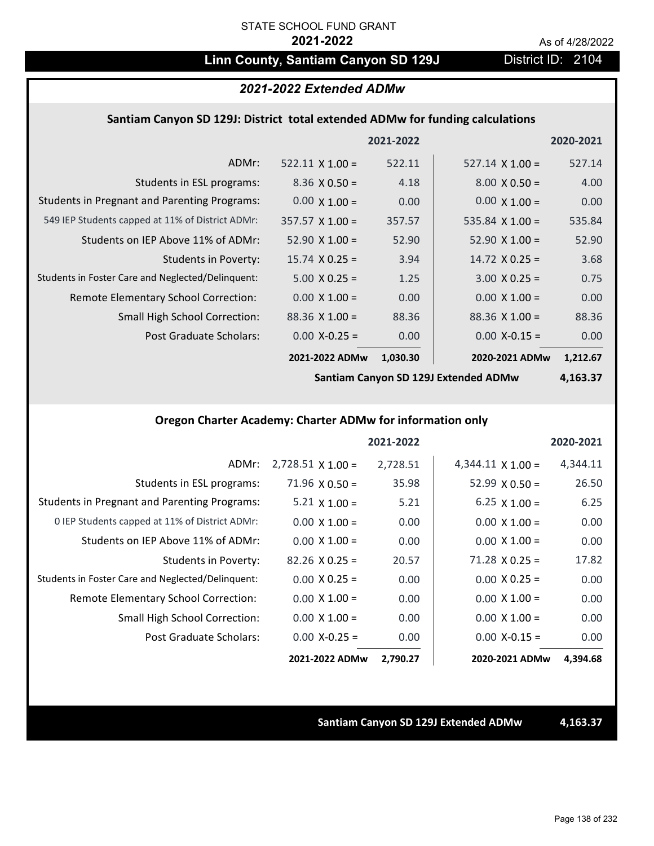# Linn County, Santiam Canyon SD 129J District ID: 2104

### *2021-2022 Extended ADMw*

### **Santiam Canyon SD 129J: District total extended ADMw for funding calculations**

|                                                     |                        | 2021-2022 |                        | 2020-2021 |
|-----------------------------------------------------|------------------------|-----------|------------------------|-----------|
| ADMr:                                               | $522.11 \times 1.00 =$ | 522.11    | $527.14 \times 1.00 =$ | 527.14    |
| Students in ESL programs:                           | $8.36 \times 0.50 =$   | 4.18      | $8.00 \times 0.50 =$   | 4.00      |
| <b>Students in Pregnant and Parenting Programs:</b> | $0.00 \times 1.00 =$   | 0.00      | $0.00 \times 1.00 =$   | 0.00      |
| 549 IEP Students capped at 11% of District ADMr:    | $357.57 \times 1.00 =$ | 357.57    | 535.84 $\times$ 1.00 = | 535.84    |
| Students on IEP Above 11% of ADMr:                  | $52.90 \times 1.00 =$  | 52.90     | $52.90 \times 1.00 =$  | 52.90     |
| <b>Students in Poverty:</b>                         | $15.74 \times 0.25 =$  | 3.94      | $14.72 \times 0.25 =$  | 3.68      |
| Students in Foster Care and Neglected/Delinquent:   | $5.00 \times 0.25 =$   | 1.25      | $3.00 \times 0.25 =$   | 0.75      |
| Remote Elementary School Correction:                | $0.00 \times 1.00 =$   | 0.00      | $0.00 \times 1.00 =$   | 0.00      |
| <b>Small High School Correction:</b>                | $88.36 \times 1.00 =$  | 88.36     | $88.36 \times 1.00 =$  | 88.36     |
| Post Graduate Scholars:                             | $0.00 X - 0.25 =$      | 0.00      | $0.00$ X-0.15 =        | 0.00      |
|                                                     | 2021-2022 ADMw         | 1,030.30  | 2020-2021 ADMw         | 1,212.67  |

**Santiam Canyon SD 129J Extended ADMw**

# **4,163.37**

## **Oregon Charter Academy: Charter ADMw for information only**

|                                                     |                          | 2021-2022 |                          | 2020-2021 |
|-----------------------------------------------------|--------------------------|-----------|--------------------------|-----------|
| ADMr:                                               | $2,728.51 \times 1.00 =$ | 2,728.51  | $4,344.11 \times 1.00 =$ | 4,344.11  |
| Students in ESL programs:                           | $71.96 \times 0.50 =$    | 35.98     | $52.99 \times 0.50 =$    | 26.50     |
| <b>Students in Pregnant and Parenting Programs:</b> | 5.21 $\times$ 1.00 =     | 5.21      | 6.25 $\times$ 1.00 =     | 6.25      |
| 0 IEP Students capped at 11% of District ADMr:      | $0.00 \times 1.00 =$     | 0.00      | $0.00 \times 1.00 =$     | 0.00      |
| Students on IEP Above 11% of ADMr:                  | $0.00 \times 1.00 =$     | 0.00      | $0.00 \times 1.00 =$     | 0.00      |
| Students in Poverty:                                | $82.26 \times 0.25 =$    | 20.57     | $71.28 \times 0.25 =$    | 17.82     |
| Students in Foster Care and Neglected/Delinquent:   | $0.00 \times 0.25 =$     | 0.00      | $0.00 \times 0.25 =$     | 0.00      |
| Remote Elementary School Correction:                | $0.00 \times 1.00 =$     | 0.00      | $0.00 \times 1.00 =$     | 0.00      |
| <b>Small High School Correction:</b>                | $0.00 \times 1.00 =$     | 0.00      | $0.00 X 1.00 =$          | 0.00      |
| Post Graduate Scholars:                             | $0.00$ X-0.25 =          | 0.00      | $0.00$ X-0.15 =          | 0.00      |
|                                                     | 2021-2022 ADMw           | 2,790.27  | 2020-2021 ADMw           | 4,394.68  |

#### **Santiam Canyon SD 129J Extended ADMw 4,163.37**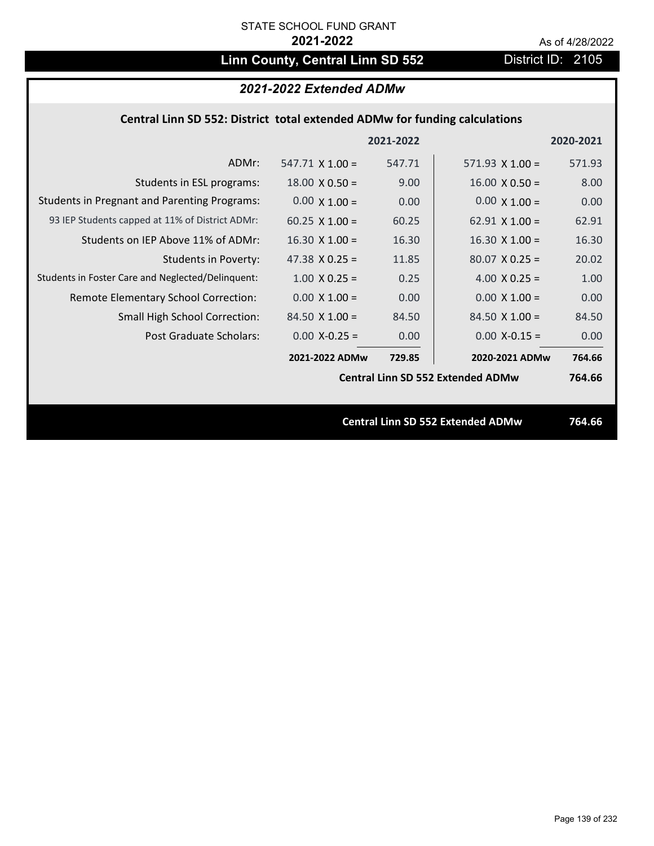# Linn County, Central Linn SD 552 District ID: 2105

# *2021-2022 Extended ADMw*

## **Central Linn SD 552: District total extended ADMw for funding calculations**

|                                                     |                        | 2021-2022 |                                          | 2020-2021 |
|-----------------------------------------------------|------------------------|-----------|------------------------------------------|-----------|
| ADMr:                                               | $547.71 \times 1.00 =$ | 547.71    | $571.93 \times 1.00 =$                   | 571.93    |
| Students in ESL programs:                           | $18.00 \times 0.50 =$  | 9.00      | $16.00 \times 0.50 =$                    | 8.00      |
| <b>Students in Pregnant and Parenting Programs:</b> | $0.00 \times 1.00 =$   | 0.00      | $0.00 \times 1.00 =$                     | 0.00      |
| 93 IEP Students capped at 11% of District ADMr:     | $60.25 \times 1.00 =$  | 60.25     | 62.91 $\times$ 1.00 =                    | 62.91     |
| Students on IEP Above 11% of ADMr:                  | $16.30 \times 1.00 =$  | 16.30     | $16.30 \times 1.00 =$                    | 16.30     |
| <b>Students in Poverty:</b>                         | 47.38 $X$ 0.25 =       | 11.85     | $80.07$ X 0.25 =                         | 20.02     |
| Students in Foster Care and Neglected/Delinquent:   | $1.00 \times 0.25 =$   | 0.25      | 4.00 $X$ 0.25 =                          | 1.00      |
| Remote Elementary School Correction:                | $0.00 \times 1.00 =$   | 0.00      | $0.00 \times 1.00 =$                     | 0.00      |
| <b>Small High School Correction:</b>                | $84.50 \times 1.00 =$  | 84.50     | $84.50 \times 1.00 =$                    | 84.50     |
| Post Graduate Scholars:                             | $0.00$ X-0.25 =        | 0.00      | $0.00$ X-0.15 =                          | 0.00      |
|                                                     | 2021-2022 ADMw         | 729.85    | 2020-2021 ADMw                           | 764.66    |
|                                                     |                        |           | <b>Central Linn SD 552 Extended ADMw</b> | 764.66    |
|                                                     |                        |           |                                          |           |
|                                                     |                        |           | <b>Central Linn SD 552 Extended ADMw</b> | 764.66    |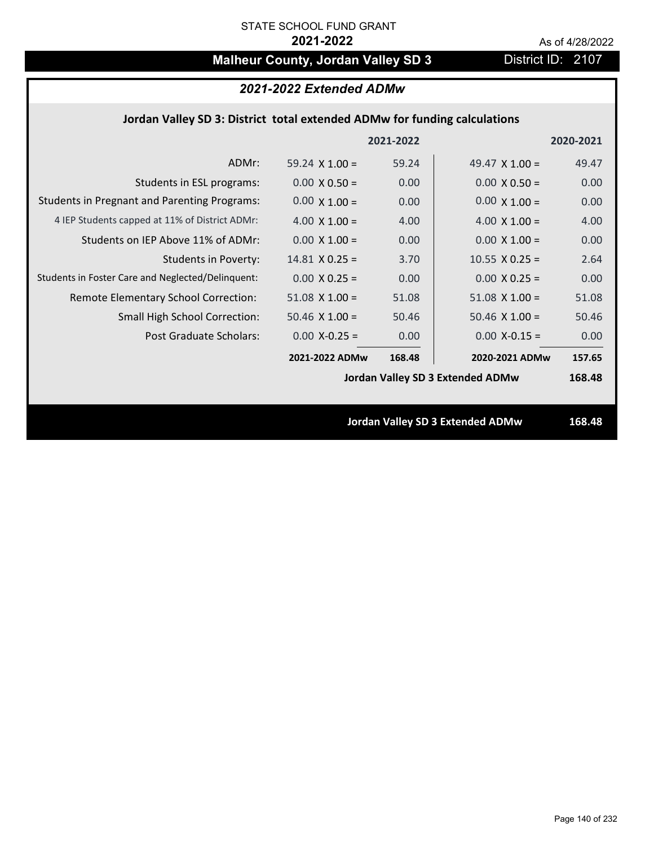# **Malheur County, Jordan Valley SD 3** District ID: 2107

# *2021-2022 Extended ADMw*

## **Jordan Valley SD 3: District total extended ADMw for funding calculations**

|                                                     |                       | 2021-2022 |                                         | 2020-2021 |
|-----------------------------------------------------|-----------------------|-----------|-----------------------------------------|-----------|
| ADMr:                                               | 59.24 $\times$ 1.00 = | 59.24     | 49.47 $\times$ 1.00 =                   | 49.47     |
| Students in ESL programs:                           | $0.00 \times 0.50 =$  | 0.00      | $0.00 \times 0.50 =$                    | 0.00      |
| <b>Students in Pregnant and Parenting Programs:</b> | $0.00 \times 1.00 =$  | 0.00      | $0.00 \times 1.00 =$                    | 0.00      |
| 4 IEP Students capped at 11% of District ADMr:      | 4.00 $\times$ 1.00 =  | 4.00      | 4.00 $\times$ 1.00 =                    | 4.00      |
| Students on IEP Above 11% of ADMr:                  | $0.00 \times 1.00 =$  | 0.00      | $0.00 \times 1.00 =$                    | 0.00      |
| <b>Students in Poverty:</b>                         | $14.81$ X 0.25 =      | 3.70      | $10.55$ X 0.25 =                        | 2.64      |
| Students in Foster Care and Neglected/Delinquent:   | $0.00 \times 0.25 =$  | 0.00      | $0.00 \times 0.25 =$                    | 0.00      |
| Remote Elementary School Correction:                | $51.08$ X $1.00 =$    | 51.08     | $51.08 \times 1.00 =$                   | 51.08     |
| <b>Small High School Correction:</b>                | $50.46$ X $1.00 =$    | 50.46     | $50.46$ X $1.00 =$                      | 50.46     |
| Post Graduate Scholars:                             | $0.00$ X-0.25 =       | 0.00      | $0.00$ X-0.15 =                         | 0.00      |
|                                                     | 2021-2022 ADMw        | 168.48    | 2020-2021 ADMw                          | 157.65    |
|                                                     |                       |           | <b>Jordan Valley SD 3 Extended ADMw</b> | 168.48    |
|                                                     |                       |           |                                         |           |
|                                                     |                       |           | <b>Jordan Valley SD 3 Extended ADMw</b> | 168.48    |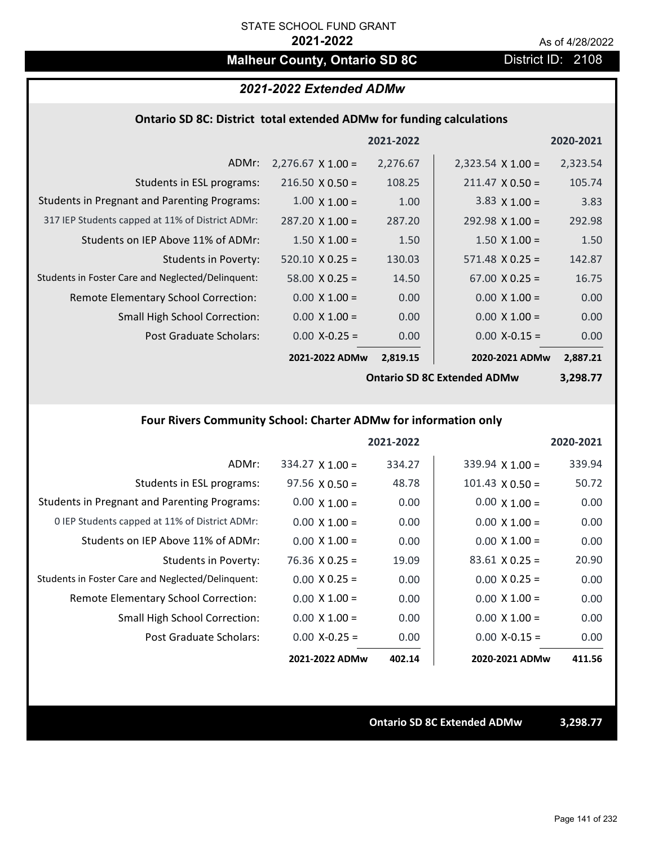# **Malheur County, Ontario SD 8C** District ID: 2108

### *2021-2022 Extended ADMw*

### **Ontario SD 8C: District total extended ADMw for funding calculations**

|                                                     |                          | 2021-2022 |                          | 2020-2021 |
|-----------------------------------------------------|--------------------------|-----------|--------------------------|-----------|
| ADMr:                                               | $2,276.67 \times 1.00 =$ | 2,276.67  | $2,323.54 \times 1.00 =$ | 2,323.54  |
| Students in ESL programs:                           | $216.50 \times 0.50 =$   | 108.25    | $211.47 \times 0.50 =$   | 105.74    |
| <b>Students in Pregnant and Parenting Programs:</b> | $1.00 \times 1.00 =$     | 1.00      | 3.83 $\times$ 1.00 =     | 3.83      |
| 317 IEP Students capped at 11% of District ADMr:    | $287.20 \times 1.00 =$   | 287.20    | $292.98 \times 1.00 =$   | 292.98    |
| Students on IEP Above 11% of ADMr:                  | $1.50 \times 1.00 =$     | 1.50      | $1.50 \times 1.00 =$     | 1.50      |
| <b>Students in Poverty:</b>                         | $520.10 \times 0.25 =$   | 130.03    | $571.48 \times 0.25 =$   | 142.87    |
| Students in Foster Care and Neglected/Delinquent:   | $58.00 \times 0.25 =$    | 14.50     | $67.00 \times 0.25 =$    | 16.75     |
| Remote Elementary School Correction:                | $0.00 \times 1.00 =$     | 0.00      | $0.00 \times 1.00 =$     | 0.00      |
| <b>Small High School Correction:</b>                | $0.00 \times 1.00 =$     | 0.00      | $0.00 \times 1.00 =$     | 0.00      |
| Post Graduate Scholars:                             | $0.00$ X-0.25 =          | 0.00      | $0.00$ X-0.15 =          | 0.00      |
|                                                     | 2021-2022 ADMw           | 2,819.15  | 2020-2021 ADMw           | 2,887.21  |

**Ontario SD 8C Extended ADMw**

**3,298.77**

# **Four Rivers Community School: Charter ADMw for information only**

|                                                     |                        | 2021-2022 |                        | 2020-2021 |
|-----------------------------------------------------|------------------------|-----------|------------------------|-----------|
| ADMr:                                               | $334.27 \times 1.00 =$ | 334.27    | $339.94 \times 1.00 =$ | 339.94    |
| Students in ESL programs:                           | $97.56 \times 0.50 =$  | 48.78     | $101.43 \times 0.50 =$ | 50.72     |
| <b>Students in Pregnant and Parenting Programs:</b> | $0.00 \times 1.00 =$   | 0.00      | $0.00 \times 1.00 =$   | 0.00      |
| 0 IEP Students capped at 11% of District ADMr:      | $0.00 \times 1.00 =$   | 0.00      | $0.00 \times 1.00 =$   | 0.00      |
| Students on IEP Above 11% of ADMr:                  | $0.00 \times 1.00 =$   | 0.00      | $0.00 \times 1.00 =$   | 0.00      |
| Students in Poverty:                                | $76.36 \times 0.25 =$  | 19.09     | $83.61 \times 0.25 =$  | 20.90     |
| Students in Foster Care and Neglected/Delinquent:   | $0.00 \times 0.25 =$   | 0.00      | $0.00 \times 0.25 =$   | 0.00      |
| Remote Elementary School Correction:                | $0.00 \times 1.00 =$   | 0.00      | $0.00 \times 1.00 =$   | 0.00      |
| <b>Small High School Correction:</b>                | $0.00 \times 1.00 =$   | 0.00      | $0.00 \times 1.00 =$   | 0.00      |
| Post Graduate Scholars:                             | $0.00$ X-0.25 =        | 0.00      | $0.00 X-0.15 =$        | 0.00      |
|                                                     | 2021-2022 ADMw         | 402.14    | 2020-2021 ADMw         | 411.56    |

**Ontario SD 8C Extended ADMw 3,298.77**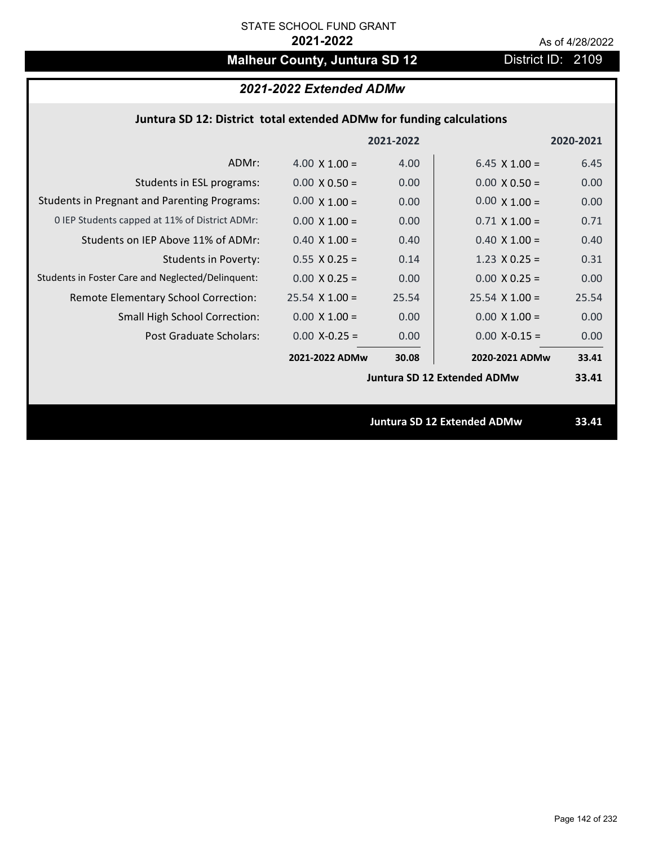# **Malheur County, Juntura SD 12** District ID: 2109

# *2021-2022 Extended ADMw*

## **Juntura SD 12: District total extended ADMw for funding calculations**

|                                                     |                       | 2021-2022 |                                    | 2020-2021 |
|-----------------------------------------------------|-----------------------|-----------|------------------------------------|-----------|
| ADMr:                                               | 4.00 $\times$ 1.00 =  | 4.00      | 6.45 $\times$ 1.00 =               | 6.45      |
| Students in ESL programs:                           | $0.00 \times 0.50 =$  | 0.00      | $0.00 \times 0.50 =$               | 0.00      |
| <b>Students in Pregnant and Parenting Programs:</b> | $0.00 \times 1.00 =$  | 0.00      | $0.00 \times 1.00 =$               | 0.00      |
| 0 IEP Students capped at 11% of District ADMr:      | $0.00 \times 1.00 =$  | 0.00      | $0.71 \times 1.00 =$               | 0.71      |
| Students on IEP Above 11% of ADMr:                  | $0.40 \times 1.00 =$  | 0.40      | $0.40$ X $1.00 =$                  | 0.40      |
| <b>Students in Poverty:</b>                         | $0.55 \times 0.25 =$  | 0.14      | $1.23 \times 0.25 =$               | 0.31      |
| Students in Foster Care and Neglected/Delinquent:   | $0.00 \times 0.25 =$  | 0.00      | $0.00 X 0.25 =$                    | 0.00      |
| Remote Elementary School Correction:                | $25.54 \times 1.00 =$ | 25.54     | $25.54 \times 1.00 =$              | 25.54     |
| <b>Small High School Correction:</b>                | $0.00 \times 1.00 =$  | 0.00      | $0.00 \times 1.00 =$               | 0.00      |
| Post Graduate Scholars:                             | $0.00$ X-0.25 =       | 0.00      | $0.00$ X-0.15 =                    | 0.00      |
|                                                     | 2021-2022 ADMw        | 30.08     | 2020-2021 ADMw                     | 33.41     |
|                                                     |                       |           | <b>Juntura SD 12 Extended ADMw</b> | 33.41     |
|                                                     |                       |           |                                    |           |
|                                                     |                       |           | <b>Juntura SD 12 Extended ADMw</b> | 33.41     |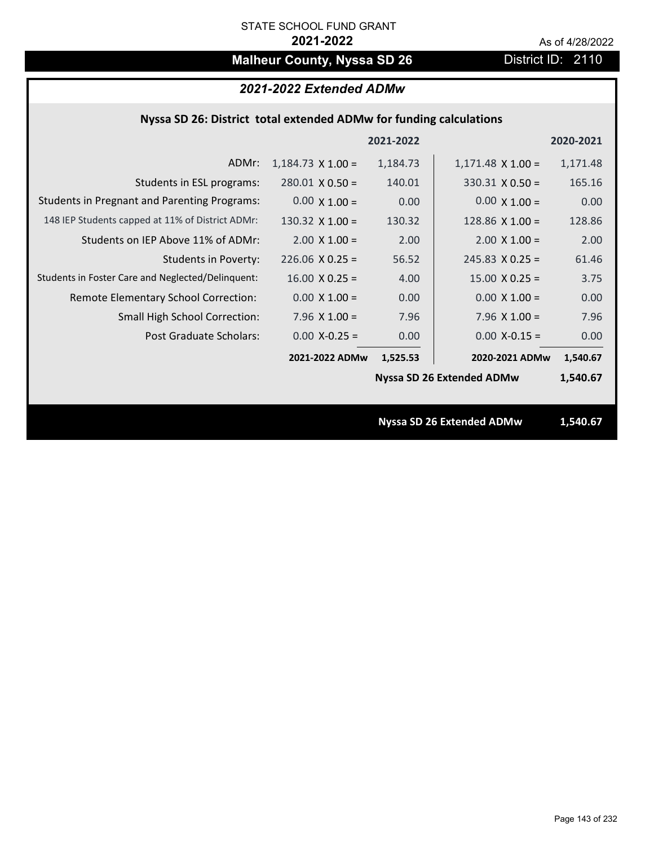# **Malheur County, Nyssa SD 26** District ID: 2110

# *2021-2022 Extended ADMw*

## **Nyssa SD 26: District total extended ADMw for funding calculations**

|                                                     |                          | 2021-2022 |                                  | 2020-2021 |
|-----------------------------------------------------|--------------------------|-----------|----------------------------------|-----------|
| ADMr:                                               | $1,184.73 \times 1.00 =$ | 1,184.73  | $1,171.48 \times 1.00 =$         | 1,171.48  |
| Students in ESL programs:                           | $280.01 \times 0.50 =$   | 140.01    | $330.31 \times 0.50 =$           | 165.16    |
| <b>Students in Pregnant and Parenting Programs:</b> | $0.00 \times 1.00 =$     | 0.00      | $0.00 \times 1.00 =$             | 0.00      |
| 148 IEP Students capped at 11% of District ADMr:    | 130.32 $X$ 1.00 =        | 130.32    | 128.86 $X$ 1.00 =                | 128.86    |
| Students on IEP Above 11% of ADMr:                  | $2.00 \times 1.00 =$     | 2.00      | $2.00 \times 1.00 =$             | 2.00      |
| <b>Students in Poverty:</b>                         | $226.06 \times 0.25 =$   | 56.52     | $245.83 \times 0.25 =$           | 61.46     |
| Students in Foster Care and Neglected/Delinquent:   | $16.00 \times 0.25 =$    | 4.00      | $15.00 \times 0.25 =$            | 3.75      |
| Remote Elementary School Correction:                | $0.00 \times 1.00 =$     | 0.00      | $0.00 \times 1.00 =$             | 0.00      |
| <b>Small High School Correction:</b>                | 7.96 $X$ 1.00 =          | 7.96      | 7.96 $X$ 1.00 =                  | 7.96      |
| Post Graduate Scholars:                             | $0.00$ X-0.25 =          | 0.00      | $0.00$ X-0.15 =                  | 0.00      |
|                                                     | 2021-2022 ADMw           | 1,525.53  | 2020-2021 ADMw                   | 1,540.67  |
|                                                     |                          |           | <b>Nyssa SD 26 Extended ADMw</b> | 1,540.67  |
|                                                     |                          |           |                                  |           |
|                                                     |                          |           | <b>Nyssa SD 26 Extended ADMw</b> | 1,540.67  |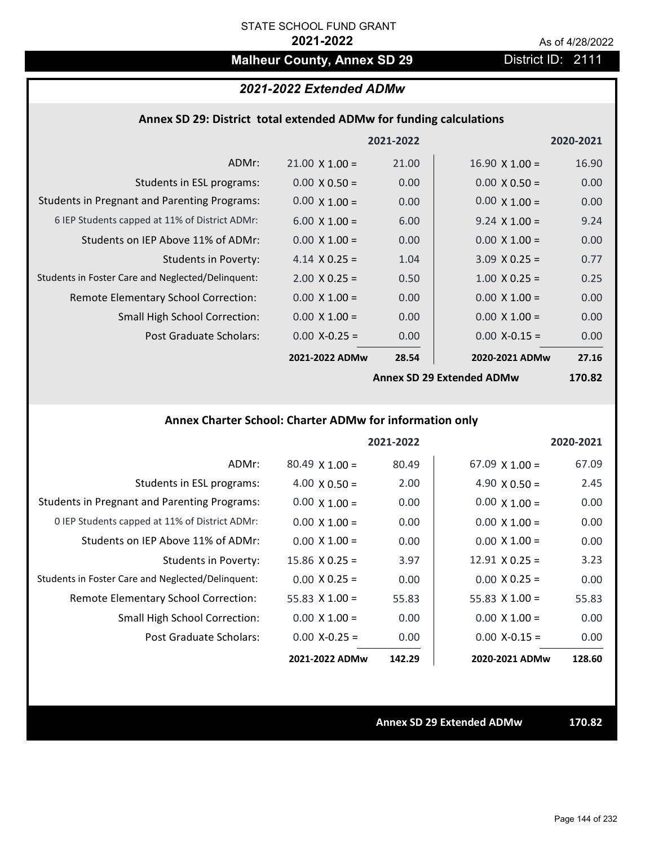# **Malheur County, Annex SD 29** District ID: 2111

# *2021-2022 Extended ADMw*

### **Annex SD 29: District total extended ADMw for funding calculations**

|                                                     |                       | 2021-2022 |                           | 2020-2021          |
|-----------------------------------------------------|-----------------------|-----------|---------------------------|--------------------|
| ADMr:                                               | $21.00 \times 1.00 =$ | 21.00     | $16.90 \times 1.00 =$     | 16.90              |
| Students in ESL programs:                           | $0.00 \times 0.50 =$  | 0.00      | $0.00 \times 0.50 =$      | 0.00               |
| <b>Students in Pregnant and Parenting Programs:</b> | $0.00 \times 1.00 =$  | 0.00      | $0.00 \times 1.00 =$      | 0.00               |
| 6 IEP Students capped at 11% of District ADMr:      | $6.00 \times 1.00 =$  | 6.00      | $9.24 \times 1.00 =$      | 9.24               |
| Students on IEP Above 11% of ADMr:                  | $0.00 \times 1.00 =$  | 0.00      | $0.00 \times 1.00 =$      | 0.00               |
| <b>Students in Poverty:</b>                         | 4.14 $X$ 0.25 =       | 1.04      | $3.09 \times 0.25 =$      | 0.77               |
| Students in Foster Care and Neglected/Delinquent:   | $2.00 \times 0.25 =$  | 0.50      | $1.00 \times 0.25 =$      | 0.25               |
| Remote Elementary School Correction:                | $0.00 \times 1.00 =$  | 0.00      | $0.00 \times 1.00 =$      | 0.00               |
| <b>Small High School Correction:</b>                | $0.00 \times 1.00 =$  | 0.00      | $0.00 \times 1.00 =$      | 0.00               |
| Post Graduate Scholars:                             | $0.00$ X-0.25 =       | 0.00      | $0.00$ X-0.15 =           | 0.00               |
|                                                     | 2021-2022 ADMw        | 28.54     | 2020-2021 ADMw            | 27.16              |
|                                                     |                       |           | Annov SD 20 Extanded ADMW | 170 R <sub>2</sub> |

**Annex SD 29 Extended ADMw**

**170.82**

# **Annex Charter School: Charter ADMw for information only**

|                                                     |                       | 2021-2022 |                       | 2020-2021 |
|-----------------------------------------------------|-----------------------|-----------|-----------------------|-----------|
| ADMr:                                               | $80.49 \times 1.00 =$ | 80.49     | $67.09 \times 1.00 =$ | 67.09     |
| Students in ESL programs:                           | $4.00 \times 0.50 =$  | 2.00      | 4.90 $\times$ 0.50 =  | 2.45      |
| <b>Students in Pregnant and Parenting Programs:</b> | $0.00 \times 1.00 =$  | 0.00      | $0.00 \times 1.00 =$  | 0.00      |
| 0 IEP Students capped at 11% of District ADMr:      | $0.00 \times 1.00 =$  | 0.00      | $0.00 \times 1.00 =$  | 0.00      |
| Students on IEP Above 11% of ADMr:                  | $0.00 \times 1.00 =$  | 0.00      | $0.00 \times 1.00 =$  | 0.00      |
| Students in Poverty:                                | $15.86 \times 0.25 =$ | 3.97      | $12.91 \times 0.25 =$ | 3.23      |
| Students in Foster Care and Neglected/Delinquent:   | $0.00 \times 0.25 =$  | 0.00      | $0.00 \times 0.25 =$  | 0.00      |
| Remote Elementary School Correction:                | 55.83 $\times$ 1.00 = | 55.83     | $55.83 \times 1.00 =$ | 55.83     |
| <b>Small High School Correction:</b>                | $0.00 \times 1.00 =$  | 0.00      | $0.00 \times 1.00 =$  | 0.00      |
| Post Graduate Scholars:                             | $0.00 X - 0.25 =$     | 0.00      | $0.00$ X-0.15 =       | 0.00      |
|                                                     | 2021-2022 ADMw        | 142.29    | 2020-2021 ADMw        | 128.60    |

**Annex SD 29 Extended ADMw 170.82**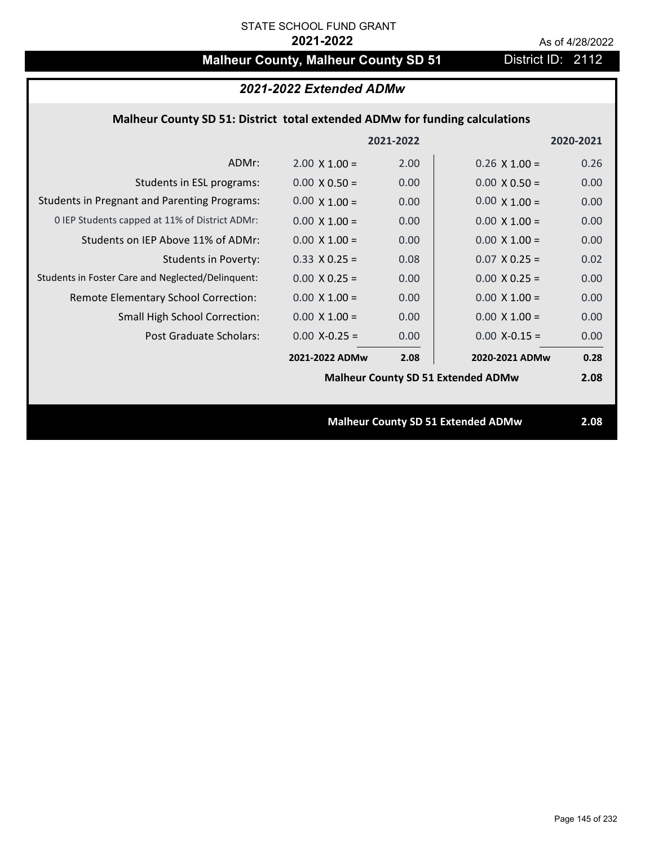# **Malheur County, Malheur County SD 51** District ID: 2112

| 2021-2022 Extended ADMw                                                     |                      |           |                                           |           |  |
|-----------------------------------------------------------------------------|----------------------|-----------|-------------------------------------------|-----------|--|
| Malheur County SD 51: District total extended ADMw for funding calculations |                      |           |                                           |           |  |
|                                                                             |                      | 2021-2022 |                                           | 2020-2021 |  |
| ADMr:                                                                       | $2.00 \times 1.00 =$ | 2.00      | $0.26 \times 1.00 =$                      | 0.26      |  |
| Students in ESL programs:                                                   | $0.00 \times 0.50 =$ | 0.00      | $0.00 \times 0.50 =$                      | 0.00      |  |
| <b>Students in Pregnant and Parenting Programs:</b>                         | $0.00 \times 1.00 =$ | 0.00      | $0.00 \times 1.00 =$                      | 0.00      |  |
| 0 IEP Students capped at 11% of District ADMr:                              | $0.00 \times 1.00 =$ | 0.00      | $0.00 \times 1.00 =$                      | 0.00      |  |
| Students on IEP Above 11% of ADMr:                                          | $0.00 \times 1.00 =$ | 0.00      | $0.00 X 1.00 =$                           | 0.00      |  |
| <b>Students in Poverty:</b>                                                 | $0.33 \times 0.25 =$ | 0.08      | $0.07$ X 0.25 =                           | 0.02      |  |
| Students in Foster Care and Neglected/Delinquent:                           | $0.00 \times 0.25 =$ | 0.00      | $0.00 \times 0.25 =$                      | 0.00      |  |
| Remote Elementary School Correction:                                        | $0.00 \times 1.00 =$ | 0.00      | $0.00 \times 1.00 =$                      | 0.00      |  |
| Small High School Correction:                                               | $0.00 X 1.00 =$      | 0.00      | $0.00 \times 1.00 =$                      | 0.00      |  |
| <b>Post Graduate Scholars:</b>                                              | $0.00$ X-0.25 =      | 0.00      | $0.00$ X-0.15 =                           | 0.00      |  |
|                                                                             | 2021-2022 ADMw       | 2.08      | 2020-2021 ADMw                            | 0.28      |  |
|                                                                             |                      |           | <b>Malheur County SD 51 Extended ADMw</b> | 2.08      |  |
|                                                                             |                      |           |                                           |           |  |
|                                                                             |                      |           | <b>Malheur County SD 51 Extended ADMw</b> | 2.08      |  |
|                                                                             |                      |           |                                           |           |  |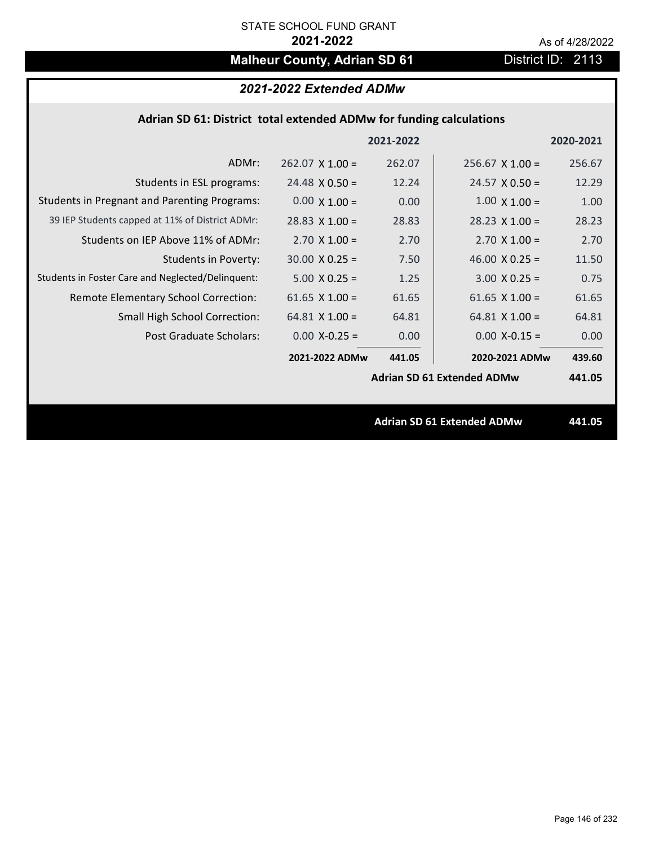# **Malheur County, Adrian SD 61** District ID: 2113

# *2021-2022 Extended ADMw*

### **Adrian SD 61: District total extended ADMw for funding calculations**

|                                                     |                        | 2021-2022 |                                   | 2020-2021 |
|-----------------------------------------------------|------------------------|-----------|-----------------------------------|-----------|
| ADMr:                                               | $262.07 \times 1.00 =$ | 262.07    | $256.67 \times 1.00 =$            | 256.67    |
| Students in ESL programs:                           | $24.48 \times 0.50 =$  | 12.24     | $24.57 \times 0.50 =$             | 12.29     |
| <b>Students in Pregnant and Parenting Programs:</b> | $0.00 \times 1.00 =$   | 0.00      | $1.00 \times 1.00 =$              | 1.00      |
| 39 IEP Students capped at 11% of District ADMr:     | $28.83 \times 1.00 =$  | 28.83     | $28.23 \times 1.00 =$             | 28.23     |
| Students on IEP Above 11% of ADMr:                  | $2.70 \times 1.00 =$   | 2.70      | $2.70$ X $1.00 =$                 | 2.70      |
| <b>Students in Poverty:</b>                         | $30.00 \times 0.25 =$  | 7.50      | 46.00 $X$ 0.25 =                  | 11.50     |
| Students in Foster Care and Neglected/Delinquent:   | $5.00 \times 0.25 =$   | 1.25      | $3.00 \times 0.25 =$              | 0.75      |
| Remote Elementary School Correction:                | 61.65 $X$ 1.00 =       | 61.65     | 61.65 $X$ 1.00 =                  | 61.65     |
| <b>Small High School Correction:</b>                | $64.81$ X $1.00 =$     | 64.81     | $64.81$ X $1.00 =$                | 64.81     |
| Post Graduate Scholars:                             | $0.00$ X-0.25 =        | 0.00      | $0.00$ X-0.15 =                   | 0.00      |
|                                                     | 2021-2022 ADMw         | 441.05    | 2020-2021 ADMw                    | 439.60    |
|                                                     |                        |           | <b>Adrian SD 61 Extended ADMw</b> | 441.05    |
|                                                     |                        |           |                                   |           |
|                                                     |                        |           | <b>Adrian SD 61 Extended ADMw</b> | 441.05    |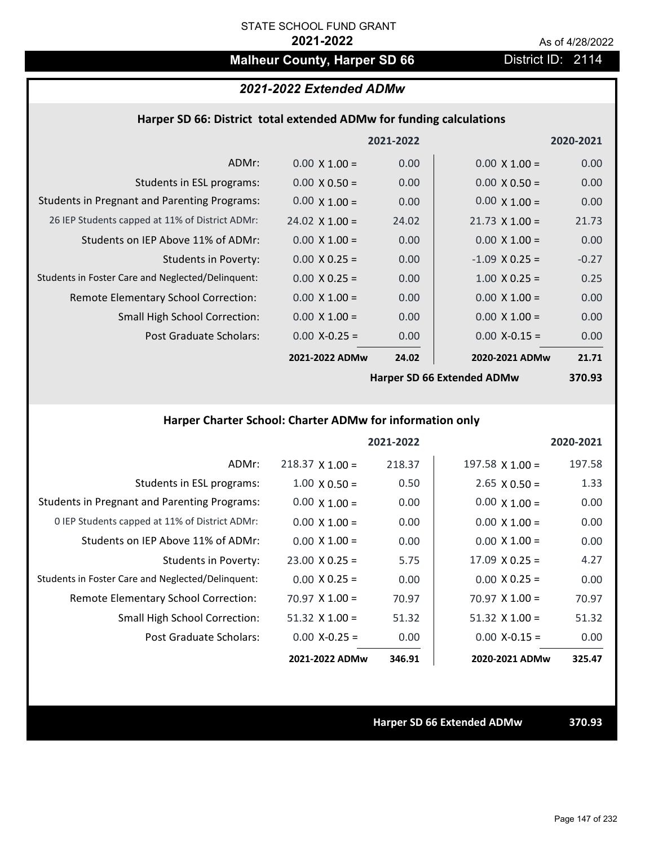# **Malheur County, Harper SD 66** District ID: 2114

# *2021-2022 Extended ADMw*

### **Harper SD 66: District total extended ADMw for funding calculations**

|                                                     |                       | 2021-2022 |                            | 2020-2021 |
|-----------------------------------------------------|-----------------------|-----------|----------------------------|-----------|
| ADMr:                                               | $0.00 \times 1.00 =$  | 0.00      | $0.00 \times 1.00 =$       | 0.00      |
| Students in ESL programs:                           | $0.00 \times 0.50 =$  | 0.00      | $0.00 \times 0.50 =$       | 0.00      |
| <b>Students in Pregnant and Parenting Programs:</b> | $0.00 \times 1.00 =$  | 0.00      | $0.00 \times 1.00 =$       | 0.00      |
| 26 IEP Students capped at 11% of District ADMr:     | $24.02 \times 1.00 =$ | 24.02     | $21.73 \times 1.00 =$      | 21.73     |
| Students on IEP Above 11% of ADMr:                  | $0.00 \times 1.00 =$  | 0.00      | $0.00 \times 1.00 =$       | 0.00      |
| <b>Students in Poverty:</b>                         | $0.00 \times 0.25 =$  | 0.00      | $-1.09$ X 0.25 =           | $-0.27$   |
| Students in Foster Care and Neglected/Delinquent:   | $0.00 \times 0.25 =$  | 0.00      | $1.00 \times 0.25 =$       | 0.25      |
| Remote Elementary School Correction:                | $0.00 \times 1.00 =$  | 0.00      | $0.00 \times 1.00 =$       | 0.00      |
| <b>Small High School Correction:</b>                | $0.00 \times 1.00 =$  | 0.00      | $0.00 \times 1.00 =$       | 0.00      |
| Post Graduate Scholars:                             | $0.00$ X-0.25 =       | 0.00      | $0.00 X - 0.15 =$          | 0.00      |
|                                                     | 2021-2022 ADMw        | 24.02     | 2020-2021 ADMw             | 21.71     |
|                                                     |                       |           | Harner SD 66 Extended ADMW | 27N Q2    |

**Harper SD 66 Extended ADMw**

**370.93**

# **Harper Charter School: Charter ADMw for information only**

|                                                     |                        | 2021-2022 |                       | 2020-2021 |
|-----------------------------------------------------|------------------------|-----------|-----------------------|-----------|
| ADMr:                                               | $218.37 \times 1.00 =$ | 218.37    | $197.58$ X 1.00 =     | 197.58    |
| Students in ESL programs:                           | $1.00 \times 0.50 =$   | 0.50      | $2.65 \times 0.50 =$  | 1.33      |
| <b>Students in Pregnant and Parenting Programs:</b> | $0.00 \times 1.00 =$   | 0.00      | $0.00 \times 1.00 =$  | 0.00      |
| 0 IEP Students capped at 11% of District ADMr:      | $0.00 \times 1.00 =$   | 0.00      | $0.00 \times 1.00 =$  | 0.00      |
| Students on IEP Above 11% of ADMr:                  | $0.00 \times 1.00 =$   | 0.00      | $0.00 \times 1.00 =$  | 0.00      |
| Students in Poverty:                                | $23.00 \times 0.25 =$  | 5.75      | $17.09 \times 0.25 =$ | 4.27      |
| Students in Foster Care and Neglected/Delinquent:   | $0.00 \times 0.25 =$   | 0.00      | $0.00 \times 0.25 =$  | 0.00      |
| Remote Elementary School Correction:                | $70.97 \times 1.00 =$  | 70.97     | $70.97 \times 1.00 =$ | 70.97     |
| <b>Small High School Correction:</b>                | $51.32$ X $1.00 =$     | 51.32     | $51.32 \times 1.00 =$ | 51.32     |
| Post Graduate Scholars:                             | $0.00 X - 0.25 =$      | 0.00      | $0.00$ X-0.15 =       | 0.00      |
|                                                     | 2021-2022 ADMw         | 346.91    | 2020-2021 ADMw        | 325.47    |

**Harper SD 66 Extended ADMw 370.93**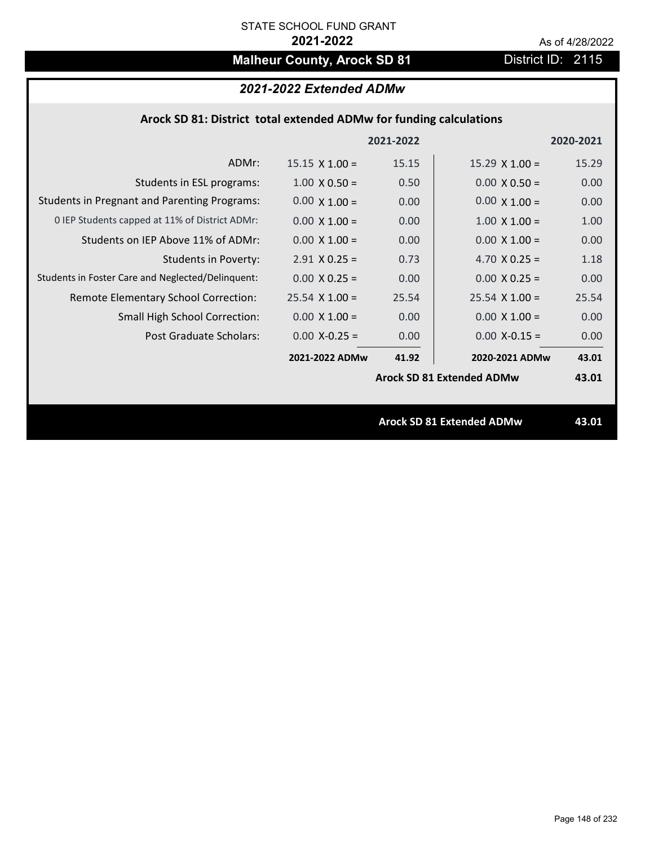# **Malheur County, Arock SD 81** District ID: 2115

# *2021-2022 Extended ADMw*

## **Arock SD 81: District total extended ADMw for funding calculations**

|                                                     |                       | 2021-2022 |                                  | 2020-2021 |
|-----------------------------------------------------|-----------------------|-----------|----------------------------------|-----------|
| ADMr:                                               | $15.15 \times 1.00 =$ | 15.15     | $15.29 \times 1.00 =$            | 15.29     |
| Students in ESL programs:                           | $1.00 \times 0.50 =$  | 0.50      | $0.00 \times 0.50 =$             | 0.00      |
| <b>Students in Pregnant and Parenting Programs:</b> | $0.00 \times 1.00 =$  | 0.00      | $0.00 \times 1.00 =$             | 0.00      |
| 0 IEP Students capped at 11% of District ADMr:      | $0.00 \times 1.00 =$  | 0.00      | $1.00 \times 1.00 =$             | 1.00      |
| Students on IEP Above 11% of ADMr:                  | $0.00 \times 1.00 =$  | 0.00      | $0.00 \times 1.00 =$             | 0.00      |
| <b>Students in Poverty:</b>                         | $2.91$ X 0.25 =       | 0.73      | 4.70 $X$ 0.25 =                  | 1.18      |
| Students in Foster Care and Neglected/Delinquent:   | $0.00 \times 0.25 =$  | 0.00      | $0.00 \times 0.25 =$             | 0.00      |
| Remote Elementary School Correction:                | $25.54 \times 1.00 =$ | 25.54     | $25.54$ X 1.00 =                 | 25.54     |
| <b>Small High School Correction:</b>                | $0.00 \times 1.00 =$  | 0.00      | $0.00 \times 1.00 =$             | 0.00      |
| Post Graduate Scholars:                             | $0.00$ X-0.25 =       | 0.00      | $0.00$ X-0.15 =                  | 0.00      |
|                                                     | 2021-2022 ADMw        | 41.92     | 2020-2021 ADMw                   | 43.01     |
|                                                     |                       |           | <b>Arock SD 81 Extended ADMw</b> | 43.01     |
|                                                     |                       |           |                                  |           |
|                                                     |                       |           | <b>Arock SD 81 Extended ADMw</b> | 43.01     |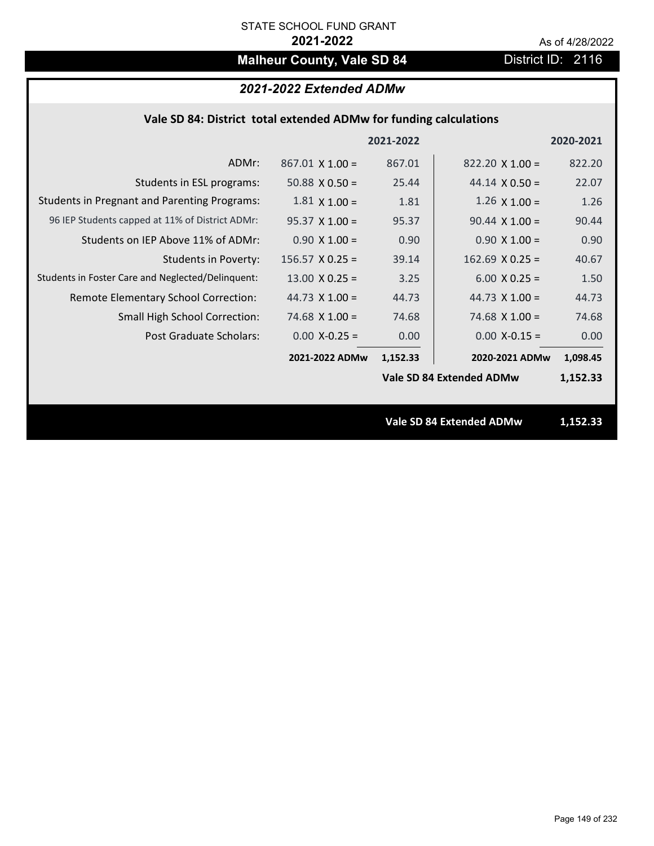# **Malheur County, Vale SD 84** District ID: 2116

# *2021-2022 Extended ADMw*

## **Vale SD 84: District total extended ADMw for funding calculations**

|                                                     |                        | 2021-2022 |                                 | 2020-2021 |
|-----------------------------------------------------|------------------------|-----------|---------------------------------|-----------|
| ADMr:                                               | $867.01 \times 1.00 =$ | 867.01    | $822.20 \times 1.00 =$          | 822.20    |
| Students in ESL programs:                           | 50.88 $\times$ 0.50 =  | 25.44     | $44.14 \times 0.50 =$           | 22.07     |
| <b>Students in Pregnant and Parenting Programs:</b> | $1.81 \times 1.00 =$   | 1.81      | $1.26 \times 1.00 =$            | 1.26      |
| 96 IEP Students capped at 11% of District ADMr:     | $95.37 \times 1.00 =$  | 95.37     | $90.44 \times 1.00 =$           | 90.44     |
| Students on IEP Above 11% of ADMr:                  | $0.90 \times 1.00 =$   | 0.90      | $0.90 \times 1.00 =$            | 0.90      |
| <b>Students in Poverty:</b>                         | $156.57$ X 0.25 =      | 39.14     | $162.69$ X 0.25 =               | 40.67     |
| Students in Foster Care and Neglected/Delinquent:   | $13.00 \times 0.25 =$  | 3.25      | $6.00 \times 0.25 =$            | 1.50      |
| Remote Elementary School Correction:                | 44.73 $X$ 1.00 =       | 44.73     | 44.73 $\times$ 1.00 =           | 44.73     |
| <b>Small High School Correction:</b>                | 74.68 $X$ 1.00 =       | 74.68     | $74.68$ X $1.00 =$              | 74.68     |
| Post Graduate Scholars:                             | $0.00$ X-0.25 =        | 0.00      | $0.00$ X-0.15 =                 | 0.00      |
|                                                     | 2021-2022 ADMw         | 1,152.33  | 2020-2021 ADMw                  | 1,098.45  |
|                                                     |                        |           | Vale SD 84 Extended ADMw        | 1,152.33  |
|                                                     |                        |           |                                 |           |
|                                                     |                        |           | <b>Vale SD 84 Extended ADMw</b> | 1,152.33  |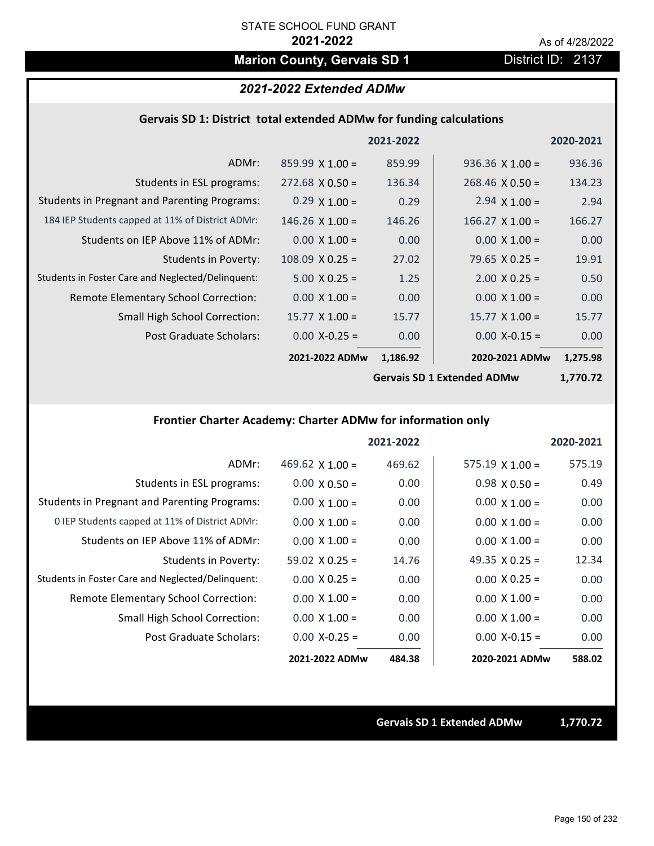# **Marion County, Gervais SD 1** District ID: 2137

### *2021-2022 Extended ADMw*

### **Gervais SD 1: District total extended ADMw for funding calculations**

|                                                     |                        | 2021-2022 |                        | 2020-2021        |
|-----------------------------------------------------|------------------------|-----------|------------------------|------------------|
| ADMr:                                               | $859.99 \times 1.00 =$ | 859.99    | $936.36 \times 1.00 =$ | 936.36           |
| Students in ESL programs:                           | $272.68 \times 0.50 =$ | 136.34    | $268.46 \times 0.50 =$ | 134.23           |
| <b>Students in Pregnant and Parenting Programs:</b> | $0.29 \times 1.00 =$   | 0.29      | 2.94 $\times$ 1.00 =   | 2.94             |
| 184 IEP Students capped at 11% of District ADMr:    | $146.26$ X 1.00 =      | 146.26    | $166.27$ X $1.00 =$    | 166.27           |
| Students on IEP Above 11% of ADMr:                  | $0.00 \times 1.00 =$   | 0.00      | $0.00 \times 1.00 =$   | 0.00             |
| <b>Students in Poverty:</b>                         | $108.09 \times 0.25 =$ | 27.02     | 79.65 $X$ 0.25 =       | 19.91            |
| Students in Foster Care and Neglected/Delinquent:   | $5.00 \times 0.25 =$   | 1.25      | $2.00 \times 0.25 =$   | 0.50             |
| Remote Elementary School Correction:                | $0.00 \times 1.00 =$   | 0.00      | $0.00 \times 1.00 =$   | 0.00             |
| <b>Small High School Correction:</b>                | $15.77 \times 1.00 =$  | 15.77     | $15.77 \times 1.00 =$  | 15.77            |
| Post Graduate Scholars:                             | $0.00$ X-0.25 =        | 0.00      | $0.00$ X-0.15 =        | 0.00             |
|                                                     | 2021-2022 ADMw         | 1,186.92  | 2020-2021 ADMw         | 1,275.98         |
|                                                     |                        |           |                        | , <b>--</b> ^ -^ |

**Gervais SD 1 Extended ADMw**

**1,770.72**

# **Frontier Charter Academy: Charter ADMw for information only**

|                                                     |                        | 2021-2022 |                        | 2020-2021 |
|-----------------------------------------------------|------------------------|-----------|------------------------|-----------|
| ADMr:                                               | 469.62 $\times$ 1.00 = | 469.62    | $575.19 \times 1.00 =$ | 575.19    |
| Students in ESL programs:                           | $0.00 \times 0.50 =$   | 0.00      | $0.98 \times 0.50 =$   | 0.49      |
| <b>Students in Pregnant and Parenting Programs:</b> | $0.00 \times 1.00 =$   | 0.00      | $0.00 \times 1.00 =$   | 0.00      |
| 0 IEP Students capped at 11% of District ADMr:      | $0.00 \times 1.00 =$   | 0.00      | $0.00 \times 1.00 =$   | 0.00      |
| Students on IEP Above 11% of ADMr:                  | $0.00 \times 1.00 =$   | 0.00      | $0.00 \times 1.00 =$   | 0.00      |
| Students in Poverty:                                | $59.02 \times 0.25 =$  | 14.76     | 49.35 $\times$ 0.25 =  | 12.34     |
| Students in Foster Care and Neglected/Delinquent:   | $0.00 \times 0.25 =$   | 0.00      | $0.00 \times 0.25 =$   | 0.00      |
| Remote Elementary School Correction:                | $0.00 \times 1.00 =$   | 0.00      | $0.00 \times 1.00 =$   | 0.00      |
| <b>Small High School Correction:</b>                | $0.00 \times 1.00 =$   | 0.00      | $0.00 \times 1.00 =$   | 0.00      |
| Post Graduate Scholars:                             | $0.00 X - 0.25 =$      | 0.00      | $0.00 X - 0.15 =$      | 0.00      |
|                                                     | 2021-2022 ADMw         | 484.38    | 2020-2021 ADMw         | 588.02    |

**Gervais SD 1 Extended ADMw 1,770.72**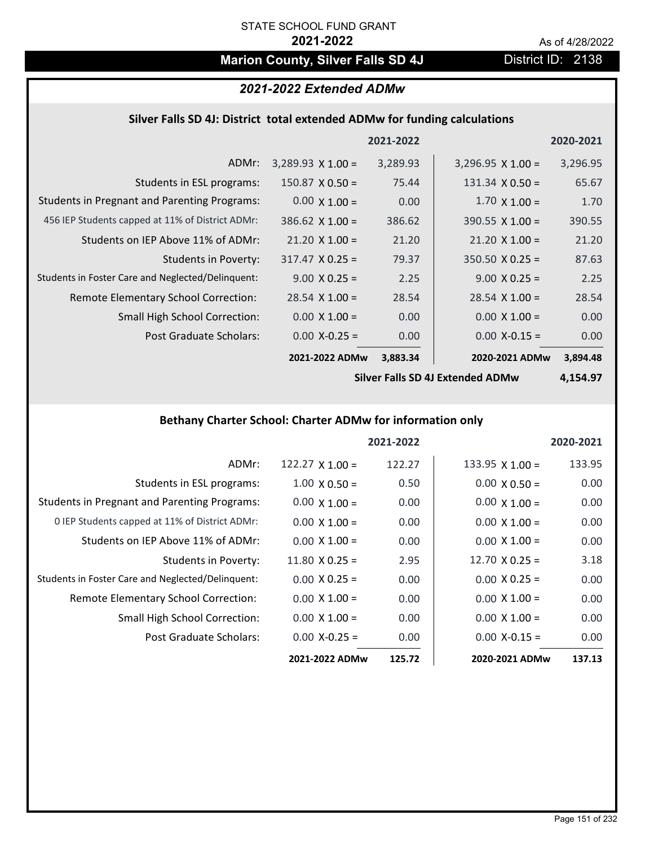# **Marion County, Silver Falls SD 4J** District ID: 2138

## *2021-2022 Extended ADMw*

### **Silver Falls SD 4J: District total extended ADMw for funding calculations**

|                                                     |                          | 2021-2022 |                          | 2020-2021 |
|-----------------------------------------------------|--------------------------|-----------|--------------------------|-----------|
| ADMr:                                               | $3,289.93 \times 1.00 =$ | 3,289.93  | $3,296.95 \times 1.00 =$ | 3,296.95  |
| Students in ESL programs:                           | $150.87 \times 0.50 =$   | 75.44     | $131.34 \times 0.50 =$   | 65.67     |
| <b>Students in Pregnant and Parenting Programs:</b> | $0.00 \times 1.00 =$     | 0.00      | $1.70 \times 1.00 =$     | 1.70      |
| 456 IEP Students capped at 11% of District ADMr:    | $386.62$ X 1.00 =        | 386.62    | $390.55 \times 1.00 =$   | 390.55    |
| Students on IEP Above 11% of ADMr:                  | $21.20 \times 1.00 =$    | 21.20     | $21.20 \times 1.00 =$    | 21.20     |
| Students in Poverty:                                | $317.47 \times 0.25 =$   | 79.37     | $350.50 \times 0.25 =$   | 87.63     |
| Students in Foster Care and Neglected/Delinquent:   | $9.00 \times 0.25 =$     | 2.25      | $9.00 \times 0.25 =$     | 2.25      |
| <b>Remote Elementary School Correction:</b>         | $28.54 \times 1.00 =$    | 28.54     | $28.54 \times 1.00 =$    | 28.54     |
| <b>Small High School Correction:</b>                | $0.00 \times 1.00 =$     | 0.00      | $0.00 \times 1.00 =$     | 0.00      |
| Post Graduate Scholars:                             | $0.00$ X-0.25 =          | 0.00      | $0.00$ X-0.15 =          | 0.00      |
|                                                     | 2021-2022 ADMw           | 3,883.34  | 2020-2021 ADMw           | 3,894.48  |

**Silver Falls SD 4J Extended ADMw**

**4,154.97**

# **Bethany Charter School: Charter ADMw for information only**

|                                                     |                       | 2021-2022 |                       | 2020-2021 |
|-----------------------------------------------------|-----------------------|-----------|-----------------------|-----------|
| ADMr:                                               | $122.27$ X 1.00 =     | 122.27    | 133.95 $X$ 1.00 =     | 133.95    |
| Students in ESL programs:                           | $1.00 \times 0.50 =$  | 0.50      | $0.00 \times 0.50 =$  | 0.00      |
| <b>Students in Pregnant and Parenting Programs:</b> | $0.00 \times 1.00 =$  | 0.00      | $0.00 \times 1.00 =$  | 0.00      |
| 0 IEP Students capped at 11% of District ADMr:      | $0.00 \times 1.00 =$  | 0.00      | $0.00 \times 1.00 =$  | 0.00      |
| Students on IEP Above 11% of ADMr:                  | $0.00 \times 1.00 =$  | 0.00      | $0.00 \times 1.00 =$  | 0.00      |
| <b>Students in Poverty:</b>                         | $11.80 \times 0.25 =$ | 2.95      | $12.70 \times 0.25 =$ | 3.18      |
| Students in Foster Care and Neglected/Delinquent:   | $0.00 \times 0.25 =$  | 0.00      | $0.00 \times 0.25 =$  | 0.00      |
| Remote Elementary School Correction:                | $0.00 \times 1.00 =$  | 0.00      | $0.00 \times 1.00 =$  | 0.00      |
| <b>Small High School Correction:</b>                | $0.00 \times 1.00 =$  | 0.00      | $0.00 \times 1.00 =$  | 0.00      |
| Post Graduate Scholars:                             | $0.00$ X-0.25 =       | 0.00      | $0.00$ X-0.15 =       | 0.00      |
|                                                     | 2021-2022 ADMw        | 125.72    | 2020-2021 ADMw        | 137.13    |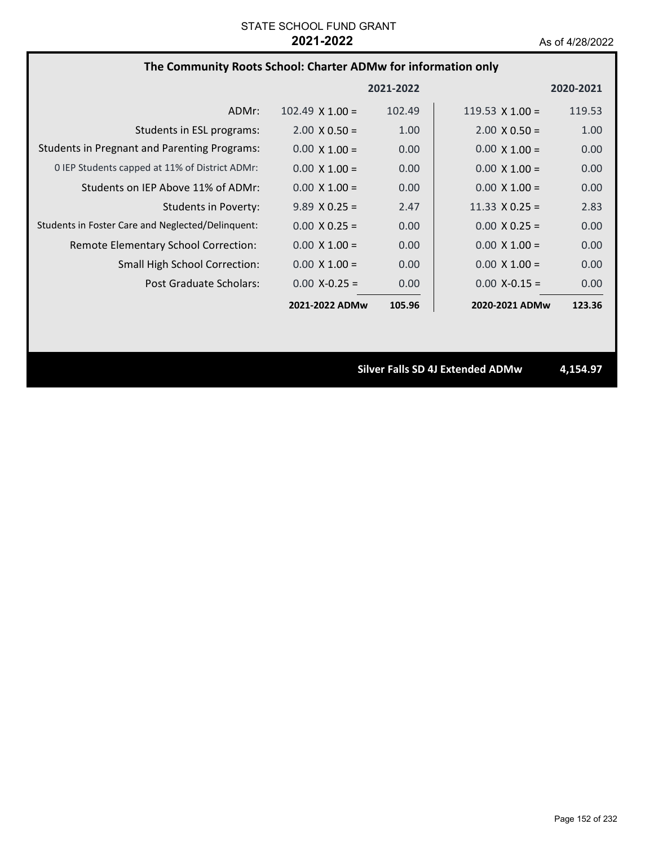|  |  | The Community Roots School: Charter ADMw for information only |  |
|--|--|---------------------------------------------------------------|--|
|--|--|---------------------------------------------------------------|--|

|                                                     |                        | 2021-2022 |                        | 2020-2021 |
|-----------------------------------------------------|------------------------|-----------|------------------------|-----------|
| ADMr:                                               | $102.49 \times 1.00 =$ | 102.49    | $119.53 \times 1.00 =$ | 119.53    |
| Students in ESL programs:                           | $2.00 \times 0.50 =$   | 1.00      | $2.00 \times 0.50 =$   | 1.00      |
| <b>Students in Pregnant and Parenting Programs:</b> | $0.00 \times 1.00 =$   | 0.00      | $0.00 \times 1.00 =$   | 0.00      |
| 0 IEP Students capped at 11% of District ADMr:      | $0.00 \times 1.00 =$   | 0.00      | $0.00 \times 1.00 =$   | 0.00      |
| Students on IEP Above 11% of ADMr:                  | $0.00 \times 1.00 =$   | 0.00      | $0.00 \times 1.00 =$   | 0.00      |
| <b>Students in Poverty:</b>                         | $9.89 \times 0.25 =$   | 2.47      | $11.33 \times 0.25 =$  | 2.83      |
| Students in Foster Care and Neglected/Delinquent:   | $0.00 \times 0.25 =$   | 0.00      | $0.00 \times 0.25 =$   | 0.00      |
| Remote Elementary School Correction:                | $0.00 \times 1.00 =$   | 0.00      | $0.00 \times 1.00 =$   | 0.00      |
| <b>Small High School Correction:</b>                | $0.00 \times 1.00 =$   | 0.00      | $0.00 \times 1.00 =$   | 0.00      |
| Post Graduate Scholars:                             | $0.00 X - 0.25 =$      | 0.00      | $0.00$ X-0.15 =        | 0.00      |
|                                                     | 2021-2022 ADMw         | 105.96    | 2020-2021 ADMw         | 123.36    |

**Silver Falls SD 4J Extended ADMw 4,154.97**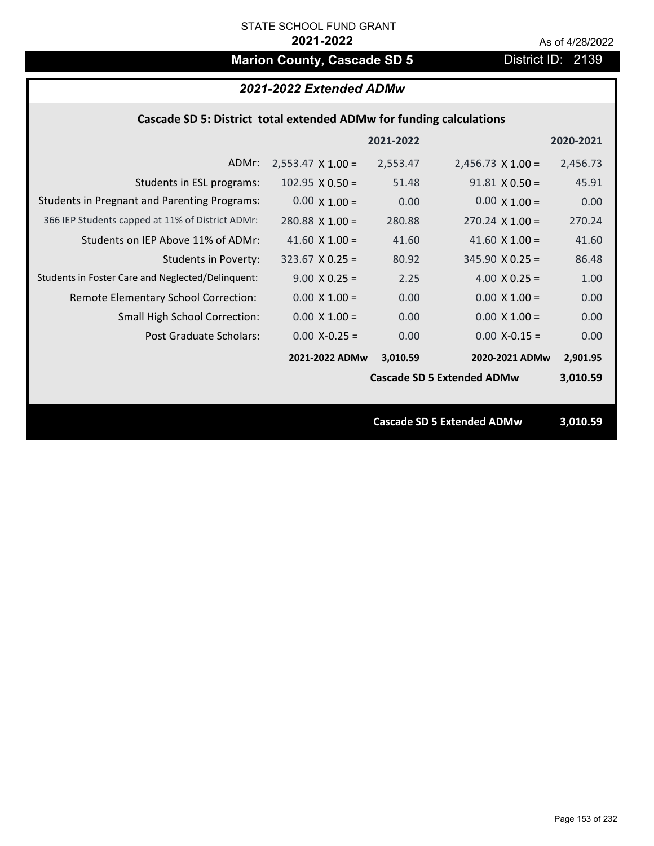# **Marion County, Cascade SD 5** District ID: 2139

### **Cascade SD 5: District total extended ADMw for funding calculations**

|                                                     |                          | 2021-2022 |                                   | 2020-2021 |
|-----------------------------------------------------|--------------------------|-----------|-----------------------------------|-----------|
| ADMr:                                               | $2,553.47 \times 1.00 =$ | 2,553.47  | $2,456.73 \times 1.00 =$          | 2,456.73  |
| Students in ESL programs:                           | $102.95 \times 0.50 =$   | 51.48     | $91.81 \times 0.50 =$             | 45.91     |
| <b>Students in Pregnant and Parenting Programs:</b> | $0.00 \times 1.00 =$     | 0.00      | $0.00 \times 1.00 =$              | 0.00      |
| 366 IEP Students capped at 11% of District ADMr:    | $280.88$ X 1.00 =        | 280.88    | $270.24 \times 1.00 =$            | 270.24    |
| Students on IEP Above 11% of ADMr:                  | 41.60 $\times$ 1.00 =    | 41.60     | 41.60 $X$ 1.00 =                  | 41.60     |
| <b>Students in Poverty:</b>                         | $323.67$ X 0.25 =        | 80.92     | $345.90 \times 0.25 =$            | 86.48     |
| Students in Foster Care and Neglected/Delinquent:   | $9.00 \times 0.25 =$     | 2.25      | 4.00 $X$ 0.25 =                   | 1.00      |
| Remote Elementary School Correction:                | $0.00 \times 1.00 =$     | 0.00      | $0.00 \times 1.00 =$              | 0.00      |
| <b>Small High School Correction:</b>                | $0.00 \times 1.00 =$     | 0.00      | $0.00 \times 1.00 =$              | 0.00      |
| Post Graduate Scholars:                             | $0.00$ X-0.25 =          | 0.00      | $0.00$ X-0.15 =                   | 0.00      |
|                                                     | 2021-2022 ADMw           | 3,010.59  | 2020-2021 ADMw                    | 2,901.95  |
|                                                     |                          |           | <b>Cascade SD 5 Extended ADMw</b> | 3,010.59  |
|                                                     |                          |           |                                   |           |
|                                                     |                          |           | <b>Cascade SD 5 Extended ADMw</b> | 3,010.59  |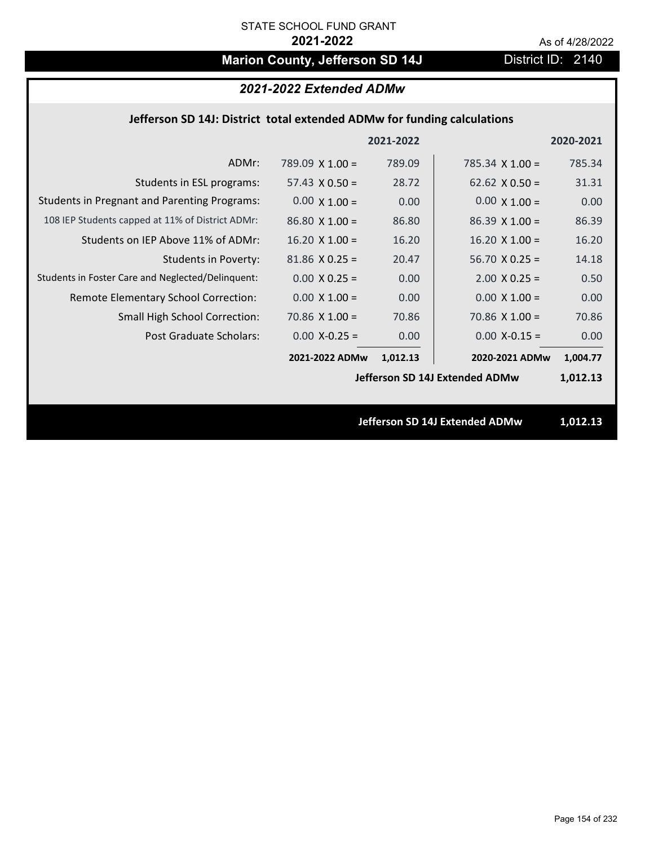# **Marion County, Jefferson SD 14J** District ID: 2140

# *2021-2022 Extended ADMw*

### **Jefferson SD 14J: District total extended ADMw for funding calculations**

|                                                     |                        | 2021-2022 |                                | 2020-2021 |
|-----------------------------------------------------|------------------------|-----------|--------------------------------|-----------|
| ADMr:                                               | $789.09 \times 1.00 =$ | 789.09    | 785.34 $\times$ 1.00 =         | 785.34    |
| Students in ESL programs:                           | 57.43 $\times$ 0.50 =  | 28.72     | 62.62 $\times$ 0.50 =          | 31.31     |
| <b>Students in Pregnant and Parenting Programs:</b> | $0.00 \times 1.00 =$   | 0.00      | $0.00 \times 1.00 =$           | 0.00      |
| 108 IEP Students capped at 11% of District ADMr:    | $86.80 \times 1.00 =$  | 86.80     | $86.39 \times 1.00 =$          | 86.39     |
| Students on IEP Above 11% of ADMr:                  | $16.20 \times 1.00 =$  | 16.20     | $16.20$ X $1.00 =$             | 16.20     |
| Students in Poverty:                                | $81.86$ X 0.25 =       | 20.47     | $56.70 X 0.25 =$               | 14.18     |
| Students in Foster Care and Neglected/Delinquent:   | $0.00 \times 0.25 =$   | 0.00      | $2.00 \times 0.25 =$           | 0.50      |
| Remote Elementary School Correction:                | $0.00 \times 1.00 =$   | 0.00      | $0.00 \times 1.00 =$           | 0.00      |
| <b>Small High School Correction:</b>                | $70.86 \times 1.00 =$  | 70.86     | $70.86 \times 1.00 =$          | 70.86     |
| Post Graduate Scholars:                             | $0.00$ X-0.25 =        | 0.00      | $0.00$ X-0.15 =                | 0.00      |
|                                                     | 2021-2022 ADMw         | 1,012.13  | 2020-2021 ADMw                 | 1,004.77  |
|                                                     |                        |           | Jefferson SD 14J Extended ADMw | 1,012.13  |
|                                                     |                        |           |                                |           |
|                                                     |                        |           | Jefferson SD 14J Extended ADMw | 1,012.13  |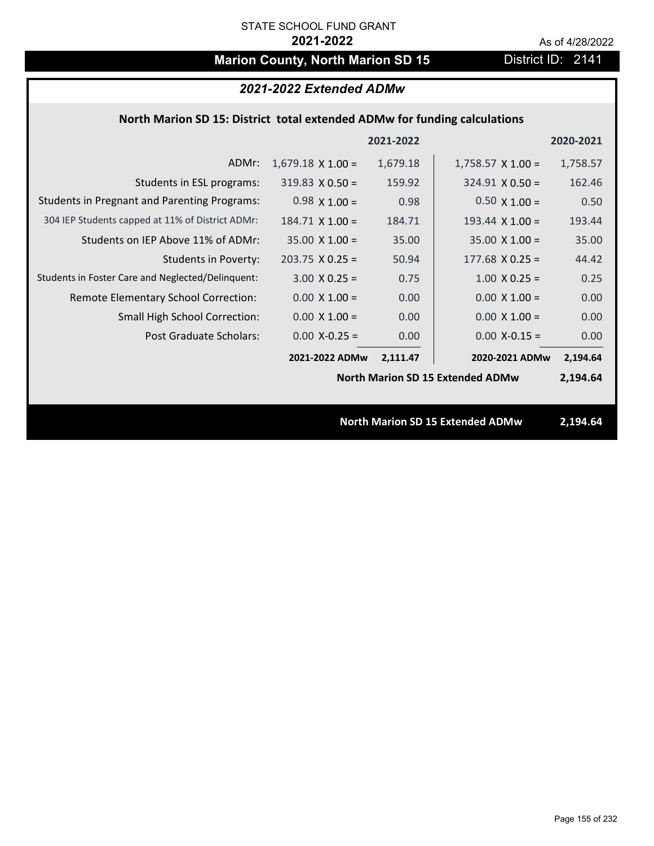# **Marion County, North Marion SD 15** District ID: 2141

|                                                                           | 2021-2022 Extended ADMw  |           |                                         |           |  |
|---------------------------------------------------------------------------|--------------------------|-----------|-----------------------------------------|-----------|--|
| North Marion SD 15: District total extended ADMw for funding calculations |                          |           |                                         |           |  |
|                                                                           |                          | 2021-2022 |                                         | 2020-2021 |  |
| ADMr:                                                                     | $1,679.18 \times 1.00 =$ | 1,679.18  | $1,758.57 \times 1.00 =$                | 1,758.57  |  |
| Students in ESL programs:                                                 | $319.83 \times 0.50 =$   | 159.92    | $324.91 \times 0.50 =$                  | 162.46    |  |
| <b>Students in Pregnant and Parenting Programs:</b>                       | $0.98 \times 1.00 =$     | 0.98      | $0.50 \times 1.00 =$                    | 0.50      |  |
| 304 IEP Students capped at 11% of District ADMr:                          | $184.71 \times 1.00 =$   | 184.71    | 193.44 $\times$ 1.00 =                  | 193.44    |  |
| Students on IEP Above 11% of ADMr:                                        | $35.00 \times 1.00 =$    | 35.00     | $35.00 \times 1.00 =$                   | 35.00     |  |
| <b>Students in Poverty:</b>                                               | $203.75$ X 0.25 =        | 50.94     | $177.68$ X 0.25 =                       | 44.42     |  |
| Students in Foster Care and Neglected/Delinquent:                         | $3.00 X 0.25 =$          | 0.75      | $1.00$ X 0.25 =                         | 0.25      |  |
| Remote Elementary School Correction:                                      | $0.00 \times 1.00 =$     | 0.00      | $0.00 \times 1.00 =$                    | 0.00      |  |
| <b>Small High School Correction:</b>                                      | $0.00 \times 1.00 =$     | 0.00      | $0.00 \times 1.00 =$                    | 0.00      |  |
| Post Graduate Scholars:                                                   | $0.00$ X-0.25 =          | 0.00      | $0.00$ X-0.15 =                         | 0.00      |  |
|                                                                           | 2021-2022 ADMw           | 2,111.47  | 2020-2021 ADMw                          | 2,194.64  |  |
|                                                                           |                          |           | <b>North Marion SD 15 Extended ADMw</b> | 2,194.64  |  |
|                                                                           |                          |           |                                         |           |  |
|                                                                           |                          |           | <b>North Marion SD 15 Extended ADMw</b> | 2,194.64  |  |
|                                                                           |                          |           |                                         |           |  |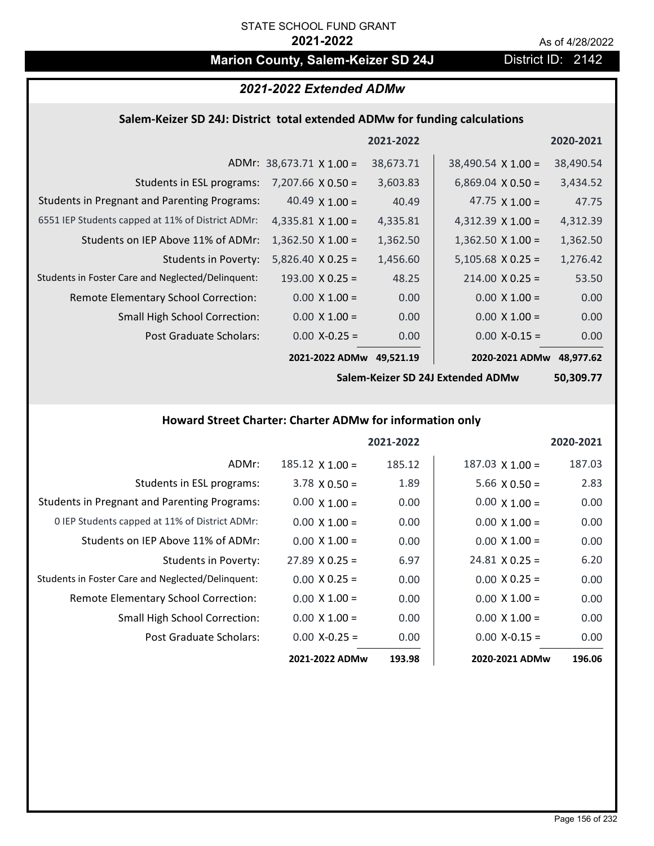# **Marion County, Salem-Keizer SD 24J District ID: 2142**

# *2021-2022 Extended ADMw*

### **Salem‐Keizer SD 24J: District total extended ADMw for funding calculations**

|                                                     |                                 | 2021-2022 |                           | 2020-2021 |
|-----------------------------------------------------|---------------------------------|-----------|---------------------------|-----------|
|                                                     | ADMr: $38,673.71 \times 1.00 =$ | 38,673.71 | $38,490.54 \times 1.00 =$ | 38,490.54 |
| Students in ESL programs:                           | $7,207.66 \times 0.50 =$        | 3,603.83  | $6,869.04 \times 0.50 =$  | 3,434.52  |
| <b>Students in Pregnant and Parenting Programs:</b> | 40.49 $\times$ 1.00 =           | 40.49     | 47.75 $\times$ 1.00 =     | 47.75     |
| 6551 IEP Students capped at 11% of District ADMr:   | 4,335.81 $\times$ 1.00 =        | 4,335.81  | $4,312.39 \times 1.00 =$  | 4,312.39  |
| Students on IEP Above 11% of ADMr:                  | $1,362.50 \times 1.00 =$        | 1,362.50  | $1,362.50$ X $1.00 =$     | 1,362.50  |
| <b>Students in Poverty:</b>                         | $5,826.40 \times 0.25 =$        | 1,456.60  | $5,105.68$ X 0.25 =       | 1,276.42  |
| Students in Foster Care and Neglected/Delinquent:   | $193.00 \times 0.25 =$          | 48.25     | $214.00 \times 0.25 =$    | 53.50     |
| Remote Elementary School Correction:                | $0.00 \times 1.00 =$            | 0.00      | $0.00 \times 1.00 =$      | 0.00      |
| <b>Small High School Correction:</b>                | $0.00 \times 1.00 =$            | 0.00      | $0.00 \times 1.00 =$      | 0.00      |
| Post Graduate Scholars:                             | $0.00$ X-0.25 =                 | 0.00      | $0.00$ X-0.15 =           | 0.00      |
|                                                     | 2021-2022 ADMw                  | 49,521.19 | 2020-2021 ADMw            | 48,977.62 |

**Salem‐Keizer SD 24J Extended ADMw**

**50,309.77**

## **Howard Street Charter: Charter ADMw for information only**

|                                                     |                       | 2021-2022 |                        | 2020-2021 |
|-----------------------------------------------------|-----------------------|-----------|------------------------|-----------|
| ADMr:                                               | $185.12$ X $1.00 =$   | 185.12    | $187.03 \times 1.00 =$ | 187.03    |
| Students in ESL programs:                           | $3.78 \times 0.50 =$  | 1.89      | $5.66 \times 0.50 =$   | 2.83      |
| <b>Students in Pregnant and Parenting Programs:</b> | $0.00 \times 1.00 =$  | 0.00      | $0.00 \times 1.00 =$   | 0.00      |
| 0 IEP Students capped at 11% of District ADMr:      | $0.00 \times 1.00 =$  | 0.00      | $0.00 \times 1.00 =$   | 0.00      |
| Students on IEP Above 11% of ADMr:                  | $0.00 \times 1.00 =$  | 0.00      | $0.00 \times 1.00 =$   | 0.00      |
| <b>Students in Poverty:</b>                         | $27.89 \times 0.25 =$ | 6.97      | $24.81 \times 0.25 =$  | 6.20      |
| Students in Foster Care and Neglected/Delinquent:   | $0.00 X 0.25 =$       | 0.00      | $0.00 \times 0.25 =$   | 0.00      |
| Remote Elementary School Correction:                | $0.00 \times 1.00 =$  | 0.00      | $0.00 \times 1.00 =$   | 0.00      |
| Small High School Correction:                       | $0.00 \times 1.00 =$  | 0.00      | $0.00 \times 1.00 =$   | 0.00      |
| Post Graduate Scholars:                             | $0.00$ X-0.25 =       | 0.00      | $0.00 X - 0.15 =$      | 0.00      |
|                                                     | 2021-2022 ADMw        | 193.98    | 2020-2021 ADMw         | 196.06    |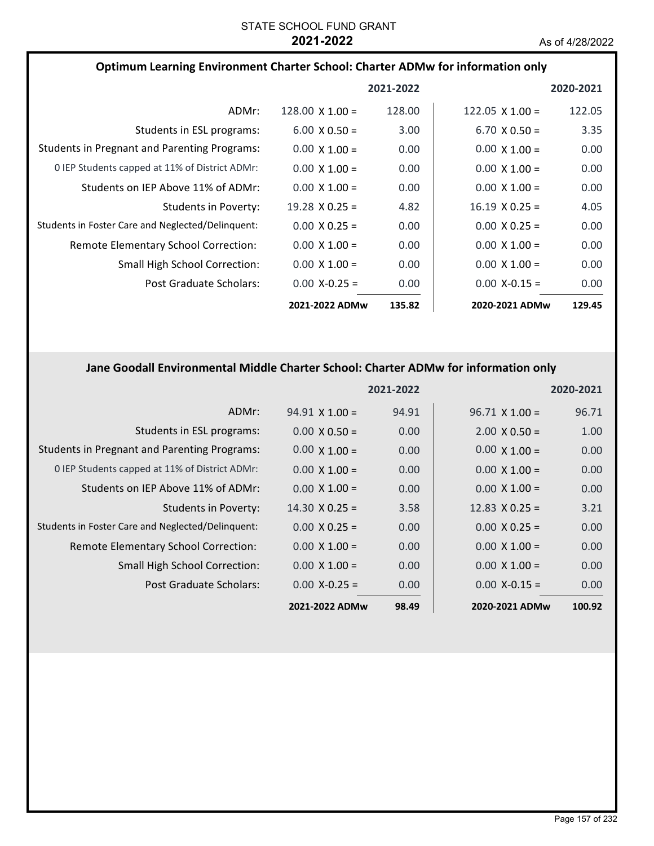| Optimum Learning Environment Charter School: Charter ADMw for information only |                        |           |                        |           |
|--------------------------------------------------------------------------------|------------------------|-----------|------------------------|-----------|
|                                                                                |                        | 2021-2022 |                        | 2020-2021 |
| ADMr:                                                                          | $128.00 \times 1.00 =$ | 128.00    | 122.05 $\times$ 1.00 = | 122.05    |
| Students in ESL programs:                                                      | $6.00 \times 0.50 =$   | 3.00      | $6.70 \times 0.50 =$   | 3.35      |
| <b>Students in Pregnant and Parenting Programs:</b>                            | $0.00 \times 1.00 =$   | 0.00      | $0.00 \times 1.00 =$   | 0.00      |
| 0 IEP Students capped at 11% of District ADMr:                                 | $0.00 \times 1.00 =$   | 0.00      | $0.00 \times 1.00 =$   | 0.00      |
| Students on IEP Above 11% of ADMr:                                             | $0.00 \times 1.00 =$   | 0.00      | $0.00 \times 1.00 =$   | 0.00      |
| Students in Poverty:                                                           | $19.28 \times 0.25 =$  | 4.82      | $16.19 \times 0.25 =$  | 4.05      |
| Students in Foster Care and Neglected/Delinguent:                              | $0.00 \times 0.25 =$   | 0.00      | $0.00 \times 0.25 =$   | 0.00      |
| Remote Elementary School Correction:                                           | $0.00 \times 1.00 =$   | 0.00      | $0.00 \times 1.00 =$   | 0.00      |
| <b>Small High School Correction:</b>                                           | $0.00 \times 1.00 =$   | 0.00      | $0.00 \times 1.00 =$   | 0.00      |
| Post Graduate Scholars:                                                        | $0.00 X - 0.25 =$      | 0.00      | $0.00$ X-0.15 =        | 0.00      |
|                                                                                | 2021-2022 ADMw         | 135.82    | 2020-2021 ADMw         | 129.45    |

# **Jane Goodall Environmental Middle Charter School: Charter ADMw for information only**

|                                                     |                       | 2021-2022 |                       | 2020-2021 |
|-----------------------------------------------------|-----------------------|-----------|-----------------------|-----------|
| ADMr:                                               | $94.91 \times 1.00 =$ | 94.91     | $96.71 \times 1.00 =$ | 96.71     |
| Students in ESL programs:                           | $0.00 \times 0.50 =$  | 0.00      | $2.00 \times 0.50 =$  | 1.00      |
| <b>Students in Pregnant and Parenting Programs:</b> | $0.00 \times 1.00 =$  | 0.00      | $0.00 \times 1.00 =$  | 0.00      |
| 0 IEP Students capped at 11% of District ADMr:      | $0.00 \times 1.00 =$  | 0.00      | $0.00 \times 1.00 =$  | 0.00      |
| Students on IEP Above 11% of ADMr:                  | $0.00 \times 1.00 =$  | 0.00      | $0.00 \times 1.00 =$  | 0.00      |
| Students in Poverty:                                | $14.30 \times 0.25 =$ | 3.58      | 12.83 $\times$ 0.25 = | 3.21      |
| Students in Foster Care and Neglected/Delinquent:   | $0.00 \times 0.25 =$  | 0.00      | $0.00 \times 0.25 =$  | 0.00      |
| Remote Elementary School Correction:                | $0.00 \times 1.00 =$  | 0.00      | $0.00 \times 1.00 =$  | 0.00      |
| <b>Small High School Correction:</b>                | $0.00 \times 1.00 =$  | 0.00      | $0.00 \times 1.00 =$  | 0.00      |
| Post Graduate Scholars:                             | $0.00$ X-0.25 =       | 0.00      | $0.00 X - 0.15 =$     | 0.00      |
|                                                     | 2021-2022 ADMw        | 98.49     | 2020-2021 ADMw        | 100.92    |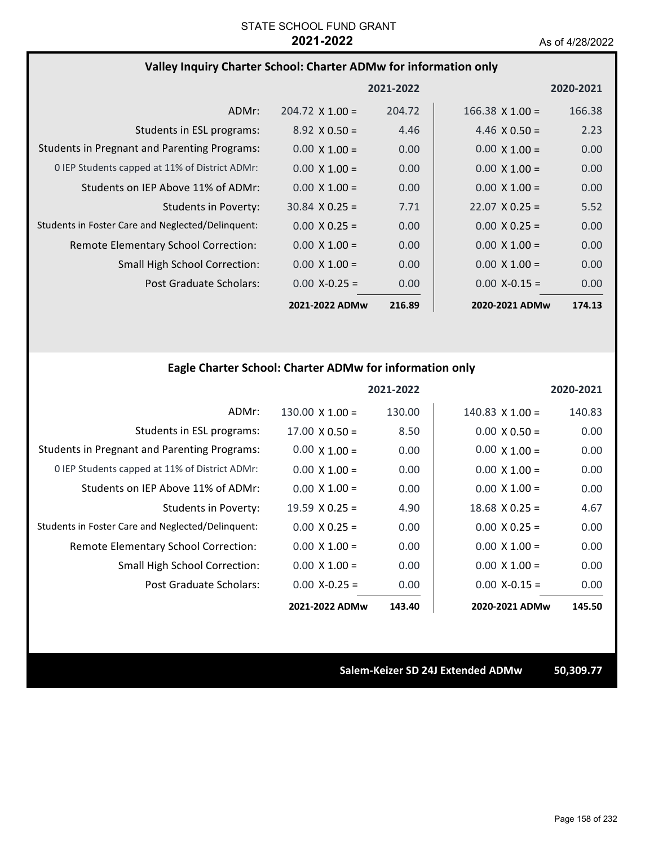### **Valley Inquiry Charter School: Charter ADMw for information only**

|                                                     |                        | 2021-2022 |                        | 2020-2021         |
|-----------------------------------------------------|------------------------|-----------|------------------------|-------------------|
| ADMr:                                               | $204.72 \times 1.00 =$ | 204.72    | $166.38 \times 1.00 =$ | 166.38            |
| Students in ESL programs:                           | $8.92 \times 0.50 =$   | 4.46      | $4.46 \times 0.50 =$   | 2.23              |
| <b>Students in Pregnant and Parenting Programs:</b> | $0.00 \times 1.00 =$   | 0.00      | $0.00 \times 1.00 =$   | 0.00              |
| 0 IEP Students capped at 11% of District ADMr:      | $0.00 \times 1.00 =$   | 0.00      | $0.00 \times 1.00 =$   | 0.00              |
| Students on IEP Above 11% of ADMr:                  | $0.00 \times 1.00 =$   | 0.00      | $0.00 \times 1.00 =$   | 0.00 <sub>1</sub> |
| Students in Poverty:                                | $30.84 \times 0.25 =$  | 7.71      | $22.07 \times 0.25 =$  | 5.52              |
| Students in Foster Care and Neglected/Delinquent:   | $0.00 \times 0.25 =$   | 0.00      | $0.00 \times 0.25 =$   | 0.00 <sub>1</sub> |
| <b>Remote Elementary School Correction:</b>         | $0.00 \times 1.00 =$   | 0.00      | $0.00 \times 1.00 =$   | 0.00              |
| <b>Small High School Correction:</b>                | $0.00 \times 1.00 =$   | 0.00      | $0.00 \times 1.00 =$   | 0.00              |
| Post Graduate Scholars:                             | $0.00$ X-0.25 =        | 0.00      | $0.00$ X-0.15 =        | 0.00              |
|                                                     | 2021-2022 ADMw         | 216.89    | 2020-2021 ADMw         | 174.13            |

# **Eagle Charter School: Charter ADMw for information only**

|                                                     |                        | 2021-2022 |                       | 2020-2021 |
|-----------------------------------------------------|------------------------|-----------|-----------------------|-----------|
| ADMr:                                               | $130.00 \times 1.00 =$ | 130.00    | $140.83$ X $1.00 =$   | 140.83    |
| Students in ESL programs:                           | $17.00 \times 0.50 =$  | 8.50      | $0.00 \times 0.50 =$  | 0.00      |
| <b>Students in Pregnant and Parenting Programs:</b> | $0.00 \times 1.00 =$   | 0.00      | $0.00 \times 1.00 =$  | 0.00      |
| 0 IEP Students capped at 11% of District ADMr:      | $0.00 \times 1.00 =$   | 0.00      | $0.00 \times 1.00 =$  | 0.00      |
| Students on IEP Above 11% of ADMr:                  | $0.00 \times 1.00 =$   | 0.00      | $0.00 \times 1.00 =$  | 0.00      |
| Students in Poverty:                                | 19.59 $X$ 0.25 =       | 4.90      | $18.68 \times 0.25 =$ | 4.67      |
| Students in Foster Care and Neglected/Delinquent:   | $0.00 \times 0.25 =$   | 0.00      | $0.00 \times 0.25 =$  | 0.00      |
| Remote Elementary School Correction:                | $0.00 \times 1.00 =$   | 0.00      | $0.00 \times 1.00 =$  | 0.00      |
| <b>Small High School Correction:</b>                | $0.00 \times 1.00 =$   | 0.00      | $0.00 \times 1.00 =$  | 0.00      |
| Post Graduate Scholars:                             | $0.00$ X-0.25 =        | 0.00      | $0.00 X - 0.15 =$     | 0.00      |
|                                                     | 2021-2022 ADMw         | 143.40    | 2020-2021 ADMw        | 145.50    |

**Salem‐Keizer SD 24J Extended ADMw 50,309.77**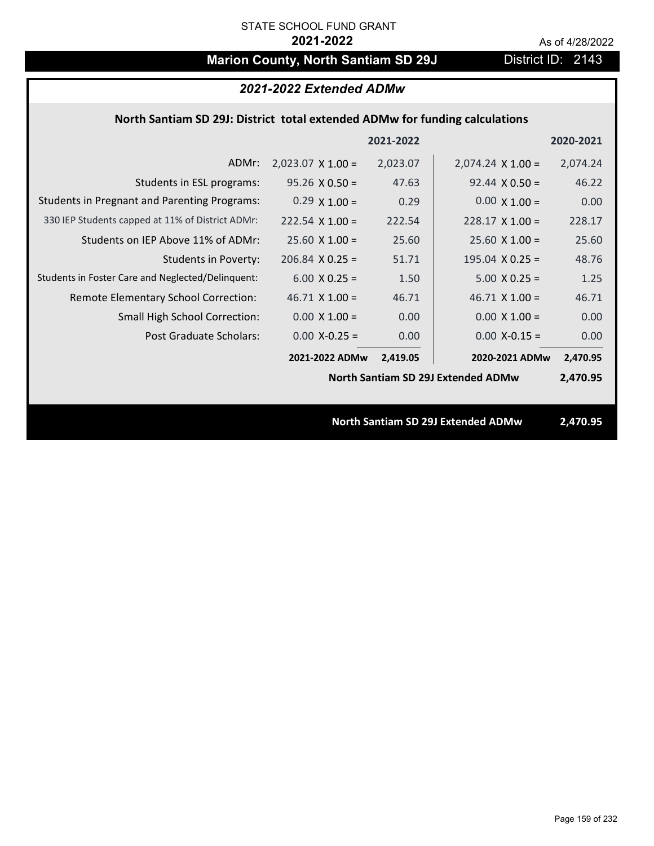# **Marion County, North Santiam SD 29J** District ID: 2143

| 2021-2022 Extended ADMw                                                     |                          |           |                                           |           |  |
|-----------------------------------------------------------------------------|--------------------------|-----------|-------------------------------------------|-----------|--|
| North Santiam SD 29J: District total extended ADMw for funding calculations |                          |           |                                           |           |  |
|                                                                             |                          | 2021-2022 |                                           | 2020-2021 |  |
| ADMr:                                                                       | $2,023.07 \times 1.00 =$ | 2,023.07  | $2,074.24 \times 1.00 =$                  | 2,074.24  |  |
| Students in ESL programs:                                                   | $95.26 \times 0.50 =$    | 47.63     | $92.44 \times 0.50 =$                     | 46.22     |  |
| <b>Students in Pregnant and Parenting Programs:</b>                         | $0.29 \times 1.00 =$     | 0.29      | $0.00 \times 1.00 =$                      | 0.00      |  |
| 330 IEP Students capped at 11% of District ADMr:                            | $222.54 \times 1.00 =$   | 222.54    | $228.17 \times 1.00 =$                    | 228.17    |  |
| Students on IEP Above 11% of ADMr:                                          | $25.60 X 1.00 =$         | 25.60     | $25.60$ X 1.00 =                          | 25.60     |  |
| <b>Students in Poverty:</b>                                                 | $206.84$ X 0.25 =        | 51.71     | 195.04 $X$ 0.25 =                         | 48.76     |  |
| Students in Foster Care and Neglected/Delinquent:                           | $6.00 \times 0.25 =$     | 1.50      | $5.00 X 0.25 =$                           | 1.25      |  |
| Remote Elementary School Correction:                                        | $46.71$ X $1.00 =$       | 46.71     | $46.71$ X $1.00 =$                        | 46.71     |  |
| <b>Small High School Correction:</b>                                        | $0.00 \times 1.00 =$     | 0.00      | $0.00 \times 1.00 =$                      | 0.00      |  |
| Post Graduate Scholars:                                                     | $0.00$ X-0.25 =          | 0.00      | $0.00$ X-0.15 =                           | 0.00      |  |
|                                                                             | 2021-2022 ADMw           | 2,419.05  | 2020-2021 ADMw                            | 2,470.95  |  |
|                                                                             |                          |           | <b>North Santiam SD 29J Extended ADMw</b> | 2,470.95  |  |
|                                                                             |                          |           |                                           |           |  |
|                                                                             |                          |           | <b>North Santiam SD 29J Extended ADMw</b> | 2,470.95  |  |
|                                                                             |                          |           |                                           |           |  |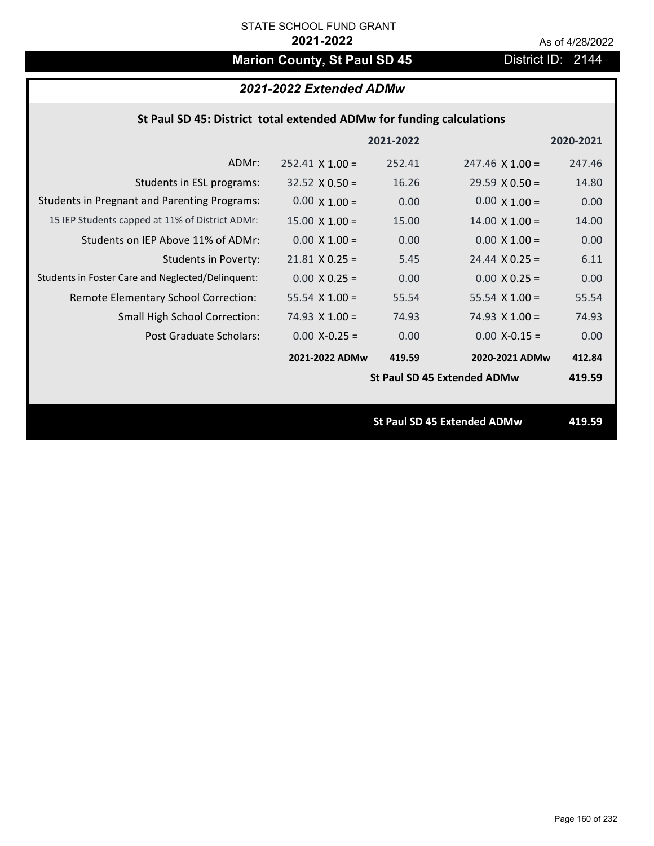# **Marion County, St Paul SD 45** District ID: 2144

# *2021-2022 Extended ADMw*

## **St Paul SD 45: District total extended ADMw for funding calculations**

|                                                     |                        | 2021-2022 |                                    | 2020-2021 |
|-----------------------------------------------------|------------------------|-----------|------------------------------------|-----------|
| ADMr:                                               | $252.41 \times 1.00 =$ | 252.41    | $247.46 \times 1.00 =$             | 247.46    |
| Students in ESL programs:                           | $32.52 \times 0.50 =$  | 16.26     | $29.59 \times 0.50 =$              | 14.80     |
| <b>Students in Pregnant and Parenting Programs:</b> | $0.00 \times 1.00 =$   | 0.00      | $0.00 \times 1.00 =$               | 0.00      |
| 15 IEP Students capped at 11% of District ADMr:     | $15.00 \times 1.00 =$  | 15.00     | $14.00 \times 1.00 =$              | 14.00     |
| Students on IEP Above 11% of ADMr:                  | $0.00 \times 1.00 =$   | 0.00      | $0.00 \times 1.00 =$               | 0.00      |
| <b>Students in Poverty:</b>                         | $21.81$ X 0.25 =       | 5.45      | $24.44 \times 0.25 =$              | 6.11      |
| Students in Foster Care and Neglected/Delinquent:   | $0.00 \times 0.25 =$   | 0.00      | $0.00 \times 0.25 =$               | 0.00      |
| Remote Elementary School Correction:                | 55.54 $X$ 1.00 =       | 55.54     | 55.54 $X$ 1.00 =                   | 55.54     |
| <b>Small High School Correction:</b>                | $74.93 \times 1.00 =$  | 74.93     | $74.93 \times 1.00 =$              | 74.93     |
| Post Graduate Scholars:                             | $0.00$ X-0.25 =        | 0.00      | $0.00$ X-0.15 =                    | 0.00      |
|                                                     | 2021-2022 ADMw         | 419.59    | 2020-2021 ADMw                     | 412.84    |
|                                                     |                        |           | <b>St Paul SD 45 Extended ADMw</b> | 419.59    |
|                                                     |                        |           |                                    |           |
|                                                     |                        |           | <b>St Paul SD 45 Extended ADMw</b> | 419.59    |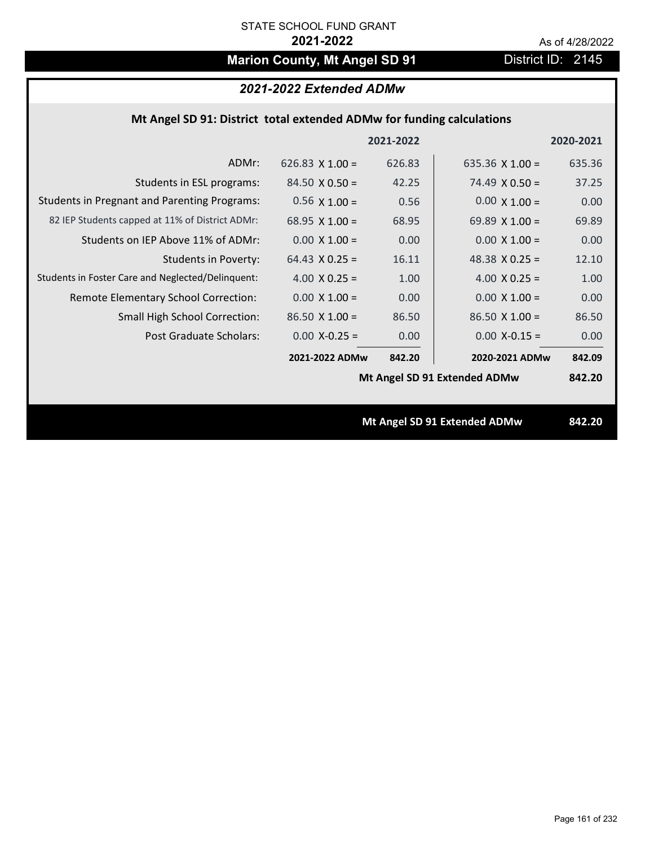# **Marion County, Mt Angel SD 91** District ID: 2145

# *2021-2022 Extended ADMw*

## **Mt Angel SD 91: District total extended ADMw for funding calculations**

|                                                     |                        | 2021-2022 |                              | 2020-2021 |
|-----------------------------------------------------|------------------------|-----------|------------------------------|-----------|
| ADMr:                                               | 626.83 $\times$ 1.00 = | 626.83    | 635.36 $X$ 1.00 =            | 635.36    |
| Students in ESL programs:                           | $84.50 \times 0.50 =$  | 42.25     | $74.49 \times 0.50 =$        | 37.25     |
| <b>Students in Pregnant and Parenting Programs:</b> | $0.56 \times 1.00 =$   | 0.56      | $0.00 \times 1.00 =$         | 0.00      |
| 82 IEP Students capped at 11% of District ADMr:     | 68.95 $X$ 1.00 =       | 68.95     | 69.89 $\times$ 1.00 =        | 69.89     |
| Students on IEP Above 11% of ADMr:                  | $0.00 X 1.00 =$        | 0.00      | $0.00$ X $1.00 =$            | 0.00      |
| <b>Students in Poverty:</b>                         | $64.43 \times 0.25 =$  | 16.11     | 48.38 $X$ 0.25 =             | 12.10     |
| Students in Foster Care and Neglected/Delinquent:   | 4.00 $X$ 0.25 =        | 1.00      | 4.00 $X$ 0.25 =              | 1.00      |
| Remote Elementary School Correction:                | $0.00 \times 1.00 =$   | 0.00      | $0.00 \times 1.00 =$         | 0.00      |
| <b>Small High School Correction:</b>                | $86.50 X 1.00 =$       | 86.50     | $86.50 X 1.00 =$             | 86.50     |
| Post Graduate Scholars:                             | $0.00$ X-0.25 =        | 0.00      | $0.00$ X-0.15 =              | 0.00      |
|                                                     | 2021-2022 ADMw         | 842.20    | 2020-2021 ADMw               | 842.09    |
|                                                     |                        |           | Mt Angel SD 91 Extended ADMw | 842.20    |
|                                                     |                        |           |                              |           |
|                                                     |                        |           | Mt Angel SD 91 Extended ADMw | 842.20    |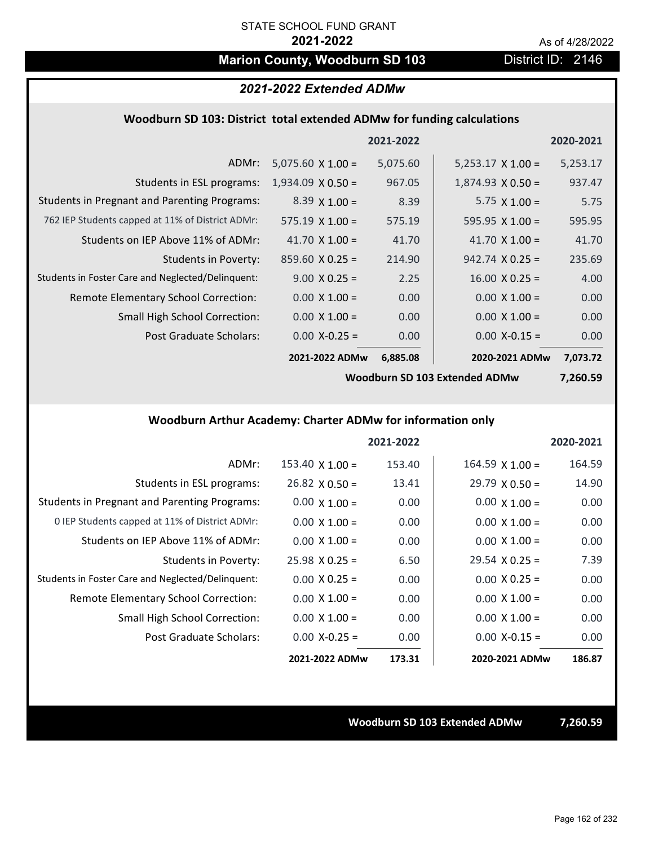# **Marion County, Woodburn SD 103** District ID: 2146

### *2021-2022 Extended ADMw*

### **Woodburn SD 103: District total extended ADMw for funding calculations**

|                                                     |                          | 2021-2022 |                          | 2020-2021 |
|-----------------------------------------------------|--------------------------|-----------|--------------------------|-----------|
| ADMr:                                               | $5,075.60 \times 1.00 =$ | 5,075.60  | $5,253.17 \times 1.00 =$ | 5,253.17  |
| Students in ESL programs:                           | $1,934.09 \times 0.50 =$ | 967.05    | $1,874.93 \times 0.50 =$ | 937.47    |
| <b>Students in Pregnant and Parenting Programs:</b> | $8.39 \times 1.00 =$     | 8.39      | $5.75 \times 1.00 =$     | 5.75      |
| 762 IEP Students capped at 11% of District ADMr:    | $575.19 \times 1.00 =$   | 575.19    | 595.95 $\times$ 1.00 =   | 595.95    |
| Students on IEP Above 11% of ADMr:                  | 41.70 $\times$ 1.00 =    | 41.70     | 41.70 $\times$ 1.00 =    | 41.70     |
| <b>Students in Poverty:</b>                         | $859.60 \times 0.25 =$   | 214.90    | $942.74 \times 0.25 =$   | 235.69    |
| Students in Foster Care and Neglected/Delinquent:   | $9.00 \times 0.25 =$     | 2.25      | $16.00 \times 0.25 =$    | 4.00      |
| Remote Elementary School Correction:                | $0.00 \times 1.00 =$     | 0.00      | $0.00 \times 1.00 =$     | 0.00      |
| <b>Small High School Correction:</b>                | $0.00 \times 1.00 =$     | 0.00      | $0.00 \times 1.00 =$     | 0.00      |
| Post Graduate Scholars:                             | $0.00$ X-0.25 =          | 0.00      | $0.00$ X-0.15 =          | 0.00      |
|                                                     | 2021-2022 ADMw           | 6,885.08  | 2020-2021 ADMw           | 7,073.72  |

**Woodburn SD 103 Extended ADMw**

**7,260.59**

## **Woodburn Arthur Academy: Charter ADMw for information only**

|                                                     |                        | 2021-2022 |                        | 2020-2021 |
|-----------------------------------------------------|------------------------|-----------|------------------------|-----------|
| ADMr:                                               | $153.40 \times 1.00 =$ | 153.40    | $164.59 \times 1.00 =$ | 164.59    |
| Students in ESL programs:                           | $26.82 \times 0.50 =$  | 13.41     | $29.79 \times 0.50 =$  | 14.90     |
| <b>Students in Pregnant and Parenting Programs:</b> | $0.00 \times 1.00 =$   | 0.00      | $0.00 \times 1.00 =$   | 0.00      |
| 0 IEP Students capped at 11% of District ADMr:      | $0.00 \times 1.00 =$   | 0.00      | $0.00 \times 1.00 =$   | 0.00      |
| Students on IEP Above 11% of ADMr:                  | $0.00 \times 1.00 =$   | 0.00      | $0.00 \times 1.00 =$   | 0.00      |
| Students in Poverty:                                | $25.98 \times 0.25 =$  | 6.50      | $29.54 \times 0.25 =$  | 7.39      |
| Students in Foster Care and Neglected/Delinquent:   | $0.00 \times 0.25 =$   | 0.00      | $0.00 \times 0.25 =$   | 0.00      |
| Remote Elementary School Correction:                | $0.00 \times 1.00 =$   | 0.00      | $0.00 \times 1.00 =$   | 0.00      |
| <b>Small High School Correction:</b>                | $0.00 \times 1.00 =$   | 0.00      | $0.00 \times 1.00 =$   | 0.00      |
| Post Graduate Scholars:                             | $0.00$ X-0.25 =        | 0.00      | $0.00 X-0.15 =$        | 0.00      |
|                                                     | 2021-2022 ADMw         | 173.31    | 2020-2021 ADMw         | 186.87    |

**Woodburn SD 103 Extended ADMw 7,260.59**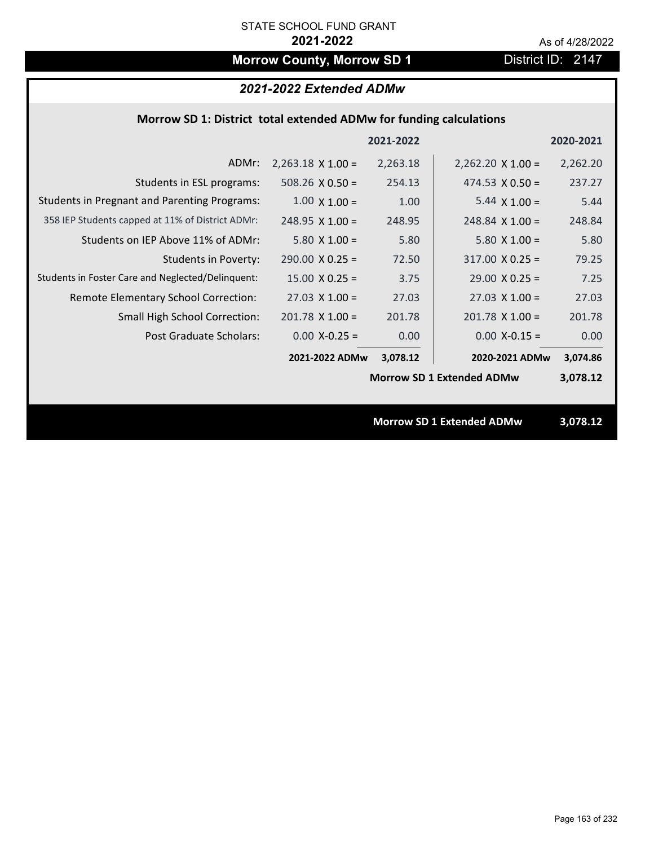# **Morrow County, Morrow SD 1** District ID: 2147

# *2021-2022 Extended ADMw*

### **Morrow SD 1: District total extended ADMw for funding calculations**

|                                                     |                          | 2021-2022 |                                  | 2020-2021 |
|-----------------------------------------------------|--------------------------|-----------|----------------------------------|-----------|
| ADMr:                                               | $2,263.18 \times 1.00 =$ | 2,263.18  | $2,262.20 \times 1.00 =$         | 2,262.20  |
| Students in ESL programs:                           | 508.26 $\times$ 0.50 =   | 254.13    | 474.53 $X$ 0.50 =                | 237.27    |
| <b>Students in Pregnant and Parenting Programs:</b> | $1.00 \times 1.00 =$     | 1.00      | $5.44 \times 1.00 =$             | 5.44      |
| 358 IEP Students capped at 11% of District ADMr:    | $248.95 \times 1.00 =$   | 248.95    | $248.84$ X 1.00 =                | 248.84    |
| Students on IEP Above 11% of ADMr:                  | $5.80 \times 1.00 =$     | 5.80      | $5.80$ X $1.00 =$                | 5.80      |
| <b>Students in Poverty:</b>                         | $290.00 \times 0.25 =$   | 72.50     | $317.00 \times 0.25 =$           | 79.25     |
| Students in Foster Care and Neglected/Delinquent:   | $15.00 \times 0.25 =$    | 3.75      | $29.00 \times 0.25 =$            | 7.25      |
| Remote Elementary School Correction:                | $27.03 \times 1.00 =$    | 27.03     | $27.03 \times 1.00 =$            | 27.03     |
| <b>Small High School Correction:</b>                | $201.78$ X 1.00 =        | 201.78    | $201.78$ X $1.00 =$              | 201.78    |
| Post Graduate Scholars:                             | $0.00$ X-0.25 =          | 0.00      | $0.00$ X-0.15 =                  | 0.00      |
|                                                     | 2021-2022 ADMw           | 3,078.12  | 2020-2021 ADMw                   | 3,074.86  |
|                                                     |                          |           | <b>Morrow SD 1 Extended ADMw</b> | 3,078.12  |
|                                                     |                          |           |                                  |           |
|                                                     |                          |           | <b>Morrow SD 1 Extended ADMw</b> | 3,078.12  |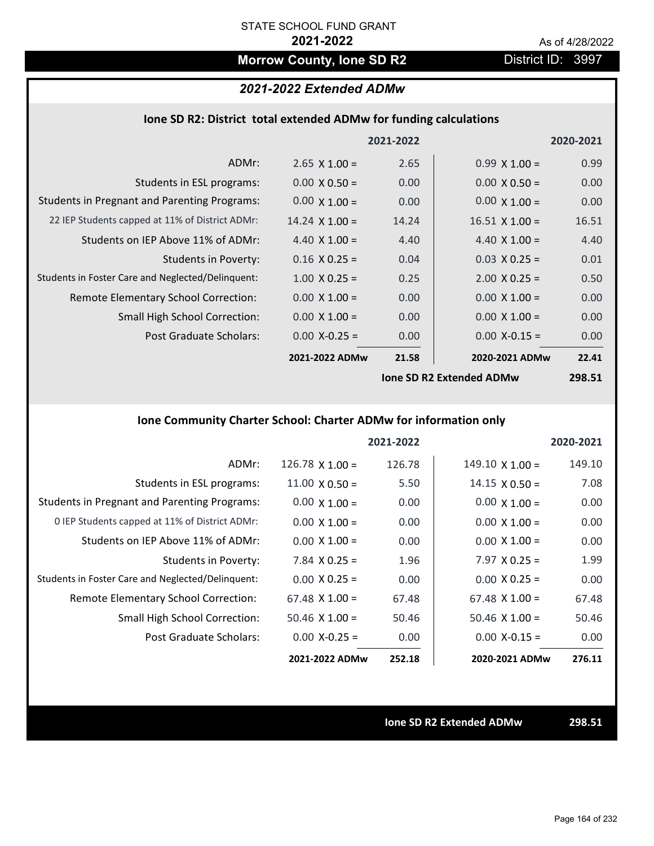# **Morrow County, Ione SD R2** District ID: 3997

# *2021-2022 Extended ADMw*

### **Ione SD R2: District total extended ADMw for funding calculations**

|                                                     |                       | 2021-2022 |                                 | 2020-2021 |
|-----------------------------------------------------|-----------------------|-----------|---------------------------------|-----------|
| ADMr:                                               | $2.65$ X 1.00 =       | 2.65      | $0.99 \times 1.00 =$            | 0.99      |
| Students in ESL programs:                           | $0.00 \times 0.50 =$  | 0.00      | $0.00 \times 0.50 =$            | 0.00      |
| <b>Students in Pregnant and Parenting Programs:</b> | $0.00 \times 1.00 =$  | 0.00      | $0.00 \times 1.00 =$            | 0.00      |
| 22 IEP Students capped at 11% of District ADMr:     | $14.24 \times 1.00 =$ | 14.24     | $16.51 \times 1.00 =$           | 16.51     |
| Students on IEP Above 11% of ADMr:                  | 4.40 $X$ 1.00 =       | 4.40      | 4.40 $X$ 1.00 =                 | 4.40      |
| Students in Poverty:                                | $0.16 \times 0.25 =$  | 0.04      | $0.03 \times 0.25 =$            | 0.01      |
| Students in Foster Care and Neglected/Delinguent:   | $1.00 \times 0.25 =$  | 0.25      | $2.00 \times 0.25 =$            | 0.50      |
| Remote Elementary School Correction:                | $0.00 \times 1.00 =$  | 0.00      | $0.00 \times 1.00 =$            | 0.00      |
| <b>Small High School Correction:</b>                | $0.00 \times 1.00 =$  | 0.00      | $0.00 \times 1.00 =$            | 0.00      |
| Post Graduate Scholars:                             | $0.00$ X-0.25 =       | 0.00      | $0.00$ X-0.15 =                 | 0.00      |
|                                                     | 2021-2022 ADMw        | 21.58     | 2020-2021 ADMw                  | 22.41     |
|                                                     |                       |           | <b>Ione SD R2 Extended ADMw</b> | 298.51    |

## **Ione Community Charter School: Charter ADMw for information only**

|                                                     |                        | 2021-2022 |                        | 2020-2021 |
|-----------------------------------------------------|------------------------|-----------|------------------------|-----------|
| ADMr:                                               | $126.78 \times 1.00 =$ | 126.78    | $149.10 \times 1.00 =$ | 149.10    |
| Students in ESL programs:                           | $11.00 \times 0.50 =$  | 5.50      | $14.15 \times 0.50 =$  | 7.08      |
| <b>Students in Pregnant and Parenting Programs:</b> | $0.00 \times 1.00 =$   | 0.00      | $0.00 \times 1.00 =$   | 0.00      |
| 0 IEP Students capped at 11% of District ADMr:      | $0.00 \times 1.00 =$   | 0.00      | $0.00 \times 1.00 =$   | 0.00      |
| Students on IEP Above 11% of ADMr:                  | $0.00 \times 1.00 =$   | 0.00      | $0.00 \times 1.00 =$   | 0.00      |
| Students in Poverty:                                | 7.84 $X$ 0.25 =        | 1.96      | $7.97 \times 0.25 =$   | 1.99      |
| Students in Foster Care and Neglected/Delinquent:   | $0.00 \times 0.25 =$   | 0.00      | $0.00 \times 0.25 =$   | 0.00      |
| Remote Elementary School Correction:                | $67.48 \times 1.00 =$  | 67.48     | $67.48 \times 1.00 =$  | 67.48     |
| <b>Small High School Correction:</b>                | $50.46 \times 1.00 =$  | 50.46     | $50.46 \times 1.00 =$  | 50.46     |
| Post Graduate Scholars:                             | $0.00$ X-0.25 =        | 0.00      | $0.00$ X-0.15 =        | 0.00      |
|                                                     | 2021-2022 ADMw         | 252.18    | 2020-2021 ADMw         | 276.11    |

**Ione SD R2 Extended ADMw 298.51**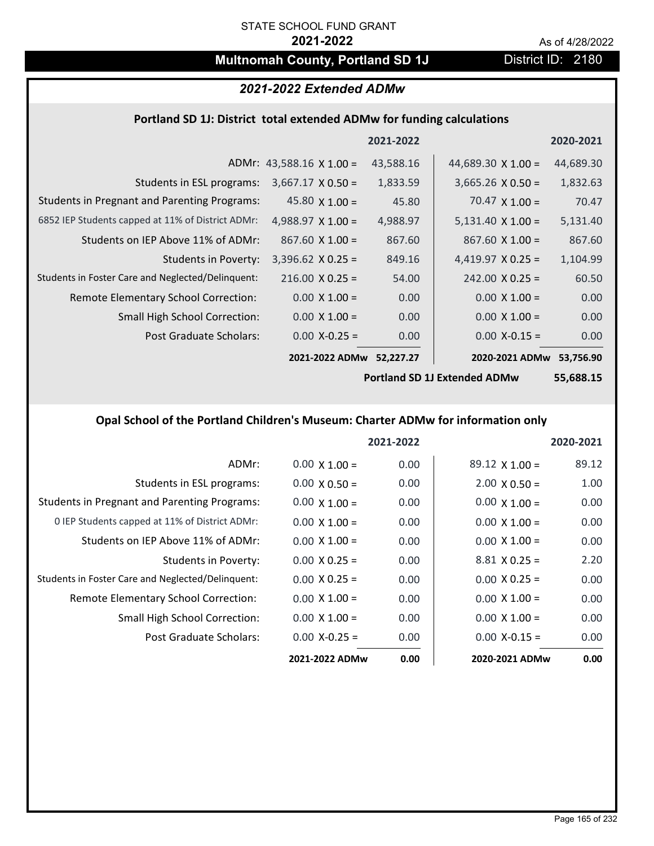# **Multnomah County, Portland SD 1J** District ID: 2180

### *2021-2022 Extended ADMw*

### **Portland SD 1J: District total extended ADMw for funding calculations**

|                                                     |                                 | 2021-2022 |                           | 2020-2021 |
|-----------------------------------------------------|---------------------------------|-----------|---------------------------|-----------|
|                                                     | ADMr: 43,588.16 $\times$ 1.00 = | 43,588.16 | 44,689.30 $\times$ 1.00 = | 44,689.30 |
| Students in ESL programs:                           | $3,667.17 \times 0.50 =$        | 1,833.59  | $3,665.26 \times 0.50 =$  | 1,832.63  |
| <b>Students in Pregnant and Parenting Programs:</b> | 45.80 $\times$ 1.00 =           | 45.80     | $70.47 \times 1.00 =$     | 70.47     |
| 6852 IEP Students capped at 11% of District ADMr:   | 4,988.97 $\times$ 1.00 =        | 4,988.97  | $5,131.40 \times 1.00 =$  | 5,131.40  |
| Students on IEP Above 11% of ADMr:                  | $867.60 \times 1.00 =$          | 867.60    | $867.60 \times 1.00 =$    | 867.60    |
| Students in Poverty:                                | $3,396.62$ X 0.25 =             | 849.16    | 4,419.97 $X$ 0.25 =       | 1,104.99  |
| Students in Foster Care and Neglected/Delinquent:   | $216.00 \times 0.25 =$          | 54.00     | $242.00 \times 0.25 =$    | 60.50     |
| Remote Elementary School Correction:                | $0.00 \times 1.00 =$            | 0.00      | $0.00 \times 1.00 =$      | 0.00      |
| <b>Small High School Correction:</b>                | $0.00 \times 1.00 =$            | 0.00      | $0.00 \times 1.00 =$      | 0.00      |
| Post Graduate Scholars:                             | $0.00$ X-0.25 =                 | 0.00      | $0.00$ X-0.15 =           | 0.00      |
|                                                     | 2021-2022 ADMw                  | 52,227.27 | 2020-2021 ADMw            | 53,756.90 |

**Portland SD 1J Extended ADMw**

**55,688.15**

### **Opal School of the Portland Children's Museum: Charter ADMw for information only**

|                                                     |                      | 2021-2022 |                       | 2020-2021 |
|-----------------------------------------------------|----------------------|-----------|-----------------------|-----------|
| ADMr:                                               | $0.00 \times 1.00 =$ | 0.00      | $89.12 \times 1.00 =$ | 89.12     |
| Students in ESL programs:                           | $0.00 \times 0.50 =$ | 0.00      | $2.00 \times 0.50 =$  | 1.00      |
| <b>Students in Pregnant and Parenting Programs:</b> | $0.00 \times 1.00 =$ | 0.00      | $0.00 \times 1.00 =$  | 0.00      |
| 0 IEP Students capped at 11% of District ADMr:      | $0.00 \times 1.00 =$ | 0.00      | $0.00 \times 1.00 =$  | 0.00      |
| Students on IEP Above 11% of ADMr:                  | $0.00 \times 1.00 =$ | 0.00      | $0.00 \times 1.00 =$  | 0.00      |
| Students in Poverty:                                | $0.00 \times 0.25 =$ | 0.00      | $8.81 \times 0.25 =$  | 2.20      |
| Students in Foster Care and Neglected/Delinquent:   | $0.00 \times 0.25 =$ | 0.00      | $0.00 \times 0.25 =$  | 0.00      |
| Remote Elementary School Correction:                | $0.00 \times 1.00 =$ | 0.00      | $0.00 \times 1.00 =$  | 0.00      |
| <b>Small High School Correction:</b>                | $0.00 \times 1.00 =$ | 0.00      | $0.00 \times 1.00 =$  | 0.00      |
| Post Graduate Scholars:                             | $0.00 X-0.25 =$      | 0.00      | $0.00 X - 0.15 =$     | 0.00      |
|                                                     | 2021-2022 ADMw       | 0.00      | 2020-2021 ADMw        | 0.00      |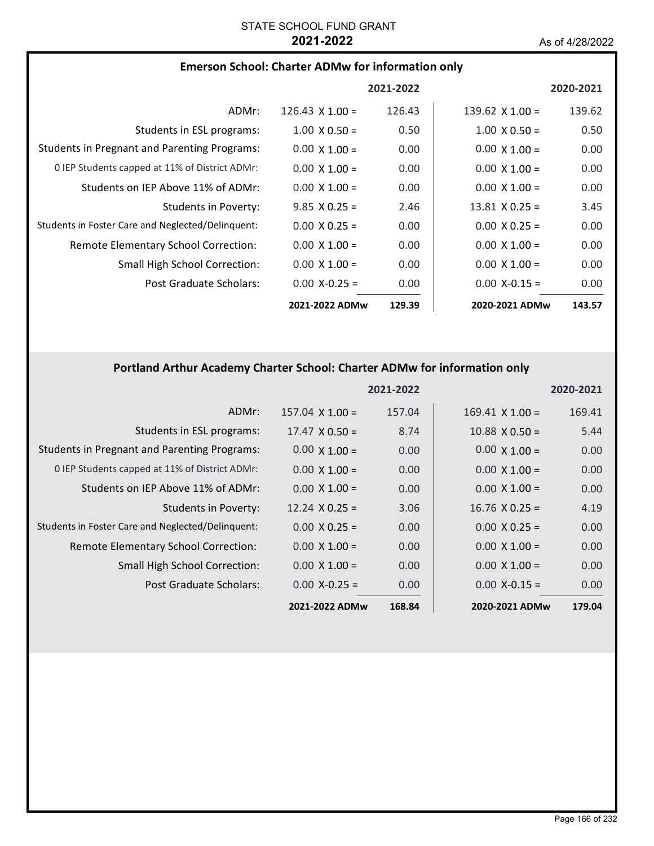| <b>Emerson School: Charter ADMw for information only</b> |  |  |  |
|----------------------------------------------------------|--|--|--|
|----------------------------------------------------------|--|--|--|

|                                                     |                      | 2021-2022 |                        | 2020-2021 |
|-----------------------------------------------------|----------------------|-----------|------------------------|-----------|
| ADMr:                                               | 126.43 $X$ 1.00 =    | 126.43    | 139.62 $\times$ 1.00 = | 139.62    |
| Students in ESL programs:                           | $1.00 \times 0.50 =$ | 0.50      | $1.00 \times 0.50 =$   | 0.50      |
| <b>Students in Pregnant and Parenting Programs:</b> | $0.00 \times 1.00 =$ | 0.00      | $0.00 \times 1.00 =$   | 0.00      |
| 0 IEP Students capped at 11% of District ADMr:      | $0.00 \times 1.00 =$ | 0.00      | $0.00 \times 1.00 =$   | 0.00      |
| Students on IEP Above 11% of ADMr:                  | $0.00 \times 1.00 =$ | 0.00      | $0.00 \times 1.00 =$   | 0.00      |
| Students in Poverty:                                | $9.85 \times 0.25 =$ | 2.46      | $13.81 \times 0.25 =$  | 3.45      |
| Students in Foster Care and Neglected/Delinquent:   | $0.00 \times 0.25 =$ | 0.00      | $0.00 \times 0.25 =$   | 0.00      |
| <b>Remote Elementary School Correction:</b>         | $0.00 \times 1.00 =$ | 0.00      | $0.00 \times 1.00 =$   | 0.00      |
| <b>Small High School Correction:</b>                | $0.00 \times 1.00 =$ | 0.00      | $0.00 \times 1.00 =$   | 0.00      |
| Post Graduate Scholars:                             | $0.00 X - 0.25 =$    | 0.00      | $0.00 X - 0.15 =$      | 0.00      |
|                                                     | 2021-2022 ADMw       | 129.39    | 2020-2021 ADMw         | 143.57    |

# **Portland Arthur Academy Charter School: Charter ADMw for information only**

|                                                     |                        | 2021-2022 |                        | 2020-2021 |
|-----------------------------------------------------|------------------------|-----------|------------------------|-----------|
| ADMr:                                               | $157.04 \times 1.00 =$ | 157.04    | $169.41 \times 1.00 =$ | 169.41    |
| Students in ESL programs:                           | $17.47 \times 0.50 =$  | 8.74      | $10.88$ X $0.50 =$     | 5.44      |
| <b>Students in Pregnant and Parenting Programs:</b> | $0.00 \times 1.00 =$   | 0.00      | $0.00 \times 1.00 =$   | 0.00      |
| 0 IEP Students capped at 11% of District ADMr:      | $0.00 \times 1.00 =$   | 0.00      | $0.00 \times 1.00 =$   | 0.00      |
| Students on IEP Above 11% of ADMr:                  | $0.00 \times 1.00 =$   | 0.00      | $0.00 \times 1.00 =$   | 0.00      |
| Students in Poverty:                                | $12.24 \times 0.25 =$  | 3.06      | $16.76 \times 0.25 =$  | 4.19      |
| Students in Foster Care and Neglected/Delinquent:   | $0.00 \times 0.25 =$   | 0.00      | $0.00 \times 0.25 =$   | 0.00      |
| Remote Elementary School Correction:                | $0.00 \times 1.00 =$   | 0.00      | $0.00 \times 1.00 =$   | 0.00      |
| <b>Small High School Correction:</b>                | $0.00 \times 1.00 =$   | 0.00      | $0.00 \times 1.00 =$   | 0.00      |
| Post Graduate Scholars:                             | $0.00$ X-0.25 =        | 0.00      | $0.00$ X-0.15 =        | 0.00      |
|                                                     | 2021-2022 ADMw         | 168.84    | 2020-2021 ADMw         | 179.04    |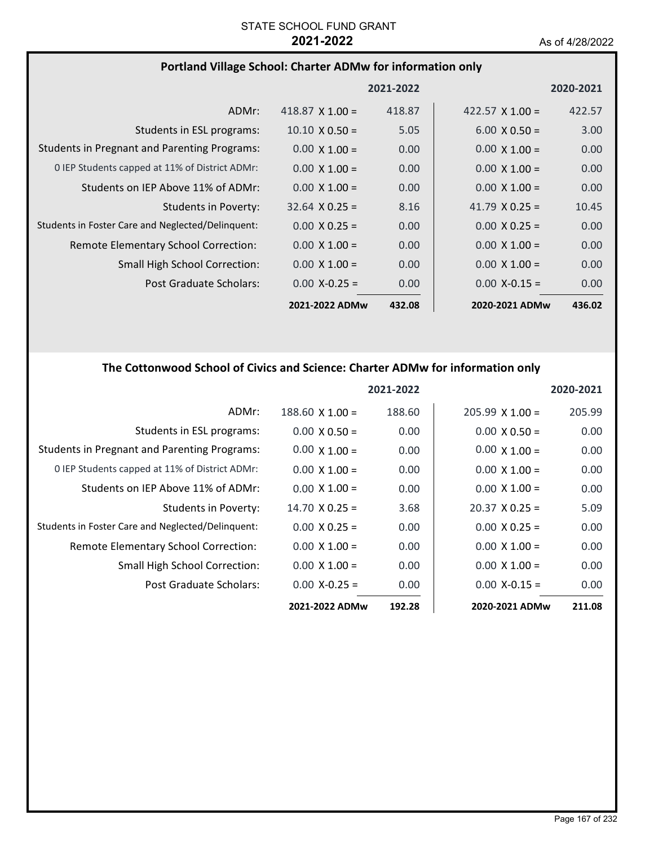# **Portland Village School: Charter ADMw for information only**

|                                                     |                        | 2021-2022 |                        | 2020-2021 |
|-----------------------------------------------------|------------------------|-----------|------------------------|-----------|
| ADMr:                                               | 418.87 $\times$ 1.00 = | 418.87    | 422.57 $\times$ 1.00 = | 422.57    |
| Students in ESL programs:                           | $10.10 \times 0.50 =$  | 5.05      | $6.00 \times 0.50 =$   | 3.00      |
| <b>Students in Pregnant and Parenting Programs:</b> | $0.00 \times 1.00 =$   | 0.00      | $0.00 \times 1.00 =$   | 0.00      |
| 0 IEP Students capped at 11% of District ADMr:      | $0.00 \times 1.00 =$   | 0.00      | $0.00 \times 1.00 =$   | 0.00      |
| Students on IEP Above 11% of ADMr:                  | $0.00 \times 1.00 =$   | 0.00      | $0.00 \times 1.00 =$   | 0.00      |
| Students in Poverty:                                | $32.64 \times 0.25 =$  | 8.16      | 41.79 $\times$ 0.25 =  | 10.45     |
| Students in Foster Care and Neglected/Delinquent:   | $0.00 \times 0.25 =$   | 0.00      | $0.00 \times 0.25 =$   | 0.00      |
| Remote Elementary School Correction:                | $0.00 \times 1.00 =$   | 0.00      | $0.00 \times 1.00 =$   | 0.00      |
| <b>Small High School Correction:</b>                | $0.00 \times 1.00 =$   | 0.00      | $0.00 \times 1.00 =$   | 0.00      |
| Post Graduate Scholars:                             | $0.00$ X-0.25 =        | 0.00      | $0.00$ X-0.15 =        | 0.00      |
|                                                     | 2021-2022 ADMw         | 432.08    | 2020-2021 ADMw         | 436.02    |

# **The Cottonwood School of Civics and Science: Charter ADMw for information only**

|                                                     |                        | 2021-2022 |                       | 2020-2021 |
|-----------------------------------------------------|------------------------|-----------|-----------------------|-----------|
| ADMr:                                               | $188.60 \times 1.00 =$ | 188.60    | $205.99$ X 1.00 =     | 205.99    |
| Students in ESL programs:                           | $0.00 \times 0.50 =$   | 0.00      | $0.00 \times 0.50 =$  | 0.00      |
| <b>Students in Pregnant and Parenting Programs:</b> | $0.00 \times 1.00 =$   | 0.00      | $0.00 \times 1.00 =$  | 0.00      |
| 0 IEP Students capped at 11% of District ADMr:      | $0.00 \times 1.00 =$   | 0.00      | $0.00 \times 1.00 =$  | 0.00      |
| Students on IEP Above 11% of ADMr:                  | $0.00 \times 1.00 =$   | 0.00      | $0.00 \times 1.00 =$  | 0.00      |
| Students in Poverty:                                | $14.70 \times 0.25 =$  | 3.68      | $20.37 \times 0.25 =$ | 5.09      |
| Students in Foster Care and Neglected/Delinquent:   | $0.00 \times 0.25 =$   | 0.00      | $0.00 \times 0.25 =$  | 0.00      |
| Remote Elementary School Correction:                | $0.00 \times 1.00 =$   | 0.00      | $0.00 \times 1.00 =$  | 0.00      |
| <b>Small High School Correction:</b>                | $0.00 \times 1.00 =$   | 0.00      | $0.00 \times 1.00 =$  | 0.00      |
| Post Graduate Scholars:                             | $0.00$ X-0.25 =        | 0.00      | $0.00 X-0.15 =$       | 0.00      |
|                                                     | 2021-2022 ADMw         | 192.28    | 2020-2021 ADMw        | 211.08    |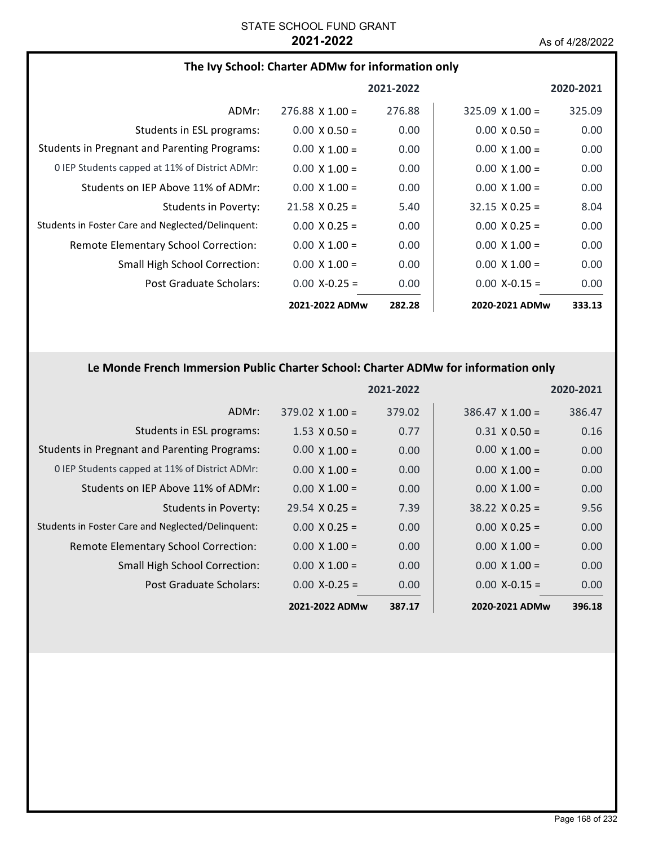## **The Ivy School: Charter ADMw for information only**

|                                                     |                        | 2021-2022 |                        | 2020-2021 |
|-----------------------------------------------------|------------------------|-----------|------------------------|-----------|
| ADMr:                                               | $276.88 \times 1.00 =$ | 276.88    | $325.09 \times 1.00 =$ | 325.09    |
| Students in ESL programs:                           | $0.00 \times 0.50 =$   | 0.00      | $0.00 \times 0.50 =$   | 0.00      |
| <b>Students in Pregnant and Parenting Programs:</b> | $0.00 \times 1.00 =$   | 0.00      | $0.00 \times 1.00 =$   | 0.00      |
| 0 IEP Students capped at 11% of District ADMr:      | $0.00 \times 1.00 =$   | 0.00      | $0.00 \times 1.00 =$   | 0.00      |
| Students on IEP Above 11% of ADMr:                  | $0.00 \times 1.00 =$   | 0.00      | $0.00 \times 1.00 =$   | 0.00      |
| Students in Poverty:                                | $21.58 \times 0.25 =$  | 5.40      | $32.15 \times 0.25 =$  | 8.04      |
| Students in Foster Care and Neglected/Delinquent:   | $0.00 \times 0.25 =$   | 0.00      | $0.00 \times 0.25 =$   | 0.00      |
| <b>Remote Elementary School Correction:</b>         | $0.00 \times 1.00 =$   | 0.00      | $0.00 \times 1.00 =$   | 0.00      |
| Small High School Correction:                       | $0.00 \times 1.00 =$   | 0.00      | $0.00 \times 1.00 =$   | 0.00      |
| Post Graduate Scholars:                             | $0.00 X - 0.25 =$      | 0.00      | $0.00 X - 0.15 =$      | 0.00      |
|                                                     | 2021-2022 ADMw         | 282.28    | 2020-2021 ADMw         | 333.13    |

### **Le Monde French Immersion Public Charter School: Charter ADMw for information only**

|                                                     |                        | 2021-2022 |                       | 2020-2021 |
|-----------------------------------------------------|------------------------|-----------|-----------------------|-----------|
| ADMr:                                               | $379.02 \times 1.00 =$ | 379.02    | $386.47$ X 1.00 =     | 386.47    |
| Students in ESL programs:                           | $1.53 \times 0.50 =$   | 0.77      | $0.31 \times 0.50 =$  | 0.16      |
| <b>Students in Pregnant and Parenting Programs:</b> | $0.00 \times 1.00 =$   | 0.00      | $0.00 \times 1.00 =$  | 0.00      |
| 0 IEP Students capped at 11% of District ADMr:      | $0.00 \times 1.00 =$   | 0.00      | $0.00 \times 1.00 =$  | 0.00      |
| Students on IEP Above 11% of ADMr:                  | $0.00 \times 1.00 =$   | 0.00      | $0.00 \times 1.00 =$  | 0.00      |
| <b>Students in Poverty:</b>                         | $29.54 \times 0.25 =$  | 7.39      | $38.22 \times 0.25 =$ | 9.56      |
| Students in Foster Care and Neglected/Delinquent:   | $0.00 \times 0.25 =$   | 0.00      | $0.00 \times 0.25 =$  | 0.00      |
| Remote Elementary School Correction:                | $0.00 \times 1.00 =$   | 0.00      | $0.00 \times 1.00 =$  | 0.00      |
| <b>Small High School Correction:</b>                | $0.00 \times 1.00 =$   | 0.00      | $0.00 \times 1.00 =$  | 0.00      |
| Post Graduate Scholars:                             | $0.00 X-0.25 =$        | 0.00      | $0.00$ X-0.15 =       | 0.00      |
|                                                     | 2021-2022 ADMw         | 387.17    | 2020-2021 ADMw        | 396.18    |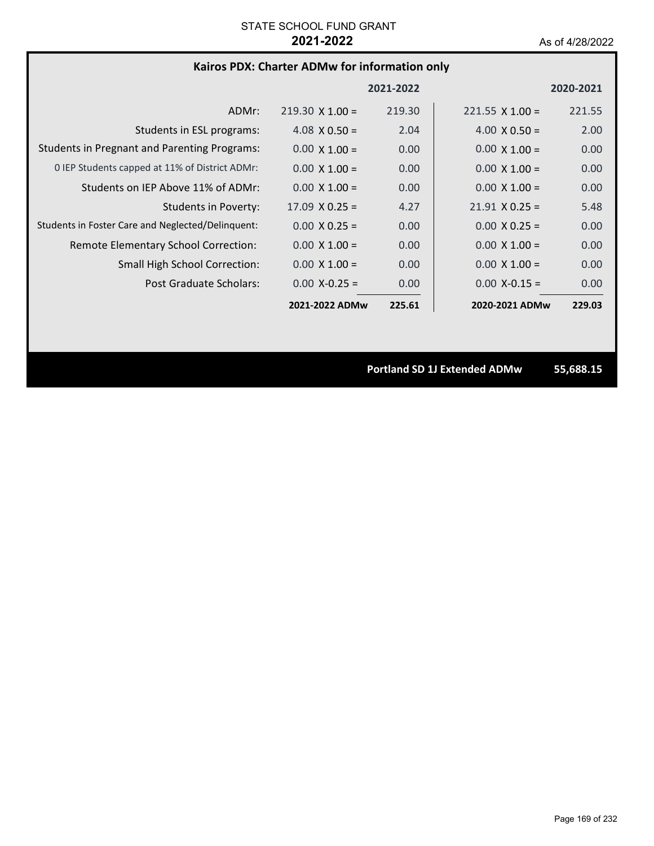### **Kairos PDX: Charter ADMw for information only**

|                                                     |                        | 2021-2022 |                        | 2020-2021 |
|-----------------------------------------------------|------------------------|-----------|------------------------|-----------|
| ADMr:                                               | $219.30 \times 1.00 =$ | 219.30    | $221.55 \times 1.00 =$ | 221.55    |
| Students in ESL programs:                           | 4.08 $\times$ 0.50 =   | 2.04      | 4.00 $\times$ 0.50 =   | 2.00      |
| <b>Students in Pregnant and Parenting Programs:</b> | $0.00 \times 1.00 =$   | 0.00      | $0.00 \times 1.00 =$   | 0.00      |
| 0 IEP Students capped at 11% of District ADMr:      | $0.00 \times 1.00 =$   | 0.00      | $0.00 \times 1.00 =$   | 0.00      |
| Students on IEP Above 11% of ADMr:                  | $0.00 \times 1.00 =$   | 0.00      | $0.00 \times 1.00 =$   | 0.00      |
| Students in Poverty:                                | $17.09 \times 0.25 =$  | 4.27      | $21.91 \times 0.25 =$  | 5.48      |
| Students in Foster Care and Neglected/Delinquent:   | $0.00 \times 0.25 =$   | 0.00      | $0.00 \times 0.25 =$   | 0.00      |
| Remote Elementary School Correction:                | $0.00 \times 1.00 =$   | 0.00      | $0.00 \times 1.00 =$   | 0.00      |
| <b>Small High School Correction:</b>                | $0.00 \times 1.00 =$   | 0.00      | $0.00 \times 1.00 =$   | 0.00      |
| Post Graduate Scholars:                             | $0.00 X - 0.25 =$      | 0.00      | $0.00$ X-0.15 =        | 0.00      |
|                                                     | 2021-2022 ADMw         | 225.61    | 2020-2021 ADMw         | 229.03    |

**Portland SD 1J Extended ADMw 55,688.15**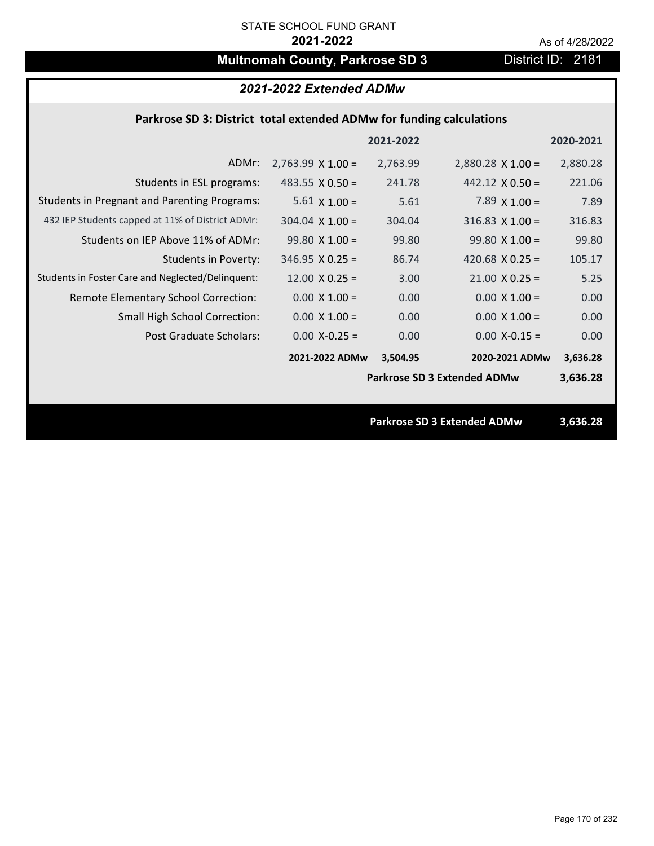# **Multnomah County, Parkrose SD 3** District ID: 2181

## *2021-2022 Extended ADMw*

### **Parkrose SD 3: District total extended ADMw for funding calculations**

|                                                     |                          | 2021-2022 |                                    | 2020-2021 |
|-----------------------------------------------------|--------------------------|-----------|------------------------------------|-----------|
| ADMr:                                               | $2,763.99 \times 1.00 =$ | 2,763.99  | $2,880.28 \times 1.00 =$           | 2,880.28  |
| Students in ESL programs:                           | 483.55 $\times$ 0.50 =   | 241.78    | $442.12 \times 0.50 =$             | 221.06    |
| <b>Students in Pregnant and Parenting Programs:</b> | $5.61 \times 1.00 =$     | 5.61      | 7.89 $\times$ 1.00 =               | 7.89      |
| 432 IEP Students capped at 11% of District ADMr:    | $304.04 \times 1.00 =$   | 304.04    | $316.83 \times 1.00 =$             | 316.83    |
| Students on IEP Above 11% of ADMr:                  | $99.80 X 1.00 =$         | 99.80     | $99.80 X 1.00 =$                   | 99.80     |
| <b>Students in Poverty:</b>                         | $346.95 \times 0.25 =$   | 86.74     | 420.68 $X$ 0.25 =                  | 105.17    |
| Students in Foster Care and Neglected/Delinquent:   | $12.00 \times 0.25 =$    | 3.00      | $21.00 \times 0.25 =$              | 5.25      |
| Remote Elementary School Correction:                | $0.00 \times 1.00 =$     | 0.00      | $0.00 \times 1.00 =$               | 0.00      |
| <b>Small High School Correction:</b>                | $0.00 \times 1.00 =$     | 0.00      | $0.00 \times 1.00 =$               | 0.00      |
| Post Graduate Scholars:                             | $0.00$ X-0.25 =          | 0.00      | $0.00$ X-0.15 =                    | 0.00      |
|                                                     | 2021-2022 ADMw           | 3,504.95  | 2020-2021 ADMw                     | 3,636.28  |
|                                                     |                          |           | <b>Parkrose SD 3 Extended ADMw</b> | 3,636.28  |
|                                                     |                          |           |                                    |           |
|                                                     |                          |           | <b>Parkrose SD 3 Extended ADMw</b> | 3,636.28  |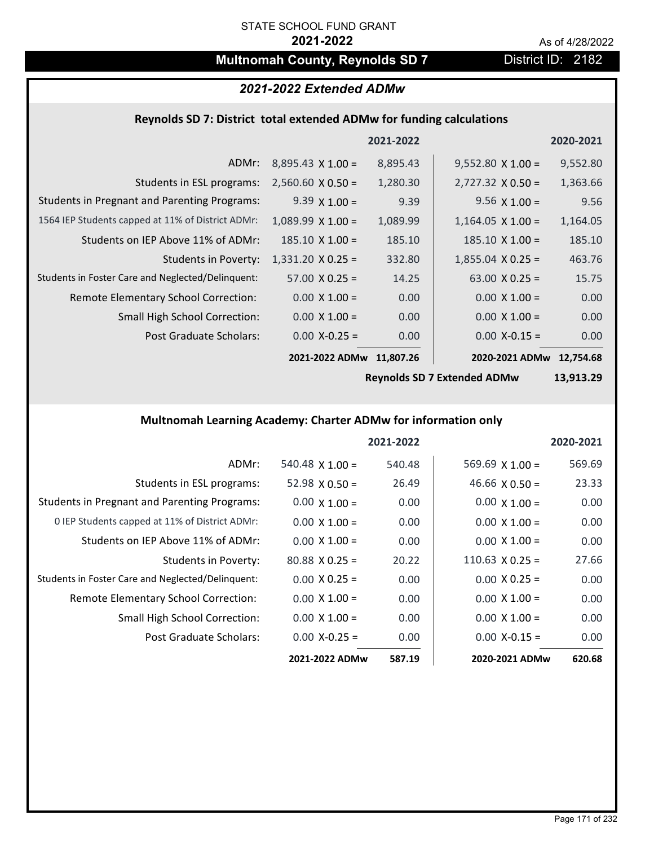# **Multnomah County, Reynolds SD 7** District ID: 2182

# *2021-2022 Extended ADMw*

# **Reynolds SD 7: District total extended ADMw for funding calculations**

|                                                     |                          | 2021-2022 |                          | 2020-2021 |
|-----------------------------------------------------|--------------------------|-----------|--------------------------|-----------|
| ADMr:                                               | $8,895.43 \times 1.00 =$ | 8,895.43  | $9,552.80 \times 1.00 =$ | 9,552.80  |
| Students in ESL programs:                           | $2,560.60 \times 0.50 =$ | 1,280.30  | $2,727.32 \times 0.50 =$ | 1,363.66  |
| <b>Students in Pregnant and Parenting Programs:</b> | $9.39 \times 1.00 =$     | 9.39      | $9.56 \times 1.00 =$     | 9.56      |
| 1564 IEP Students capped at 11% of District ADMr:   | $1,089.99 \times 1.00 =$ | 1,089.99  | $1,164.05 \times 1.00 =$ | 1,164.05  |
| Students on IEP Above 11% of ADMr:                  | $185.10 \times 1.00 =$   | 185.10    | $185.10 \times 1.00 =$   | 185.10    |
| <b>Students in Poverty:</b>                         | $1,331.20 \times 0.25 =$ | 332.80    | $1,855.04 \times 0.25 =$ | 463.76    |
| Students in Foster Care and Neglected/Delinquent:   | $57.00 \times 0.25 =$    | 14.25     | $63.00 \times 0.25 =$    | 15.75     |
| Remote Elementary School Correction:                | $0.00 \times 1.00 =$     | 0.00      | $0.00 \times 1.00 =$     | 0.00      |
| <b>Small High School Correction:</b>                | $0.00 \times 1.00 =$     | 0.00      | $0.00 \times 1.00 =$     | 0.00      |
| Post Graduate Scholars:                             | $0.00$ X-0.25 =          | 0.00      | $0.00$ X-0.15 =          | 0.00      |
|                                                     | 2021-2022 ADMw           | 11,807.26 | 2020-2021 ADMw           | 12,754.68 |

**Reynolds SD 7 Extended ADMw**

**13,913.29**

# **Multnomah Learning Academy: Charter ADMw for information only**

|                                                     |                       | 2021-2022 |                        | 2020-2021 |
|-----------------------------------------------------|-----------------------|-----------|------------------------|-----------|
| ADMr:                                               | $540.48$ X 1.00 =     | 540.48    | 569.69 $X$ 1.00 =      | 569.69    |
| Students in ESL programs:                           | $52.98 \times 0.50 =$ | 26.49     | 46.66 $\times$ 0.50 =  | 23.33     |
| <b>Students in Pregnant and Parenting Programs:</b> | $0.00 \times 1.00 =$  | 0.00      | $0.00 \times 1.00 =$   | 0.00      |
| 0 IEP Students capped at 11% of District ADMr:      | $0.00 \times 1.00 =$  | 0.00      | $0.00 \times 1.00 =$   | 0.00      |
| Students on IEP Above 11% of ADMr:                  | $0.00 \times 1.00 =$  | 0.00      | $0.00 \times 1.00 =$   | 0.00      |
| Students in Poverty:                                | $80.88 \times 0.25 =$ | 20.22     | $110.63 \times 0.25 =$ | 27.66     |
| Students in Foster Care and Neglected/Delinquent:   | $0.00 \times 0.25 =$  | 0.00      | $0.00 \times 0.25 =$   | 0.00      |
| Remote Elementary School Correction:                | $0.00 \times 1.00 =$  | 0.00      | $0.00 \times 1.00 =$   | 0.00      |
| <b>Small High School Correction:</b>                | $0.00 \times 1.00 =$  | 0.00      | $0.00 \times 1.00 =$   | 0.00      |
| Post Graduate Scholars:                             | $0.00 X - 0.25 =$     | 0.00      | $0.00 X-0.15 =$        | 0.00      |
|                                                     | 2021-2022 ADMw        | 587.19    | 2020-2021 ADMw         | 620.68    |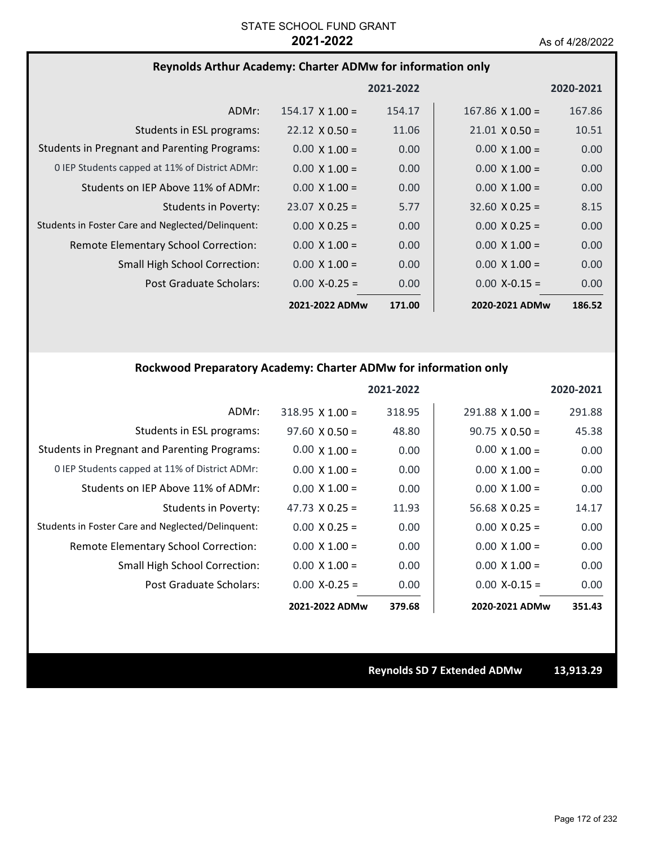## **Reynolds Arthur Academy: Charter ADMw for information only**

|                                                     |                        | 2021-2022 |                        | 2020-2021         |
|-----------------------------------------------------|------------------------|-----------|------------------------|-------------------|
| ADMr:                                               | $154.17 \times 1.00 =$ | 154.17    | $167.86 \times 1.00 =$ | 167.86            |
| Students in ESL programs:                           | $22.12 \times 0.50 =$  | 11.06     | $21.01 \times 0.50 =$  | 10.51             |
| <b>Students in Pregnant and Parenting Programs:</b> | $0.00 \times 1.00 =$   | 0.00      | $0.00 \times 1.00 =$   | 0.00              |
| 0 IEP Students capped at 11% of District ADMr:      | $0.00 \times 1.00 =$   | 0.00      | $0.00 \times 1.00 =$   | 0.00 <sub>1</sub> |
| Students on IEP Above 11% of ADMr:                  | $0.00 \times 1.00 =$   | 0.00      | $0.00 \times 1.00 =$   | 0.00 <sub>1</sub> |
| <b>Students in Poverty:</b>                         | $23.07 \times 0.25 =$  | 5.77      | $32.60 \times 0.25 =$  | 8.15              |
| Students in Foster Care and Neglected/Delinquent:   | $0.00 \times 0.25 =$   | 0.00      | $0.00 \times 0.25 =$   | 0.00              |
| Remote Elementary School Correction:                | $0.00 \times 1.00 =$   | 0.00      | $0.00 \times 1.00 =$   | 0.00              |
| <b>Small High School Correction:</b>                | $0.00 \times 1.00 =$   | 0.00      | $0.00 \times 1.00 =$   | 0.00              |
| Post Graduate Scholars:                             | $0.00 X - 0.25 =$      | 0.00      | $0.00 X - 0.15 =$      | 0.00              |
|                                                     | 2021-2022 ADMw         | 171.00    | 2020-2021 ADMw         | 186.52            |

### **Rockwood Preparatory Academy: Charter ADMw for information only**

|                                                     |                        | 2021-2022 |                        | 2020-2021 |
|-----------------------------------------------------|------------------------|-----------|------------------------|-----------|
| ADMr:                                               | $318.95 \times 1.00 =$ | 318.95    | $291.88 \times 1.00 =$ | 291.88    |
| Students in ESL programs:                           | $97.60 \times 0.50 =$  | 48.80     | $90.75 \times 0.50 =$  | 45.38     |
| <b>Students in Pregnant and Parenting Programs:</b> | $0.00 \times 1.00 =$   | 0.00      | $0.00 \times 1.00 =$   | 0.00      |
| 0 IEP Students capped at 11% of District ADMr:      | $0.00 \times 1.00 =$   | 0.00      | $0.00 \times 1.00 =$   | 0.00      |
| Students on IEP Above 11% of ADMr:                  | $0.00 \times 1.00 =$   | 0.00      | $0.00 \times 1.00 =$   | 0.00      |
| Students in Poverty:                                | 47.73 $\times$ 0.25 =  | 11.93     | $56.68 \times 0.25 =$  | 14.17     |
| Students in Foster Care and Neglected/Delinquent:   | $0.00 \times 0.25 =$   | 0.00      | $0.00 \times 0.25 =$   | 0.00      |
| Remote Elementary School Correction:                | $0.00 \times 1.00 =$   | 0.00      | $0.00 \times 1.00 =$   | 0.00      |
| Small High School Correction:                       | $0.00 \times 1.00 =$   | 0.00      | $0.00 \times 1.00 =$   | 0.00      |
| Post Graduate Scholars:                             | $0.00 X - 0.25 =$      | 0.00      | $0.00 X - 0.15 =$      | 0.00      |
|                                                     | 2021-2022 ADMw         | 379.68    | 2020-2021 ADMw         | 351.43    |

**Reynolds SD 7 Extended ADMw 13,913.29**

Page 172 of 232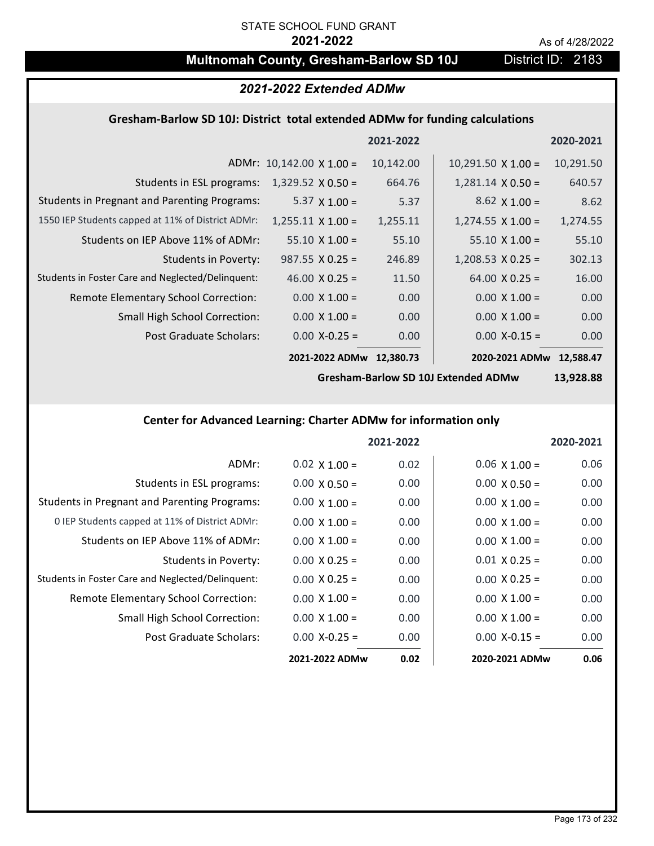# **Multnomah County, Gresham-Barlow SD 10J** District ID: 2183

# *2021-2022 Extended ADMw*

## **Gresham‐Barlow SD 10J: District total extended ADMw for funding calculations**

|                                                     |                                 | 2021-2022 |                           | 2020-2021 |
|-----------------------------------------------------|---------------------------------|-----------|---------------------------|-----------|
|                                                     | ADMr: $10,142.00 \times 1.00 =$ | 10,142.00 | $10,291.50 \times 1.00 =$ | 10,291.50 |
| Students in ESL programs:                           | $1,329.52 \times 0.50 =$        | 664.76    | $1,281.14 \times 0.50 =$  | 640.57    |
| <b>Students in Pregnant and Parenting Programs:</b> | 5.37 $\times$ 1.00 =            | 5.37      | $8.62 \times 1.00 =$      | 8.62      |
| 1550 IEP Students capped at 11% of District ADMr:   | $1,255.11 \times 1.00 =$        | 1,255.11  | $1,274.55 \times 1.00 =$  | 1,274.55  |
| Students on IEP Above 11% of ADMr:                  | $55.10 \times 1.00 =$           | 55.10     | $55.10 \times 1.00 =$     | 55.10     |
| Students in Poverty:                                | $987.55 \times 0.25 =$          | 246.89    | $1,208.53 \times 0.25 =$  | 302.13    |
| Students in Foster Care and Neglected/Delinquent:   | 46.00 $X$ 0.25 =                | 11.50     | $64.00 \times 0.25 =$     | 16.00     |
| Remote Elementary School Correction:                | $0.00 \times 1.00 =$            | 0.00      | $0.00 \times 1.00 =$      | 0.00      |
| <b>Small High School Correction:</b>                | $0.00 \times 1.00 =$            | 0.00      | $0.00 \times 1.00 =$      | 0.00      |
| Post Graduate Scholars:                             | $0.00$ X-0.25 =                 | 0.00      | $0.00$ X-0.15 =           | 0.00      |
|                                                     | 2021-2022 ADMw                  | 12,380.73 | 2020-2021 ADMw            | 12,588.47 |

**Gresham‐Barlow SD 10J Extended ADMw**

**13,928.88**

# **Center for Advanced Learning: Charter ADMw for information only**

|                                                     |                      | 2021-2022 |                      | 2020-2021         |
|-----------------------------------------------------|----------------------|-----------|----------------------|-------------------|
| ADMr:                                               | $0.02 \times 1.00 =$ | 0.02      | $0.06 \times 1.00 =$ | 0.06              |
| Students in ESL programs:                           | $0.00 \times 0.50 =$ | 0.00      | $0.00 \times 0.50 =$ | 0.00              |
| <b>Students in Pregnant and Parenting Programs:</b> | $0.00 \times 1.00 =$ | 0.00      | $0.00 \times 1.00 =$ | 0.00              |
| 0 IEP Students capped at 11% of District ADMr:      | $0.00 \times 1.00 =$ | 0.00      | $0.00 \times 1.00 =$ | 0.00              |
| Students on IEP Above 11% of ADMr:                  | $0.00 \times 1.00 =$ | 0.00      | $0.00 \times 1.00 =$ | 0.00              |
| Students in Poverty:                                | $0.00 \times 0.25 =$ | 0.00      | $0.01 X 0.25 =$      | 0.00 <sub>1</sub> |
| Students in Foster Care and Neglected/Delinquent:   | $0.00 \times 0.25 =$ | 0.00      | $0.00 \times 0.25 =$ | 0.00              |
| <b>Remote Elementary School Correction:</b>         | $0.00 \times 1.00 =$ | 0.00      | $0.00 \times 1.00 =$ | 0.00              |
| <b>Small High School Correction:</b>                | $0.00 \times 1.00 =$ | 0.00      | $0.00 \times 1.00 =$ | 0.00              |
| Post Graduate Scholars:                             | $0.00 X - 0.25 =$    | 0.00      | $0.00 X - 0.15 =$    | 0.00              |
|                                                     | 2021-2022 ADMw       | 0.02      | 2020-2021 ADMw       | 0.06              |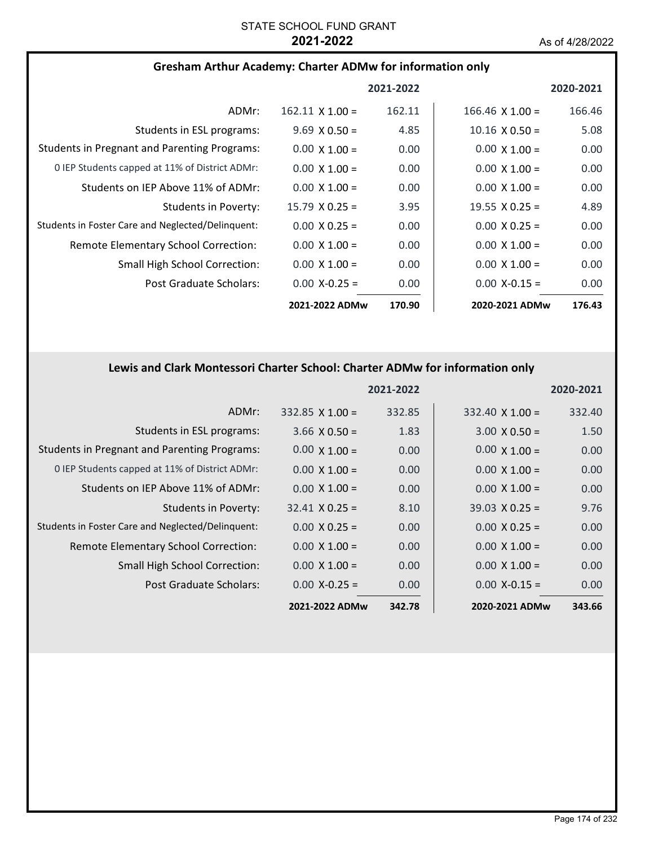### **Gresham Arthur Academy: Charter ADMw for information only**

|                                                     |                        | 2021-2022 |                        | 2020-2021 |
|-----------------------------------------------------|------------------------|-----------|------------------------|-----------|
| ADMr:                                               | $162.11 \times 1.00 =$ | 162.11    | $166.46 \times 1.00 =$ | 166.46    |
| Students in ESL programs:                           | $9.69 \times 0.50 =$   | 4.85      | $10.16 \times 0.50 =$  | 5.08      |
| <b>Students in Pregnant and Parenting Programs:</b> | $0.00 \times 1.00 =$   | 0.00      | $0.00 \times 1.00 =$   | 0.00      |
| 0 IEP Students capped at 11% of District ADMr:      | $0.00 \times 1.00 =$   | 0.00      | $0.00 \times 1.00 =$   | 0.00      |
| Students on IEP Above 11% of ADMr:                  | $0.00 \times 1.00 =$   | 0.00      | $0.00 \times 1.00 =$   | 0.00      |
| Students in Poverty:                                | $15.79 \times 0.25 =$  | 3.95      | 19.55 $\times$ 0.25 =  | 4.89      |
| Students in Foster Care and Neglected/Delinquent:   | $0.00 \times 0.25 =$   | 0.00      | $0.00 \times 0.25 =$   | 0.00      |
| Remote Elementary School Correction:                | $0.00 \times 1.00 =$   | 0.00      | $0.00 \times 1.00 =$   | 0.00      |
| <b>Small High School Correction:</b>                | $0.00 \times 1.00 =$   | 0.00      | $0.00 \times 1.00 =$   | 0.00      |
| Post Graduate Scholars:                             | $0.00 X - 0.25 =$      | 0.00      | $0.00 X - 0.15 =$      | 0.00      |
|                                                     | 2021-2022 ADMw         | 170.90    | 2020-2021 ADMw         | 176.43    |

### **Lewis and Clark Montessori Charter School: Charter ADMw for information only**

|                                                     |                        | 2021-2022 |                        | 2020-2021 |
|-----------------------------------------------------|------------------------|-----------|------------------------|-----------|
| ADMr:                                               | $332.85 \times 1.00 =$ | 332.85    | $332.40 \times 1.00 =$ | 332.40    |
| Students in ESL programs:                           | $3.66 \times 0.50 =$   | 1.83      | $3.00 \times 0.50 =$   | 1.50      |
| <b>Students in Pregnant and Parenting Programs:</b> | $0.00 \times 1.00 =$   | 0.00      | $0.00 \times 1.00 =$   | 0.00      |
| 0 IEP Students capped at 11% of District ADMr:      | $0.00 \times 1.00 =$   | 0.00      | $0.00 \times 1.00 =$   | 0.00      |
| Students on IEP Above 11% of ADMr:                  | $0.00 \times 1.00 =$   | 0.00      | $0.00 \times 1.00 =$   | 0.00      |
| Students in Poverty:                                | $32.41 \times 0.25 =$  | 8.10      | $39.03 \times 0.25 =$  | 9.76      |
| Students in Foster Care and Neglected/Delinquent:   | $0.00 \times 0.25 =$   | 0.00      | $0.00 \times 0.25 =$   | 0.00      |
| Remote Elementary School Correction:                | $0.00 \times 1.00 =$   | 0.00      | $0.00 \times 1.00 =$   | 0.00      |
| <b>Small High School Correction:</b>                | $0.00 \times 1.00 =$   | 0.00      | $0.00 \times 1.00 =$   | 0.00      |
| Post Graduate Scholars:                             | $0.00$ X-0.25 =        | 0.00      | $0.00$ X-0.15 =        | 0.00      |
|                                                     | 2021-2022 ADMw         | 342.78    | 2020-2021 ADMw         | 343.66    |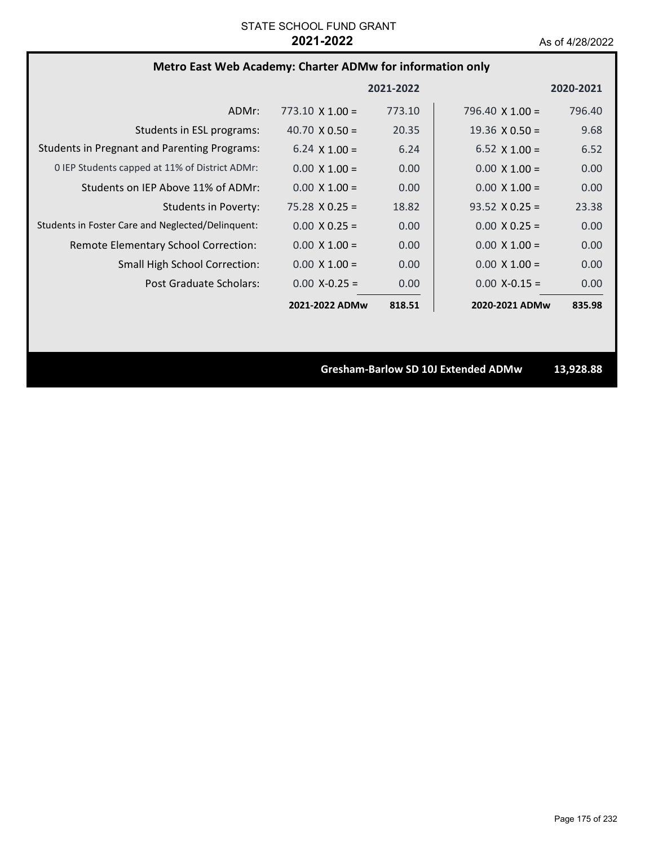# **Metro East Web Academy: Charter ADMw for information only**

|                                                     |                        | 2021-2022 |                        | 2020-2021 |
|-----------------------------------------------------|------------------------|-----------|------------------------|-----------|
| ADMr:                                               | $773.10 \times 1.00 =$ | 773.10    | 796.40 $\times$ 1.00 = | 796.40    |
| Students in ESL programs:                           | 40.70 $\times$ 0.50 =  | 20.35     | $19.36 \times 0.50 =$  | 9.68      |
| <b>Students in Pregnant and Parenting Programs:</b> | $6.24 \times 1.00 =$   | 6.24      | $6.52 \times 1.00 =$   | 6.52      |
| 0 IEP Students capped at 11% of District ADMr:      | $0.00 \times 1.00 =$   | 0.00      | $0.00 \times 1.00 =$   | 0.00      |
| Students on IEP Above 11% of ADMr:                  | $0.00 \times 1.00 =$   | 0.00      | $0.00 \times 1.00 =$   | 0.00      |
| Students in Poverty:                                | $75.28 \times 0.25 =$  | 18.82     | $93.52 \times 0.25 =$  | 23.38     |
| Students in Foster Care and Neglected/Delinquent:   | $0.00 \times 0.25 =$   | 0.00      | $0.00 \times 0.25 =$   | 0.00      |
| Remote Elementary School Correction:                | $0.00 \times 1.00 =$   | 0.00      | $0.00 \times 1.00 =$   | 0.00      |
| <b>Small High School Correction:</b>                | $0.00 \times 1.00 =$   | 0.00      | $0.00 \times 1.00 =$   | 0.00      |
| Post Graduate Scholars:                             | $0.00 X - 0.25 =$      | 0.00      | $0.00$ X-0.15 =        | 0.00      |
|                                                     | 2021-2022 ADMw         | 818.51    | 2020-2021 ADMw         | 835.98    |

**Gresham‐Barlow SD 10J Extended ADMw 13,928.88**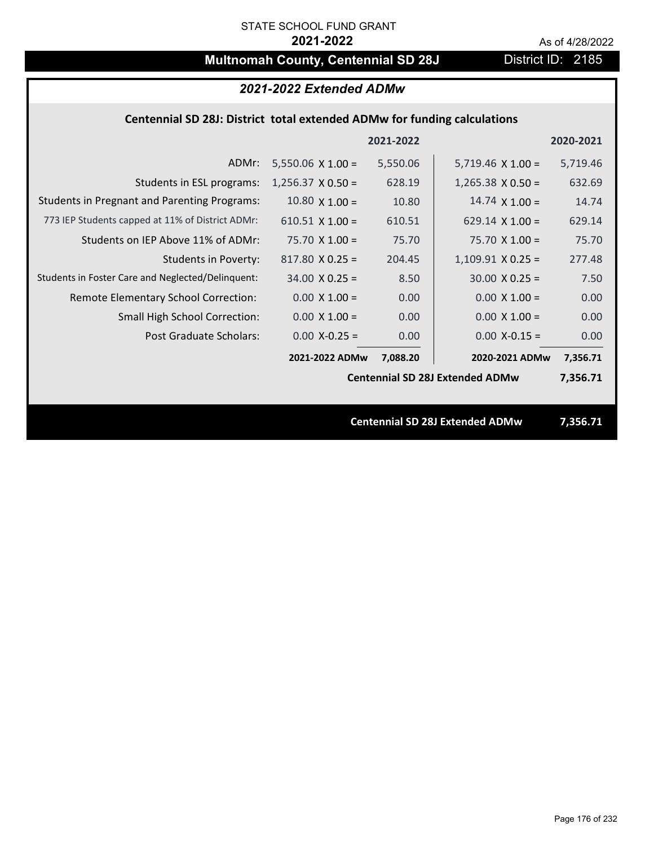# **Multnomah County, Centennial SD 28J** District ID: 2185

# *2021-2022 Extended ADMw*

## **Centennial SD 28J: District total extended ADMw for funding calculations**

|                                                     |                          |           | <b>Centennial SD 28J Extended ADMw</b> | 7,356.71  |
|-----------------------------------------------------|--------------------------|-----------|----------------------------------------|-----------|
|                                                     |                          |           |                                        |           |
|                                                     |                          |           | <b>Centennial SD 28J Extended ADMw</b> | 7,356.71  |
|                                                     | 2021-2022 ADMw           | 7,088.20  | 2020-2021 ADMw                         | 7,356.71  |
| Post Graduate Scholars:                             | $0.00$ X-0.25 =          | 0.00      | $0.00$ X-0.15 =                        | 0.00      |
| <b>Small High School Correction:</b>                | $0.00 \times 1.00 =$     | 0.00      | $0.00 \times 1.00 =$                   | 0.00      |
| Remote Elementary School Correction:                | $0.00 \times 1.00 =$     | 0.00      | $0.00 \times 1.00 =$                   | 0.00      |
| Students in Foster Care and Neglected/Delinquent:   | $34.00 \times 0.25 =$    | 8.50      | $30.00 \times 0.25 =$                  | 7.50      |
| <b>Students in Poverty:</b>                         | $817.80$ X 0.25 =        | 204.45    | $1,109.91$ X 0.25 =                    | 277.48    |
| Students on IEP Above 11% of ADMr:                  | $75.70 \times 1.00 =$    | 75.70     | $75.70$ X 1.00 =                       | 75.70     |
| 773 IEP Students capped at 11% of District ADMr:    | $610.51 \times 1.00 =$   | 610.51    | $629.14 \times 1.00 =$                 | 629.14    |
| <b>Students in Pregnant and Parenting Programs:</b> | $10.80 \times 1.00 =$    | 10.80     | $14.74 \times 1.00 =$                  | 14.74     |
| Students in ESL programs:                           | $1,256.37 \times 0.50 =$ | 628.19    | $1,265.38 \times 0.50 =$               | 632.69    |
| ADMr:                                               | $5,550.06 \times 1.00 =$ | 5,550.06  | $5,719.46 \times 1.00 =$               | 5,719.46  |
|                                                     |                          | 2021-2022 |                                        | 2020-2021 |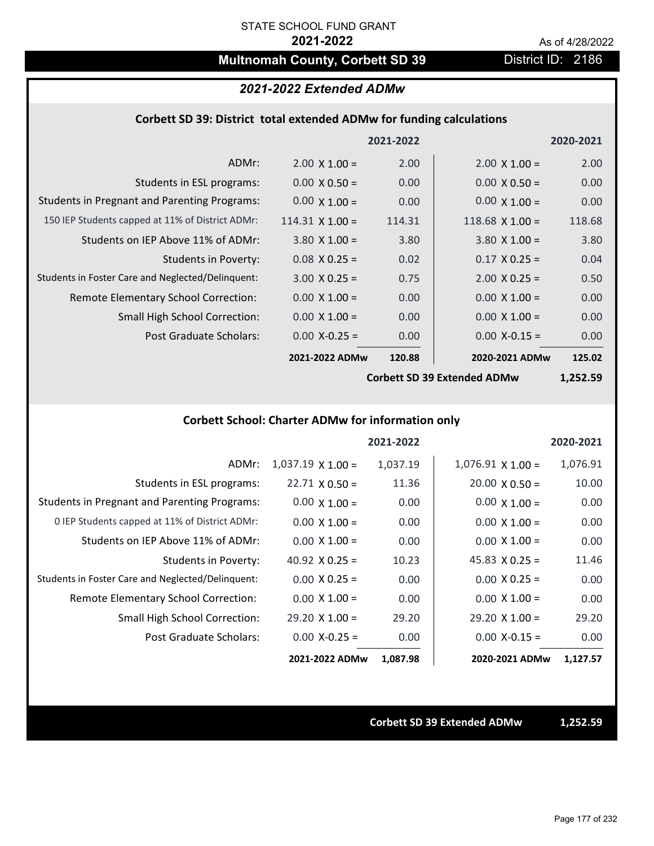# **Multnomah County, Corbett SD 39 District ID: 2186**

### *2021-2022 Extended ADMw*

### **Corbett SD 39: District total extended ADMw for funding calculations**

|                                                     |                        | 2021-2022 |                      | 2020-2021 |
|-----------------------------------------------------|------------------------|-----------|----------------------|-----------|
| ADMr:                                               | $2.00 \times 1.00 =$   | 2.00      | $2.00 \times 1.00 =$ | 2.00      |
| Students in ESL programs:                           | $0.00 \times 0.50 =$   | 0.00      | $0.00 \times 0.50 =$ | 0.00      |
| <b>Students in Pregnant and Parenting Programs:</b> | $0.00 \times 1.00 =$   | 0.00      | $0.00 \times 1.00 =$ | 0.00      |
| 150 IEP Students capped at 11% of District ADMr:    | $114.31 \times 1.00 =$ | 114.31    | $118.68$ X 1.00 =    | 118.68    |
| Students on IEP Above 11% of ADMr:                  | $3.80 \times 1.00 =$   | 3.80      | $3.80 \times 1.00 =$ | 3.80      |
| <b>Students in Poverty:</b>                         | $0.08$ X 0.25 =        | 0.02      | $0.17 \times 0.25 =$ | 0.04      |
| Students in Foster Care and Neglected/Delinquent:   | $3.00 \times 0.25 =$   | 0.75      | $2.00 \times 0.25 =$ | 0.50      |
| Remote Elementary School Correction:                | $0.00 \times 1.00 =$   | 0.00      | $0.00 \times 1.00 =$ | 0.00      |
| <b>Small High School Correction:</b>                | $0.00 \times 1.00 =$   | 0.00      | $0.00 \times 1.00 =$ | 0.00      |
| Post Graduate Scholars:                             | $0.00$ X-0.25 =        | 0.00      | $0.00$ X-0.15 =      | 0.00      |
|                                                     | 2021-2022 ADMw         | 120.88    | 2020-2021 ADMw       | 125.02    |
|                                                     |                        |           |                      |           |

**Corbett SD 39 Extended ADMw**

**1,252.59**

# **Corbett School: Charter ADMw for information only**

|                                                     |                          | 2021-2022 |                       | 2020-2021 |
|-----------------------------------------------------|--------------------------|-----------|-----------------------|-----------|
| ADMr:                                               | $1,037.19 \times 1.00 =$ | 1,037.19  | $1,076.91$ X $1.00 =$ | 1,076.91  |
| Students in ESL programs:                           | $22.71 \times 0.50 =$    | 11.36     | $20.00 \times 0.50 =$ | 10.00     |
| <b>Students in Pregnant and Parenting Programs:</b> | $0.00 \times 1.00 =$     | 0.00      | $0.00 \times 1.00 =$  | 0.00      |
| 0 IEP Students capped at 11% of District ADMr:      | $0.00 \times 1.00 =$     | 0.00      | $0.00 \times 1.00 =$  | 0.00      |
| Students on IEP Above 11% of ADMr:                  | $0.00 \times 1.00 =$     | 0.00      | $0.00 \times 1.00 =$  | 0.00      |
| Students in Poverty:                                | 40.92 $\times$ 0.25 =    | 10.23     | 45.83 $X$ 0.25 =      | 11.46     |
| Students in Foster Care and Neglected/Delinquent:   | $0.00 \times 0.25 =$     | 0.00      | $0.00 \times 0.25 =$  | 0.00      |
| Remote Elementary School Correction:                | $0.00 \times 1.00 =$     | 0.00      | $0.00 \times 1.00 =$  | 0.00      |
| <b>Small High School Correction:</b>                | $29.20 \times 1.00 =$    | 29.20     | $29.20 \times 1.00 =$ | 29.20     |
| Post Graduate Scholars:                             | $0.00$ X-0.25 =          | 0.00      | $0.00$ X-0.15 =       | 0.00      |
|                                                     | 2021-2022 ADMw           | 1,087.98  | 2020-2021 ADMw        | 1,127.57  |

**Corbett SD 39 Extended ADMw 1,252.59**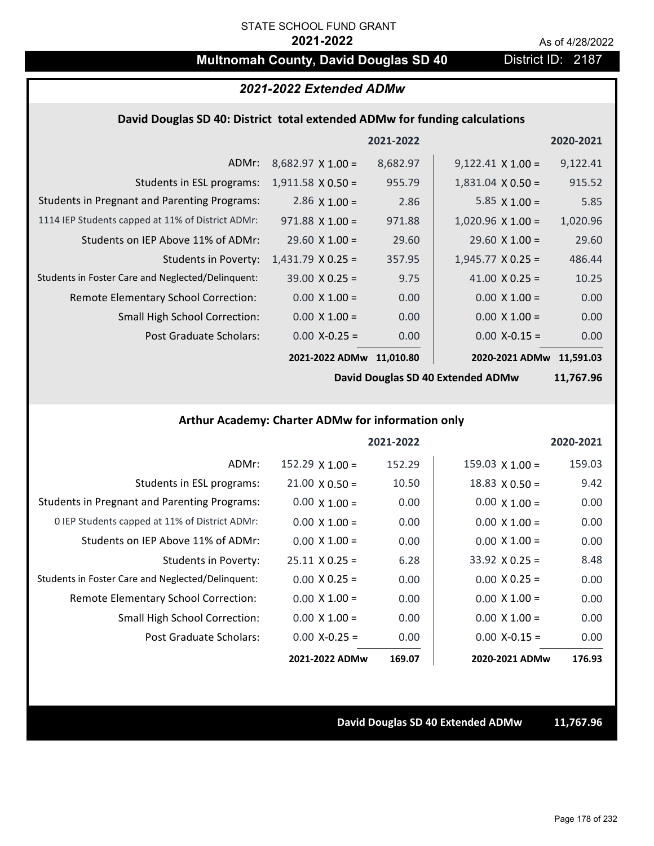# **Multnomah County, David Douglas SD 40** District ID: 2187

# *2021-2022 Extended ADMw*

### **David Douglas SD 40: District total extended ADMw for funding calculations**

|                                                     |                          | 2021-2022 |                          | 2020-2021 |
|-----------------------------------------------------|--------------------------|-----------|--------------------------|-----------|
| ADMr:                                               | $8,682.97 \times 1.00 =$ | 8,682.97  | $9,122.41 \times 1.00 =$ | 9,122.41  |
| Students in ESL programs:                           | $1,911.58 \times 0.50 =$ | 955.79    | $1,831.04 \times 0.50 =$ | 915.52    |
| <b>Students in Pregnant and Parenting Programs:</b> | 2.86 $\times$ 1.00 =     | 2.86      | 5.85 $\times$ 1.00 =     | 5.85      |
| 1114 IEP Students capped at 11% of District ADMr:   | $971.88 \times 1.00 =$   | 971.88    | $1,020.96 \times 1.00 =$ | 1,020.96  |
| Students on IEP Above 11% of ADMr:                  | $29.60 \times 1.00 =$    | 29.60     | $29.60 \times 1.00 =$    | 29.60     |
| <b>Students in Poverty:</b>                         | $1,431.79$ X 0.25 =      | 357.95    | $1,945.77 \times 0.25 =$ | 486.44    |
| Students in Foster Care and Neglected/Delinquent:   | $39.00 \times 0.25 =$    | 9.75      | 41.00 $X$ 0.25 =         | 10.25     |
| <b>Remote Elementary School Correction:</b>         | $0.00 \times 1.00 =$     | 0.00      | $0.00 \times 1.00 =$     | 0.00      |
| <b>Small High School Correction:</b>                | $0.00 \times 1.00 =$     | 0.00      | $0.00 \times 1.00 =$     | 0.00      |
| Post Graduate Scholars:                             | $0.00$ X-0.25 =          | 0.00      | $0.00$ X-0.15 =          | 0.00      |
|                                                     | 2021-2022 ADMw           | 11,010.80 | 2020-2021 ADMw 11,591.03 |           |

**David Douglas SD 40 Extended ADMw**

**11,767.96**

#### **Arthur Academy: Charter ADMw for information only**

|                                                     |                       | 2021-2022 |                       | 2020-2021 |
|-----------------------------------------------------|-----------------------|-----------|-----------------------|-----------|
| ADMr:                                               | $152.29$ X $1.00 =$   | 152.29    | $159.03$ X $1.00 =$   | 159.03    |
| Students in ESL programs:                           | $21.00 \times 0.50 =$ | 10.50     | $18.83 \times 0.50 =$ | 9.42      |
| <b>Students in Pregnant and Parenting Programs:</b> | $0.00 \times 1.00 =$  | 0.00      | $0.00 \times 1.00 =$  | 0.00      |
| 0 IEP Students capped at 11% of District ADMr:      | $0.00 \times 1.00 =$  | 0.00      | $0.00 \times 1.00 =$  | 0.00      |
| Students on IEP Above 11% of ADMr:                  | $0.00 \times 1.00 =$  | 0.00      | $0.00 \times 1.00 =$  | 0.00      |
| Students in Poverty:                                | $25.11 \times 0.25 =$ | 6.28      | $33.92 \times 0.25 =$ | 8.48      |
| Students in Foster Care and Neglected/Delinquent:   | $0.00 \times 0.25 =$  | 0.00      | $0.00 \times 0.25 =$  | 0.00      |
| Remote Elementary School Correction:                | $0.00 \times 1.00 =$  | 0.00      | $0.00 \times 1.00 =$  | 0.00      |
| <b>Small High School Correction:</b>                | $0.00 \times 1.00 =$  | 0.00      | $0.00 \times 1.00 =$  | 0.00      |
| Post Graduate Scholars:                             | $0.00$ X-0.25 =       | 0.00      | $0.00 X-0.15 =$       | 0.00      |
|                                                     | 2021-2022 ADMw        | 169.07    | 2020-2021 ADMw        | 176.93    |

#### **David Douglas SD 40 Extended ADMw 11,767.96**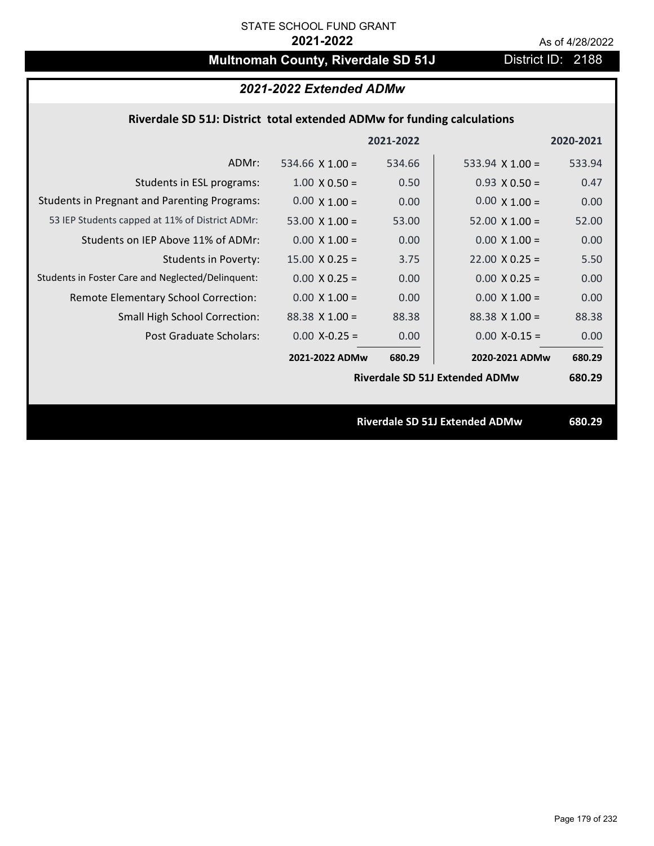# **Multnomah County, Riverdale SD 51J** District ID: 2188

# *2021-2022 Extended ADMw*

## **Riverdale SD 51J: District total extended ADMw for funding calculations**

|                                                     |                       | 2021-2022 |                                       | 2020-2021 |
|-----------------------------------------------------|-----------------------|-----------|---------------------------------------|-----------|
| ADMr:                                               | 534.66 $X$ 1.00 =     | 534.66    | 533.94 $X$ 1.00 =                     | 533.94    |
| Students in ESL programs:                           | $1.00 \times 0.50 =$  | 0.50      | $0.93 \times 0.50 =$                  | 0.47      |
| <b>Students in Pregnant and Parenting Programs:</b> | $0.00 \times 1.00 =$  | 0.00      | $0.00 \times 1.00 =$                  | 0.00      |
| 53 IEP Students capped at 11% of District ADMr:     | 53.00 $\times$ 1.00 = | 53.00     | $52.00 \times 1.00 =$                 | 52.00     |
| Students on IEP Above 11% of ADMr:                  | $0.00 \times 1.00 =$  | 0.00      | $0.00 \times 1.00 =$                  | 0.00      |
| <b>Students in Poverty:</b>                         | $15.00 \times 0.25 =$ | 3.75      | $22.00 \times 0.25 =$                 | 5.50      |
| Students in Foster Care and Neglected/Delinquent:   | $0.00 \times 0.25 =$  | 0.00      | $0.00 \times 0.25 =$                  | 0.00      |
| Remote Elementary School Correction:                | $0.00 \times 1.00 =$  | 0.00      | $0.00 \times 1.00 =$                  | 0.00      |
| <b>Small High School Correction:</b>                | $88.38 \times 1.00 =$ | 88.38     | $88.38 \times 1.00 =$                 | 88.38     |
| Post Graduate Scholars:                             | $0.00$ X-0.25 =       | 0.00      | $0.00$ X-0.15 =                       | 0.00      |
|                                                     | 2021-2022 ADMw        | 680.29    | 2020-2021 ADMw                        | 680.29    |
|                                                     |                       |           | <b>Riverdale SD 51J Extended ADMw</b> | 680.29    |
|                                                     |                       |           |                                       |           |
|                                                     |                       |           | <b>Riverdale SD 51J Extended ADMw</b> | 680.29    |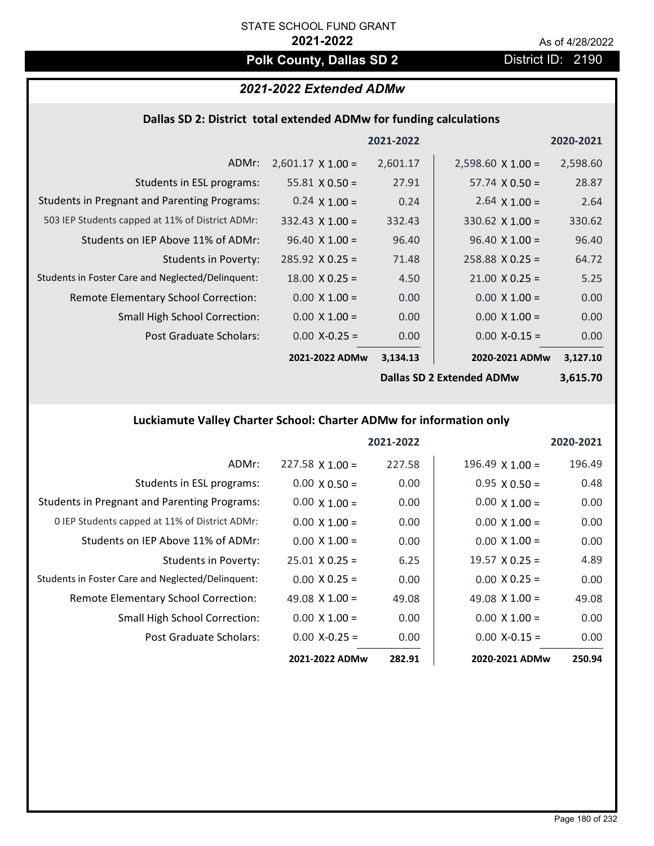# **Polk County, Dallas SD 2** District ID: 2190

# *2021-2022 Extended ADMw*

### **Dallas SD 2: District total extended ADMw for funding calculations**

|                                                     |                          | 2021-2022 |                                  | 2020-2021 |
|-----------------------------------------------------|--------------------------|-----------|----------------------------------|-----------|
| ADMr:                                               | $2,601.17 \times 1.00 =$ | 2,601.17  | $2,598.60 \times 1.00 =$         | 2,598.60  |
| Students in ESL programs:                           | 55.81 $\times$ 0.50 =    | 27.91     | $57.74 \times 0.50 =$            | 28.87     |
| <b>Students in Pregnant and Parenting Programs:</b> | $0.24 \times 1.00 =$     | 0.24      | 2.64 $\times$ 1.00 =             | 2.64      |
| 503 IEP Students capped at 11% of District ADMr:    | $332.43 \times 1.00 =$   | 332.43    | $330.62 \times 1.00 =$           | 330.62    |
| Students on IEP Above 11% of ADMr:                  | $96.40 \times 1.00 =$    | 96.40     | $96.40 \times 1.00 =$            | 96.40     |
| Students in Poverty:                                | $285.92 \times 0.25 =$   | 71.48     | $258.88 \times 0.25 =$           | 64.72     |
| Students in Foster Care and Neglected/Delinquent:   | $18.00 \times 0.25 =$    | 4.50      | $21.00 \times 0.25 =$            | 5.25      |
| Remote Elementary School Correction:                | $0.00 \times 1.00 =$     | 0.00      | $0.00 \times 1.00 =$             | 0.00      |
| <b>Small High School Correction:</b>                | $0.00 \times 1.00 =$     | 0.00      | $0.00 \times 1.00 =$             | 0.00      |
| Post Graduate Scholars:                             | $0.00$ X-0.25 =          | 0.00      | $0.00 X - 0.15 =$                | 0.00      |
|                                                     | 2021-2022 ADMw           | 3,134.13  | 2020-2021 ADMw                   | 3,127.10  |
|                                                     |                          |           | <b>Dallas SD 2 Extended ADMw</b> | 3,615.70  |

### **Luckiamute Valley Charter School: Charter ADMw for information only**

|                                                     |                        | 2021-2022 |                        | 2020-2021 |
|-----------------------------------------------------|------------------------|-----------|------------------------|-----------|
| ADMr:                                               | $227.58 \times 1.00 =$ | 227.58    | $196.49 \times 1.00 =$ | 196.49    |
| Students in ESL programs:                           | $0.00 \times 0.50 =$   | 0.00      | $0.95 \times 0.50 =$   | 0.48      |
| <b>Students in Pregnant and Parenting Programs:</b> | $0.00 \times 1.00 =$   | 0.00      | $0.00 \times 1.00 =$   | 0.00      |
| 0 IEP Students capped at 11% of District ADMr:      | $0.00 \times 1.00 =$   | 0.00      | $0.00 \times 1.00 =$   | 0.00      |
| Students on IEP Above 11% of ADMr:                  | $0.00 \times 1.00 =$   | 0.00      | $0.00 \times 1.00 =$   | 0.00      |
| Students in Poverty:                                | $25.01 \times 0.25 =$  | 6.25      | $19.57 \times 0.25 =$  | 4.89      |
| Students in Foster Care and Neglected/Delinquent:   | $0.00 \times 0.25 =$   | 0.00      | $0.00 \times 0.25 =$   | 0.00      |
| Remote Elementary School Correction:                | 49.08 $\times$ 1.00 =  | 49.08     | 49.08 $\times$ 1.00 =  | 49.08     |
| <b>Small High School Correction:</b>                | $0.00 \times 1.00 =$   | 0.00      | $0.00 \times 1.00 =$   | 0.00      |
| Post Graduate Scholars:                             | $0.00 X - 0.25 =$      | 0.00      | $0.00 X - 0.15 =$      | 0.00      |
|                                                     | 2021-2022 ADMw         | 282.91    | 2020-2021 ADMw         | 250.94    |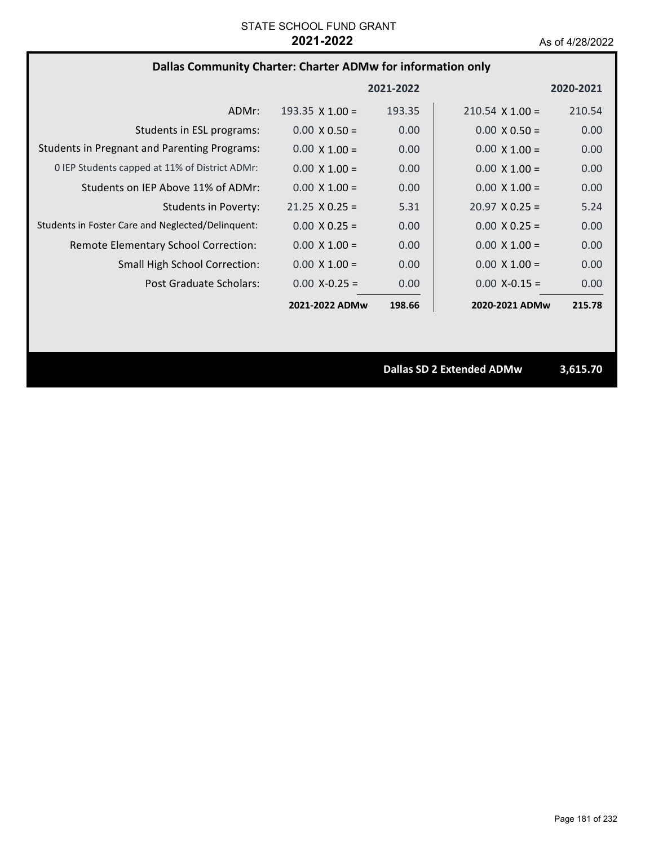## **Dallas Community Charter: Charter ADMw for information only**

|                                                     |                        | 2021-2022 |                        | 2020-2021 |
|-----------------------------------------------------|------------------------|-----------|------------------------|-----------|
| ADMr:                                               | $193.35 \times 1.00 =$ | 193.35    | $210.54 \times 1.00 =$ | 210.54    |
| Students in ESL programs:                           | $0.00 \times 0.50 =$   | 0.00      | $0.00 \times 0.50 =$   | 0.00      |
| <b>Students in Pregnant and Parenting Programs:</b> | $0.00 \times 1.00 =$   | 0.00      | $0.00 \times 1.00 =$   | 0.00      |
| 0 IEP Students capped at 11% of District ADMr:      | $0.00 \times 1.00 =$   | 0.00      | $0.00 \times 1.00 =$   | 0.00      |
| Students on IEP Above 11% of ADMr:                  | $0.00 \times 1.00 =$   | 0.00      | $0.00 \times 1.00 =$   | 0.00      |
| Students in Poverty:                                | $21.25 \times 0.25 =$  | 5.31      | $20.97 \times 0.25 =$  | 5.24      |
| Students in Foster Care and Neglected/Delinquent:   | $0.00 \times 0.25 =$   | 0.00      | $0.00 \times 0.25 =$   | 0.00      |
| Remote Elementary School Correction:                | $0.00 \times 1.00 =$   | 0.00      | $0.00 \times 1.00 =$   | 0.00      |
| <b>Small High School Correction:</b>                | $0.00 \times 1.00 =$   | 0.00      | $0.00 \times 1.00 =$   | 0.00      |
| Post Graduate Scholars:                             | $0.00 X - 0.25 =$      | 0.00      | $0.00 X - 0.15 =$      | 0.00      |
|                                                     | 2021-2022 ADMw         | 198.66    | 2020-2021 ADMw         | 215.78    |

**Dallas SD 2 Extended ADMw 3,615.70**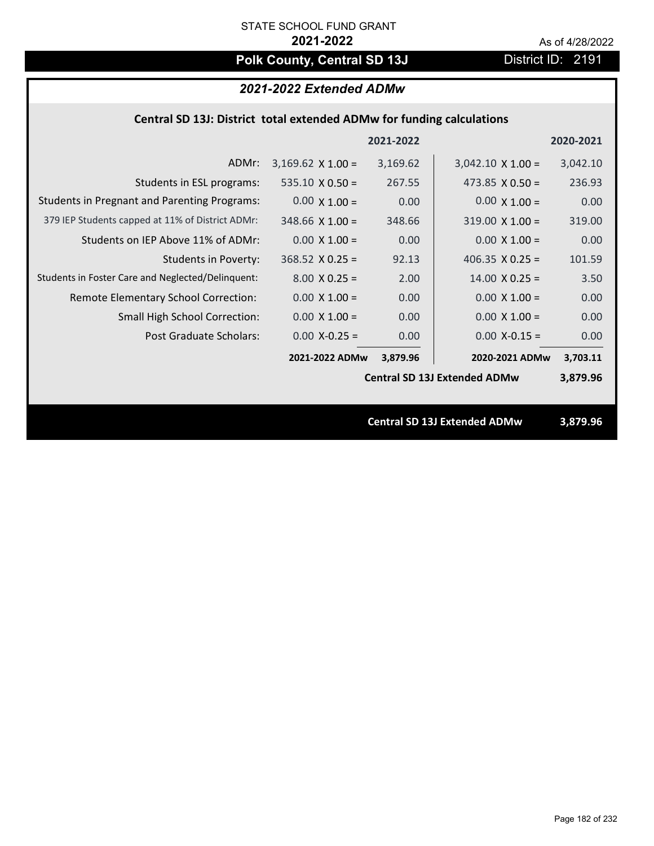# Polk County, Central SD 13J District ID: 2191

# *2021-2022 Extended ADMw*

## **Central SD 13J: District total extended ADMw for funding calculations**

|                                                     |                          | 2021-2022 |                                     | 2020-2021 |
|-----------------------------------------------------|--------------------------|-----------|-------------------------------------|-----------|
| ADMr:                                               | $3,169.62 \times 1.00 =$ | 3,169.62  | $3,042.10 \times 1.00 =$            | 3,042.10  |
| Students in ESL programs:                           | $535.10 \times 0.50 =$   | 267.55    | 473.85 $X$ 0.50 =                   | 236.93    |
| <b>Students in Pregnant and Parenting Programs:</b> | $0.00 \times 1.00 =$     | 0.00      | $0.00 \times 1.00 =$                | 0.00      |
| 379 IEP Students capped at 11% of District ADMr:    | $348.66$ X 1.00 =        | 348.66    | $319.00 \times 1.00 =$              | 319.00    |
| Students on IEP Above 11% of ADMr:                  | $0.00 \times 1.00 =$     | 0.00      | $0.00$ X $1.00 =$                   | 0.00      |
| <b>Students in Poverty:</b>                         | $368.52$ X 0.25 =        | 92.13     | 406.35 $X$ 0.25 =                   | 101.59    |
| Students in Foster Care and Neglected/Delinquent:   | $8.00 \times 0.25 =$     | 2.00      | $14.00 \times 0.25 =$               | 3.50      |
| Remote Elementary School Correction:                | $0.00 \times 1.00 =$     | 0.00      | $0.00 \times 1.00 =$                | 0.00      |
| <b>Small High School Correction:</b>                | $0.00 \times 1.00 =$     | 0.00      | $0.00 \times 1.00 =$                | 0.00      |
| <b>Post Graduate Scholars:</b>                      | $0.00$ X-0.25 =          | 0.00      | $0.00$ X-0.15 =                     | 0.00      |
|                                                     | 2021-2022 ADMw           | 3,879.96  | 2020-2021 ADMw                      | 3,703.11  |
|                                                     |                          |           | <b>Central SD 13J Extended ADMw</b> | 3,879.96  |
|                                                     |                          |           |                                     |           |
|                                                     |                          |           | <b>Central SD 13J Extended ADMw</b> | 3,879.96  |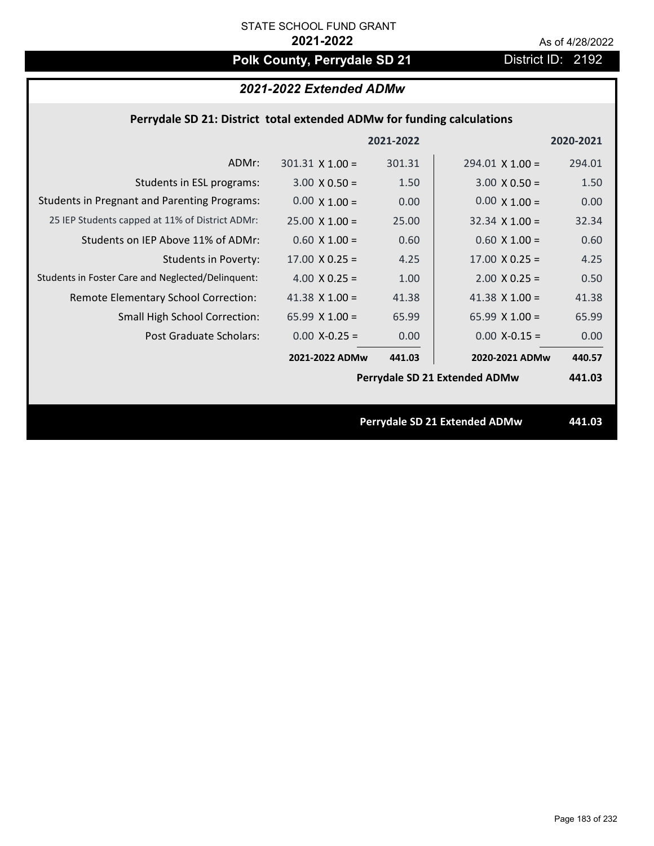# Polk County, Perrydale SD 21 **District ID: 2192**

# *2021-2022 Extended ADMw*

## **Perrydale SD 21: District total extended ADMw for funding calculations**

|                                                     |                        | 2021-2022 |                               | 2020-2021 |
|-----------------------------------------------------|------------------------|-----------|-------------------------------|-----------|
| ADMr:                                               | $301.31 \times 1.00 =$ | 301.31    | $294.01 \times 1.00 =$        | 294.01    |
| Students in ESL programs:                           | $3.00 \times 0.50 =$   | 1.50      | $3.00 \times 0.50 =$          | 1.50      |
| <b>Students in Pregnant and Parenting Programs:</b> | $0.00 \times 1.00 =$   | 0.00      | $0.00 \times 1.00 =$          | 0.00      |
| 25 IEP Students capped at 11% of District ADMr:     | $25.00 \times 1.00 =$  | 25.00     | $32.34 \times 1.00 =$         | 32.34     |
| Students on IEP Above 11% of ADMr:                  | $0.60 \times 1.00 =$   | 0.60      | $0.60$ X 1.00 =               | 0.60      |
| <b>Students in Poverty:</b>                         | $17.00 \times 0.25 =$  | 4.25      | $17.00 \times 0.25 =$         | 4.25      |
| Students in Foster Care and Neglected/Delinquent:   | 4.00 $X$ 0.25 =        | 1.00      | $2.00 \times 0.25 =$          | 0.50      |
| Remote Elementary School Correction:                | 41.38 $X$ 1.00 =       | 41.38     | 41.38 $\times$ 1.00 =         | 41.38     |
| <b>Small High School Correction:</b>                | 65.99 $X$ 1.00 =       | 65.99     | 65.99 $X$ 1.00 =              | 65.99     |
| Post Graduate Scholars:                             | $0.00$ X-0.25 =        | 0.00      | $0.00$ X-0.15 =               | 0.00      |
|                                                     | 2021-2022 ADMw         | 441.03    | 2020-2021 ADMw                | 440.57    |
|                                                     |                        |           | Perrydale SD 21 Extended ADMw | 441.03    |
|                                                     |                        |           |                               |           |
|                                                     |                        |           | Perrydale SD 21 Extended ADMw | 441.03    |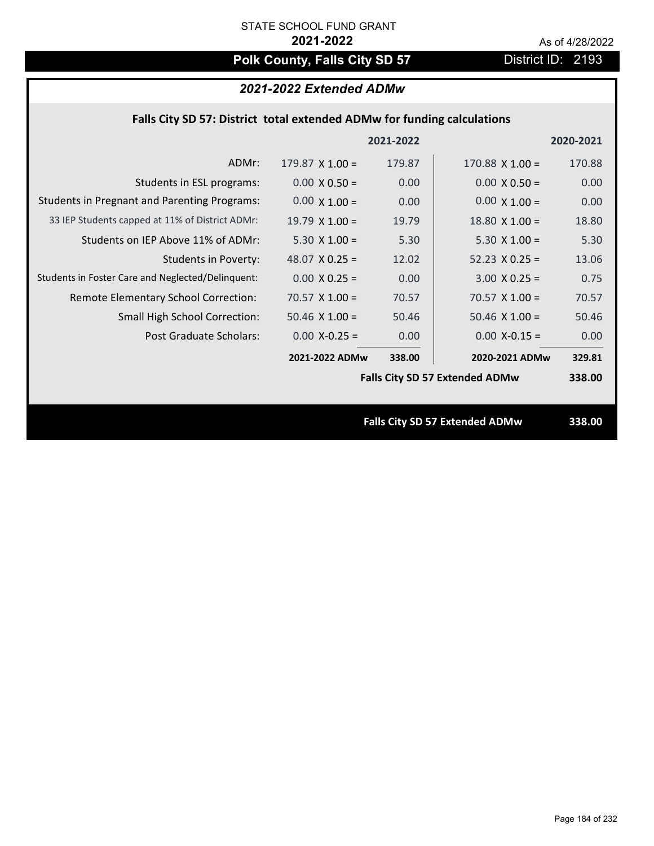# Polk County, Falls City SD 57 **District ID: 2193**

## *2021-2022 Extended ADMw*

## **Falls City SD 57: District total extended ADMw for funding calculations**

|                                                     |                       | 2021-2022 |                                       | 2020-2021 |
|-----------------------------------------------------|-----------------------|-----------|---------------------------------------|-----------|
| ADMr:                                               | $179.87$ X 1.00 =     | 179.87    | $170.88$ X $1.00 =$                   | 170.88    |
| Students in ESL programs:                           | $0.00 \times 0.50 =$  | 0.00      | $0.00 \times 0.50 =$                  | 0.00      |
| <b>Students in Pregnant and Parenting Programs:</b> | $0.00 \times 1.00 =$  | 0.00      | $0.00 \times 1.00 =$                  | 0.00      |
| 33 IEP Students capped at 11% of District ADMr:     | $19.79 \times 1.00 =$ | 19.79     | $18.80 \times 1.00 =$                 | 18.80     |
| Students on IEP Above 11% of ADMr:                  | $5.30 \times 1.00 =$  | 5.30      | $5.30 \times 1.00 =$                  | 5.30      |
| <b>Students in Poverty:</b>                         | 48.07 $X$ 0.25 =      | 12.02     | $52.23 \times 0.25 =$                 | 13.06     |
| Students in Foster Care and Neglected/Delinquent:   | $0.00 \times 0.25 =$  | 0.00      | $3.00 \times 0.25 =$                  | 0.75      |
| Remote Elementary School Correction:                | $70.57 \times 1.00 =$ | 70.57     | $70.57$ X 1.00 =                      | 70.57     |
| <b>Small High School Correction:</b>                | $50.46$ X $1.00 =$    | 50.46     | $50.46$ X 1.00 =                      | 50.46     |
| Post Graduate Scholars:                             | $0.00$ X-0.25 =       | 0.00      | $0.00$ X-0.15 =                       | 0.00      |
|                                                     | 2021-2022 ADMw        | 338.00    | 2020-2021 ADMw                        | 329.81    |
|                                                     |                       |           | <b>Falls City SD 57 Extended ADMw</b> | 338.00    |
|                                                     |                       |           |                                       |           |
|                                                     |                       |           | <b>Falls City SD 57 Extended ADMw</b> | 338.00    |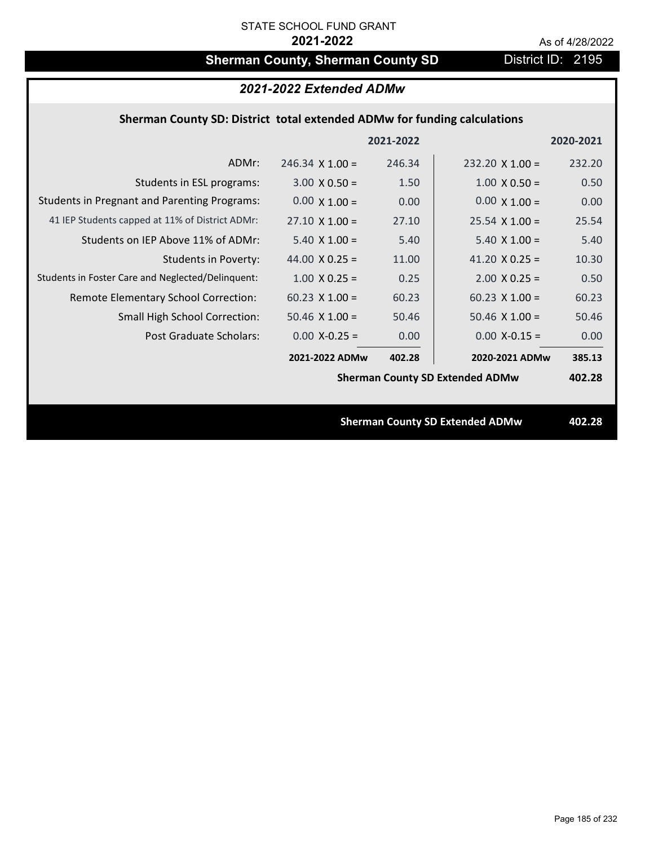# **Sherman County, Sherman County SD** District ID: 2195

| 2021-2022 Extended ADMw                                                  |                        |           |                                        |           |  |  |  |
|--------------------------------------------------------------------------|------------------------|-----------|----------------------------------------|-----------|--|--|--|
| Sherman County SD: District total extended ADMw for funding calculations |                        |           |                                        |           |  |  |  |
|                                                                          |                        | 2021-2022 |                                        | 2020-2021 |  |  |  |
| ADMr:                                                                    | $246.34 \times 1.00 =$ | 246.34    | $232.20 \times 1.00 =$                 | 232.20    |  |  |  |
| Students in ESL programs:                                                | $3.00 \times 0.50 =$   | 1.50      | $1.00 \times 0.50 =$                   | 0.50      |  |  |  |
| <b>Students in Pregnant and Parenting Programs:</b>                      | $0.00 \times 1.00 =$   | 0.00      | $0.00 \times 1.00 =$                   | 0.00      |  |  |  |
| 41 IEP Students capped at 11% of District ADMr:                          | $27.10 \times 1.00 =$  | 27.10     | $25.54 \times 1.00 =$                  | 25.54     |  |  |  |
| Students on IEP Above 11% of ADMr:                                       | $5.40 \times 1.00 =$   | 5.40      | $5.40 \times 1.00 =$                   | 5.40      |  |  |  |
| <b>Students in Poverty:</b>                                              | 44.00 $X$ 0.25 =       | 11.00     | 41.20 $X$ 0.25 =                       | 10.30     |  |  |  |
| Students in Foster Care and Neglected/Delinquent:                        | $1.00 \times 0.25 =$   | 0.25      | $2.00$ X 0.25 =                        | 0.50      |  |  |  |
| Remote Elementary School Correction:                                     | $60.23$ X $1.00 =$     | 60.23     | $60.23$ X 1.00 =                       | 60.23     |  |  |  |
| <b>Small High School Correction:</b>                                     | $50.46$ X 1.00 =       | 50.46     | $50.46$ X 1.00 =                       | 50.46     |  |  |  |
| Post Graduate Scholars:                                                  | $0.00$ X-0.25 =        | 0.00      | $0.00$ X-0.15 =                        | 0.00      |  |  |  |
|                                                                          | 2021-2022 ADMw         | 402.28    | 2020-2021 ADMw                         | 385.13    |  |  |  |
|                                                                          |                        |           | <b>Sherman County SD Extended ADMw</b> | 402.28    |  |  |  |
|                                                                          |                        |           |                                        |           |  |  |  |
| <b>Sherman County SD Extended ADMw</b>                                   |                        |           |                                        | 402.28    |  |  |  |
|                                                                          |                        |           |                                        |           |  |  |  |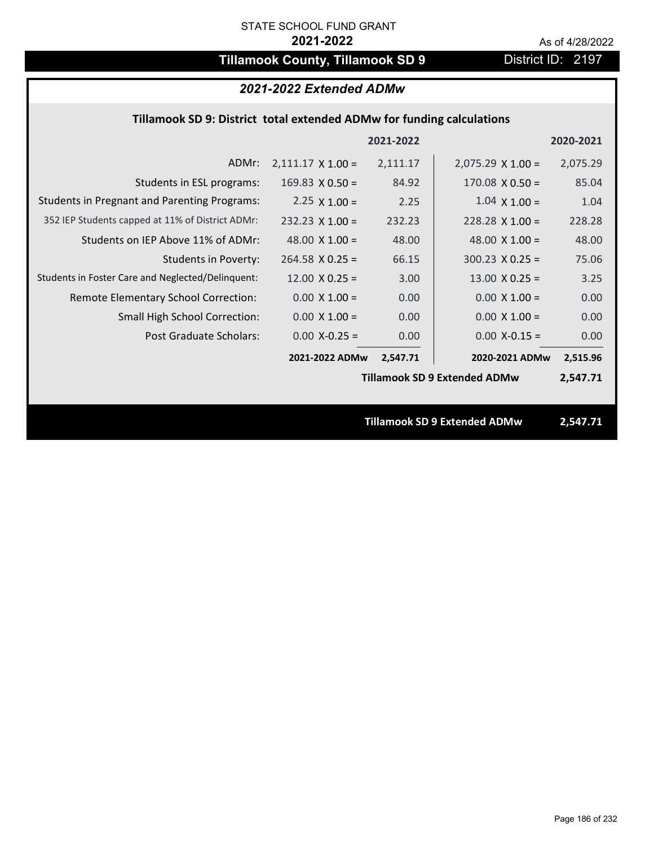# **Tillamook County, Tillamook SD 9** District ID: 2197

### *2021-2022 Extended ADMw*

### **Tillamook SD 9: District total extended ADMw for funding calculations**

|                                                     |                          | 2021-2022 |                                     | 2020-2021 |
|-----------------------------------------------------|--------------------------|-----------|-------------------------------------|-----------|
| ADMr:                                               | $2,111.17 \times 1.00 =$ | 2,111.17  | $2,075.29 \times 1.00 =$            | 2,075.29  |
| Students in ESL programs:                           | 169.83 $X$ 0.50 =        | 84.92     | $170.08 \times 0.50 =$              | 85.04     |
| <b>Students in Pregnant and Parenting Programs:</b> | 2.25 $\times$ 1.00 =     | 2.25      | $1.04 \times 1.00 =$                | 1.04      |
| 352 IEP Students capped at 11% of District ADMr:    | $232.23 \times 1.00 =$   | 232.23    | $228.28 \times 1.00 =$              | 228.28    |
| Students on IEP Above 11% of ADMr:                  | 48.00 $\times$ 1.00 =    | 48.00     | 48.00 $X$ 1.00 =                    | 48.00     |
| <b>Students in Poverty:</b>                         | $264.58 \times 0.25 =$   | 66.15     | $300.23$ X 0.25 =                   | 75.06     |
| Students in Foster Care and Neglected/Delinquent:   | $12.00 \times 0.25 =$    | 3.00      | $13.00 \times 0.25 =$               | 3.25      |
| Remote Elementary School Correction:                | $0.00 \times 1.00 =$     | 0.00      | $0.00 \times 1.00 =$                | 0.00      |
| <b>Small High School Correction:</b>                | $0.00 \times 1.00 =$     | 0.00      | $0.00 \times 1.00 =$                | 0.00      |
| Post Graduate Scholars:                             | $0.00$ X-0.25 =          | 0.00      | $0.00$ X-0.15 =                     | 0.00      |
|                                                     | 2021-2022 ADMw           | 2,547.71  | 2020-2021 ADMw                      | 2,515.96  |
|                                                     |                          |           | <b>Tillamook SD 9 Extended ADMw</b> | 2,547.71  |
|                                                     |                          |           |                                     |           |
|                                                     |                          |           | <b>Tillamook SD 9 Extended ADMw</b> | 2,547.71  |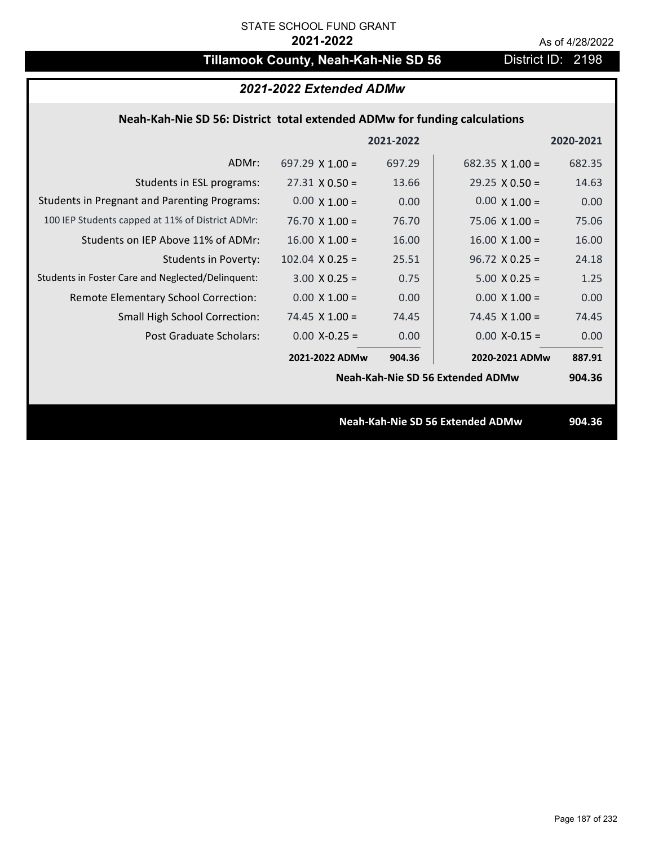# **Tillamook County, Neah-Kah-Nie SD 56** District ID: 2198

| 2021-2022 Extended ADMw                                                   |                        |           |                                  |           |  |  |
|---------------------------------------------------------------------------|------------------------|-----------|----------------------------------|-----------|--|--|
| Neah-Kah-Nie SD 56: District total extended ADMw for funding calculations |                        |           |                                  |           |  |  |
|                                                                           |                        | 2021-2022 |                                  | 2020-2021 |  |  |
| ADMr:                                                                     | 697.29 $\times$ 1.00 = | 697.29    | 682.35 $\times$ 1.00 =           | 682.35    |  |  |
| Students in ESL programs:                                                 | $27.31 \times 0.50 =$  | 13.66     | $29.25 \times 0.50 =$            | 14.63     |  |  |
| <b>Students in Pregnant and Parenting Programs:</b>                       | $0.00 \times 1.00 =$   | 0.00      | $0.00 \times 1.00 =$             | 0.00      |  |  |
| 100 IEP Students capped at 11% of District ADMr:                          | $76.70 \times 1.00 =$  | 76.70     | $75.06 \times 1.00 =$            | 75.06     |  |  |
| Students on IEP Above 11% of ADMr:                                        | $16.00 \times 1.00 =$  | 16.00     | $16.00 \times 1.00 =$            | 16.00     |  |  |
| <b>Students in Poverty:</b>                                               | $102.04$ X 0.25 =      | 25.51     | $96.72 \times 0.25 =$            | 24.18     |  |  |
| Students in Foster Care and Neglected/Delinquent:                         | $3.00 \times 0.25 =$   | 0.75      | $5.00 \times 0.25 =$             | 1.25      |  |  |
| Remote Elementary School Correction:                                      | $0.00 \times 1.00 =$   | 0.00      | $0.00 \times 1.00 =$             | 0.00      |  |  |
| <b>Small High School Correction:</b>                                      | $74.45$ X $1.00 =$     | 74.45     | $74.45$ X 1.00 =                 | 74.45     |  |  |
| Post Graduate Scholars:                                                   | $0.00$ X-0.25 =        | 0.00      | $0.00$ X-0.15 =                  | 0.00      |  |  |
|                                                                           | 2021-2022 ADMw         | 904.36    | 2020-2021 ADMw                   | 887.91    |  |  |
|                                                                           |                        |           | Neah-Kah-Nie SD 56 Extended ADMw | 904.36    |  |  |
|                                                                           |                        |           |                                  |           |  |  |
| Neah-Kah-Nie SD 56 Extended ADMw                                          |                        |           |                                  |           |  |  |
|                                                                           |                        |           |                                  |           |  |  |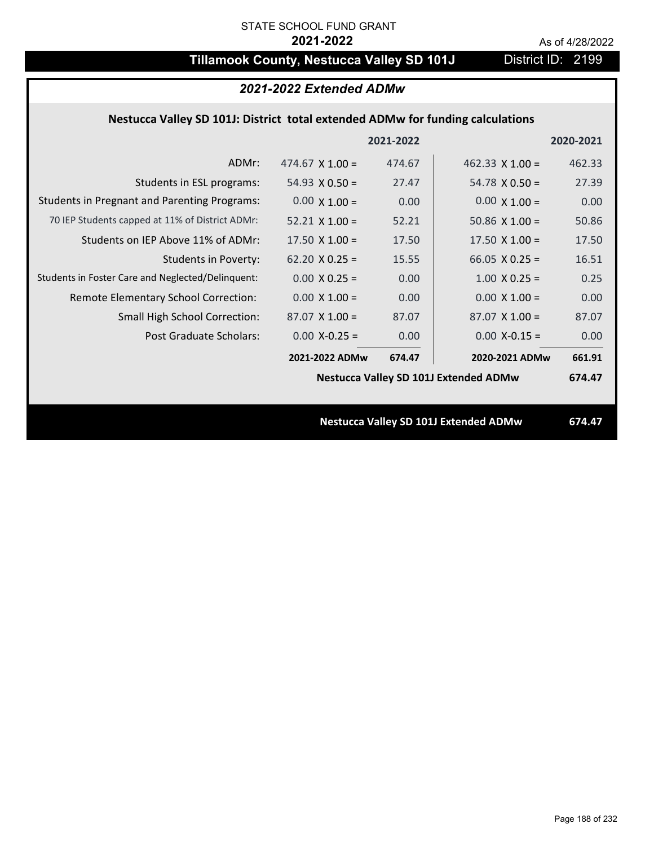# **Tillamook County, Nestucca Valley SD 101J** District ID: 2199

# *2021-2022 Extended ADMw*

## **Nestucca Valley SD 101J: District total extended ADMw for funding calculations**

|                                                     |                        | 2021-2022 |                                              | 2020-2021 |
|-----------------------------------------------------|------------------------|-----------|----------------------------------------------|-----------|
| ADMr:                                               | 474.67 $\times$ 1.00 = | 474.67    | 462.33 $X$ 1.00 =                            | 462.33    |
| Students in ESL programs:                           | $54.93 \times 0.50 =$  | 27.47     | $54.78 \times 0.50 =$                        | 27.39     |
| <b>Students in Pregnant and Parenting Programs:</b> | $0.00 \times 1.00 =$   | 0.00      | $0.00 \times 1.00 =$                         | 0.00      |
| 70 IEP Students capped at 11% of District ADMr:     | $52.21 \times 1.00 =$  | 52.21     | 50.86 $\times$ 1.00 =                        | 50.86     |
| Students on IEP Above 11% of ADMr:                  | 17.50 $X$ 1.00 =       | 17.50     | $17.50 \times 1.00 =$                        | 17.50     |
| <b>Students in Poverty:</b>                         | $62.20 \times 0.25 =$  | 15.55     | 66.05 $X$ 0.25 =                             | 16.51     |
| Students in Foster Care and Neglected/Delinquent:   | $0.00 \times 0.25 =$   | 0.00      | $1.00 \times 0.25 =$                         | 0.25      |
| Remote Elementary School Correction:                | $0.00 \times 1.00 =$   | 0.00      | $0.00 \times 1.00 =$                         | 0.00      |
| <b>Small High School Correction:</b>                | $87.07 \times 1.00 =$  | 87.07     | $87.07$ X 1.00 =                             | 87.07     |
| Post Graduate Scholars:                             | $0.00$ X-0.25 =        | 0.00      | $0.00$ X-0.15 =                              | 0.00      |
|                                                     | 2021-2022 ADMw         | 674.47    | 2020-2021 ADMw                               | 661.91    |
|                                                     |                        |           | <b>Nestucca Valley SD 101J Extended ADMw</b> | 674.47    |
|                                                     |                        |           |                                              |           |
|                                                     |                        |           | <b>Nestucca Valley SD 101J Extended ADMw</b> | 674.47    |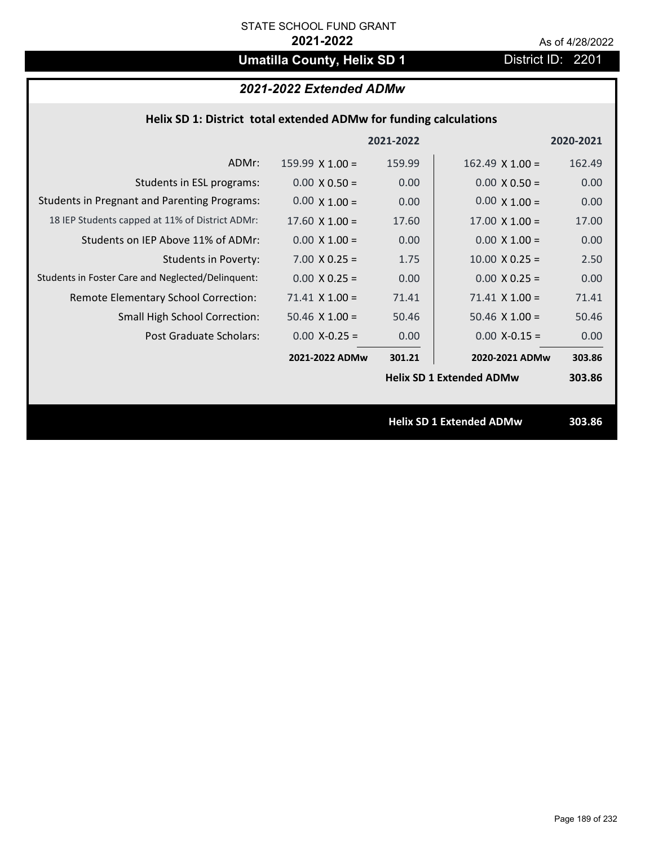# **Umatilla County, Helix SD 1** District ID: 2201

## *2021-2022 Extended ADMw*

|  | Helix SD 1: District total extended ADMw for funding calculations |           |
|--|-------------------------------------------------------------------|-----------|
|  | 2021-2022                                                         | 2020-2021 |

| ADMr:                                               | $159.99 \times 1.00 =$ | 159.99 | $162.49 \times 1.00 =$          | 162.49 |
|-----------------------------------------------------|------------------------|--------|---------------------------------|--------|
| Students in ESL programs:                           | $0.00 \times 0.50 =$   | 0.00   | $0.00 \times 0.50 =$            | 0.00   |
| <b>Students in Pregnant and Parenting Programs:</b> | $0.00 \times 1.00 =$   | 0.00   | $0.00 \times 1.00 =$            | 0.00   |
| 18 IEP Students capped at 11% of District ADMr:     | $17.60 \times 1.00 =$  | 17.60  | $17.00 \times 1.00 =$           | 17.00  |
| Students on IEP Above 11% of ADMr:                  | $0.00 \times 1.00 =$   | 0.00   | $0.00 X 1.00 =$                 | 0.00   |
| <b>Students in Poverty:</b>                         | $7.00 \times 0.25 =$   | 1.75   | $10.00 \times 0.25 =$           | 2.50   |
| Students in Foster Care and Neglected/Delinquent:   | $0.00 \times 0.25 =$   | 0.00   | $0.00 \times 0.25 =$            | 0.00   |
| Remote Elementary School Correction:                | $71.41$ X $1.00 =$     | 71.41  | $71.41$ X $1.00 =$              | 71.41  |
| <b>Small High School Correction:</b>                | $50.46$ X $1.00 =$     | 50.46  | $50.46$ X $1.00 =$              | 50.46  |
| Post Graduate Scholars:                             | $0.00$ X-0.25 =        | 0.00   | $0.00$ X-0.15 =                 | 0.00   |
|                                                     | 2021-2022 ADMw         | 301.21 | 2020-2021 ADMw                  | 303.86 |
|                                                     |                        |        | <b>Helix SD 1 Extended ADMw</b> | 303.86 |
|                                                     |                        |        |                                 |        |
|                                                     |                        |        | <b>Helix SD 1 Extended ADMw</b> | 303.86 |
|                                                     |                        |        |                                 |        |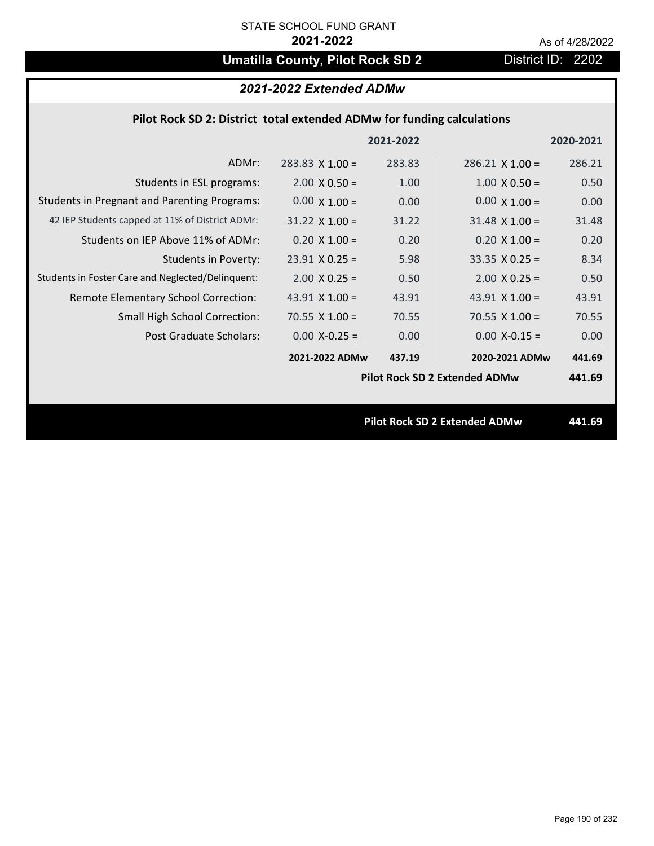# **Umatilla County, Pilot Rock SD 2** District ID: 2202

## *2021-2022 Extended ADMw*

### **Pilot Rock SD 2: District total extended ADMw for funding calculations**

|                                                     |                        | 2021-2022 |                                      | 2020-2021 |
|-----------------------------------------------------|------------------------|-----------|--------------------------------------|-----------|
| ADMr:                                               | $283.83 \times 1.00 =$ | 283.83    | $286.21$ X 1.00 =                    | 286.21    |
| Students in ESL programs:                           | $2.00 \times 0.50 =$   | 1.00      | $1.00 \times 0.50 =$                 | 0.50      |
| <b>Students in Pregnant and Parenting Programs:</b> | $0.00 \times 1.00 =$   | 0.00      | $0.00 \times 1.00 =$                 | 0.00      |
| 42 IEP Students capped at 11% of District ADMr:     | $31.22 \times 1.00 =$  | 31.22     | $31.48 \times 1.00 =$                | 31.48     |
| Students on IEP Above 11% of ADMr:                  | $0.20$ X 1.00 =        | 0.20      | $0.20$ X $1.00 =$                    | 0.20      |
| <b>Students in Poverty:</b>                         | $23.91$ X 0.25 =       | 5.98      | $33.35 \times 0.25 =$                | 8.34      |
| Students in Foster Care and Neglected/Delinquent:   | $2.00 \times 0.25 =$   | 0.50      | $2.00 \times 0.25 =$                 | 0.50      |
| Remote Elementary School Correction:                | 43.91 $\times$ 1.00 =  | 43.91     | 43.91 $\times$ 1.00 =                | 43.91     |
| <b>Small High School Correction:</b>                | 70.55 $X$ 1.00 =       | 70.55     | 70.55 $X$ 1.00 =                     | 70.55     |
| Post Graduate Scholars:                             | $0.00$ X-0.25 =        | 0.00      | $0.00$ X-0.15 =                      | 0.00      |
|                                                     | 2021-2022 ADMw         | 437.19    | 2020-2021 ADMw                       | 441.69    |
|                                                     |                        |           | <b>Pilot Rock SD 2 Extended ADMw</b> | 441.69    |
|                                                     |                        |           |                                      |           |
|                                                     |                        |           | <b>Pilot Rock SD 2 Extended ADMw</b> | 441.69    |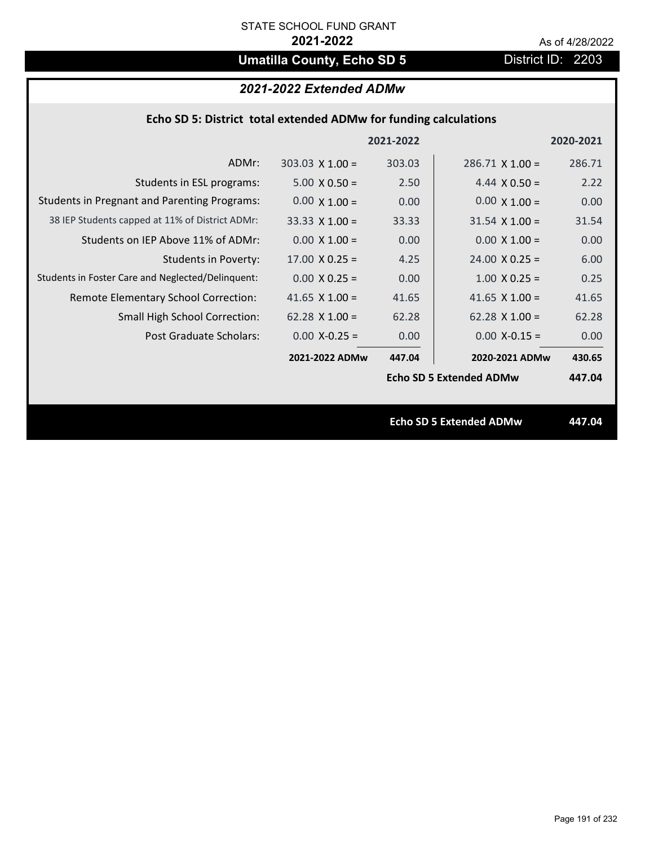# **Umatilla County, Echo SD 5** District ID: 2203

## *2021-2022 Extended ADMw*

|                                                     |                        | 2021-2022 |                                | 2020-2021 |
|-----------------------------------------------------|------------------------|-----------|--------------------------------|-----------|
| ADMr:                                               | $303.03 \times 1.00 =$ | 303.03    | $286.71$ X 1.00 =              | 286.71    |
| Students in ESL programs:                           | $5.00 \times 0.50 =$   | 2.50      | 4.44 $\times$ 0.50 =           | 2.22      |
| <b>Students in Pregnant and Parenting Programs:</b> | $0.00 \times 1.00 =$   | 0.00      | $0.00 \times 1.00 =$           | 0.00      |
| 38 IEP Students capped at 11% of District ADMr:     | $33.33 \times 1.00 =$  | 33.33     | $31.54 \times 1.00 =$          | 31.54     |
| Students on IEP Above 11% of ADMr:                  | $0.00 \times 1.00 =$   | 0.00      | $0.00 \times 1.00 =$           | 0.00      |
| <b>Students in Poverty:</b>                         | $17.00 \times 0.25 =$  | 4.25      | $24.00 \times 0.25 =$          | 6.00      |
| Students in Foster Care and Neglected/Delinquent:   | $0.00 \times 0.25 =$   | 0.00      | $1.00 \times 0.25 =$           | 0.25      |
| Remote Elementary School Correction:                | 41.65 $\times$ 1.00 =  | 41.65     | 41.65 $X$ 1.00 =               | 41.65     |
| <b>Small High School Correction:</b>                | $62.28 \times 1.00 =$  | 62.28     | $62.28 \times 1.00 =$          | 62.28     |
| Post Graduate Scholars:                             | $0.00$ X-0.25 =        | 0.00      | $0.00$ X-0.15 =                | 0.00      |
|                                                     | 2021-2022 ADMw         | 447.04    | 2020-2021 ADMw                 | 430.65    |
|                                                     |                        |           | <b>Echo SD 5 Extended ADMw</b> | 447.04    |
|                                                     |                        |           |                                |           |
|                                                     |                        |           | <b>Echo SD 5 Extended ADMw</b> | 447.04    |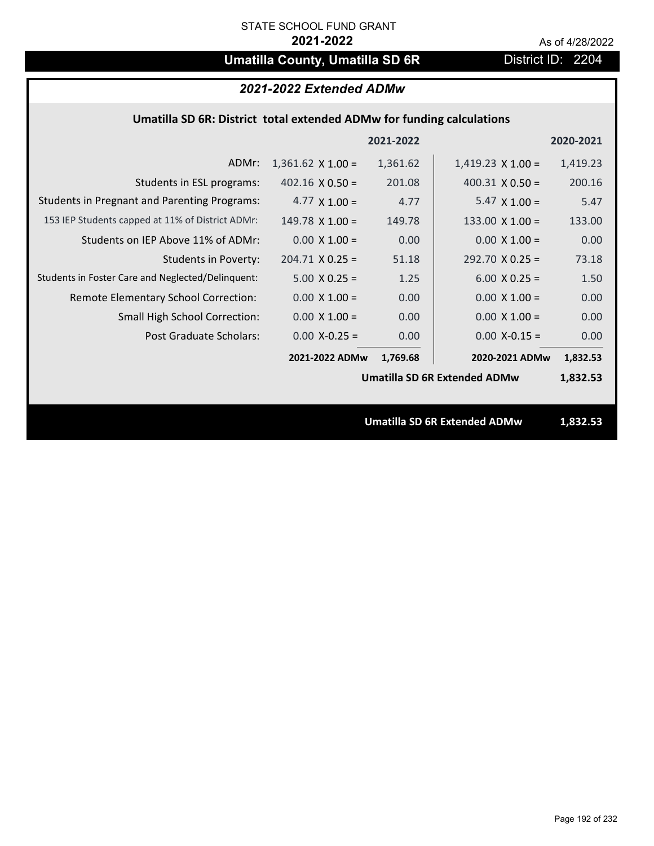# **Umatilla County, Umatilla SD 6R** District ID: 2204

| 2021-2022 Extended ADMw |  |  |
|-------------------------|--|--|
|-------------------------|--|--|

### **Umatilla SD 6R: District total extended ADMw for funding calculations**

|                                                     |                          | 2021-2022 |                                     | 2020-2021 |
|-----------------------------------------------------|--------------------------|-----------|-------------------------------------|-----------|
| ADMr:                                               | $1,361.62 \times 1.00 =$ | 1,361.62  | $1,419.23 \times 1.00 =$            | 1,419.23  |
| Students in ESL programs:                           | $402.16 \times 0.50 =$   | 201.08    | $400.31 \times 0.50 =$              | 200.16    |
| <b>Students in Pregnant and Parenting Programs:</b> | 4.77 $\times$ 1.00 =     | 4.77      | 5.47 $\times$ 1.00 =                | 5.47      |
| 153 IEP Students capped at 11% of District ADMr:    | $149.78 \times 1.00 =$   | 149.78    | 133.00 $\times$ 1.00 =              | 133.00    |
| Students on IEP Above 11% of ADMr:                  | $0.00 \times 1.00 =$     | 0.00      | $0.00 \times 1.00 =$                | 0.00      |
| <b>Students in Poverty:</b>                         | $204.71$ X 0.25 =        | 51.18     | $292.70$ X 0.25 =                   | 73.18     |
| Students in Foster Care and Neglected/Delinquent:   | $5.00 \times 0.25 =$     | 1.25      | $6.00 \times 0.25 =$                | 1.50      |
| Remote Elementary School Correction:                | $0.00 \times 1.00 =$     | 0.00      | $0.00 \times 1.00 =$                | 0.00      |
| <b>Small High School Correction:</b>                | $0.00 \times 1.00 =$     | 0.00      | $0.00 \times 1.00 =$                | 0.00      |
| Post Graduate Scholars:                             | $0.00$ X-0.25 =          | 0.00      | $0.00$ X-0.15 =                     | 0.00      |
|                                                     | 2021-2022 ADMw           | 1,769.68  | 2020-2021 ADMw                      | 1,832.53  |
|                                                     |                          |           | <b>Umatilla SD 6R Extended ADMw</b> | 1,832.53  |
|                                                     |                          |           |                                     |           |
|                                                     |                          |           | <b>Umatilla SD 6R Extended ADMw</b> | 1,832.53  |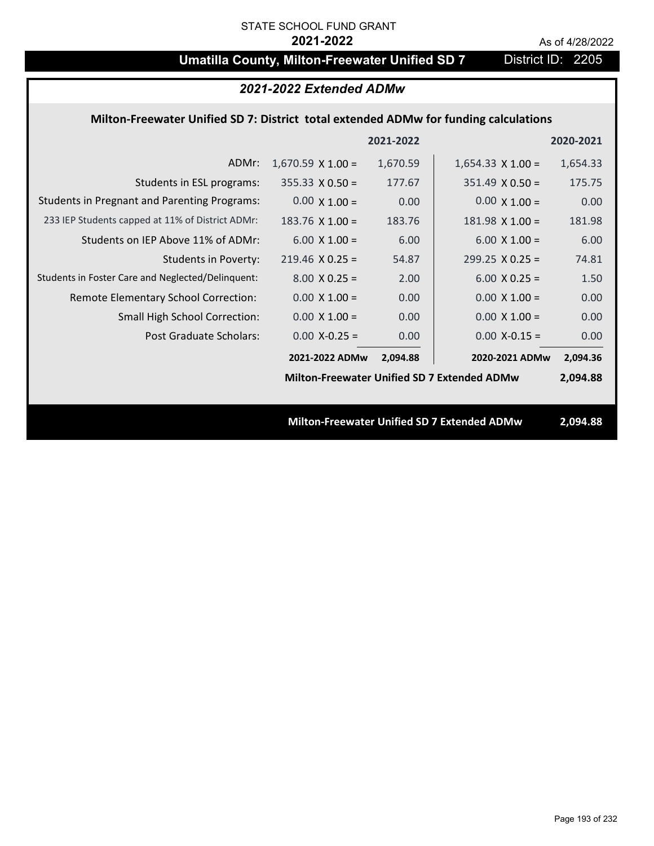# **Umatilla County, Milton-Freewater Unified SD 7** District ID: 2205

| 2021-2022 Extended ADMw                                                              |                                                    |           |                                             |           |
|--------------------------------------------------------------------------------------|----------------------------------------------------|-----------|---------------------------------------------|-----------|
| Milton-Freewater Unified SD 7: District total extended ADMw for funding calculations |                                                    |           |                                             |           |
|                                                                                      |                                                    | 2021-2022 |                                             | 2020-2021 |
| ADMr:                                                                                | $1,670.59 \times 1.00 =$                           | 1,670.59  | $1,654.33 \times 1.00 =$                    | 1,654.33  |
| Students in ESL programs:                                                            | $355.33 \times 0.50 =$                             | 177.67    | $351.49 \times 0.50 =$                      | 175.75    |
| <b>Students in Pregnant and Parenting Programs:</b>                                  | $0.00 \times 1.00 =$                               | 0.00      | $0.00 \times 1.00 =$                        | 0.00      |
| 233 IEP Students capped at 11% of District ADMr:                                     | 183.76 $X$ 1.00 =                                  | 183.76    | $181.98 \times 1.00 =$                      | 181.98    |
| Students on IEP Above 11% of ADMr:                                                   | $6.00 \times 1.00 =$                               | 6.00      | $6.00 \times 1.00 =$                        | 6.00      |
| <b>Students in Poverty:</b>                                                          | $219.46$ X 0.25 =                                  | 54.87     | $299.25 \times 0.25 =$                      | 74.81     |
| Students in Foster Care and Neglected/Delinquent:                                    | $8.00 \times 0.25 =$                               | 2.00      | $6.00 \times 0.25 =$                        | 1.50      |
| Remote Elementary School Correction:                                                 | $0.00 \times 1.00 =$                               | 0.00      | $0.00 \times 1.00 =$                        | 0.00      |
| Small High School Correction:                                                        | $0.00 \times 1.00 =$                               | 0.00      | $0.00 \times 1.00 =$                        | 0.00      |
| <b>Post Graduate Scholars:</b>                                                       | $0.00$ X-0.25 =                                    | 0.00      | $0.00$ X-0.15 =                             | 0.00      |
|                                                                                      | 2021-2022 ADMw                                     | 2,094.88  | 2020-2021 ADMw                              | 2,094.36  |
|                                                                                      | <b>Milton-Freewater Unified SD 7 Extended ADMw</b> |           |                                             | 2,094.88  |
|                                                                                      |                                                    |           |                                             |           |
|                                                                                      |                                                    |           | Milton-Freewater Unified SD 7 Extended ADMw | 2,094.88  |
|                                                                                      |                                                    |           |                                             |           |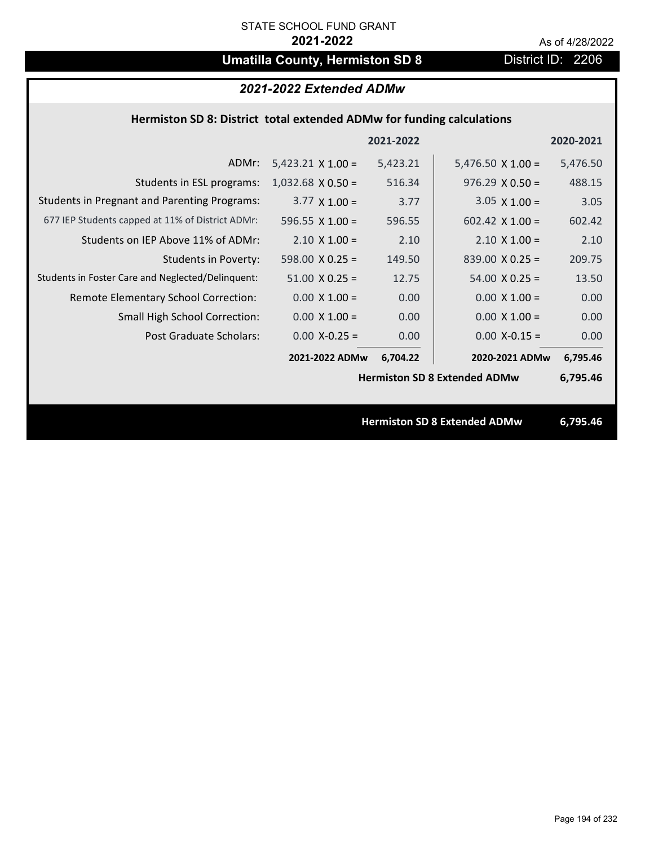# **Umatilla County, Hermiston SD 8** District ID: 2206

| 2021-2022 Extended ADMw                                               |                          |           |                                     |           |
|-----------------------------------------------------------------------|--------------------------|-----------|-------------------------------------|-----------|
| Hermiston SD 8: District total extended ADMw for funding calculations |                          |           |                                     |           |
|                                                                       |                          | 2021-2022 |                                     | 2020-2021 |
| ADMr:                                                                 | $5,423.21 \times 1.00 =$ | 5,423.21  | $5,476.50 \times 1.00 =$            | 5,476.50  |
| Students in ESL programs:                                             | $1,032.68$ X 0.50 =      | 516.34    | $976.29 \times 0.50 =$              | 488.15    |
| <b>Students in Pregnant and Parenting Programs:</b>                   | $3.77 \times 1.00 =$     | 3.77      | $3.05 \times 1.00 =$                | 3.05      |
| 677 IEP Students capped at 11% of District ADMr:                      | 596.55 $\times$ 1.00 =   | 596.55    | $602.42 \times 1.00 =$              | 602.42    |
| Students on IEP Above 11% of ADMr:                                    | $2.10 \times 1.00 =$     | 2.10      | $2.10 \times 1.00 =$                | 2.10      |
| <b>Students in Poverty:</b>                                           | $598.00 \times 0.25 =$   | 149.50    | $839.00 \times 0.25 =$              | 209.75    |
| Students in Foster Care and Neglected/Delinquent:                     | $51.00 \times 0.25 =$    | 12.75     | $54.00 \times 0.25 =$               | 13.50     |
| Remote Elementary School Correction:                                  | $0.00 \times 1.00 =$     | 0.00      | $0.00 \times 1.00 =$                | 0.00      |
| <b>Small High School Correction:</b>                                  | $0.00 \times 1.00 =$     | 0.00      | $0.00 \times 1.00 =$                | 0.00      |
| <b>Post Graduate Scholars:</b>                                        | $0.00$ X-0.25 =          | 0.00      | $0.00$ X-0.15 =                     | 0.00      |
|                                                                       | 2021-2022 ADMw           | 6,704.22  | 2020-2021 ADMw                      | 6,795.46  |
|                                                                       |                          |           | <b>Hermiston SD 8 Extended ADMw</b> | 6,795.46  |
|                                                                       |                          |           |                                     |           |
|                                                                       |                          |           | <b>Hermiston SD 8 Extended ADMw</b> | 6,795.46  |
|                                                                       |                          |           |                                     |           |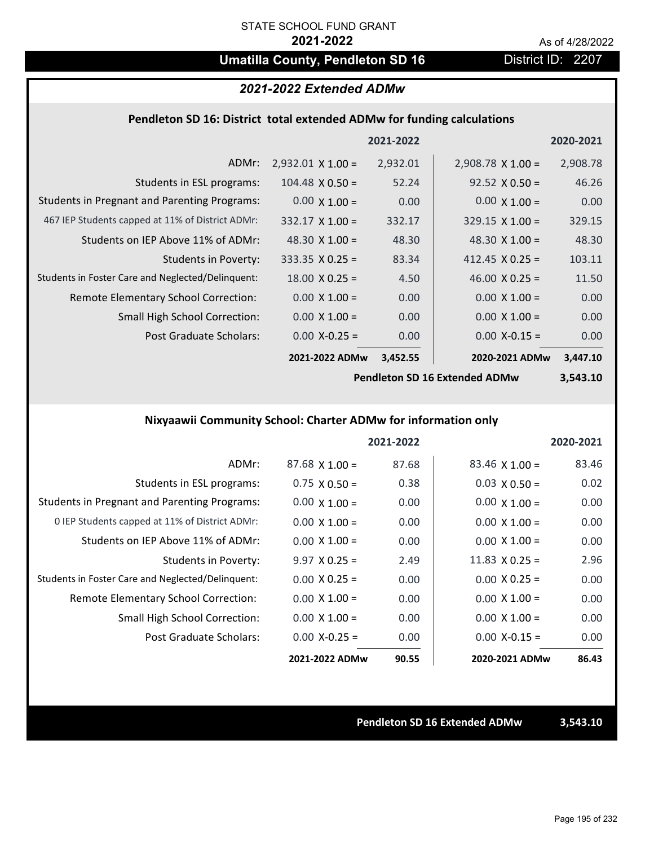# **Umatilla County, Pendleton SD 16** District ID: 2207

### *2021-2022 Extended ADMw*

### **Pendleton SD 16: District total extended ADMw for funding calculations**

|                                                     |                          | 2021-2022 |                          | 2020-2021 |
|-----------------------------------------------------|--------------------------|-----------|--------------------------|-----------|
| ADMr:                                               | $2,932.01 \times 1.00 =$ | 2,932.01  | $2,908.78 \times 1.00 =$ | 2,908.78  |
| Students in ESL programs:                           | $104.48 \times 0.50 =$   | 52.24     | $92.52 \times 0.50 =$    | 46.26     |
| <b>Students in Pregnant and Parenting Programs:</b> | $0.00 \times 1.00 =$     | 0.00      | $0.00 \times 1.00 =$     | 0.00      |
| 467 IEP Students capped at 11% of District ADMr:    | $332.17 \times 1.00 =$   | 332.17    | $329.15 \times 1.00 =$   | 329.15    |
| Students on IEP Above 11% of ADMr:                  | 48.30 $\times$ 1.00 =    | 48.30     | 48.30 $\times$ 1.00 =    | 48.30     |
| <b>Students in Poverty:</b>                         | $333.35 \times 0.25 =$   | 83.34     | 412.45 $X$ 0.25 =        | 103.11    |
| Students in Foster Care and Neglected/Delinquent:   | $18.00 \times 0.25 =$    | 4.50      | 46.00 $X$ 0.25 =         | 11.50     |
| Remote Elementary School Correction:                | $0.00 \times 1.00 =$     | 0.00      | $0.00 \times 1.00 =$     | 0.00      |
| <b>Small High School Correction:</b>                | $0.00 \times 1.00 =$     | 0.00      | $0.00 \times 1.00 =$     | 0.00      |
| Post Graduate Scholars:                             | $0.00$ X-0.25 =          | 0.00      | $0.00$ X-0.15 =          | 0.00      |
|                                                     | 2021-2022 ADMw           | 3,452.55  | 2020-2021 ADMw           | 3,447.10  |

**Pendleton SD 16 Extended ADMw**

**3,543.10**

## **Nixyaawii Community School: Charter ADMw for information only**

|                                                     |                       | 2021-2022 |                       | 2020-2021 |
|-----------------------------------------------------|-----------------------|-----------|-----------------------|-----------|
| ADMr:                                               | $87.68 \times 1.00 =$ | 87.68     | $83.46 \times 1.00 =$ | 83.46     |
| Students in ESL programs:                           | $0.75 \times 0.50 =$  | 0.38      | $0.03 \times 0.50 =$  | 0.02      |
| <b>Students in Pregnant and Parenting Programs:</b> | $0.00 \times 1.00 =$  | 0.00      | $0.00 \times 1.00 =$  | 0.00      |
| 0 IEP Students capped at 11% of District ADMr:      | $0.00 \times 1.00 =$  | 0.00      | $0.00 \times 1.00 =$  | 0.00      |
| Students on IEP Above 11% of ADMr:                  | $0.00 \times 1.00 =$  | 0.00      | $0.00 \times 1.00 =$  | 0.00      |
| Students in Poverty:                                | $9.97 \times 0.25 =$  | 2.49      | 11.83 $\times$ 0.25 = | 2.96      |
| Students in Foster Care and Neglected/Delinquent:   | $0.00 \times 0.25 =$  | 0.00      | $0.00 \times 0.25 =$  | 0.00      |
| Remote Elementary School Correction:                | $0.00 \times 1.00 =$  | 0.00      | $0.00 \times 1.00 =$  | 0.00      |
| <b>Small High School Correction:</b>                | $0.00 \times 1.00 =$  | 0.00      | $0.00 \times 1.00 =$  | 0.00      |
| Post Graduate Scholars:                             | $0.00 X - 0.25 =$     | 0.00      | $0.00 X - 0.15 =$     | 0.00      |
|                                                     | 2021-2022 ADMw        | 90.55     | 2020-2021 ADMw        | 86.43     |

**Pendleton SD 16 Extended ADMw 3,543.10**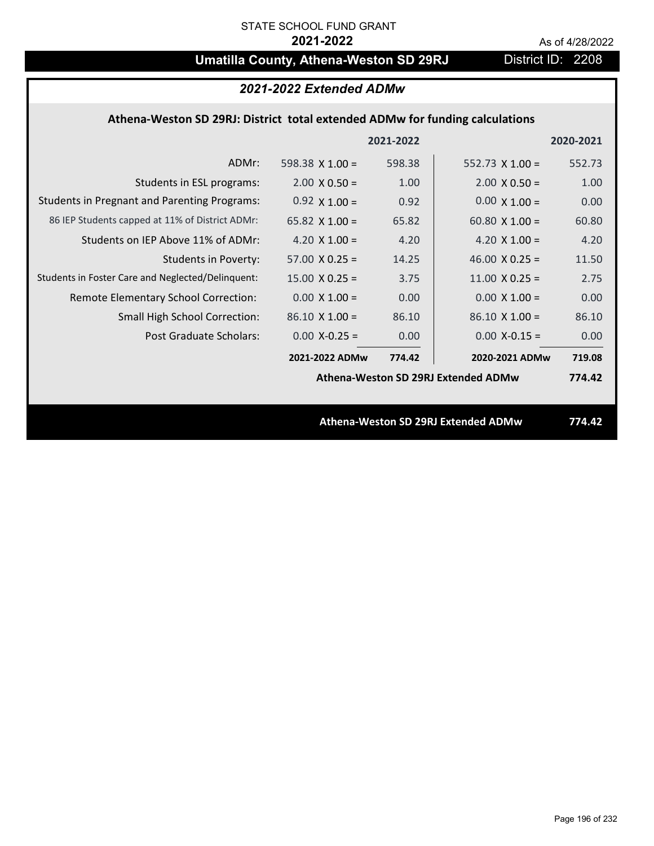# **Umatilla County, Athena-Weston SD 29RJ** District ID: 2208

|                                                                              | 2021-2022 Extended ADMw |           |                                     |           |
|------------------------------------------------------------------------------|-------------------------|-----------|-------------------------------------|-----------|
| Athena-Weston SD 29RJ: District total extended ADMw for funding calculations |                         |           |                                     |           |
|                                                                              |                         | 2021-2022 |                                     | 2020-2021 |
| ADMr:                                                                        | 598.38 $\times$ 1.00 =  | 598.38    | 552.73 $X$ 1.00 =                   | 552.73    |
| Students in ESL programs:                                                    | $2.00 \times 0.50 =$    | 1.00      | $2.00 \times 0.50 =$                | 1.00      |
| <b>Students in Pregnant and Parenting Programs:</b>                          | $0.92 \times 1.00 =$    | 0.92      | $0.00 \times 1.00 =$                | 0.00      |
| 86 IEP Students capped at 11% of District ADMr:                              | 65.82 $\times$ 1.00 =   | 65.82     | 60.80 $\times$ 1.00 =               | 60.80     |
| Students on IEP Above 11% of ADMr:                                           | 4.20 $X$ 1.00 =         | 4.20      | 4.20 $X$ 1.00 =                     | 4.20      |
| <b>Students in Poverty:</b>                                                  | $57.00 \times 0.25 =$   | 14.25     | 46.00 $X$ 0.25 =                    | 11.50     |
| Students in Foster Care and Neglected/Delinquent:                            | $15.00 \times 0.25 =$   | 3.75      | $11.00 \times 0.25 =$               | 2.75      |
| Remote Elementary School Correction:                                         | $0.00 \times 1.00 =$    | 0.00      | $0.00 \times 1.00 =$                | 0.00      |
| Small High School Correction:                                                | $86.10 \times 1.00 =$   | 86.10     | $86.10 \times 1.00 =$               | 86.10     |
| <b>Post Graduate Scholars:</b>                                               | $0.00$ X-0.25 =         | 0.00      | $0.00$ X-0.15 =                     | 0.00      |
|                                                                              | 2021-2022 ADMw          | 774.42    | 2020-2021 ADMw                      | 719.08    |
|                                                                              |                         |           | Athena-Weston SD 29RJ Extended ADMw | 774.42    |
|                                                                              |                         |           |                                     |           |
|                                                                              |                         |           | Athena-Weston SD 29RJ Extended ADMw | 774.42    |
|                                                                              |                         |           |                                     |           |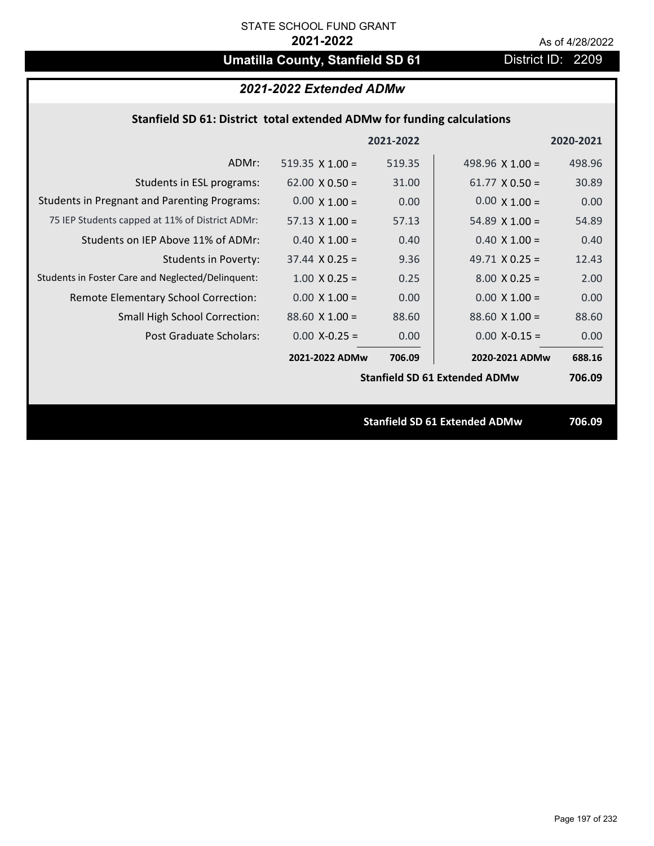# **Umatilla County, Stanfield SD 61** District ID: 2209

| 2021-2022 Extended ADMw                                                |                       |           |                                      |           |
|------------------------------------------------------------------------|-----------------------|-----------|--------------------------------------|-----------|
| Stanfield SD 61: District total extended ADMw for funding calculations |                       |           |                                      |           |
|                                                                        |                       | 2021-2022 |                                      | 2020-2021 |
| ADMr:                                                                  | 519.35 $X$ 1.00 =     | 519.35    | 498.96 $\times$ 1.00 =               | 498.96    |
| Students in ESL programs:                                              | $62.00 \times 0.50 =$ | 31.00     | $61.77 \times 0.50 =$                | 30.89     |
| <b>Students in Pregnant and Parenting Programs:</b>                    | $0.00 \times 1.00 =$  | 0.00      | $0.00 \times 1.00 =$                 | 0.00      |
| 75 IEP Students capped at 11% of District ADMr:                        | $57.13 \times 1.00 =$ | 57.13     | 54.89 $X$ 1.00 =                     | 54.89     |
| Students on IEP Above 11% of ADMr:                                     | $0.40$ X $1.00 =$     | 0.40      | $0.40$ X $1.00 =$                    | 0.40      |
| <b>Students in Poverty:</b>                                            | $37.44 \times 0.25 =$ | 9.36      | 49.71 $X$ 0.25 =                     | 12.43     |
| Students in Foster Care and Neglected/Delinquent:                      | $1.00 \times 0.25 =$  | 0.25      | $8.00 \times 0.25 =$                 | 2.00      |
| Remote Elementary School Correction:                                   | $0.00 \times 1.00 =$  | 0.00      | $0.00 \times 1.00 =$                 | 0.00      |
| Small High School Correction:                                          | $88.60 X 1.00 =$      | 88.60     | $88.60 X 1.00 =$                     | 88.60     |
| Post Graduate Scholars:                                                | $0.00$ X-0.25 =       | 0.00      | $0.00$ X-0.15 =                      | 0.00      |
|                                                                        | 2021-2022 ADMw        | 706.09    | 2020-2021 ADMw                       | 688.16    |
|                                                                        |                       |           | <b>Stanfield SD 61 Extended ADMw</b> | 706.09    |
|                                                                        |                       |           |                                      |           |
|                                                                        |                       |           | <b>Stanfield SD 61 Extended ADMw</b> | 706.09    |
|                                                                        |                       |           |                                      |           |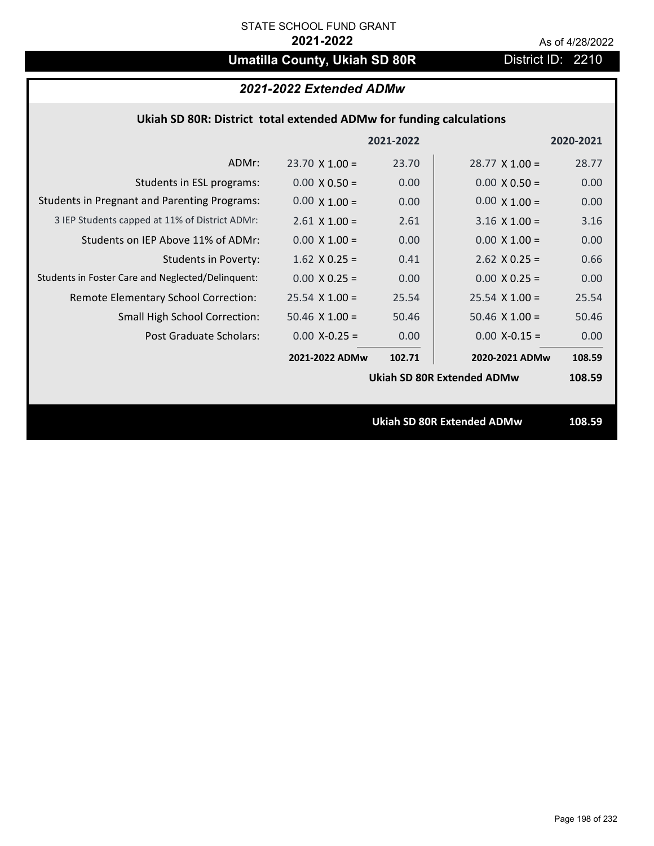# **Umatilla County, Ukiah SD 80R** District ID: 2210

# *2021-2022 Extended ADMw*

### **Ukiah SD 80R: District total extended ADMw for funding calculations**

|                                                     |                       | 2021-2022 |                                   | 2020-2021 |
|-----------------------------------------------------|-----------------------|-----------|-----------------------------------|-----------|
| ADMr:                                               | $23.70 \times 1.00 =$ | 23.70     | $28.77 \times 1.00 =$             | 28.77     |
| Students in ESL programs:                           | $0.00 \times 0.50 =$  | 0.00      | $0.00 \times 0.50 =$              | 0.00      |
| <b>Students in Pregnant and Parenting Programs:</b> | $0.00 \times 1.00 =$  | 0.00      | $0.00 \times 1.00 =$              | 0.00      |
| 3 IEP Students capped at 11% of District ADMr:      | $2.61 \times 1.00 =$  | 2.61      | $3.16 \times 1.00 =$              | 3.16      |
| Students on IEP Above 11% of ADMr:                  | $0.00 \times 1.00 =$  | 0.00      | $0.00 \times 1.00 =$              | 0.00      |
| <b>Students in Poverty:</b>                         | $1.62$ X 0.25 =       | 0.41      | $2.62$ X 0.25 =                   | 0.66      |
| Students in Foster Care and Neglected/Delinquent:   | $0.00 \times 0.25 =$  | 0.00      | $0.00 \times 0.25 =$              | 0.00      |
| Remote Elementary School Correction:                | $25.54$ X 1.00 =      | 25.54     | $25.54$ X 1.00 =                  | 25.54     |
| <b>Small High School Correction:</b>                | $50.46$ X $1.00 =$    | 50.46     | $50.46$ X $1.00 =$                | 50.46     |
| Post Graduate Scholars:                             | $0.00$ X-0.25 =       | 0.00      | $0.00$ X-0.15 =                   | 0.00      |
|                                                     | 2021-2022 ADMw        | 102.71    | 2020-2021 ADMw                    | 108.59    |
|                                                     |                       |           | <b>Ukiah SD 80R Extended ADMw</b> | 108.59    |
|                                                     |                       |           |                                   |           |
|                                                     |                       |           | <b>Ukiah SD 80R Extended ADMw</b> | 108.59    |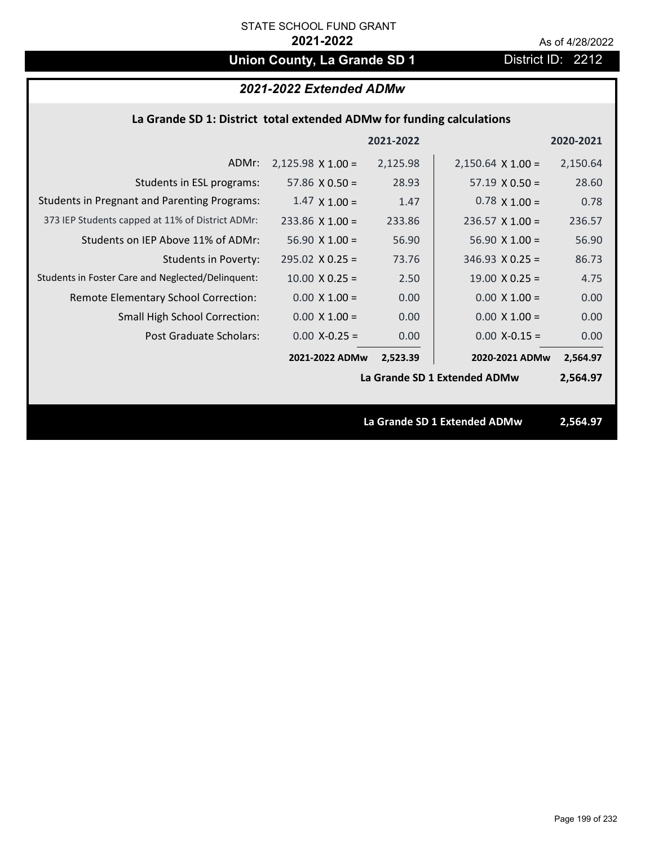# **Union County, La Grande SD 1** District ID: 2212

## *2021-2022 Extended ADMw*

### **La Grande SD 1: District total extended ADMw for funding calculations**

|                                                     |                          | 2021-2022 |                              | 2020-2021 |
|-----------------------------------------------------|--------------------------|-----------|------------------------------|-----------|
| ADMr:                                               | $2,125.98 \times 1.00 =$ | 2,125.98  | $2,150.64 \times 1.00 =$     | 2,150.64  |
| Students in ESL programs:                           | 57.86 $\times$ 0.50 =    | 28.93     | $57.19 \times 0.50 =$        | 28.60     |
| <b>Students in Pregnant and Parenting Programs:</b> | $1.47 \times 1.00 =$     | 1.47      | $0.78 \times 1.00 =$         | 0.78      |
| 373 IEP Students capped at 11% of District ADMr:    | $233.86 \times 1.00 =$   | 233.86    | $236.57 \times 1.00 =$       | 236.57    |
| Students on IEP Above 11% of ADMr:                  | $56.90 X 1.00 =$         | 56.90     | $56.90 X 1.00 =$             | 56.90     |
| <b>Students in Poverty:</b>                         | $295.02 \times 0.25 =$   | 73.76     | $346.93 \times 0.25 =$       | 86.73     |
| Students in Foster Care and Neglected/Delinquent:   | $10.00 \times 0.25 =$    | 2.50      | $19.00 \times 0.25 =$        | 4.75      |
| Remote Elementary School Correction:                | $0.00 \times 1.00 =$     | 0.00      | $0.00 \times 1.00 =$         | 0.00      |
| <b>Small High School Correction:</b>                | $0.00 \times 1.00 =$     | 0.00      | $0.00 \times 1.00 =$         | 0.00      |
| Post Graduate Scholars:                             | $0.00$ X-0.25 =          | 0.00      | $0.00$ X-0.15 =              | 0.00      |
|                                                     | 2021-2022 ADMw           | 2,523.39  | 2020-2021 ADMw               | 2,564.97  |
|                                                     |                          |           | La Grande SD 1 Extended ADMw | 2,564.97  |
|                                                     |                          |           |                              |           |
|                                                     |                          |           | La Grande SD 1 Extended ADMw | 2,564.97  |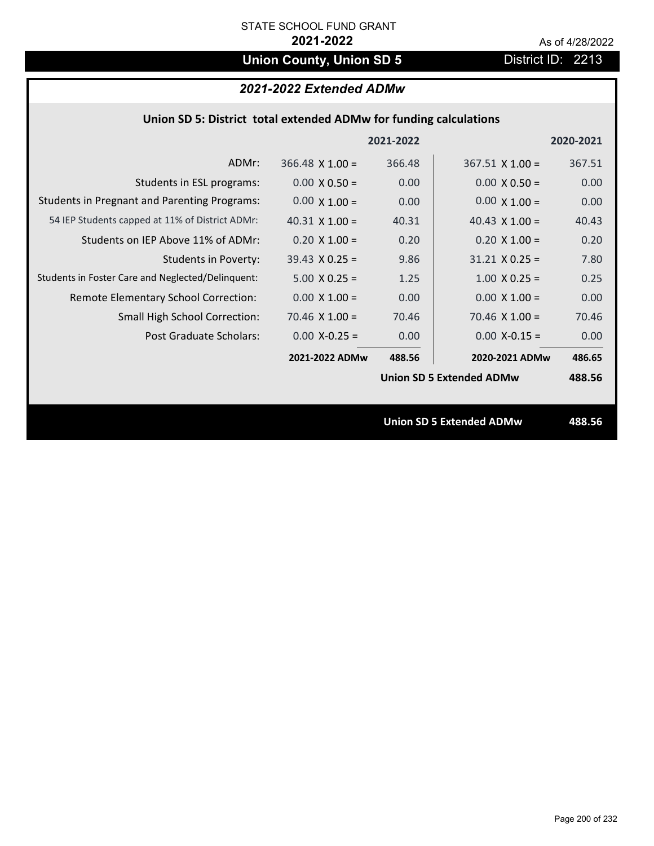# **Union County, Union SD 5** District ID: 2213

## *2021-2022 Extended ADMw*

### **Union SD 5: District total extended ADMw for funding calculations**

|                                                     |                        | 2021-2022 |                                 | 2020-2021 |
|-----------------------------------------------------|------------------------|-----------|---------------------------------|-----------|
| ADMr:                                               | $366.48 \times 1.00 =$ | 366.48    | $367.51$ X 1.00 =               | 367.51    |
| Students in ESL programs:                           | $0.00 \times 0.50 =$   | 0.00      | $0.00 \times 0.50 =$            | 0.00      |
| <b>Students in Pregnant and Parenting Programs:</b> | $0.00 \times 1.00 =$   | 0.00      | $0.00 \times 1.00 =$            | 0.00      |
| 54 IEP Students capped at 11% of District ADMr:     | 40.31 $\times$ 1.00 =  | 40.31     | 40.43 $\times$ 1.00 =           | 40.43     |
| Students on IEP Above 11% of ADMr:                  | $0.20$ X 1.00 =        | 0.20      | $0.20$ X 1.00 =                 | 0.20      |
| <b>Students in Poverty:</b>                         | $39.43 \times 0.25 =$  | 9.86      | $31.21 \times 0.25 =$           | 7.80      |
| Students in Foster Care and Neglected/Delinquent:   | $5.00 \times 0.25 =$   | 1.25      | $1.00 \times 0.25 =$            | 0.25      |
| Remote Elementary School Correction:                | $0.00 \times 1.00 =$   | 0.00      | $0.00 \times 1.00 =$            | 0.00      |
| <b>Small High School Correction:</b>                | $70.46 \times 1.00 =$  | 70.46     | $70.46$ X $1.00 =$              | 70.46     |
| Post Graduate Scholars:                             | $0.00$ X-0.25 =        | 0.00      | $0.00$ X-0.15 =                 | 0.00      |
|                                                     | 2021-2022 ADMw         | 488.56    | 2020-2021 ADMw                  | 486.65    |
|                                                     |                        |           | <b>Union SD 5 Extended ADMw</b> | 488.56    |
|                                                     |                        |           |                                 |           |
|                                                     |                        |           | <b>Union SD 5 Extended ADMw</b> | 488.56    |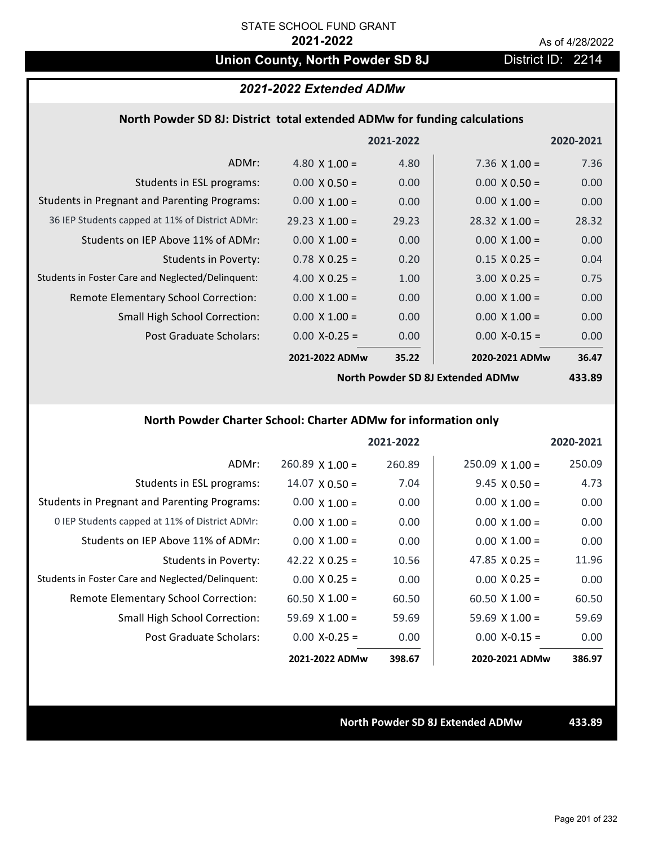# **Union County, North Powder SD 8J** District ID: 2214

### *2021-2022 Extended ADMw*

### **North Powder SD 8J: District total extended ADMw for funding calculations**

|                                                     |                       | 2021-2022      |                       | 2020-2021 |
|-----------------------------------------------------|-----------------------|----------------|-----------------------|-----------|
| ADMr:                                               | 4.80 $\times$ 1.00 =  | 4.80           | 7.36 $\times$ 1.00 =  | 7.36      |
| Students in ESL programs:                           | $0.00 \times 0.50 =$  | 0.00           | $0.00 \times 0.50 =$  | 0.00      |
| <b>Students in Pregnant and Parenting Programs:</b> | $0.00 \times 1.00 =$  | 0.00           | $0.00 \times 1.00 =$  | 0.00      |
| 36 IEP Students capped at 11% of District ADMr:     | $29.23 \times 1.00 =$ | 29.23          | $28.32 \times 1.00 =$ | 28.32     |
| Students on IEP Above 11% of ADMr:                  | $0.00 \times 1.00 =$  | 0.00           | $0.00 \times 1.00 =$  | 0.00      |
| <b>Students in Poverty:</b>                         | $0.78$ X 0.25 =       | 0.20           | $0.15 \times 0.25 =$  | 0.04      |
| Students in Foster Care and Neglected/Delinquent:   | 4.00 $X$ 0.25 =       | 1.00           | $3.00 \times 0.25 =$  | 0.75      |
| Remote Elementary School Correction:                | $0.00 \times 1.00 =$  | 0.00           | $0.00 \times 1.00 =$  | 0.00      |
| <b>Small High School Correction:</b>                | $0.00 \times 1.00 =$  | 0.00           | $0.00 \times 1.00 =$  | 0.00      |
| Post Graduate Scholars:                             | $0.00 X-0.25 =$       | 0.00           | $0.00$ X-0.15 =       | 0.00      |
|                                                     | 2021-2022 ADMw        | 35.22          | 2020-2021 ADMw        | 36.47     |
|                                                     | $\cdots$ $\cdots$     | $\blacksquare$ |                       | .         |

**North Powder SD 8J Extended ADMw**

**433.89**

## **North Powder Charter School: Charter ADMw for information only**

|                                                     |                       | 2021-2022 |                       | 2020-2021 |
|-----------------------------------------------------|-----------------------|-----------|-----------------------|-----------|
| ADMr:                                               | $260.89$ X 1.00 =     | 260.89    | $250.09$ X 1.00 =     | 250.09    |
| Students in ESL programs:                           | $14.07 \times 0.50 =$ | 7.04      | $9.45 \times 0.50 =$  | 4.73      |
| <b>Students in Pregnant and Parenting Programs:</b> | $0.00 \times 1.00 =$  | 0.00      | $0.00 \times 1.00 =$  | 0.00      |
| 0 IEP Students capped at 11% of District ADMr:      | $0.00 \times 1.00 =$  | 0.00      | $0.00 \times 1.00 =$  | 0.00      |
| Students on IEP Above 11% of ADMr:                  | $0.00 \times 1.00 =$  | 0.00      | $0.00 \times 1.00 =$  | 0.00      |
| Students in Poverty:                                | 42.22 $\times$ 0.25 = | 10.56     | $47.85 \times 0.25 =$ | 11.96     |
| Students in Foster Care and Neglected/Delinquent:   | $0.00 \times 0.25 =$  | 0.00      | $0.00 \times 0.25 =$  | 0.00      |
| Remote Elementary School Correction:                | $60.50 \times 1.00 =$ | 60.50     | $60.50 \times 1.00 =$ | 60.50     |
| <b>Small High School Correction:</b>                | $59.69 \times 1.00 =$ | 59.69     | $59.69 \times 1.00 =$ | 59.69     |
| Post Graduate Scholars:                             | $0.00$ X-0.25 =       | 0.00      | $0.00 X - 0.15 =$     | 0.00      |
|                                                     | 2021-2022 ADMw        | 398.67    | 2020-2021 ADMw        | 386.97    |

**North Powder SD 8J Extended ADMw 433.89**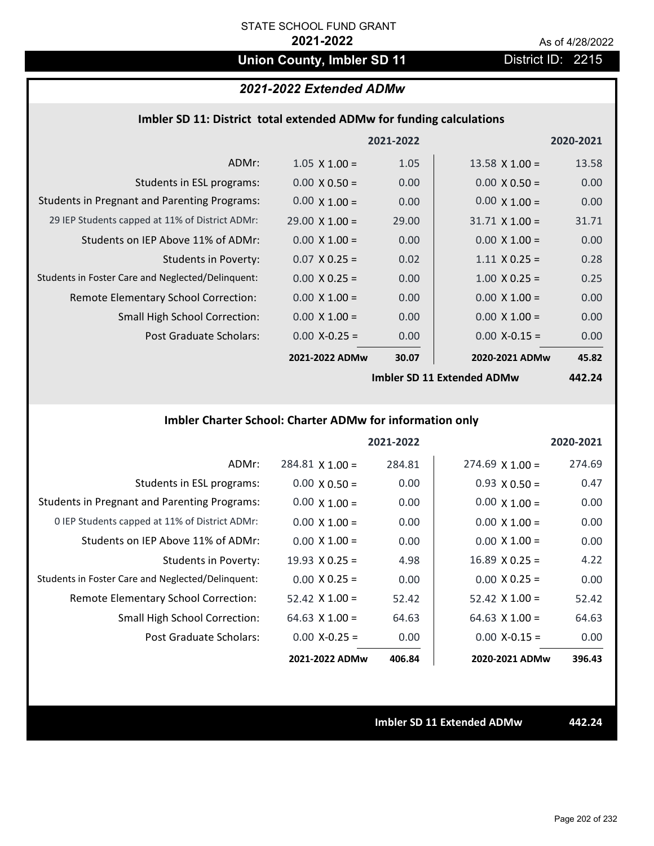# **Union County, Imbler SD 11** District ID: 2215

## *2021-2022 Extended ADMw*

| Imbler SD 11: District total extended ADMw for funding calculations |  |  |  |
|---------------------------------------------------------------------|--|--|--|
|---------------------------------------------------------------------|--|--|--|

|                                                     |                       | 2021-2022 |                       | 2020-2021                |
|-----------------------------------------------------|-----------------------|-----------|-----------------------|--------------------------|
| ADMr:                                               | $1.05 \times 1.00 =$  | 1.05      | 13.58 $\times$ 1.00 = | 13.58                    |
| Students in ESL programs:                           | $0.00 \times 0.50 =$  | 0.00      | $0.00 \times 0.50 =$  | 0.00                     |
| <b>Students in Pregnant and Parenting Programs:</b> | $0.00 \times 1.00 =$  | 0.00      | $0.00 \times 1.00 =$  | 0.00                     |
| 29 IEP Students capped at 11% of District ADMr:     | $29.00 \times 1.00 =$ | 29.00     | $31.71 \times 1.00 =$ | 31.71                    |
| Students on IEP Above 11% of ADMr:                  | $0.00 \times 1.00 =$  | 0.00      | $0.00 \times 1.00 =$  | 0.00                     |
| <b>Students in Poverty:</b>                         | $0.07$ X 0.25 =       | 0.02      | $1.11 \times 0.25 =$  | 0.28                     |
| Students in Foster Care and Neglected/Delinquent:   | $0.00 \times 0.25 =$  | 0.00      | $1.00 \times 0.25 =$  | 0.25                     |
| Remote Elementary School Correction:                | $0.00 \times 1.00 =$  | 0.00      | $0.00 \times 1.00 =$  | 0.00                     |
| <b>Small High School Correction:</b>                | $0.00 \times 1.00 =$  | 0.00      | $0.00 \times 1.00 =$  | 0.00                     |
| Post Graduate Scholars:                             | $0.00$ X-0.25 =       | 0.00      | $0.00$ X-0.15 =       | 0.00                     |
|                                                     | 2021-2022 ADMw        | 30.07     | 2020-2021 ADMw        | 45.82                    |
|                                                     |                       |           |                       | $\overline{\phantom{a}}$ |

**Imbler SD 11 Extended ADMw**

**442.24**

## **Imbler Charter School: Charter ADMw for information only**

|                                                     |                        | 2021-2022 |                       | 2020-2021 |
|-----------------------------------------------------|------------------------|-----------|-----------------------|-----------|
| ADMr:                                               | $284.81 \times 1.00 =$ | 284.81    | $274.69$ X 1.00 =     | 274.69    |
| Students in ESL programs:                           | $0.00 \times 0.50 =$   | 0.00      | $0.93 \times 0.50 =$  | 0.47      |
| <b>Students in Pregnant and Parenting Programs:</b> | $0.00 \times 1.00 =$   | 0.00      | $0.00 \times 1.00 =$  | 0.00      |
| 0 IEP Students capped at 11% of District ADMr:      | $0.00 \times 1.00 =$   | 0.00      | $0.00 \times 1.00 =$  | 0.00      |
| Students on IEP Above 11% of ADMr:                  | $0.00 \times 1.00 =$   | 0.00      | $0.00 \times 1.00 =$  | 0.00      |
| Students in Poverty:                                | $19.93 \times 0.25 =$  | 4.98      | $16.89 \times 0.25 =$ | 4.22      |
| Students in Foster Care and Neglected/Delinquent:   | $0.00 \times 0.25 =$   | 0.00      | $0.00 \times 0.25 =$  | 0.00      |
| Remote Elementary School Correction:                | $52.42 \times 1.00 =$  | 52.42     | $52.42 \times 1.00 =$ | 52.42     |
| <b>Small High School Correction:</b>                | 64.63 $X$ 1.00 =       | 64.63     | $64.63 \times 1.00 =$ | 64.63     |
| Post Graduate Scholars:                             | $0.00 X - 0.25 =$      | 0.00      | $0.00$ X-0.15 =       | 0.00      |
|                                                     | 2021-2022 ADMw         | 406.84    | 2020-2021 ADMw        | 396.43    |

**Imbler SD 11 Extended ADMw 442.24**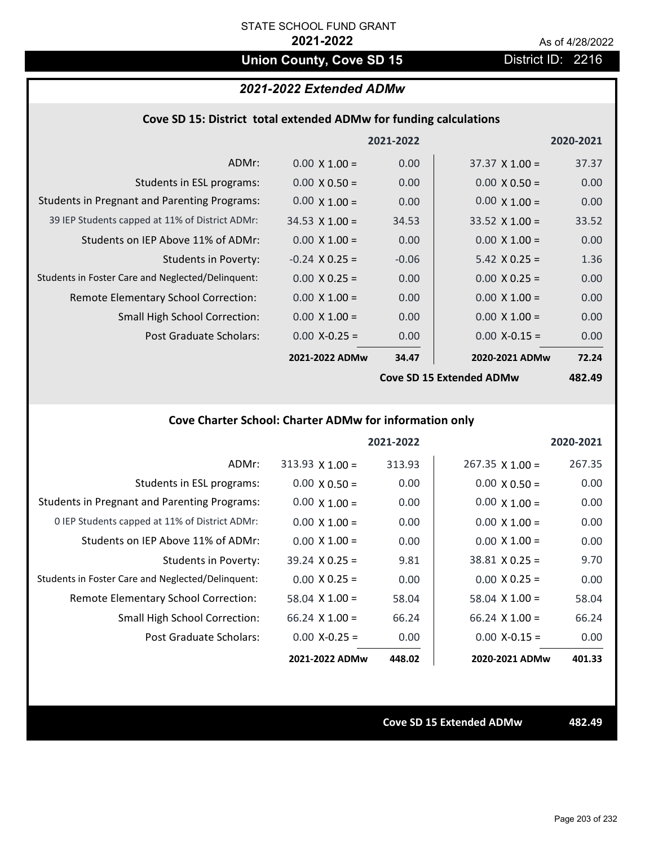# **Union County, Cove SD 15** District ID: 2216

## *2021-2022 Extended ADMw*

| Cove SD 15: District total extended ADMw for funding calculations |  |  |  |
|-------------------------------------------------------------------|--|--|--|
|-------------------------------------------------------------------|--|--|--|

|                                                     |                       | 2021-2022         |                          | 2020-2021     |
|-----------------------------------------------------|-----------------------|-------------------|--------------------------|---------------|
| ADMr:                                               | $0.00 \times 1.00 =$  | 0.00              | $37.37 \times 1.00 =$    | 37.37         |
| Students in ESL programs:                           | $0.00 \times 0.50 =$  | 0.00 <sub>1</sub> | $0.00 \times 0.50 =$     | 0.00          |
| <b>Students in Pregnant and Parenting Programs:</b> | $0.00 \times 1.00 =$  | 0.00              | $0.00 \times 1.00 =$     | 0.00          |
| 39 IEP Students capped at 11% of District ADMr:     | $34.53 \times 1.00 =$ | 34.53             | $33.52 \times 1.00 =$    | 33.52         |
| Students on IEP Above 11% of ADMr:                  | $0.00 \times 1.00 =$  | 0.00              | $0.00 \times 1.00 =$     | 0.00          |
| <b>Students in Poverty:</b>                         | $-0.24$ X 0.25 =      | $-0.06$           | $5.42 \times 0.25 =$     | 1.36          |
| Students in Foster Care and Neglected/Delinquent:   | $0.00 \times 0.25 =$  | 0.00              | $0.00 \times 0.25 =$     | 0.00          |
| Remote Elementary School Correction:                | $0.00 \times 1.00 =$  | 0.00              | $0.00 \times 1.00 =$     | 0.00          |
| <b>Small High School Correction:</b>                | $0.00 \times 1.00 =$  | 0.00              | $0.00 \times 1.00 =$     | 0.00          |
| Post Graduate Scholars:                             | $0.00$ X-0.25 =       | 0.00 <sub>1</sub> | $0.00$ X-0.15 =          | 0.00          |
|                                                     | 2021-2022 ADMw        | 34.47             | 2020-2021 ADMw           | 72.24         |
|                                                     |                       |                   | Cove SD 15 Extended ADMw | <b>482.49</b> |

**Cove SD 15 Extended ADMw**

**482.49**

## **Cove Charter School: Charter ADMw for information only**

|                                                     |                        | 2021-2022 |                        | 2020-2021 |
|-----------------------------------------------------|------------------------|-----------|------------------------|-----------|
| ADMr:                                               | $313.93 \times 1.00 =$ | 313.93    | $267.35 \times 1.00 =$ | 267.35    |
| Students in ESL programs:                           | $0.00 \times 0.50 =$   | 0.00      | $0.00 \times 0.50 =$   | 0.00      |
| <b>Students in Pregnant and Parenting Programs:</b> | $0.00 \times 1.00 =$   | 0.00      | $0.00 \times 1.00 =$   | 0.00      |
| 0 IEP Students capped at 11% of District ADMr:      | $0.00 \times 1.00 =$   | 0.00      | $0.00 \times 1.00 =$   | 0.00      |
| Students on IEP Above 11% of ADMr:                  | $0.00 \times 1.00 =$   | 0.00      | $0.00 \times 1.00 =$   | 0.00      |
| Students in Poverty:                                | $39.24 \times 0.25 =$  | 9.81      | $38.81 \times 0.25 =$  | 9.70      |
| Students in Foster Care and Neglected/Delinquent:   | $0.00 \times 0.25 =$   | 0.00      | $0.00 \times 0.25 =$   | 0.00      |
| Remote Elementary School Correction:                | 58.04 $\times$ 1.00 =  | 58.04     | $58.04 \times 1.00 =$  | 58.04     |
| <b>Small High School Correction:</b>                | $66.24$ X 1.00 =       | 66.24     | $66.24$ X 1.00 =       | 66.24     |
| Post Graduate Scholars:                             | $0.00 X - 0.25 =$      | 0.00      | $0.00$ X-0.15 =        | 0.00      |
|                                                     | 2021-2022 ADMw         | 448.02    | 2020-2021 ADMw         | 401.33    |

**Cove SD 15 Extended ADMw 482.49**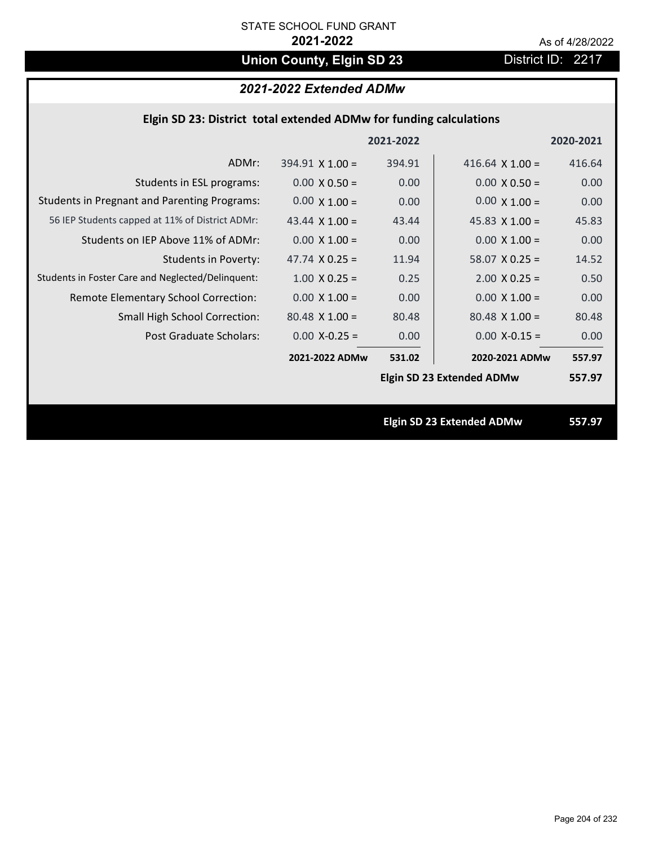# **Union County, Elgin SD 23** District ID: 2217

# *2021-2022 Extended ADMw*

|  | Elgin SD 23: District total extended ADMw for funding calculations |  |
|--|--------------------------------------------------------------------|--|
|--|--------------------------------------------------------------------|--|

|                                                     |                        | 2021-2022 |                                  | 2020-2021 |
|-----------------------------------------------------|------------------------|-----------|----------------------------------|-----------|
| ADMr:                                               | $394.91 \times 1.00 =$ | 394.91    | 416.64 $\times$ 1.00 =           | 416.64    |
| Students in ESL programs:                           | $0.00 \times 0.50 =$   | 0.00      | $0.00 \times 0.50 =$             | 0.00      |
| <b>Students in Pregnant and Parenting Programs:</b> | $0.00 \times 1.00 =$   | 0.00      | $0.00 \times 1.00 =$             | 0.00      |
| 56 IEP Students capped at 11% of District ADMr:     | 43.44 $\times$ 1.00 =  | 43.44     | 45.83 $\times$ 1.00 =            | 45.83     |
| Students on IEP Above 11% of ADMr:                  | $0.00 \times 1.00 =$   | 0.00      | $0.00 \times 1.00 =$             | 0.00      |
| <b>Students in Poverty:</b>                         | 47.74 $X$ 0.25 =       | 11.94     | $58.07$ X 0.25 =                 | 14.52     |
| Students in Foster Care and Neglected/Delinquent:   | $1.00 \times 0.25 =$   | 0.25      | $2.00 \times 0.25 =$             | 0.50      |
| Remote Elementary School Correction:                | $0.00 \times 1.00 =$   | 0.00      | $0.00 \times 1.00 =$             | 0.00      |
| <b>Small High School Correction:</b>                | $80.48 \times 1.00 =$  | 80.48     | $80.48$ X 1.00 =                 | 80.48     |
| Post Graduate Scholars:                             | $0.00$ X-0.25 =        | 0.00      | $0.00$ X-0.15 =                  | 0.00      |
|                                                     | 2021-2022 ADMw         | 531.02    | 2020-2021 ADMw                   | 557.97    |
|                                                     |                        |           | <b>Elgin SD 23 Extended ADMw</b> | 557.97    |
|                                                     |                        |           |                                  |           |
|                                                     |                        |           | <b>Elgin SD 23 Extended ADMw</b> | 557.97    |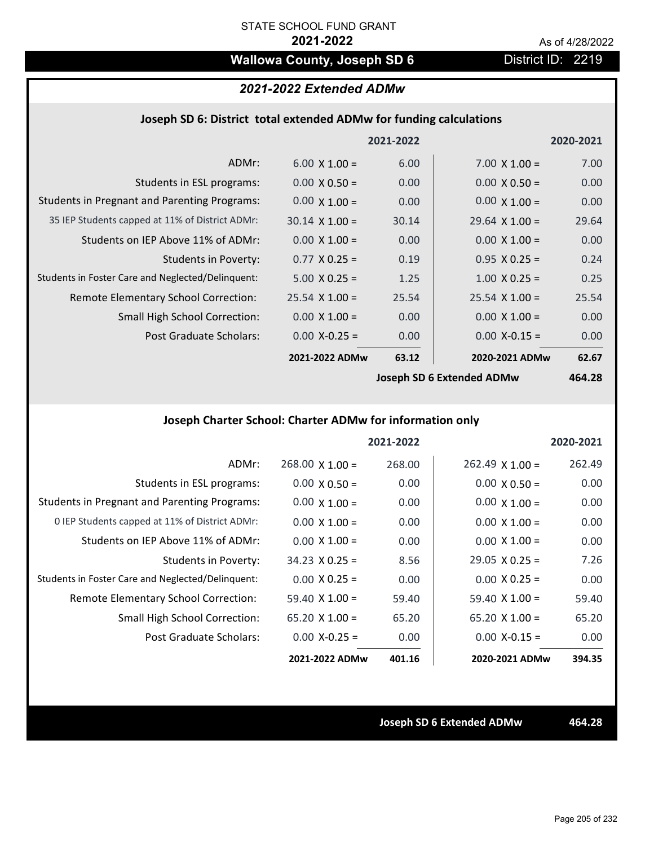# **Wallowa County, Joseph SD 6** District ID: 2219

# *2021-2022 Extended ADMw*

### **Joseph SD 6: District total extended ADMw for funding calculations**

|                                                     |                       | 2021-2022 |                       | 2020-2021      |
|-----------------------------------------------------|-----------------------|-----------|-----------------------|----------------|
| ADMr:                                               | $6.00 \times 1.00 =$  | 6.00      | $7.00 \times 1.00 =$  | 7.00           |
| Students in ESL programs:                           | $0.00 \times 0.50 =$  | 0.00      | $0.00 \times 0.50 =$  | 0.00           |
| <b>Students in Pregnant and Parenting Programs:</b> | $0.00 \times 1.00 =$  | 0.00      | $0.00 \times 1.00 =$  | 0.00           |
| 35 IEP Students capped at 11% of District ADMr:     | $30.14 \times 1.00 =$ | 30.14     | $29.64 \times 1.00 =$ | 29.64          |
| Students on IEP Above 11% of ADMr:                  | $0.00 \times 1.00 =$  | 0.00      | $0.00 \times 1.00 =$  | 0.00           |
| <b>Students in Poverty:</b>                         | $0.77 \times 0.25 =$  | 0.19      | $0.95 \times 0.25 =$  | 0.24           |
| Students in Foster Care and Neglected/Delinquent:   | $5.00 \times 0.25 =$  | 1.25      | $1.00 \times 0.25 =$  | 0.25           |
| Remote Elementary School Correction:                | $25.54 \times 1.00 =$ | 25.54     | $25.54 \times 1.00 =$ | 25.54          |
| <b>Small High School Correction:</b>                | $0.00 \times 1.00 =$  | 0.00      | $0.00 \times 1.00 =$  | 0.00           |
| Post Graduate Scholars:                             | $0.00$ X-0.25 =       | 0.00      | $0.00$ X-0.15 =       | 0.00           |
|                                                     | 2021-2022 ADMw        | 63.12     | 2020-2021 ADMw        | 62.67          |
|                                                     |                       |           | $l = \frac{1}{2}$     | $\overline{a}$ |

**Joseph SD 6 Extended ADMw**

**464.28**

## **Joseph Charter School: Charter ADMw for information only**

|                                                     |                       | 2021-2022 |                        | 2020-2021 |
|-----------------------------------------------------|-----------------------|-----------|------------------------|-----------|
| ADMr:                                               | $268.00$ X 1.00 =     | 268.00    | $262.49 \times 1.00 =$ | 262.49    |
| Students in ESL programs:                           | $0.00 \times 0.50 =$  | 0.00      | $0.00 \times 0.50 =$   | 0.00      |
| <b>Students in Pregnant and Parenting Programs:</b> | $0.00 \times 1.00 =$  | 0.00      | $0.00 \times 1.00 =$   | 0.00      |
| 0 IEP Students capped at 11% of District ADMr:      | $0.00 \times 1.00 =$  | 0.00      | $0.00 \times 1.00 =$   | 0.00      |
| Students on IEP Above 11% of ADMr:                  | $0.00 \times 1.00 =$  | 0.00      | $0.00 \times 1.00 =$   | 0.00      |
| Students in Poverty:                                | $34.23 \times 0.25 =$ | 8.56      | $29.05 \times 0.25 =$  | 7.26      |
| Students in Foster Care and Neglected/Delinquent:   | $0.00 \times 0.25 =$  | 0.00      | $0.00 \times 0.25 =$   | 0.00      |
| Remote Elementary School Correction:                | 59.40 $\times$ 1.00 = | 59.40     | $59.40 \times 1.00 =$  | 59.40     |
| <b>Small High School Correction:</b>                | $65.20 \times 1.00 =$ | 65.20     | $65.20 \times 1.00 =$  | 65.20     |
| Post Graduate Scholars:                             | $0.00 X - 0.25 =$     | 0.00      | $0.00 X - 0.15 =$      | 0.00      |
|                                                     | 2021-2022 ADMw        | 401.16    | 2020-2021 ADMw         | 394.35    |

**Joseph SD 6 Extended ADMw 464.28**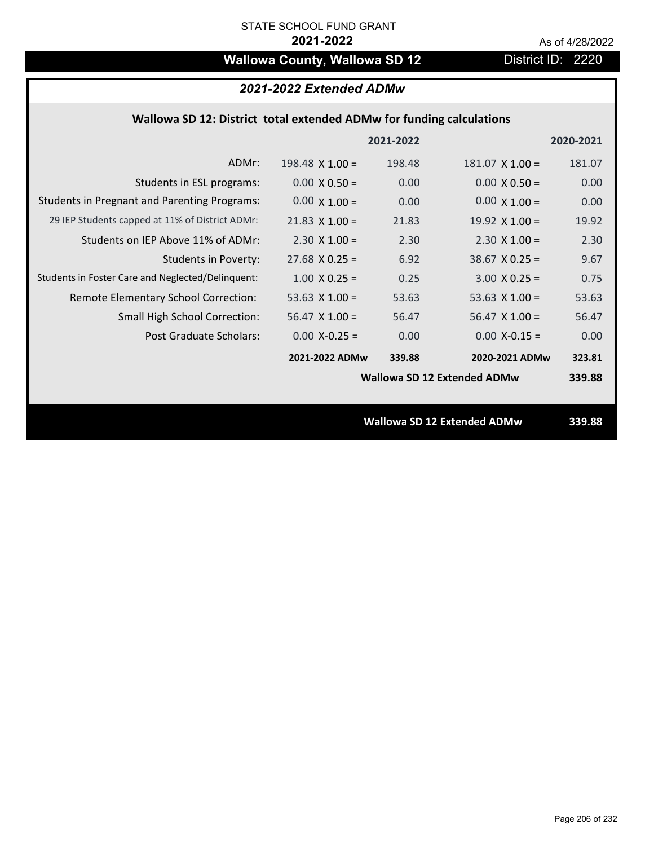# **Wallowa County, Wallowa SD 12** District ID: 2220

## *2021-2022 Extended ADMw*

### **Wallowa SD 12: District total extended ADMw for funding calculations**

|                                                     |                        | 2021-2022 |                                    | 2020-2021 |
|-----------------------------------------------------|------------------------|-----------|------------------------------------|-----------|
| ADMr:                                               | $198.48 \times 1.00 =$ | 198.48    | $181.07 \times 1.00 =$             | 181.07    |
| Students in ESL programs:                           | $0.00 \times 0.50 =$   | 0.00      | $0.00 \times 0.50 =$               | 0.00      |
| <b>Students in Pregnant and Parenting Programs:</b> | $0.00 \times 1.00 =$   | 0.00      | $0.00 \times 1.00 =$               | 0.00      |
| 29 IEP Students capped at 11% of District ADMr:     | $21.83 \times 1.00 =$  | 21.83     | 19.92 $\times$ 1.00 =              | 19.92     |
| Students on IEP Above 11% of ADMr:                  | $2.30 \times 1.00 =$   | 2.30      | $2.30 \times 1.00 =$               | 2.30      |
| <b>Students in Poverty:</b>                         | $27.68$ X 0.25 =       | 6.92      | $38.67$ X 0.25 =                   | 9.67      |
| Students in Foster Care and Neglected/Delinquent:   | $1.00 \times 0.25 =$   | 0.25      | $3.00 X 0.25 =$                    | 0.75      |
| Remote Elementary School Correction:                | 53.63 $X$ 1.00 =       | 53.63     | 53.63 $X$ 1.00 =                   | 53.63     |
| <b>Small High School Correction:</b>                | $56.47$ X 1.00 =       | 56.47     | $56.47 \times 1.00 =$              | 56.47     |
| Post Graduate Scholars:                             | $0.00$ X-0.25 =        | 0.00      | $0.00$ X-0.15 =                    | 0.00      |
|                                                     | 2021-2022 ADMw         | 339.88    | 2020-2021 ADMw                     | 323.81    |
|                                                     |                        |           | <b>Wallowa SD 12 Extended ADMw</b> | 339.88    |
|                                                     |                        |           |                                    |           |
|                                                     |                        |           | <b>Wallowa SD 12 Extended ADMw</b> | 339.88    |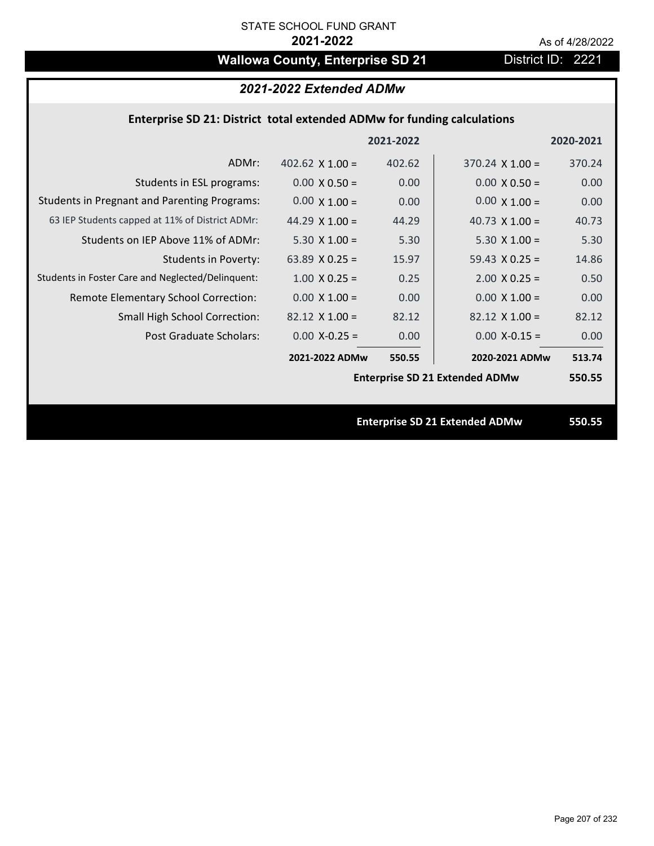# Wallowa County, Enterprise SD 21 District ID: 2221

# *2021-2022 Extended ADMw*

### **Enterprise SD 21: District total extended ADMw for funding calculations**

|                                                     |                        | 2021-2022 |                                       | 2020-2021 |
|-----------------------------------------------------|------------------------|-----------|---------------------------------------|-----------|
| ADMr:                                               | 402.62 $\times$ 1.00 = | 402.62    | $370.24 \times 1.00 =$                | 370.24    |
| Students in ESL programs:                           | $0.00 \times 0.50 =$   | 0.00      | $0.00 \times 0.50 =$                  | 0.00      |
| <b>Students in Pregnant and Parenting Programs:</b> | $0.00 \times 1.00 =$   | 0.00      | $0.00 \times 1.00 =$                  | 0.00      |
| 63 IEP Students capped at 11% of District ADMr:     | 44.29 $\times$ 1.00 =  | 44.29     | 40.73 $\times$ 1.00 =                 | 40.73     |
| Students on IEP Above 11% of ADMr:                  | $5.30 \times 1.00 =$   | 5.30      | $5.30 X 1.00 =$                       | 5.30      |
| <b>Students in Poverty:</b>                         | 63.89 $X$ 0.25 =       | 15.97     | $59.43 \times 0.25 =$                 | 14.86     |
| Students in Foster Care and Neglected/Delinquent:   | $1.00 \times 0.25 =$   | 0.25      | $2.00 \times 0.25 =$                  | 0.50      |
| Remote Elementary School Correction:                | $0.00 \times 1.00 =$   | 0.00      | $0.00 \times 1.00 =$                  | 0.00      |
| <b>Small High School Correction:</b>                | $82.12$ X 1.00 =       | 82.12     | $82.12 \times 1.00 =$                 | 82.12     |
| Post Graduate Scholars:                             | $0.00$ X-0.25 =        | 0.00      | $0.00$ X-0.15 =                       | 0.00      |
|                                                     | 2021-2022 ADMw         | 550.55    | 2020-2021 ADMw                        | 513.74    |
|                                                     |                        |           | <b>Enterprise SD 21 Extended ADMw</b> | 550.55    |
|                                                     |                        |           |                                       |           |
|                                                     |                        |           | <b>Enterprise SD 21 Extended ADMw</b> | 550.55    |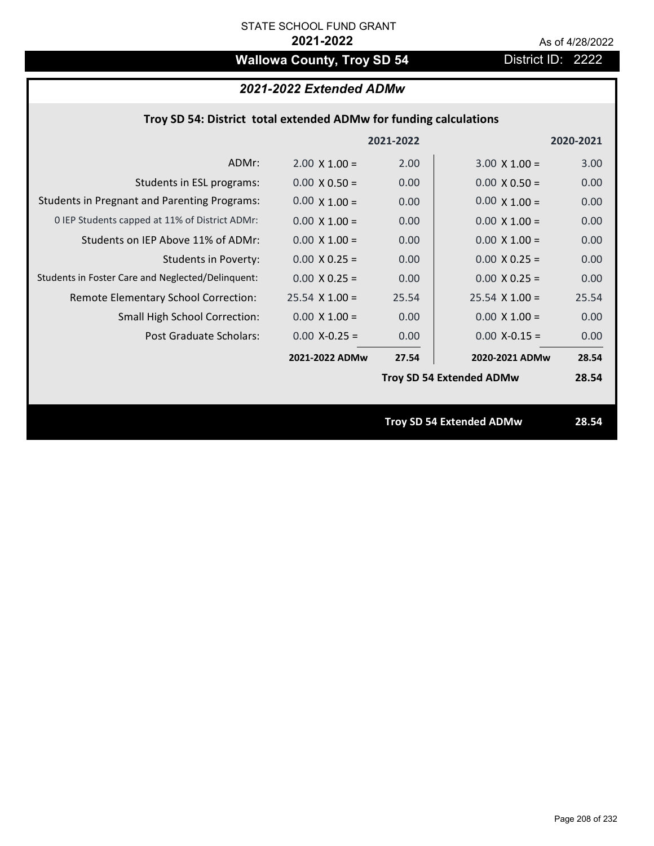# **Wallowa County, Troy SD 54** District ID: 2222

# *2021-2022 Extended ADMw*

|                                                     |                      |           | <b>Troy SD 54 Extended ADMw</b> | 28.54     |
|-----------------------------------------------------|----------------------|-----------|---------------------------------|-----------|
|                                                     |                      |           | <b>Troy SD 54 Extended ADMw</b> | 28.54     |
|                                                     | 2021-2022 ADMw       | 27.54     | 2020-2021 ADMw                  | 28.54     |
| Post Graduate Scholars:                             | $0.00$ X-0.25 =      | 0.00      | $0.00$ X-0.15 =                 | 0.00      |
| <b>Small High School Correction:</b>                | $0.00 \times 1.00 =$ | 0.00      | $0.00 \times 1.00 =$            | 0.00      |
| Remote Elementary School Correction:                | $25.54$ X 1.00 =     | 25.54     | $25.54 \times 1.00 =$           | 25.54     |
| Students in Foster Care and Neglected/Delinquent:   | $0.00 \times 0.25 =$ | 0.00      | $0.00 X 0.25 =$                 | 0.00      |
| <b>Students in Poverty:</b>                         | $0.00 \times 0.25 =$ | 0.00      | $0.00 \times 0.25 =$            | 0.00      |
| Students on IEP Above 11% of ADMr:                  | $0.00 \times 1.00 =$ | 0.00      | $0.00$ X $1.00 =$               | 0.00      |
| 0 IEP Students capped at 11% of District ADMr:      | $0.00 \times 1.00 =$ | 0.00      | $0.00 \times 1.00 =$            | 0.00      |
| <b>Students in Pregnant and Parenting Programs:</b> | $0.00 \times 1.00 =$ | 0.00      | $0.00 \times 1.00 =$            | 0.00      |
| Students in ESL programs:                           | $0.00 \times 0.50 =$ | 0.00      | $0.00 \times 0.50 =$            | 0.00      |
| ADMr:                                               | $2.00 \times 1.00 =$ | 2.00      | $3.00 \times 1.00 =$            | 3.00      |
|                                                     |                      | 2021-2022 |                                 | 2020-2021 |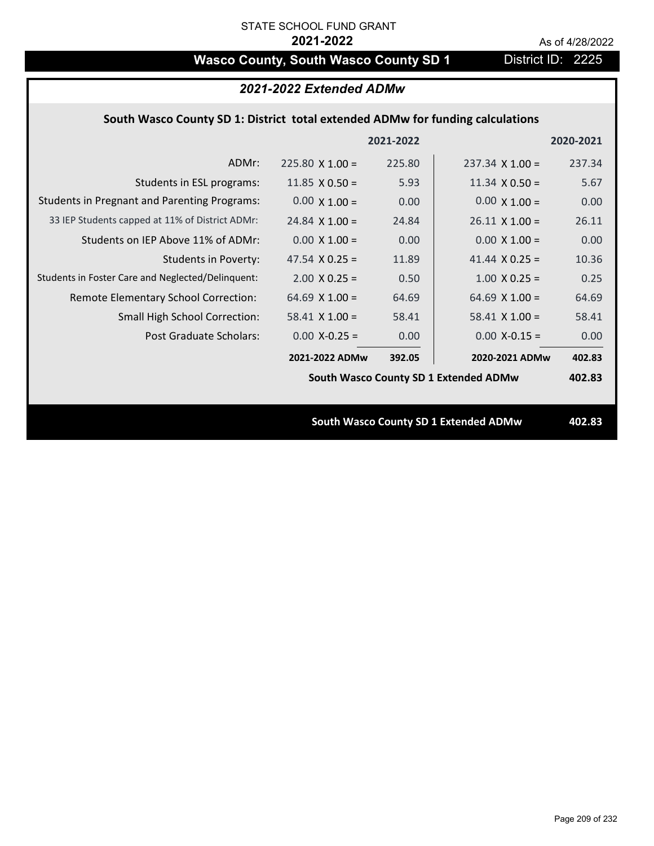# Wasco County, South Wasco County SD 1 District ID: 2225

|                                                                                | 2021-2022 Extended ADMw |           |                                              |           |  |
|--------------------------------------------------------------------------------|-------------------------|-----------|----------------------------------------------|-----------|--|
| South Wasco County SD 1: District total extended ADMw for funding calculations |                         |           |                                              |           |  |
|                                                                                |                         | 2021-2022 |                                              | 2020-2021 |  |
| ADMr:                                                                          | $225.80 \times 1.00 =$  | 225.80    | $237.34 \times 1.00 =$                       | 237.34    |  |
| Students in ESL programs:                                                      | 11.85 $\times$ 0.50 =   | 5.93      | 11.34 $\times$ 0.50 =                        | 5.67      |  |
| <b>Students in Pregnant and Parenting Programs:</b>                            | $0.00 \times 1.00 =$    | 0.00      | $0.00 \times 1.00 =$                         | 0.00      |  |
| 33 IEP Students capped at 11% of District ADMr:                                | $24.84$ X 1.00 =        | 24.84     | $26.11 \times 1.00 =$                        | 26.11     |  |
| Students on IEP Above 11% of ADMr:                                             | $0.00 \times 1.00 =$    | 0.00      | $0.00 \times 1.00 =$                         | 0.00      |  |
| <b>Students in Poverty:</b>                                                    | 47.54 $X$ 0.25 =        | 11.89     | 41.44 $X$ 0.25 =                             | 10.36     |  |
| Students in Foster Care and Neglected/Delinquent:                              | $2.00 \times 0.25 =$    | 0.50      | $1.00$ X 0.25 =                              | 0.25      |  |
| Remote Elementary School Correction:                                           | 64.69 $X$ 1.00 =        | 64.69     | 64.69 $X$ 1.00 =                             | 64.69     |  |
| Small High School Correction:                                                  | $58.41$ X 1.00 =        | 58.41     | $58.41$ X 1.00 =                             | 58.41     |  |
| Post Graduate Scholars:                                                        | $0.00$ X-0.25 =         | 0.00      | $0.00$ X-0.15 =                              | 0.00      |  |
|                                                                                | 2021-2022 ADMw          | 392.05    | 2020-2021 ADMw                               | 402.83    |  |
|                                                                                |                         |           | South Wasco County SD 1 Extended ADMw        | 402.83    |  |
|                                                                                |                         |           |                                              |           |  |
|                                                                                |                         |           | <b>South Wasco County SD 1 Extended ADMw</b> | 402.83    |  |
|                                                                                |                         |           |                                              |           |  |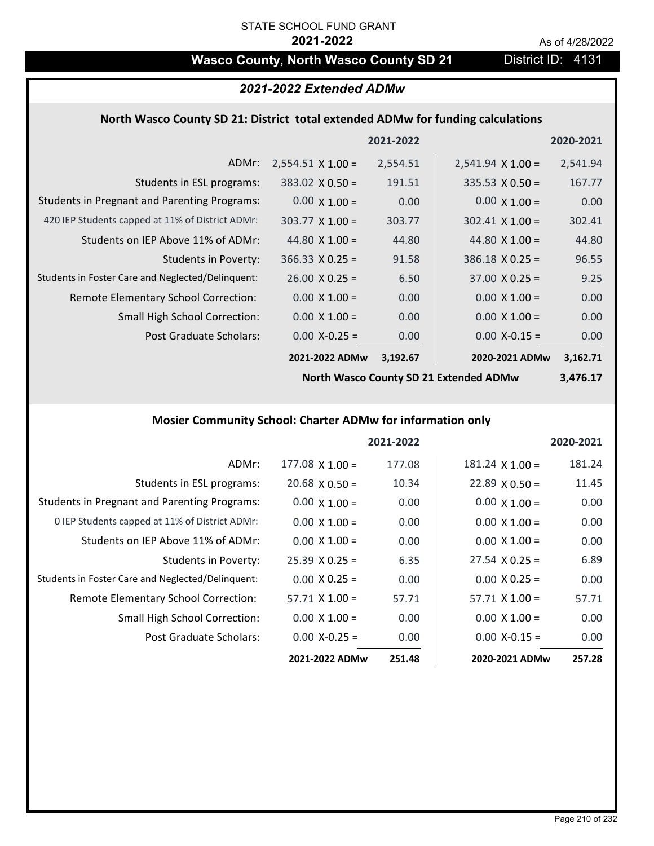# Wasco County, North Wasco County SD 21 District ID: 4131

## *2021-2022 Extended ADMw*

### **North Wasco County SD 21: District total extended ADMw for funding calculations**

|                                                     |                          | 2021-2022 |                          | 2020-2021 |
|-----------------------------------------------------|--------------------------|-----------|--------------------------|-----------|
| ADMr:                                               | $2,554.51 \times 1.00 =$ | 2,554.51  | $2,541.94 \times 1.00 =$ | 2,541.94  |
| Students in ESL programs:                           | $383.02 \times 0.50 =$   | 191.51    | $335.53 \times 0.50 =$   | 167.77    |
| <b>Students in Pregnant and Parenting Programs:</b> | $0.00 \times 1.00 =$     | 0.00      | $0.00 \times 1.00 =$     | 0.00      |
| 420 IEP Students capped at 11% of District ADMr:    | $303.77 \times 1.00 =$   | 303.77    | $302.41 \times 1.00 =$   | 302.41    |
| Students on IEP Above 11% of ADMr:                  | 44.80 $\times$ 1.00 =    | 44.80     | 44.80 $\times$ 1.00 =    | 44.80     |
| <b>Students in Poverty:</b>                         | $366.33 \times 0.25 =$   | 91.58     | $386.18 \times 0.25 =$   | 96.55     |
| Students in Foster Care and Neglected/Delinquent:   | $26.00 \times 0.25 =$    | 6.50      | $37.00 \times 0.25 =$    | 9.25      |
| Remote Elementary School Correction:                | $0.00 \times 1.00 =$     | 0.00      | $0.00 \times 1.00 =$     | 0.00      |
| <b>Small High School Correction:</b>                | $0.00 \times 1.00 =$     | 0.00      | $0.00 \times 1.00 =$     | 0.00      |
| Post Graduate Scholars:                             | $0.00$ X-0.25 =          | 0.00      | $0.00$ X-0.15 =          | 0.00      |
|                                                     | 2021-2022 ADMw           | 3,192.67  | 2020-2021 ADMw           | 3,162.71  |

**North Wasco County SD 21 Extended ADMw**

**3,476.17**

## **Mosier Community School: Charter ADMw for information only**

|                                                     |                       | 2021-2022 |                        | 2020-2021 |
|-----------------------------------------------------|-----------------------|-----------|------------------------|-----------|
| ADMr:                                               | $177.08$ X 1.00 =     | 177.08    | $181.24 \times 1.00 =$ | 181.24    |
| Students in ESL programs:                           | $20.68 \times 0.50 =$ | 10.34     | $22.89 \times 0.50 =$  | 11.45     |
| <b>Students in Pregnant and Parenting Programs:</b> | $0.00 \times 1.00 =$  | 0.00      | $0.00 \times 1.00 =$   | 0.00      |
| 0 IEP Students capped at 11% of District ADMr:      | $0.00 \times 1.00 =$  | 0.00      | $0.00 \times 1.00 =$   | 0.00      |
| Students on IEP Above 11% of ADMr:                  | $0.00 \times 1.00 =$  | 0.00      | $0.00 \times 1.00 =$   | 0.00      |
| Students in Poverty:                                | $25.39 \times 0.25 =$ | 6.35      | $27.54 \times 0.25 =$  | 6.89      |
| Students in Foster Care and Neglected/Delinquent:   | $0.00 \times 0.25 =$  | 0.00      | $0.00 \times 0.25 =$   | 0.00      |
| Remote Elementary School Correction:                | $57.71 \times 1.00 =$ | 57.71     | $57.71 \times 1.00 =$  | 57.71     |
| <b>Small High School Correction:</b>                | $0.00 \times 1.00 =$  | 0.00      | $0.00 \times 1.00 =$   | 0.00      |
| Post Graduate Scholars:                             | $0.00 X - 0.25 =$     | 0.00      | $0.00$ X-0.15 =        | 0.00      |
|                                                     | 2021-2022 ADMw        | 251.48    | 2020-2021 ADMw         | 257.28    |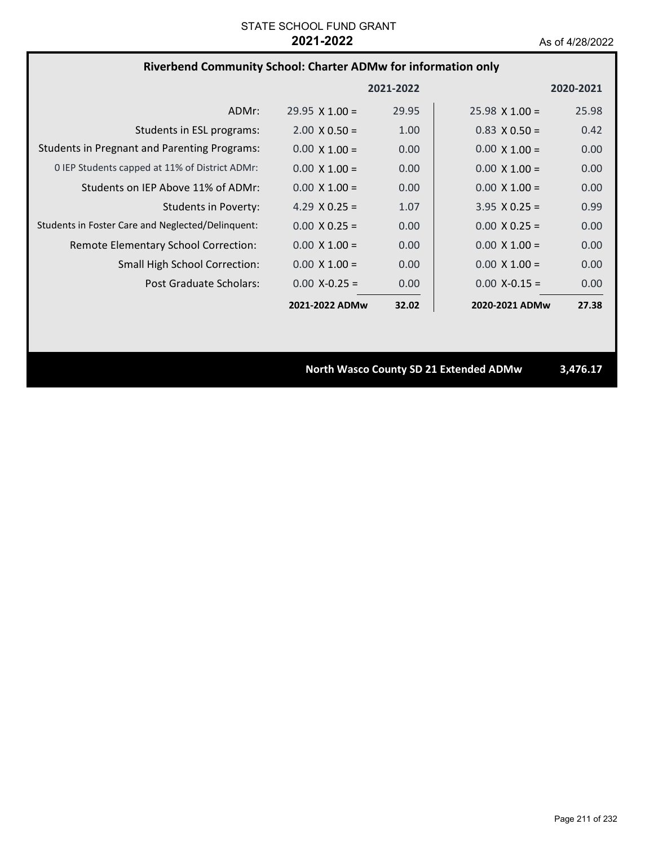## **Riverbend Community School: Charter ADMw for information only**

|                                                     |                       | 2021-2022         |                       | 2020-2021 |
|-----------------------------------------------------|-----------------------|-------------------|-----------------------|-----------|
| ADMr:                                               | $29.95 \times 1.00 =$ | 29.95             | $25.98 \times 1.00 =$ | 25.98     |
| Students in ESL programs:                           | $2.00 \times 0.50 =$  | 1.00              | $0.83 \times 0.50 =$  | 0.42      |
| <b>Students in Pregnant and Parenting Programs:</b> | $0.00 \times 1.00 =$  | 0.00              | $0.00 \times 1.00 =$  | 0.00      |
| 0 IEP Students capped at 11% of District ADMr:      | $0.00 \times 1.00 =$  | 0.00              | $0.00 \times 1.00 =$  | 0.00      |
| Students on IEP Above 11% of ADMr:                  | $0.00 \times 1.00 =$  | 0.00              | $0.00 \times 1.00 =$  | 0.00      |
| Students in Poverty:                                | 4.29 $X$ 0.25 =       | 1.07              | $3.95 \times 0.25 =$  | 0.99      |
| Students in Foster Care and Neglected/Delinquent:   | $0.00 \times 0.25 =$  | 0.00 <sub>1</sub> | $0.00 \times 0.25 =$  | 0.00      |
| Remote Elementary School Correction:                | $0.00 \times 1.00 =$  | 0.00 <sub>1</sub> | $0.00 \times 1.00 =$  | 0.00      |
| <b>Small High School Correction:</b>                | $0.00 \times 1.00 =$  | 0.00              | $0.00 \times 1.00 =$  | 0.00      |
| Post Graduate Scholars:                             | $0.00 X - 0.25 =$     | 0.00 <sub>1</sub> | $0.00 X - 0.15 =$     | 0.00      |
|                                                     | 2021-2022 ADMw        | 32.02             | 2020-2021 ADMw        | 27.38     |

**North Wasco County SD 21 Extended ADMw 3,476.17**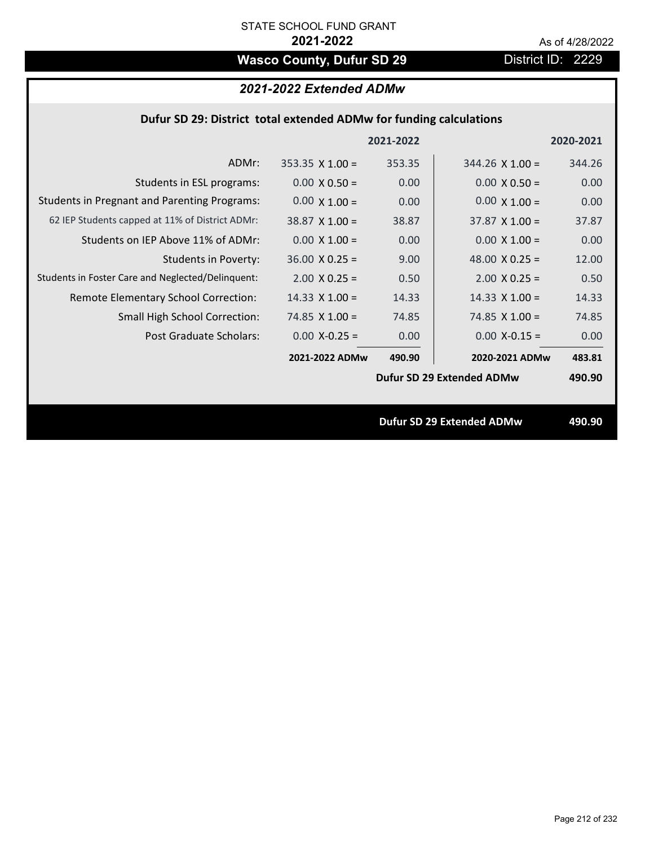# Wasco County, Dufur SD 29 District ID: 2229

# *2021-2022 Extended ADMw*

### **Dufur SD 29: District total extended ADMw for funding calculations**

|                                                     |                        | 2021-2022 |                                  | 2020-2021 |
|-----------------------------------------------------|------------------------|-----------|----------------------------------|-----------|
| ADMr:                                               | $353.35 \times 1.00 =$ | 353.35    | $344.26 \times 1.00 =$           | 344.26    |
| Students in ESL programs:                           | $0.00 \times 0.50 =$   | 0.00      | $0.00 \times 0.50 =$             | 0.00      |
| <b>Students in Pregnant and Parenting Programs:</b> | $0.00 \times 1.00 =$   | 0.00      | $0.00 \times 1.00 =$             | 0.00      |
| 62 IEP Students capped at 11% of District ADMr:     | $38.87 \times 1.00 =$  | 38.87     | $37.87 \times 1.00 =$            | 37.87     |
| Students on IEP Above 11% of ADMr:                  | $0.00 \times 1.00 =$   | 0.00      | $0.00 \times 1.00 =$             | 0.00      |
| <b>Students in Poverty:</b>                         | $36.00 \times 0.25 =$  | 9.00      | 48.00 $X$ 0.25 =                 | 12.00     |
| Students in Foster Care and Neglected/Delinquent:   | $2.00 \times 0.25 =$   | 0.50      | $2.00 \times 0.25 =$             | 0.50      |
| Remote Elementary School Correction:                | $14.33 \times 1.00 =$  | 14.33     | $14.33 \times 1.00 =$            | 14.33     |
| <b>Small High School Correction:</b>                | 74.85 $X$ 1.00 =       | 74.85     | 74.85 $X$ 1.00 =                 | 74.85     |
| Post Graduate Scholars:                             | $0.00$ X-0.25 =        | 0.00      | $0.00$ X-0.15 =                  | 0.00      |
|                                                     | 2021-2022 ADMw         | 490.90    | 2020-2021 ADMw                   | 483.81    |
|                                                     |                        |           | Dufur SD 29 Extended ADMw        | 490.90    |
|                                                     |                        |           |                                  |           |
|                                                     |                        |           | <b>Dufur SD 29 Extended ADMw</b> | 490.90    |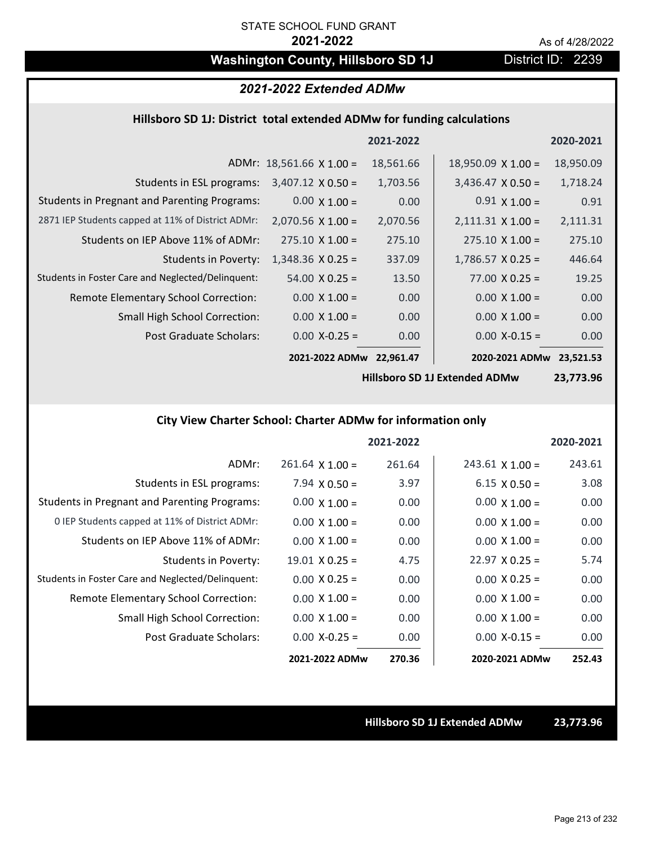# **Washington County, Hillsboro SD 1J** District ID: 2239

# *2021-2022 Extended ADMw*

### **Hillsboro SD 1J: District total extended ADMw for funding calculations**

|                                                     |                                 | 2021-2022 |                           | 2020-2021 |
|-----------------------------------------------------|---------------------------------|-----------|---------------------------|-----------|
|                                                     | ADMr: $18,561.66 \times 1.00 =$ | 18,561.66 | $18,950.09 \times 1.00 =$ | 18,950.09 |
| Students in ESL programs:                           | $3,407.12 \times 0.50 =$        | 1,703.56  | $3,436.47 \times 0.50 =$  | 1,718.24  |
| <b>Students in Pregnant and Parenting Programs:</b> | $0.00 \times 1.00 =$            | 0.00      | $0.91 \times 1.00 =$      | 0.91      |
| 2871 IEP Students capped at 11% of District ADMr:   | $2,070.56 \times 1.00 =$        | 2,070.56  | $2,111.31 \times 1.00 =$  | 2,111.31  |
| Students on IEP Above 11% of ADMr:                  | $275.10 \times 1.00 =$          | 275.10    | $275.10 \times 1.00 =$    | 275.10    |
| <b>Students in Poverty:</b>                         | $1,348.36 \times 0.25 =$        | 337.09    | $1,786.57 \times 0.25 =$  | 446.64    |
| Students in Foster Care and Neglected/Delinquent:   | $54.00 \times 0.25 =$           | 13.50     | $77.00 \times 0.25 =$     | 19.25     |
| Remote Elementary School Correction:                | $0.00 \times 1.00 =$            | 0.00      | $0.00 \times 1.00 =$      | 0.00      |
| <b>Small High School Correction:</b>                | $0.00 \times 1.00 =$            | 0.00      | $0.00 \times 1.00 =$      | 0.00      |
| Post Graduate Scholars:                             | $0.00$ X-0.25 =                 | 0.00      | $0.00$ X-0.15 =           | 0.00      |
|                                                     | 2021-2022 ADMw                  | 22.961.47 | 2020-2021 ADMw            | 23,521.53 |

**Hillsboro SD 1J Extended ADMw**

**23,773.96**

## **City View Charter School: Charter ADMw for information only**

|                                                     |                        | 2021-2022 |                        | 2020-2021 |
|-----------------------------------------------------|------------------------|-----------|------------------------|-----------|
| ADMr:                                               | $261.64 \times 1.00 =$ | 261.64    | $243.61 \times 1.00 =$ | 243.61    |
| Students in ESL programs:                           | $7.94 \times 0.50 =$   | 3.97      | $6.15 \times 0.50 =$   | 3.08      |
| <b>Students in Pregnant and Parenting Programs:</b> | $0.00 \times 1.00 =$   | 0.00      | $0.00 \times 1.00 =$   | 0.00      |
| 0 IEP Students capped at 11% of District ADMr:      | $0.00 \times 1.00 =$   | 0.00      | $0.00 \times 1.00 =$   | 0.00      |
| Students on IEP Above 11% of ADMr:                  | $0.00 \times 1.00 =$   | 0.00      | $0.00 \times 1.00 =$   | 0.00      |
| Students in Poverty:                                | $19.01 \times 0.25 =$  | 4.75      | $22.97 \times 0.25 =$  | 5.74      |
| Students in Foster Care and Neglected/Delinquent:   | $0.00 \times 0.25 =$   | 0.00      | $0.00 \times 0.25 =$   | 0.00      |
| Remote Elementary School Correction:                | $0.00 \times 1.00 =$   | 0.00      | $0.00 \times 1.00 =$   | 0.00      |
| <b>Small High School Correction:</b>                | $0.00 \times 1.00 =$   | 0.00      | $0.00 \times 1.00 =$   | 0.00      |
| Post Graduate Scholars:                             | $0.00$ X-0.25 =        | 0.00      | $0.00$ X-0.15 =        | 0.00      |
|                                                     | 2021-2022 ADMw         | 270.36    | 2020-2021 ADMw         | 252.43    |

**Hillsboro SD 1J Extended ADMw 23,773.96**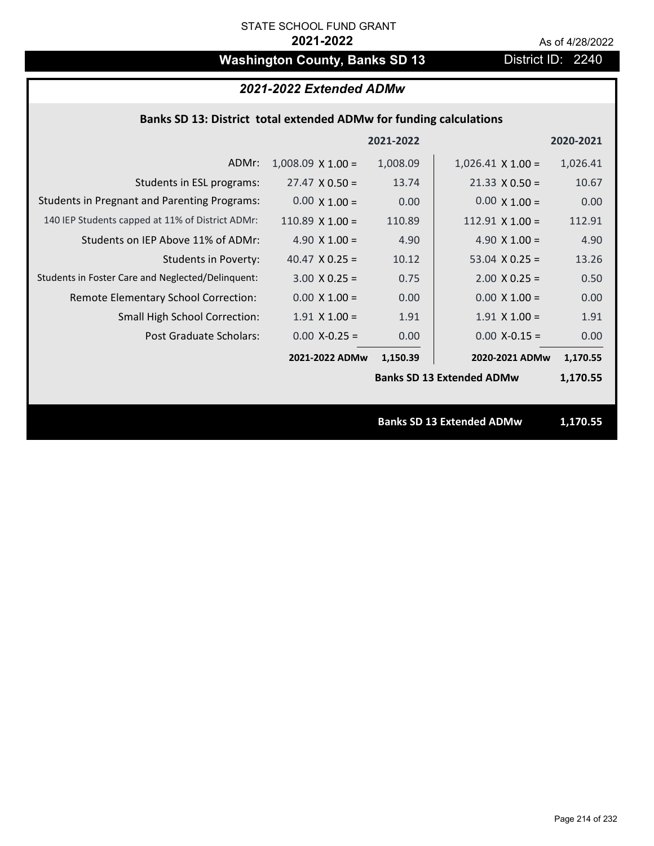# Washington County, Banks SD 13 District ID: 2240

# *2021-2022 Extended ADMw*

## **Banks SD 13: District total extended ADMw for funding calculations**

|                                                     |                          | 2021-2022 |                                  | 2020-2021 |
|-----------------------------------------------------|--------------------------|-----------|----------------------------------|-----------|
| ADMr:                                               | $1,008.09 \times 1.00 =$ | 1,008.09  | $1,026.41 \times 1.00 =$         | 1,026.41  |
| Students in ESL programs:                           | $27.47 \times 0.50 =$    | 13.74     | $21.33 \times 0.50 =$            | 10.67     |
| <b>Students in Pregnant and Parenting Programs:</b> | $0.00 \times 1.00 =$     | 0.00      | $0.00 \times 1.00 =$             | 0.00      |
| 140 IEP Students capped at 11% of District ADMr:    | 110.89 $X$ 1.00 =        | 110.89    | 112.91 $X$ 1.00 =                | 112.91    |
| Students on IEP Above 11% of ADMr:                  | 4.90 $X$ 1.00 =          | 4.90      | 4.90 $X$ 1.00 =                  | 4.90      |
| <b>Students in Poverty:</b>                         | 40.47 $X$ 0.25 =         | 10.12     | 53.04 $X$ 0.25 =                 | 13.26     |
| Students in Foster Care and Neglected/Delinquent:   | $3.00 \times 0.25 =$     | 0.75      | $2.00 \times 0.25 =$             | 0.50      |
| Remote Elementary School Correction:                | $0.00 \times 1.00 =$     | 0.00      | $0.00 \times 1.00 =$             | 0.00      |
| <b>Small High School Correction:</b>                | $1.91$ X $1.00 =$        | 1.91      | $1.91$ X $1.00 =$                | 1.91      |
| <b>Post Graduate Scholars:</b>                      | $0.00$ X-0.25 =          | 0.00      | $0.00$ X-0.15 =                  | 0.00      |
|                                                     | 2021-2022 ADMw           | 1,150.39  | 2020-2021 ADMw                   | 1,170.55  |
|                                                     |                          |           | <b>Banks SD 13 Extended ADMw</b> | 1,170.55  |
|                                                     |                          |           |                                  |           |
|                                                     |                          |           | <b>Banks SD 13 Extended ADMw</b> | 1,170.55  |
|                                                     |                          |           |                                  |           |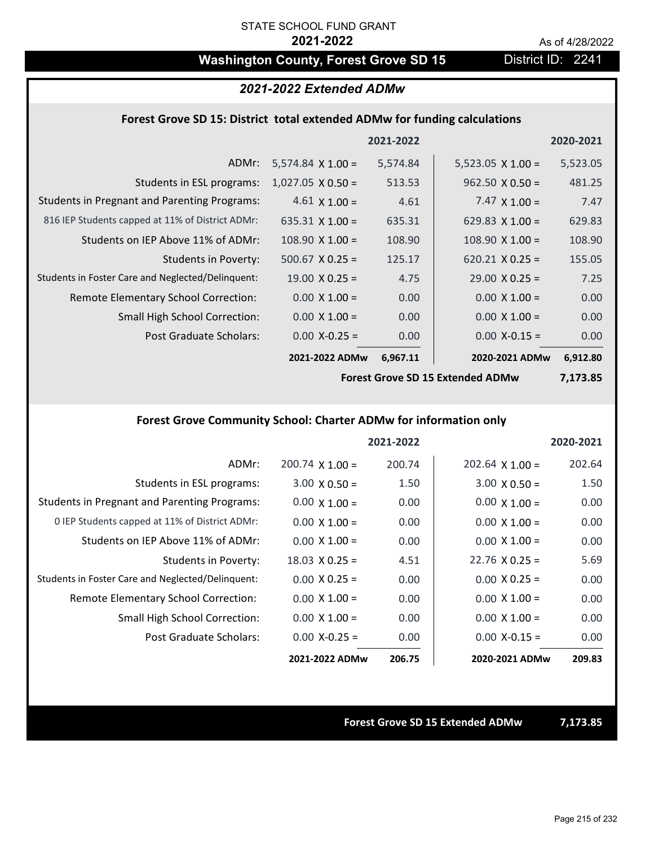# Washington County, Forest Grove SD 15 District ID: 2241

### *2021-2022 Extended ADMw*

### **Forest Grove SD 15: District total extended ADMw for funding calculations**

|                                                     |                          | 2021-2022 |                          | 2020-2021 |
|-----------------------------------------------------|--------------------------|-----------|--------------------------|-----------|
| ADMr:                                               | $5,574.84 \times 1.00 =$ | 5,574.84  | $5,523.05 \times 1.00 =$ | 5,523.05  |
| Students in ESL programs:                           | $1,027.05 \times 0.50 =$ | 513.53    | $962.50 \times 0.50 =$   | 481.25    |
| <b>Students in Pregnant and Parenting Programs:</b> | $4.61 \times 1.00 =$     | 4.61      | 7.47 $\times$ 1.00 =     | 7.47      |
| 816 IEP Students capped at 11% of District ADMr:    | 635.31 $\times$ 1.00 =   | 635.31    | 629.83 $\times$ 1.00 =   | 629.83    |
| Students on IEP Above 11% of ADMr:                  | $108.90 \times 1.00 =$   | 108.90    | $108.90$ X $1.00 =$      | 108.90    |
| Students in Poverty:                                | $500.67$ X 0.25 =        | 125.17    | $620.21 \times 0.25 =$   | 155.05    |
| Students in Foster Care and Neglected/Delinquent:   | $19.00 \times 0.25 =$    | 4.75      | $29.00 \times 0.25 =$    | 7.25      |
| Remote Elementary School Correction:                | $0.00 \times 1.00 =$     | 0.00      | $0.00 \times 1.00 =$     | 0.00      |
| <b>Small High School Correction:</b>                | $0.00 \times 1.00 =$     | 0.00      | $0.00 \times 1.00 =$     | 0.00      |
| Post Graduate Scholars:                             | $0.00$ X-0.25 =          | 0.00      | $0.00$ X-0.15 =          | 0.00      |
|                                                     | 2021-2022 ADMw           | 6,967.11  | 2020-2021 ADMw           | 6,912.80  |

**Forest Grove SD 15 Extended ADMw**

**7,173.85**

### **Forest Grove Community School: Charter ADMw for information only**

|                                                     |                        | 2021-2022 |                        | 2020-2021 |
|-----------------------------------------------------|------------------------|-----------|------------------------|-----------|
| ADMr:                                               | $200.74 \times 1.00 =$ | 200.74    | $202.64 \times 1.00 =$ | 202.64    |
| Students in ESL programs:                           | $3.00 \times 0.50 =$   | 1.50      | $3.00 \times 0.50 =$   | 1.50      |
| <b>Students in Pregnant and Parenting Programs:</b> | $0.00 \times 1.00 =$   | 0.00      | $0.00 \times 1.00 =$   | 0.00      |
| 0 IEP Students capped at 11% of District ADMr:      | $0.00 \times 1.00 =$   | 0.00      | $0.00 \times 1.00 =$   | 0.00      |
| Students on IEP Above 11% of ADMr:                  | $0.00 \times 1.00 =$   | 0.00      | $0.00 \times 1.00 =$   | 0.00      |
| Students in Poverty:                                | $18.03 \times 0.25 =$  | 4.51      | $22.76 \times 0.25 =$  | 5.69      |
| Students in Foster Care and Neglected/Delinquent:   | $0.00 \times 0.25 =$   | 0.00      | $0.00 \times 0.25 =$   | 0.00      |
| <b>Remote Elementary School Correction:</b>         | $0.00 \times 1.00 =$   | 0.00      | $0.00 \times 1.00 =$   | 0.00      |
| <b>Small High School Correction:</b>                | $0.00 \times 1.00 =$   | 0.00      | $0.00 \times 1.00 =$   | 0.00      |
| Post Graduate Scholars:                             | $0.00 X - 0.25 =$      | 0.00      | $0.00 X - 0.15 =$      | 0.00      |
|                                                     | 2021-2022 ADMw         | 206.75    | 2020-2021 ADMw         | 209.83    |

**Forest Grove SD 15 Extended ADMw 7,173.85**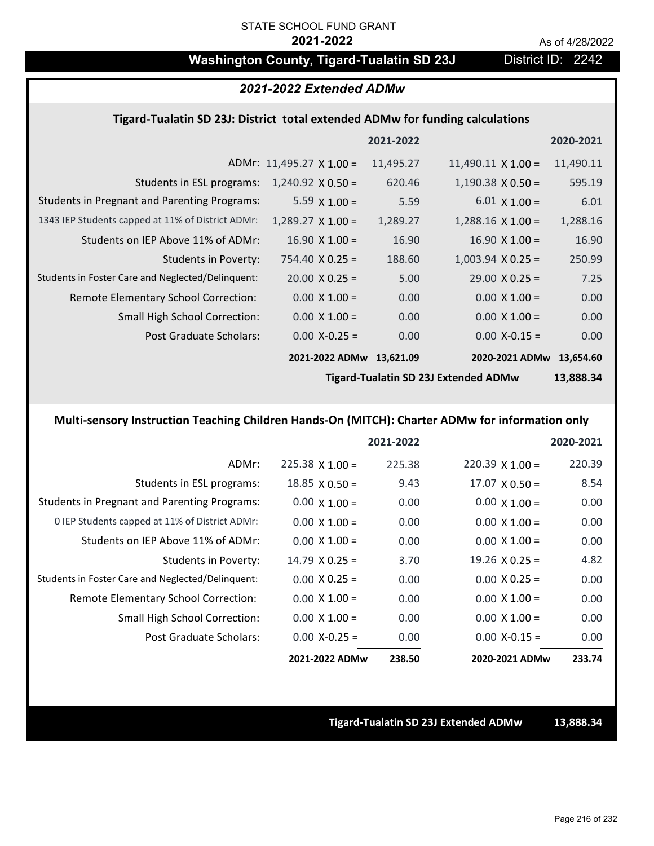# Washington County, Tigard-Tualatin SD 23J District ID: 2242

### *2021-2022 Extended ADMw*

### **Tigard‐Tualatin SD 23J: District total extended ADMw for funding calculations**

|                                                     |                                 | 2021-2022 |                           | 2020-2021 |
|-----------------------------------------------------|---------------------------------|-----------|---------------------------|-----------|
|                                                     | ADMr: $11,495.27 \times 1.00 =$ | 11,495.27 | $11,490.11 \times 1.00 =$ | 11,490.11 |
| Students in ESL programs:                           | $1,240.92 \times 0.50 =$        | 620.46    | $1,190.38 \times 0.50 =$  | 595.19    |
| <b>Students in Pregnant and Parenting Programs:</b> | 5.59 $\times$ 1.00 =            | 5.59      | $6.01 \times 1.00 =$      | 6.01      |
| 1343 IEP Students capped at 11% of District ADMr:   | $1,289.27 \times 1.00 =$        | 1,289.27  | $1,288.16 \times 1.00 =$  | 1,288.16  |
| Students on IEP Above 11% of ADMr:                  | $16.90 \times 1.00 =$           | 16.90     | $16.90 \times 1.00 =$     | 16.90     |
| <b>Students in Poverty:</b>                         | $754.40 \times 0.25 =$          | 188.60    | $1,003.94$ X 0.25 =       | 250.99    |
| Students in Foster Care and Neglected/Delinquent:   | $20.00 \times 0.25 =$           | 5.00      | $29.00 \times 0.25 =$     | 7.25      |
| Remote Elementary School Correction:                | $0.00 \times 1.00 =$            | 0.00      | $0.00 \times 1.00 =$      | 0.00      |
| <b>Small High School Correction:</b>                | $0.00 \times 1.00 =$            | 0.00      | $0.00 \times 1.00 =$      | 0.00      |
| Post Graduate Scholars:                             | $0.00$ X-0.25 =                 | 0.00      | $0.00$ X-0.15 =           | 0.00      |
|                                                     | 2021-2022 ADMw                  | 13,621.09 | 2020-2021 ADMw 13,654.60  |           |
|                                                     |                                 |           |                           |           |

**Tigard‐Tualatin SD 23J Extended ADMw**

**13,888.34**

## **Multi‐sensory Instruction Teaching Children Hands‐On (MITCH): Charter ADMw for information only**

|                                                     |                       | 2021-2022 |                        | 2020-2021 |
|-----------------------------------------------------|-----------------------|-----------|------------------------|-----------|
| ADMr:                                               | $225.38$ X 1.00 =     | 225.38    | $220.39 \times 1.00 =$ | 220.39    |
| Students in ESL programs:                           | $18.85 \times 0.50 =$ | 9.43      | $17.07 \times 0.50 =$  | 8.54      |
| <b>Students in Pregnant and Parenting Programs:</b> | $0.00 \times 1.00 =$  | 0.00      | $0.00 \times 1.00 =$   | 0.00      |
| 0 IEP Students capped at 11% of District ADMr:      | $0.00 \times 1.00 =$  | 0.00      | $0.00 \times 1.00 =$   | 0.00      |
| Students on IEP Above 11% of ADMr:                  | $0.00 \times 1.00 =$  | 0.00      | $0.00 \times 1.00 =$   | 0.00      |
| Students in Poverty:                                | $14.79 \times 0.25 =$ | 3.70      | $19.26 \times 0.25 =$  | 4.82      |
| Students in Foster Care and Neglected/Delinquent:   | $0.00 \times 0.25 =$  | 0.00      | $0.00 \times 0.25 =$   | 0.00      |
| Remote Elementary School Correction:                | $0.00 \times 1.00 =$  | 0.00      | $0.00 \times 1.00 =$   | 0.00      |
| Small High School Correction:                       | $0.00 \times 1.00 =$  | 0.00      | $0.00 \times 1.00 =$   | 0.00      |
| Post Graduate Scholars:                             | $0.00$ X-0.25 =       | 0.00      | $0.00$ X-0.15 =        | 0.00      |
|                                                     | 2021-2022 ADMw        | 238.50    | 2020-2021 ADMw         | 233.74    |

**Tigard‐Tualatin SD 23J Extended ADMw 13,888.34**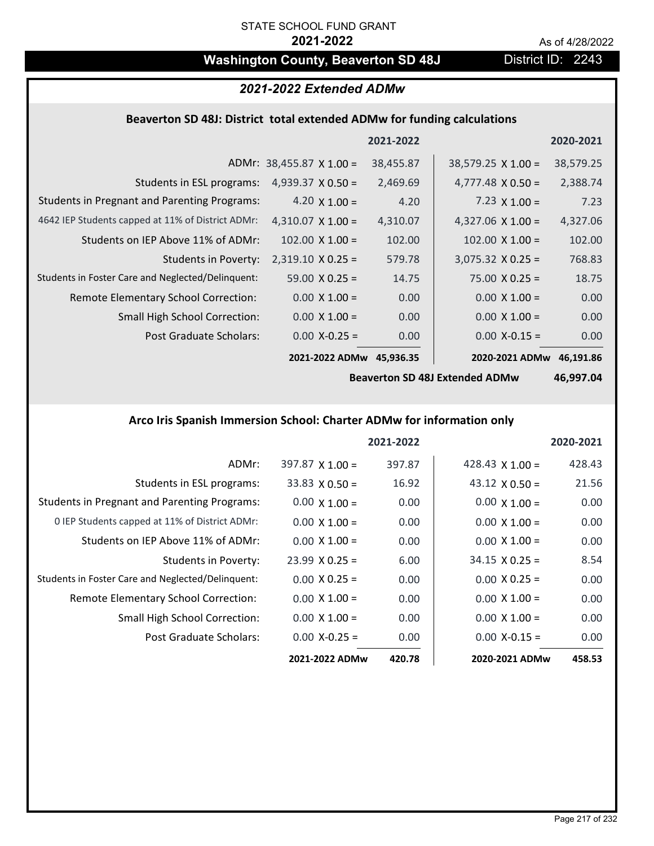# **Washington County, Beaverton SD 48J** District ID: 2243

# *2021-2022 Extended ADMw*

# **Beaverton SD 48J: District total extended ADMw for funding calculations**

|                                                     |                                 | 2021-2022 |                           | 2020-2021 |
|-----------------------------------------------------|---------------------------------|-----------|---------------------------|-----------|
|                                                     | ADMr: $38,455.87 \times 1.00 =$ | 38,455.87 | $38,579.25 \times 1.00 =$ | 38,579.25 |
| Students in ESL programs:                           | 4,939.37 $\times$ 0.50 =        | 2,469.69  | $4,777.48 \times 0.50 =$  | 2,388.74  |
| <b>Students in Pregnant and Parenting Programs:</b> | 4.20 $\times$ 1.00 =            | 4.20      | 7.23 $\times$ 1.00 =      | 7.23      |
| 4642 IEP Students capped at 11% of District ADMr:   | $4,310.07 \times 1.00 =$        | 4,310.07  | 4,327.06 $\times$ 1.00 =  | 4,327.06  |
| Students on IEP Above 11% of ADMr:                  | $102.00 \times 1.00 =$          | 102.00    | $102.00 \times 1.00 =$    | 102.00    |
| <b>Students in Poverty:</b>                         | $2,319.10 \times 0.25 =$        | 579.78    | $3,075.32$ X 0.25 =       | 768.83    |
| Students in Foster Care and Neglected/Delinquent:   | $59.00 \times 0.25 =$           | 14.75     | $75.00 \times 0.25 =$     | 18.75     |
| Remote Elementary School Correction:                | $0.00 \times 1.00 =$            | 0.00      | $0.00 \times 1.00 =$      | 0.00      |
| Small High School Correction:                       | $0.00 \times 1.00 =$            | 0.00      | $0.00 \times 1.00 =$      | 0.00      |
| Post Graduate Scholars:                             | $0.00 X - 0.25 =$               | 0.00      | $0.00$ X-0.15 =           | 0.00      |
|                                                     | 2021-2022 ADMw                  | 45,936.35 | 2020-2021 ADMw            | 46,191.86 |

**Beaverton SD 48J Extended ADMw**

**46,997.04**

## **Arco Iris Spanish Immersion School: Charter ADMw for information only**

|                                                     |                        | 2021-2022 |                        | 2020-2021 |
|-----------------------------------------------------|------------------------|-----------|------------------------|-----------|
| ADMr:                                               | $397.87 \times 1.00 =$ | 397.87    | 428.43 $\times$ 1.00 = | 428.43    |
| Students in ESL programs:                           | $33.83 \times 0.50 =$  | 16.92     | $43.12 \times 0.50 =$  | 21.56     |
| <b>Students in Pregnant and Parenting Programs:</b> | $0.00 \times 1.00 =$   | 0.00      | $0.00 \times 1.00 =$   | 0.00      |
| 0 IEP Students capped at 11% of District ADMr:      | $0.00 \times 1.00 =$   | 0.00      | $0.00 \times 1.00 =$   | 0.00      |
| Students on IEP Above 11% of ADMr:                  | $0.00 \times 1.00 =$   | 0.00      | $0.00 \times 1.00 =$   | 0.00      |
| Students in Poverty:                                | $23.99 \times 0.25 =$  | 6.00      | $34.15 \times 0.25 =$  | 8.54      |
| Students in Foster Care and Neglected/Delinquent:   | $0.00 \times 0.25 =$   | 0.00      | $0.00 \times 0.25 =$   | 0.00      |
| Remote Elementary School Correction:                | $0.00 \times 1.00 =$   | 0.00      | $0.00 \times 1.00 =$   | 0.00      |
| <b>Small High School Correction:</b>                | $0.00 \times 1.00 =$   | 0.00      | $0.00 \times 1.00 =$   | 0.00      |
| Post Graduate Scholars:                             | $0.00 X - 0.25 =$      | 0.00      | $0.00 X - 0.15 =$      | 0.00      |
|                                                     | 2021-2022 ADMw         | 420.78    | 2020-2021 ADMw         | 458.53    |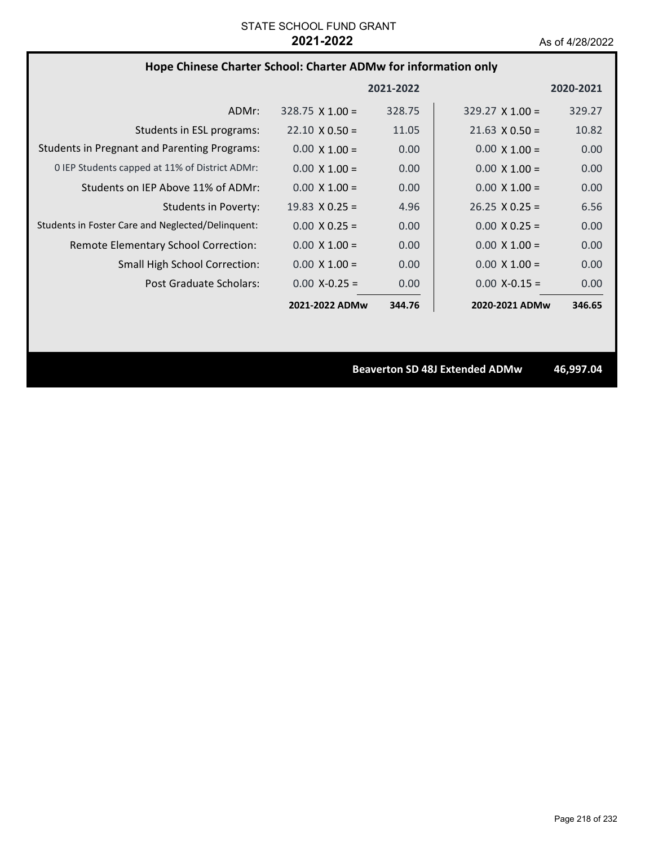# **Hope Chinese Charter School: Charter ADMw for information only**

|                                                     |                        | 2021-2022 |                        | 2020-2021 |
|-----------------------------------------------------|------------------------|-----------|------------------------|-----------|
| ADMr:                                               | $328.75 \times 1.00 =$ | 328.75    | $329.27 \times 1.00 =$ | 329.27    |
| Students in ESL programs:                           | $22.10 \times 0.50 =$  | 11.05     | $21.63 \times 0.50 =$  | 10.82     |
| <b>Students in Pregnant and Parenting Programs:</b> | $0.00 \times 1.00 =$   | 0.00      | $0.00 \times 1.00 =$   | 0.00      |
| 0 IEP Students capped at 11% of District ADMr:      | $0.00 \times 1.00 =$   | 0.00      | $0.00 \times 1.00 =$   | 0.00      |
| Students on IEP Above 11% of ADMr:                  | $0.00 \times 1.00 =$   | 0.00      | $0.00 \times 1.00 =$   | 0.00      |
| <b>Students in Poverty:</b>                         | $19.83 \times 0.25 =$  | 4.96      | $26.25 \times 0.25 =$  | 6.56      |
| Students in Foster Care and Neglected/Delinquent:   | $0.00 \times 0.25 =$   | 0.00      | $0.00 \times 0.25 =$   | 0.00      |
| Remote Elementary School Correction:                | $0.00 \times 1.00 =$   | 0.00      | $0.00 \times 1.00 =$   | 0.00      |
| <b>Small High School Correction:</b>                | $0.00 \times 1.00 =$   | 0.00      | $0.00 \times 1.00 =$   | 0.00      |
| Post Graduate Scholars:                             | $0.00 X - 0.25 =$      | 0.00      | $0.00$ X-0.15 =        | 0.00      |
|                                                     | 2021-2022 ADMw         | 344.76    | 2020-2021 ADMw         | 346.65    |

**Beaverton SD 48J Extended ADMw 46,997.04**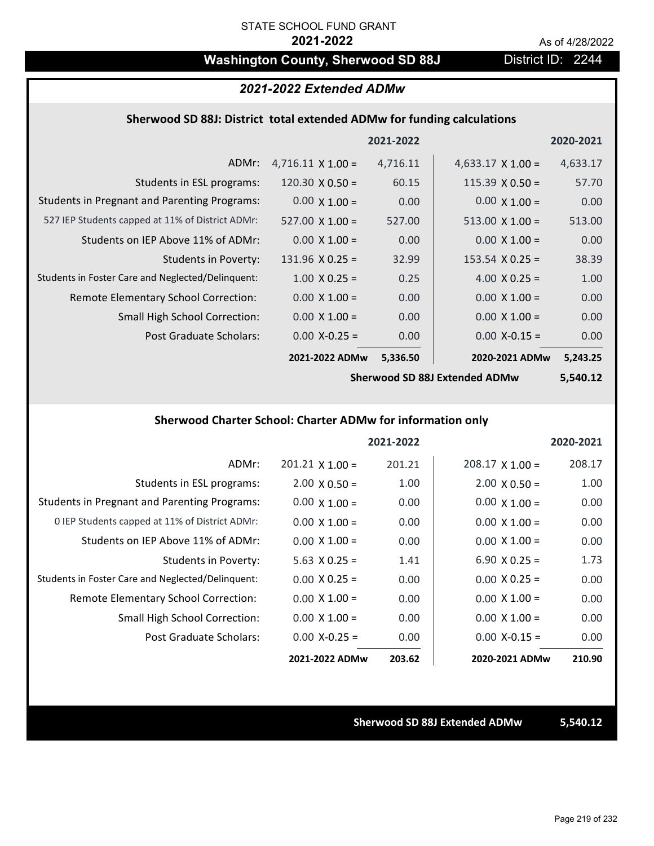# Washington County, Sherwood SD 88J District ID: 2244

## *2021-2022 Extended ADMw*

## **Sherwood SD 88J: District total extended ADMw for funding calculations**

|                                                     |                          | 2021-2022 |                          | 2020-2021 |
|-----------------------------------------------------|--------------------------|-----------|--------------------------|-----------|
| ADMr:                                               | $4,716.11 \times 1.00 =$ | 4,716.11  | $4,633.17 \times 1.00 =$ | 4,633.17  |
| Students in ESL programs:                           | 120.30 $\times$ 0.50 =   | 60.15     | $115.39 \times 0.50 =$   | 57.70     |
| <b>Students in Pregnant and Parenting Programs:</b> | $0.00 \times 1.00 =$     | 0.00      | $0.00 \times 1.00 =$     | 0.00      |
| 527 IEP Students capped at 11% of District ADMr:    | $527.00 \times 1.00 =$   | 527.00    | $513.00 \times 1.00 =$   | 513.00    |
| Students on IEP Above 11% of ADMr:                  | $0.00 \times 1.00 =$     | 0.00      | $0.00 \times 1.00 =$     | 0.00      |
| <b>Students in Poverty:</b>                         | $131.96 \times 0.25 =$   | 32.99     | $153.54 \times 0.25 =$   | 38.39     |
| Students in Foster Care and Neglected/Delinguent:   | $1.00 \times 0.25 =$     | 0.25      | 4.00 $X$ 0.25 =          | 1.00      |
| Remote Elementary School Correction:                | $0.00 \times 1.00 =$     | 0.00      | $0.00 \times 1.00 =$     | 0.00      |
| <b>Small High School Correction:</b>                | $0.00 \times 1.00 =$     | 0.00      | $0.00 \times 1.00 =$     | 0.00      |
| Post Graduate Scholars:                             | $0.00 X - 0.25 =$        | 0.00      | $0.00$ X-0.15 =          | 0.00      |
|                                                     | 2021-2022 ADMw           | 5,336.50  | 2020-2021 ADMw           | 5,243.25  |

**Sherwood SD 88J Extended ADMw**

**5,540.12**

# **Sherwood Charter School: Charter ADMw for information only**

|                                                     |                        | 2021-2022 |                        | 2020-2021 |
|-----------------------------------------------------|------------------------|-----------|------------------------|-----------|
| ADMr:                                               | $201.21 \times 1.00 =$ | 201.21    | $208.17 \times 1.00 =$ | 208.17    |
| Students in ESL programs:                           | $2.00 \times 0.50 =$   | 1.00      | $2.00 \times 0.50 =$   | 1.00      |
| <b>Students in Pregnant and Parenting Programs:</b> | $0.00 \times 1.00 =$   | 0.00      | $0.00 \times 1.00 =$   | 0.00      |
| 0 IEP Students capped at 11% of District ADMr:      | $0.00 \times 1.00 =$   | 0.00      | $0.00 \times 1.00 =$   | 0.00      |
| Students on IEP Above 11% of ADMr:                  | $0.00 \times 1.00 =$   | 0.00      | $0.00 \times 1.00 =$   | 0.00      |
| Students in Poverty:                                | $5.63$ X 0.25 =        | 1.41      | $6.90 \times 0.25 =$   | 1.73      |
| Students in Foster Care and Neglected/Delinquent:   | $0.00 \times 0.25 =$   | 0.00      | $0.00 \times 0.25 =$   | 0.00      |
| Remote Elementary School Correction:                | $0.00 \times 1.00 =$   | 0.00      | $0.00 \times 1.00 =$   | 0.00      |
| <b>Small High School Correction:</b>                | $0.00 \times 1.00 =$   | 0.00      | $0.00 \times 1.00 =$   | 0.00      |
| Post Graduate Scholars:                             | $0.00 X - 0.25 =$      | 0.00      | $0.00 X-0.15 =$        | 0.00      |
|                                                     | 2021-2022 ADMw         | 203.62    | 2020-2021 ADMw         | 210.90    |

### **Sherwood SD 88J Extended ADMw 5,540.12**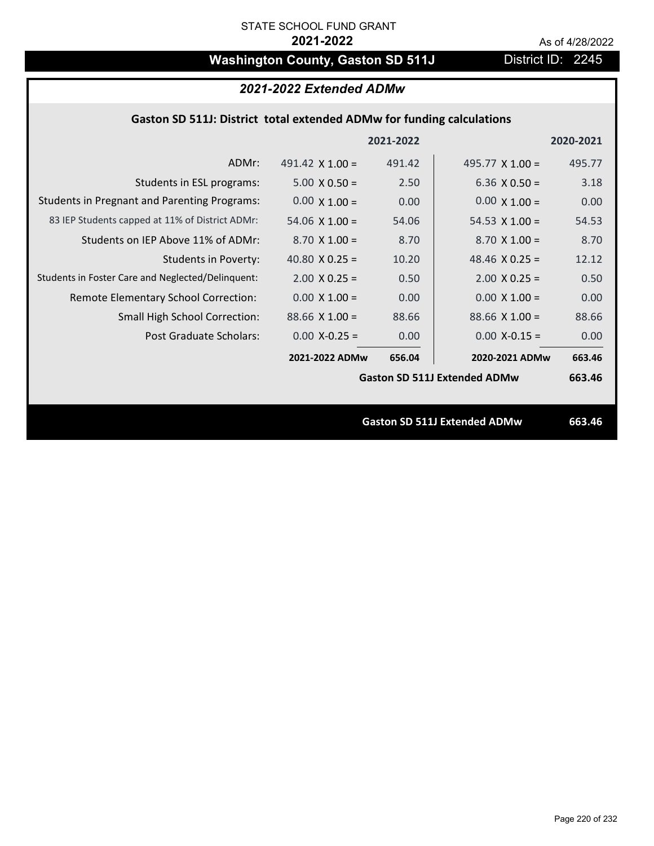# Washington County, Gaston SD 511J District ID: 2245

# *2021-2022 Extended ADMw*

## **Gaston SD 511J: District total extended ADMw for funding calculations**

|                                                     |                        | 2021-2022 |                                     | 2020-2021 |
|-----------------------------------------------------|------------------------|-----------|-------------------------------------|-----------|
| ADMr:                                               | 491.42 $\times$ 1.00 = | 491.42    | 495.77 $\times$ 1.00 =              | 495.77    |
| Students in ESL programs:                           | $5.00 \times 0.50 =$   | 2.50      | $6.36 \times 0.50 =$                | 3.18      |
| <b>Students in Pregnant and Parenting Programs:</b> | $0.00 \times 1.00 =$   | 0.00      | $0.00 \times 1.00 =$                | 0.00      |
| 83 IEP Students capped at 11% of District ADMr:     | $54.06 \times 1.00 =$  | 54.06     | 54.53 $\times$ 1.00 =               | 54.53     |
| Students on IEP Above 11% of ADMr:                  | $8.70 \times 1.00 =$   | 8.70      | $8.70$ X $1.00 =$                   | 8.70      |
| <b>Students in Poverty:</b>                         | 40.80 $X$ 0.25 =       | 10.20     | 48.46 $X$ 0.25 =                    | 12.12     |
| Students in Foster Care and Neglected/Delinquent:   | $2.00 \times 0.25 =$   | 0.50      | $2.00 \times 0.25 =$                | 0.50      |
| Remote Elementary School Correction:                | $0.00 \times 1.00 =$   | 0.00      | $0.00 \times 1.00 =$                | 0.00      |
| <b>Small High School Correction:</b>                | $88.66 \times 1.00 =$  | 88.66     | $88.66 \times 1.00 =$               | 88.66     |
| Post Graduate Scholars:                             | $0.00$ X-0.25 =        | 0.00      | $0.00$ X-0.15 =                     | 0.00      |
|                                                     | 2021-2022 ADMw         | 656.04    | 2020-2021 ADMw                      | 663.46    |
|                                                     |                        |           | <b>Gaston SD 511J Extended ADMw</b> | 663.46    |
|                                                     |                        |           |                                     |           |
|                                                     |                        |           | <b>Gaston SD 511J Extended ADMw</b> | 663.46    |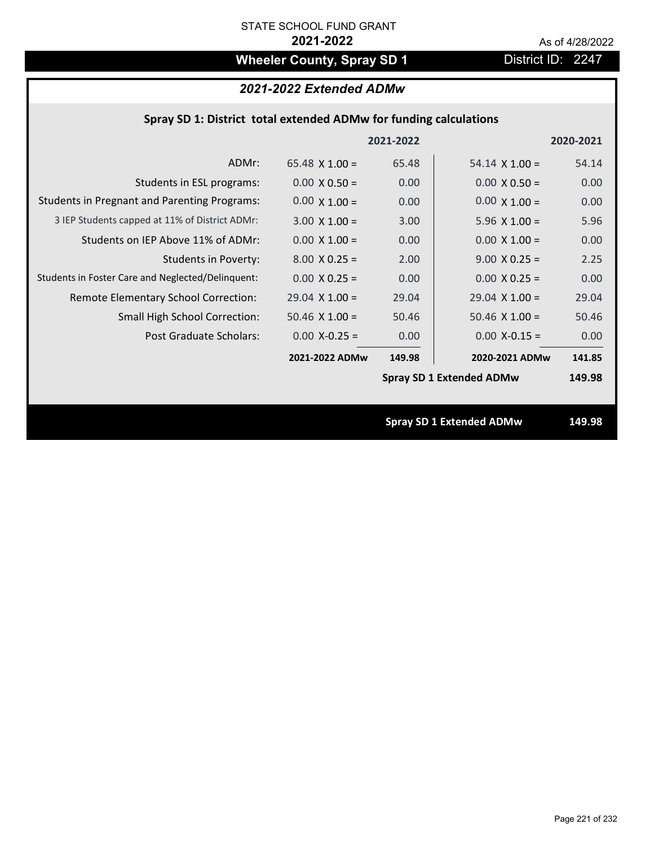# **Wheeler County, Spray SD 1** District ID: 2247

# *2021-2022 Extended ADMw*

|  |  | Spray SD 1: District total extended ADMw for funding calculations |  |
|--|--|-------------------------------------------------------------------|--|
|--|--|-------------------------------------------------------------------|--|

|                                                     |                       | 2021-2022 |                                 | 2020-2021 |
|-----------------------------------------------------|-----------------------|-----------|---------------------------------|-----------|
| ADMr:                                               | 65.48 $\times$ 1.00 = | 65.48     | $54.14 \times 1.00 =$           | 54.14     |
| Students in ESL programs:                           | $0.00 \times 0.50 =$  | 0.00      | $0.00 \times 0.50 =$            | 0.00      |
| <b>Students in Pregnant and Parenting Programs:</b> | $0.00 \times 1.00 =$  | 0.00      | $0.00 \times 1.00 =$            | 0.00      |
| 3 IEP Students capped at 11% of District ADMr:      | $3.00 \times 1.00 =$  | 3.00      | $5.96 \times 1.00 =$            | 5.96      |
| Students on IEP Above 11% of ADMr:                  | $0.00 \times 1.00 =$  | 0.00      | $0.00 \times 1.00 =$            | 0.00      |
| <b>Students in Poverty:</b>                         | $8.00 \times 0.25 =$  | 2.00      | $9.00 \times 0.25 =$            | 2.25      |
| Students in Foster Care and Neglected/Delinquent:   | $0.00 \times 0.25 =$  | 0.00      | $0.00 \times 0.25 =$            | 0.00      |
| Remote Elementary School Correction:                | $29.04$ X $1.00 =$    | 29.04     | $29.04$ X $1.00 =$              | 29.04     |
| <b>Small High School Correction:</b>                | $50.46$ X $1.00 =$    | 50.46     | $50.46 \times 1.00 =$           | 50.46     |
| Post Graduate Scholars:                             | $0.00$ X-0.25 =       | 0.00      | $0.00$ X-0.15 =                 | 0.00      |
|                                                     | 2021-2022 ADMw        | 149.98    | 2020-2021 ADMw                  | 141.85    |
|                                                     |                       |           | <b>Spray SD 1 Extended ADMw</b> | 149.98    |
|                                                     |                       |           |                                 |           |
|                                                     |                       |           | <b>Spray SD 1 Extended ADMw</b> | 149.98    |
|                                                     |                       |           |                                 |           |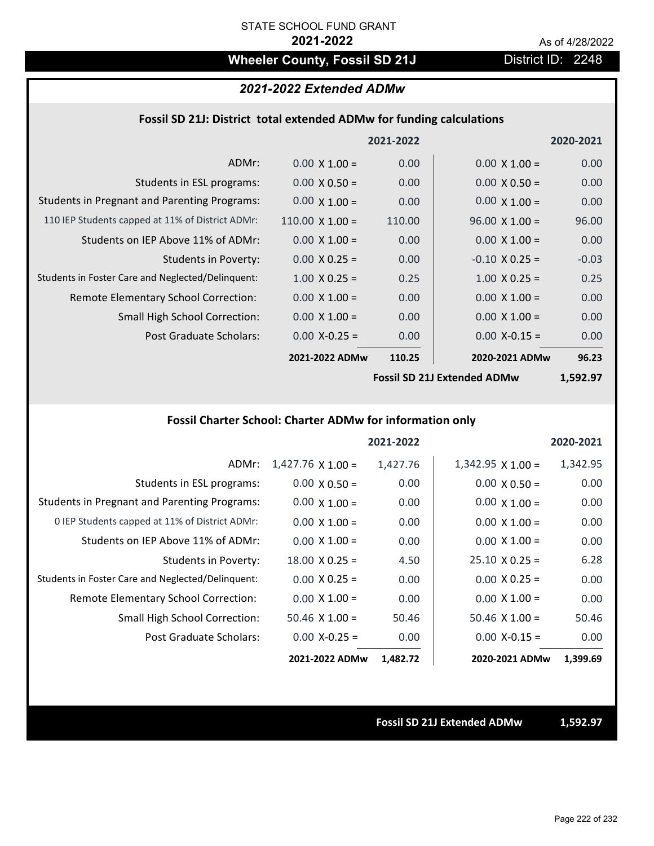# Wheeler County, Fossil SD 21J District ID: 2248

## *2021-2022 Extended ADMw*

## **Fossil SD 21J: District total extended ADMw for funding calculations**

|                                                     |                        | 2021-2022 |                       | 2020-2021 |
|-----------------------------------------------------|------------------------|-----------|-----------------------|-----------|
| ADMr:                                               | $0.00 \times 1.00 =$   | 0.00      | $0.00 \times 1.00 =$  | 0.00      |
| Students in ESL programs:                           | $0.00 \times 0.50 =$   | 0.00      | $0.00 \times 0.50 =$  | 0.00      |
| <b>Students in Pregnant and Parenting Programs:</b> | $0.00 \times 1.00 =$   | 0.00      | $0.00 \times 1.00 =$  | 0.00      |
| 110 IEP Students capped at 11% of District ADMr:    | $110.00 \times 1.00 =$ | 110.00    | $96.00 \times 1.00 =$ | 96.00     |
| Students on IEP Above 11% of ADMr:                  | $0.00 \times 1.00 =$   | 0.00      | $0.00 \times 1.00 =$  | 0.00      |
| <b>Students in Poverty:</b>                         | $0.00 \times 0.25 =$   | 0.00      | $-0.10 \times 0.25 =$ | $-0.03$   |
| Students in Foster Care and Neglected/Delinquent:   | $1.00 \times 0.25 =$   | 0.25      | $1.00 \times 0.25 =$  | 0.25      |
| Remote Elementary School Correction:                | $0.00 \times 1.00 =$   | 0.00      | $0.00 \times 1.00 =$  | 0.00      |
| <b>Small High School Correction:</b>                | $0.00 \times 1.00 =$   | 0.00      | $0.00 \times 1.00 =$  | 0.00      |
| Post Graduate Scholars:                             | $0.00$ X-0.25 =        | 0.00      | $0.00 X - 0.15 =$     | 0.00      |
|                                                     | 2021-2022 ADMw         | 110.25    | 2020-2021 ADMw        | 96.23     |
|                                                     |                        |           |                       |           |

**Fossil SD 21J Extended ADMw**

**1,592.97**

# **Fossil Charter School: Charter ADMw for information only**

|                                                     |                          | 2021-2022 |                          | 2020-2021 |
|-----------------------------------------------------|--------------------------|-----------|--------------------------|-----------|
| ADMr:                                               | $1,427.76 \times 1.00 =$ | 1,427.76  | $1,342.95 \times 1.00 =$ | 1,342.95  |
| Students in ESL programs:                           | $0.00 \times 0.50 =$     | 0.00      | $0.00 \times 0.50 =$     | 0.00      |
| <b>Students in Pregnant and Parenting Programs:</b> | $0.00 \times 1.00 =$     | 0.00      | $0.00 \times 1.00 =$     | 0.00      |
| 0 IEP Students capped at 11% of District ADMr:      | $0.00 \times 1.00 =$     | 0.00      | $0.00 \times 1.00 =$     | 0.00      |
| Students on IEP Above 11% of ADMr:                  | $0.00 \times 1.00 =$     | 0.00      | $0.00 \times 1.00 =$     | 0.00      |
| Students in Poverty:                                | $18.00 \times 0.25 =$    | 4.50      | $25.10 \times 0.25 =$    | 6.28      |
| Students in Foster Care and Neglected/Delinquent:   | $0.00 \times 0.25 =$     | 0.00      | $0.00 \times 0.25 =$     | 0.00      |
| Remote Elementary School Correction:                | $0.00 \times 1.00 =$     | 0.00      | $0.00 \times 1.00 =$     | 0.00      |
| <b>Small High School Correction:</b>                | $50.46 \times 1.00 =$    | 50.46     | $50.46$ X $1.00 =$       | 50.46     |
| Post Graduate Scholars:                             | $0.00$ X-0.25 =          | 0.00      | $0.00$ X-0.15 =          | 0.00      |
|                                                     | 2021-2022 ADMw           | 1,482.72  | 2020-2021 ADMw           | 1,399.69  |

### **Fossil SD 21J Extended ADMw 1,592.97**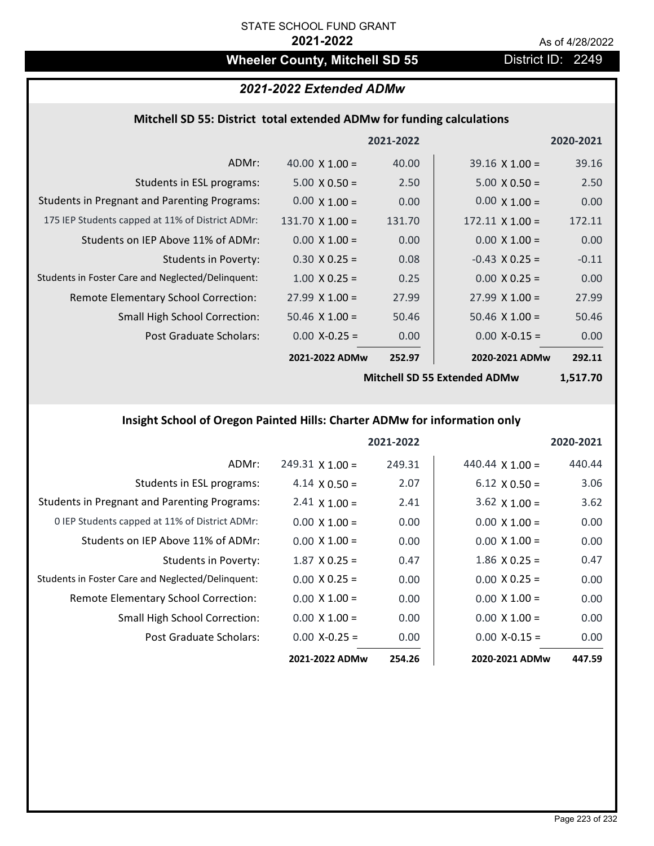# Wheeler County, Mitchell SD 55 **District ID: 2249**

# *2021-2022 Extended ADMw*

# **Mitchell SD 55: District total extended ADMw for funding calculations**

|                                                     |                        | 2021-2022 |                        | 2020-2021 |
|-----------------------------------------------------|------------------------|-----------|------------------------|-----------|
| ADMr:                                               | 40.00 $\times$ 1.00 =  | 40.00     | $39.16 \times 1.00 =$  | 39.16     |
| Students in ESL programs:                           | $5.00 \times 0.50 =$   | 2.50      | $5.00 \times 0.50 =$   | 2.50      |
| <b>Students in Pregnant and Parenting Programs:</b> | $0.00 \times 1.00 =$   | 0.00      | $0.00 \times 1.00 =$   | 0.00      |
| 175 IEP Students capped at 11% of District ADMr:    | $131.70 \times 1.00 =$ | 131.70    | $172.11 \times 1.00 =$ | 172.11    |
| Students on IEP Above 11% of ADMr:                  | $0.00 \times 1.00 =$   | 0.00      | $0.00 \times 1.00 =$   | 0.00      |
| <b>Students in Poverty:</b>                         | $0.30 \times 0.25 =$   | 0.08      | $-0.43$ X 0.25 =       | $-0.11$   |
| Students in Foster Care and Neglected/Delinquent:   | $1.00 \times 0.25 =$   | 0.25      | $0.00 \times 0.25 =$   | 0.00      |
| Remote Elementary School Correction:                | $27.99 \times 1.00 =$  | 27.99     | $27.99 \times 1.00 =$  | 27.99     |
| <b>Small High School Correction:</b>                | $50.46 \times 1.00 =$  | 50.46     | $50.46 \times 1.00 =$  | 50.46     |
| Post Graduate Scholars:                             | $0.00$ X-0.25 =        | 0.00      | $0.00$ X-0.15 =        | 0.00      |
|                                                     | 2021-2022 ADMw         | 252.97    | 2020-2021 ADMw         | 292.11    |
|                                                     |                        |           |                        |           |

**Mitchell SD 55 Extended ADMw**

**1,517.70**

# **Insight School of Oregon Painted Hills: Charter ADMw for information only**

|                                                     |                        | 2021-2022 |                        | 2020-2021 |
|-----------------------------------------------------|------------------------|-----------|------------------------|-----------|
| ADMr:                                               | $249.31 \times 1.00 =$ | 249.31    | 440.44 $\times$ 1.00 = | 440.44    |
| Students in ESL programs:                           | 4.14 $\times$ 0.50 =   | 2.07      | $6.12 \times 0.50 =$   | 3.06      |
| <b>Students in Pregnant and Parenting Programs:</b> | $2.41 \times 1.00 =$   | 2.41      | 3.62 $\times$ 1.00 =   | 3.62      |
| 0 IEP Students capped at 11% of District ADMr:      | $0.00 \times 1.00 =$   | 0.00      | $0.00 \times 1.00 =$   | 0.00      |
| Students on IEP Above 11% of ADMr:                  | $0.00 \times 1.00 =$   | 0.00      | $0.00 \times 1.00 =$   | 0.00      |
| Students in Poverty:                                | $1.87 \times 0.25 =$   | 0.47      | $1.86 \times 0.25 =$   | 0.47      |
| Students in Foster Care and Neglected/Delinquent:   | $0.00 \times 0.25 =$   | 0.00      | $0.00 \times 0.25 =$   | 0.00      |
| Remote Elementary School Correction:                | $0.00 \times 1.00 =$   | 0.00      | $0.00 \times 1.00 =$   | 0.00      |
| <b>Small High School Correction:</b>                | $0.00 \times 1.00 =$   | 0.00      | $0.00 \times 1.00 =$   | 0.00      |
| Post Graduate Scholars:                             | $0.00 X - 0.25 =$      | 0.00      | $0.00 X - 0.15 =$      | 0.00      |
|                                                     | 2021-2022 ADMw         | 254.26    | 2020-2021 ADMw         | 447.59    |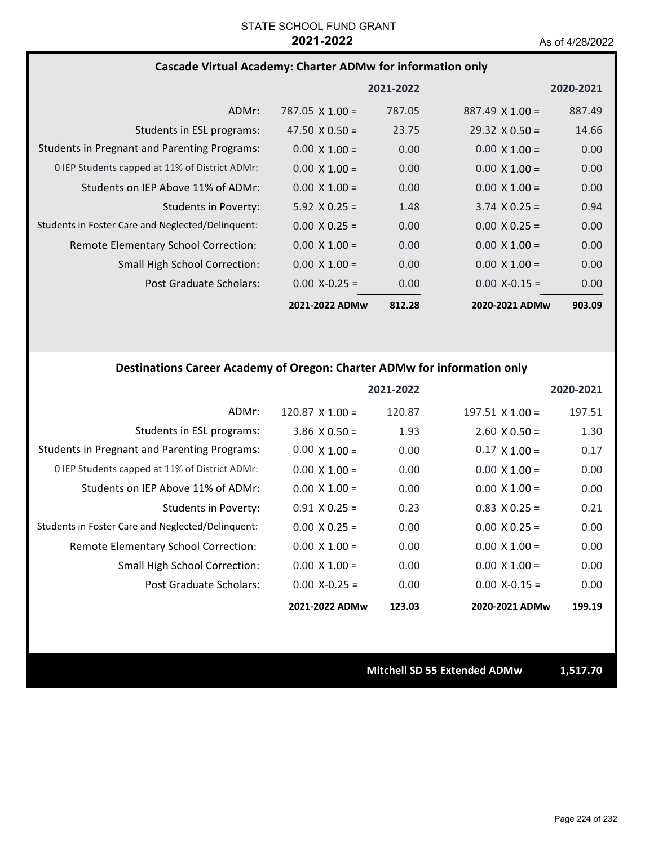## **Cascade Virtual Academy: Charter ADMw for information only**

|                                                     |                        | 2021-2022 |                        | 2020-2021 |
|-----------------------------------------------------|------------------------|-----------|------------------------|-----------|
| ADMr:                                               | 787.05 $\times$ 1.00 = | 787.05    | $887.49 \times 1.00 =$ | 887.49    |
| Students in ESL programs:                           | 47.50 $\times$ 0.50 =  | 23.75     | $29.32 \times 0.50 =$  | 14.66     |
| <b>Students in Pregnant and Parenting Programs:</b> | $0.00 \times 1.00 =$   | 0.00      | $0.00 \times 1.00 =$   | 0.00      |
| 0 IEP Students capped at 11% of District ADMr:      | $0.00 \times 1.00 =$   | 0.00      | $0.00 \times 1.00 =$   | 0.00      |
| Students on IEP Above 11% of ADMr:                  | $0.00 \times 1.00 =$   | 0.00      | $0.00 \times 1.00 =$   | 0.00      |
| <b>Students in Poverty:</b>                         | $5.92 \times 0.25 =$   | 1.48      | $3.74 \times 0.25 =$   | 0.94      |
| Students in Foster Care and Neglected/Delinquent:   | $0.00 \times 0.25 =$   | 0.00      | $0.00 \times 0.25 =$   | 0.00      |
| Remote Elementary School Correction:                | $0.00 \times 1.00 =$   | 0.00      | $0.00 \times 1.00 =$   | 0.00      |
| <b>Small High School Correction:</b>                | $0.00 \times 1.00 =$   | 0.00      | $0.00 \times 1.00 =$   | 0.00      |
| Post Graduate Scholars:                             | $0.00 X - 0.25 =$      | 0.00      | $0.00 X - 0.15 =$      | 0.00      |
|                                                     | 2021-2022 ADMw         | 812.28    | 2020-2021 ADMw         | 903.09    |

## **Destinations Career Academy of Oregon: Charter ADMw for information only**

|                                                     |                      | 2021-2022 |                        | 2020-2021 |
|-----------------------------------------------------|----------------------|-----------|------------------------|-----------|
| ADMr:                                               | $120.87$ X $1.00 =$  | 120.87    | $197.51 \times 1.00 =$ | 197.51    |
| Students in ESL programs:                           | $3.86 \times 0.50 =$ | 1.93      | $2.60 \times 0.50 =$   | 1.30      |
| <b>Students in Pregnant and Parenting Programs:</b> | $0.00 \times 1.00 =$ | 0.00      | $0.17 \times 1.00 =$   | 0.17      |
| 0 IEP Students capped at 11% of District ADMr:      | $0.00 \times 1.00 =$ | 0.00      | $0.00 \times 1.00 =$   | 0.00      |
| Students on IEP Above 11% of ADMr:                  | $0.00 \times 1.00 =$ | 0.00      | $0.00 \times 1.00 =$   | 0.00      |
| Students in Poverty:                                | $0.91$ X 0.25 =      | 0.23      | $0.83 \times 0.25 =$   | 0.21      |
| Students in Foster Care and Neglected/Delinquent:   | $0.00 \times 0.25 =$ | 0.00      | $0.00 \times 0.25 =$   | 0.00      |
| Remote Elementary School Correction:                | $0.00 \times 1.00 =$ | 0.00      | $0.00 \times 1.00 =$   | 0.00      |
| Small High School Correction:                       | $0.00 \times 1.00 =$ | 0.00      | $0.00 \times 1.00 =$   | 0.00      |
| Post Graduate Scholars:                             | $0.00 X - 0.25 =$    | 0.00      | $0.00 X - 0.15 =$      | 0.00      |
|                                                     | 2021-2022 ADMw       | 123.03    | 2020-2021 ADMw         | 199.19    |

**Mitchell SD 55 Extended ADMw 1,517.70**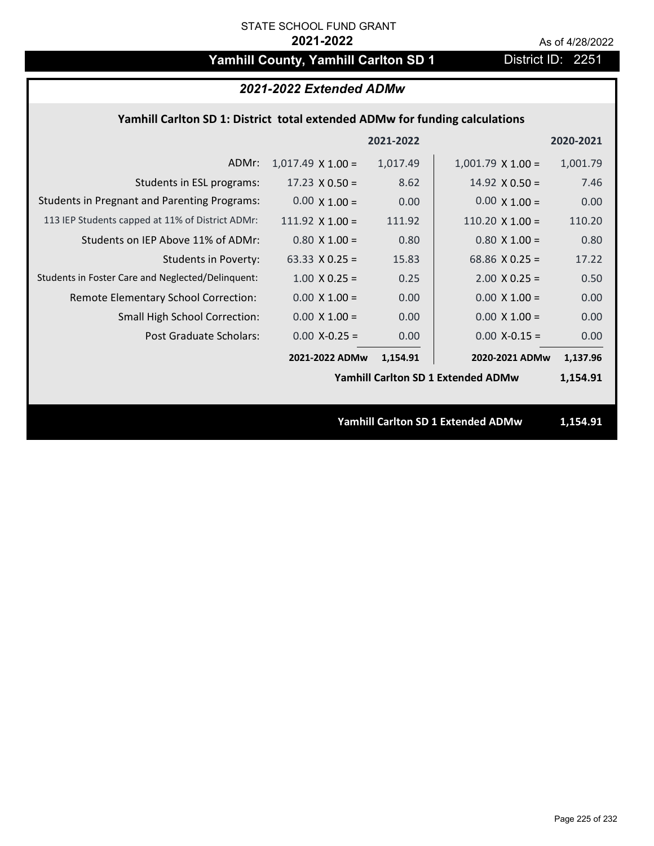# Yamhill County, Yamhill Carlton SD 1 District ID: 2251

| 2021-2022 Extended ADMw                                                     |                          |           |                                           |           |  |
|-----------------------------------------------------------------------------|--------------------------|-----------|-------------------------------------------|-----------|--|
| Yamhill Carlton SD 1: District total extended ADMw for funding calculations |                          |           |                                           |           |  |
|                                                                             |                          | 2021-2022 |                                           | 2020-2021 |  |
| ADMr:                                                                       | $1,017.49 \times 1.00 =$ | 1,017.49  | $1,001.79 \times 1.00 =$                  | 1,001.79  |  |
| Students in ESL programs:                                                   | $17.23 \times 0.50 =$    | 8.62      | 14.92 $\times$ 0.50 =                     | 7.46      |  |
| <b>Students in Pregnant and Parenting Programs:</b>                         | $0.00 \times 1.00 =$     | 0.00      | $0.00 \times 1.00 =$                      | 0.00      |  |
| 113 IEP Students capped at 11% of District ADMr:                            | 111.92 $X$ 1.00 =        | 111.92    | $110.20 \times 1.00 =$                    | 110.20    |  |
| Students on IEP Above 11% of ADMr:                                          | $0.80$ X 1.00 =          | 0.80      | $0.80$ X 1.00 =                           | 0.80      |  |
| <b>Students in Poverty:</b>                                                 | 63.33 $X$ 0.25 =         | 15.83     | 68.86 $X$ 0.25 =                          | 17.22     |  |
| Students in Foster Care and Neglected/Delinquent:                           | $1.00 \times 0.25 =$     | 0.25      | $2.00 \times 0.25 =$                      | 0.50      |  |
| Remote Elementary School Correction:                                        | $0.00 \times 1.00 =$     | 0.00      | $0.00 \times 1.00 =$                      | 0.00      |  |
| Small High School Correction:                                               | $0.00 \times 1.00 =$     | 0.00      | $0.00 \times 1.00 =$                      | 0.00      |  |
| Post Graduate Scholars:                                                     | $0.00$ X-0.25 =          | 0.00      | $0.00$ X-0.15 =                           | 0.00      |  |
|                                                                             | 2021-2022 ADMw           | 1,154.91  | 2020-2021 ADMw                            | 1,137.96  |  |
|                                                                             |                          |           | <b>Yamhill Carlton SD 1 Extended ADMw</b> | 1,154.91  |  |
|                                                                             |                          |           |                                           |           |  |
|                                                                             |                          |           | <b>Yamhill Carlton SD 1 Extended ADMw</b> | 1,154.91  |  |
|                                                                             |                          |           |                                           |           |  |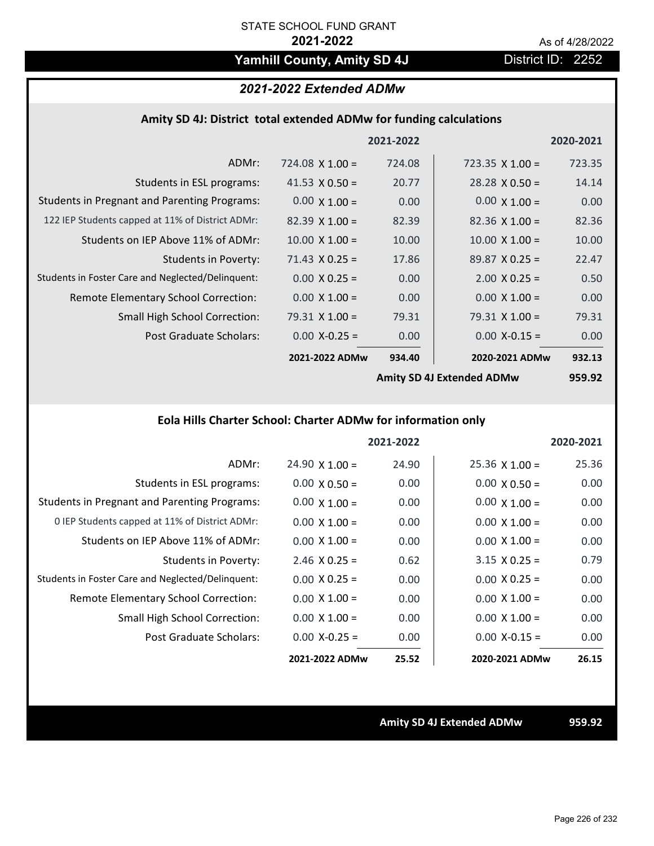# Yamhill County, Amity SD 4J **District ID: 2252**

# *2021-2022 Extended ADMw*

## **Amity SD 4J: District total extended ADMw for funding calculations**

|                                                     |                        | 2021-2022 |                           | 2020-2021     |
|-----------------------------------------------------|------------------------|-----------|---------------------------|---------------|
| ADMr:                                               | $724.08 \times 1.00 =$ | 724.08    | 723.35 $X$ 1.00 =         | 723.35        |
| Students in ESL programs:                           | 41.53 $\times$ 0.50 =  | 20.77     | $28.28 \times 0.50 =$     | 14.14         |
| <b>Students in Pregnant and Parenting Programs:</b> | $0.00 \times 1.00 =$   | 0.00      | $0.00 \times 1.00 =$      | 0.00          |
| 122 IEP Students capped at 11% of District ADMr:    | $82.39 \times 1.00 =$  | 82.39     | $82.36 \times 1.00 =$     | 82.36         |
| Students on IEP Above 11% of ADMr:                  | $10.00 \times 1.00 =$  | 10.00     | $10.00 \times 1.00 =$     | 10.00         |
| <b>Students in Poverty:</b>                         | $71.43 \times 0.25 =$  | 17.86     | $89.87 \times 0.25 =$     | 22.47         |
| Students in Foster Care and Neglected/Delinquent:   | $0.00 \times 0.25 =$   | 0.00      | $2.00 \times 0.25 =$      | 0.50          |
| Remote Elementary School Correction:                | $0.00 \times 1.00 =$   | 0.00      | $0.00 \times 1.00 =$      | 0.00          |
| <b>Small High School Correction:</b>                | $79.31 \times 1.00 =$  | 79.31     | $79.31$ X $1.00 =$        | 79.31         |
| Post Graduate Scholars:                             | $0.00 X - 0.25 =$      | 0.00      | $0.00$ X-0.15 =           | 0.00          |
|                                                     | 2021-2022 ADMw         | 934.40    | 2020-2021 ADMw            | 932.13        |
|                                                     |                        |           | Amity SD 41 Extended ADMW | <b>Q5Q Q2</b> |

**Amity SD 4J Extended ADMw**

**959.92**

# **Eola Hills Charter School: Charter ADMw for information only**

|                                                     |                       | 2021-2022 |                       | 2020-2021 |
|-----------------------------------------------------|-----------------------|-----------|-----------------------|-----------|
| ADMr:                                               | $24.90 \times 1.00 =$ | 24.90     | $25.36 \times 1.00 =$ | 25.36     |
| Students in ESL programs:                           | $0.00 \times 0.50 =$  | 0.00      | $0.00 \times 0.50 =$  | 0.00      |
| <b>Students in Pregnant and Parenting Programs:</b> | $0.00 \times 1.00 =$  | 0.00      | $0.00 \times 1.00 =$  | 0.00      |
| 0 IEP Students capped at 11% of District ADMr:      | $0.00 \times 1.00 =$  | 0.00      | $0.00 \times 1.00 =$  | 0.00      |
| Students on IEP Above 11% of ADMr:                  | $0.00 \times 1.00 =$  | 0.00      | $0.00 \times 1.00 =$  | 0.00      |
| Students in Poverty:                                | $2.46 \times 0.25 =$  | 0.62      | $3.15 \times 0.25 =$  | 0.79      |
| Students in Foster Care and Neglected/Delinquent:   | $0.00 \times 0.25 =$  | 0.00      | $0.00 \times 0.25 =$  | 0.00      |
| Remote Elementary School Correction:                | $0.00 \times 1.00 =$  | 0.00      | $0.00 \times 1.00 =$  | 0.00      |
| <b>Small High School Correction:</b>                | $0.00 \times 1.00 =$  | 0.00      | $0.00 \times 1.00 =$  | 0.00      |
| Post Graduate Scholars:                             | $0.00$ X-0.25 =       | 0.00      | $0.00$ X-0.15 =       | 0.00      |
|                                                     | 2021-2022 ADMw        | 25.52     | 2020-2021 ADMw        | 26.15     |

**Amity SD 4J Extended ADMw 959.92**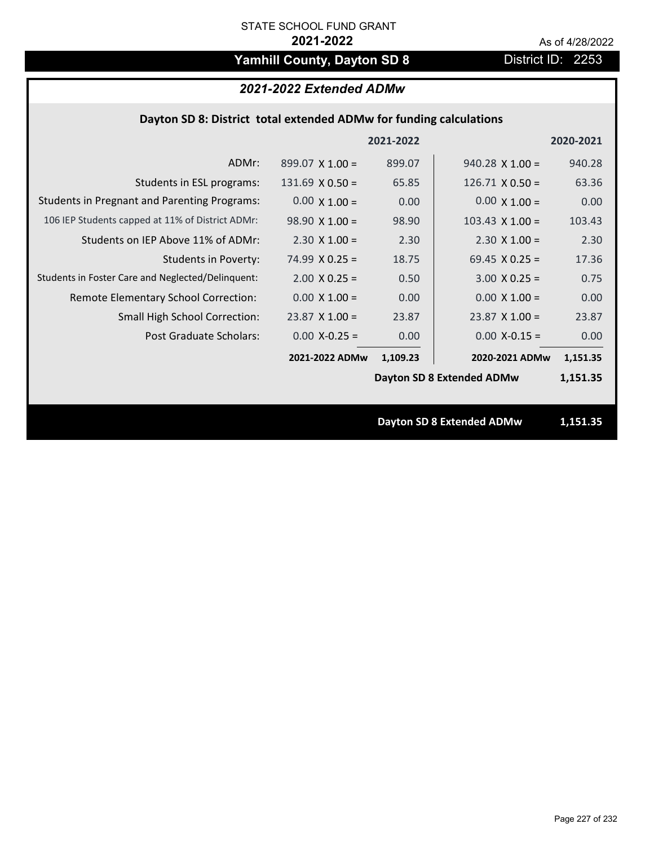# Yamhill County, Dayton SD 8 **District ID: 2253**

# *2021-2022 Extended ADMw*

## **Dayton SD 8: District total extended ADMw for funding calculations**

|                                                     |                        | 2021-2022 |                                  | 2020-2021 |
|-----------------------------------------------------|------------------------|-----------|----------------------------------|-----------|
| ADMr:                                               | $899.07 \times 1.00 =$ | 899.07    | $940.28 \times 1.00 =$           | 940.28    |
| Students in ESL programs:                           | $131.69 \times 0.50 =$ | 65.85     | $126.71 \times 0.50 =$           | 63.36     |
| <b>Students in Pregnant and Parenting Programs:</b> | $0.00 \times 1.00 =$   | 0.00      | $0.00 \times 1.00 =$             | 0.00      |
| 106 IEP Students capped at 11% of District ADMr:    | $98.90 \times 1.00 =$  | 98.90     | $103.43 \times 1.00 =$           | 103.43    |
| Students on IEP Above 11% of ADMr:                  | $2.30 \times 1.00 =$   | 2.30      | $2.30 \times 1.00 =$             | 2.30      |
| <b>Students in Poverty:</b>                         | $74.99 \times 0.25 =$  | 18.75     | 69.45 $X$ 0.25 =                 | 17.36     |
| Students in Foster Care and Neglected/Delinquent:   | $2.00 \times 0.25 =$   | 0.50      | $3.00 \times 0.25 =$             | 0.75      |
| Remote Elementary School Correction:                | $0.00 \times 1.00 =$   | 0.00      | $0.00 \times 1.00 =$             | 0.00      |
| <b>Small High School Correction:</b>                | $23.87 \times 1.00 =$  | 23.87     | $23.87$ X 1.00 =                 | 23.87     |
| Post Graduate Scholars:                             | $0.00$ X-0.25 =        | 0.00      | $0.00$ X-0.15 =                  | 0.00      |
|                                                     | 2021-2022 ADMw         | 1,109.23  | 2020-2021 ADMw                   | 1,151.35  |
|                                                     |                        |           | Dayton SD 8 Extended ADMw        | 1,151.35  |
|                                                     |                        |           |                                  |           |
|                                                     |                        |           | <b>Dayton SD 8 Extended ADMw</b> | 1,151.35  |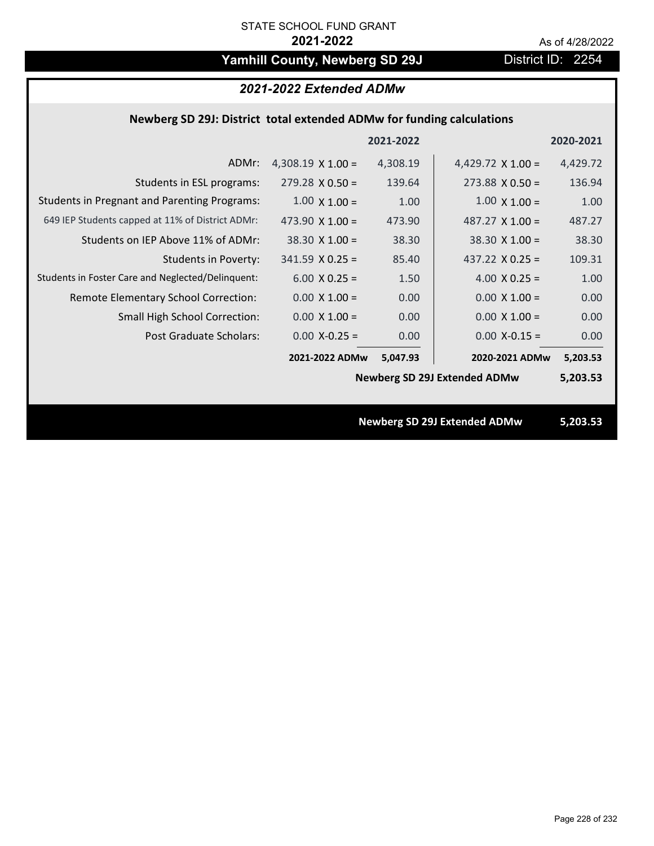# Yamhill County, Newberg SD 29J District ID: 2254

| 2021-2022 Extended ADMw                                               |                          |           |                                     |           |  |
|-----------------------------------------------------------------------|--------------------------|-----------|-------------------------------------|-----------|--|
| Newberg SD 29J: District total extended ADMw for funding calculations |                          |           |                                     |           |  |
|                                                                       |                          | 2021-2022 |                                     | 2020-2021 |  |
| ADMr:                                                                 | 4,308.19 $\times$ 1.00 = | 4,308.19  | 4,429.72 $\times$ 1.00 =            | 4,429.72  |  |
| Students in ESL programs:                                             | $279.28 \times 0.50 =$   | 139.64    | $273.88 \times 0.50 =$              | 136.94    |  |
| <b>Students in Pregnant and Parenting Programs:</b>                   | $1.00 \times 1.00 =$     | 1.00      | $1.00 \times 1.00 =$                | 1.00      |  |
| 649 IEP Students capped at 11% of District ADMr:                      | 473.90 $\times$ 1.00 =   | 473.90    | 487.27 $\times$ 1.00 =              | 487.27    |  |
| Students on IEP Above 11% of ADMr:                                    | $38.30 \times 1.00 =$    | 38.30     | $38.30$ X 1.00 =                    | 38.30     |  |
| <b>Students in Poverty:</b>                                           | $341.59$ X 0.25 =        | 85.40     | 437.22 $X$ 0.25 =                   | 109.31    |  |
| Students in Foster Care and Neglected/Delinquent:                     | $6.00 X 0.25 =$          | 1.50      | $4.00 \times 0.25 =$                | 1.00      |  |
| Remote Elementary School Correction:                                  | $0.00 \times 1.00 =$     | 0.00      | $0.00 \times 1.00 =$                | 0.00      |  |
| Small High School Correction:                                         | $0.00 \times 1.00 =$     | 0.00      | $0.00 X 1.00 =$                     | 0.00      |  |
| <b>Post Graduate Scholars:</b>                                        | $0.00$ X-0.25 =          | 0.00      | $0.00$ X-0.15 =                     | 0.00      |  |
|                                                                       | 2021-2022 ADMw           | 5,047.93  | 2020-2021 ADMw                      | 5,203.53  |  |
|                                                                       |                          |           | <b>Newberg SD 29J Extended ADMw</b> | 5,203.53  |  |
|                                                                       |                          |           |                                     |           |  |
|                                                                       |                          |           | <b>Newberg SD 29J Extended ADMw</b> | 5,203.53  |  |
|                                                                       |                          |           |                                     |           |  |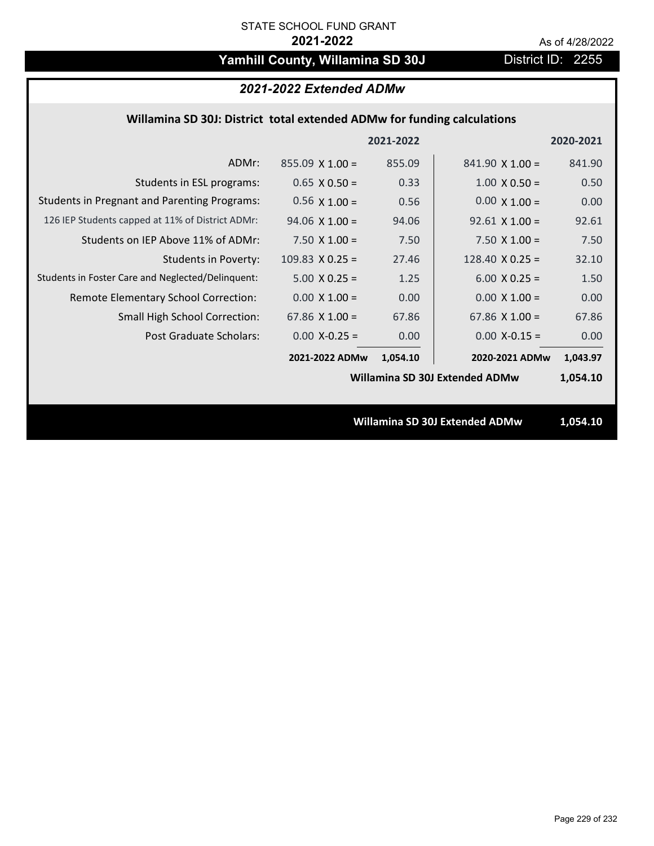# Yamhill County, Willamina SD 30J District ID: 2255

# *2021-2022 Extended ADMw*

## **Willamina SD 30J: District total extended ADMw for funding calculations**

|                                                     |                       | 2021-2022 |                                | 2020-2021 |
|-----------------------------------------------------|-----------------------|-----------|--------------------------------|-----------|
| ADMr:                                               | $855.09$ X 1.00 =     | 855.09    | $841.90 \times 1.00 =$         | 841.90    |
| Students in ESL programs:                           | $0.65 \times 0.50 =$  | 0.33      | $1.00 \times 0.50 =$           | 0.50      |
| <b>Students in Pregnant and Parenting Programs:</b> | $0.56 \times 1.00 =$  | 0.56      | $0.00 \times 1.00 =$           | 0.00      |
| 126 IEP Students capped at 11% of District ADMr:    | $94.06 \times 1.00 =$ | 94.06     | $92.61 \times 1.00 =$          | 92.61     |
| Students on IEP Above 11% of ADMr:                  | 7.50 $X$ 1.00 =       | 7.50      | 7.50 $X$ 1.00 =                | 7.50      |
| Students in Poverty:                                | $109.83$ X 0.25 =     | 27.46     | 128.40 $X$ 0.25 =              | 32.10     |
| Students in Foster Care and Neglected/Delinquent:   | $5.00 \times 0.25 =$  | 1.25      | $6.00 \times 0.25 =$           | 1.50      |
| Remote Elementary School Correction:                | $0.00 \times 1.00 =$  | 0.00      | $0.00 \times 1.00 =$           | 0.00      |
| <b>Small High School Correction:</b>                | 67.86 $X$ 1.00 =      | 67.86     | 67.86 $X$ 1.00 =               | 67.86     |
| Post Graduate Scholars:                             | $0.00$ X-0.25 =       | 0.00      | $0.00$ X-0.15 =                | 0.00      |
|                                                     | 2021-2022 ADMw        | 1,054.10  | 2020-2021 ADMw                 | 1,043.97  |
|                                                     |                       |           | Willamina SD 30J Extended ADMw | 1,054.10  |
|                                                     |                       |           |                                |           |
|                                                     |                       |           | Willamina SD 30J Extended ADMw | 1,054.10  |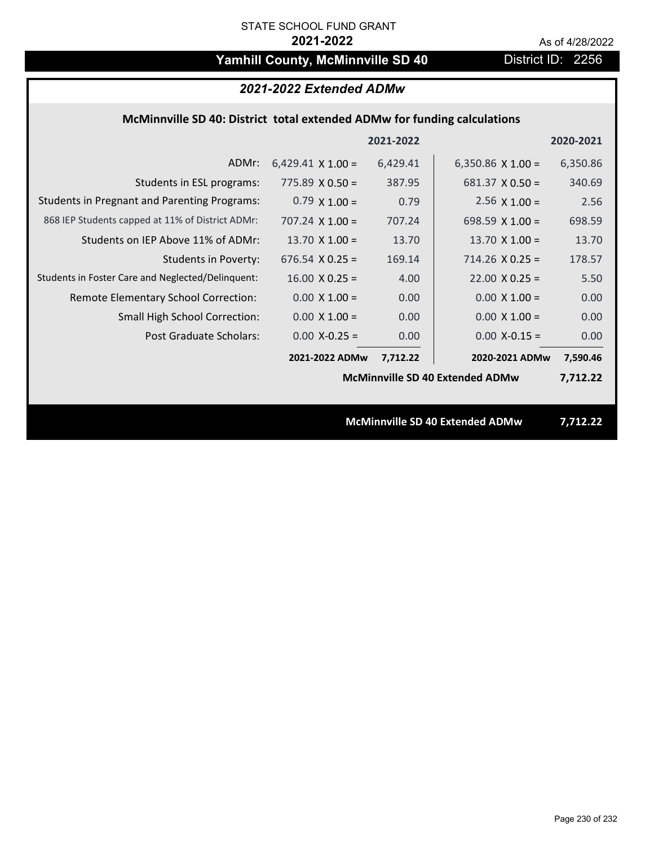# Yamhill County, McMinnville SD 40 District ID: 2256

| 2021-2022 Extended ADMw                                                  |                                 |           |                                        |           |  |
|--------------------------------------------------------------------------|---------------------------------|-----------|----------------------------------------|-----------|--|
| McMinnville SD 40: District total extended ADMw for funding calculations |                                 |           |                                        |           |  |
|                                                                          |                                 | 2021-2022 |                                        | 2020-2021 |  |
| ADMr:                                                                    | $6,429.41 \times 1.00 =$        | 6,429.41  | 6,350.86 $\times$ 1.00 =               | 6,350.86  |  |
| Students in ESL programs:                                                | $775.89 \times 0.50 =$          | 387.95    | $681.37 \times 0.50 =$                 | 340.69    |  |
| <b>Students in Pregnant and Parenting Programs:</b>                      | $0.79 \times 1.00 =$            | 0.79      | $2.56 \times 1.00 =$                   | 2.56      |  |
| 868 IEP Students capped at 11% of District ADMr:                         | $707.24 \times 1.00 =$          | 707.24    | 698.59 $X$ 1.00 =                      | 698.59    |  |
| Students on IEP Above 11% of ADMr:                                       | 13.70 $X$ 1.00 =                | 13.70     | 13.70 $X$ 1.00 =                       | 13.70     |  |
| <b>Students in Poverty:</b>                                              | $676.54$ X 0.25 =               | 169.14    | $714.26$ X 0.25 =                      | 178.57    |  |
| Students in Foster Care and Neglected/Delinquent:                        | $16.00 \times 0.25 =$           | 4.00      | $22.00 \times 0.25 =$                  | 5.50      |  |
| Remote Elementary School Correction:                                     | $0.00 X 1.00 =$                 | 0.00      | $0.00 X 1.00 =$                        | 0.00      |  |
| <b>Small High School Correction:</b>                                     | $0.00 \times 1.00 =$            | 0.00      | $0.00 \times 1.00 =$                   | 0.00      |  |
| <b>Post Graduate Scholars:</b>                                           | $0.00$ X-0.25 =                 | 0.00      | $0.00$ X-0.15 =                        | 0.00      |  |
|                                                                          | 2021-2022 ADMw                  | 7,712.22  | 2020-2021 ADMw                         | 7,590.46  |  |
|                                                                          |                                 |           | <b>McMinnville SD 40 Extended ADMw</b> | 7,712.22  |  |
|                                                                          |                                 |           |                                        |           |  |
|                                                                          | McMinnville SD 40 Extended ADMw |           |                                        | 7,712.22  |  |
|                                                                          |                                 |           |                                        |           |  |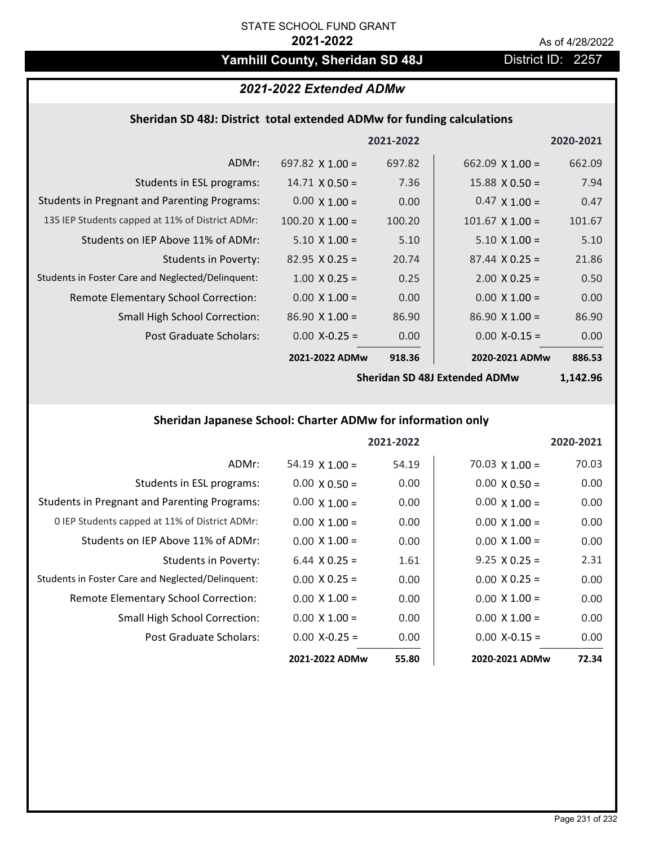# Yamhill County, Sheridan SD 48J District ID: 2257

# *2021-2022 Extended ADMw*

# **Sheridan SD 48J: District total extended ADMw for funding calculations**

|                                                     |                        | 2021-2022 |                        | 2020-2021 |
|-----------------------------------------------------|------------------------|-----------|------------------------|-----------|
| ADMr:                                               | 697.82 $\times$ 1.00 = | 697.82    | 662.09 $\times$ 1.00 = | 662.09    |
| Students in ESL programs:                           | $14.71 \times 0.50 =$  | 7.36      | $15.88 \times 0.50 =$  | 7.94      |
| <b>Students in Pregnant and Parenting Programs:</b> | $0.00 \times 1.00 =$   | 0.00      | $0.47 \times 1.00 =$   | 0.47      |
| 135 IEP Students capped at 11% of District ADMr:    | $100.20 \times 1.00 =$ | 100.20    | $101.67 \times 1.00 =$ | 101.67    |
| Students on IEP Above 11% of ADMr:                  | $5.10 \times 1.00 =$   | 5.10      | $5.10 \times 1.00 =$   | 5.10      |
| <b>Students in Poverty:</b>                         | $82.95 \times 0.25 =$  | 20.74     | $87.44 \times 0.25 =$  | 21.86     |
| Students in Foster Care and Neglected/Delinquent:   | $1.00 \times 0.25 =$   | 0.25      | $2.00 \times 0.25 =$   | 0.50      |
| Remote Elementary School Correction:                | $0.00 \times 1.00 =$   | 0.00      | $0.00 \times 1.00 =$   | 0.00      |
| <b>Small High School Correction:</b>                | $86.90 \times 1.00 =$  | 86.90     | $86.90 \times 1.00 =$  | 86.90     |
| Post Graduate Scholars:                             | $0.00$ X-0.25 =        | 0.00      | $0.00$ X-0.15 =        | 0.00      |
|                                                     | 2021-2022 ADMw         | 918.36    | 2020-2021 ADMw         | 886.53    |

**Sheridan SD 48J Extended ADMw**

**1,142.96**

# **Sheridan Japanese School: Charter ADMw for information only**

|                                                     |                       | 2021-2022 |                       | 2020-2021 |
|-----------------------------------------------------|-----------------------|-----------|-----------------------|-----------|
| ADMr:                                               | $54.19 \times 1.00 =$ | 54.19     | $70.03 \times 1.00 =$ | 70.03     |
| Students in ESL programs:                           | $0.00 \times 0.50 =$  | 0.00      | $0.00 \times 0.50 =$  | 0.00      |
| <b>Students in Pregnant and Parenting Programs:</b> | $0.00 \times 1.00 =$  | 0.00      | $0.00 \times 1.00 =$  | 0.00      |
| 0 IEP Students capped at 11% of District ADMr:      | $0.00 \times 1.00 =$  | 0.00      | $0.00 \times 1.00 =$  | 0.00      |
| Students on IEP Above 11% of ADMr:                  | $0.00 \times 1.00 =$  | 0.00      | $0.00 \times 1.00 =$  | 0.00      |
| Students in Poverty:                                | $6.44 \times 0.25 =$  | 1.61      | $9.25 \times 0.25 =$  | 2.31      |
| Students in Foster Care and Neglected/Delinquent:   | $0.00 \times 0.25 =$  | 0.00      | $0.00 \times 0.25 =$  | 0.00      |
| Remote Elementary School Correction:                | $0.00 \times 1.00 =$  | 0.00      | $0.00 \times 1.00 =$  | 0.00      |
| <b>Small High School Correction:</b>                | $0.00 \times 1.00 =$  | 0.00      | $0.00 \times 1.00 =$  | 0.00      |
| Post Graduate Scholars:                             | $0.00 X - 0.25 =$     | 0.00      | $0.00 X-0.15 =$       | 0.00      |
|                                                     | 2021-2022 ADMw        | 55.80     | 2020-2021 ADMw        | 72.34     |